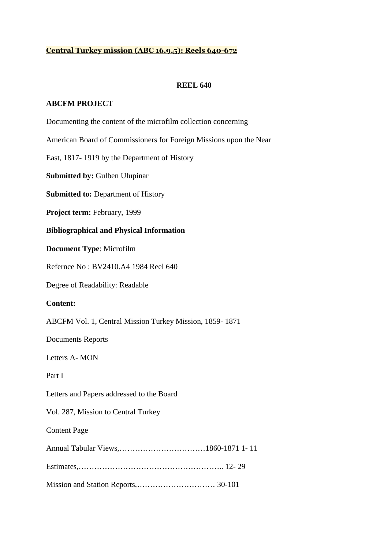# **Central Turkey mission (ABC 16.9.5): Reels 640-672**

### **REEL 640**

#### **ABCFM PROJECT**

Documenting the content of the microfilm collection concerning

American Board of Commissioners for Foreign Missions upon the Near

East, 1817- 1919 by the Department of History

**Submitted by:** Gulben Ulupinar

**Submitted to:** Department of History

**Project term:** February, 1999

**Bibliographical and Physical Information** 

**Document Type**: Microfilm

Refernce No : BV2410.A4 1984 Reel 640

Degree of Readability: Readable

#### **Content:**

ABCFM Vol. 1, Central Mission Turkey Mission, 1859- 1871

Documents Reports

Letters A- MON

Part I

Letters and Papers addressed to the Board

Vol. 287, Mission to Central Turkey

#### Content Page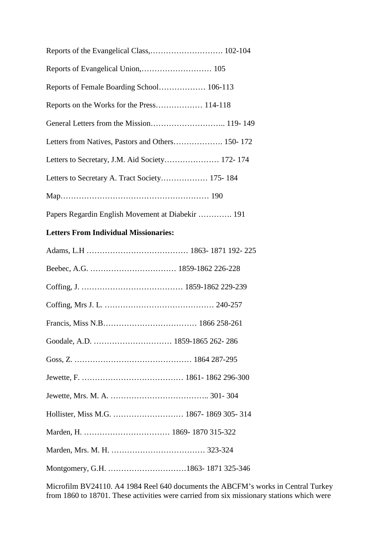| Letters to Secretary, J.M. Aid Society 172-174    |  |
|---------------------------------------------------|--|
| Letters to Secretary A. Tract Society 175-184     |  |
|                                                   |  |
| Papers Regardin English Movement at Diabekir  191 |  |

# **Letters From Individual Missionaries:**

Microfilm BV24110. A4 1984 Reel 640 documents the ABCFM's works in Central Turkey from 1860 to 18701. These activities were carried from six missionary stations which were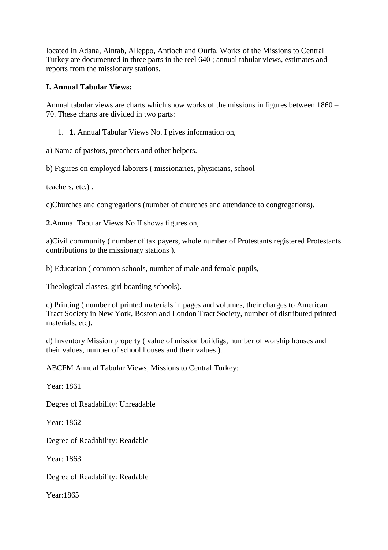located in Adana, Aintab, Alleppo, Antioch and Ourfa. Works of the Missions to Central Turkey are documented in three parts in the reel 640 ; annual tabular views, estimates and reports from the missionary stations.

# **I. Annual Tabular Views:**

Annual tabular views are charts which show works of the missions in figures between 1860 – 70. These charts are divided in two parts:

1. **1**. Annual Tabular Views No. I gives information on,

a) Name of pastors, preachers and other helpers.

b) Figures on employed laborers ( missionaries, physicians, school

teachers, etc.) .

c)Churches and congregations (number of churches and attendance to congregations).

**2.**Annual Tabular Views No II shows figures on,

a)Civil community ( number of tax payers, whole number of Protestants registered Protestants contributions to the missionary stations ).

b) Education ( common schools, number of male and female pupils,

Theological classes, girl boarding schools).

c) Printing ( number of printed materials in pages and volumes, their charges to American Tract Society in New York, Boston and London Tract Society, number of distributed printed materials, etc).

d) Inventory Mission property ( value of mission buildigs, number of worship houses and their values, number of school houses and their values ).

ABCFM Annual Tabular Views, Missions to Central Turkey:

Year: 1861

Degree of Readability: Unreadable

Year: 1862

Degree of Readability: Readable

Year: 1863

Degree of Readability: Readable

Year:1865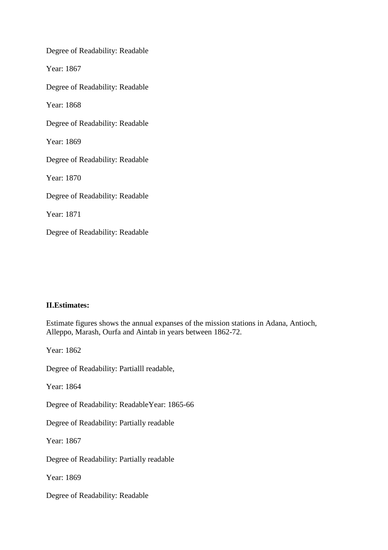Degree of Readability: Readable Year: 1867 Degree of Readability: Readable Year: 1868 Degree of Readability: Readable Year: 1869 Degree of Readability: Readable Year: 1870 Degree of Readability: Readable Year: 1871 Degree of Readability: Readable

### **II.Estimates:**

Estimate figures shows the annual expanses of the mission stations in Adana, Antioch, Alleppo, Marash, Ourfa and Aintab in years between 1862-72.

Year: 1862 Degree of Readability: Partialll readable, Year: 1864 Degree of Readability: ReadableYear: 1865-66 Degree of Readability: Partially readable Year: 1867 Degree of Readability: Partially readable Year: 1869 Degree of Readability: Readable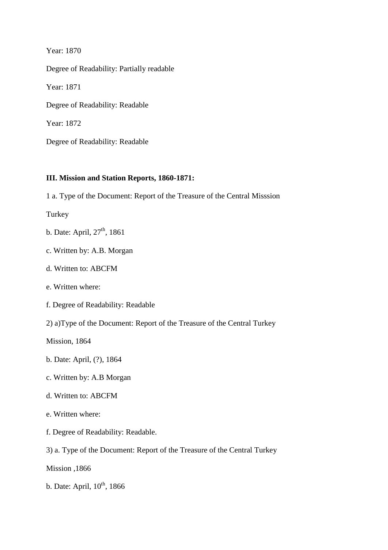Year: 1870 Degree of Readability: Partially readable Year: 1871 Degree of Readability: Readable Year: 1872 Degree of Readability: Readable

### **III. Mission and Station Reports, 1860-1871:**

1 a. Type of the Document: Report of the Treasure of the Central Misssion

Turkey

- b. Date: April,  $27<sup>th</sup>$ , 1861
- c. Written by: A.B. Morgan
- d. Written to: ABCFM
- e. Written where:
- f. Degree of Readability: Readable
- 2) a)Type of the Document: Report of the Treasure of the Central Turkey

Mission, 1864

- b. Date: April, (?), 1864
- c. Written by: A.B Morgan
- d. Written to: ABCFM
- e. Written where:
- f. Degree of Readability: Readable.
- 3) a. Type of the Document: Report of the Treasure of the Central Turkey
- Mission ,1866
- b. Date: April,  $10^{th}$ , 1866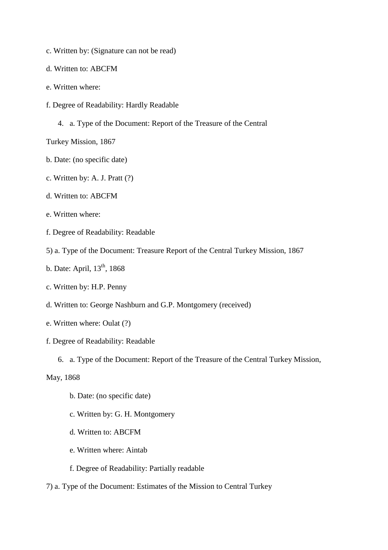- c. Written by: (Signature can not be read)
- d. Written to: ABCFM
- e. Written where:
- f. Degree of Readability: Hardly Readable
	- 4. a. Type of the Document: Report of the Treasure of the Central

Turkey Mission, 1867

- b. Date: (no specific date)
- c. Written by: A. J. Pratt (?)
- d. Written to: ABCFM
- e. Written where:
- f. Degree of Readability: Readable
- 5) a. Type of the Document: Treasure Report of the Central Turkey Mission, 1867
- b. Date: April,  $13<sup>th</sup>$ , 1868
- c. Written by: H.P. Penny
- d. Written to: George Nashburn and G.P. Montgomery (received)
- e. Written where: Oulat (?)
- f. Degree of Readability: Readable
	- 6. a. Type of the Document: Report of the Treasure of the Central Turkey Mission,

May, 1868

- b. Date: (no specific date)
- c. Written by: G. H. Montgomery
- d. Written to: ABCFM
- e. Written where: Aintab
- f. Degree of Readability: Partially readable
- 7) a. Type of the Document: Estimates of the Mission to Central Turkey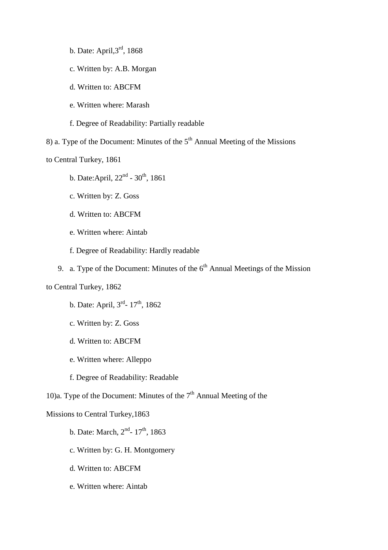- b. Date: April,3rd, 1868
- c. Written by: A.B. Morgan
- d. Written to: ABCFM
- e. Written where: Marash

f. Degree of Readability: Partially readable

8) a. Type of the Document: Minutes of the  $5<sup>th</sup>$  Annual Meeting of the Missions

to Central Turkey, 1861

- b. Date: April,  $22<sup>nd</sup>$   $30<sup>th</sup>$ , 1861
- c. Written by: Z. Goss
- d. Written to: ABCFM
- e. Written where: Aintab
- f. Degree of Readability: Hardly readable
- 9. a. Type of the Document: Minutes of the  $6<sup>th</sup>$  Annual Meetings of the Mission

to Central Turkey, 1862

- b. Date: April,  $3^{rd}$  17<sup>th</sup>, 1862
- c. Written by: Z. Goss
- d. Written to: ABCFM
- e. Written where: Alleppo
- f. Degree of Readability: Readable

10)a. Type of the Document: Minutes of the  $7<sup>th</sup>$  Annual Meeting of the

# Missions to Central Turkey,1863

- b. Date: March,  $2^{nd}$  17<sup>th</sup>, 1863
- c. Written by: G. H. Montgomery
- d. Written to: ABCFM
- e. Written where: Aintab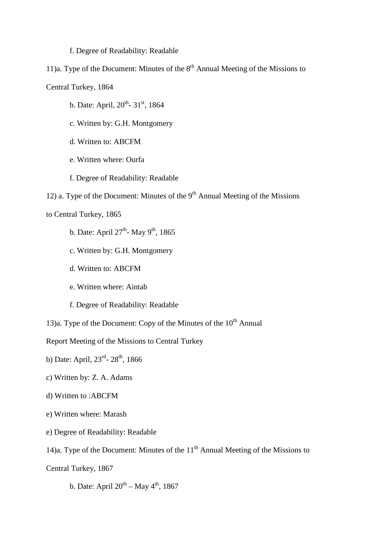#### f. Degree of Readability: Readable

11)a. Type of the Document: Minutes of the  $8<sup>th</sup>$  Annual Meeting of the Missions to Central Turkey, 1864

- b. Date: April,  $20^{th}$   $31^{st}$ , 1864
- c. Written by: G.H. Montgomery
- d. Written to: ABCFM
- e. Written where: Ourfa
- f. Degree of Readability: Readable
- 12) a. Type of the Document: Minutes of the  $9<sup>th</sup>$  Annual Meeting of the Missions

# to Central Turkey, 1865

- b. Date: April  $27<sup>th</sup>$  May 9<sup>th</sup>, 1865
- c. Written by: G.H. Montgomery
- d. Written to: ABCFM
- e. Written where: Aintab
- f. Degree of Readability: Readable
- 13)a. Type of the Document: Copy of the Minutes of the  $10<sup>th</sup>$  Annual

Report Meeting of the Missions to Central Turkey

- b) Date: April,  $23^{rd}$   $28^{th}$ , 1866
- c) Written by: Z. A. Adams
- d) Written to :ABCFM
- e) Written where: Marash
- e) Degree of Readability: Readable
- 14)a. Type of the Document: Minutes of the  $11<sup>th</sup>$  Annual Meeting of the Missions to
- Central Turkey, 1867
	- b. Date: April  $20^{th}$  May  $4^{th}$ , 1867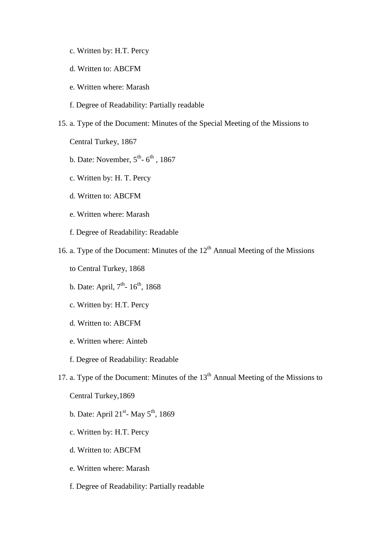- c. Written by: H.T. Percy
- d. Written to: ABCFM
- e. Written where: Marash
- f. Degree of Readability: Partially readable
- 15. a. Type of the Document: Minutes of the Special Meeting of the Missions to

Central Turkey, 1867

- b. Date: November,  $5^{th}$   $6^{th}$ , 1867
- c. Written by: H. T. Percy
- d. Written to: ABCFM
- e. Written where: Marash
- f. Degree of Readability: Readable
- 16. a. Type of the Document: Minutes of the  $12<sup>th</sup>$  Annual Meeting of the Missions
	- to Central Turkey, 1868
	- b. Date: April, 7<sup>th</sup>- 16<sup>th</sup>, 1868
	- c. Written by: H.T. Percy
	- d. Written to: ABCFM
	- e. Written where: Ainteb
	- f. Degree of Readability: Readable
- 17. a. Type of the Document: Minutes of the 13<sup>th</sup> Annual Meeting of the Missions to

Central Turkey,1869

- b. Date: April  $21^{st}$  May  $5^{th}$ , 1869
- c. Written by: H.T. Percy
- d. Written to: ABCFM
- e. Written where: Marash
- f. Degree of Readability: Partially readable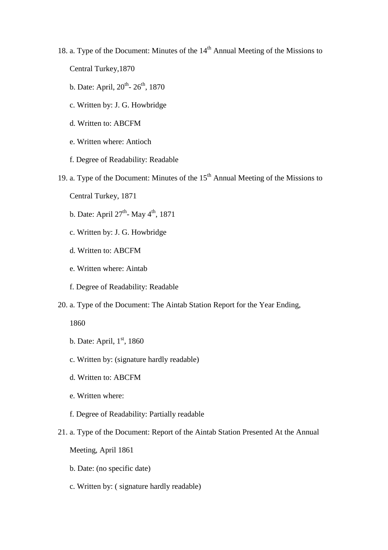- 18. a. Type of the Document: Minutes of the 14<sup>th</sup> Annual Meeting of the Missions to Central Turkey,1870
	- b. Date: April,  $20^{th}$   $26^{th}$ , 1870
	- c. Written by: J. G. Howbridge
	- d. Written to: ABCFM
	- e. Written where: Antioch
	- f. Degree of Readability: Readable
- 19. a. Type of the Document: Minutes of the  $15<sup>th</sup>$  Annual Meeting of the Missions to
	- Central Turkey, 1871
	- b. Date: April  $27<sup>th</sup>$  May  $4<sup>th</sup>$ , 1871
	- c. Written by: J. G. Howbridge
	- d. Written to: ABCFM
	- e. Written where: Aintab
	- f. Degree of Readability: Readable
- 20. a. Type of the Document: The Aintab Station Report for the Year Ending,

1860

- b. Date: April,  $1<sup>st</sup>$ , 1860
- c. Written by: (signature hardly readable)
- d. Written to: ABCFM
- e. Written where:
- f. Degree of Readability: Partially readable
- 21. a. Type of the Document: Report of the Aintab Station Presented At the Annual

Meeting, April 1861

- b. Date: (no specific date)
- c. Written by: ( signature hardly readable)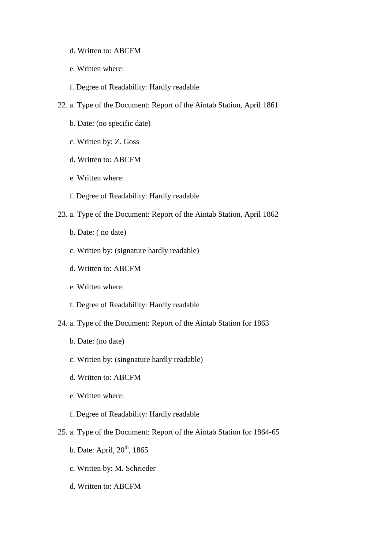- d. Written to: ABCFM
- e. Written where:
- f. Degree of Readability: Hardly readable
- 22. a. Type of the Document: Report of the Aintab Station, April 1861
	- b. Date: (no specific date)
	- c. Written by: Z. Goss
	- d. Written to: ABCFM
	- e. Written where:
	- f. Degree of Readability: Hardly readable
- 23. a. Type of the Document: Report of the Aintab Station, April 1862
	- b. Date: ( no date)
	- c. Written by: (signature hardly readable)
	- d. Written to: ABCFM
	- e. Written where:
	- f. Degree of Readability: Hardly readable
- 24. a. Type of the Document: Report of the Aintab Station for 1863
	- b. Date: (no date)
	- c. Written by: (singnature hardly readable)
	- d. Written to: ABCFM
	- e. Written where:
	- f. Degree of Readability: Hardly readable
- 25. a. Type of the Document: Report of the Aintab Station for 1864-65
	- b. Date: April,  $20<sup>th</sup>$ , 1865
	- c. Written by: M. Schrieder
	- d. Written to: ABCFM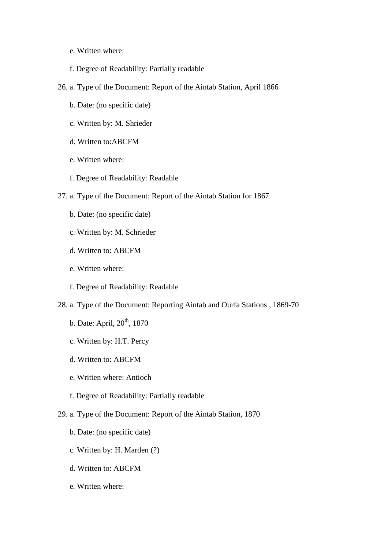- e. Written where:
- f. Degree of Readability: Partially readable
- 26. a. Type of the Document: Report of the Aintab Station, April 1866
	- b. Date: (no specific date)
	- c. Written by: M. Shrieder
	- d. Written to:ABCFM
	- e. Written where:
	- f. Degree of Readability: Readable
- 27. a. Type of the Document: Report of the Aintab Station for 1867
	- b. Date: (no specific date)
	- c. Written by: M. Schrieder
	- d. Written to: ABCFM
	- e. Written where:
	- f. Degree of Readability: Readable
- 28. a. Type of the Document: Reporting Aintab and Ourfa Stations , 1869-70
	- b. Date: April, 20<sup>th</sup>, 1870
	- c. Written by: H.T. Percy
	- d. Written to: ABCFM
	- e. Written where: Antioch
	- f. Degree of Readability: Partially readable
- 29. a. Type of the Document: Report of the Aintab Station, 1870
	- b. Date: (no specific date)
	- c. Written by: H. Marden (?)
	- d. Written to: ABCFM
	- e. Written where: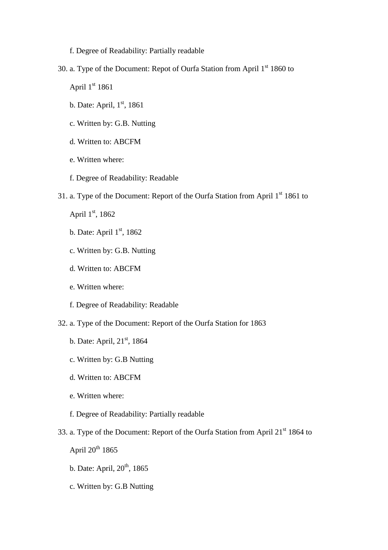f. Degree of Readability: Partially readable

- 30. a. Type of the Document: Repot of Ourfa Station from April  $1<sup>st</sup> 1860$  to April  $1<sup>st</sup> 1861$ 
	- b. Date: April,  $1<sup>st</sup>$ , 1861
	- c. Written by: G.B. Nutting
	- d. Written to: ABCFM
	- e. Written where:
	- f. Degree of Readability: Readable
- 31. a. Type of the Document: Report of the Ourfa Station from April  $1<sup>st</sup> 1861$  to

April  $1<sup>st</sup>$ , 1862

- b. Date: April  $1<sup>st</sup>$ , 1862
- c. Written by: G.B. Nutting
- d. Written to: ABCFM
- e. Written where:
- f. Degree of Readability: Readable
- 32. a. Type of the Document: Report of the Ourfa Station for 1863
	- b. Date: April, 21<sup>st</sup>, 1864
	- c. Written by: G.B Nutting
	- d. Written to: ABCFM
	- e. Written where:
	- f. Degree of Readability: Partially readable
- 33. a. Type of the Document: Report of the Ourfa Station from April 21<sup>st</sup> 1864 to

April  $20^{th}$  1865

- b. Date: April,  $20<sup>th</sup>$ , 1865
- c. Written by: G.B Nutting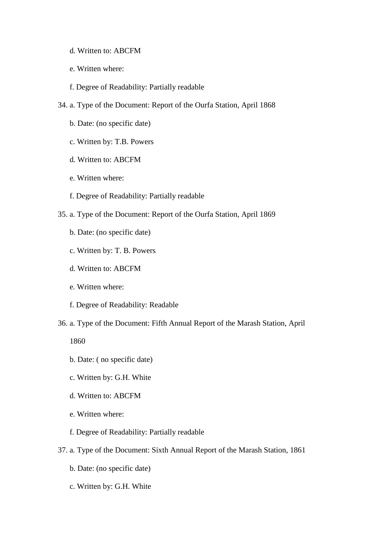- d. Written to: ABCFM
- e. Written where:
- f. Degree of Readability: Partially readable
- 34. a. Type of the Document: Report of the Ourfa Station, April 1868
	- b. Date: (no specific date)
	- c. Written by: T.B. Powers
	- d. Written to: ABCFM
	- e. Written where:
	- f. Degree of Readability: Partially readable
- 35. a. Type of the Document: Report of the Ourfa Station, April 1869
	- b. Date: (no specific date)
	- c. Written by: T. B. Powers
	- d. Written to: ABCFM
	- e. Written where:
	- f. Degree of Readability: Readable
- 36. a. Type of the Document: Fifth Annual Report of the Marash Station, April

1860

- b. Date: ( no specific date)
- c. Written by: G.H. White
- d. Written to: ABCFM
- e. Written where:
- f. Degree of Readability: Partially readable
- 37. a. Type of the Document: Sixth Annual Report of the Marash Station, 1861
	- b. Date: (no specific date)
	- c. Written by: G.H. White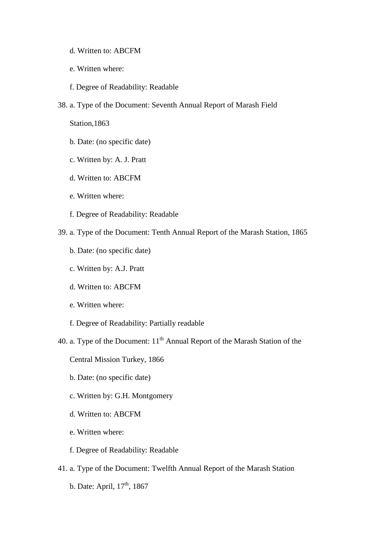- d. Written to: ABCFM
- e. Written where:
- f. Degree of Readability: Readable
- 38. a. Type of the Document: Seventh Annual Report of Marash Field

Station,1863

- b. Date: (no specific date)
- c. Written by: A. J. Pratt
- d. Written to: ABCFM
- e. Written where:
- f. Degree of Readability: Readable
- 39. a. Type of the Document: Tenth Annual Report of the Marash Station, 1865
	- b. Date: (no specific date)
	- c. Written by: A.J. Pratt
	- d. Written to: ABCFM
	- e. Written where:
	- f. Degree of Readability: Partially readable
- 40. a. Type of the Document:  $11<sup>th</sup>$  Annual Report of the Marash Station of the
	- Central Mission Turkey, 1866
	- b. Date: (no specific date)
	- c. Written by: G.H. Montgomery
	- d. Written to: ABCFM
	- e. Written where:
	- f. Degree of Readability: Readable
- 41. a. Type of the Document: Twelfth Annual Report of the Marash Station
	- b. Date: April,  $17<sup>th</sup>$ , 1867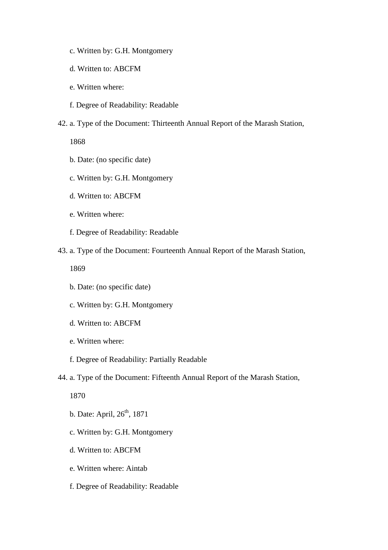- c. Written by: G.H. Montgomery
- d. Written to: ABCFM
- e. Written where:
- f. Degree of Readability: Readable
- 42. a. Type of the Document: Thirteenth Annual Report of the Marash Station,

1868

- b. Date: (no specific date)
- c. Written by: G.H. Montgomery
- d. Written to: ABCFM
- e. Written where:
- f. Degree of Readability: Readable
- 43. a. Type of the Document: Fourteenth Annual Report of the Marash Station,

1869

- b. Date: (no specific date)
- c. Written by: G.H. Montgomery
- d. Written to: ABCFM
- e. Written where:
- f. Degree of Readability: Partially Readable
- 44. a. Type of the Document: Fifteenth Annual Report of the Marash Station,

1870

- b. Date: April,  $26<sup>th</sup>$ , 1871
- c. Written by: G.H. Montgomery
- d. Written to: ABCFM
- e. Written where: Aintab
- f. Degree of Readability: Readable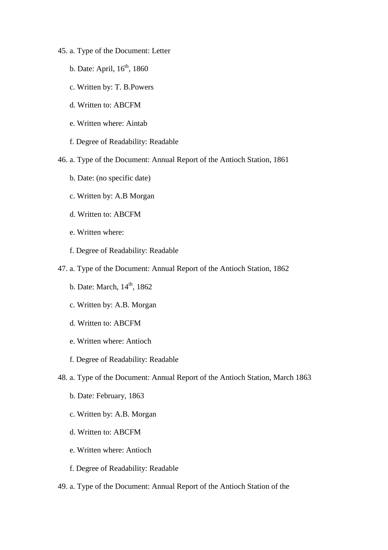- 45. a. Type of the Document: Letter
	- b. Date: April,  $16<sup>th</sup>$ , 1860
	- c. Written by: T. B.Powers
	- d. Written to: ABCFM
	- e. Written where: Aintab
	- f. Degree of Readability: Readable
- 46. a. Type of the Document: Annual Report of the Antioch Station, 1861
	- b. Date: (no specific date)
	- c. Written by: A.B Morgan
	- d. Written to: ABCFM
	- e. Written where:
	- f. Degree of Readability: Readable
- 47. a. Type of the Document: Annual Report of the Antioch Station, 1862
	- b. Date: March,  $14<sup>th</sup>$ , 1862
	- c. Written by: A.B. Morgan
	- d. Written to: ABCFM
	- e. Written where: Antioch
	- f. Degree of Readability: Readable
- 48. a. Type of the Document: Annual Report of the Antioch Station, March 1863
	- b. Date: February, 1863
	- c. Written by: A.B. Morgan
	- d. Written to: ABCFM
	- e. Written where: Antioch
	- f. Degree of Readability: Readable
- 49. a. Type of the Document: Annual Report of the Antioch Station of the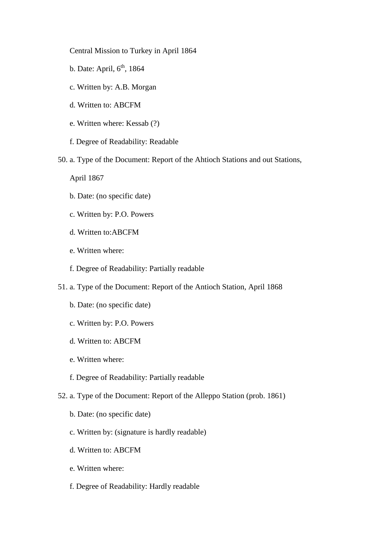Central Mission to Turkey in April 1864

- b. Date: April,  $6<sup>th</sup>$ , 1864
- c. Written by: A.B. Morgan
- d. Written to: ABCFM
- e. Written where: Kessab (?)
- f. Degree of Readability: Readable
- 50. a. Type of the Document: Report of the Ahtioch Stations and out Stations,

April 1867

- b. Date: (no specific date)
- c. Written by: P.O. Powers
- d. Written to:ABCFM
- e. Written where:
- f. Degree of Readability: Partially readable
- 51. a. Type of the Document: Report of the Antioch Station, April 1868
	- b. Date: (no specific date)
	- c. Written by: P.O. Powers
	- d. Written to: ABCFM
	- e. Written where:
	- f. Degree of Readability: Partially readable
- 52. a. Type of the Document: Report of the Alleppo Station (prob. 1861)
	- b. Date: (no specific date)
	- c. Written by: (signature is hardly readable)
	- d. Written to: ABCFM
	- e. Written where:
	- f. Degree of Readability: Hardly readable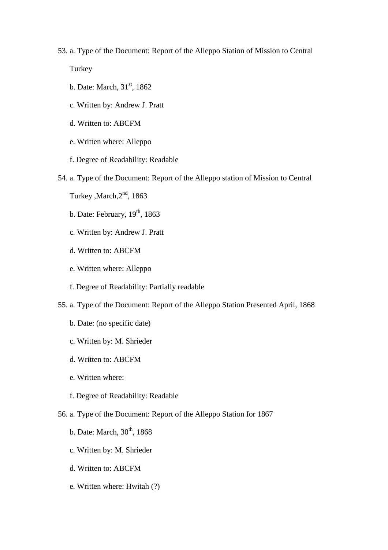#### 53. a. Type of the Document: Report of the Alleppo Station of Mission to Central

**Turkey** 

- b. Date: March,  $31<sup>st</sup>$ , 1862
- c. Written by: Andrew J. Pratt
- d. Written to: ABCFM
- e. Written where: Alleppo
- f. Degree of Readability: Readable
- 54. a. Type of the Document: Report of the Alleppo station of Mission to Central
	- Turkey, March, 2<sup>nd</sup>, 1863
	- b. Date: February,  $19<sup>th</sup>$ , 1863
	- c. Written by: Andrew J. Pratt
	- d. Written to: ABCFM
	- e. Written where: Alleppo
	- f. Degree of Readability: Partially readable
- 55. a. Type of the Document: Report of the Alleppo Station Presented April, 1868
	- b. Date: (no specific date)
	- c. Written by: M. Shrieder
	- d. Written to: ABCFM
	- e. Written where:
	- f. Degree of Readability: Readable
- 56. a. Type of the Document: Report of the Alleppo Station for 1867
	- b. Date: March,  $30<sup>th</sup>$ , 1868
	- c. Written by: M. Shrieder
	- d. Written to: ABCFM
	- e. Written where: Hwitah (?)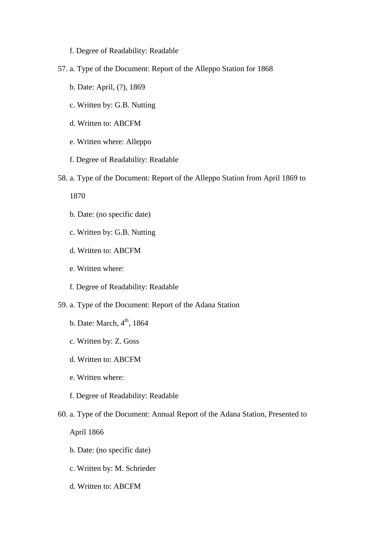- f. Degree of Readability: Readable
- 57. a. Type of the Document: Report of the Alleppo Station for 1868
	- b. Date: April, (?), 1869
	- c. Written by: G.B. Nutting
	- d. Written to: ABCFM
	- e. Written where: Alleppo
	- f. Degree of Readability: Readable
- 58. a. Type of the Document: Report of the Alleppo Station from April 1869 to
	- 1870
	- b. Date: (no specific date)
	- c. Written by: G.B. Nutting
	- d. Written to: ABCFM
	- e. Written where:
	- f. Degree of Readability: Readable
- 59. a. Type of the Document: Report of the Adana Station
	- b. Date: March,  $4<sup>th</sup>$ , 1864
	- c. Written by: Z. Goss
	- d. Written to: ABCFM
	- e. Written where:
	- f. Degree of Readability: Readable
- 60. a. Type of the Document: Annual Report of the Adana Station, Presented to

April 1866

- b. Date: (no specific date)
- c. Written by: M. Schrieder
- d. Written to: ABCFM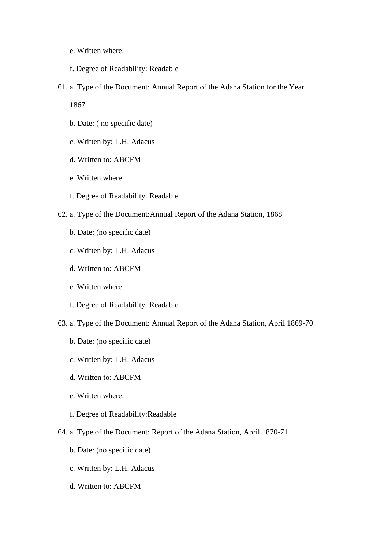- e. Written where:
- f. Degree of Readability: Readable
- 61. a. Type of the Document: Annual Report of the Adana Station for the Year

1867

- b. Date: ( no specific date)
- c. Written by: L.H. Adacus
- d. Written to: ABCFM
- e. Written where:
- f. Degree of Readability: Readable
- 62. a. Type of the Document:Annual Report of the Adana Station, 1868
	- b. Date: (no specific date)
	- c. Written by: L.H. Adacus
	- d. Written to: ABCFM
	- e. Written where:
	- f. Degree of Readability: Readable
- 63. a. Type of the Document: Annual Report of the Adana Station, April 1869-70
	- b. Date: (no specific date)
	- c. Written by: L.H. Adacus
	- d. Written to: ABCFM
	- e. Written where:
	- f. Degree of Readability:Readable
- 64. a. Type of the Document: Report of the Adana Station, April 1870-71
	- b. Date: (no specific date)
	- c. Written by: L.H. Adacus
	- d. Written to: ABCFM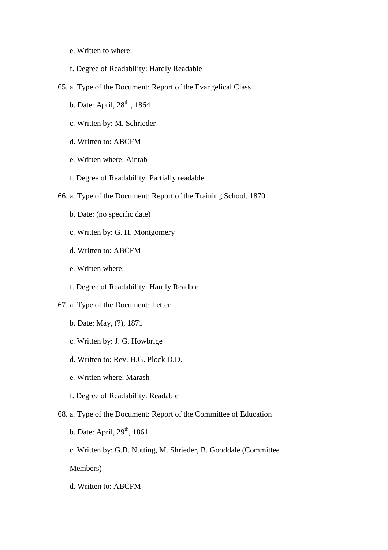- e. Written to where:
- f. Degree of Readability: Hardly Readable
- 65. a. Type of the Document: Report of the Evangelical Class
	- b. Date: April, 28<sup>th</sup>, 1864
	- c. Written by: M. Schrieder
	- d. Written to: ABCFM
	- e. Written where: Aintab
	- f. Degree of Readability: Partially readable
- 66. a. Type of the Document: Report of the Training School, 1870
	- b. Date: (no specific date)
	- c. Written by: G. H. Montgomery
	- d. Written to: ABCFM
	- e. Written where:
	- f. Degree of Readability: Hardly Readble
- 67. a. Type of the Document: Letter
	- b. Date: May, (?), 1871
	- c. Written by: J. G. Howbrige
	- d. Written to: Rev. H.G. Plock D.D.
	- e. Written where: Marash
	- f. Degree of Readability: Readable
- 68. a. Type of the Document: Report of the Committee of Education
	- b. Date: April,  $29<sup>th</sup>$ , 1861
	- c. Written by: G.B. Nutting, M. Shrieder, B. Gooddale (Committee
	- Members)
	- d. Written to: ABCFM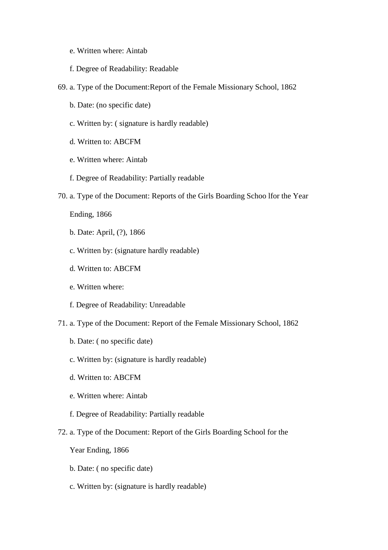- e. Written where: Aintab
- f. Degree of Readability: Readable
- 69. a. Type of the Document:Report of the Female Missionary School, 1862
	- b. Date: (no specific date)
	- c. Written by: ( signature is hardly readable)
	- d. Written to: ABCFM
	- e. Written where: Aintab
	- f. Degree of Readability: Partially readable
- 70. a. Type of the Document: Reports of the Girls Boarding Schoo lfor the Year

Ending, 1866

- b. Date: April, (?), 1866
- c. Written by: (signature hardly readable)
- d. Written to: ABCFM
- e. Written where:
- f. Degree of Readability: Unreadable
- 71. a. Type of the Document: Report of the Female Missionary School, 1862
	- b. Date: ( no specific date)
	- c. Written by: (signature is hardly readable)
	- d. Written to: ABCFM
	- e. Written where: Aintab
	- f. Degree of Readability: Partially readable
- 72. a. Type of the Document: Report of the Girls Boarding School for the

Year Ending, 1866

- b. Date: ( no specific date)
- c. Written by: (signature is hardly readable)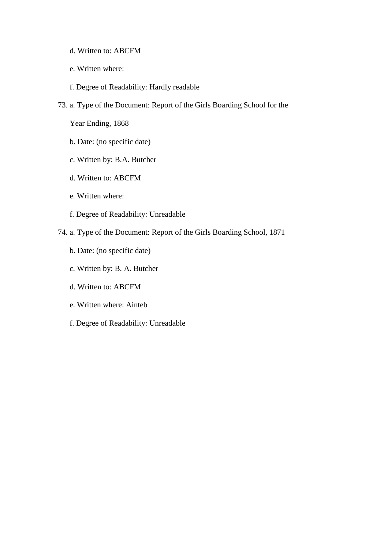- d. Written to: ABCFM
- e. Written where:
- f. Degree of Readability: Hardly readable
- 73. a. Type of the Document: Report of the Girls Boarding School for the

Year Ending, 1868

- b. Date: (no specific date)
- c. Written by: B.A. Butcher
- d. Written to: ABCFM
- e. Written where:
- f. Degree of Readability: Unreadable
- 74. a. Type of the Document: Report of the Girls Boarding School, 1871
	- b. Date: (no specific date)
	- c. Written by: B. A. Butcher
	- d. Written to: ABCFM
	- e. Written where: Ainteb
	- f. Degree of Readability: Unreadable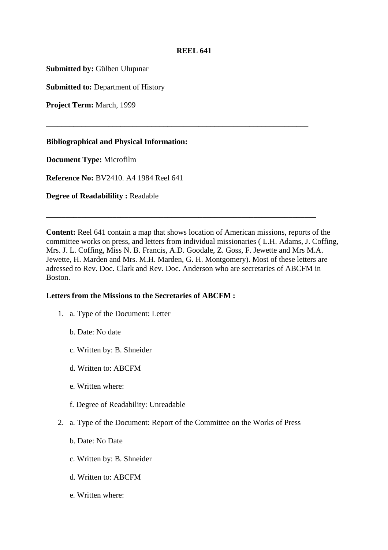# **REEL 641**

\_\_\_\_\_\_\_\_\_\_\_\_\_\_\_\_\_\_\_\_\_\_\_\_\_\_\_\_\_\_\_\_\_\_\_\_\_\_\_\_\_\_\_\_\_\_\_\_\_\_\_\_\_\_\_\_\_\_\_\_\_\_\_\_\_\_\_

**Submitted by:** Gülben Ulupınar

**Submitted to:** Department of History

**Project Term:** March, 1999

**Bibliographical and Physical Information:** 

**Document Type:** Microfilm

**Reference No:** BV2410. A4 1984 Reel 641

**Degree of Readabilility :** Readable

**Content:** Reel 641 contain a map that shows location of American missions, reports of the committee works on press, and letters from individual missionaries ( L.H. Adams, J. Coffing, Mrs. J. L. Coffing, Miss N. B. Francis, A.D. Goodale, Z. Goss, F. Jewette and Mrs M.A. Jewette, H. Marden and Mrs. M.H. Marden, G. H. Montgomery). Most of these letters are adressed to Rev. Doc. Clark and Rev. Doc. Anderson who are secretaries of ABCFM in Boston.

**\_\_\_\_\_\_\_\_\_\_\_\_\_\_\_\_\_\_\_\_\_\_\_\_\_\_\_\_\_\_\_\_\_\_\_\_\_\_\_\_\_\_\_\_\_\_\_\_\_\_\_\_\_\_\_\_\_\_\_\_\_\_\_\_\_\_\_\_\_** 

### **Letters from the Missions to the Secretaries of ABCFM :**

- 1. a. Type of the Document: Letter
	- b. Date: No date
	- c. Written by: B. Shneider
	- d. Written to: ABCFM
	- e. Written where:
	- f. Degree of Readability: Unreadable
- 2. a. Type of the Document: Report of the Committee on the Works of Press
	- b. Date: No Date
	- c. Written by: B. Shneider
	- d. Written to: ABCFM
	- e. Written where: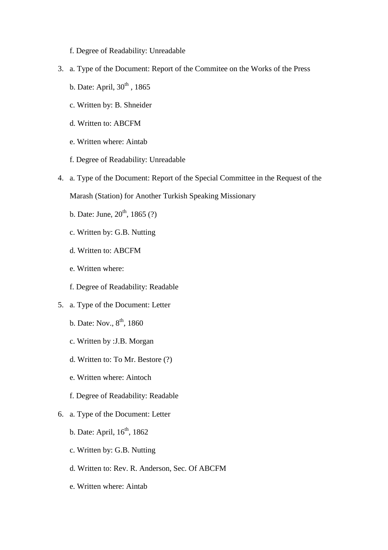f. Degree of Readability: Unreadable

- 3. a. Type of the Document: Report of the Commitee on the Works of the Press
	- b. Date: April,  $30<sup>th</sup>$ , 1865
	- c. Written by: B. Shneider
	- d. Written to: ABCFM
	- e. Written where: Aintab
	- f. Degree of Readability: Unreadable
- 4. a. Type of the Document: Report of the Special Committee in the Request of the

Marash (Station) for Another Turkish Speaking Missionary

- b. Date: June,  $20^{th}$ , 1865 (?)
- c. Written by: G.B. Nutting
- d. Written to: ABCFM
- e. Written where:
- f. Degree of Readability: Readable
- 5. a. Type of the Document: Letter
	- b. Date: Nov.,  $8^{\text{th}}$ , 1860
	- c. Written by :J.B. Morgan
	- d. Written to: To Mr. Bestore (?)
	- e. Written where: Aintoch
	- f. Degree of Readability: Readable
- 6. a. Type of the Document: Letter
	- b. Date: April,  $16<sup>th</sup>$ , 1862
	- c. Written by: G.B. Nutting
	- d. Written to: Rev. R. Anderson, Sec. Of ABCFM
	- e. Written where: Aintab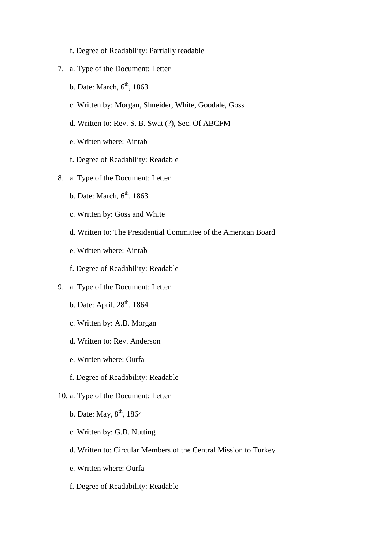- f. Degree of Readability: Partially readable
- 7. a. Type of the Document: Letter
	- b. Date: March,  $6<sup>th</sup>$ , 1863
	- c. Written by: Morgan, Shneider, White, Goodale, Goss
	- d. Written to: Rev. S. B. Swat (?), Sec. Of ABCFM
	- e. Written where: Aintab
	- f. Degree of Readability: Readable
- 8. a. Type of the Document: Letter
	- b. Date: March,  $6<sup>th</sup>$ , 1863
	- c. Written by: Goss and White
	- d. Written to: The Presidential Committee of the American Board
	- e. Written where: Aintab
	- f. Degree of Readability: Readable
- 9. a. Type of the Document: Letter
	- b. Date: April,  $28<sup>th</sup>$ , 1864
	- c. Written by: A.B. Morgan
	- d. Written to: Rev. Anderson
	- e. Written where: Ourfa
	- f. Degree of Readability: Readable
- 10. a. Type of the Document: Letter
	- b. Date: May,  $8^{th}$ , 1864
	- c. Written by: G.B. Nutting
	- d. Written to: Circular Members of the Central Mission to Turkey
	- e. Written where: Ourfa
	- f. Degree of Readability: Readable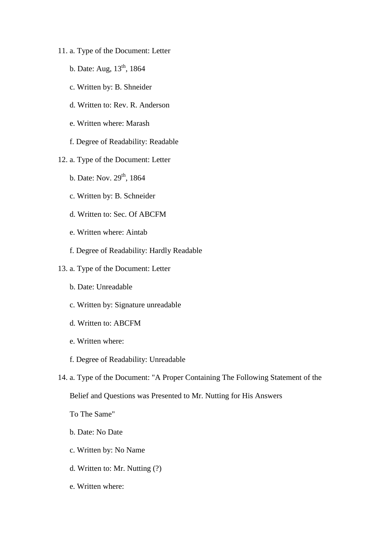- 11. a. Type of the Document: Letter
	- b. Date: Aug,  $13^{th}$ , 1864
	- c. Written by: B. Shneider
	- d. Written to: Rev. R. Anderson
	- e. Written where: Marash
	- f. Degree of Readability: Readable
- 12. a. Type of the Document: Letter
	- b. Date: Nov.  $29^{th}$ , 1864
	- c. Written by: B. Schneider
	- d. Written to: Sec. Of ABCFM
	- e. Written where: Aintab
	- f. Degree of Readability: Hardly Readable
- 13. a. Type of the Document: Letter
	- b. Date: Unreadable
	- c. Written by: Signature unreadable
	- d. Written to: ABCFM
	- e. Written where:
	- f. Degree of Readability: Unreadable
- 14. a. Type of the Document: "A Proper Containing The Following Statement of the Belief and Questions was Presented to Mr. Nutting for His Answers
	- To The Same"
	- b. Date: No Date
	- c. Written by: No Name
	- d. Written to: Mr. Nutting (?)
	- e. Written where: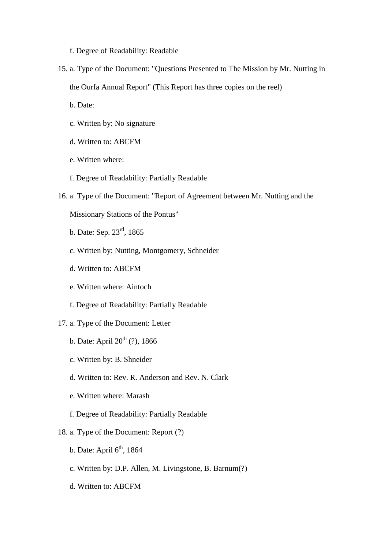f. Degree of Readability: Readable

15. a. Type of the Document: "Questions Presented to The Mission by Mr. Nutting in the Ourfa Annual Report" (This Report has three copies on the reel)

b. Date:

- c. Written by: No signature
- d. Written to: ABCFM
- e. Written where:
- f. Degree of Readability: Partially Readable
- 16. a. Type of the Document: "Report of Agreement between Mr. Nutting and the

Missionary Stations of the Pontus"

- b. Date: Sep. 23rd, 1865
- c. Written by: Nutting, Montgomery, Schneider
- d. Written to: ABCFM
- e. Written where: Aintoch
- f. Degree of Readability: Partially Readable
- 17. a. Type of the Document: Letter
	- b. Date: April  $20^{th}$  (?), 1866
	- c. Written by: B. Shneider
	- d. Written to: Rev. R. Anderson and Rev. N. Clark
	- e. Written where: Marash
	- f. Degree of Readability: Partially Readable
- 18. a. Type of the Document: Report (?)
	- b. Date: April  $6<sup>th</sup>$ , 1864
	- c. Written by: D.P. Allen, M. Livingstone, B. Barnum(?)
	- d. Written to: ABCFM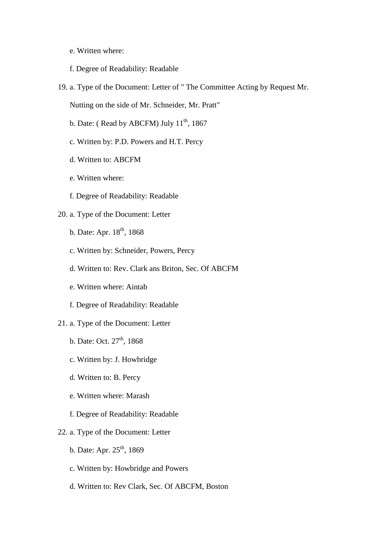- e. Written where:
- f. Degree of Readability: Readable
- 19. a. Type of the Document: Letter of " The Committee Acting by Request Mr.

Nutting on the side of Mr. Schneider, Mr. Pratt"

- b. Date: (Read by ABCFM) July  $11^{th}$ , 1867
- c. Written by: P.D. Powers and H.T. Percy
- d. Written to: ABCFM
- e. Written where:
- f. Degree of Readability: Readable

### 20. a. Type of the Document: Letter

- b. Date: Apr.  $18<sup>th</sup>$ , 1868
- c. Written by: Schneider, Powers, Percy
- d. Written to: Rev. Clark ans Briton, Sec. Of ABCFM
- e. Written where: Aintab
- f. Degree of Readability: Readable
- 21. a. Type of the Document: Letter
	- b. Date: Oct.  $27<sup>th</sup>$ , 1868
	- c. Written by: J. Howbridge
	- d. Written to: B. Percy
	- e. Written where: Marash
	- f. Degree of Readability: Readable
- 22. a. Type of the Document: Letter
	- b. Date: Apr.  $25^{th}$ , 1869
	- c. Written by: Howbridge and Powers
	- d. Written to: Rev Clark, Sec. Of ABCFM, Boston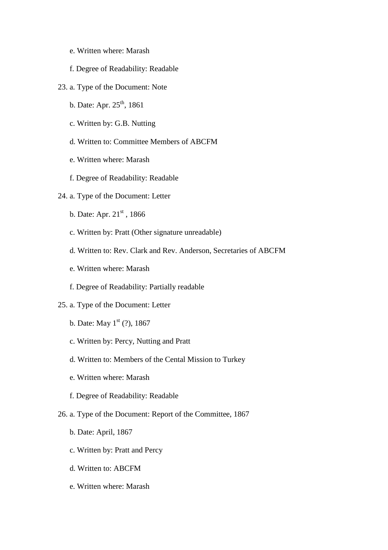- e. Written where: Marash
- f. Degree of Readability: Readable
- 23. a. Type of the Document: Note
	- b. Date: Apr.  $25^{th}$ , 1861
	- c. Written by: G.B. Nutting
	- d. Written to: Committee Members of ABCFM
	- e. Written where: Marash
	- f. Degree of Readability: Readable
- 24. a. Type of the Document: Letter
	- b. Date: Apr.  $21^{st}$ , 1866
	- c. Written by: Pratt (Other signature unreadable)
	- d. Written to: Rev. Clark and Rev. Anderson, Secretaries of ABCFM
	- e. Written where: Marash
	- f. Degree of Readability: Partially readable
- 25. a. Type of the Document: Letter
	- b. Date: May  $1^{st}$  (?), 1867
	- c. Written by: Percy, Nutting and Pratt
	- d. Written to: Members of the Cental Mission to Turkey
	- e. Written where: Marash
	- f. Degree of Readability: Readable
- 26. a. Type of the Document: Report of the Committee, 1867
	- b. Date: April, 1867
	- c. Written by: Pratt and Percy
	- d. Written to: ABCFM
	- e. Written where: Marash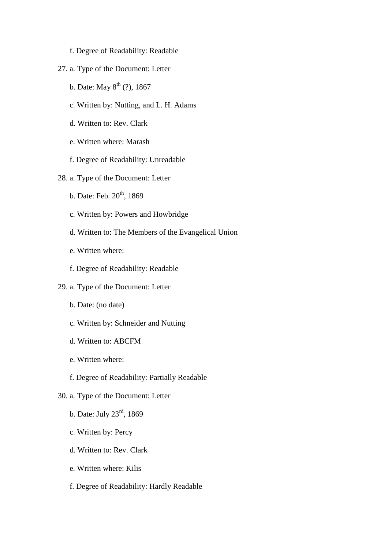- f. Degree of Readability: Readable
- 27. a. Type of the Document: Letter
	- b. Date: May  $8^{th}$  (?), 1867
	- c. Written by: Nutting, and L. H. Adams
	- d. Written to: Rev. Clark
	- e. Written where: Marash
	- f. Degree of Readability: Unreadable
- 28. a. Type of the Document: Letter
	- b. Date: Feb.  $20<sup>th</sup>$ , 1869
	- c. Written by: Powers and Howbridge
	- d. Written to: The Members of the Evangelical Union
	- e. Written where:
	- f. Degree of Readability: Readable
- 29. a. Type of the Document: Letter
	- b. Date: (no date)
	- c. Written by: Schneider and Nutting
	- d. Written to: ABCFM
	- e. Written where:
	- f. Degree of Readability: Partially Readable
- 30. a. Type of the Document: Letter
	- b. Date: July 23rd, 1869
	- c. Written by: Percy
	- d. Written to: Rev. Clark
	- e. Written where: Kilis
	- f. Degree of Readability: Hardly Readable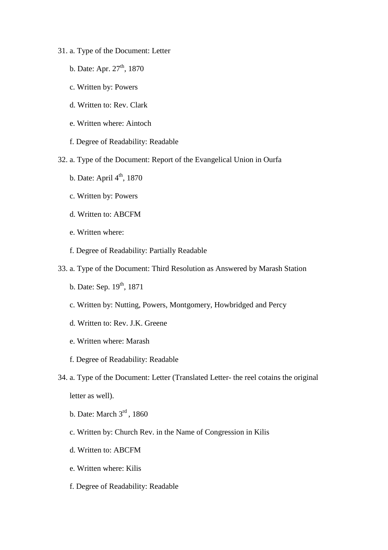- 31. a. Type of the Document: Letter
	- b. Date: Apr.  $27<sup>th</sup>$ , 1870
	- c. Written by: Powers
	- d. Written to: Rev. Clark
	- e. Written where: Aintoch
	- f. Degree of Readability: Readable
- 32. a. Type of the Document: Report of the Evangelical Union in Ourfa
	- b. Date: April  $4<sup>th</sup>$ , 1870
	- c. Written by: Powers
	- d. Written to: ABCFM
	- e. Written where:
	- f. Degree of Readability: Partially Readable
- 33. a. Type of the Document: Third Resolution as Answered by Marash Station
	- b. Date: Sep.  $19^{th}$ , 1871
	- c. Written by: Nutting, Powers, Montgomery, Howbridged and Percy
	- d. Written to: Rev. J.K. Greene
	- e. Written where: Marash
	- f. Degree of Readability: Readable
- 34. a. Type of the Document: Letter (Translated Letter- the reel cotains the original letter as well).
	- b. Date: March 3<sup>rd</sup>, 1860
	- c. Written by: Church Rev. in the Name of Congression in Kilis
	- d. Written to: ABCFM
	- e. Written where: Kilis
	- f. Degree of Readability: Readable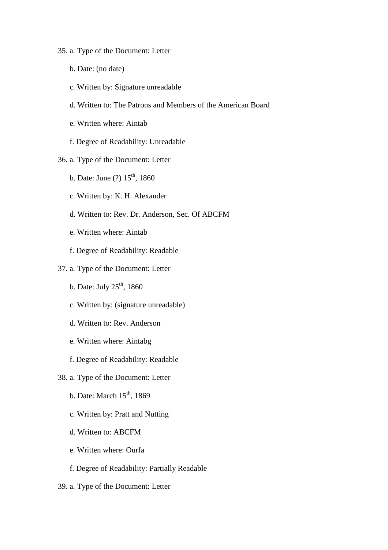# 35. a. Type of the Document: Letter

- b. Date: (no date)
- c. Written by: Signature unreadable
- d. Written to: The Patrons and Members of the American Board
- e. Written where: Aintab
- f. Degree of Readability: Unreadable
- 36. a. Type of the Document: Letter
	- b. Date: June  $(?) 15<sup>th</sup>$ , 1860
	- c. Written by: K. H. Alexander
	- d. Written to: Rev. Dr. Anderson, Sec. Of ABCFM
	- e. Written where: Aintab
	- f. Degree of Readability: Readable

# 37. a. Type of the Document: Letter

- b. Date: July  $25<sup>th</sup>$ , 1860
- c. Written by: (signature unreadable)
- d. Written to: Rev. Anderson
- e. Written where: Aintabg
- f. Degree of Readability: Readable
- 38. a. Type of the Document: Letter
	- b. Date: March  $15<sup>th</sup>$ , 1869
	- c. Written by: Pratt and Nutting
	- d. Written to: ABCFM
	- e. Written where: Ourfa
	- f. Degree of Readability: Partially Readable
- 39. a. Type of the Document: Letter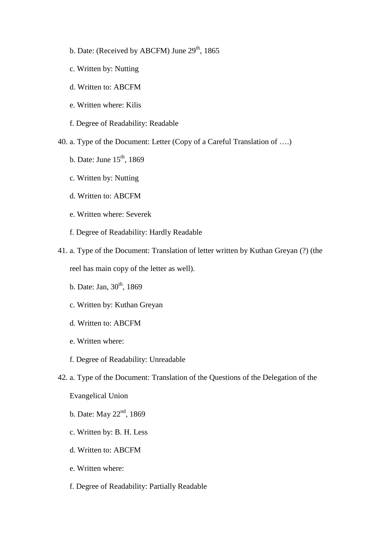- b. Date: (Received by ABCFM) June  $29<sup>th</sup>$ , 1865
- c. Written by: Nutting
- d. Written to: ABCFM
- e. Written where: Kilis

f. Degree of Readability: Readable

40. a. Type of the Document: Letter (Copy of a Careful Translation of ….)

- b. Date: June  $15<sup>th</sup>$ , 1869
- c. Written by: Nutting
- d. Written to: ABCFM
- e. Written where: Severek
- f. Degree of Readability: Hardly Readable
- 41. a. Type of the Document: Translation of letter written by Kuthan Greyan (?) (the reel has main copy of the letter as well).
	- b. Date: Jan,  $30^{th}$ , 1869
	- c. Written by: Kuthan Greyan
	- d. Written to: ABCFM
	- e. Written where:
	- f. Degree of Readability: Unreadable
- 42. a. Type of the Document: Translation of the Questions of the Delegation of the

Evangelical Union

- b. Date: May  $22<sup>nd</sup>$ , 1869
- c. Written by: B. H. Less
- d. Written to: ABCFM
- e. Written where:
- f. Degree of Readability: Partially Readable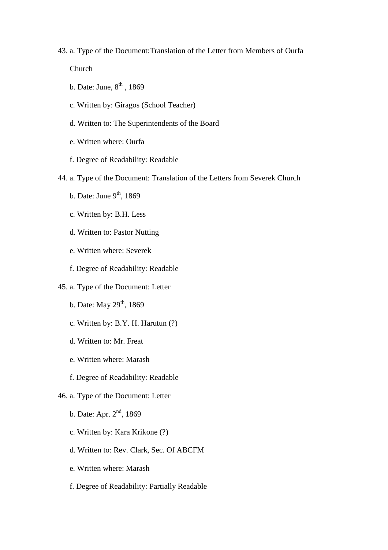#### 43. a. Type of the Document:Translation of the Letter from Members of Ourfa

Church

- b. Date: June,  $8<sup>th</sup>$ , 1869
- c. Written by: Giragos (School Teacher)
- d. Written to: The Superintendents of the Board
- e. Written where: Ourfa
- f. Degree of Readability: Readable
- 44. a. Type of the Document: Translation of the Letters from Severek Church
	- b. Date: June  $9<sup>th</sup>$ , 1869
	- c. Written by: B.H. Less
	- d. Written to: Pastor Nutting
	- e. Written where: Severek
	- f. Degree of Readability: Readable
- 45. a. Type of the Document: Letter
	- b. Date: May  $29<sup>th</sup>$ , 1869
	- c. Written by: B.Y. H. Harutun (?)
	- d. Written to: Mr. Freat
	- e. Written where: Marash
	- f. Degree of Readability: Readable
- 46. a. Type of the Document: Letter
	- b. Date: Apr. 2<sup>nd</sup>, 1869
	- c. Written by: Kara Krikone (?)
	- d. Written to: Rev. Clark, Sec. Of ABCFM
	- e. Written where: Marash
	- f. Degree of Readability: Partially Readable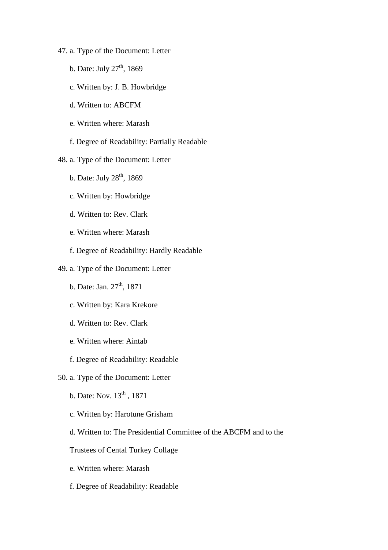- 47. a. Type of the Document: Letter
	- b. Date: July  $27<sup>th</sup>$ , 1869
	- c. Written by: J. B. Howbridge
	- d. Written to: ABCFM
	- e. Written where: Marash
	- f. Degree of Readability: Partially Readable
- 48. a. Type of the Document: Letter
	- b. Date: July  $28<sup>th</sup>$ , 1869
	- c. Written by: Howbridge
	- d. Written to: Rev. Clark
	- e. Written where: Marash
	- f. Degree of Readability: Hardly Readable
- 49. a. Type of the Document: Letter
	- b. Date: Jan. 27<sup>th</sup>, 1871
	- c. Written by: Kara Krekore
	- d. Written to: Rev. Clark
	- e. Written where: Aintab
	- f. Degree of Readability: Readable
- 50. a. Type of the Document: Letter
	- b. Date: Nov.  $13<sup>th</sup>$ , 1871
	- c. Written by: Harotune Grisham
	- d. Written to: The Presidential Committee of the ABCFM and to the

# Trustees of Cental Turkey Collage

- e. Written where: Marash
- f. Degree of Readability: Readable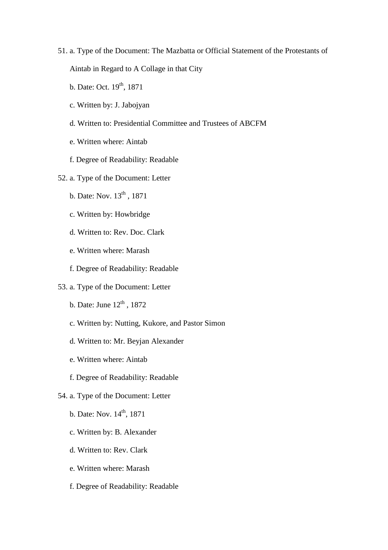- 51. a. Type of the Document: The Mazbatta or Official Statement of the Protestants of Aintab in Regard to A Collage in that City
	- b. Date: Oct.  $19^{th}$ ,  $1871$
	- c. Written by: J. Jabojyan
	- d. Written to: Presidential Committee and Trustees of ABCFM
	- e. Written where: Aintab
	- f. Degree of Readability: Readable
- 52. a. Type of the Document: Letter
	- b. Date: Nov. 13<sup>th</sup>, 1871
	- c. Written by: Howbridge
	- d. Written to: Rev. Doc. Clark
	- e. Written where: Marash
	- f. Degree of Readability: Readable
- 53. a. Type of the Document: Letter
	- b. Date: June  $12^{th}$ , 1872
	- c. Written by: Nutting, Kukore, and Pastor Simon
	- d. Written to: Mr. Beyjan Alexander
	- e. Written where: Aintab
	- f. Degree of Readability: Readable
- 54. a. Type of the Document: Letter
	- b. Date: Nov.  $14^{th}$ , 1871
	- c. Written by: B. Alexander
	- d. Written to: Rev. Clark
	- e. Written where: Marash
	- f. Degree of Readability: Readable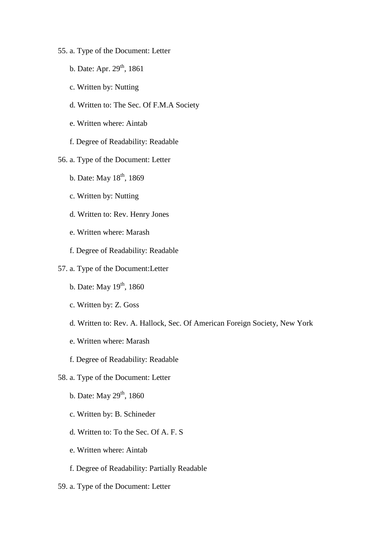- 55. a. Type of the Document: Letter
	- b. Date: Apr. 29<sup>th</sup>, 1861
	- c. Written by: Nutting
	- d. Written to: The Sec. Of F.M.A Society
	- e. Written where: Aintab
	- f. Degree of Readability: Readable
- 56. a. Type of the Document: Letter
	- b. Date: May  $18^{th}$ , 1869
	- c. Written by: Nutting
	- d. Written to: Rev. Henry Jones
	- e. Written where: Marash
	- f. Degree of Readability: Readable
- 57. a. Type of the Document:Letter
	- b. Date: May  $19<sup>th</sup>$ , 1860
	- c. Written by: Z. Goss
	- d. Written to: Rev. A. Hallock, Sec. Of American Foreign Society, New York
	- e. Written where: Marash
	- f. Degree of Readability: Readable
- 58. a. Type of the Document: Letter
	- b. Date: May  $29^{th}$ , 1860
	- c. Written by: B. Schineder
	- d. Written to: To the Sec. Of A. F. S
	- e. Written where: Aintab
	- f. Degree of Readability: Partially Readable
- 59. a. Type of the Document: Letter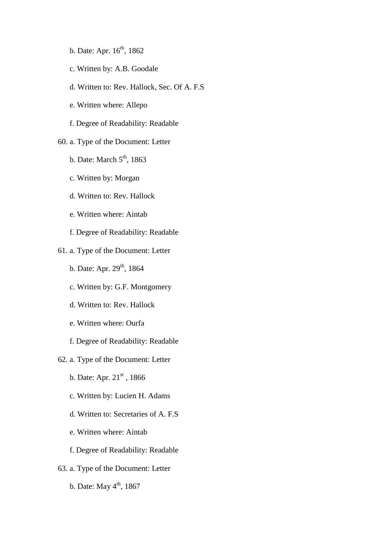- b. Date: Apr.  $16^{th}$ , 1862
- c. Written by: A.B. Goodale
- d. Written to: Rev. Hallock, Sec. Of A. F.S
- e. Written where: Allepo
- f. Degree of Readability: Readable

### 60. a. Type of the Document: Letter

- b. Date: March  $5<sup>th</sup>$ , 1863
- c. Written by: Morgan
- d. Written to: Rev. Hallock
- e. Written where: Aintab
- f. Degree of Readability: Readable
- 61. a. Type of the Document: Letter
	- b. Date: Apr.  $29^{th}$ , 1864
	- c. Written by: G.F. Montgomery
	- d. Written to: Rev. Hallock
	- e. Written where: Ourfa
	- f. Degree of Readability: Readable
- 62. a. Type of the Document: Letter
	- b. Date: Apr.  $21^{st}$ , 1866
	- c. Written by: Lucien H. Adams
	- d. Written to: Secretaries of A. F.S
	- e. Written where: Aintab
	- f. Degree of Readability: Readable
- 63. a. Type of the Document: Letter
	- b. Date: May  $4<sup>th</sup>$ , 1867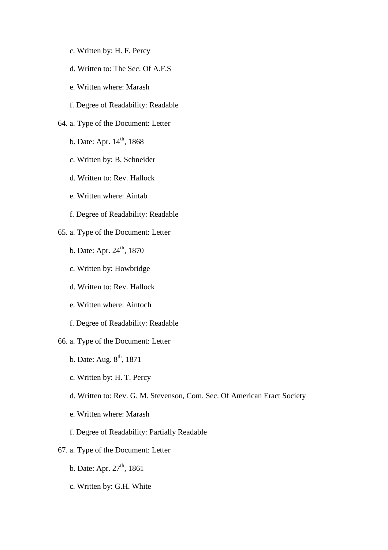- c. Written by: H. F. Percy
- d. Written to: The Sec. Of A.F.S
- e. Written where: Marash
- f. Degree of Readability: Readable
- 64. a. Type of the Document: Letter
	- b. Date: Apr.  $14^{th}$ , 1868
	- c. Written by: B. Schneider
	- d. Written to: Rev. Hallock
	- e. Written where: Aintab
	- f. Degree of Readability: Readable
- 65. a. Type of the Document: Letter
	- b. Date: Apr.  $24^{\text{th}}$ , 1870
	- c. Written by: Howbridge
	- d. Written to: Rev. Hallock
	- e. Written where: Aintoch
	- f. Degree of Readability: Readable
- 66. a. Type of the Document: Letter
	- b. Date: Aug.  $8^{\text{th}}$ , 1871
	- c. Written by: H. T. Percy
	- d. Written to: Rev. G. M. Stevenson, Com. Sec. Of American Eract Society
	- e. Written where: Marash
	- f. Degree of Readability: Partially Readable
- 67. a. Type of the Document: Letter
	- b. Date: Apr.  $27<sup>th</sup>$ , 1861
	- c. Written by: G.H. White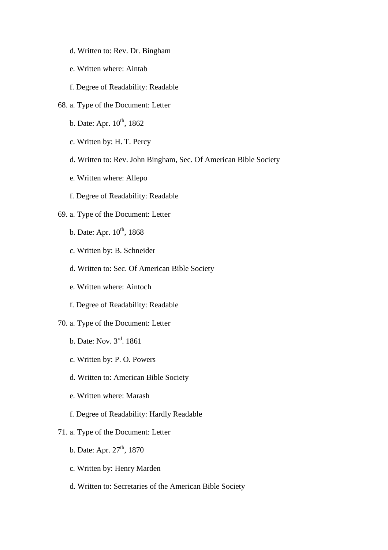- d. Written to: Rev. Dr. Bingham
- e. Written where: Aintab
- f. Degree of Readability: Readable
- 68. a. Type of the Document: Letter
	- b. Date: Apr.  $10^{th}$ , 1862
	- c. Written by: H. T. Percy
	- d. Written to: Rev. John Bingham, Sec. Of American Bible Society
	- e. Written where: Allepo
	- f. Degree of Readability: Readable

# 69. a. Type of the Document: Letter

- b. Date: Apr.  $10^{th}$ , 1868
- c. Written by: B. Schneider
- d. Written to: Sec. Of American Bible Society
- e. Written where: Aintoch
- f. Degree of Readability: Readable
- 70. a. Type of the Document: Letter
	- b. Date: Nov. 3rd. 1861
	- c. Written by: P. O. Powers
	- d. Written to: American Bible Society
	- e. Written where: Marash
	- f. Degree of Readability: Hardly Readable

# 71. a. Type of the Document: Letter

- b. Date: Apr.  $27<sup>th</sup>$ , 1870
- c. Written by: Henry Marden
- d. Written to: Secretaries of the American Bible Society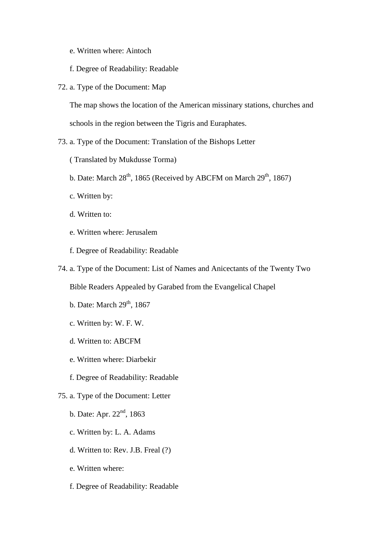- e. Written where: Aintoch
- f. Degree of Readability: Readable
- 72. a. Type of the Document: Map

The map shows the location of the American missinary stations, churches and schools in the region between the Tigris and Euraphates.

- 73. a. Type of the Document: Translation of the Bishops Letter
	- ( Translated by Mukdusse Torma)
	- b. Date: March  $28<sup>th</sup>$ , 1865 (Received by ABCFM on March  $29<sup>th</sup>$ , 1867)
	- c. Written by:
	- d. Written to:
	- e. Written where: Jerusalem
	- f. Degree of Readability: Readable
- 74. a. Type of the Document: List of Names and Anicectants of the Twenty Two

Bible Readers Appealed by Garabed from the Evangelical Chapel

- b. Date: March  $29<sup>th</sup>$ , 1867
- c. Written by: W. F. W.
- d. Written to: ABCFM
- e. Written where: Diarbekir
- f. Degree of Readability: Readable
- 75. a. Type of the Document: Letter
	- b. Date: Apr.  $22<sup>nd</sup>$ , 1863
	- c. Written by: L. A. Adams
	- d. Written to: Rev. J.B. Freal (?)
	- e. Written where:
	- f. Degree of Readability: Readable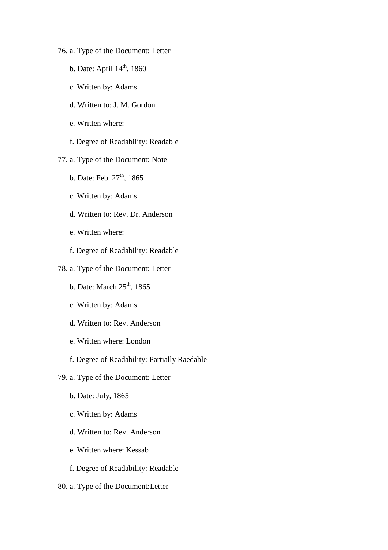- 76. a. Type of the Document: Letter
	- b. Date: April  $14<sup>th</sup>$ , 1860
	- c. Written by: Adams
	- d. Written to: J. M. Gordon
	- e. Written where:
	- f. Degree of Readability: Readable
- 77. a. Type of the Document: Note
	- b. Date: Feb.  $27<sup>th</sup>$ , 1865
	- c. Written by: Adams
	- d. Written to: Rev. Dr. Anderson
	- e. Written where:
	- f. Degree of Readability: Readable
- 78. a. Type of the Document: Letter
	- b. Date: March  $25<sup>th</sup>$ , 1865
	- c. Written by: Adams
	- d. Written to: Rev. Anderson
	- e. Written where: London
	- f. Degree of Readability: Partially Raedable
- 79. a. Type of the Document: Letter
	- b. Date: July, 1865
	- c. Written by: Adams
	- d. Written to: Rev. Anderson
	- e. Written where: Kessab
	- f. Degree of Readability: Readable
- 80. a. Type of the Document:Letter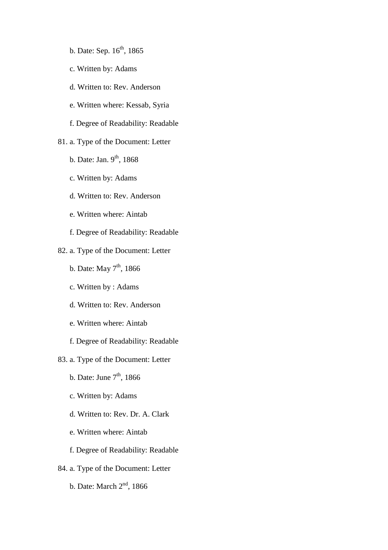- b. Date: Sep.  $16^{th}$ , 1865
- c. Written by: Adams
- d. Written to: Rev. Anderson
- e. Written where: Kessab, Syria
- f. Degree of Readability: Readable
- 81. a. Type of the Document: Letter
	- b. Date: Jan.  $9<sup>th</sup>$ , 1868
	- c. Written by: Adams
	- d. Written to: Rev. Anderson
	- e. Written where: Aintab
	- f. Degree of Readability: Readable
- 82. a. Type of the Document: Letter
	- b. Date: May  $7<sup>th</sup>$ , 1866
	- c. Written by : Adams
	- d. Written to: Rev. Anderson
	- e. Written where: Aintab
	- f. Degree of Readability: Readable
- 83. a. Type of the Document: Letter
	- b. Date: June  $7<sup>th</sup>$ , 1866
	- c. Written by: Adams
	- d. Written to: Rev. Dr. A. Clark
	- e. Written where: Aintab
	- f. Degree of Readability: Readable
- 84. a. Type of the Document: Letter
	- b. Date: March 2nd, 1866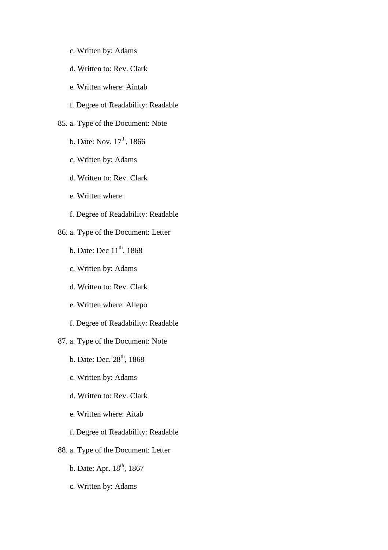- c. Written by: Adams
- d. Written to: Rev. Clark
- e. Written where: Aintab
- f. Degree of Readability: Readable
- 85. a. Type of the Document: Note
	- b. Date: Nov.  $17^{th}$ , 1866
	- c. Written by: Adams
	- d. Written to: Rev. Clark
	- e. Written where:
	- f. Degree of Readability: Readable
- 86. a. Type of the Document: Letter
	- b. Date: Dec  $11^{th}$ , 1868
	- c. Written by: Adams
	- d. Written to: Rev. Clark
	- e. Written where: Allepo
	- f. Degree of Readability: Readable
- 87. a. Type of the Document: Note
	- b. Date: Dec.  $28^{th}$ , 1868
	- c. Written by: Adams
	- d. Written to: Rev. Clark
	- e. Written where: Aitab
	- f. Degree of Readability: Readable
- 88. a. Type of the Document: Letter
	- b. Date: Apr.  $18^{th}$ ,  $1867$
	- c. Written by: Adams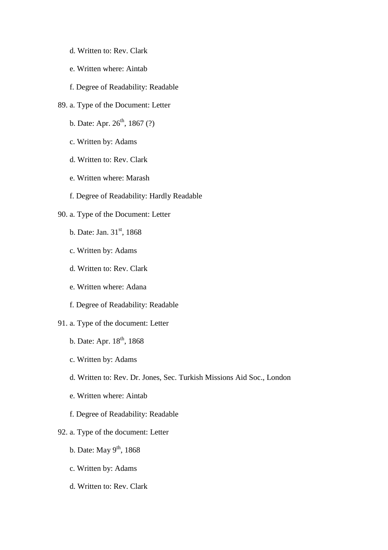- d. Written to: Rev. Clark
- e. Written where: Aintab
- f. Degree of Readability: Readable
- 89. a. Type of the Document: Letter
	- b. Date: Apr.  $26^{th}$ , 1867 (?)
	- c. Written by: Adams
	- d. Written to: Rev. Clark
	- e. Written where: Marash
	- f. Degree of Readability: Hardly Readable

# 90. a. Type of the Document: Letter

- b. Date: Jan.  $31<sup>st</sup>$ , 1868
- c. Written by: Adams
- d. Written to: Rev. Clark
- e. Written where: Adana
- f. Degree of Readability: Readable
- 91. a. Type of the document: Letter
	- b. Date: Apr. 18<sup>th</sup>, 1868
	- c. Written by: Adams
	- d. Written to: Rev. Dr. Jones, Sec. Turkish Missions Aid Soc., London
	- e. Written where: Aintab
	- f. Degree of Readability: Readable
- 92. a. Type of the document: Letter
	- b. Date: May  $9<sup>th</sup>$ , 1868
	- c. Written by: Adams
	- d. Written to: Rev. Clark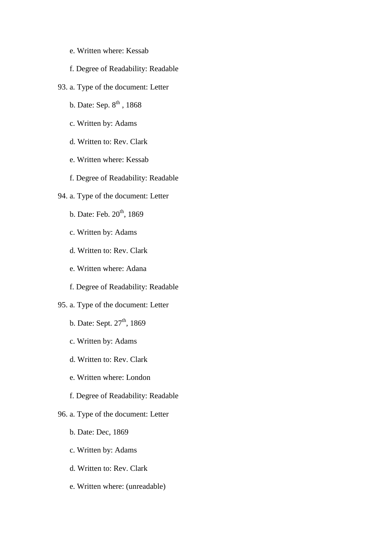- e. Written where: Kessab
- f. Degree of Readability: Readable
- 93. a. Type of the document: Letter
	- b. Date: Sep.  $8^{th}$ , 1868
	- c. Written by: Adams
	- d. Written to: Rev. Clark
	- e. Written where: Kessab
	- f. Degree of Readability: Readable
- 94. a. Type of the document: Letter
	- b. Date: Feb.  $20<sup>th</sup>$ , 1869
	- c. Written by: Adams
	- d. Written to: Rev. Clark
	- e. Written where: Adana
	- f. Degree of Readability: Readable

# 95. a. Type of the document: Letter

- b. Date: Sept.  $27<sup>th</sup>$ , 1869
- c. Written by: Adams
- d. Written to: Rev. Clark
- e. Written where: London
- f. Degree of Readability: Readable
- 96. a. Type of the document: Letter
	- b. Date: Dec, 1869
	- c. Written by: Adams
	- d. Written to: Rev. Clark
	- e. Written where: (unreadable)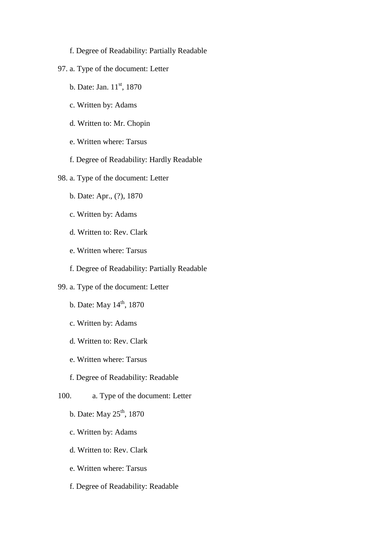- f. Degree of Readability: Partially Readable
- 97. a. Type of the document: Letter
	- b. Date: Jan.  $11^{st}$ , 1870
	- c. Written by: Adams
	- d. Written to: Mr. Chopin
	- e. Written where: Tarsus
	- f. Degree of Readability: Hardly Readable
- 98. a. Type of the document: Letter
	- b. Date: Apr., (?), 1870
	- c. Written by: Adams
	- d. Written to: Rev. Clark
	- e. Written where: Tarsus
	- f. Degree of Readability: Partially Readable
- 99. a. Type of the document: Letter
	- b. Date: May  $14^{th}$ , 1870
	- c. Written by: Adams
	- d. Written to: Rev. Clark
	- e. Written where: Tarsus
	- f. Degree of Readability: Readable
- 100. a. Type of the document: Letter
	- b. Date: May  $25^{th}$ , 1870
	- c. Written by: Adams
	- d. Written to: Rev. Clark
	- e. Written where: Tarsus
	- f. Degree of Readability: Readable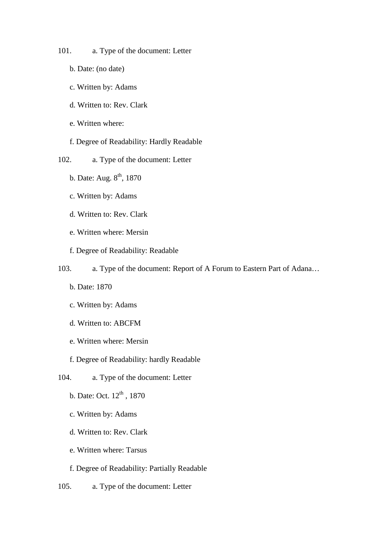101. a. Type of the document: Letter

- b. Date: (no date)
- c. Written by: Adams
- d. Written to: Rev. Clark
- e. Written where:
- f. Degree of Readability: Hardly Readable
- 102. a. Type of the document: Letter
	- b. Date: Aug.  $8<sup>th</sup>$ , 1870
	- c. Written by: Adams
	- d. Written to: Rev. Clark
	- e. Written where: Mersin
	- f. Degree of Readability: Readable
- 103. a. Type of the document: Report of A Forum to Eastern Part of Adana…
	- b. Date: 1870
	- c. Written by: Adams
	- d. Written to: ABCFM
	- e. Written where: Mersin
	- f. Degree of Readability: hardly Readable
- 104. a. Type of the document: Letter
	- b. Date: Oct.  $12^{th}$ ,  $1870$
	- c. Written by: Adams
	- d. Written to: Rev. Clark
	- e. Written where: Tarsus
	- f. Degree of Readability: Partially Readable
- 105. a. Type of the document: Letter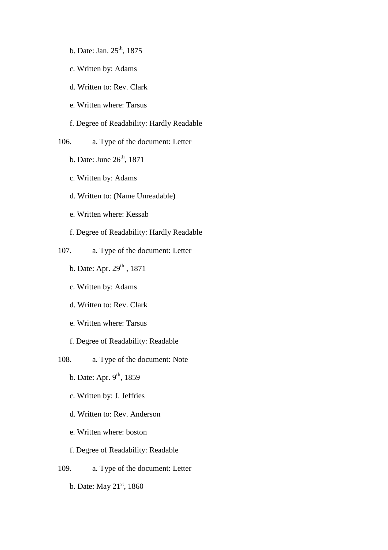- b. Date: Jan.  $25^{\text{th}}$ , 1875
- c. Written by: Adams
- d. Written to: Rev. Clark
- e. Written where: Tarsus

f. Degree of Readability: Hardly Readable

106. a. Type of the document: Letter

- b. Date: June  $26<sup>th</sup>$ , 1871
- c. Written by: Adams
- d. Written to: (Name Unreadable)
- e. Written where: Kessab
- f. Degree of Readability: Hardly Readable
- 107. a. Type of the document: Letter
	- b. Date: Apr. 29<sup>th</sup>, 1871
	- c. Written by: Adams
	- d. Written to: Rev. Clark
	- e. Written where: Tarsus
	- f. Degree of Readability: Readable
- 108. a. Type of the document: Note
	- b. Date: Apr.  $9<sup>th</sup>$ , 1859
	- c. Written by: J. Jeffries
	- d. Written to: Rev. Anderson
	- e. Written where: boston
	- f. Degree of Readability: Readable
- 109. a. Type of the document: Letter
	- b. Date: May 21<sup>st</sup>, 1860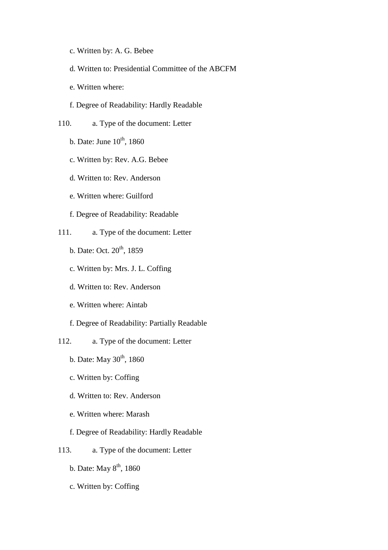- c. Written by: A. G. Bebee
- d. Written to: Presidential Committee of the ABCFM
- e. Written where:
- f. Degree of Readability: Hardly Readable
- 110. a. Type of the document: Letter
	- b. Date: June  $10^{th}$ , 1860
	- c. Written by: Rev. A.G. Bebee
	- d. Written to: Rev. Anderson
	- e. Written where: Guilford
	- f. Degree of Readability: Readable
- 111. a. Type of the document: Letter
	- b. Date: Oct. 20<sup>th</sup>, 1859
	- c. Written by: Mrs. J. L. Coffing
	- d. Written to: Rev. Anderson
	- e. Written where: Aintab
	- f. Degree of Readability: Partially Readable
- 112. a. Type of the document: Letter
	- b. Date: May  $30^{th}$ , 1860
	- c. Written by: Coffing
	- d. Written to: Rev. Anderson
	- e. Written where: Marash
	- f. Degree of Readability: Hardly Readable
- 113. a. Type of the document: Letter
	- b. Date: May  $8<sup>th</sup>$ , 1860
	- c. Written by: Coffing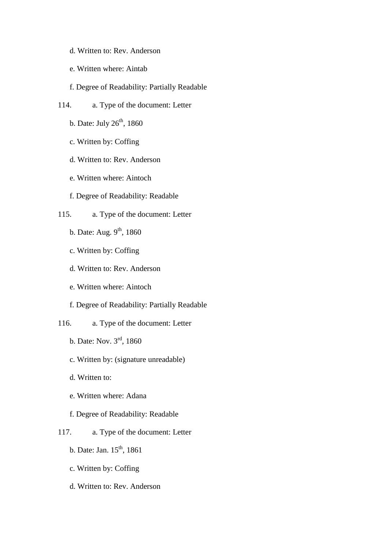- d. Written to: Rev. Anderson
- e. Written where: Aintab
- f. Degree of Readability: Partially Readable
- 114. a. Type of the document: Letter
	- b. Date: July  $26<sup>th</sup>$ , 1860
	- c. Written by: Coffing
	- d. Written to: Rev. Anderson
	- e. Written where: Aintoch
	- f. Degree of Readability: Readable
- 115. a. Type of the document: Letter
	- b. Date: Aug.  $9<sup>th</sup>$ , 1860
	- c. Written by: Coffing
	- d. Written to: Rev. Anderson
	- e. Written where: Aintoch
	- f. Degree of Readability: Partially Readable
- 116. a. Type of the document: Letter
	- b. Date: Nov. 3rd, 1860
	- c. Written by: (signature unreadable)
	- d. Written to:
	- e. Written where: Adana
	- f. Degree of Readability: Readable
- 117. a. Type of the document: Letter
	- b. Date: Jan.  $15^{th}$ , 1861
	- c. Written by: Coffing
	- d. Written to: Rev. Anderson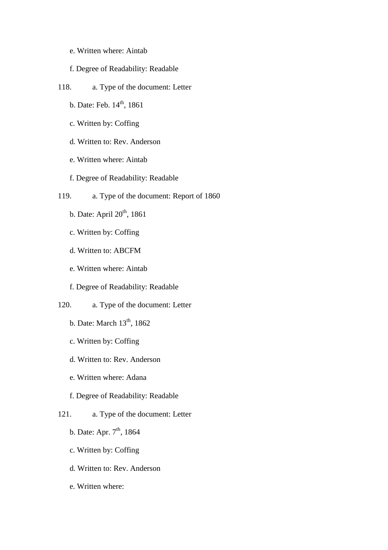- e. Written where: Aintab
- f. Degree of Readability: Readable
- 118. a. Type of the document: Letter
	- b. Date: Feb.  $14^{th}$ , 1861
	- c. Written by: Coffing
	- d. Written to: Rev. Anderson
	- e. Written where: Aintab
	- f. Degree of Readability: Readable
- 119. a. Type of the document: Report of 1860
	- b. Date: April 20<sup>th</sup>, 1861
	- c. Written by: Coffing
	- d. Written to: ABCFM
	- e. Written where: Aintab
	- f. Degree of Readability: Readable
- 120. a. Type of the document: Letter
	- b. Date: March 13<sup>th</sup>, 1862
	- c. Written by: Coffing
	- d. Written to: Rev. Anderson
	- e. Written where: Adana
	- f. Degree of Readability: Readable
- 121. a. Type of the document: Letter
	- b. Date: Apr.  $7^{th}$ , 1864
	- c. Written by: Coffing
	- d. Written to: Rev. Anderson
	- e. Written where: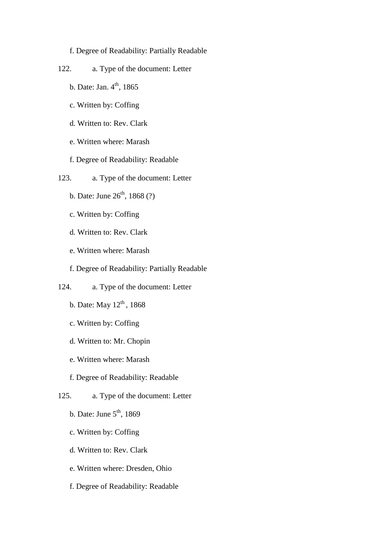f. Degree of Readability: Partially Readable

- 122. a. Type of the document: Letter
	- b. Date: Jan.  $4^{th}$ , 1865
	- c. Written by: Coffing
	- d. Written to: Rev. Clark
	- e. Written where: Marash
	- f. Degree of Readability: Readable
- 123. a. Type of the document: Letter
	- b. Date: June  $26^{th}$ , 1868 (?)
	- c. Written by: Coffing
	- d. Written to: Rev. Clark
	- e. Written where: Marash
	- f. Degree of Readability: Partially Readable
- 124. a. Type of the document: Letter
	- b. Date: May  $12^{th}$ , 1868
	- c. Written by: Coffing
	- d. Written to: Mr. Chopin
	- e. Written where: Marash
	- f. Degree of Readability: Readable
- 125. a. Type of the document: Letter
	- b. Date: June  $5<sup>th</sup>$ , 1869
	- c. Written by: Coffing
	- d. Written to: Rev. Clark
	- e. Written where: Dresden, Ohio
	- f. Degree of Readability: Readable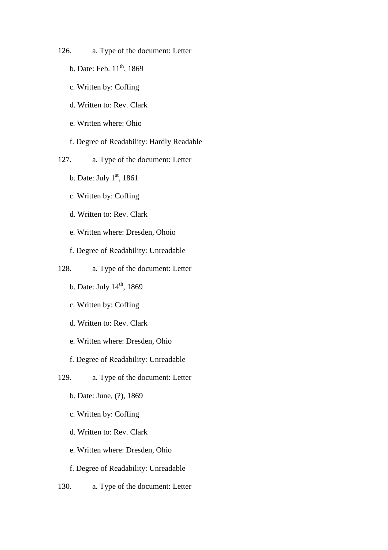- 126. a. Type of the document: Letter
	- b. Date: Feb.  $11^{th}$ , 1869
	- c. Written by: Coffing
	- d. Written to: Rev. Clark
	- e. Written where: Ohio
	- f. Degree of Readability: Hardly Readable
- 127. a. Type of the document: Letter
	- b. Date: July  $1<sup>st</sup>$ , 1861
	- c. Written by: Coffing
	- d. Written to: Rev. Clark
	- e. Written where: Dresden, Ohoio
	- f. Degree of Readability: Unreadable
- 128. a. Type of the document: Letter
	- b. Date: July  $14<sup>th</sup>$ , 1869
	- c. Written by: Coffing
	- d. Written to: Rev. Clark
	- e. Written where: Dresden, Ohio
	- f. Degree of Readability: Unreadable
- 129. a. Type of the document: Letter
	- b. Date: June, (?), 1869
	- c. Written by: Coffing
	- d. Written to: Rev. Clark
	- e. Written where: Dresden, Ohio
	- f. Degree of Readability: Unreadable
- 130. a. Type of the document: Letter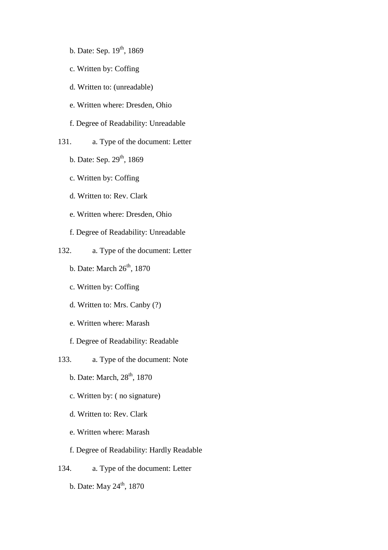- b. Date: Sep. 19<sup>th</sup>, 1869
- c. Written by: Coffing
- d. Written to: (unreadable)
- e. Written where: Dresden, Ohio
- f. Degree of Readability: Unreadable
- 131. a. Type of the document: Letter
	- b. Date: Sep. 29<sup>th</sup>, 1869
	- c. Written by: Coffing
	- d. Written to: Rev. Clark
	- e. Written where: Dresden, Ohio
	- f. Degree of Readability: Unreadable
- 132. a. Type of the document: Letter
	- b. Date: March  $26<sup>th</sup>$ , 1870
	- c. Written by: Coffing
	- d. Written to: Mrs. Canby (?)
	- e. Written where: Marash
	- f. Degree of Readability: Readable
- 133. a. Type of the document: Note
	- b. Date: March,  $28<sup>th</sup>$ , 1870
	- c. Written by: ( no signature)
	- d. Written to: Rev. Clark
	- e. Written where: Marash
	- f. Degree of Readability: Hardly Readable
- 134. a. Type of the document: Letter
	- b. Date: May 24<sup>th</sup>, 1870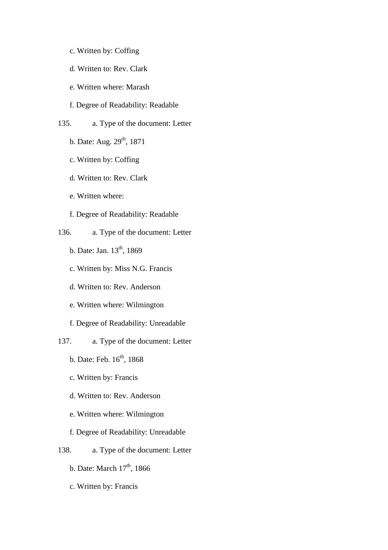- c. Written by: Coffing
- d. Written to: Rev. Clark
- e. Written where: Marash
- f. Degree of Readability: Readable
- 135. a. Type of the document: Letter
	- b. Date: Aug. 29<sup>th</sup>, 1871
	- c. Written by: Coffing
	- d. Written to: Rev. Clark
	- e. Written where:
	- f. Degree of Readability: Readable
- 136. a. Type of the document: Letter
	- b. Date: Jan. 13<sup>th</sup>, 1869
	- c. Written by: Miss N.G. Francis
	- d. Written to: Rev. Anderson
	- e. Written where: Wilmington
	- f. Degree of Readability: Unreadable
- 137. a. Type of the document: Letter
	- b. Date: Feb.  $16^{th}$ , 1868
	- c. Written by: Francis
	- d. Written to: Rev. Anderson
	- e. Written where: Wilmington
	- f. Degree of Readability: Unreadable
- 138. a. Type of the document: Letter
	- b. Date: March  $17<sup>th</sup>$ , 1866
	- c. Written by: Francis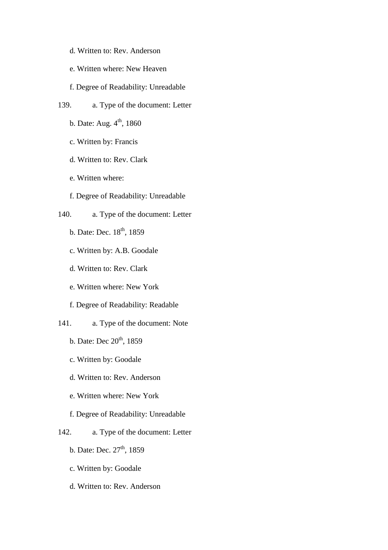- d. Written to: Rev. Anderson
- e. Written where: New Heaven
- f. Degree of Readability: Unreadable
- 139. a. Type of the document: Letter
	- b. Date: Aug.  $4<sup>th</sup>$ , 1860
	- c. Written by: Francis
	- d. Written to: Rev. Clark
	- e. Written where:
	- f. Degree of Readability: Unreadable
- 140. a. Type of the document: Letter
	- b. Date: Dec. 18<sup>th</sup>, 1859
	- c. Written by: A.B. Goodale
	- d. Written to: Rev. Clark
	- e. Written where: New York
	- f. Degree of Readability: Readable
- 141. a. Type of the document: Note
	- b. Date: Dec  $20^{th}$ , 1859
	- c. Written by: Goodale
	- d. Written to: Rev. Anderson
	- e. Written where: New York
	- f. Degree of Readability: Unreadable
- 142. a. Type of the document: Letter
	- b. Date: Dec.  $27<sup>th</sup>$ , 1859
	- c. Written by: Goodale
	- d. Written to: Rev. Anderson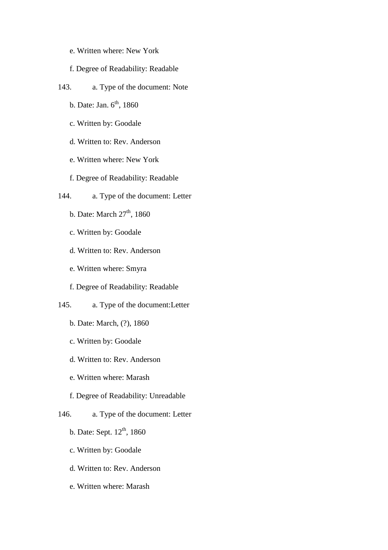- e. Written where: New York
- f. Degree of Readability: Readable
- 143. a. Type of the document: Note
	- b. Date: Jan.  $6<sup>th</sup>$ , 1860
	- c. Written by: Goodale
	- d. Written to: Rev. Anderson
	- e. Written where: New York
	- f. Degree of Readability: Readable
- 144. a. Type of the document: Letter
	- b. Date: March  $27<sup>th</sup>$ , 1860
	- c. Written by: Goodale
	- d. Written to: Rev. Anderson
	- e. Written where: Smyra
	- f. Degree of Readability: Readable
- 145. a. Type of the document:Letter
	- b. Date: March, (?), 1860
	- c. Written by: Goodale
	- d. Written to: Rev. Anderson
	- e. Written where: Marash
	- f. Degree of Readability: Unreadable
- 146. a. Type of the document: Letter
	- b. Date: Sept.  $12^{th}$ , 1860
	- c. Written by: Goodale
	- d. Written to: Rev. Anderson
	- e. Written where: Marash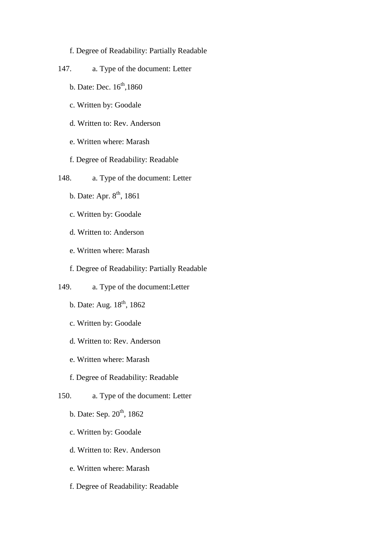### f. Degree of Readability: Partially Readable

- 147. a. Type of the document: Letter
	- b. Date: Dec.  $16^{th}$ , 1860
	- c. Written by: Goodale
	- d. Written to: Rev. Anderson
	- e. Written where: Marash
	- f. Degree of Readability: Readable
- 148. a. Type of the document: Letter
	- b. Date: Apr.  $8^{th}$ , 1861
	- c. Written by: Goodale
	- d. Written to: Anderson
	- e. Written where: Marash
	- f. Degree of Readability: Partially Readable
- 149. a. Type of the document:Letter
	- b. Date: Aug.  $18^{th}$ ,  $1862$
	- c. Written by: Goodale
	- d. Written to: Rev. Anderson
	- e. Written where: Marash
	- f. Degree of Readability: Readable
- 150. a. Type of the document: Letter
	- b. Date: Sep.  $20^{th}$ , 1862
	- c. Written by: Goodale
	- d. Written to: Rev. Anderson
	- e. Written where: Marash
	- f. Degree of Readability: Readable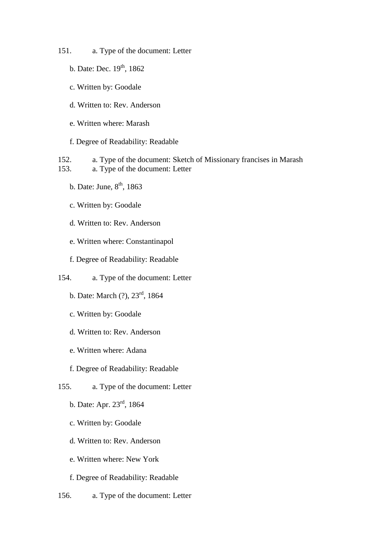- 151. a. Type of the document: Letter
	- b. Date: Dec. 19<sup>th</sup>, 1862
	- c. Written by: Goodale
	- d. Written to: Rev. Anderson
	- e. Written where: Marash
	- f. Degree of Readability: Readable
- 152. a. Type of the document: Sketch of Missionary francises in Marash 153. a. Type of the document: Letter
	- b. Date: June,  $8<sup>th</sup>$ , 1863
	- c. Written by: Goodale
	- d. Written to: Rev. Anderson
	- e. Written where: Constantinapol
	- f. Degree of Readability: Readable
- 154. a. Type of the document: Letter
	- b. Date: March (?), 23rd, 1864
	- c. Written by: Goodale
	- d. Written to: Rev. Anderson
	- e. Written where: Adana
	- f. Degree of Readability: Readable
- 155. a. Type of the document: Letter
	- b. Date: Apr. 23rd, 1864
	- c. Written by: Goodale
	- d. Written to: Rev. Anderson
	- e. Written where: New York
	- f. Degree of Readability: Readable
- 156. a. Type of the document: Letter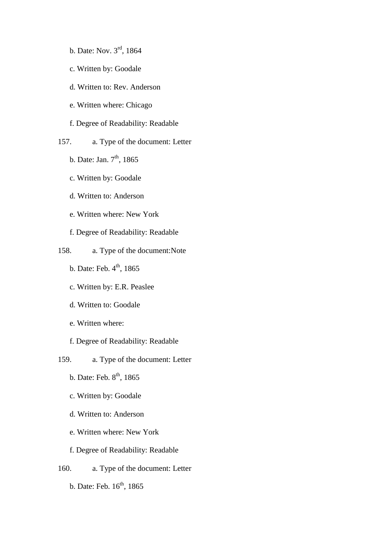- b. Date: Nov. 3rd, 1864
- c. Written by: Goodale
- d. Written to: Rev. Anderson
- e. Written where: Chicago
- f. Degree of Readability: Readable
- 157. a. Type of the document: Letter
	- b. Date: Jan.  $7<sup>th</sup>$ , 1865
	- c. Written by: Goodale
	- d. Written to: Anderson
	- e. Written where: New York
	- f. Degree of Readability: Readable
- 158. a. Type of the document:Note
	- b. Date: Feb.  $4<sup>th</sup>$ , 1865
	- c. Written by: E.R. Peaslee
	- d. Written to: Goodale
	- e. Written where:
	- f. Degree of Readability: Readable
- 159. a. Type of the document: Letter
	- b. Date: Feb.  $8<sup>th</sup>$ , 1865
	- c. Written by: Goodale
	- d. Written to: Anderson
	- e. Written where: New York
	- f. Degree of Readability: Readable
- 160. a. Type of the document: Letter
	- b. Date: Feb. 16<sup>th</sup>, 1865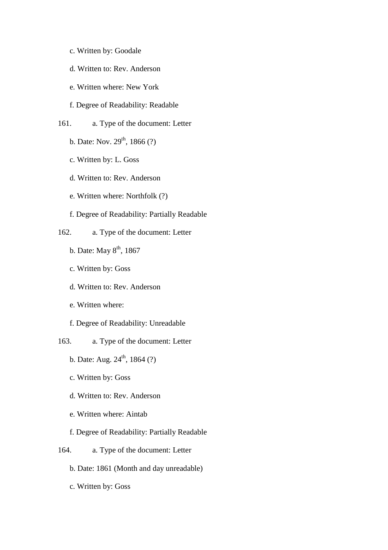- c. Written by: Goodale
- d. Written to: Rev. Anderson
- e. Written where: New York
- f. Degree of Readability: Readable
- 161. a. Type of the document: Letter
	- b. Date: Nov.  $29^{th}$ , 1866 (?)
	- c. Written by: L. Goss
	- d. Written to: Rev. Anderson
	- e. Written where: Northfolk (?)
	- f. Degree of Readability: Partially Readable
- 162. a. Type of the document: Letter
	- b. Date: May  $8<sup>th</sup>$ , 1867
	- c. Written by: Goss
	- d. Written to: Rev. Anderson
	- e. Written where:
	- f. Degree of Readability: Unreadable
- 163. a. Type of the document: Letter
	- b. Date: Aug.  $24^{th}$ , 1864 (?)
	- c. Written by: Goss
	- d. Written to: Rev. Anderson
	- e. Written where: Aintab
	- f. Degree of Readability: Partially Readable
- 164. a. Type of the document: Letter
	- b. Date: 1861 (Month and day unreadable)
	- c. Written by: Goss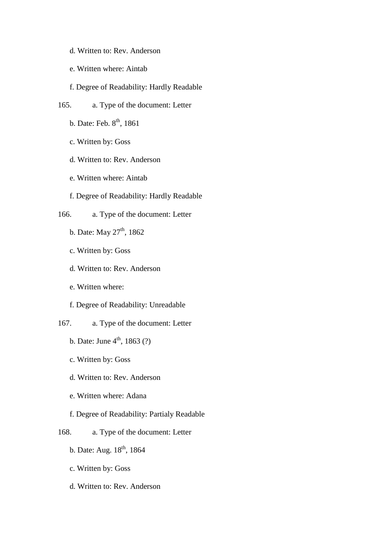- d. Written to: Rev. Anderson
- e. Written where: Aintab
- f. Degree of Readability: Hardly Readable
- 165. a. Type of the document: Letter
	- b. Date: Feb. 8<sup>th</sup>, 1861
	- c. Written by: Goss
	- d. Written to: Rev. Anderson
	- e. Written where: Aintab
	- f. Degree of Readability: Hardly Readable
- 166. a. Type of the document: Letter
	- b. Date: May  $27<sup>th</sup>$ , 1862
	- c. Written by: Goss
	- d. Written to: Rev. Anderson
	- e. Written where:
	- f. Degree of Readability: Unreadable
- 167. a. Type of the document: Letter
	- b. Date: June  $4^{\text{th}}$ , 1863 (?)
	- c. Written by: Goss
	- d. Written to: Rev. Anderson
	- e. Written where: Adana
	- f. Degree of Readability: Partialy Readable
- 168. a. Type of the document: Letter
	- b. Date: Aug.  $18^{th}$ , 1864
	- c. Written by: Goss
	- d. Written to: Rev. Anderson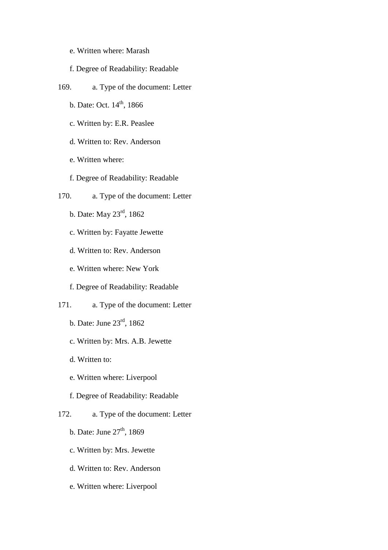- e. Written where: Marash
- f. Degree of Readability: Readable
- 169. a. Type of the document: Letter
	- b. Date: Oct.  $14^{th}$ , 1866
	- c. Written by: E.R. Peaslee
	- d. Written to: Rev. Anderson
	- e. Written where:
	- f. Degree of Readability: Readable
- 170. a. Type of the document: Letter
	- b. Date: May 23rd, 1862
	- c. Written by: Fayatte Jewette
	- d. Written to: Rev. Anderson
	- e. Written where: New York
	- f. Degree of Readability: Readable
- 171. a. Type of the document: Letter
	- b. Date: June 23rd, 1862
	- c. Written by: Mrs. A.B. Jewette
	- d. Written to:
	- e. Written where: Liverpool
	- f. Degree of Readability: Readable
- 172. a. Type of the document: Letter
	- b. Date: June  $27<sup>th</sup>$ , 1869
	- c. Written by: Mrs. Jewette
	- d. Written to: Rev. Anderson
	- e. Written where: Liverpool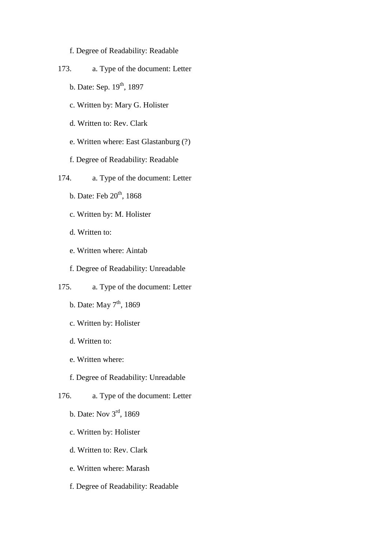- f. Degree of Readability: Readable
- 173. a. Type of the document: Letter
	- b. Date: Sep. 19<sup>th</sup>, 1897
	- c. Written by: Mary G. Holister
	- d. Written to: Rev. Clark
	- e. Written where: East Glastanburg (?)
	- f. Degree of Readability: Readable
- 174. a. Type of the document: Letter
	- b. Date: Feb  $20<sup>th</sup>$ , 1868
	- c. Written by: M. Holister
	- d. Written to:
	- e. Written where: Aintab
	- f. Degree of Readability: Unreadable
- 175. a. Type of the document: Letter
	- b. Date: May  $7<sup>th</sup>$ , 1869
	- c. Written by: Holister
	- d. Written to:
	- e. Written where:
	- f. Degree of Readability: Unreadable
- 176. a. Type of the document: Letter
	- b. Date: Nov 3rd, 1869
	- c. Written by: Holister
	- d. Written to: Rev. Clark
	- e. Written where: Marash
	- f. Degree of Readability: Readable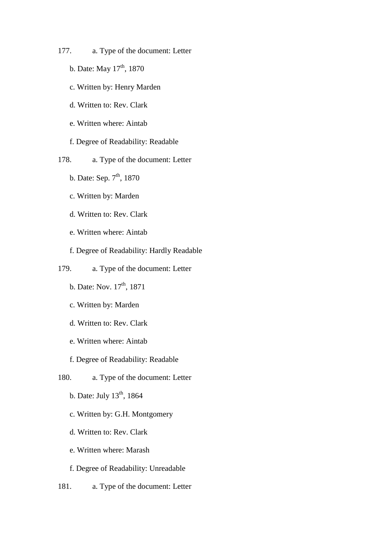- 177. a. Type of the document: Letter
	- b. Date: May  $17<sup>th</sup>$ , 1870
	- c. Written by: Henry Marden
	- d. Written to: Rev. Clark
	- e. Written where: Aintab
	- f. Degree of Readability: Readable
- 178. a. Type of the document: Letter
	- b. Date: Sep.  $7<sup>th</sup>$ , 1870
	- c. Written by: Marden
	- d. Written to: Rev. Clark
	- e. Written where: Aintab
	- f. Degree of Readability: Hardly Readable
- 179. a. Type of the document: Letter
	- b. Date: Nov.  $17^{th}$ , 1871
	- c. Written by: Marden
	- d. Written to: Rev. Clark
	- e. Written where: Aintab
	- f. Degree of Readability: Readable
- 180. a. Type of the document: Letter
	- b. Date: July  $13<sup>th</sup>$ , 1864
	- c. Written by: G.H. Montgomery
	- d. Written to: Rev. Clark
	- e. Written where: Marash
	- f. Degree of Readability: Unreadable
- 181. a. Type of the document: Letter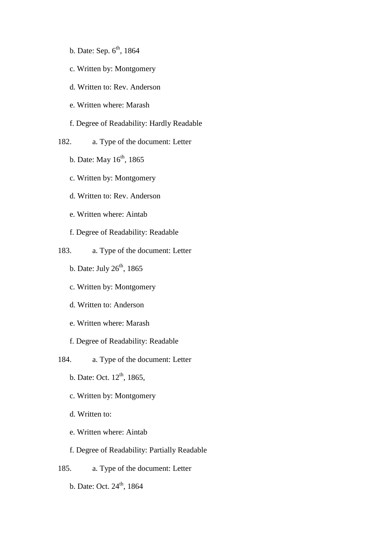- b. Date: Sep.  $6<sup>th</sup>$ , 1864
- c. Written by: Montgomery
- d. Written to: Rev. Anderson
- e. Written where: Marash
- f. Degree of Readability: Hardly Readable
- 182. a. Type of the document: Letter
	- b. Date: May  $16<sup>th</sup>$ , 1865
	- c. Written by: Montgomery
	- d. Written to: Rev. Anderson
	- e. Written where: Aintab
	- f. Degree of Readability: Readable
- 183. a. Type of the document: Letter
	- b. Date: July  $26<sup>th</sup>$ , 1865
	- c. Written by: Montgomery
	- d. Written to: Anderson
	- e. Written where: Marash
	- f. Degree of Readability: Readable
- 184. a. Type of the document: Letter
	- b. Date: Oct.  $12^{th}$ , 1865,
	- c. Written by: Montgomery
	- d. Written to:
	- e. Written where: Aintab
	- f. Degree of Readability: Partially Readable
- 185. a. Type of the document: Letter
	- b. Date: Oct.  $24^{\text{th}}$ , 1864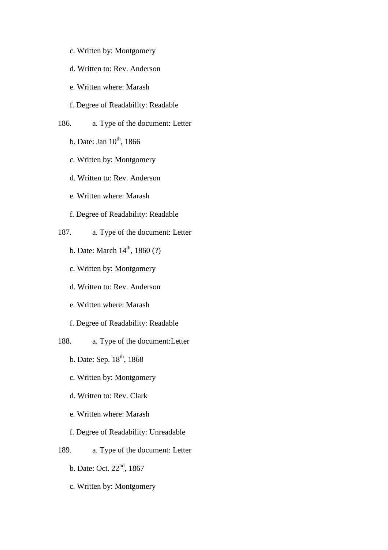- c. Written by: Montgomery
- d. Written to: Rev. Anderson
- e. Written where: Marash
- f. Degree of Readability: Readable
- 186. a. Type of the document: Letter
	- b. Date: Jan  $10^{th}$ , 1866
	- c. Written by: Montgomery
	- d. Written to: Rev. Anderson
	- e. Written where: Marash
	- f. Degree of Readability: Readable
- 187. a. Type of the document: Letter
	- b. Date: March  $14^{th}$ , 1860 (?)
	- c. Written by: Montgomery
	- d. Written to: Rev. Anderson
	- e. Written where: Marash
	- f. Degree of Readability: Readable
- 188. a. Type of the document:Letter
	- b. Date: Sep.  $18^{th}$ , 1868
	- c. Written by: Montgomery
	- d. Written to: Rev. Clark
	- e. Written where: Marash
	- f. Degree of Readability: Unreadable
- 189. a. Type of the document: Letter
	- b. Date: Oct. 22<sup>nd</sup>, 1867
	- c. Written by: Montgomery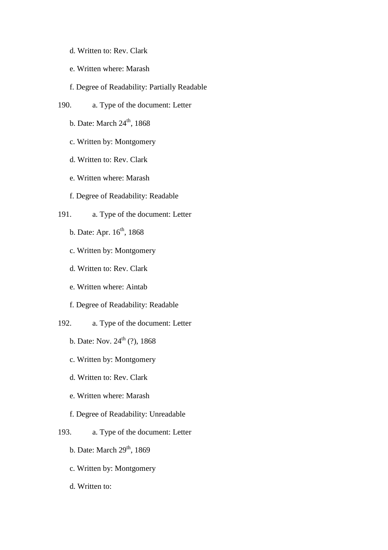- d. Written to: Rev. Clark
- e. Written where: Marash
- f. Degree of Readability: Partially Readable
- 190. a. Type of the document: Letter
	- b. Date: March  $24<sup>th</sup>$ , 1868
	- c. Written by: Montgomery
	- d. Written to: Rev. Clark
	- e. Written where: Marash
	- f. Degree of Readability: Readable
- 191. a. Type of the document: Letter
	- b. Date: Apr. 16<sup>th</sup>, 1868
	- c. Written by: Montgomery
	- d. Written to: Rev. Clark
	- e. Written where: Aintab
	- f. Degree of Readability: Readable
- 192. a. Type of the document: Letter
	- b. Date: Nov.  $24^{th}$  (?), 1868
	- c. Written by: Montgomery
	- d. Written to: Rev. Clark
	- e. Written where: Marash
	- f. Degree of Readability: Unreadable
- 193. a. Type of the document: Letter
	- b. Date: March  $29<sup>th</sup>$ , 1869
	- c. Written by: Montgomery
	- d. Written to: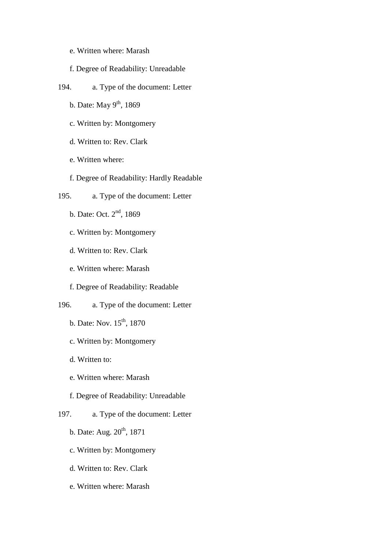- e. Written where: Marash
- f. Degree of Readability: Unreadable
- 194. a. Type of the document: Letter
	- b. Date: May  $9<sup>th</sup>$ , 1869
	- c. Written by: Montgomery
	- d. Written to: Rev. Clark
	- e. Written where:
	- f. Degree of Readability: Hardly Readable
- 195. a. Type of the document: Letter
	- b. Date: Oct. 2nd, 1869
	- c. Written by: Montgomery
	- d. Written to: Rev. Clark
	- e. Written where: Marash
	- f. Degree of Readability: Readable
- 196. a. Type of the document: Letter
	- b. Date: Nov.  $15^{th}$ , 1870
	- c. Written by: Montgomery
	- d. Written to:
	- e. Written where: Marash
	- f. Degree of Readability: Unreadable
- 197. a. Type of the document: Letter
	- b. Date: Aug.  $20^{th}$ , 1871
	- c. Written by: Montgomery
	- d. Written to: Rev. Clark
	- e. Written where: Marash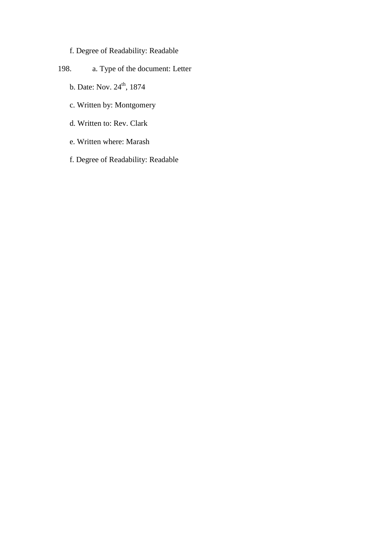# f. Degree of Readability: Readable

- 198. a. Type of the document: Letter
	- b. Date: Nov. 24<sup>th</sup>, 1874
	- c. Written by: Montgomery
	- d. Written to: Rev. Clark
	- e. Written where: Marash
	- f. Degree of Readability: Readable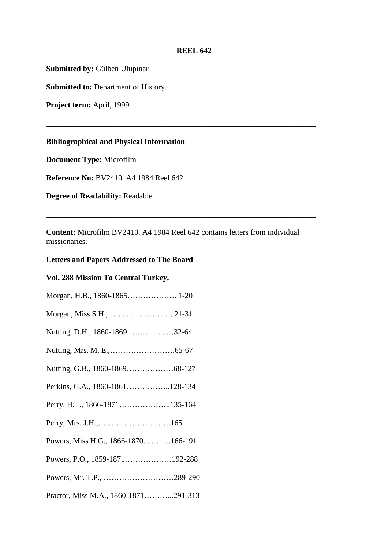#### **REEL 642**

**\_\_\_\_\_\_\_\_\_\_\_\_\_\_\_\_\_\_\_\_\_\_\_\_\_\_\_\_\_\_\_\_\_\_\_\_\_\_\_\_\_\_\_\_\_\_\_\_\_\_\_\_\_\_\_\_\_\_\_\_\_\_\_\_\_\_\_\_\_** 

**Submitted by:** Gülben Ulupınar

**Submitted to: Department of History** 

**Project term:** April, 1999

## **Bibliographical and Physical Information**

**Document Type:** Microfilm

**Reference No:** BV2410. A4 1984 Reel 642

**Degree of Readability:** Readable

**Content:** Microfilm BV2410. A4 1984 Reel 642 contains letters from individual missionaries.

**\_\_\_\_\_\_\_\_\_\_\_\_\_\_\_\_\_\_\_\_\_\_\_\_\_\_\_\_\_\_\_\_\_\_\_\_\_\_\_\_\_\_\_\_\_\_\_\_\_\_\_\_\_\_\_\_\_\_\_\_\_\_\_\_\_\_\_\_\_** 

### **Letters and Papers Addressed to The Board**

### **Vol. 288 Mission To Central Turkey,**

| Morgan, H.B., 1860-1865 1-20         |  |
|--------------------------------------|--|
|                                      |  |
| Nutting, D.H., 1860-186932-64        |  |
|                                      |  |
|                                      |  |
| Perkins, G.A., 1860-1861128-134      |  |
| Perry, H.T., 1866-1871135-164        |  |
|                                      |  |
| Powers, Miss H.G., 1866-1870166-191  |  |
| Powers, P.O., 1859-1871192-288       |  |
| Powers, Mr. T.P., 289-290            |  |
| Practor, Miss M.A., 1860-1871291-313 |  |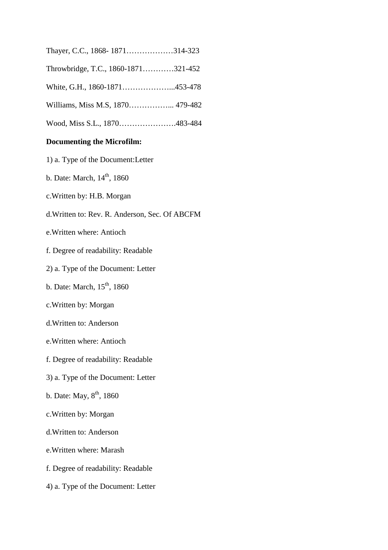|  |  |  |  | Thayer, C.C., 1868-1871314-323 |
|--|--|--|--|--------------------------------|
|--|--|--|--|--------------------------------|

- Throwbridge, T.C., 1860-1871…………321-452
- White, G.H., 1860-1871………………...453-478
- Williams, Miss M.S, 1870……………... 479-482
- Wood, Miss S.L., 1870………………….483-484

### **Documenting the Microfilm:**

- 1) a. Type of the Document:Letter
- b. Date: March,  $14<sup>th</sup>$ , 1860
- c.Written by: H.B. Morgan
- d.Written to: Rev. R. Anderson, Sec. Of ABCFM
- e.Written where: Antioch
- f. Degree of readability: Readable
- 2) a. Type of the Document: Letter
- b. Date: March,  $15<sup>th</sup>$ , 1860
- c.Written by: Morgan
- d.Written to: Anderson
- e.Written where: Antioch
- f. Degree of readability: Readable
- 3) a. Type of the Document: Letter
- b. Date: May,  $8^{th}$ , 1860
- c.Written by: Morgan
- d.Written to: Anderson
- e.Written where: Marash
- f. Degree of readability: Readable
- 4) a. Type of the Document: Letter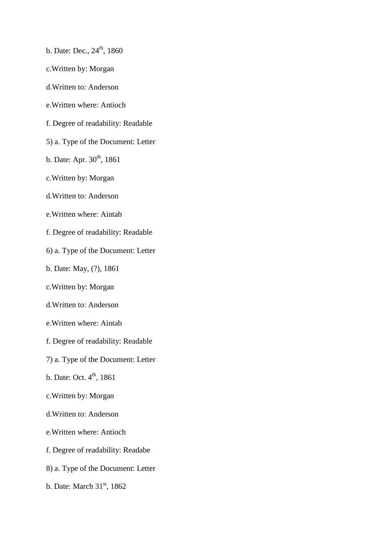- b. Date: Dec.,  $24^{th}$ , 1860
- c.Written by: Morgan
- d.Written to: Anderson
- e.Written where: Antioch
- f. Degree of readability: Readable
- 5) a. Type of the Document: Letter
- b. Date: Apr.  $30^{th}$ , 1861
- c.Written by: Morgan
- d.Written to: Anderson
- e.Written where: Aintab
- f. Degree of readability: Readable
- 6) a. Type of the Document: Letter
- b. Date: May, (?), 1861
- c.Written by: Morgan
- d.Written to: Anderson
- e.Written where: Aintab
- f. Degree of readability: Readable
- 7) a. Type of the Document: Letter
- b. Date: Oct.  $4^{\text{th}}$ , 1861
- c.Written by: Morgan
- d.Written to: Anderson
- e.Written where: Antioch
- f. Degree of readability: Readabe
- 8) a. Type of the Document: Letter
- b. Date: March  $31<sup>st</sup>$ , 1862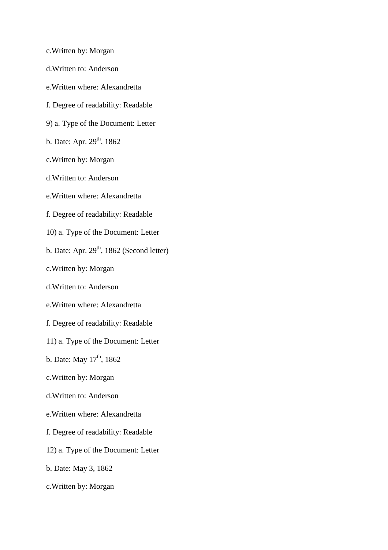- c.Written by: Morgan
- d.Written to: Anderson
- e.Written where: Alexandretta
- f. Degree of readability: Readable
- 9) a. Type of the Document: Letter
- b. Date: Apr.  $29^{th}$ , 1862
- c.Written by: Morgan
- d.Written to: Anderson
- e.Written where: Alexandretta
- f. Degree of readability: Readable
- 10) a. Type of the Document: Letter
- b. Date: Apr.  $29<sup>th</sup>$ , 1862 (Second letter)
- c.Written by: Morgan
- d.Written to: Anderson
- e.Written where: Alexandretta
- f. Degree of readability: Readable
- 11) a. Type of the Document: Letter
- b. Date: May  $17^{\text{th}}$ , 1862
- c.Written by: Morgan
- d.Written to: Anderson
- e.Written where: Alexandretta
- f. Degree of readability: Readable
- 12) a. Type of the Document: Letter
- b. Date: May 3, 1862
- c.Written by: Morgan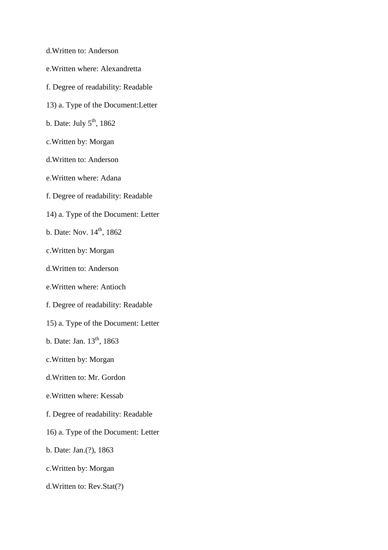- d.Written to: Anderson
- e.Written where: Alexandretta
- f. Degree of readability: Readable
- 13) a. Type of the Document:Letter
- b. Date: July  $5^{\text{th}}$ , 1862
- c.Written by: Morgan
- d.Written to: Anderson
- e.Written where: Adana
- f. Degree of readability: Readable
- 14) a. Type of the Document: Letter
- b. Date: Nov.  $14^{th}$ ,  $1862$
- c.Written by: Morgan
- d.Written to: Anderson
- e.Written where: Antioch
- f. Degree of readability: Readable
- 15) a. Type of the Document: Letter
- b. Date: Jan.  $13^{th}$ , 1863
- c.Written by: Morgan
- d.Written to: Mr. Gordon
- e.Written where: Kessab
- f. Degree of readability: Readable
- 16) a. Type of the Document: Letter
- b. Date: Jan.(?), 1863
- c.Written by: Morgan
- d.Written to: Rev.Stat(?)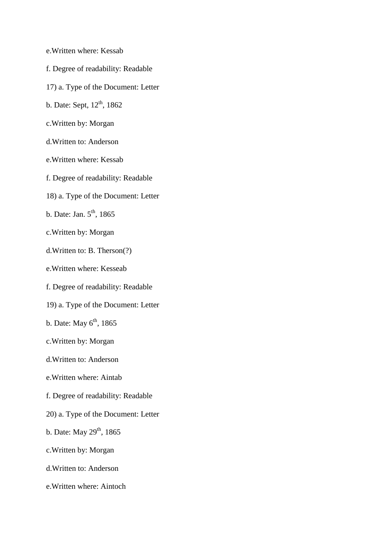- e.Written where: Kessab
- f. Degree of readability: Readable
- 17) a. Type of the Document: Letter
- b. Date: Sept,  $12<sup>th</sup>$ , 1862
- c.Written by: Morgan
- d.Written to: Anderson
- e.Written where: Kessab
- f. Degree of readability: Readable
- 18) a. Type of the Document: Letter
- b. Date: Jan.  $5^{\text{th}}$ , 1865
- c.Written by: Morgan
- d.Written to: B. Therson(?)
- e.Written where: Kesseab
- f. Degree of readability: Readable
- 19) a. Type of the Document: Letter
- b. Date: May  $6<sup>th</sup>$ , 1865
- c.Written by: Morgan
- d.Written to: Anderson
- e.Written where: Aintab
- f. Degree of readability: Readable
- 20) a. Type of the Document: Letter
- b. Date: May  $29<sup>th</sup>$ , 1865
- c.Written by: Morgan
- d.Written to: Anderson
- e.Written where: Aintoch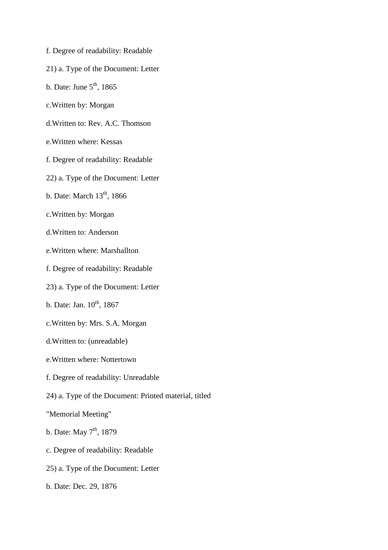- f. Degree of readability: Readable
- 21) a. Type of the Document: Letter
- b. Date: June  $5<sup>th</sup>$ , 1865
- c.Written by: Morgan
- d.Written to: Rev. A.C. Thomson
- e.Written where: Kessas
- f. Degree of readability: Readable
- 22) a. Type of the Document: Letter
- b. Date: March  $13<sup>th</sup>$ , 1866
- c.Written by: Morgan
- d.Written to: Anderson
- e.Written where: Marshallton
- f. Degree of readability: Readable
- 23) a. Type of the Document: Letter
- b. Date: Jan.  $10^{th}$ , 1867
- c.Written by: Mrs. S.A. Morgan
- d.Written to: (unreadable)
- e.Written where: Nottertown
- f. Degree of readability: Unreadable
- 24) a. Type of the Document: Printed material, titled
- "Memorial Meeting"
- b. Date: May  $7<sup>th</sup>$ , 1879
- c. Degree of readability: Readable
- 25) a. Type of the Document: Letter
- b. Date: Dec. 29, 1876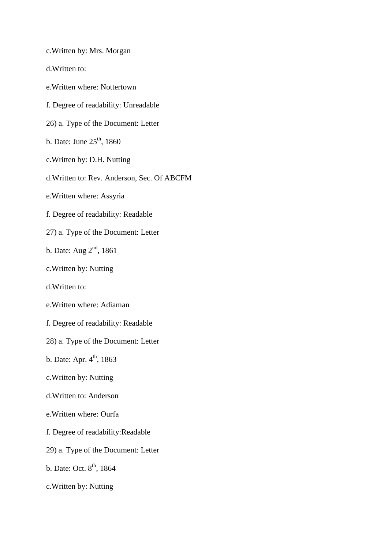c.Written by: Mrs. Morgan

- d.Written to:
- e.Written where: Nottertown
- f. Degree of readability: Unreadable
- 26) a. Type of the Document: Letter
- b. Date: June  $25<sup>th</sup>$ , 1860
- c.Written by: D.H. Nutting
- d.Written to: Rev. Anderson, Sec. Of ABCFM
- e.Written where: Assyria
- f. Degree of readability: Readable
- 27) a. Type of the Document: Letter
- b. Date: Aug  $2<sup>nd</sup>$ , 1861
- c.Written by: Nutting
- d.Written to:
- e.Written where: Adiaman
- f. Degree of readability: Readable
- 28) a. Type of the Document: Letter
- b. Date: Apr.  $4^{th}$ , 1863
- c.Written by: Nutting
- d.Written to: Anderson
- e.Written where: Ourfa
- f. Degree of readability:Readable
- 29) a. Type of the Document: Letter
- b. Date: Oct.  $8^{\text{th}}$ , 1864
- c.Written by: Nutting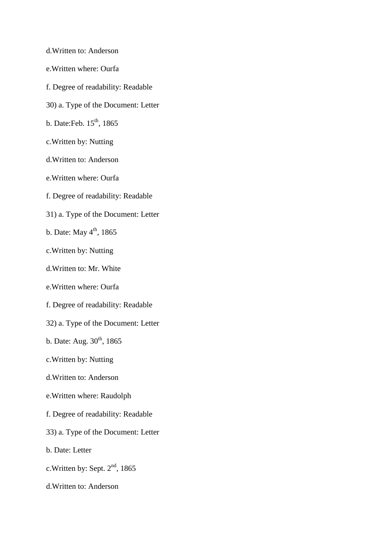- d.Written to: Anderson e.Written where: Ourfa f. Degree of readability: Readable 30) a. Type of the Document: Letter b. Date: Feb. 15<sup>th</sup>, 1865 c.Written by: Nutting d.Written to: Anderson e.Written where: Ourfa f. Degree of readability: Readable 31) a. Type of the Document: Letter b. Date: May  $4<sup>th</sup>$ , 1865 c.Written by: Nutting d.Written to: Mr. White e.Written where: Ourfa f. Degree of readability: Readable 32) a. Type of the Document: Letter b. Date: Aug.  $30^{th}$ , 1865
- c.Written by: Nutting
- d.Written to: Anderson
- e.Written where: Raudolph
- f. Degree of readability: Readable
- 33) a. Type of the Document: Letter
- b. Date: Letter
- c. Written by: Sept.  $2<sup>nd</sup>$ , 1865
- d.Written to: Anderson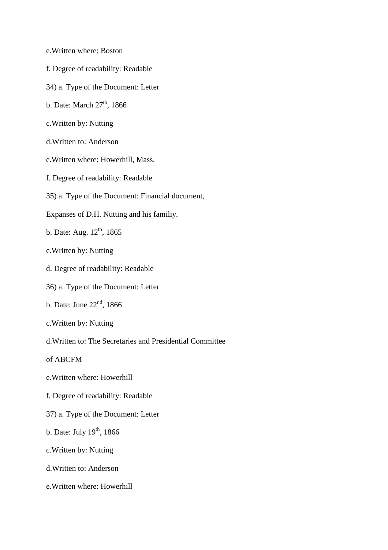- e.Written where: Boston
- f. Degree of readability: Readable
- 34) a. Type of the Document: Letter
- b. Date: March  $27<sup>th</sup>$ , 1866
- c.Written by: Nutting
- d.Written to: Anderson
- e.Written where: Howerhill, Mass.
- f. Degree of readability: Readable
- 35) a. Type of the Document: Financial document,
- Expanses of D.H. Nutting and his familiy.
- b. Date: Aug.  $12^{th}$ , 1865
- c.Written by: Nutting
- d. Degree of readability: Readable
- 36) a. Type of the Document: Letter
- b. Date: June  $22<sup>nd</sup>$ , 1866
- c.Written by: Nutting
- d.Written to: The Secretaries and Presidential Committee
- of ABCFM
- e.Written where: Howerhill
- f. Degree of readability: Readable
- 37) a. Type of the Document: Letter
- b. Date: July  $19<sup>th</sup>$ , 1866
- c.Written by: Nutting
- d.Written to: Anderson
- e.Written where: Howerhill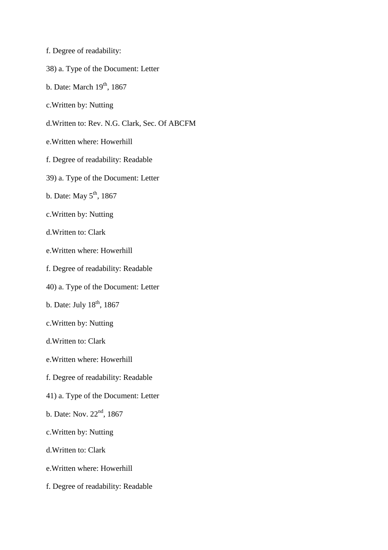- f. Degree of readability:
- 38) a. Type of the Document: Letter
- b. Date: March  $19<sup>th</sup>$ , 1867
- c.Written by: Nutting
- d.Written to: Rev. N.G. Clark, Sec. Of ABCFM
- e.Written where: Howerhill
- f. Degree of readability: Readable
- 39) a. Type of the Document: Letter
- b. Date: May  $5<sup>th</sup>$ , 1867
- c.Written by: Nutting
- d.Written to: Clark
- e.Written where: Howerhill
- f. Degree of readability: Readable
- 40) a. Type of the Document: Letter
- b. Date: July  $18<sup>th</sup>$ , 1867
- c.Written by: Nutting
- d.Written to: Clark
- e.Written where: Howerhill
- f. Degree of readability: Readable
- 41) a. Type of the Document: Letter
- b. Date: Nov. 22<sup>nd</sup>, 1867
- c.Written by: Nutting
- d.Written to: Clark
- e.Written where: Howerhill
- f. Degree of readability: Readable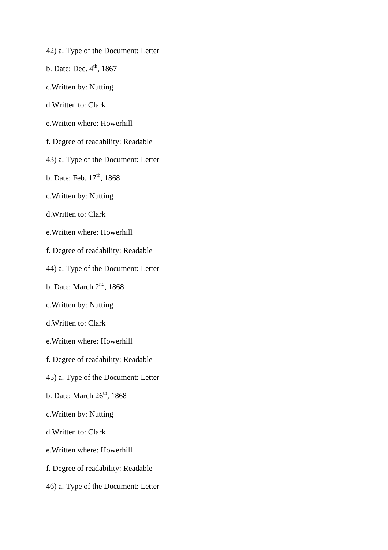- 42) a. Type of the Document: Letter
- b. Date: Dec.  $4<sup>th</sup>$ , 1867
- c.Written by: Nutting
- d.Written to: Clark
- e.Written where: Howerhill
- f. Degree of readability: Readable
- 43) a. Type of the Document: Letter
- b. Date: Feb.  $17<sup>th</sup>$ , 1868
- c.Written by: Nutting
- d.Written to: Clark
- e.Written where: Howerhill
- f. Degree of readability: Readable
- 44) a. Type of the Document: Letter
- b. Date: March  $2<sup>nd</sup>$ , 1868
- c.Written by: Nutting
- d.Written to: Clark
- e.Written where: Howerhill
- f. Degree of readability: Readable
- 45) a. Type of the Document: Letter
- b. Date: March  $26<sup>th</sup>$ , 1868
- c.Written by: Nutting
- d.Written to: Clark
- e.Written where: Howerhill
- f. Degree of readability: Readable
- 46) a. Type of the Document: Letter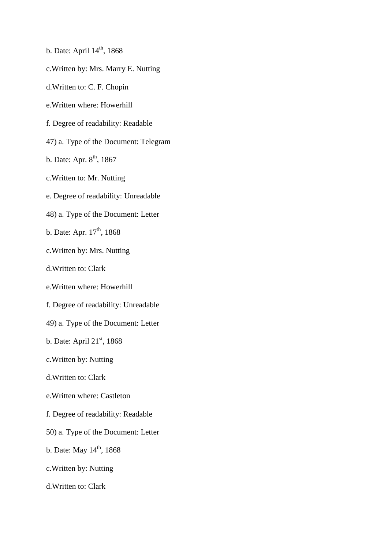- b. Date: April  $14<sup>th</sup>$ , 1868
- c.Written by: Mrs. Marry E. Nutting
- d.Written to: C. F. Chopin
- e.Written where: Howerhill
- f. Degree of readability: Readable
- 47) a. Type of the Document: Telegram
- b. Date: Apr.  $8^{th}$ , 1867
- c.Written to: Mr. Nutting
- e. Degree of readability: Unreadable
- 48) a. Type of the Document: Letter
- b. Date: Apr.  $17<sup>th</sup>$ , 1868
- c.Written by: Mrs. Nutting
- d.Written to: Clark
- e.Written where: Howerhill
- f. Degree of readability: Unreadable
- 49) a. Type of the Document: Letter
- b. Date: April 21<sup>st</sup>, 1868
- c.Written by: Nutting
- d.Written to: Clark
- e.Written where: Castleton
- f. Degree of readability: Readable
- 50) a. Type of the Document: Letter
- b. Date: May  $14^{th}$ , 1868
- c.Written by: Nutting
- d.Written to: Clark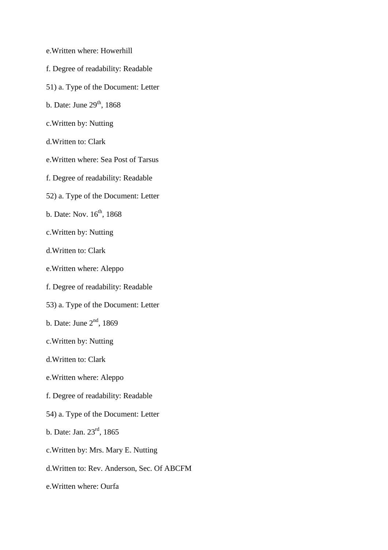- e.Written where: Howerhill
- f. Degree of readability: Readable
- 51) a. Type of the Document: Letter
- b. Date: June  $29<sup>th</sup>$ , 1868
- c.Written by: Nutting
- d.Written to: Clark
- e.Written where: Sea Post of Tarsus
- f. Degree of readability: Readable
- 52) a. Type of the Document: Letter
- b. Date: Nov.  $16^{th}$ , 1868
- c.Written by: Nutting
- d.Written to: Clark
- e.Written where: Aleppo
- f. Degree of readability: Readable
- 53) a. Type of the Document: Letter
- b. Date: June  $2<sup>nd</sup>$ , 1869
- c.Written by: Nutting
- d.Written to: Clark
- e.Written where: Aleppo
- f. Degree of readability: Readable
- 54) a. Type of the Document: Letter
- b. Date: Jan. 23rd, 1865
- c.Written by: Mrs. Mary E. Nutting
- d.Written to: Rev. Anderson, Sec. Of ABCFM
- e.Written where: Ourfa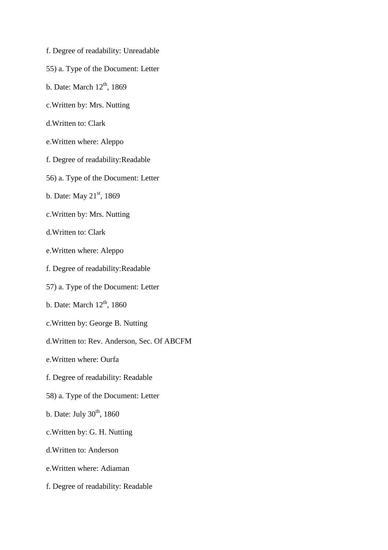- f. Degree of readability: Unreadable
- 55) a. Type of the Document: Letter
- b. Date: March  $12<sup>th</sup>$ , 1869
- c.Written by: Mrs. Nutting
- d.Written to: Clark
- e.Written where: Aleppo
- f. Degree of readability:Readable
- 56) a. Type of the Document: Letter
- b. Date: May 21<sup>st</sup>, 1869
- c.Written by: Mrs. Nutting
- d.Written to: Clark
- e.Written where: Aleppo
- f. Degree of readability:Readable
- 57) a. Type of the Document: Letter
- b. Date: March  $12<sup>th</sup>$ , 1860
- c.Written by: George B. Nutting
- d.Written to: Rev. Anderson, Sec. Of ABCFM
- e.Written where: Ourfa
- f. Degree of readability: Readable
- 58) a. Type of the Document: Letter
- b. Date: July  $30<sup>th</sup>$ , 1860
- c.Written by: G. H. Nutting
- d.Written to: Anderson
- e.Written where: Adiaman
- f. Degree of readability: Readable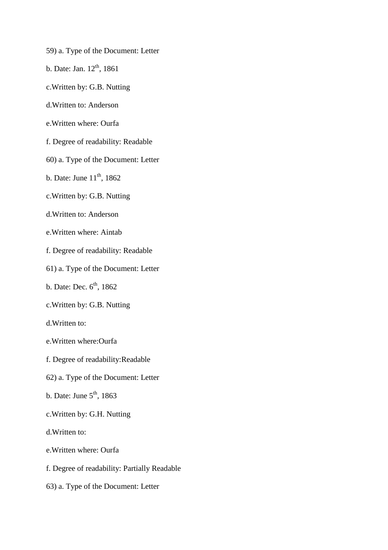- 59) a. Type of the Document: Letter
- b. Date: Jan.  $12^{th}$ , 1861
- c.Written by: G.B. Nutting
- d.Written to: Anderson
- e.Written where: Ourfa
- f. Degree of readability: Readable
- 60) a. Type of the Document: Letter
- b. Date: June  $11<sup>th</sup>$ , 1862
- c.Written by: G.B. Nutting
- d.Written to: Anderson
- e.Written where: Aintab
- f. Degree of readability: Readable
- 61) a. Type of the Document: Letter
- b. Date: Dec.  $6<sup>th</sup>$ , 1862
- c.Written by: G.B. Nutting
- d.Written to:
- e.Written where:Ourfa
- f. Degree of readability:Readable
- 62) a. Type of the Document: Letter
- b. Date: June  $5<sup>th</sup>$ , 1863
- c.Written by: G.H. Nutting
- d.Written to:
- e.Written where: Ourfa
- f. Degree of readability: Partially Readable
- 63) a. Type of the Document: Letter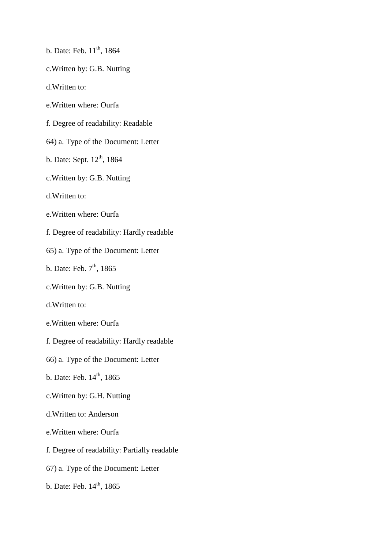- b. Date: Feb.  $11^{th}$ , 1864
- c.Written by: G.B. Nutting
- d.Written to:
- e.Written where: Ourfa
- f. Degree of readability: Readable
- 64) a. Type of the Document: Letter
- b. Date: Sept.  $12<sup>th</sup>$ , 1864
- c.Written by: G.B. Nutting
- d.Written to:
- e.Written where: Ourfa
- f. Degree of readability: Hardly readable
- 65) a. Type of the Document: Letter
- b. Date: Feb.  $7<sup>th</sup>$ , 1865
- c.Written by: G.B. Nutting
- d.Written to:
- e.Written where: Ourfa
- f. Degree of readability: Hardly readable
- 66) a. Type of the Document: Letter
- b. Date: Feb.  $14<sup>th</sup>$ , 1865
- c.Written by: G.H. Nutting
- d.Written to: Anderson
- e.Written where: Ourfa
- f. Degree of readability: Partially readable
- 67) a. Type of the Document: Letter
- b. Date: Feb. 14<sup>th</sup>, 1865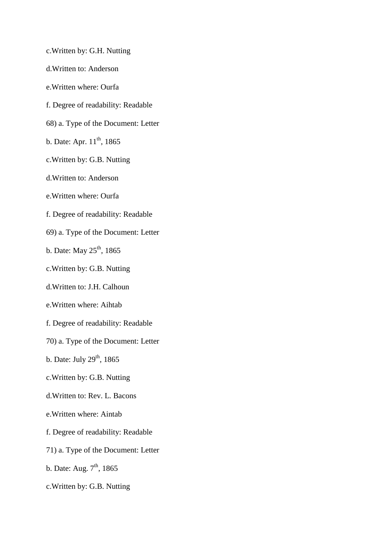- c.Written by: G.H. Nutting
- d.Written to: Anderson
- e.Written where: Ourfa
- f. Degree of readability: Readable
- 68) a. Type of the Document: Letter
- b. Date: Apr.  $11^{th}$ , 1865
- c.Written by: G.B. Nutting
- d.Written to: Anderson
- e.Written where: Ourfa
- f. Degree of readability: Readable
- 69) a. Type of the Document: Letter
- b. Date: May  $25<sup>th</sup>$ , 1865
- c.Written by: G.B. Nutting
- d.Written to: J.H. Calhoun
- e.Written where: Aihtab
- f. Degree of readability: Readable
- 70) a. Type of the Document: Letter
- b. Date: July  $29<sup>th</sup>$ , 1865
- c.Written by: G.B. Nutting
- d.Written to: Rev. L. Bacons
- e.Written where: Aintab
- f. Degree of readability: Readable
- 71) a. Type of the Document: Letter
- b. Date: Aug.  $7<sup>th</sup>$ , 1865
- c.Written by: G.B. Nutting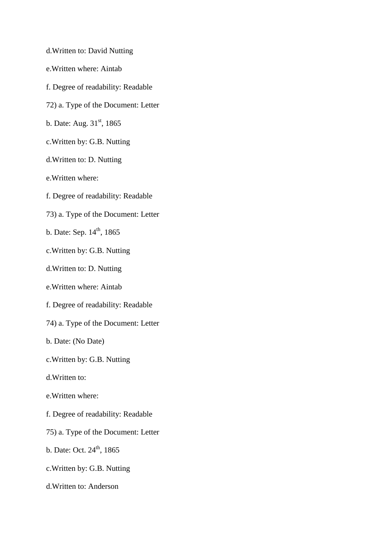- d.Written to: David Nutting
- e.Written where: Aintab
- f. Degree of readability: Readable
- 72) a. Type of the Document: Letter
- b. Date: Aug. 31<sup>st</sup>, 1865
- c.Written by: G.B. Nutting
- d.Written to: D. Nutting
- e.Written where:
- f. Degree of readability: Readable
- 73) a. Type of the Document: Letter
- b. Date: Sep.  $14^{th}$ , 1865
- c.Written by: G.B. Nutting
- d.Written to: D. Nutting
- e.Written where: Aintab
- f. Degree of readability: Readable
- 74) a. Type of the Document: Letter
- b. Date: (No Date)
- c.Written by: G.B. Nutting
- d.Written to:
- e.Written where:
- f. Degree of readability: Readable
- 75) a. Type of the Document: Letter
- b. Date: Oct.  $24^{th}$ , 1865
- c.Written by: G.B. Nutting
- d.Written to: Anderson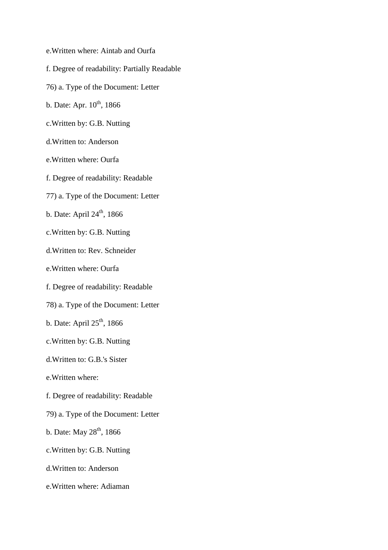- e.Written where: Aintab and Ourfa
- f. Degree of readability: Partially Readable
- 76) a. Type of the Document: Letter
- b. Date: Apr.  $10^{th}$ , 1866
- c.Written by: G.B. Nutting
- d.Written to: Anderson
- e.Written where: Ourfa
- f. Degree of readability: Readable
- 77) a. Type of the Document: Letter
- b. Date: April 24<sup>th</sup>, 1866
- c.Written by: G.B. Nutting
- d.Written to: Rev. Schneider
- e.Written where: Ourfa
- f. Degree of readability: Readable
- 78) a. Type of the Document: Letter
- b. Date: April  $25<sup>th</sup>$ , 1866
- c.Written by: G.B. Nutting
- d.Written to: G.B.'s Sister
- e.Written where:
- f. Degree of readability: Readable
- 79) a. Type of the Document: Letter
- b. Date: May  $28<sup>th</sup>$ , 1866
- c.Written by: G.B. Nutting
- d.Written to: Anderson
- e.Written where: Adiaman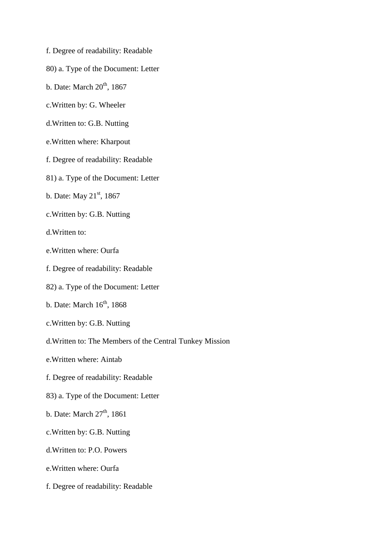- f. Degree of readability: Readable
- 80) a. Type of the Document: Letter
- b. Date: March  $20<sup>th</sup>$ , 1867
- c.Written by: G. Wheeler
- d.Written to: G.B. Nutting
- e.Written where: Kharpout
- f. Degree of readability: Readable
- 81) a. Type of the Document: Letter
- b. Date: May  $21^{st}$ , 1867
- c.Written by: G.B. Nutting
- d.Written to:
- e.Written where: Ourfa
- f. Degree of readability: Readable
- 82) a. Type of the Document: Letter
- b. Date: March  $16^{th}$ , 1868
- c.Written by: G.B. Nutting
- d.Written to: The Members of the Central Tunkey Mission
- e.Written where: Aintab
- f. Degree of readability: Readable
- 83) a. Type of the Document: Letter
- b. Date: March  $27<sup>th</sup>$ , 1861
- c.Written by: G.B. Nutting
- d.Written to: P.O. Powers
- e.Written where: Ourfa
- f. Degree of readability: Readable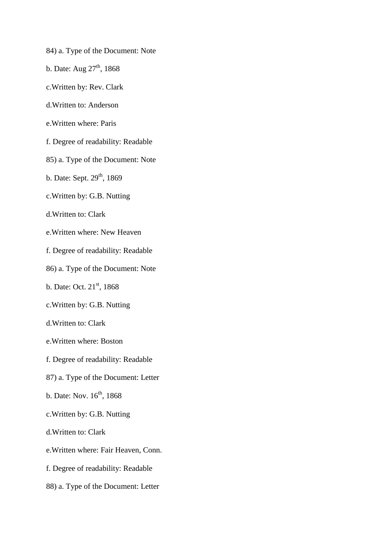- 84) a. Type of the Document: Note
- b. Date: Aug  $27<sup>th</sup>$ , 1868
- c.Written by: Rev. Clark
- d.Written to: Anderson
- e.Written where: Paris
- f. Degree of readability: Readable
- 85) a. Type of the Document: Note
- b. Date: Sept.  $29<sup>th</sup>$ , 1869
- c.Written by: G.B. Nutting
- d.Written to: Clark
- e.Written where: New Heaven
- f. Degree of readability: Readable
- 86) a. Type of the Document: Note
- b. Date: Oct. 21<sup>st</sup>, 1868
- c.Written by: G.B. Nutting
- d.Written to: Clark
- e.Written where: Boston
- f. Degree of readability: Readable
- 87) a. Type of the Document: Letter
- b. Date: Nov.  $16^{th}$ , 1868
- c.Written by: G.B. Nutting
- d.Written to: Clark
- e.Written where: Fair Heaven, Conn.
- f. Degree of readability: Readable
- 88) a. Type of the Document: Letter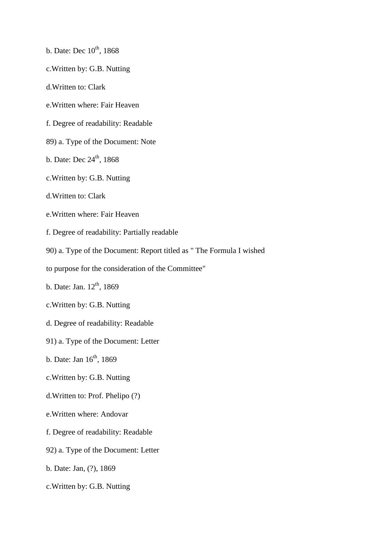- b. Date: Dec  $10^{th}$ , 1868
- c.Written by: G.B. Nutting
- d.Written to: Clark
- e.Written where: Fair Heaven
- f. Degree of readability: Readable
- 89) a. Type of the Document: Note
- b. Date: Dec  $24^{\text{th}}$ , 1868
- c.Written by: G.B. Nutting
- d.Written to: Clark
- e.Written where: Fair Heaven
- f. Degree of readability: Partially readable
- 90) a. Type of the Document: Report titled as " The Formula I wished
- to purpose for the consideration of the Committee"
- b. Date: Jan.  $12^{th}$ , 1869
- c.Written by: G.B. Nutting
- d. Degree of readability: Readable
- 91) a. Type of the Document: Letter
- b. Date: Jan  $16<sup>th</sup>$ , 1869
- c.Written by: G.B. Nutting
- d.Written to: Prof. Phelipo (?)
- e.Written where: Andovar
- f. Degree of readability: Readable
- 92) a. Type of the Document: Letter
- b. Date: Jan, (?), 1869
- c.Written by: G.B. Nutting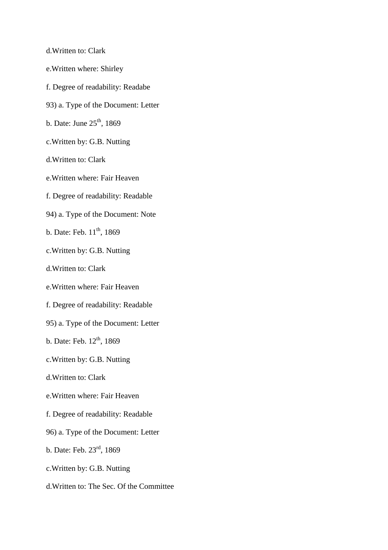d.Written to: Clark

- e.Written where: Shirley
- f. Degree of readability: Readabe
- 93) a. Type of the Document: Letter
- b. Date: June  $25<sup>th</sup>$ , 1869
- c.Written by: G.B. Nutting
- d.Written to: Clark
- e.Written where: Fair Heaven
- f. Degree of readability: Readable
- 94) a. Type of the Document: Note
- b. Date: Feb.  $11^{th}$ , 1869
- c.Written by: G.B. Nutting
- d.Written to: Clark
- e.Written where: Fair Heaven
- f. Degree of readability: Readable
- 95) a. Type of the Document: Letter
- b. Date: Feb.  $12^{th}$ , 1869
- c.Written by: G.B. Nutting
- d.Written to: Clark
- e.Written where: Fair Heaven
- f. Degree of readability: Readable
- 96) a. Type of the Document: Letter
- b. Date: Feb. 23rd, 1869
- c.Written by: G.B. Nutting
- d.Written to: The Sec. Of the Committee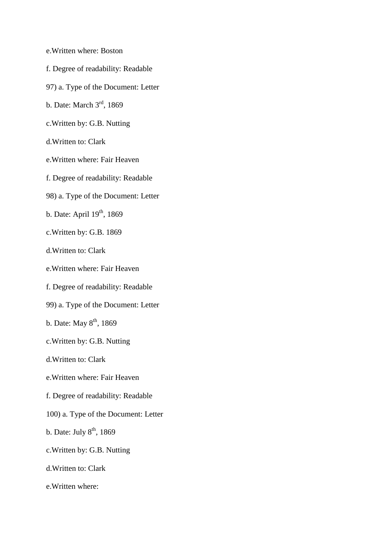- e.Written where: Boston
- f. Degree of readability: Readable
- 97) a. Type of the Document: Letter
- b. Date: March 3rd, 1869
- c.Written by: G.B. Nutting
- d.Written to: Clark
- e.Written where: Fair Heaven
- f. Degree of readability: Readable
- 98) a. Type of the Document: Letter
- b. Date: April 19<sup>th</sup>, 1869
- c.Written by: G.B. 1869
- d.Written to: Clark
- e.Written where: Fair Heaven
- f. Degree of readability: Readable
- 99) a. Type of the Document: Letter
- b. Date: May  $8<sup>th</sup>$ , 1869
- c.Written by: G.B. Nutting
- d.Written to: Clark
- e.Written where: Fair Heaven
- f. Degree of readability: Readable
- 100) a. Type of the Document: Letter
- b. Date: July  $8<sup>th</sup>$ , 1869
- c.Written by: G.B. Nutting
- d.Written to: Clark
- e.Written where: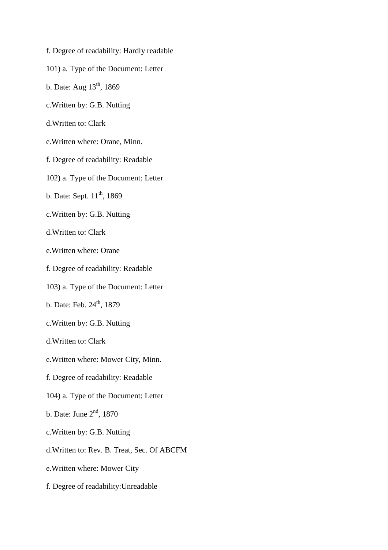- f. Degree of readability: Hardly readable
- 101) a. Type of the Document: Letter
- b. Date: Aug  $13^{th}$ , 1869
- c.Written by: G.B. Nutting
- d.Written to: Clark
- e.Written where: Orane, Minn.
- f. Degree of readability: Readable
- 102) a. Type of the Document: Letter
- b. Date: Sept.  $11^{th}$ , 1869
- c.Written by: G.B. Nutting
- d.Written to: Clark
- e.Written where: Orane
- f. Degree of readability: Readable
- 103) a. Type of the Document: Letter
- b. Date: Feb.  $24^{th}$ , 1879
- c.Written by: G.B. Nutting
- d.Written to: Clark
- e.Written where: Mower City, Minn.
- f. Degree of readability: Readable
- 104) a. Type of the Document: Letter
- b. Date: June  $2<sup>nd</sup>$ , 1870
- c.Written by: G.B. Nutting
- d.Written to: Rev. B. Treat, Sec. Of ABCFM
- e.Written where: Mower City
- f. Degree of readability:Unreadable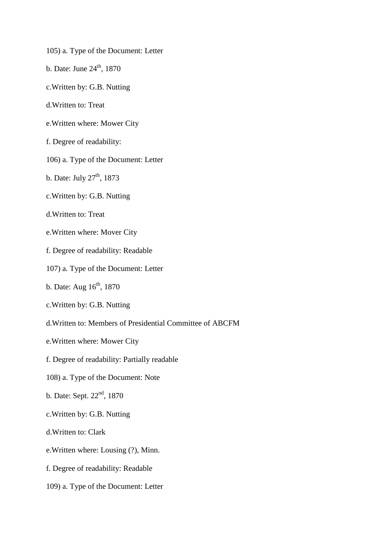- 105) a. Type of the Document: Letter
- b. Date: June  $24<sup>th</sup>$ , 1870
- c.Written by: G.B. Nutting
- d.Written to: Treat
- e.Written where: Mower City
- f. Degree of readability:
- 106) a. Type of the Document: Letter
- b. Date: July  $27<sup>th</sup>$ , 1873
- c.Written by: G.B. Nutting
- d.Written to: Treat
- e.Written where: Mover City
- f. Degree of readability: Readable
- 107) a. Type of the Document: Letter
- b. Date: Aug  $16<sup>th</sup>$ , 1870
- c.Written by: G.B. Nutting
- d.Written to: Members of Presidential Committee of ABCFM
- e.Written where: Mower City
- f. Degree of readability: Partially readable
- 108) a. Type of the Document: Note
- b. Date: Sept.  $22<sup>nd</sup>$ , 1870
- c.Written by: G.B. Nutting
- d.Written to: Clark
- e.Written where: Lousing (?), Minn.
- f. Degree of readability: Readable
- 109) a. Type of the Document: Letter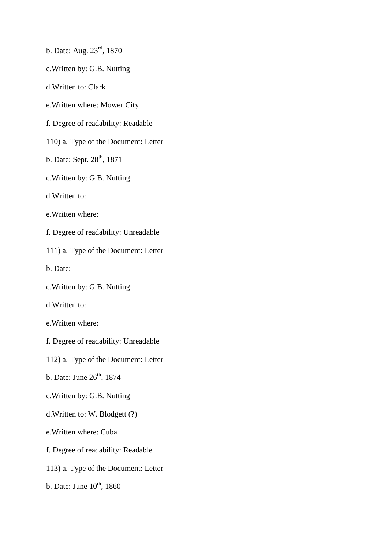- b. Date: Aug. 23rd, 1870
- c.Written by: G.B. Nutting
- d.Written to: Clark
- e.Written where: Mower City
- f. Degree of readability: Readable
- 110) a. Type of the Document: Letter
- b. Date: Sept.  $28<sup>th</sup>$ , 1871
- c.Written by: G.B. Nutting
- d.Written to:
- e.Written where:
- f. Degree of readability: Unreadable
- 111) a. Type of the Document: Letter
- b. Date:
- c.Written by: G.B. Nutting
- d.Written to:
- e.Written where:
- f. Degree of readability: Unreadable
- 112) a. Type of the Document: Letter
- b. Date: June  $26<sup>th</sup>$ , 1874
- c.Written by: G.B. Nutting
- d.Written to: W. Blodgett (?)
- e.Written where: Cuba
- f. Degree of readability: Readable
- 113) a. Type of the Document: Letter
- b. Date: June  $10^{th}$ , 1860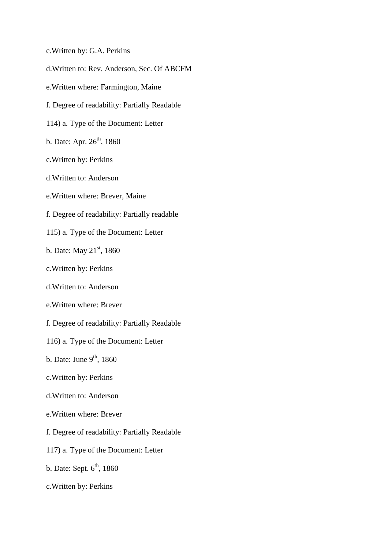- c.Written by: G.A. Perkins
- d.Written to: Rev. Anderson, Sec. Of ABCFM
- e.Written where: Farmington, Maine
- f. Degree of readability: Partially Readable
- 114) a. Type of the Document: Letter
- b. Date: Apr.  $26^{th}$ , 1860
- c.Written by: Perkins
- d.Written to: Anderson
- e.Written where: Brever, Maine
- f. Degree of readability: Partially readable
- 115) a. Type of the Document: Letter
- b. Date: May  $21^{st}$ , 1860
- c.Written by: Perkins
- d.Written to: Anderson
- e.Written where: Brever
- f. Degree of readability: Partially Readable
- 116) a. Type of the Document: Letter
- b. Date: June  $9<sup>th</sup>$ , 1860
- c.Written by: Perkins
- d.Written to: Anderson
- e.Written where: Brever
- f. Degree of readability: Partially Readable
- 117) a. Type of the Document: Letter
- b. Date: Sept.  $6<sup>th</sup>$ , 1860
- c.Written by: Perkins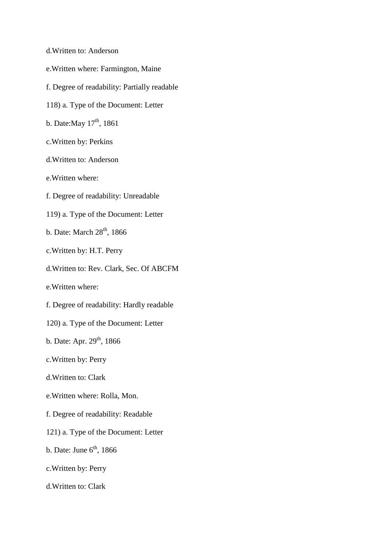- d.Written to: Anderson
- e.Written where: Farmington, Maine
- f. Degree of readability: Partially readable
- 118) a. Type of the Document: Letter
- b. Date: May  $17^{th}$ , 1861
- c.Written by: Perkins
- d.Written to: Anderson
- e.Written where:
- f. Degree of readability: Unreadable
- 119) a. Type of the Document: Letter
- b. Date: March  $28<sup>th</sup>$ , 1866
- c.Written by: H.T. Perry
- d.Written to: Rev. Clark, Sec. Of ABCFM
- e.Written where:
- f. Degree of readability: Hardly readable
- 120) a. Type of the Document: Letter
- b. Date: Apr.  $29^{th}$ , 1866
- c.Written by: Perry
- d.Written to: Clark
- e.Written where: Rolla, Mon.
- f. Degree of readability: Readable
- 121) a. Type of the Document: Letter
- b. Date: June  $6<sup>th</sup>$ , 1866
- c.Written by: Perry
- d.Written to: Clark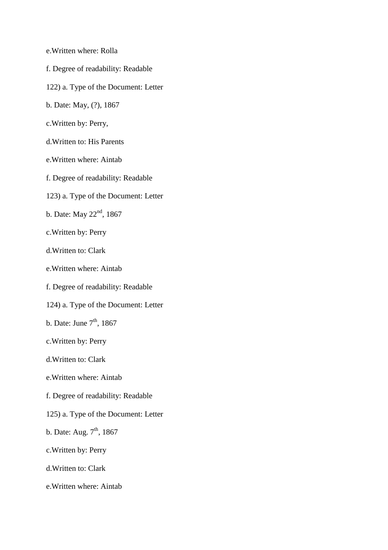- e.Written where: Rolla
- f. Degree of readability: Readable
- 122) a. Type of the Document: Letter
- b. Date: May, (?), 1867
- c.Written by: Perry,
- d.Written to: His Parents
- e.Written where: Aintab
- f. Degree of readability: Readable
- 123) a. Type of the Document: Letter
- b. Date: May 22<sup>nd</sup>, 1867
- c.Written by: Perry
- d.Written to: Clark
- e.Written where: Aintab
- f. Degree of readability: Readable
- 124) a. Type of the Document: Letter
- b. Date: June  $7<sup>th</sup>$ , 1867
- c.Written by: Perry
- d.Written to: Clark
- e.Written where: Aintab
- f. Degree of readability: Readable
- 125) a. Type of the Document: Letter
- b. Date: Aug.  $7<sup>th</sup>$ , 1867
- c.Written by: Perry
- d.Written to: Clark
- e.Written where: Aintab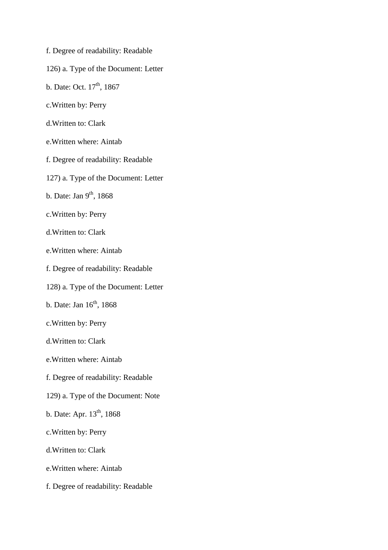- f. Degree of readability: Readable
- 126) a. Type of the Document: Letter
- b. Date: Oct.  $17^{th}$ , 1867
- c.Written by: Perry
- d.Written to: Clark
- e.Written where: Aintab
- f. Degree of readability: Readable
- 127) a. Type of the Document: Letter
- b. Date: Jan  $9<sup>th</sup>$ , 1868
- c.Written by: Perry
- d.Written to: Clark
- e.Written where: Aintab
- f. Degree of readability: Readable
- 128) a. Type of the Document: Letter
- b. Date: Jan  $16<sup>th</sup>$ , 1868
- c.Written by: Perry
- d.Written to: Clark
- e.Written where: Aintab
- f. Degree of readability: Readable
- 129) a. Type of the Document: Note
- b. Date: Apr.  $13^{th}$ , 1868
- c.Written by: Perry
- d.Written to: Clark
- e.Written where: Aintab
- f. Degree of readability: Readable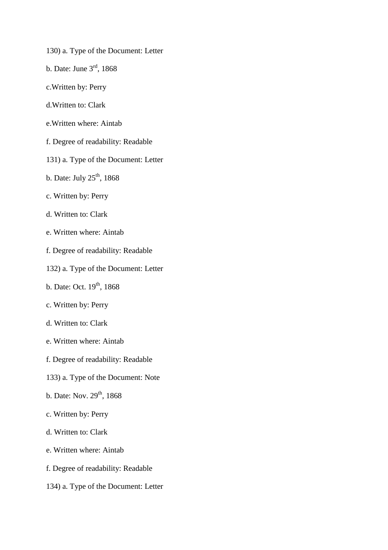- 130) a. Type of the Document: Letter
- b. Date: June 3rd, 1868
- c.Written by: Perry
- d.Written to: Clark
- e.Written where: Aintab
- f. Degree of readability: Readable
- 131) a. Type of the Document: Letter
- b. Date: July  $25<sup>th</sup>$ , 1868
- c. Written by: Perry
- d. Written to: Clark
- e. Written where: Aintab
- f. Degree of readability: Readable
- 132) a. Type of the Document: Letter
- b. Date: Oct. 19<sup>th</sup>, 1868
- c. Written by: Perry
- d. Written to: Clark
- e. Written where: Aintab
- f. Degree of readability: Readable
- 133) a. Type of the Document: Note
- b. Date: Nov.  $29^{th}$ , 1868
- c. Written by: Perry
- d. Written to: Clark
- e. Written where: Aintab
- f. Degree of readability: Readable
- 134) a. Type of the Document: Letter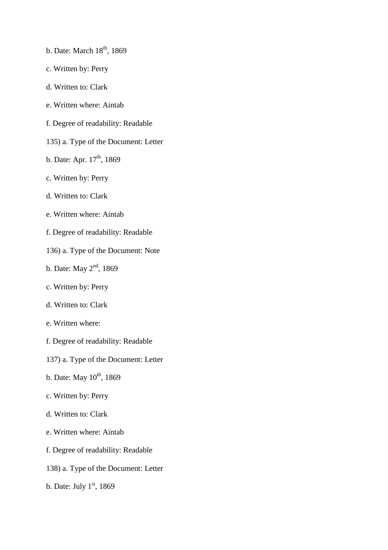- b. Date: March  $18<sup>th</sup>$ , 1869
- c. Written by: Perry
- d. Written to: Clark
- e. Written where: Aintab
- f. Degree of readability: Readable
- 135) a. Type of the Document: Letter
- b. Date: Apr.  $17<sup>th</sup>$ , 1869
- c. Written by: Perry
- d. Written to: Clark
- e. Written where: Aintab
- f. Degree of readability: Readable
- 136) a. Type of the Document: Note
- b. Date: May 2<sup>nd</sup>, 1869
- c. Written by: Perry
- d. Written to: Clark
- e. Written where:
- f. Degree of readability: Readable
- 137) a. Type of the Document: Letter
- b. Date: May  $10^{th}$ , 1869
- c. Written by: Perry
- d. Written to: Clark
- e. Written where: Aintab
- f. Degree of readability: Readable
- 138) a. Type of the Document: Letter
- b. Date: July  $1<sup>st</sup>$ , 1869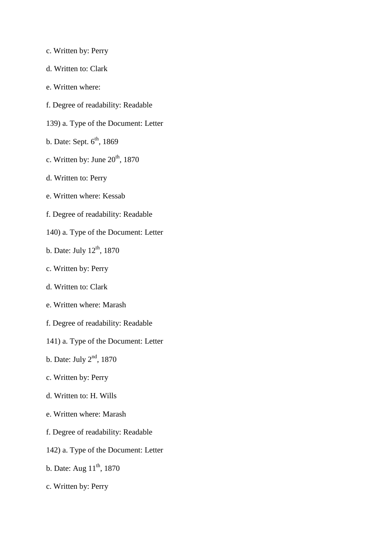- c. Written by: Perry
- d. Written to: Clark
- e. Written where:
- f. Degree of readability: Readable
- 139) a. Type of the Document: Letter
- b. Date: Sept.  $6<sup>th</sup>$ , 1869
- c. Written by: June  $20<sup>th</sup>$ , 1870
- d. Written to: Perry
- e. Written where: Kessab
- f. Degree of readability: Readable
- 140) a. Type of the Document: Letter
- b. Date: July  $12<sup>th</sup>$ , 1870
- c. Written by: Perry
- d. Written to: Clark
- e. Written where: Marash
- f. Degree of readability: Readable
- 141) a. Type of the Document: Letter
- b. Date: July  $2<sup>nd</sup>$ , 1870
- c. Written by: Perry
- d. Written to: H. Wills
- e. Written where: Marash
- f. Degree of readability: Readable
- 142) a. Type of the Document: Letter
- b. Date: Aug  $11^{th}$ , 1870
- c. Written by: Perry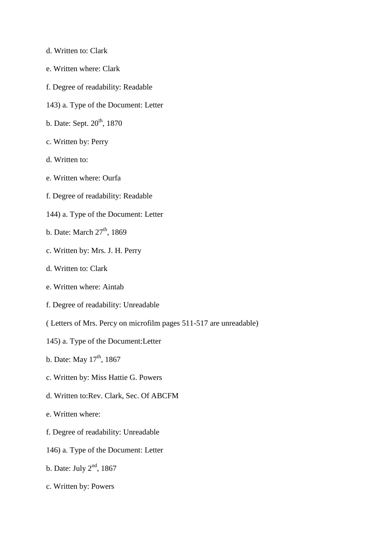- d. Written to: Clark
- e. Written where: Clark
- f. Degree of readability: Readable
- 143) a. Type of the Document: Letter
- b. Date: Sept.  $20^{th}$ , 1870
- c. Written by: Perry
- d. Written to:
- e. Written where: Ourfa
- f. Degree of readability: Readable
- 144) a. Type of the Document: Letter
- b. Date: March  $27<sup>th</sup>$ , 1869
- c. Written by: Mrs. J. H. Perry
- d. Written to: Clark
- e. Written where: Aintab
- f. Degree of readability: Unreadable
- ( Letters of Mrs. Percy on microfilm pages 511-517 are unreadable)
- 145) a. Type of the Document:Letter
- b. Date: May  $17^{th}$ , 1867
- c. Written by: Miss Hattie G. Powers
- d. Written to:Rev. Clark, Sec. Of ABCFM
- e. Written where:
- f. Degree of readability: Unreadable
- 146) a. Type of the Document: Letter
- b. Date: July  $2<sup>nd</sup>$ , 1867
- c. Written by: Powers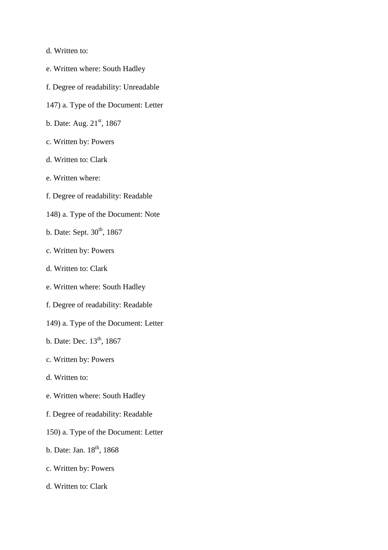- d. Written to:
- e. Written where: South Hadley
- f. Degree of readability: Unreadable
- 147) a. Type of the Document: Letter
- b. Date: Aug. 21<sup>st</sup>, 1867
- c. Written by: Powers
- d. Written to: Clark
- e. Written where:
- f. Degree of readability: Readable
- 148) a. Type of the Document: Note
- b. Date: Sept.  $30<sup>th</sup>$ , 1867
- c. Written by: Powers
- d. Written to: Clark
- e. Written where: South Hadley
- f. Degree of readability: Readable
- 149) a. Type of the Document: Letter
- b. Date: Dec. 13<sup>th</sup>, 1867
- c. Written by: Powers
- d. Written to:
- e. Written where: South Hadley
- f. Degree of readability: Readable
- 150) a. Type of the Document: Letter
- b. Date: Jan. 18<sup>th</sup>, 1868
- c. Written by: Powers
- d. Written to: Clark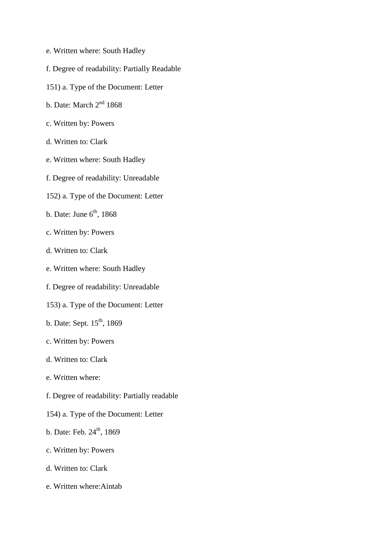- e. Written where: South Hadley
- f. Degree of readability: Partially Readable
- 151) a. Type of the Document: Letter
- b. Date: March 2<sup>nd</sup> 1868
- c. Written by: Powers
- d. Written to: Clark
- e. Written where: South Hadley
- f. Degree of readability: Unreadable
- 152) a. Type of the Document: Letter
- b. Date: June  $6<sup>th</sup>$ , 1868
- c. Written by: Powers
- d. Written to: Clark
- e. Written where: South Hadley
- f. Degree of readability: Unreadable
- 153) a. Type of the Document: Letter
- b. Date: Sept. 15<sup>th</sup>, 1869
- c. Written by: Powers
- d. Written to: Clark
- e. Written where:
- f. Degree of readability: Partially readable
- 154) a. Type of the Document: Letter
- b. Date: Feb.  $24^{th}$ , 1869
- c. Written by: Powers
- d. Written to: Clark
- e. Written where:Aintab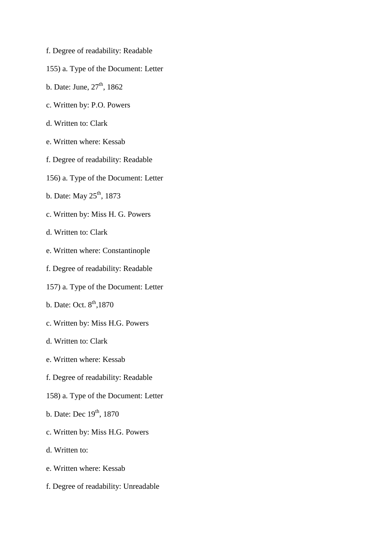- f. Degree of readability: Readable
- 155) a. Type of the Document: Letter
- b. Date: June,  $27<sup>th</sup>$ , 1862
- c. Written by: P.O. Powers
- d. Written to: Clark
- e. Written where: Kessab
- f. Degree of readability: Readable
- 156) a. Type of the Document: Letter
- b. Date: May 25<sup>th</sup>, 1873
- c. Written by: Miss H. G. Powers
- d. Written to: Clark
- e. Written where: Constantinople
- f. Degree of readability: Readable
- 157) a. Type of the Document: Letter
- b. Date: Oct.  $8^{th}$ , 1870
- c. Written by: Miss H.G. Powers
- d. Written to: Clark
- e. Written where: Kessab
- f. Degree of readability: Readable
- 158) a. Type of the Document: Letter
- b. Date: Dec  $19^{th}$ ,  $1870$
- c. Written by: Miss H.G. Powers
- d. Written to:
- e. Written where: Kessab
- f. Degree of readability: Unreadable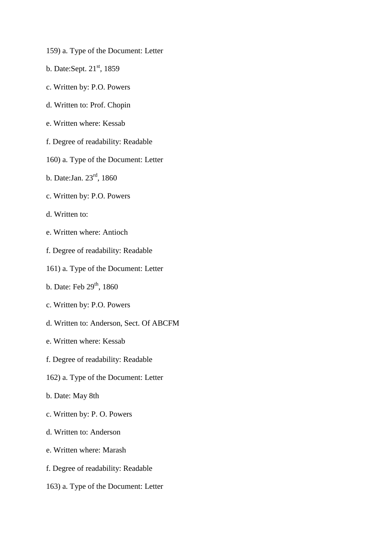- 159) a. Type of the Document: Letter
- b. Date:Sept.  $21<sup>st</sup>$ , 1859
- c. Written by: P.O. Powers
- d. Written to: Prof. Chopin
- e. Written where: Kessab
- f. Degree of readability: Readable
- 160) a. Type of the Document: Letter
- b. Date:Jan. 23rd, 1860
- c. Written by: P.O. Powers
- d. Written to:
- e. Written where: Antioch
- f. Degree of readability: Readable
- 161) a. Type of the Document: Letter
- b. Date: Feb  $29<sup>th</sup>$ , 1860
- c. Written by: P.O. Powers
- d. Written to: Anderson, Sect. Of ABCFM
- e. Written where: Kessab
- f. Degree of readability: Readable
- 162) a. Type of the Document: Letter
- b. Date: May 8th
- c. Written by: P. O. Powers
- d. Written to: Anderson
- e. Written where: Marash
- f. Degree of readability: Readable
- 163) a. Type of the Document: Letter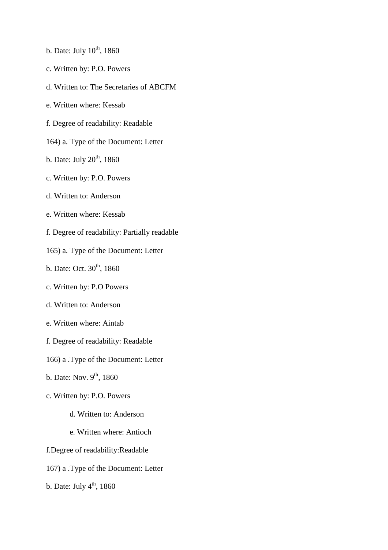- b. Date: July  $10^{th}$ , 1860
- c. Written by: P.O. Powers
- d. Written to: The Secretaries of ABCFM
- e. Written where: Kessab
- f. Degree of readability: Readable
- 164) a. Type of the Document: Letter
- b. Date: July  $20<sup>th</sup>$ , 1860
- c. Written by: P.O. Powers
- d. Written to: Anderson
- e. Written where: Kessab
- f. Degree of readability: Partially readable
- 165) a. Type of the Document: Letter
- b. Date: Oct.  $30^{th}$ , 1860
- c. Written by: P.O Powers
- d. Written to: Anderson
- e. Written where: Aintab
- f. Degree of readability: Readable
- 166) a .Type of the Document: Letter
- b. Date: Nov.  $9<sup>th</sup>$ , 1860
- c. Written by: P.O. Powers
	- d. Written to: Anderson
	- e. Written where: Antioch
- f.Degree of readability:Readable
- 167) a .Type of the Document: Letter
- b. Date: July  $4<sup>th</sup>$ , 1860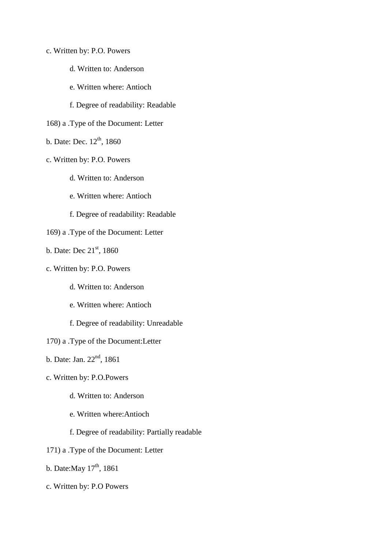- c. Written by: P.O. Powers
	- d. Written to: Anderson
	- e. Written where: Antioch
	- f. Degree of readability: Readable
- 168) a .Type of the Document: Letter
- b. Date: Dec.  $12^{th}$ , 1860
- c. Written by: P.O. Powers
	- d. Written to: Anderson
	- e. Written where: Antioch
	- f. Degree of readability: Readable
- 169) a .Type of the Document: Letter
- b. Date: Dec  $21<sup>st</sup>$ , 1860
- c. Written by: P.O. Powers
	- d. Written to: Anderson
	- e. Written where: Antioch
	- f. Degree of readability: Unreadable
- 170) a .Type of the Document:Letter
- b. Date: Jan.  $22<sup>nd</sup>$ , 1861
- c. Written by: P.O.Powers
	- d. Written to: Anderson
	- e. Written where:Antioch
	- f. Degree of readability: Partially readable
- 171) a .Type of the Document: Letter
- b. Date: May  $17^{th}$ , 1861
- c. Written by: P.O Powers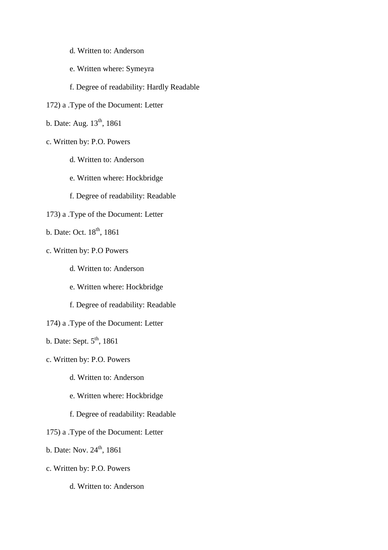- d. Written to: Anderson
- e. Written where: Symeyra
- f. Degree of readability: Hardly Readable
- 172) a .Type of the Document: Letter
- b. Date: Aug. 13<sup>th</sup>, 1861
- c. Written by: P.O. Powers
	- d. Written to: Anderson
	- e. Written where: Hockbridge
	- f. Degree of readability: Readable
- 173) a .Type of the Document: Letter
- b. Date: Oct. 18<sup>th</sup>, 1861
- c. Written by: P.O Powers
	- d. Written to: Anderson
	- e. Written where: Hockbridge
	- f. Degree of readability: Readable
- 174) a .Type of the Document: Letter
- b. Date: Sept.  $5<sup>th</sup>$ , 1861
- c. Written by: P.O. Powers
	- d. Written to: Anderson
	- e. Written where: Hockbridge
	- f. Degree of readability: Readable
- 175) a .Type of the Document: Letter
- b. Date: Nov.  $24^{th}$ , 1861
- c. Written by: P.O. Powers
	- d. Written to: Anderson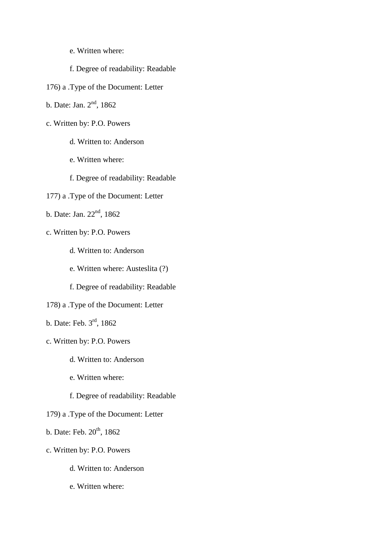- e. Written where:
- f. Degree of readability: Readable
- 176) a .Type of the Document: Letter
- b. Date: Jan. 2nd, 1862
- c. Written by: P.O. Powers
	- d. Written to: Anderson
	- e. Written where:
	- f. Degree of readability: Readable
- 177) a .Type of the Document: Letter
- b. Date: Jan. 22<sup>nd</sup>, 1862
- c. Written by: P.O. Powers
	- d. Written to: Anderson
	- e. Written where: Austeslita (?)
	- f. Degree of readability: Readable
- 178) a .Type of the Document: Letter
- b. Date: Feb. 3rd, 1862
- c. Written by: P.O. Powers
	- d. Written to: Anderson
	- e. Written where:
	- f. Degree of readability: Readable
- 179) a .Type of the Document: Letter
- b. Date: Feb.  $20^{th}$ , 1862
- c. Written by: P.O. Powers
	- d. Written to: Anderson
	- e. Written where: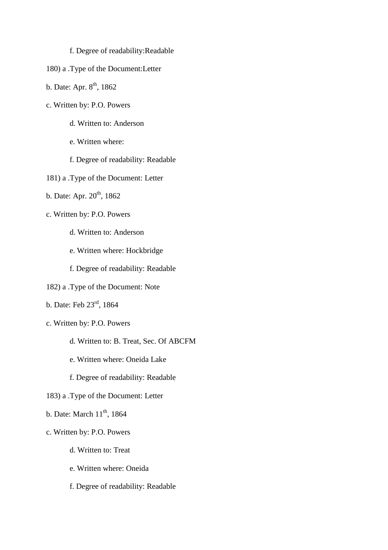## f. Degree of readability:Readable

- 180) a .Type of the Document:Letter
- b. Date: Apr.  $8^{th}$ , 1862
- c. Written by: P.O. Powers
	- d. Written to: Anderson
	- e. Written where:
	- f. Degree of readability: Readable
- 181) a .Type of the Document: Letter
- b. Date: Apr.  $20^{th}$ , 1862
- c. Written by: P.O. Powers
	- d. Written to: Anderson
	- e. Written where: Hockbridge
	- f. Degree of readability: Readable
- 182) a .Type of the Document: Note
- b. Date: Feb 23rd, 1864
- c. Written by: P.O. Powers
	- d. Written to: B. Treat, Sec. Of ABCFM
	- e. Written where: Oneida Lake
	- f. Degree of readability: Readable
- 183) a .Type of the Document: Letter
- b. Date: March  $11<sup>th</sup>$ , 1864
- c. Written by: P.O. Powers
	- d. Written to: Treat
	- e. Written where: Oneida
	- f. Degree of readability: Readable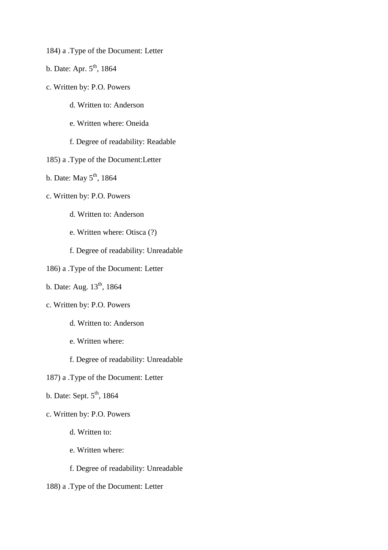- 184) a .Type of the Document: Letter
- b. Date: Apr.  $5<sup>th</sup>$ , 1864
- c. Written by: P.O. Powers
	- d. Written to: Anderson
	- e. Written where: Oneida
	- f. Degree of readability: Readable
- 185) a .Type of the Document:Letter
- b. Date: May  $5<sup>th</sup>$ , 1864
- c. Written by: P.O. Powers
	- d. Written to: Anderson
	- e. Written where: Otisca (?)
	- f. Degree of readability: Unreadable
- 186) a .Type of the Document: Letter
- b. Date: Aug.  $13^{th}$ , 1864
- c. Written by: P.O. Powers
	- d. Written to: Anderson
	- e. Written where:
	- f. Degree of readability: Unreadable
- 187) a .Type of the Document: Letter
- b. Date: Sept.  $5<sup>th</sup>$ , 1864
- c. Written by: P.O. Powers
	- d. Written to:
	- e. Written where:
	- f. Degree of readability: Unreadable
- 188) a .Type of the Document: Letter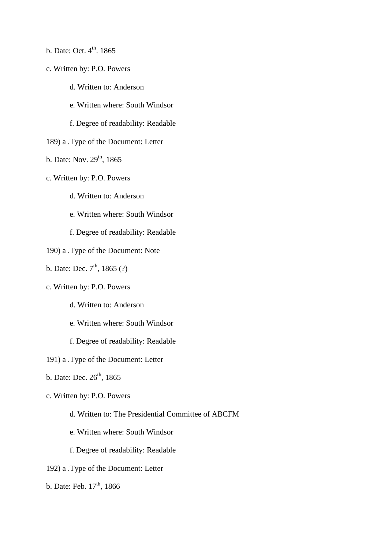- b. Date: Oct.  $4<sup>th</sup>$ . 1865
- c. Written by: P.O. Powers
	- d. Written to: Anderson
	- e. Written where: South Windsor
	- f. Degree of readability: Readable
- 189) a .Type of the Document: Letter
- b. Date: Nov. 29<sup>th</sup>, 1865
- c. Written by: P.O. Powers
	- d. Written to: Anderson
	- e. Written where: South Windsor
	- f. Degree of readability: Readable
- 190) a .Type of the Document: Note
- b. Date: Dec.  $7^{th}$ , 1865 (?)
- c. Written by: P.O. Powers
	- d. Written to: Anderson
	- e. Written where: South Windsor
	- f. Degree of readability: Readable
- 191) a .Type of the Document: Letter
- b. Date: Dec.  $26^{th}$ , 1865
- c. Written by: P.O. Powers
	- d. Written to: The Presidential Committee of ABCFM
	- e. Written where: South Windsor
	- f. Degree of readability: Readable
- 192) a .Type of the Document: Letter
- b. Date: Feb.  $17<sup>th</sup>$ , 1866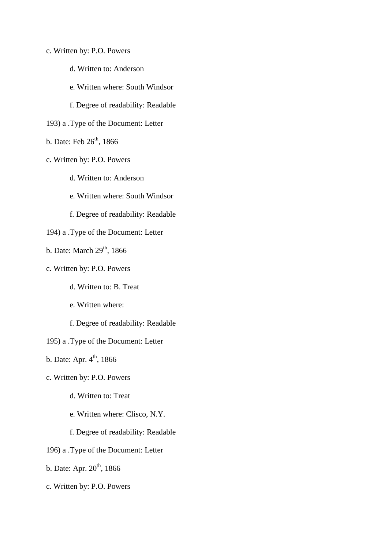- c. Written by: P.O. Powers
	- d. Written to: Anderson
	- e. Written where: South Windsor
	- f. Degree of readability: Readable
- 193) a .Type of the Document: Letter
- b. Date: Feb  $26<sup>th</sup>$ , 1866
- c. Written by: P.O. Powers
	- d. Written to: Anderson
	- e. Written where: South Windsor
	- f. Degree of readability: Readable
- 194) a .Type of the Document: Letter
- b. Date: March  $29<sup>th</sup>$ , 1866
- c. Written by: P.O. Powers
	- d. Written to: B. Treat
	- e. Written where:
	- f. Degree of readability: Readable
- 195) a .Type of the Document: Letter
- b. Date: Apr.  $4^{th}$ , 1866
- c. Written by: P.O. Powers
	- d. Written to: Treat
	- e. Written where: Clisco, N.Y.
	- f. Degree of readability: Readable
- 196) a .Type of the Document: Letter
- b. Date: Apr.  $20^{th}$ , 1866
- c. Written by: P.O. Powers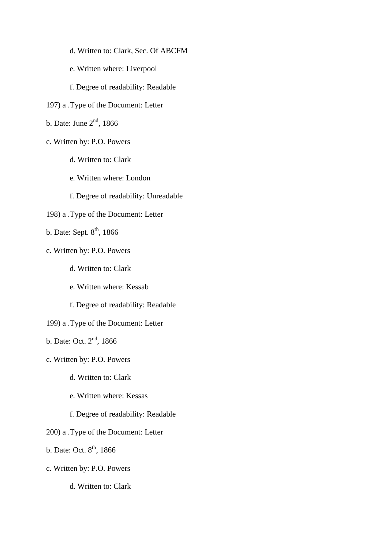- d. Written to: Clark, Sec. Of ABCFM
- e. Written where: Liverpool
- f. Degree of readability: Readable
- 197) a .Type of the Document: Letter
- b. Date: June  $2<sup>nd</sup>$ , 1866
- c. Written by: P.O. Powers
	- d. Written to: Clark
	- e. Written where: London
	- f. Degree of readability: Unreadable
- 198) a .Type of the Document: Letter
- b. Date: Sept.  $8<sup>th</sup>$ , 1866
- c. Written by: P.O. Powers
	- d. Written to: Clark
	- e. Written where: Kessab
	- f. Degree of readability: Readable
- 199) a .Type of the Document: Letter
- b. Date: Oct. 2<sup>nd</sup>, 1866
- c. Written by: P.O. Powers
	- d. Written to: Clark
	- e. Written where: Kessas
	- f. Degree of readability: Readable
- 200) a .Type of the Document: Letter
- b. Date: Oct.  $8^{th}$ , 1866
- c. Written by: P.O. Powers
	- d. Written to: Clark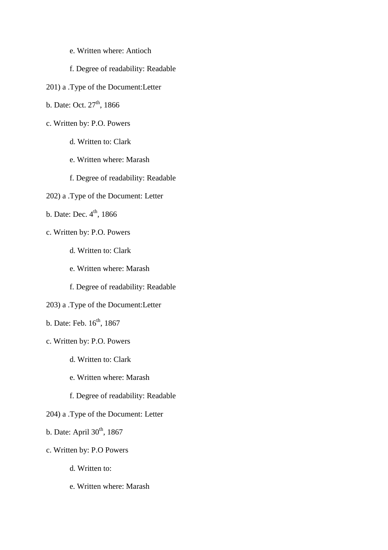- e. Written where: Antioch
- f. Degree of readability: Readable
- 201) a .Type of the Document:Letter
- b. Date: Oct.  $27<sup>th</sup>$ , 1866
- c. Written by: P.O. Powers
	- d. Written to: Clark
	- e. Written where: Marash
	- f. Degree of readability: Readable
- 202) a .Type of the Document: Letter
- b. Date: Dec.  $4^{\text{th}}$ , 1866
- c. Written by: P.O. Powers
	- d. Written to: Clark
	- e. Written where: Marash
	- f. Degree of readability: Readable
- 203) a .Type of the Document:Letter
- b. Date: Feb.  $16^{th}$ , 1867
- c. Written by: P.O. Powers
	- d. Written to: Clark
	- e. Written where: Marash
	- f. Degree of readability: Readable
- 204) a .Type of the Document: Letter
- b. Date: April  $30<sup>th</sup>$ , 1867
- c. Written by: P.O Powers
	- d. Written to:
	- e. Written where: Marash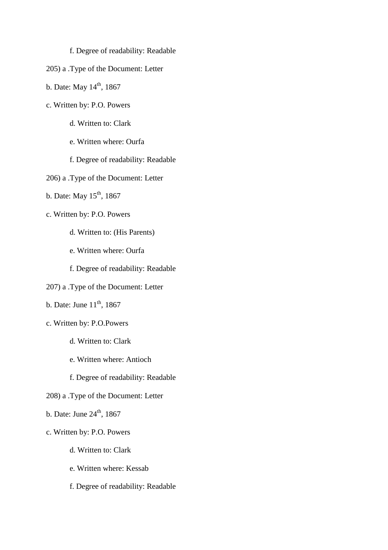## f. Degree of readability: Readable

- 205) a .Type of the Document: Letter
- b. Date: May  $14^{th}$ , 1867
- c. Written by: P.O. Powers
	- d. Written to: Clark
	- e. Written where: Ourfa
	- f. Degree of readability: Readable
- 206) a .Type of the Document: Letter
- b. Date: May  $15^{th}$ , 1867
- c. Written by: P.O. Powers
	- d. Written to: (His Parents)
	- e. Written where: Ourfa
	- f. Degree of readability: Readable
- 207) a .Type of the Document: Letter
- b. Date: June  $11<sup>th</sup>$ , 1867
- c. Written by: P.O.Powers
	- d. Written to: Clark
	- e. Written where: Antioch
	- f. Degree of readability: Readable
- 208) a .Type of the Document: Letter
- b. Date: June  $24<sup>th</sup>$ , 1867
- c. Written by: P.O. Powers
	- d. Written to: Clark
	- e. Written where: Kessab
	- f. Degree of readability: Readable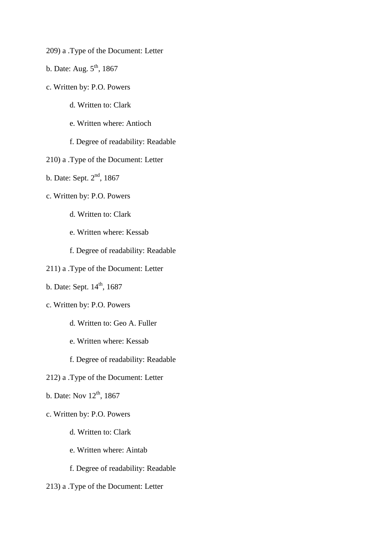- 209) a .Type of the Document: Letter
- b. Date: Aug.  $5<sup>th</sup>$ , 1867
- c. Written by: P.O. Powers
	- d. Written to: Clark
	- e. Written where: Antioch
	- f. Degree of readability: Readable
- 210) a .Type of the Document: Letter
- b. Date: Sept. 2nd, 1867
- c. Written by: P.O. Powers
	- d. Written to: Clark
	- e. Written where: Kessab
	- f. Degree of readability: Readable
- 211) a .Type of the Document: Letter
- b. Date: Sept.  $14<sup>th</sup>$ , 1687
- c. Written by: P.O. Powers
	- d. Written to: Geo A. Fuller
	- e. Written where: Kessab
	- f. Degree of readability: Readable
- 212) a .Type of the Document: Letter
- b. Date: Nov  $12^{th}$ , 1867
- c. Written by: P.O. Powers
	- d. Written to: Clark
	- e. Written where: Aintab
	- f. Degree of readability: Readable
- 213) a .Type of the Document: Letter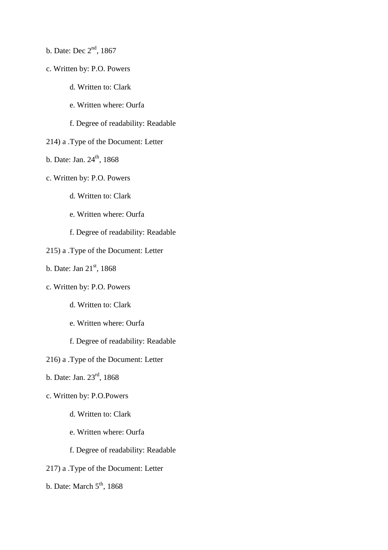- b. Date: Dec 2<sup>nd</sup>, 1867
- c. Written by: P.O. Powers
	- d. Written to: Clark
	- e. Written where: Ourfa
	- f. Degree of readability: Readable
- 214) a .Type of the Document: Letter
- b. Date: Jan.  $24^{th}$ , 1868
- c. Written by: P.O. Powers
	- d. Written to: Clark
	- e. Written where: Ourfa
	- f. Degree of readability: Readable
- 215) a .Type of the Document: Letter
- b. Date: Jan  $21<sup>st</sup>$ , 1868
- c. Written by: P.O. Powers
	- d. Written to: Clark
	- e. Written where: Ourfa
	- f. Degree of readability: Readable
- 216) a .Type of the Document: Letter
- b. Date: Jan. 23rd, 1868
- c. Written by: P.O.Powers
	- d. Written to: Clark
	- e. Written where: Ourfa
	- f. Degree of readability: Readable
- 217) a .Type of the Document: Letter
- b. Date: March  $5<sup>th</sup>$ , 1868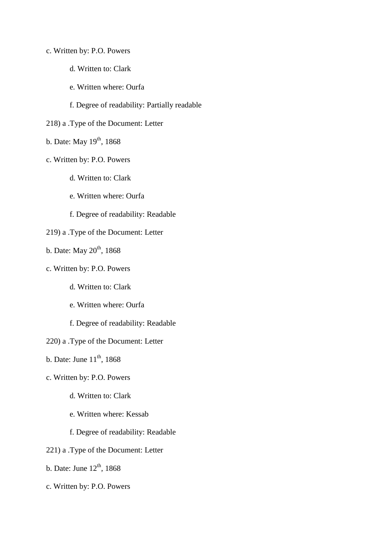- c. Written by: P.O. Powers
	- d. Written to: Clark
	- e. Written where: Ourfa

f. Degree of readability: Partially readable

- 218) a .Type of the Document: Letter
- b. Date: May  $19<sup>th</sup>$ , 1868
- c. Written by: P.O. Powers
	- d. Written to: Clark
	- e. Written where: Ourfa
	- f. Degree of readability: Readable
- 219) a .Type of the Document: Letter
- b. Date: May  $20^{th}$ , 1868
- c. Written by: P.O. Powers
	- d. Written to: Clark
	- e. Written where: Ourfa
	- f. Degree of readability: Readable
- 220) a .Type of the Document: Letter
- b. Date: June  $11<sup>th</sup>$ , 1868
- c. Written by: P.O. Powers
	- d. Written to: Clark
	- e. Written where: Kessab
	- f. Degree of readability: Readable
- 221) a .Type of the Document: Letter
- b. Date: June  $12<sup>th</sup>$ , 1868
- c. Written by: P.O. Powers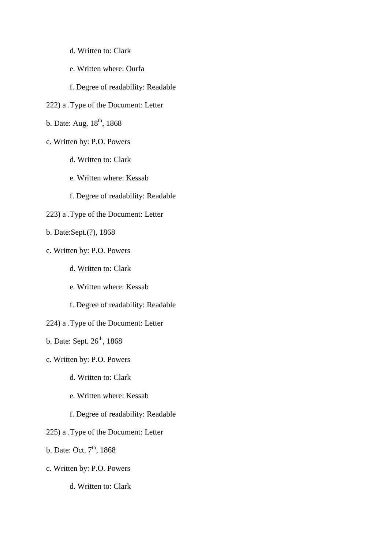- d. Written to: Clark
- e. Written where: Ourfa
- f. Degree of readability: Readable
- 222) a .Type of the Document: Letter
- b. Date: Aug.  $18^{th}$ , 1868
- c. Written by: P.O. Powers
	- d. Written to: Clark
	- e. Written where: Kessab
	- f. Degree of readability: Readable
- 223) a .Type of the Document: Letter
- b. Date:Sept.(?), 1868
- c. Written by: P.O. Powers
	- d. Written to: Clark
	- e. Written where: Kessab
	- f. Degree of readability: Readable
- 224) a .Type of the Document: Letter
- b. Date: Sept.  $26<sup>th</sup>$ , 1868
- c. Written by: P.O. Powers
	- d. Written to: Clark
	- e. Written where: Kessab
	- f. Degree of readability: Readable
- 225) a .Type of the Document: Letter
- b. Date: Oct.  $7<sup>th</sup>$ , 1868
- c. Written by: P.O. Powers
	- d. Written to: Clark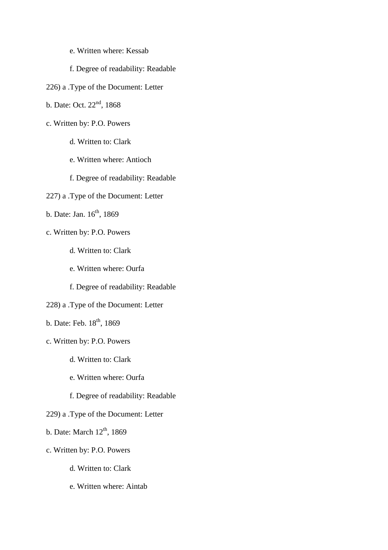- e. Written where: Kessab
- f. Degree of readability: Readable
- 226) a .Type of the Document: Letter
- b. Date: Oct. 22<sup>nd</sup>, 1868
- c. Written by: P.O. Powers
	- d. Written to: Clark
	- e. Written where: Antioch
	- f. Degree of readability: Readable
- 227) a .Type of the Document: Letter
- b. Date: Jan.  $16^{th}$ , 1869
- c. Written by: P.O. Powers
	- d. Written to: Clark
	- e. Written where: Ourfa
	- f. Degree of readability: Readable
- 228) a .Type of the Document: Letter
- b. Date: Feb. 18<sup>th</sup>, 1869
- c. Written by: P.O. Powers
	- d. Written to: Clark
	- e. Written where: Ourfa
	- f. Degree of readability: Readable
- 229) a .Type of the Document: Letter
- b. Date: March  $12<sup>th</sup>$ , 1869
- c. Written by: P.O. Powers
	- d. Written to: Clark
	- e. Written where: Aintab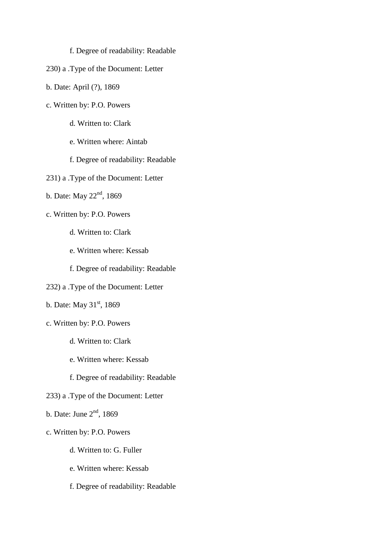## f. Degree of readability: Readable

- 230) a .Type of the Document: Letter
- b. Date: April (?), 1869
- c. Written by: P.O. Powers
	- d. Written to: Clark
	- e. Written where: Aintab
	- f. Degree of readability: Readable
- 231) a .Type of the Document: Letter
- b. Date: May 22<sup>nd</sup>, 1869
- c. Written by: P.O. Powers
	- d. Written to: Clark
	- e. Written where: Kessab
	- f. Degree of readability: Readable
- 232) a .Type of the Document: Letter
- b. Date: May  $31<sup>st</sup>$ , 1869
- c. Written by: P.O. Powers
	- d. Written to: Clark
	- e. Written where: Kessab
	- f. Degree of readability: Readable
- 233) a .Type of the Document: Letter
- b. Date: June  $2<sup>nd</sup>$ , 1869
- c. Written by: P.O. Powers
	- d. Written to: G. Fuller
	- e. Written where: Kessab
	- f. Degree of readability: Readable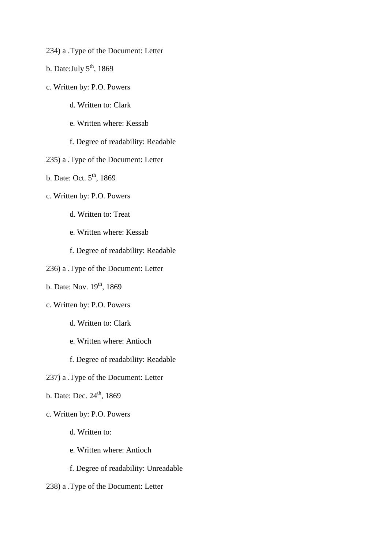- 234) a .Type of the Document: Letter
- b. Date: July  $5<sup>th</sup>$ , 1869
- c. Written by: P.O. Powers
	- d. Written to: Clark
	- e. Written where: Kessab
	- f. Degree of readability: Readable
- 235) a .Type of the Document: Letter
- b. Date: Oct.  $5<sup>th</sup>$ , 1869
- c. Written by: P.O. Powers
	- d. Written to: Treat
	- e. Written where: Kessab
	- f. Degree of readability: Readable
- 236) a .Type of the Document: Letter
- b. Date: Nov. 19<sup>th</sup>, 1869
- c. Written by: P.O. Powers
	- d. Written to: Clark
	- e. Written where: Antioch
	- f. Degree of readability: Readable
- 237) a .Type of the Document: Letter
- b. Date: Dec.  $24^{th}$ , 1869
- c. Written by: P.O. Powers
	- d. Written to:
	- e. Written where: Antioch
	- f. Degree of readability: Unreadable
- 238) a .Type of the Document: Letter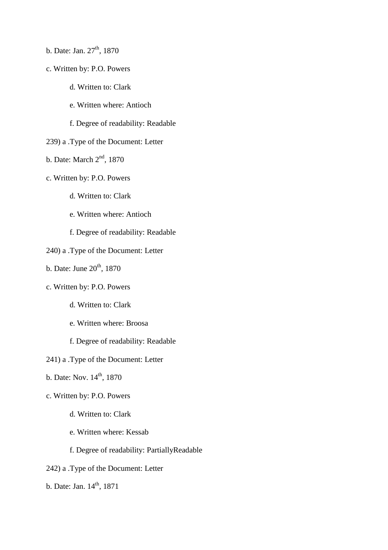- b. Date: Jan.  $27<sup>th</sup>$ , 1870
- c. Written by: P.O. Powers
	- d. Written to: Clark
	- e. Written where: Antioch
	- f. Degree of readability: Readable
- 239) a .Type of the Document: Letter
- b. Date: March  $2<sup>nd</sup>$ , 1870
- c. Written by: P.O. Powers
	- d. Written to: Clark
	- e. Written where: Antioch
	- f. Degree of readability: Readable
- 240) a .Type of the Document: Letter
- b. Date: June  $20<sup>th</sup>$ , 1870
- c. Written by: P.O. Powers
	- d. Written to: Clark
	- e. Written where: Broosa
	- f. Degree of readability: Readable
- 241) a .Type of the Document: Letter
- b. Date: Nov.  $14^{th}$ , 1870
- c. Written by: P.O. Powers
	- d. Written to: Clark
	- e. Written where: Kessab
	- f. Degree of readability: PartiallyReadable
- 242) a .Type of the Document: Letter
- b. Date: Jan. 14<sup>th</sup>, 1871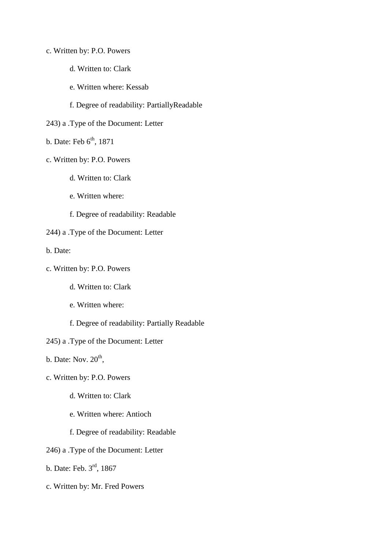- c. Written by: P.O. Powers
	- d. Written to: Clark
	- e. Written where: Kessab

f. Degree of readability: PartiallyReadable

- 243) a .Type of the Document: Letter
- b. Date: Feb  $6<sup>th</sup>$ , 1871
- c. Written by: P.O. Powers
	- d. Written to: Clark
	- e. Written where:
	- f. Degree of readability: Readable
- 244) a .Type of the Document: Letter

b. Date:

- c. Written by: P.O. Powers
	- d. Written to: Clark
	- e. Written where:
	- f. Degree of readability: Partially Readable
- 245) a .Type of the Document: Letter
- b. Date: Nov.  $20<sup>th</sup>$ ,
- c. Written by: P.O. Powers
	- d. Written to: Clark
	- e. Written where: Antioch
	- f. Degree of readability: Readable
- 246) a .Type of the Document: Letter
- b. Date: Feb. 3rd, 1867
- c. Written by: Mr. Fred Powers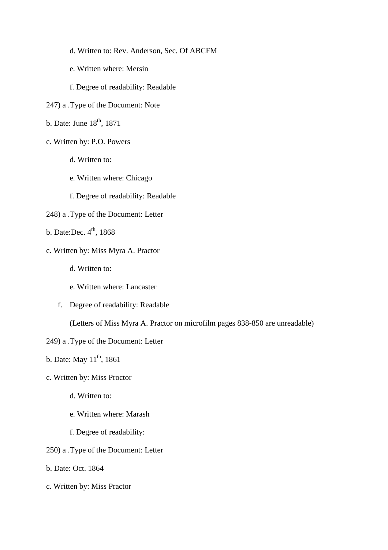- d. Written to: Rev. Anderson, Sec. Of ABCFM
- e. Written where: Mersin
- f. Degree of readability: Readable
- 247) a .Type of the Document: Note
- b. Date: June  $18<sup>th</sup>$ , 1871
- c. Written by: P.O. Powers
	- d. Written to:
	- e. Written where: Chicago
	- f. Degree of readability: Readable
- 248) a .Type of the Document: Letter
- b. Date:Dec.  $4<sup>th</sup>$ , 1868
- c. Written by: Miss Myra A. Practor
	- d. Written to:
	- e. Written where: Lancaster
	- f. Degree of readability: Readable

(Letters of Miss Myra A. Practor on microfilm pages 838-850 are unreadable)

249) a .Type of the Document: Letter

b. Date: May  $11^{th}$ , 1861

- c. Written by: Miss Proctor
	- d. Written to:
	- e. Written where: Marash
	- f. Degree of readability:
- 250) a .Type of the Document: Letter
- b. Date: Oct. 1864
- c. Written by: Miss Practor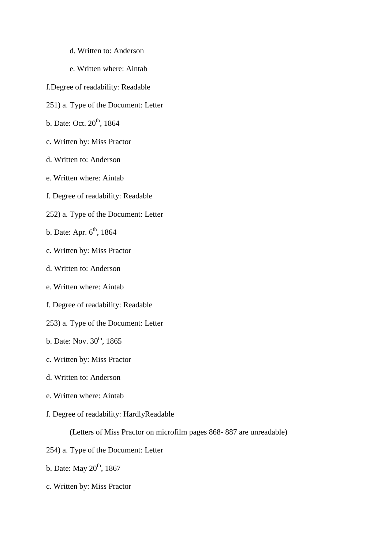- d. Written to: Anderson
- e. Written where: Aintab
- f.Degree of readability: Readable
- 251) a. Type of the Document: Letter
- b. Date: Oct. 20<sup>th</sup>, 1864
- c. Written by: Miss Practor
- d. Written to: Anderson
- e. Written where: Aintab
- f. Degree of readability: Readable
- 252) a. Type of the Document: Letter
- b. Date: Apr.  $6<sup>th</sup>$ , 1864
- c. Written by: Miss Practor
- d. Written to: Anderson
- e. Written where: Aintab
- f. Degree of readability: Readable
- 253) a. Type of the Document: Letter
- b. Date: Nov.  $30^{th}$ , 1865
- c. Written by: Miss Practor
- d. Written to: Anderson
- e. Written where: Aintab
- f. Degree of readability: HardlyReadable

(Letters of Miss Practor on microfilm pages 868- 887 are unreadable)

- 254) a. Type of the Document: Letter
- b. Date: May  $20<sup>th</sup>$ , 1867
- c. Written by: Miss Practor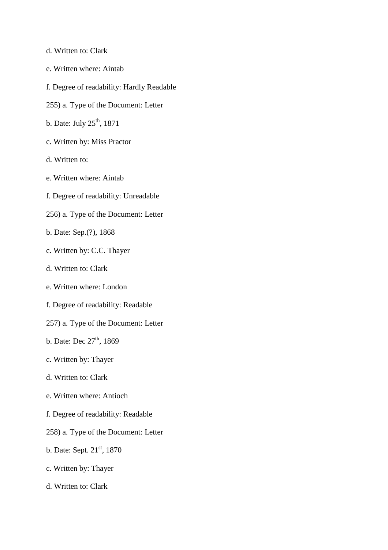- d. Written to: Clark
- e. Written where: Aintab
- f. Degree of readability: Hardly Readable
- 255) a. Type of the Document: Letter
- b. Date: July 25<sup>th</sup>, 1871
- c. Written by: Miss Practor
- d. Written to:
- e. Written where: Aintab
- f. Degree of readability: Unreadable
- 256) a. Type of the Document: Letter
- b. Date: Sep.(?), 1868
- c. Written by: C.C. Thayer
- d. Written to: Clark
- e. Written where: London
- f. Degree of readability: Readable
- 257) a. Type of the Document: Letter
- b. Date: Dec  $27<sup>th</sup>$ , 1869
- c. Written by: Thayer
- d. Written to: Clark
- e. Written where: Antioch
- f. Degree of readability: Readable
- 258) a. Type of the Document: Letter
- b. Date: Sept. 21<sup>st</sup>, 1870
- c. Written by: Thayer
- d. Written to: Clark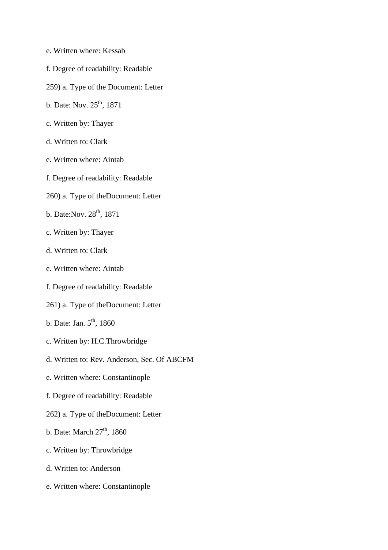- e. Written where: Kessab
- f. Degree of readability: Readable
- 259) a. Type of the Document: Letter
- b. Date: Nov. 25<sup>th</sup>, 1871
- c. Written by: Thayer
- d. Written to: Clark
- e. Written where: Aintab
- f. Degree of readability: Readable
- 260) a. Type of theDocument: Letter
- b. Date: Nov. 28<sup>th</sup>, 1871
- c. Written by: Thayer
- d. Written to: Clark
- e. Written where: Aintab
- f. Degree of readability: Readable
- 261) a. Type of theDocument: Letter
- b. Date: Jan.  $5<sup>th</sup>$ , 1860
- c. Written by: H.C.Throwbridge
- d. Written to: Rev. Anderson, Sec. Of ABCFM
- e. Written where: Constantinople
- f. Degree of readability: Readable
- 262) a. Type of theDocument: Letter
- b. Date: March  $27<sup>th</sup>$ , 1860
- c. Written by: Throwbridge
- d. Written to: Anderson
- e. Written where: Constantinople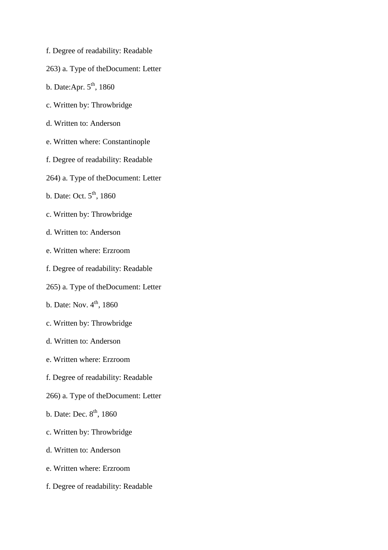- f. Degree of readability: Readable
- 263) a. Type of theDocument: Letter
- b. Date:Apr.  $5<sup>th</sup>$ , 1860
- c. Written by: Throwbridge
- d. Written to: Anderson
- e. Written where: Constantinople
- f. Degree of readability: Readable
- 264) a. Type of theDocument: Letter
- b. Date: Oct.  $5^{\text{th}}$ , 1860
- c. Written by: Throwbridge
- d. Written to: Anderson
- e. Written where: Erzroom
- f. Degree of readability: Readable
- 265) a. Type of theDocument: Letter
- b. Date: Nov.  $4^{th}$ , 1860
- c. Written by: Throwbridge
- d. Written to: Anderson
- e. Written where: Erzroom
- f. Degree of readability: Readable
- 266) a. Type of theDocument: Letter
- b. Date: Dec.  $8<sup>th</sup>$ , 1860
- c. Written by: Throwbridge
- d. Written to: Anderson
- e. Written where: Erzroom
- f. Degree of readability: Readable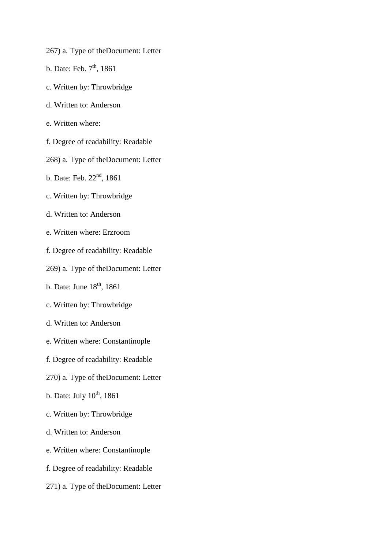- 267) a. Type of theDocument: Letter
- b. Date: Feb.  $7<sup>th</sup>$ , 1861
- c. Written by: Throwbridge
- d. Written to: Anderson
- e. Written where:
- f. Degree of readability: Readable
- 268) a. Type of theDocument: Letter
- b. Date: Feb. 22<sup>nd</sup>, 1861
- c. Written by: Throwbridge
- d. Written to: Anderson
- e. Written where: Erzroom
- f. Degree of readability: Readable
- 269) a. Type of theDocument: Letter
- b. Date: June  $18<sup>th</sup>$ , 1861
- c. Written by: Throwbridge
- d. Written to: Anderson
- e. Written where: Constantinople
- f. Degree of readability: Readable
- 270) a. Type of theDocument: Letter
- b. Date: July  $10^{th}$ , 1861
- c. Written by: Throwbridge
- d. Written to: Anderson
- e. Written where: Constantinople
- f. Degree of readability: Readable
- 271) a. Type of theDocument: Letter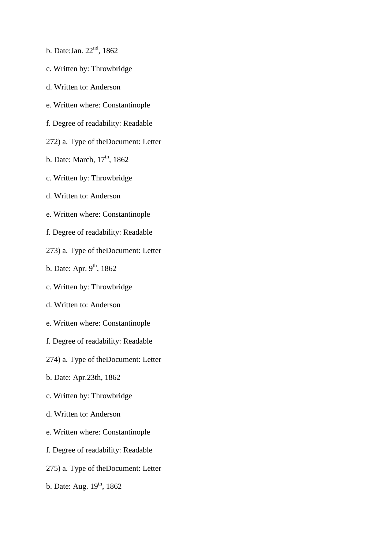- b. Date: Jan. 22<sup>nd</sup>, 1862
- c. Written by: Throwbridge
- d. Written to: Anderson
- e. Written where: Constantinople
- f. Degree of readability: Readable
- 272) a. Type of theDocument: Letter
- b. Date: March, 17<sup>th</sup>, 1862
- c. Written by: Throwbridge
- d. Written to: Anderson
- e. Written where: Constantinople
- f. Degree of readability: Readable
- 273) a. Type of theDocument: Letter
- b. Date: Apr.  $9<sup>th</sup>$ , 1862
- c. Written by: Throwbridge
- d. Written to: Anderson
- e. Written where: Constantinople
- f. Degree of readability: Readable
- 274) a. Type of theDocument: Letter
- b. Date: Apr.23th, 1862
- c. Written by: Throwbridge
- d. Written to: Anderson
- e. Written where: Constantinople
- f. Degree of readability: Readable
- 275) a. Type of theDocument: Letter
- b. Date: Aug. 19<sup>th</sup>, 1862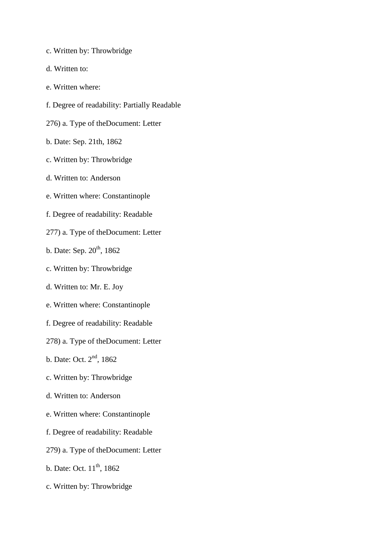- c. Written by: Throwbridge
- d. Written to:
- e. Written where:
- f. Degree of readability: Partially Readable
- 276) a. Type of theDocument: Letter
- b. Date: Sep. 21th, 1862
- c. Written by: Throwbridge
- d. Written to: Anderson
- e. Written where: Constantinople
- f. Degree of readability: Readable
- 277) a. Type of theDocument: Letter
- b. Date: Sep.  $20^{th}$ , 1862
- c. Written by: Throwbridge
- d. Written to: Mr. E. Joy
- e. Written where: Constantinople
- f. Degree of readability: Readable
- 278) a. Type of theDocument: Letter
- b. Date: Oct. 2nd, 1862
- c. Written by: Throwbridge
- d. Written to: Anderson
- e. Written where: Constantinople
- f. Degree of readability: Readable
- 279) a. Type of theDocument: Letter
- b. Date: Oct.  $11^{th}$ , 1862
- c. Written by: Throwbridge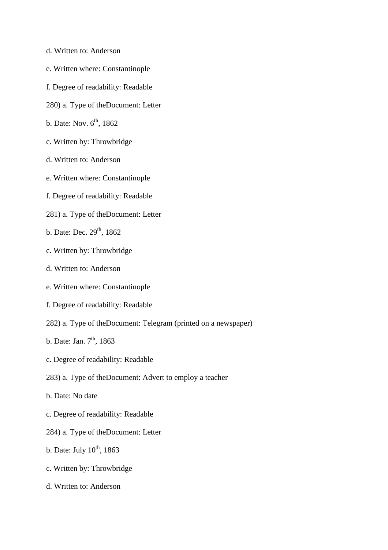- d. Written to: Anderson
- e. Written where: Constantinople
- f. Degree of readability: Readable
- 280) a. Type of theDocument: Letter
- b. Date: Nov.  $6<sup>th</sup>$ , 1862
- c. Written by: Throwbridge
- d. Written to: Anderson
- e. Written where: Constantinople
- f. Degree of readability: Readable
- 281) a. Type of theDocument: Letter
- b. Date: Dec. 29<sup>th</sup>, 1862
- c. Written by: Throwbridge
- d. Written to: Anderson
- e. Written where: Constantinople
- f. Degree of readability: Readable
- 282) a. Type of theDocument: Telegram (printed on a newspaper)
- b. Date: Jan.  $7<sup>th</sup>$ , 1863
- c. Degree of readability: Readable
- 283) a. Type of theDocument: Advert to employ a teacher
- b. Date: No date
- c. Degree of readability: Readable
- 284) a. Type of theDocument: Letter
- b. Date: July  $10^{th}$ , 1863
- c. Written by: Throwbridge
- d. Written to: Anderson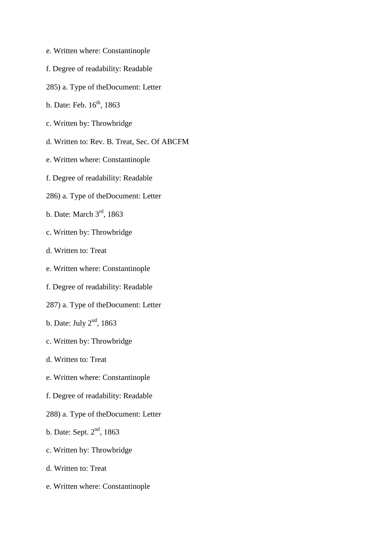- e. Written where: Constantinople
- f. Degree of readability: Readable
- 285) a. Type of theDocument: Letter
- b. Date: Feb.  $16^{th}$ , 1863
- c. Written by: Throwbridge
- d. Written to: Rev. B. Treat, Sec. Of ABCFM
- e. Written where: Constantinople
- f. Degree of readability: Readable
- 286) a. Type of theDocument: Letter
- b. Date: March 3rd, 1863
- c. Written by: Throwbridge
- d. Written to: Treat
- e. Written where: Constantinople
- f. Degree of readability: Readable
- 287) a. Type of theDocument: Letter
- b. Date: July  $2<sup>nd</sup>$ , 1863
- c. Written by: Throwbridge
- d. Written to: Treat
- e. Written where: Constantinople
- f. Degree of readability: Readable
- 288) a. Type of theDocument: Letter
- b. Date: Sept. 2nd, 1863
- c. Written by: Throwbridge
- d. Written to: Treat
- e. Written where: Constantinople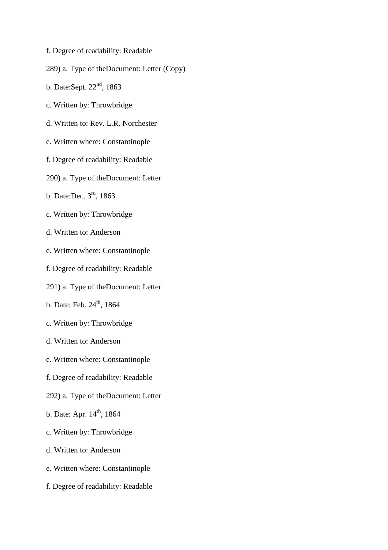- f. Degree of readability: Readable
- 289) a. Type of theDocument: Letter (Copy)
- b. Date:Sept.  $22<sup>nd</sup>$ , 1863
- c. Written by: Throwbridge
- d. Written to: Rev. L.R. Norchester
- e. Written where: Constantinople
- f. Degree of readability: Readable
- 290) a. Type of theDocument: Letter
- b. Date:Dec. 3rd, 1863
- c. Written by: Throwbridge
- d. Written to: Anderson
- e. Written where: Constantinople
- f. Degree of readability: Readable
- 291) a. Type of theDocument: Letter
- b. Date: Feb.  $24^{th}$ , 1864
- c. Written by: Throwbridge
- d. Written to: Anderson
- e. Written where: Constantinople
- f. Degree of readability: Readable
- 292) a. Type of theDocument: Letter
- b. Date: Apr.  $14^{th}$ , 1864
- c. Written by: Throwbridge
- d. Written to: Anderson
- e. Written where: Constantinople
- f. Degree of readability: Readable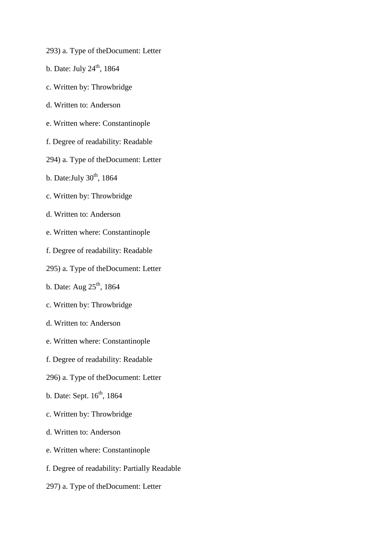- 293) a. Type of theDocument: Letter
- b. Date: July  $24<sup>th</sup>$ , 1864
- c. Written by: Throwbridge
- d. Written to: Anderson
- e. Written where: Constantinople
- f. Degree of readability: Readable
- 294) a. Type of theDocument: Letter
- b. Date: July  $30<sup>th</sup>$ , 1864
- c. Written by: Throwbridge
- d. Written to: Anderson
- e. Written where: Constantinople
- f. Degree of readability: Readable
- 295) a. Type of theDocument: Letter
- b. Date: Aug  $25<sup>th</sup>$ , 1864
- c. Written by: Throwbridge
- d. Written to: Anderson
- e. Written where: Constantinople
- f. Degree of readability: Readable
- 296) a. Type of theDocument: Letter
- b. Date: Sept.  $16<sup>th</sup>$ , 1864
- c. Written by: Throwbridge
- d. Written to: Anderson
- e. Written where: Constantinople
- f. Degree of readability: Partially Readable
- 297) a. Type of theDocument: Letter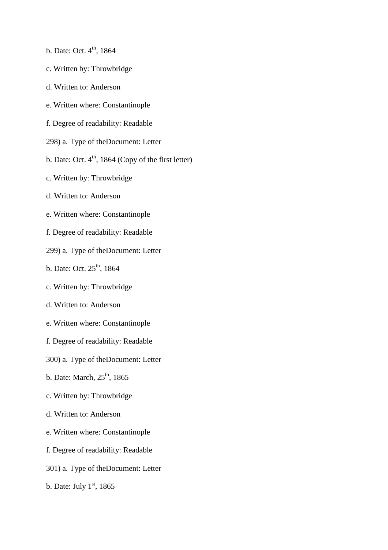- b. Date: Oct.  $4^{th}$ , 1864
- c. Written by: Throwbridge
- d. Written to: Anderson
- e. Written where: Constantinople
- f. Degree of readability: Readable
- 298) a. Type of theDocument: Letter
- b. Date: Oct.  $4<sup>th</sup>$ , 1864 (Copy of the first letter)
- c. Written by: Throwbridge
- d. Written to: Anderson
- e. Written where: Constantinople
- f. Degree of readability: Readable
- 299) a. Type of theDocument: Letter
- b. Date: Oct. 25<sup>th</sup>, 1864
- c. Written by: Throwbridge
- d. Written to: Anderson
- e. Written where: Constantinople
- f. Degree of readability: Readable
- 300) a. Type of theDocument: Letter
- b. Date: March,  $25<sup>th</sup>$ , 1865
- c. Written by: Throwbridge
- d. Written to: Anderson
- e. Written where: Constantinople
- f. Degree of readability: Readable
- 301) a. Type of theDocument: Letter
- b. Date: July  $1<sup>st</sup>$ , 1865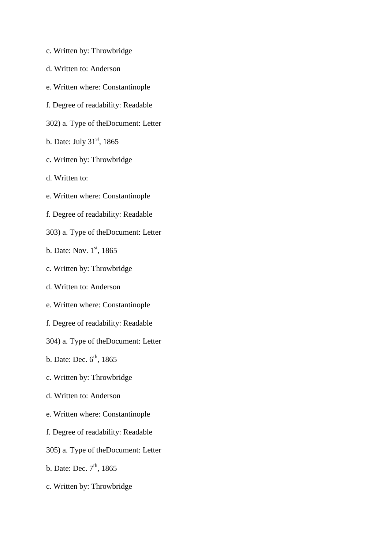- c. Written by: Throwbridge
- d. Written to: Anderson
- e. Written where: Constantinople
- f. Degree of readability: Readable
- 302) a. Type of theDocument: Letter
- b. Date: July  $31<sup>st</sup>$ , 1865
- c. Written by: Throwbridge
- d. Written to:
- e. Written where: Constantinople
- f. Degree of readability: Readable
- 303) a. Type of theDocument: Letter
- b. Date: Nov.  $1<sup>st</sup>$ , 1865
- c. Written by: Throwbridge
- d. Written to: Anderson
- e. Written where: Constantinople
- f. Degree of readability: Readable
- 304) a. Type of theDocument: Letter
- b. Date: Dec.  $6<sup>th</sup>$ , 1865
- c. Written by: Throwbridge
- d. Written to: Anderson
- e. Written where: Constantinople
- f. Degree of readability: Readable
- 305) a. Type of theDocument: Letter
- b. Date: Dec.  $7<sup>th</sup>$ , 1865
- c. Written by: Throwbridge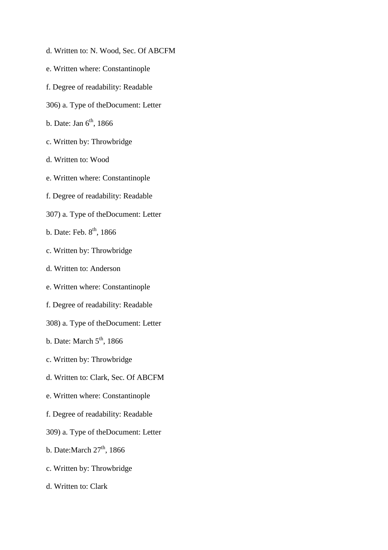- d. Written to: N. Wood, Sec. Of ABCFM
- e. Written where: Constantinople
- f. Degree of readability: Readable
- 306) a. Type of theDocument: Letter
- b. Date: Jan  $6<sup>th</sup>$ , 1866
- c. Written by: Throwbridge
- d. Written to: Wood
- e. Written where: Constantinople
- f. Degree of readability: Readable
- 307) a. Type of theDocument: Letter
- b. Date: Feb.  $8<sup>th</sup>$ , 1866
- c. Written by: Throwbridge
- d. Written to: Anderson
- e. Written where: Constantinople
- f. Degree of readability: Readable
- 308) a. Type of theDocument: Letter
- b. Date: March  $5<sup>th</sup>$ , 1866
- c. Written by: Throwbridge
- d. Written to: Clark, Sec. Of ABCFM
- e. Written where: Constantinople
- f. Degree of readability: Readable
- 309) a. Type of theDocument: Letter
- b. Date: March  $27<sup>th</sup>$ , 1866
- c. Written by: Throwbridge
- d. Written to: Clark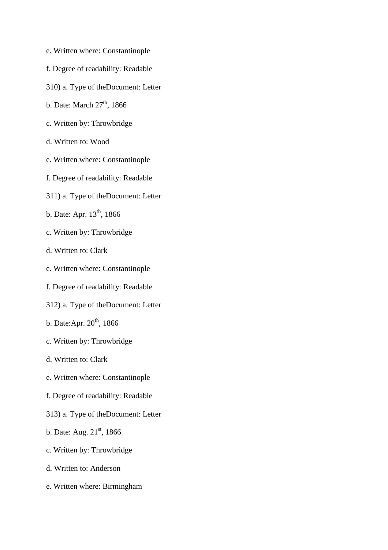- e. Written where: Constantinople
- f. Degree of readability: Readable
- 310) a. Type of theDocument: Letter
- b. Date: March  $27<sup>th</sup>$ , 1866
- c. Written by: Throwbridge
- d. Written to: Wood
- e. Written where: Constantinople
- f. Degree of readability: Readable
- 311) a. Type of theDocument: Letter
- b. Date: Apr.  $13^{th}$ , 1866
- c. Written by: Throwbridge
- d. Written to: Clark
- e. Written where: Constantinople
- f. Degree of readability: Readable
- 312) a. Type of theDocument: Letter
- b. Date:Apr.  $20<sup>th</sup>$ , 1866
- c. Written by: Throwbridge
- d. Written to: Clark
- e. Written where: Constantinople
- f. Degree of readability: Readable
- 313) a. Type of theDocument: Letter
- b. Date: Aug.  $21<sup>st</sup>$ , 1866
- c. Written by: Throwbridge
- d. Written to: Anderson
- e. Written where: Birmingham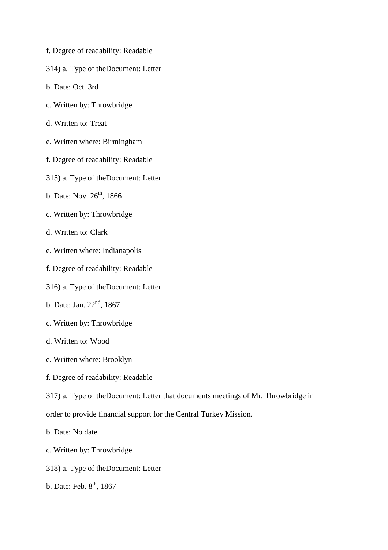- f. Degree of readability: Readable
- 314) a. Type of theDocument: Letter
- b. Date: Oct. 3rd
- c. Written by: Throwbridge
- d. Written to: Treat
- e. Written where: Birmingham
- f. Degree of readability: Readable
- 315) a. Type of theDocument: Letter
- b. Date: Nov.  $26^{th}$ , 1866
- c. Written by: Throwbridge
- d. Written to: Clark
- e. Written where: Indianapolis
- f. Degree of readability: Readable
- 316) a. Type of theDocument: Letter
- b. Date: Jan.  $22<sup>nd</sup>$ , 1867
- c. Written by: Throwbridge
- d. Written to: Wood
- e. Written where: Brooklyn
- f. Degree of readability: Readable
- 317) a. Type of theDocument: Letter that documents meetings of Mr. Throwbridge in
- order to provide financial support for the Central Turkey Mission.
- b. Date: No date
- c. Written by: Throwbridge
- 318) a. Type of theDocument: Letter
- b. Date: Feb. 8<sup>th</sup>, 1867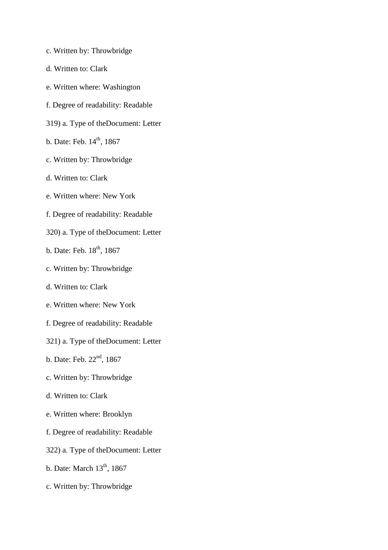- c. Written by: Throwbridge
- d. Written to: Clark
- e. Written where: Washington
- f. Degree of readability: Readable
- 319) a. Type of theDocument: Letter
- b. Date: Feb.  $14^{th}$ , 1867
- c. Written by: Throwbridge
- d. Written to: Clark
- e. Written where: New York
- f. Degree of readability: Readable
- 320) a. Type of theDocument: Letter
- b. Date: Feb.  $18^{th}$ ,  $1867$
- c. Written by: Throwbridge
- d. Written to: Clark
- e. Written where: New York
- f. Degree of readability: Readable
- 321) a. Type of theDocument: Letter
- b. Date: Feb. 22<sup>nd</sup>, 1867
- c. Written by: Throwbridge
- d. Written to: Clark
- e. Written where: Brooklyn
- f. Degree of readability: Readable
- 322) a. Type of theDocument: Letter
- b. Date: March  $13<sup>th</sup>$ , 1867
- c. Written by: Throwbridge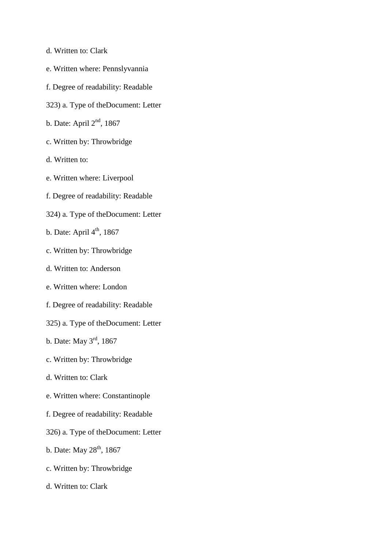- d. Written to: Clark
- e. Written where: Pennslyvannia
- f. Degree of readability: Readable
- 323) a. Type of theDocument: Letter
- b. Date: April 2nd, 1867
- c. Written by: Throwbridge
- d. Written to:
- e. Written where: Liverpool
- f. Degree of readability: Readable
- 324) a. Type of theDocument: Letter
- b. Date: April  $4<sup>th</sup>$ , 1867
- c. Written by: Throwbridge
- d. Written to: Anderson
- e. Written where: London
- f. Degree of readability: Readable
- 325) a. Type of theDocument: Letter
- b. Date: May 3rd, 1867
- c. Written by: Throwbridge
- d. Written to: Clark
- e. Written where: Constantinople
- f. Degree of readability: Readable
- 326) a. Type of theDocument: Letter
- b. Date: May  $28<sup>th</sup>$ , 1867
- c. Written by: Throwbridge
- d. Written to: Clark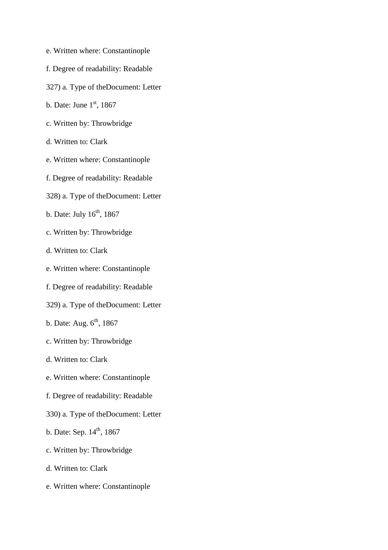- e. Written where: Constantinople
- f. Degree of readability: Readable
- 327) a. Type of theDocument: Letter
- b. Date: June  $1<sup>st</sup>$ , 1867
- c. Written by: Throwbridge
- d. Written to: Clark
- e. Written where: Constantinople
- f. Degree of readability: Readable
- 328) a. Type of theDocument: Letter
- b. Date: July  $16^{th}$ , 1867
- c. Written by: Throwbridge
- d. Written to: Clark
- e. Written where: Constantinople
- f. Degree of readability: Readable
- 329) a. Type of theDocument: Letter
- b. Date: Aug.  $6<sup>th</sup>$ , 1867
- c. Written by: Throwbridge
- d. Written to: Clark
- e. Written where: Constantinople
- f. Degree of readability: Readable
- 330) a. Type of theDocument: Letter
- b. Date: Sep.  $14^{th}$ , 1867
- c. Written by: Throwbridge
- d. Written to: Clark
- e. Written where: Constantinople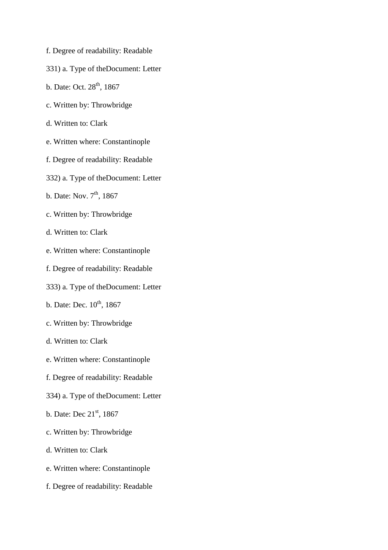- f. Degree of readability: Readable
- 331) a. Type of theDocument: Letter
- b. Date: Oct.  $28^{th}$ , 1867
- c. Written by: Throwbridge
- d. Written to: Clark
- e. Written where: Constantinople
- f. Degree of readability: Readable
- 332) a. Type of theDocument: Letter
- b. Date: Nov.  $7<sup>th</sup>$ , 1867
- c. Written by: Throwbridge
- d. Written to: Clark
- e. Written where: Constantinople
- f. Degree of readability: Readable
- 333) a. Type of theDocument: Letter
- b. Date: Dec.  $10^{th}$ , 1867
- c. Written by: Throwbridge
- d. Written to: Clark
- e. Written where: Constantinople
- f. Degree of readability: Readable
- 334) a. Type of theDocument: Letter
- b. Date: Dec 21<sup>st</sup>, 1867
- c. Written by: Throwbridge
- d. Written to: Clark
- e. Written where: Constantinople
- f. Degree of readability: Readable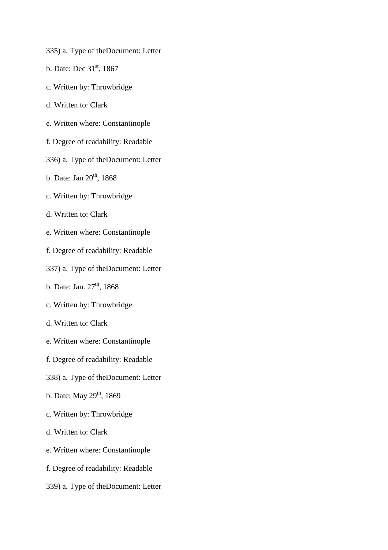- 335) a. Type of theDocument: Letter
- b. Date: Dec  $31<sup>st</sup>$ , 1867
- c. Written by: Throwbridge
- d. Written to: Clark
- e. Written where: Constantinople
- f. Degree of readability: Readable
- 336) a. Type of theDocument: Letter
- b. Date: Jan  $20<sup>th</sup>$ , 1868
- c. Written by: Throwbridge
- d. Written to: Clark
- e. Written where: Constantinople
- f. Degree of readability: Readable
- 337) a. Type of theDocument: Letter
- b. Date: Jan.  $27<sup>th</sup>$ , 1868
- c. Written by: Throwbridge
- d. Written to: Clark
- e. Written where: Constantinople
- f. Degree of readability: Readable
- 338) a. Type of theDocument: Letter
- b. Date: May  $29^{th}$ , 1869
- c. Written by: Throwbridge
- d. Written to: Clark
- e. Written where: Constantinople
- f. Degree of readability: Readable
- 339) a. Type of theDocument: Letter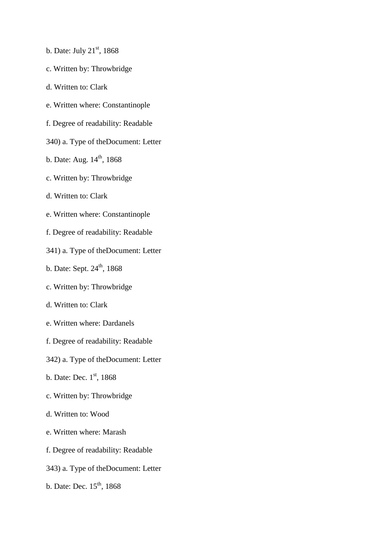- b. Date: July  $21<sup>st</sup>$ , 1868
- c. Written by: Throwbridge
- d. Written to: Clark
- e. Written where: Constantinople
- f. Degree of readability: Readable
- 340) a. Type of theDocument: Letter
- b. Date: Aug.  $14^{th}$ , 1868
- c. Written by: Throwbridge
- d. Written to: Clark
- e. Written where: Constantinople
- f. Degree of readability: Readable
- 341) a. Type of theDocument: Letter
- b. Date: Sept.  $24^{th}$ , 1868
- c. Written by: Throwbridge
- d. Written to: Clark
- e. Written where: Dardanels
- f. Degree of readability: Readable
- 342) a. Type of theDocument: Letter
- b. Date: Dec.  $1<sup>st</sup>$ , 1868
- c. Written by: Throwbridge
- d. Written to: Wood
- e. Written where: Marash
- f. Degree of readability: Readable
- 343) a. Type of theDocument: Letter
- b. Date: Dec.  $15<sup>th</sup>$ , 1868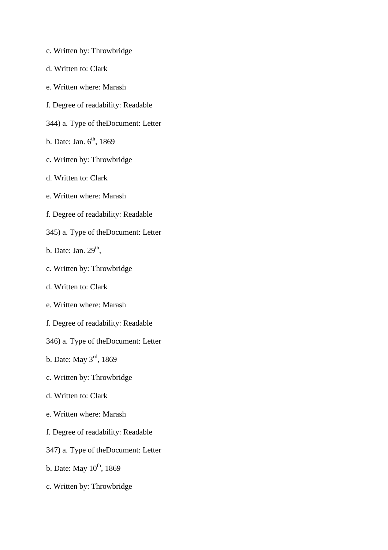- c. Written by: Throwbridge
- d. Written to: Clark
- e. Written where: Marash
- f. Degree of readability: Readable
- 344) a. Type of theDocument: Letter
- b. Date: Jan.  $6^{th}$ , 1869
- c. Written by: Throwbridge
- d. Written to: Clark
- e. Written where: Marash
- f. Degree of readability: Readable
- 345) a. Type of theDocument: Letter
- b. Date: Jan.  $29<sup>th</sup>$ ,
- c. Written by: Throwbridge
- d. Written to: Clark
- e. Written where: Marash
- f. Degree of readability: Readable
- 346) a. Type of theDocument: Letter
- b. Date: May 3rd, 1869
- c. Written by: Throwbridge
- d. Written to: Clark
- e. Written where: Marash
- f. Degree of readability: Readable
- 347) a. Type of theDocument: Letter
- b. Date: May  $10^{th}$ , 1869
- c. Written by: Throwbridge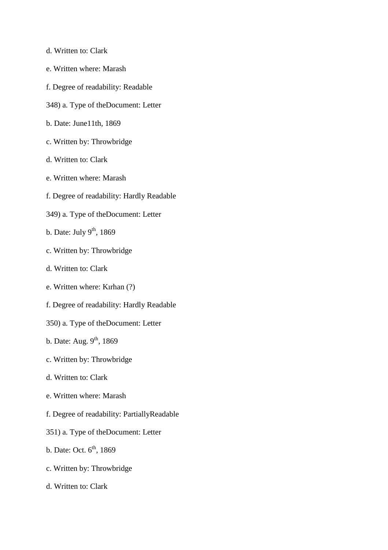- d. Written to: Clark
- e. Written where: Marash
- f. Degree of readability: Readable
- 348) a. Type of theDocument: Letter
- b. Date: June11th, 1869
- c. Written by: Throwbridge
- d. Written to: Clark
- e. Written where: Marash
- f. Degree of readability: Hardly Readable
- 349) a. Type of theDocument: Letter
- b. Date: July  $9<sup>th</sup>$ , 1869
- c. Written by: Throwbridge
- d. Written to: Clark
- e. Written where: Kırhan (?)
- f. Degree of readability: Hardly Readable
- 350) a. Type of theDocument: Letter
- b. Date: Aug.  $9<sup>th</sup>$ , 1869
- c. Written by: Throwbridge
- d. Written to: Clark
- e. Written where: Marash
- f. Degree of readability: PartiallyReadable
- 351) a. Type of theDocument: Letter
- b. Date: Oct.  $6<sup>th</sup>$ , 1869
- c. Written by: Throwbridge
- d. Written to: Clark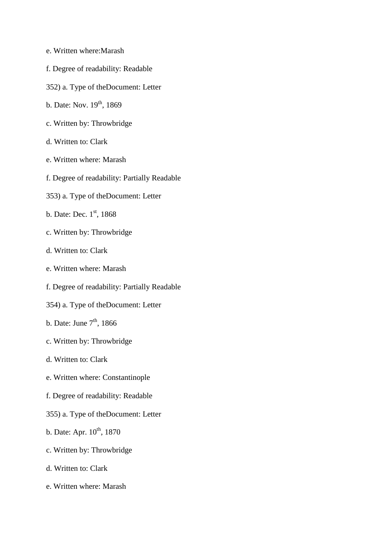- e. Written where:Marash
- f. Degree of readability: Readable
- 352) a. Type of theDocument: Letter
- b. Date: Nov.  $19^{th}$ , 1869
- c. Written by: Throwbridge
- d. Written to: Clark
- e. Written where: Marash
- f. Degree of readability: Partially Readable
- 353) a. Type of theDocument: Letter
- b. Date: Dec.  $1<sup>st</sup>$ , 1868
- c. Written by: Throwbridge
- d. Written to: Clark
- e. Written where: Marash
- f. Degree of readability: Partially Readable
- 354) a. Type of theDocument: Letter
- b. Date: June  $7<sup>th</sup>$ , 1866
- c. Written by: Throwbridge
- d. Written to: Clark
- e. Written where: Constantinople
- f. Degree of readability: Readable
- 355) a. Type of theDocument: Letter
- b. Date: Apr.  $10^{th}$ , 1870
- c. Written by: Throwbridge
- d. Written to: Clark
- e. Written where: Marash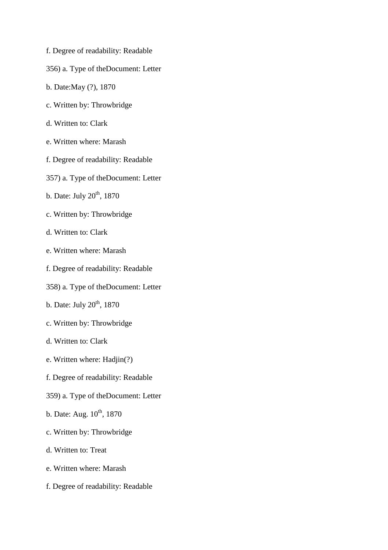- f. Degree of readability: Readable
- 356) a. Type of theDocument: Letter
- b. Date:May (?), 1870
- c. Written by: Throwbridge
- d. Written to: Clark
- e. Written where: Marash
- f. Degree of readability: Readable
- 357) a. Type of theDocument: Letter
- b. Date: July  $20<sup>th</sup>$ , 1870
- c. Written by: Throwbridge
- d. Written to: Clark
- e. Written where: Marash
- f. Degree of readability: Readable
- 358) a. Type of theDocument: Letter
- b. Date: July  $20^{th}$ , 1870
- c. Written by: Throwbridge
- d. Written to: Clark
- e. Written where: Hadjin(?)
- f. Degree of readability: Readable
- 359) a. Type of theDocument: Letter
- b. Date: Aug.  $10^{th}$ , 1870
- c. Written by: Throwbridge
- d. Written to: Treat
- e. Written where: Marash
- f. Degree of readability: Readable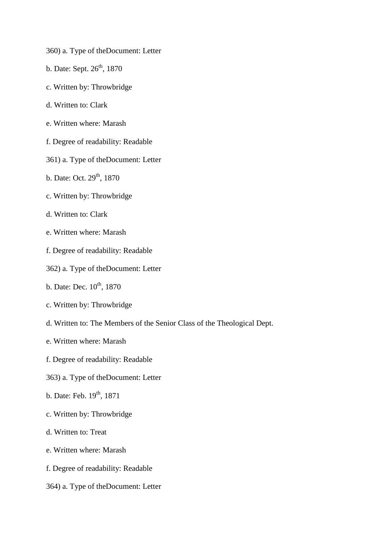- 360) a. Type of theDocument: Letter
- b. Date: Sept.  $26<sup>th</sup>$ , 1870
- c. Written by: Throwbridge
- d. Written to: Clark
- e. Written where: Marash
- f. Degree of readability: Readable
- 361) a. Type of theDocument: Letter
- b. Date: Oct.  $29^{th}$ , 1870
- c. Written by: Throwbridge
- d. Written to: Clark
- e. Written where: Marash
- f. Degree of readability: Readable
- 362) a. Type of theDocument: Letter
- b. Date: Dec.  $10^{th}$ , 1870
- c. Written by: Throwbridge
- d. Written to: The Members of the Senior Class of the Theological Dept.
- e. Written where: Marash
- f. Degree of readability: Readable
- 363) a. Type of theDocument: Letter
- b. Date: Feb.  $19^{th}$ , 1871
- c. Written by: Throwbridge
- d. Written to: Treat
- e. Written where: Marash
- f. Degree of readability: Readable
- 364) a. Type of theDocument: Letter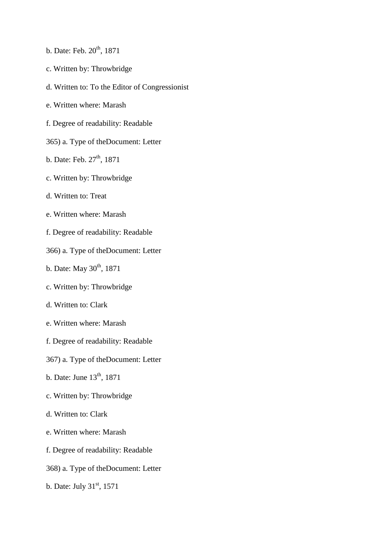- b. Date: Feb.  $20^{th}$ , 1871
- c. Written by: Throwbridge
- d. Written to: To the Editor of Congressionist
- e. Written where: Marash
- f. Degree of readability: Readable
- 365) a. Type of theDocument: Letter
- b. Date: Feb.  $27<sup>th</sup>$ , 1871
- c. Written by: Throwbridge
- d. Written to: Treat
- e. Written where: Marash
- f. Degree of readability: Readable
- 366) a. Type of theDocument: Letter
- b. Date: May  $30^{th}$ , 1871
- c. Written by: Throwbridge
- d. Written to: Clark
- e. Written where: Marash
- f. Degree of readability: Readable
- 367) a. Type of theDocument: Letter
- b. Date: June  $13<sup>th</sup>$ , 1871
- c. Written by: Throwbridge
- d. Written to: Clark
- e. Written where: Marash
- f. Degree of readability: Readable
- 368) a. Type of theDocument: Letter
- b. Date: July 31<sup>st</sup>, 1571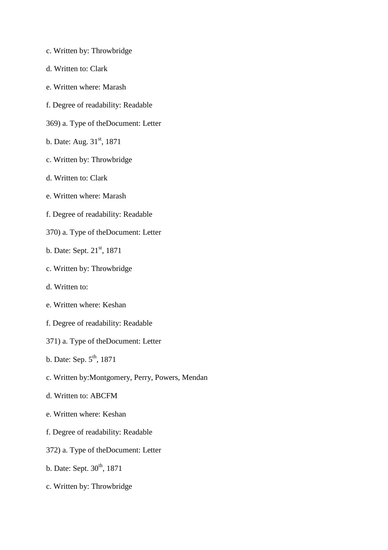- c. Written by: Throwbridge
- d. Written to: Clark
- e. Written where: Marash
- f. Degree of readability: Readable
- 369) a. Type of theDocument: Letter
- b. Date: Aug.  $31<sup>st</sup>$ , 1871
- c. Written by: Throwbridge
- d. Written to: Clark
- e. Written where: Marash
- f. Degree of readability: Readable
- 370) a. Type of theDocument: Letter
- b. Date: Sept. 21<sup>st</sup>, 1871
- c. Written by: Throwbridge
- d. Written to:
- e. Written where: Keshan
- f. Degree of readability: Readable
- 371) a. Type of theDocument: Letter
- b. Date: Sep.  $5<sup>th</sup>$ , 1871
- c. Written by:Montgomery, Perry, Powers, Mendan
- d. Written to: ABCFM
- e. Written where: Keshan
- f. Degree of readability: Readable
- 372) a. Type of theDocument: Letter
- b. Date: Sept. 30<sup>th</sup>, 1871
- c. Written by: Throwbridge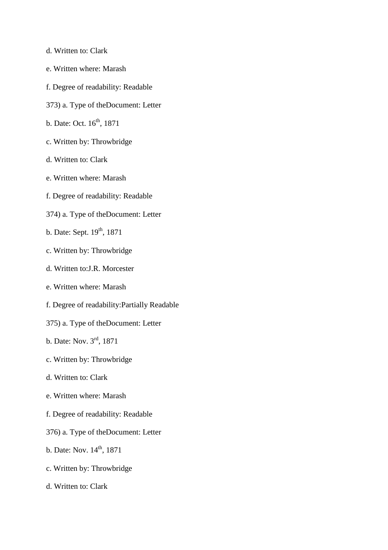- d. Written to: Clark
- e. Written where: Marash
- f. Degree of readability: Readable
- 373) a. Type of theDocument: Letter
- b. Date: Oct. 16<sup>th</sup>, 1871
- c. Written by: Throwbridge
- d. Written to: Clark
- e. Written where: Marash
- f. Degree of readability: Readable
- 374) a. Type of theDocument: Letter
- b. Date: Sept. 19<sup>th</sup>, 1871
- c. Written by: Throwbridge
- d. Written to:J.R. Morcester
- e. Written where: Marash
- f. Degree of readability:Partially Readable
- 375) a. Type of theDocument: Letter
- b. Date: Nov. 3rd, 1871
- c. Written by: Throwbridge
- d. Written to: Clark
- e. Written where: Marash
- f. Degree of readability: Readable
- 376) a. Type of theDocument: Letter
- b. Date: Nov. 14<sup>th</sup>, 1871
- c. Written by: Throwbridge
- d. Written to: Clark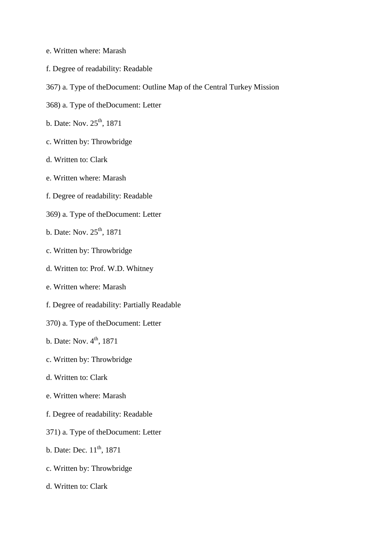- e. Written where: Marash
- f. Degree of readability: Readable
- 367) a. Type of theDocument: Outline Map of the Central Turkey Mission
- 368) a. Type of theDocument: Letter
- b. Date: Nov. 25<sup>th</sup>, 1871
- c. Written by: Throwbridge
- d. Written to: Clark
- e. Written where: Marash
- f. Degree of readability: Readable
- 369) a. Type of theDocument: Letter
- b. Date: Nov. 25<sup>th</sup>, 1871
- c. Written by: Throwbridge
- d. Written to: Prof. W.D. Whitney
- e. Written where: Marash
- f. Degree of readability: Partially Readable
- 370) a. Type of theDocument: Letter
- b. Date: Nov.  $4^{th}$ , 1871
- c. Written by: Throwbridge
- d. Written to: Clark
- e. Written where: Marash
- f. Degree of readability: Readable
- 371) a. Type of theDocument: Letter
- b. Date: Dec.  $11^{th}$ , 1871
- c. Written by: Throwbridge
- d. Written to: Clark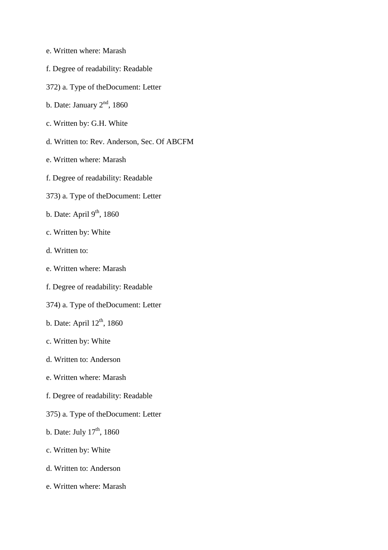- e. Written where: Marash
- f. Degree of readability: Readable
- 372) a. Type of theDocument: Letter
- b. Date: January  $2<sup>nd</sup>$ , 1860
- c. Written by: G.H. White
- d. Written to: Rev. Anderson, Sec. Of ABCFM
- e. Written where: Marash
- f. Degree of readability: Readable
- 373) a. Type of theDocument: Letter
- b. Date: April  $9<sup>th</sup>$ , 1860
- c. Written by: White
- d. Written to:
- e. Written where: Marash
- f. Degree of readability: Readable
- 374) a. Type of theDocument: Letter
- b. Date: April  $12<sup>th</sup>$ , 1860
- c. Written by: White
- d. Written to: Anderson
- e. Written where: Marash
- f. Degree of readability: Readable
- 375) a. Type of theDocument: Letter
- b. Date: July  $17<sup>th</sup>$ , 1860
- c. Written by: White
- d. Written to: Anderson
- e. Written where: Marash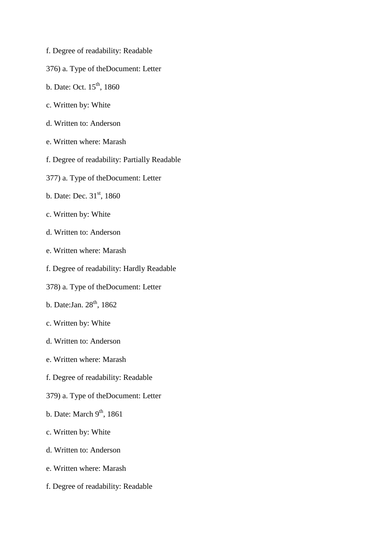- f. Degree of readability: Readable
- 376) a. Type of theDocument: Letter
- b. Date: Oct.  $15^{th}$ , 1860
- c. Written by: White
- d. Written to: Anderson
- e. Written where: Marash
- f. Degree of readability: Partially Readable
- 377) a. Type of theDocument: Letter
- b. Date: Dec.  $31<sup>st</sup>$ , 1860
- c. Written by: White
- d. Written to: Anderson
- e. Written where: Marash
- f. Degree of readability: Hardly Readable
- 378) a. Type of theDocument: Letter
- b. Date: Jan.  $28<sup>th</sup>$ , 1862
- c. Written by: White
- d. Written to: Anderson
- e. Written where: Marash
- f. Degree of readability: Readable
- 379) a. Type of theDocument: Letter
- b. Date: March  $9<sup>th</sup>$ , 1861
- c. Written by: White
- d. Written to: Anderson
- e. Written where: Marash
- f. Degree of readability: Readable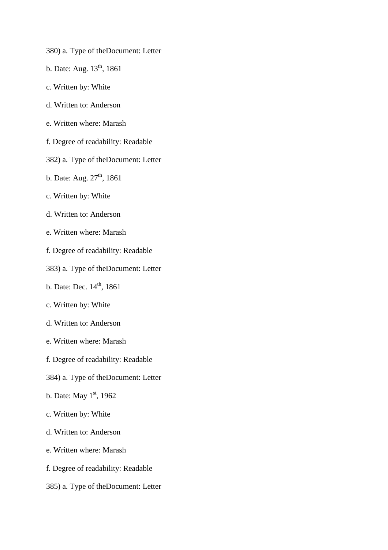- 380) a. Type of theDocument: Letter
- b. Date: Aug.  $13^{th}$ , 1861
- c. Written by: White
- d. Written to: Anderson
- e. Written where: Marash
- f. Degree of readability: Readable
- 382) a. Type of theDocument: Letter
- b. Date: Aug.  $27<sup>th</sup>$ , 1861
- c. Written by: White
- d. Written to: Anderson
- e. Written where: Marash
- f. Degree of readability: Readable
- 383) a. Type of theDocument: Letter
- b. Date: Dec.  $14^{th}$ , 1861
- c. Written by: White
- d. Written to: Anderson
- e. Written where: Marash
- f. Degree of readability: Readable
- 384) a. Type of theDocument: Letter
- b. Date: May  $1<sup>st</sup>$ , 1962
- c. Written by: White
- d. Written to: Anderson
- e. Written where: Marash
- f. Degree of readability: Readable
- 385) a. Type of theDocument: Letter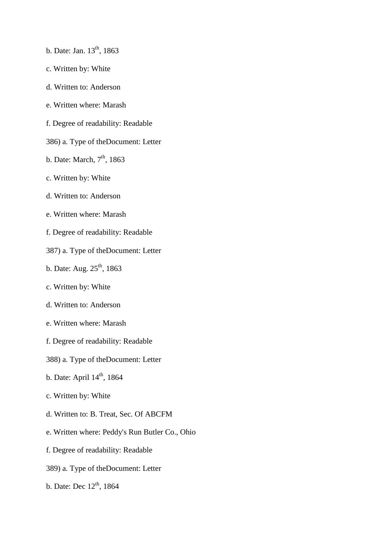- b. Date: Jan.  $13^{th}$ , 1863
- c. Written by: White
- d. Written to: Anderson
- e. Written where: Marash
- f. Degree of readability: Readable
- 386) a. Type of theDocument: Letter
- b. Date: March,  $7<sup>th</sup>$ , 1863
- c. Written by: White
- d. Written to: Anderson
- e. Written where: Marash
- f. Degree of readability: Readable
- 387) a. Type of theDocument: Letter
- b. Date: Aug.  $25^{th}$ , 1863
- c. Written by: White
- d. Written to: Anderson
- e. Written where: Marash
- f. Degree of readability: Readable
- 388) a. Type of theDocument: Letter
- b. Date: April 14<sup>th</sup>, 1864
- c. Written by: White
- d. Written to: B. Treat, Sec. Of ABCFM
- e. Written where: Peddy's Run Butler Co., Ohio
- f. Degree of readability: Readable
- 389) a. Type of theDocument: Letter
- b. Date: Dec  $12^{th}$ , 1864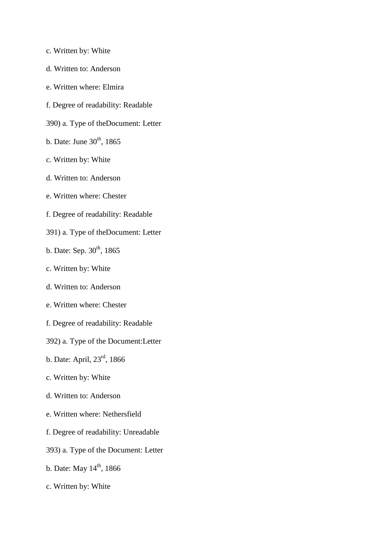- c. Written by: White
- d. Written to: Anderson
- e. Written where: Elmira
- f. Degree of readability: Readable
- 390) a. Type of theDocument: Letter
- b. Date: June  $30<sup>th</sup>$ , 1865
- c. Written by: White
- d. Written to: Anderson
- e. Written where: Chester
- f. Degree of readability: Readable
- 391) a. Type of theDocument: Letter
- b. Date: Sep.  $30^{th}$ , 1865
- c. Written by: White
- d. Written to: Anderson
- e. Written where: Chester
- f. Degree of readability: Readable
- 392) a. Type of the Document:Letter
- b. Date: April, 23rd, 1866
- c. Written by: White
- d. Written to: Anderson
- e. Written where: Nethersfield
- f. Degree of readability: Unreadable
- 393) a. Type of the Document: Letter
- b. Date: May  $14^{th}$ , 1866
- c. Written by: White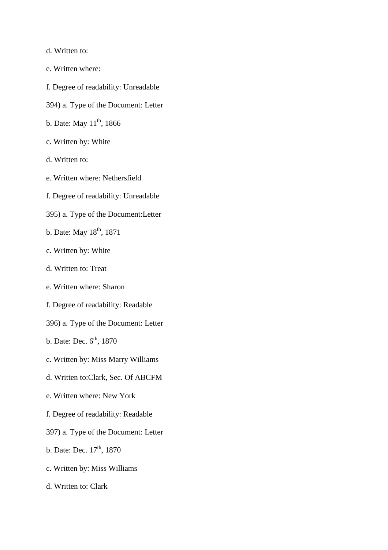- d. Written to:
- e. Written where:
- f. Degree of readability: Unreadable
- 394) a. Type of the Document: Letter
- b. Date: May  $11^{th}$ , 1866
- c. Written by: White
- d. Written to:
- e. Written where: Nethersfield
- f. Degree of readability: Unreadable
- 395) a. Type of the Document:Letter
- b. Date: May  $18^{th}$ , 1871
- c. Written by: White
- d. Written to: Treat
- e. Written where: Sharon
- f. Degree of readability: Readable
- 396) a. Type of the Document: Letter
- b. Date: Dec.  $6<sup>th</sup>$ , 1870
- c. Written by: Miss Marry Williams
- d. Written to:Clark, Sec. Of ABCFM
- e. Written where: New York
- f. Degree of readability: Readable
- 397) a. Type of the Document: Letter
- b. Date: Dec.  $17^{th}$ , 1870
- c. Written by: Miss Williams
- d. Written to: Clark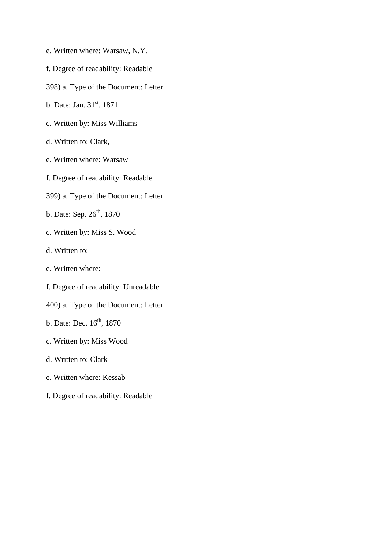- e. Written where: Warsaw, N.Y.
- f. Degree of readability: Readable
- 398) a. Type of the Document: Letter
- b. Date: Jan. 31<sup>st</sup>. 1871
- c. Written by: Miss Williams
- d. Written to: Clark,
- e. Written where: Warsaw
- f. Degree of readability: Readable
- 399) a. Type of the Document: Letter
- b. Date: Sep.  $26^{th}$ , 1870
- c. Written by: Miss S. Wood
- d. Written to:
- e. Written where:
- f. Degree of readability: Unreadable
- 400) a. Type of the Document: Letter
- b. Date: Dec.  $16^{th}$ , 1870
- c. Written by: Miss Wood
- d. Written to: Clark
- e. Written where: Kessab
- f. Degree of readability: Readable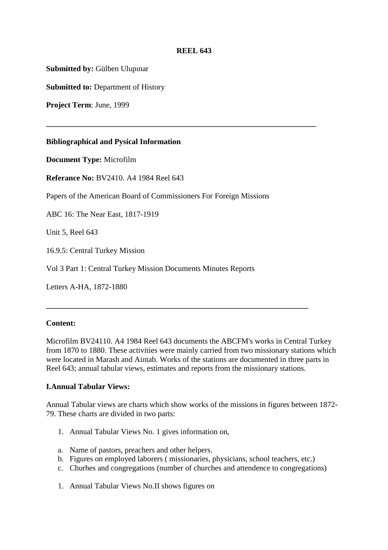# **REEL 643**

**\_\_\_\_\_\_\_\_\_\_\_\_\_\_\_\_\_\_\_\_\_\_\_\_\_\_\_\_\_\_\_\_\_\_\_\_\_\_\_\_\_\_\_\_\_\_\_\_\_\_\_\_\_\_\_\_\_\_\_\_\_\_\_\_\_\_\_\_\_** 

**Submitted by:** Gülben Ulupınar

**Submitted to:** Department of History

**Project Term**: June, 1999

### **Bibliographical and Pysical Information**

**Document Type:** Microfilm

**Referance No:** BV2410. A4 1984 Reel 643

Papers of the American Board of Commissioners For Foreign Missions

ABC 16: The Near East, 1817-1919

Unit 5, Reel 643

16.9.5: Central Turkey Mission

Vol 3 Part 1: Central Turkey Mission Documents Minutes Reports

Letters A-HA, 1872-1880

### **Content:**

Microfilm BV24110. A4 1984 Reel 643 documents the ABCFM's works in Central Turkey from 1870 to 1880. These activities were mainly carried from two missionary stations which were located in Marash and Aintab. Works of the stations are documented in three parts in Reel 643; annual tabular views, estimates and reports from the missionary stations.

**\_\_\_\_\_\_\_\_\_\_\_\_\_\_\_\_\_\_\_\_\_\_\_\_\_\_\_\_\_\_\_\_\_\_\_\_\_\_\_\_\_\_\_\_\_\_\_\_\_\_\_\_\_\_\_\_\_\_\_\_\_\_\_\_\_\_\_** 

### **I.Annual Tabular Views:**

Annual Tabular views are charts which show works of the missions in figures between 1872- 79. These charts are divided in two parts:

- 1. Annual Tabular Views No. 1 gives information on,
- a. Name of pastors, preachers and other helpers.
- b. Figures on employed laborers ( missionaries, physicians, school teachers, etc.)
- c. Churhes and congregations (number of churches and attendence to congregations)
- 1. Annual Tabular Views No.II shows figures on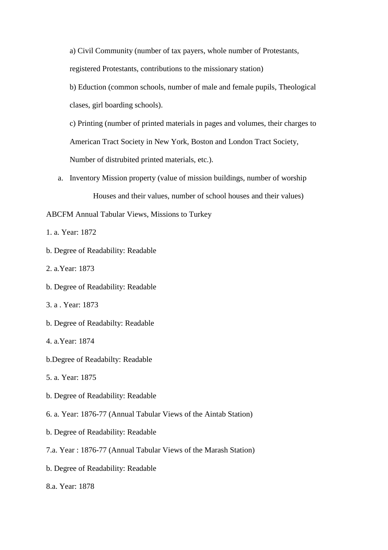a) Civil Community (number of tax payers, whole number of Protestants, registered Protestants, contributions to the missionary station)

b) Eduction (common schools, number of male and female pupils, Theological clases, girl boarding schools).

c) Printing (number of printed materials in pages and volumes, their charges to American Tract Society in New York, Boston and London Tract Society, Number of distrubited printed materials, etc.).

- a. Inventory Mission property (value of mission buildings, number of worship Houses and their values, number of school houses and their values)
- ABCFM Annual Tabular Views, Missions to Turkey
- 1. a. Year: 1872
- b. Degree of Readability: Readable
- 2. a.Year: 1873
- b. Degree of Readability: Readable
- 3. a . Year: 1873
- b. Degree of Readabilty: Readable
- 4. a.Year: 1874
- b.Degree of Readabilty: Readable
- 5. a. Year: 1875
- b. Degree of Readability: Readable
- 6. a. Year: 1876-77 (Annual Tabular Views of the Aintab Station)
- b. Degree of Readability: Readable
- 7.a. Year : 1876-77 (Annual Tabular Views of the Marash Station)
- b. Degree of Readability: Readable
- 8.a. Year: 1878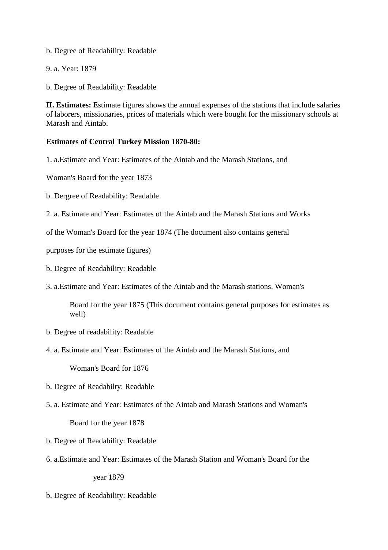b. Degree of Readability: Readable

9. a. Year: 1879

b. Degree of Readability: Readable

**II. Estimates:** Estimate figures shows the annual expenses of the stations that include salaries of laborers, missionaries, prices of materials which were bought for the missionary schools at Marash and Aintab.

# **Estimates of Central Turkey Mission 1870-80:**

1. a.Estimate and Year: Estimates of the Aintab and the Marash Stations, and

Woman's Board for the year 1873

- b. Dergree of Readability: Readable
- 2. a. Estimate and Year: Estimates of the Aintab and the Marash Stations and Works

of the Woman's Board for the year 1874 (The document also contains general

purposes for the estimate figures)

- b. Degree of Readability: Readable
- 3. a.Estimate and Year: Estimates of the Aintab and the Marash stations, Woman's

Board for the year 1875 (This document contains general purposes for estimates as well)

- b. Degree of readability: Readable
- 4. a. Estimate and Year: Estimates of the Aintab and the Marash Stations, and

Woman's Board for 1876

- b. Degree of Readabilty: Readable
- 5. a. Estimate and Year: Estimates of the Aintab and Marash Stations and Woman's

Board for the year 1878

- b. Degree of Readability: Readable
- 6. a.Estimate and Year: Estimates of the Marash Station and Woman's Board for the year 1879

b. Degree of Readability: Readable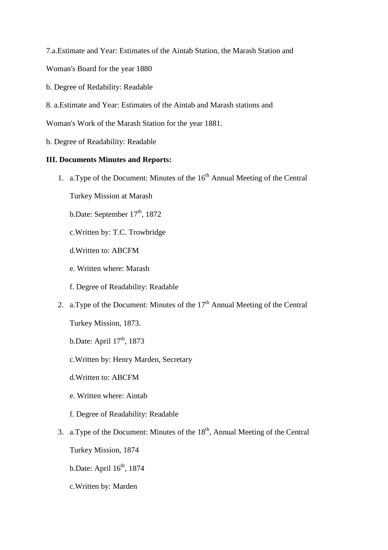7.a.Estimate and Year: Estimates of the Aintab Station, the Marash Station and

- Woman's Board for the year 1880
- b. Degree of Redability: Readable
- 8. a.Estimate and Year: Estimates of the Aintab and Marash stations and

Woman's Work of the Marash Station for the year 1881.

b. Degree of Readability: Readable

### **III. Documents Minutes and Reports:**

- 1. a. Type of the Document: Minutes of the  $16<sup>th</sup>$  Annual Meeting of the Central
	- Turkey Mission at Marash
	- b.Date: September  $17<sup>th</sup>$ , 1872
	- c.Written by: T.C. Trowbridge
	- d.Written to: ABCFM
	- e. Written where: Marash
	- f. Degree of Readability: Readable
- 2. a.Type of the Document: Minutes of the  $17<sup>th</sup>$  Annual Meeting of the Central
	- Turkey Mission, 1873.
	- b.Date: April  $17<sup>th</sup>$ , 1873
	- c.Written by: Henry Marden, Secretary
	- d.Written to: ABCFM
	- e. Written where: Aintab
	- f. Degree of Readability: Readable
- 3. a.Type of the Document: Minutes of the  $18<sup>th</sup>$ , Annual Meeting of the Central
	- Turkey Mission, 1874
	- b.Date: April  $16<sup>th</sup>$ , 1874
	- c.Written by: Marden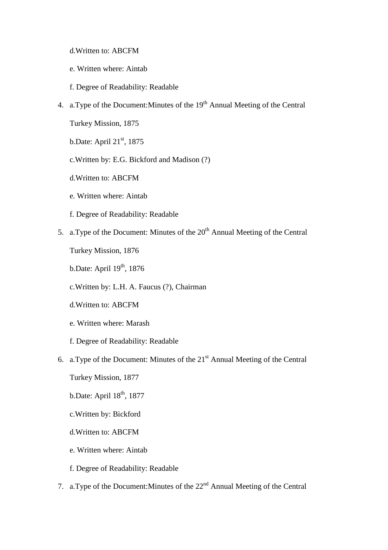- d.Written to: ABCFM
- e. Written where: Aintab
- f. Degree of Readability: Readable
- 4. a. Type of the Document: Minutes of the  $19<sup>th</sup>$  Annual Meeting of the Central

Turkey Mission, 1875

- b.Date: April 21<sup>st</sup>, 1875
- c.Written by: E.G. Bickford and Madison (?)
- d.Written to: ABCFM
- e. Written where: Aintab
- f. Degree of Readability: Readable
- 5. a.Type of the Document: Minutes of the  $20<sup>th</sup>$  Annual Meeting of the Central

Turkey Mission, 1876

- b.Date: April  $19<sup>th</sup>$ , 1876
- c.Written by: L.H. A. Faucus (?), Chairman
- d.Written to: ABCFM
- e. Written where: Marash
- f. Degree of Readability: Readable
- 6. a.Type of the Document: Minutes of the  $21<sup>st</sup>$  Annual Meeting of the Central
	- Turkey Mission, 1877
	- b.Date: April  $18<sup>th</sup>$ , 1877
	- c.Written by: Bickford
	- d.Written to: ABCFM
	- e. Written where: Aintab
	- f. Degree of Readability: Readable
- 7. a.Type of the Document:Minutes of the 22nd Annual Meeting of the Central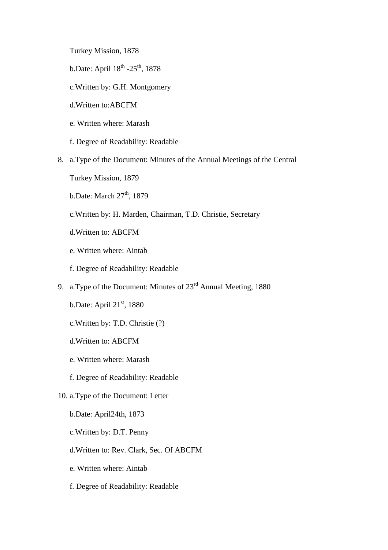Turkey Mission, 1878

- b.Date: April  $18^{th}$  -25<sup>th</sup>, 1878
- c.Written by: G.H. Montgomery
- d.Written to:ABCFM
- e. Written where: Marash
- f. Degree of Readability: Readable
- 8. a.Type of the Document: Minutes of the Annual Meetings of the Central
	- Turkey Mission, 1879
	- b.Date: March  $27<sup>th</sup>$ , 1879
	- c.Written by: H. Marden, Chairman, T.D. Christie, Secretary
	- d.Written to: ABCFM
	- e. Written where: Aintab
	- f. Degree of Readability: Readable
- 9. a.Type of the Document: Minutes of  $23<sup>rd</sup>$  Annual Meeting, 1880
	- b.Date: April  $21<sup>st</sup>$ , 1880
	- c.Written by: T.D. Christie (?)
	- d.Written to: ABCFM
	- e. Written where: Marash
	- f. Degree of Readability: Readable
- 10. a.Type of the Document: Letter
	- b.Date: April24th, 1873
	- c.Written by: D.T. Penny
	- d.Written to: Rev. Clark, Sec. Of ABCFM
	- e. Written where: Aintab
	- f. Degree of Readability: Readable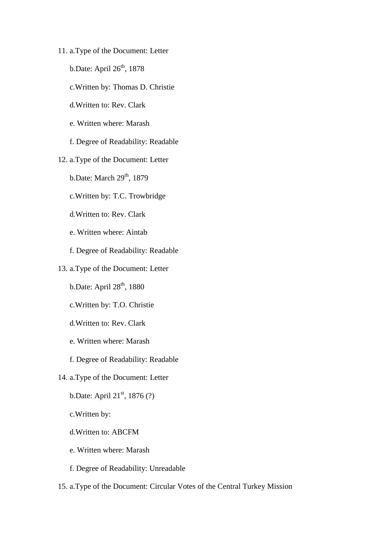- 11. a.Type of the Document: Letter
	- b.Date: April  $26<sup>th</sup>$ , 1878
	- c.Written by: Thomas D. Christie
	- d.Written to: Rev. Clark
	- e. Written where: Marash
	- f. Degree of Readability: Readable
- 12. a.Type of the Document: Letter
	- b.Date: March  $29<sup>th</sup>$ , 1879
	- c.Written by: T.C. Trowbridge
	- d.Written to: Rev. Clark
	- e. Written where: Aintab
	- f. Degree of Readability: Readable
- 13. a.Type of the Document: Letter
	- b.Date: April 28<sup>th</sup>, 1880
	- c.Written by: T.O. Christie
	- d.Written to: Rev. Clark
	- e. Written where: Marash
	- f. Degree of Readability: Readable
- 14. a.Type of the Document: Letter
	- b.Date: April  $21^{st}$ , 1876 (?)
	- c.Written by:
	- d.Written to: ABCFM
	- e. Written where: Marash
	- f. Degree of Readability: Unreadable
- 15. a.Type of the Document: Circular Votes of the Central Turkey Mission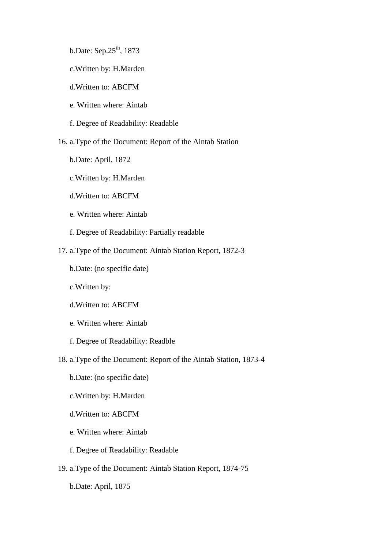b.Date: Sep.25<sup>th</sup>, 1873

- c.Written by: H.Marden
- d.Written to: ABCFM
- e. Written where: Aintab
- f. Degree of Readability: Readable

16. a.Type of the Document: Report of the Aintab Station

- b.Date: April, 1872
- c.Written by: H.Marden
- d.Written to: ABCFM
- e. Written where: Aintab
- f. Degree of Readability: Partially readable
- 17. a.Type of the Document: Aintab Station Report, 1872-3
	- b.Date: (no specific date)
	- c.Written by:
	- d.Written to: ABCFM
	- e. Written where: Aintab
	- f. Degree of Readability: Readble
- 18. a.Type of the Document: Report of the Aintab Station, 1873-4
	- b.Date: (no specific date)
	- c.Written by: H.Marden
	- d.Written to: ABCFM
	- e. Written where: Aintab
	- f. Degree of Readability: Readable
- 19. a.Type of the Document: Aintab Station Report, 1874-75
	- b.Date: April, 1875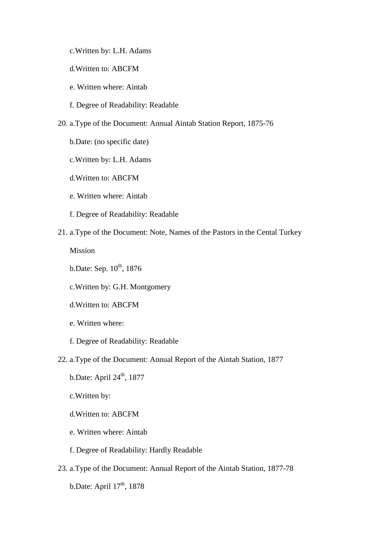c.Written by: L.H. Adams

d.Written to: ABCFM

- e. Written where: Aintab
- f. Degree of Readability: Readable
- 20. a.Type of the Document: Annual Aintab Station Report, 1875-76
	- b.Date: (no specific date)
	- c.Written by: L.H. Adams
	- d.Written to: ABCFM
	- e. Written where: Aintab
	- f. Degree of Readability: Readable
- 21. a.Type of the Document: Note, Names of the Pastors in the Cental Turkey

Mission

- b.Date: Sep.  $10^{th}$ , 1876
- c.Written by: G.H. Montgomery
- d.Written to: ABCFM
- e. Written where:
- f. Degree of Readability: Readable
- 22. a.Type of the Document: Annual Report of the Aintab Station, 1877
	- b.Date: April 24<sup>th</sup>, 1877
	- c.Written by:
	- d.Written to: ABCFM
	- e. Written where: Aintab
	- f. Degree of Readability: Hardly Readable
- 23. a.Type of the Document: Annual Report of the Aintab Station, 1877-78

b.Date: April  $17<sup>th</sup>$ , 1878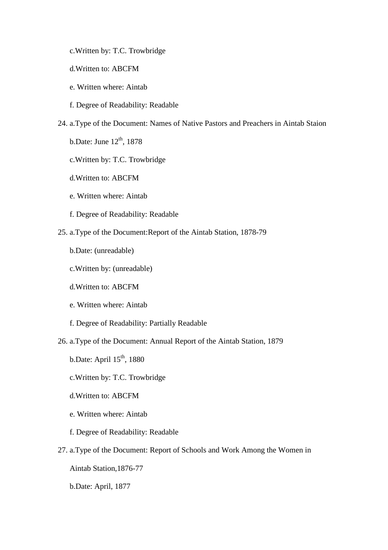- c.Written by: T.C. Trowbridge
- d.Written to: ABCFM
- e. Written where: Aintab
- f. Degree of Readability: Readable
- 24. a.Type of the Document: Names of Native Pastors and Preachers in Aintab Staion
	- b.Date: June  $12<sup>th</sup>$ , 1878
	- c.Written by: T.C. Trowbridge
	- d.Written to: ABCFM
	- e. Written where: Aintab
	- f. Degree of Readability: Readable
- 25. a.Type of the Document:Report of the Aintab Station, 1878-79
	- b.Date: (unreadable)
	- c.Written by: (unreadable)
	- d.Written to: ABCFM
	- e. Written where: Aintab
	- f. Degree of Readability: Partially Readable
- 26. a.Type of the Document: Annual Report of the Aintab Station, 1879
	- b.Date: April  $15<sup>th</sup>$ , 1880
	- c.Written by: T.C. Trowbridge
	- d.Written to: ABCFM
	- e. Written where: Aintab
	- f. Degree of Readability: Readable
- 27. a.Type of the Document: Report of Schools and Work Among the Women in
	- Aintab Station,1876-77
	- b.Date: April, 1877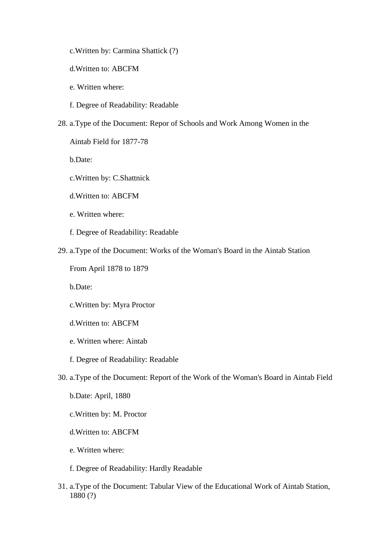- c.Written by: Carmina Shattick (?)
- d.Written to: ABCFM
- e. Written where:
- f. Degree of Readability: Readable
- 28. a.Type of the Document: Repor of Schools and Work Among Women in the
	- Aintab Field for 1877-78

b.Date:

- c.Written by: C.Shattnick
- d.Written to: ABCFM
- e. Written where:
- f. Degree of Readability: Readable
- 29. a.Type of the Document: Works of the Woman's Board in the Aintab Station
	- From April 1878 to 1879

b.Date:

- c.Written by: Myra Proctor
- d.Written to: ABCFM
- e. Written where: Aintab
- f. Degree of Readability: Readable
- 30. a.Type of the Document: Report of the Work of the Woman's Board in Aintab Field
	- b.Date: April, 1880
	- c.Written by: M. Proctor
	- d.Written to: ABCFM
	- e. Written where:
	- f. Degree of Readability: Hardly Readable
- 31. a.Type of the Document: Tabular View of the Educational Work of Aintab Station, 1880 (?)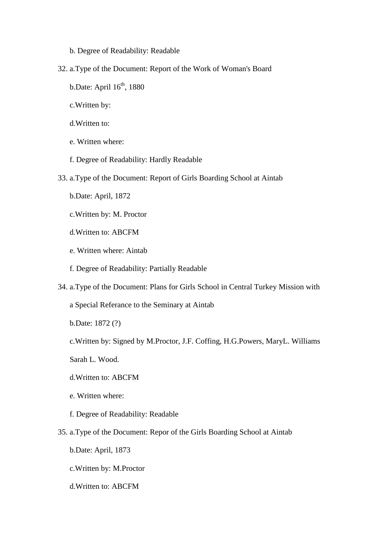- b. Degree of Readability: Readable
- 32. a.Type of the Document: Report of the Work of Woman's Board
	- b.Date: April  $16<sup>th</sup>$ , 1880
	- c.Written by:
	- d.Written to:
	- e. Written where:
	- f. Degree of Readability: Hardly Readable
- 33. a.Type of the Document: Report of Girls Boarding School at Aintab
	- b.Date: April, 1872
	- c.Written by: M. Proctor
	- d.Written to: ABCFM
	- e. Written where: Aintab
	- f. Degree of Readability: Partially Readable
- 34. a.Type of the Document: Plans for Girls School in Central Turkey Mission with
	- a Special Referance to the Seminary at Aintab
	- b.Date: 1872 (?)
	- c.Written by: Signed by M.Proctor, J.F. Coffing, H.G.Powers, MaryL. Williams
	- Sarah L. Wood.
	- d.Written to: ABCFM
	- e. Written where:
	- f. Degree of Readability: Readable
- 35. a.Type of the Document: Repor of the Girls Boarding School at Aintab
	- b.Date: April, 1873
	- c.Written by: M.Proctor
	- d.Written to: ABCFM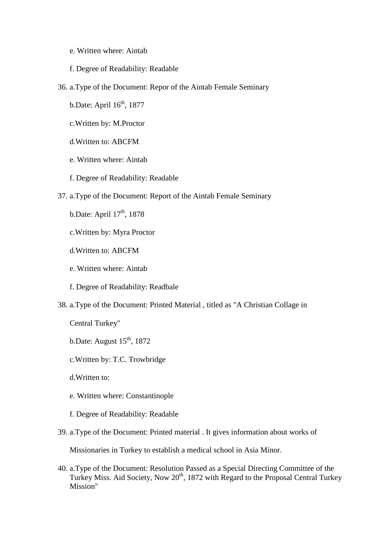- e. Written where: Aintab
- f. Degree of Readability: Readable
- 36. a.Type of the Document: Repor of the Aintab Female Seminary
	- b.Date: April  $16<sup>th</sup>$ , 1877
	- c.Written by: M.Proctor
	- d.Written to: ABCFM
	- e. Written where: Aintab
	- f. Degree of Readability: Readable
- 37. a.Type of the Document: Report of the Aintab Female Seminary
	- b.Date: April 17<sup>th</sup>, 1878
	- c.Written by: Myra Proctor
	- d.Written to: ABCFM
	- e. Written where: Aintab
	- f. Degree of Readability: Readbale
- 38. a.Type of the Document: Printed Material , titled as "A Christian Collage in

Central Turkey"

- b.Date: August  $15<sup>th</sup>$ , 1872
- c.Written by: T.C. Trowbridge
- d.Written to:
- e. Written where: Constantinople
- f. Degree of Readability: Readable
- 39. a.Type of the Document: Printed material . It gives information about works of

Missionaries in Turkey to establish a medical school in Asia Minor.

40. a.Type of the Document: Resolution Passed as a Special Directing Committee of the Turkey Miss. Aid Society, Now  $20<sup>th</sup>$ , 1872 with Regard to the Proposal Central Turkey Mission"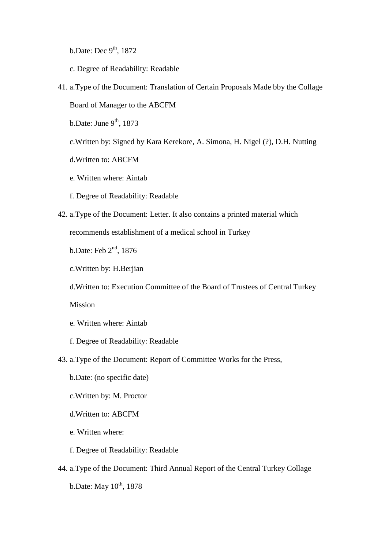b.Date: Dec  $9<sup>th</sup>$ , 1872

- c. Degree of Readability: Readable
- 41. a.Type of the Document: Translation of Certain Proposals Made bby the Collage Board of Manager to the ABCFM

b.Date: June  $9<sup>th</sup>$ , 1873

- c.Written by: Signed by Kara Kerekore, A. Simona, H. Nigel (?), D.H. Nutting
- d.Written to: ABCFM
- e. Written where: Aintab
- f. Degree of Readability: Readable
- 42. a.Type of the Document: Letter. It also contains a printed material which recommends establishment of a medical school in Turkey

b.Date: Feb 2nd, 1876

c.Written by: H.Berjian

d.Written to: Execution Committee of the Board of Trustees of Central Turkey

Mission

- e. Written where: Aintab
- f. Degree of Readability: Readable
- 43. a.Type of the Document: Report of Committee Works for the Press,
	- b.Date: (no specific date)
	- c.Written by: M. Proctor
	- d.Written to: ABCFM
	- e. Written where:
	- f. Degree of Readability: Readable
- 44. a.Type of the Document: Third Annual Report of the Central Turkey Collage b.Date: May  $10^{th}$ , 1878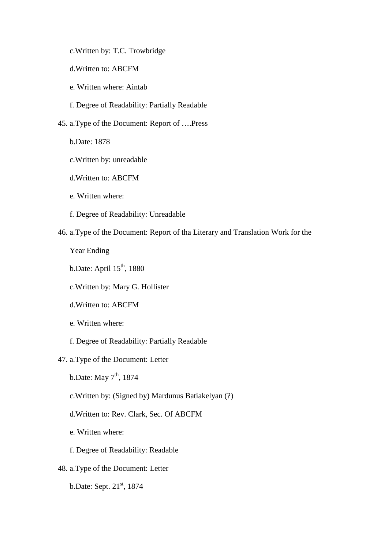- c.Written by: T.C. Trowbridge
- d.Written to: ABCFM
- e. Written where: Aintab
- f. Degree of Readability: Partially Readable
- 45. a.Type of the Document: Report of ….Press
	- b.Date: 1878
	- c.Written by: unreadable
	- d.Written to: ABCFM
	- e. Written where:
	- f. Degree of Readability: Unreadable
- 46. a.Type of the Document: Report of tha Literary and Translation Work for the
	- Year Ending
	- b.Date: April  $15<sup>th</sup>$ , 1880
	- c.Written by: Mary G. Hollister
	- d.Written to: ABCFM
	- e. Written where:
	- f. Degree of Readability: Partially Readable
- 47. a.Type of the Document: Letter
	- b.Date: May  $7<sup>th</sup>$ , 1874
	- c.Written by: (Signed by) Mardunus Batiakelyan (?)
	- d.Written to: Rev. Clark, Sec. Of ABCFM
	- e. Written where:
	- f. Degree of Readability: Readable
- 48. a.Type of the Document: Letter
	- b.Date: Sept.  $21<sup>st</sup>$ , 1874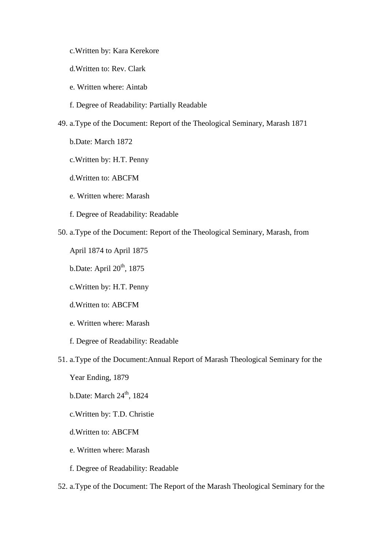c.Written by: Kara Kerekore

d.Written to: Rev. Clark

- e. Written where: Aintab
- f. Degree of Readability: Partially Readable
- 49. a.Type of the Document: Report of the Theological Seminary, Marash 1871
	- b.Date: March 1872
	- c.Written by: H.T. Penny
	- d.Written to: ABCFM
	- e. Written where: Marash
	- f. Degree of Readability: Readable
- 50. a.Type of the Document: Report of the Theological Seminary, Marash, from

April 1874 to April 1875

- b.Date: April  $20<sup>th</sup>$ , 1875
- c.Written by: H.T. Penny
- d.Written to: ABCFM
- e. Written where: Marash
- f. Degree of Readability: Readable
- 51. a.Type of the Document:Annual Report of Marash Theological Seminary for the
	- Year Ending, 1879
	- b.Date: March  $24<sup>th</sup>$ , 1824
	- c.Written by: T.D. Christie
	- d.Written to: ABCFM
	- e. Written where: Marash
	- f. Degree of Readability: Readable
- 52. a.Type of the Document: The Report of the Marash Theological Seminary for the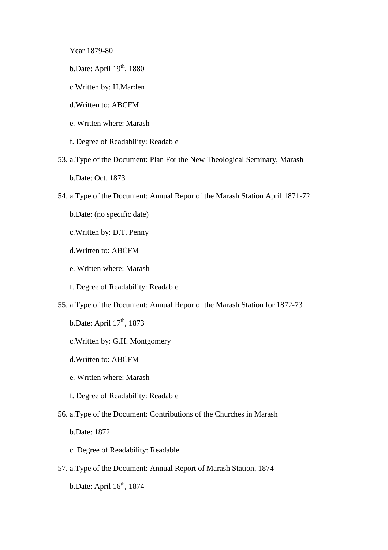Year 1879-80

- b.Date: April  $19<sup>th</sup>$ , 1880
- c.Written by: H.Marden
- d.Written to: ABCFM
- e. Written where: Marash
- f. Degree of Readability: Readable
- 53. a.Type of the Document: Plan For the New Theological Seminary, Marash b.Date: Oct. 1873
- 54. a.Type of the Document: Annual Repor of the Marash Station April 1871-72
	- b.Date: (no specific date)
	- c.Written by: D.T. Penny
	- d.Written to: ABCFM
	- e. Written where: Marash
	- f. Degree of Readability: Readable
- 55. a.Type of the Document: Annual Repor of the Marash Station for 1872-73
	- b.Date: April  $17<sup>th</sup>$ , 1873
	- c.Written by: G.H. Montgomery
	- d.Written to: ABCFM
	- e. Written where: Marash
	- f. Degree of Readability: Readable
- 56. a.Type of the Document: Contributions of the Churches in Marash

b.Date: 1872

- c. Degree of Readability: Readable
- 57. a.Type of the Document: Annual Report of Marash Station, 1874 b.Date: April  $16<sup>th</sup>$ , 1874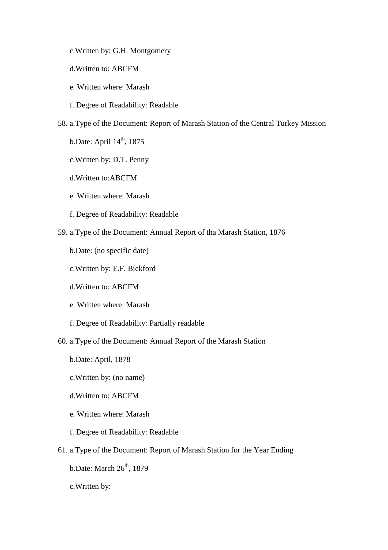- c.Written by: G.H. Montgomery
- d.Written to: ABCFM
- e. Written where: Marash
- f. Degree of Readability: Readable
- 58. a.Type of the Document: Report of Marash Station of the Central Turkey Mission
	- b.Date: April  $14<sup>th</sup>$ , 1875
	- c.Written by: D.T. Penny
	- d.Written to:ABCFM
	- e. Written where: Marash
	- f. Degree of Readability: Readable
- 59. a.Type of the Document: Annual Report of tha Marash Station, 1876
	- b.Date: (no specific date)
	- c.Written by: E.F. Bickford
	- d.Written to: ABCFM
	- e. Written where: Marash
	- f. Degree of Readability: Partially readable
- 60. a.Type of the Document: Annual Report of the Marash Station
	- b.Date: April, 1878
	- c.Written by: (no name)
	- d.Written to: ABCFM
	- e. Written where: Marash
	- f. Degree of Readability: Readable
- 61. a.Type of the Document: Report of Marash Station for the Year Ending
	- b.Date: March  $26<sup>th</sup>$ , 1879
	- c.Written by: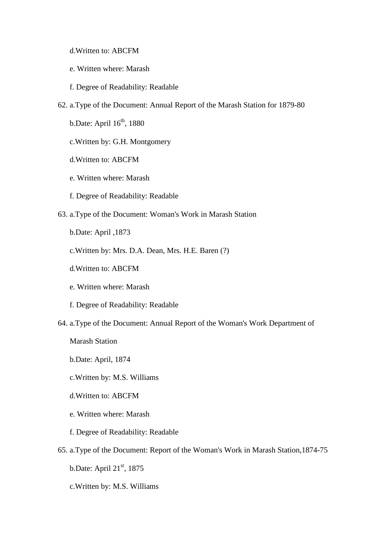- d.Written to: ABCFM
- e. Written where: Marash
- f. Degree of Readability: Readable
- 62. a.Type of the Document: Annual Report of the Marash Station for 1879-80
	- b.Date: April  $16<sup>th</sup>$ , 1880
	- c.Written by: G.H. Montgomery
	- d.Written to: ABCFM
	- e. Written where: Marash
	- f. Degree of Readability: Readable
- 63. a.Type of the Document: Woman's Work in Marash Station
	- b.Date: April ,1873
	- c.Written by: Mrs. D.A. Dean, Mrs. H.E. Baren (?)
	- d.Written to: ABCFM
	- e. Written where: Marash
	- f. Degree of Readability: Readable
- 64. a.Type of the Document: Annual Report of the Woman's Work Department of

Marash Station

- b.Date: April, 1874
- c.Written by: M.S. Williams
- d.Written to: ABCFM
- e. Written where: Marash
- f. Degree of Readability: Readable
- 65. a.Type of the Document: Report of the Woman's Work in Marash Station,1874-75
	- b.Date: April  $21<sup>st</sup>$ , 1875
	- c.Written by: M.S. Williams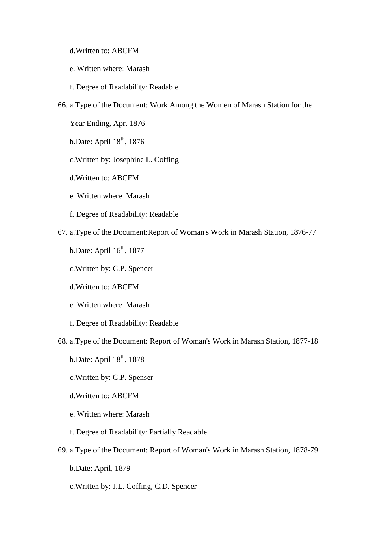d.Written to: ABCFM

- e. Written where: Marash
- f. Degree of Readability: Readable
- 66. a.Type of the Document: Work Among the Women of Marash Station for the

Year Ending, Apr. 1876

b.Date: April  $18^{th}$ , 1876

- c.Written by: Josephine L. Coffing
- d.Written to: ABCFM
- e. Written where: Marash
- f. Degree of Readability: Readable
- 67. a.Type of the Document:Report of Woman's Work in Marash Station, 1876-77
	- b.Date: April  $16<sup>th</sup>$ , 1877
	- c.Written by: C.P. Spencer
	- d.Written to: ABCFM
	- e. Written where: Marash
	- f. Degree of Readability: Readable
- 68. a.Type of the Document: Report of Woman's Work in Marash Station, 1877-18
	- b.Date: April  $18<sup>th</sup>$ , 1878
	- c.Written by: C.P. Spenser
	- d.Written to: ABCFM
	- e. Written where: Marash
	- f. Degree of Readability: Partially Readable
- 69. a.Type of the Document: Report of Woman's Work in Marash Station, 1878-79
	- b.Date: April, 1879
	- c.Written by: J.L. Coffing, C.D. Spencer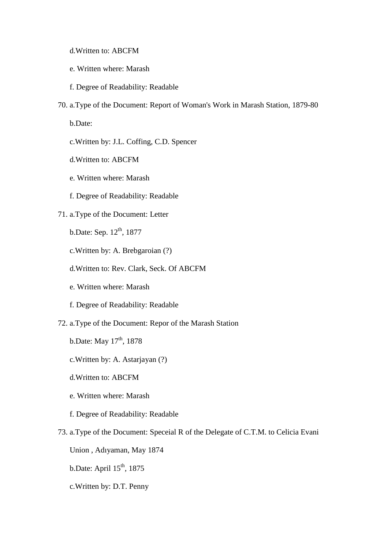- d.Written to: ABCFM
- e. Written where: Marash
- f. Degree of Readability: Readable
- 70. a.Type of the Document: Report of Woman's Work in Marash Station, 1879-80

b.Date:

- c.Written by: J.L. Coffing, C.D. Spencer
- d.Written to: ABCFM
- e. Written where: Marash
- f. Degree of Readability: Readable

# 71. a.Type of the Document: Letter

- b.Date: Sep.  $12^{th}$ , 1877
- c.Written by: A. Brebgaroian (?)
- d.Written to: Rev. Clark, Seck. Of ABCFM
- e. Written where: Marash
- f. Degree of Readability: Readable
- 72. a.Type of the Document: Repor of the Marash Station
	- b.Date: May  $17^{th}$ , 1878
	- c.Written by: A. Astarjayan (?)
	- d.Written to: ABCFM
	- e. Written where: Marash
	- f. Degree of Readability: Readable
- 73. a.Type of the Document: Speceial R of the Delegate of C.T.M. to Celicia Evani
	- Union , Adıyaman, May 1874
	- b.Date: April  $15<sup>th</sup>$ , 1875
	- c.Written by: D.T. Penny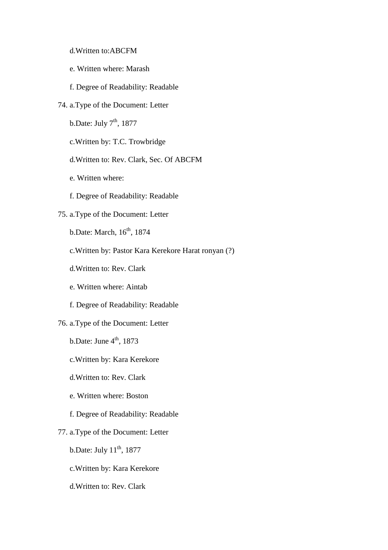- d.Written to:ABCFM
- e. Written where: Marash
- f. Degree of Readability: Readable
- 74. a.Type of the Document: Letter
	- b.Date: July  $7<sup>th</sup>$ , 1877
	- c.Written by: T.C. Trowbridge
	- d.Written to: Rev. Clark, Sec. Of ABCFM
	- e. Written where:
	- f. Degree of Readability: Readable

# 75. a.Type of the Document: Letter

- b.Date: March, 16<sup>th</sup>, 1874
- c.Written by: Pastor Kara Kerekore Harat ronyan (?)
- d.Written to: Rev. Clark
- e. Written where: Aintab
- f. Degree of Readability: Readable
- 76. a.Type of the Document: Letter
	- b.Date: June  $4<sup>th</sup>$ , 1873
	- c.Written by: Kara Kerekore
	- d.Written to: Rev. Clark
	- e. Written where: Boston
	- f. Degree of Readability: Readable
- 77. a.Type of the Document: Letter
	- b.Date: July  $11^{th}$ , 1877
	- c.Written by: Kara Kerekore
	- d.Written to: Rev. Clark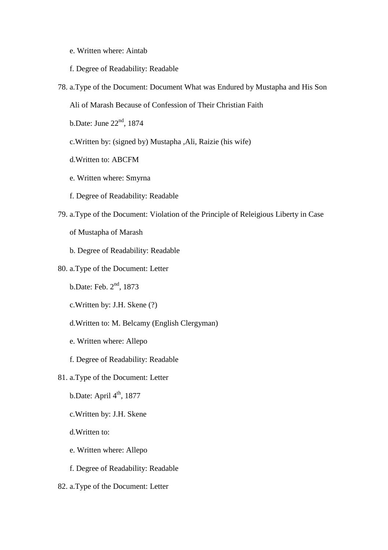- e. Written where: Aintab
- f. Degree of Readability: Readable
- 78. a.Type of the Document: Document What was Endured by Mustapha and His Son

Ali of Marash Because of Confession of Their Christian Faith

b.Date: June 22nd, 1874

- c.Written by: (signed by) Mustapha ,Ali, Raizie (his wife)
- d.Written to: ABCFM
- e. Written where: Smyrna
- f. Degree of Readability: Readable
- 79. a.Type of the Document: Violation of the Principle of Releigious Liberty in Case

of Mustapha of Marash

b. Degree of Readability: Readable

# 80. a.Type of the Document: Letter

- b.Date: Feb. 2<sup>nd</sup>, 1873
- c.Written by: J.H. Skene (?)
- d.Written to: M. Belcamy (English Clergyman)
- e. Written where: Allepo
- f. Degree of Readability: Readable
- 81. a.Type of the Document: Letter
	- b.Date: April  $4<sup>th</sup>$ , 1877
	- c.Written by: J.H. Skene
	- d.Written to:
	- e. Written where: Allepo
	- f. Degree of Readability: Readable
- 82. a.Type of the Document: Letter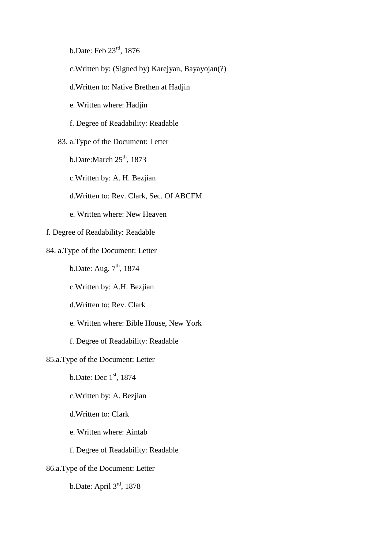b.Date: Feb 23rd, 1876

- c.Written by: (Signed by) Karejyan, Bayayojan(?)
- d.Written to: Native Brethen at Hadjin
- e. Written where: Hadjin
- f. Degree of Readability: Readable

# 83. a.Type of the Document: Letter

- b.Date:March  $25<sup>th</sup>$ , 1873
- c.Written by: A. H. Bezjian
- d.Written to: Rev. Clark, Sec. Of ABCFM
- e. Written where: New Heaven
- f. Degree of Readability: Readable
- 84. a.Type of the Document: Letter
	- b.Date: Aug.  $7<sup>th</sup>$ , 1874
	- c.Written by: A.H. Bezjian
	- d.Written to: Rev. Clark
	- e. Written where: Bible House, New York
	- f. Degree of Readability: Readable

# 85.a.Type of the Document: Letter

- b.Date: Dec 1st, 1874
- c.Written by: A. Bezjian
- d.Written to: Clark
- e. Written where: Aintab
- f. Degree of Readability: Readable

# 86.a.Type of the Document: Letter

b.Date: April 3rd, 1878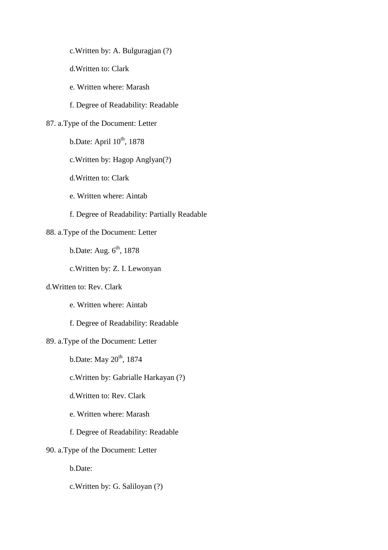c.Written by: A. Bulguragjan (?)

d.Written to: Clark

e. Written where: Marash

f. Degree of Readability: Readable

# 87. a.Type of the Document: Letter

b.Date: April  $10^{th}$ , 1878

c.Written by: Hagop Anglyan(?)

d.Written to: Clark

e. Written where: Aintab

f. Degree of Readability: Partially Readable

# 88. a.Type of the Document: Letter

b.Date: Aug.  $6<sup>th</sup>$ , 1878

c.Written by: Z. I. Lewonyan

# d.Written to: Rev. Clark

e. Written where: Aintab

f. Degree of Readability: Readable

# 89. a.Type of the Document: Letter

 $b.$ Date: May  $20<sup>th</sup>$ , 1874

c.Written by: Gabrialle Harkayan (?)

d.Written to: Rev. Clark

e. Written where: Marash

f. Degree of Readability: Readable

# 90. a.Type of the Document: Letter

b.Date:

c.Written by: G. Saliloyan (?)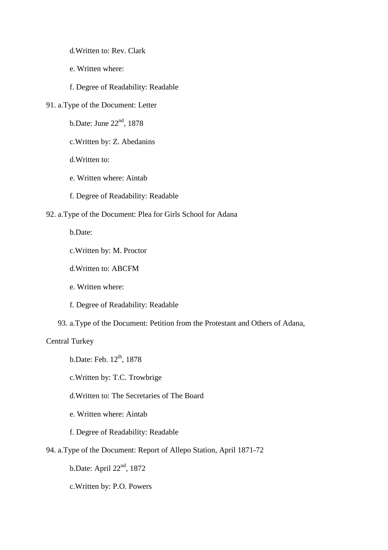d.Written to: Rev. Clark

- e. Written where:
- f. Degree of Readability: Readable
- 91. a.Type of the Document: Letter
	- b.Date: June 22nd, 1878
	- c.Written by: Z. Abedanins
	- d.Written to:
	- e. Written where: Aintab
	- f. Degree of Readability: Readable

# 92. a.Type of the Document: Plea for Girls School for Adana

b.Date:

- c.Written by: M. Proctor
- d.Written to: ABCFM
- e. Written where:
- f. Degree of Readability: Readable
- 93. a.Type of the Document: Petition from the Protestant and Others of Adana,

### Central Turkey

- b.Date: Feb.  $12^{th}$ , 1878
- c.Written by: T.C. Trowbrige
- d.Written to: The Secretaries of The Board
- e. Written where: Aintab
- f. Degree of Readability: Readable
- 94. a.Type of the Document: Report of Allepo Station, April 1871-72

b.Date: April 22nd, 1872

c.Written by: P.O. Powers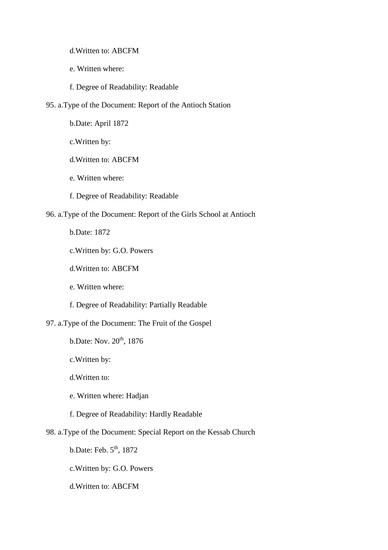d.Written to: ABCFM

- e. Written where:
- f. Degree of Readability: Readable
- 95. a.Type of the Document: Report of the Antioch Station
	- b.Date: April 1872
	- c.Written by:
	- d.Written to: ABCFM
	- e. Written where:
	- f. Degree of Readability: Readable
- 96. a.Type of the Document: Report of the Girls School at Antioch

b.Date: 1872

- c.Written by: G.O. Powers
- d.Written to: ABCFM

e. Written where:

- f. Degree of Readability: Partially Readable
- 97. a.Type of the Document: The Fruit of the Gospel
	- $b.$ Date: Nov.  $20<sup>th</sup>$ , 1876
	- c.Written by:
	- d.Written to:
	- e. Written where: Hadjan
	- f. Degree of Readability: Hardly Readable
- 98. a.Type of the Document: Special Report on the Kessab Church
	- b.Date: Feb.  $5<sup>th</sup>$ , 1872
	- c.Written by: G.O. Powers
	- d.Written to: ABCFM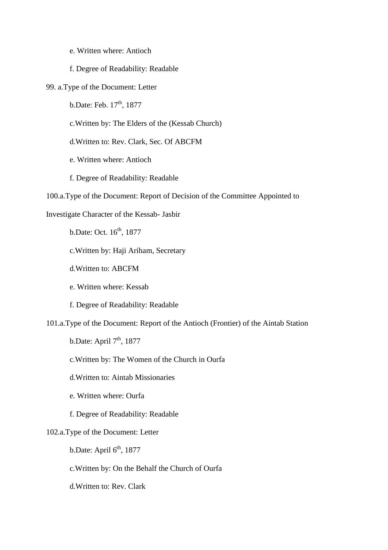e. Written where: Antioch

#### f. Degree of Readability: Readable

- 99. a.Type of the Document: Letter
	- $b.$ Date: Feb.  $17<sup>th</sup>$ , 1877
	- c.Written by: The Elders of the (Kessab Church)
	- d.Written to: Rev. Clark, Sec. Of ABCFM
	- e. Written where: Antioch
	- f. Degree of Readability: Readable
- 100.a.Type of the Document: Report of Decision of the Committee Appointed to

### Investigate Character of the Kessab- Jasbir

b.Date: Oct. 16<sup>th</sup>, 1877

c.Written by: Haji Ariham, Secretary

- d.Written to: ABCFM
- e. Written where: Kessab
- f. Degree of Readability: Readable
- 101.a.Type of the Document: Report of the Antioch (Frontier) of the Aintab Station

b.Date: April  $7<sup>th</sup>$ , 1877

- c.Written by: The Women of the Church in Ourfa
- d.Written to: Aintab Missionaries
- e. Written where: Ourfa
- f. Degree of Readability: Readable

# 102.a.Type of the Document: Letter

- b.Date: April  $6<sup>th</sup>$ , 1877
- c.Written by: On the Behalf the Church of Ourfa
- d.Written to: Rev. Clark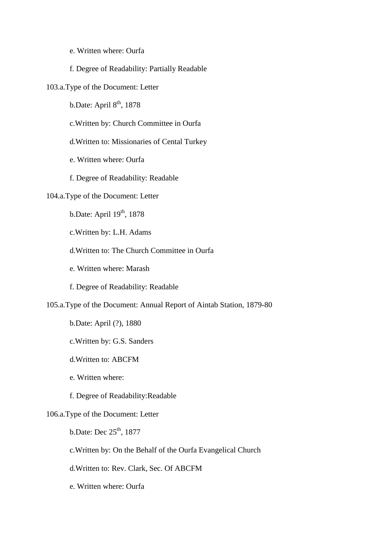e. Written where: Ourfa

#### f. Degree of Readability: Partially Readable

### 103.a.Type of the Document: Letter

b.Date: April  $8<sup>th</sup>$ , 1878

c.Written by: Church Committee in Ourfa

d.Written to: Missionaries of Cental Turkey

e. Written where: Ourfa

f. Degree of Readability: Readable

# 104.a.Type of the Document: Letter

b.Date: April 19<sup>th</sup>, 1878

c.Written by: L.H. Adams

d.Written to: The Church Committee in Ourfa

e. Written where: Marash

f. Degree of Readability: Readable

105.a.Type of the Document: Annual Report of Aintab Station, 1879-80

b.Date: April (?), 1880

c.Written by: G.S. Sanders

d.Written to: ABCFM

e. Written where:

f. Degree of Readability:Readable

## 106.a.Type of the Document: Letter

b.Date: Dec  $25<sup>th</sup>$ , 1877

c.Written by: On the Behalf of the Ourfa Evangelical Church

d.Written to: Rev. Clark, Sec. Of ABCFM

e. Written where: Ourfa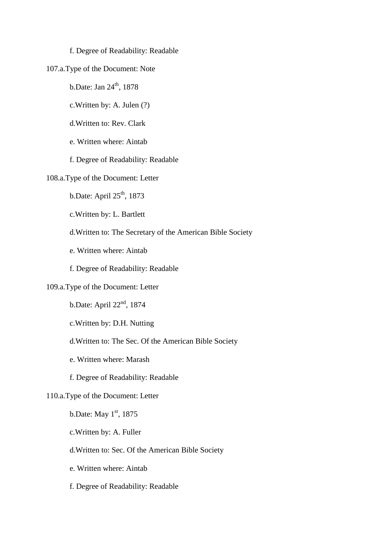#### f. Degree of Readability: Readable

# 107.a.Type of the Document: Note

b.Date: Jan  $24<sup>th</sup>$ , 1878

c.Written by: A. Julen (?)

d.Written to: Rev. Clark

e. Written where: Aintab

f. Degree of Readability: Readable

#### 108.a.Type of the Document: Letter

b.Date: April  $25<sup>th</sup>$ , 1873

c.Written by: L. Bartlett

d.Written to: The Secretary of the American Bible Society

e. Written where: Aintab

f. Degree of Readability: Readable

#### 109.a.Type of the Document: Letter

b.Date: April  $22<sup>nd</sup>$ , 1874

c.Written by: D.H. Nutting

### d.Written to: The Sec. Of the American Bible Society

e. Written where: Marash

f. Degree of Readability: Readable

#### 110.a.Type of the Document: Letter

b.Date: May  $1<sup>st</sup>$ , 1875

c.Written by: A. Fuller

d.Written to: Sec. Of the American Bible Society

e. Written where: Aintab

f. Degree of Readability: Readable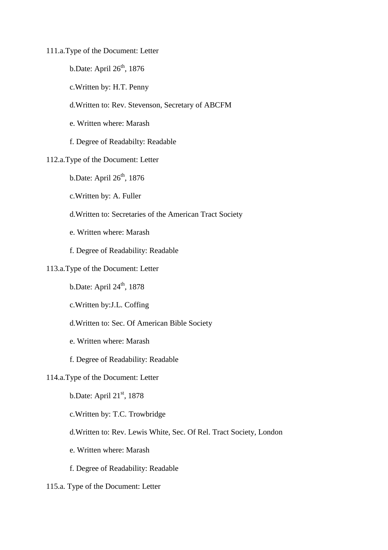111.a.Type of the Document: Letter

- b.Date: April  $26<sup>th</sup>$ , 1876
- c.Written by: H.T. Penny
- d.Written to: Rev. Stevenson, Secretary of ABCFM
- e. Written where: Marash
- f. Degree of Readabilty: Readable

#### 112.a.Type of the Document: Letter

- b.Date: April  $26<sup>th</sup>$ , 1876
- c.Written by: A. Fuller
- d.Written to: Secretaries of the American Tract Society
- e. Written where: Marash
- f. Degree of Readability: Readable

### 113.a.Type of the Document: Letter

- b.Date: April  $24<sup>th</sup>$ , 1878
- c.Written by:J.L. Coffing
- d.Written to: Sec. Of American Bible Society
- e. Written where: Marash
- f. Degree of Readability: Readable

## 114.a.Type of the Document: Letter

- b.Date: April  $21<sup>st</sup>$ , 1878
- c.Written by: T.C. Trowbridge
- d.Written to: Rev. Lewis White, Sec. Of Rel. Tract Society, London
- e. Written where: Marash
- f. Degree of Readability: Readable
- 115.a. Type of the Document: Letter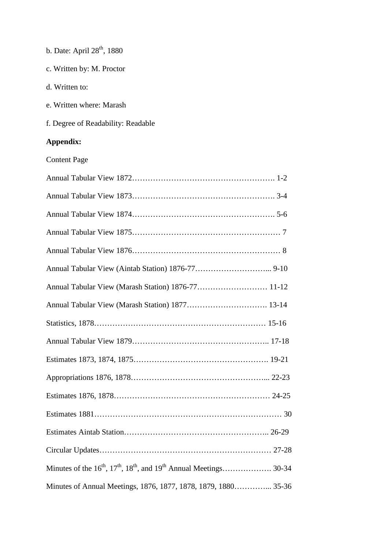| c. Written by: M. Proctor          |
|------------------------------------|
| d. Written to:                     |
| e. Written where: Marash           |
| f. Degree of Readability: Readable |
| Appendix:                          |
| <b>Content Page</b>                |
|                                    |
|                                    |
|                                    |
|                                    |
|                                    |
|                                    |
|                                    |
|                                    |
|                                    |
|                                    |
|                                    |
|                                    |
|                                    |
|                                    |
|                                    |
|                                    |
|                                    |
|                                    |

b. Date: April 28<sup>th</sup>, 1880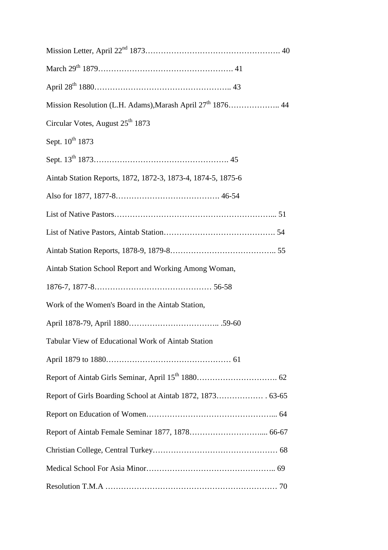| Circular Votes, August 25 <sup>th</sup> 1873                 |  |
|--------------------------------------------------------------|--|
| Sept. $10^{th}$ 1873                                         |  |
|                                                              |  |
| Aintab Station Reports, 1872, 1872-3, 1873-4, 1874-5, 1875-6 |  |
|                                                              |  |
|                                                              |  |
|                                                              |  |
|                                                              |  |
| Aintab Station School Report and Working Among Woman,        |  |
|                                                              |  |
| Work of the Women's Board in the Aintab Station,             |  |
|                                                              |  |
| Tabular View of Educational Work of Aintab Station           |  |
|                                                              |  |
|                                                              |  |
|                                                              |  |
|                                                              |  |
|                                                              |  |
|                                                              |  |
|                                                              |  |
|                                                              |  |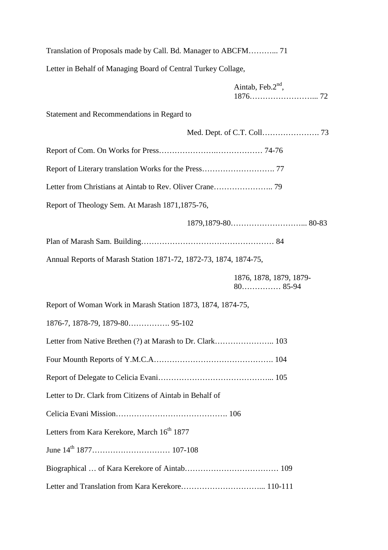| Translation of Proposals made by Call. Bd. Manager to ABCFM 71    |  |  |
|-------------------------------------------------------------------|--|--|
| Letter in Behalf of Managing Board of Central Turkey Collage,     |  |  |
| Aintab, Feb. $2nd$ ,                                              |  |  |
| Statement and Recommendations in Regard to                        |  |  |
|                                                                   |  |  |
|                                                                   |  |  |
|                                                                   |  |  |
|                                                                   |  |  |
| Report of Theology Sem. At Marash 1871, 1875-76,                  |  |  |
|                                                                   |  |  |
|                                                                   |  |  |
| Annual Reports of Marash Station 1871-72, 1872-73, 1874, 1874-75, |  |  |
|                                                                   |  |  |
| 1876, 1878, 1879, 1879-                                           |  |  |
| Report of Woman Work in Marash Station 1873, 1874, 1874-75,       |  |  |
|                                                                   |  |  |
|                                                                   |  |  |
|                                                                   |  |  |
|                                                                   |  |  |
| Letter to Dr. Clark from Citizens of Aintab in Behalf of          |  |  |
|                                                                   |  |  |
| Letters from Kara Kerekore, March 16 <sup>th</sup> 1877           |  |  |
|                                                                   |  |  |
|                                                                   |  |  |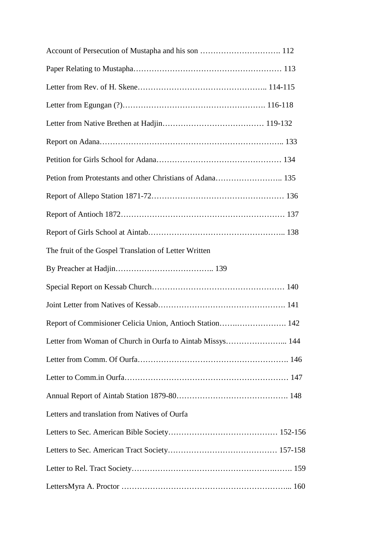| The fruit of the Gospel Translation of Letter Written     |  |
|-----------------------------------------------------------|--|
|                                                           |  |
|                                                           |  |
|                                                           |  |
| Report of Commisioner Celicia Union, Antioch Station 142  |  |
| Letter from Woman of Church in Ourfa to Aintab Missys 144 |  |
|                                                           |  |
|                                                           |  |
|                                                           |  |
| Letters and translation from Natives of Ourfa             |  |
|                                                           |  |
|                                                           |  |
|                                                           |  |
|                                                           |  |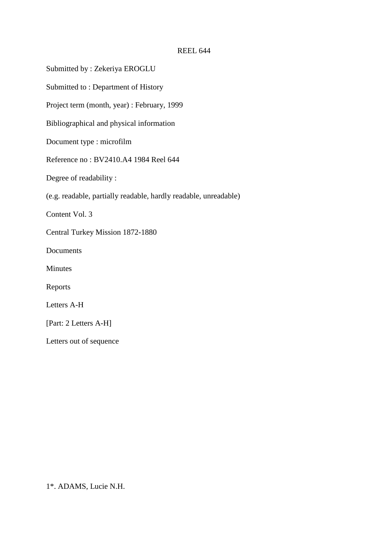## REEL 644

Submitted by : Zekeriya EROGLU

Submitted to : Department of History

Project term (month, year) : February, 1999

Bibliographical and physical information

Document type : microfilm

Reference no : BV2410.A4 1984 Reel 644

Degree of readability :

(e.g. readable, partially readable, hardly readable, unreadable)

Content Vol. 3

Central Turkey Mission 1872-1880

**Documents** 

Minutes

Reports

Letters A-H

[Part: 2 Letters A-H]

Letters out of sequence

1\*. ADAMS, Lucie N.H.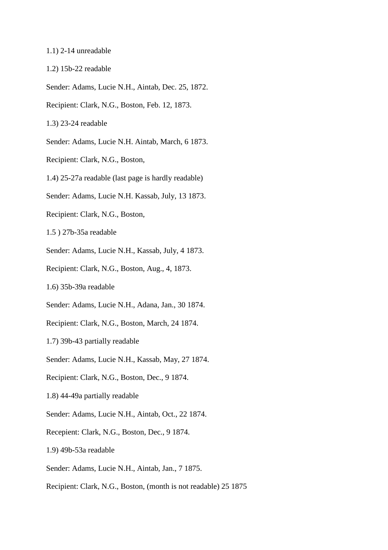#### 1.1) 2-14 unreadable

1.2) 15b-22 readable

Sender: Adams, Lucie N.H., Aintab, Dec. 25, 1872.

Recipient: Clark, N.G., Boston, Feb. 12, 1873.

1.3) 23-24 readable

Sender: Adams, Lucie N.H. Aintab, March, 6 1873.

Recipient: Clark, N.G., Boston,

1.4) 25-27a readable (last page is hardly readable)

Sender: Adams, Lucie N.H. Kassab, July, 13 1873.

Recipient: Clark, N.G., Boston,

1.5 ) 27b-35a readable

Sender: Adams, Lucie N.H., Kassab, July, 4 1873.

Recipient: Clark, N.G., Boston, Aug., 4, 1873.

1.6) 35b-39a readable

Sender: Adams, Lucie N.H., Adana, Jan., 30 1874.

Recipient: Clark, N.G., Boston, March, 24 1874.

1.7) 39b-43 partially readable

Sender: Adams, Lucie N.H., Kassab, May, 27 1874.

Recipient: Clark, N.G., Boston, Dec., 9 1874.

1.8) 44-49a partially readable

Sender: Adams, Lucie N.H., Aintab, Oct., 22 1874.

Recepient: Clark, N.G., Boston, Dec., 9 1874.

1.9) 49b-53a readable

Sender: Adams, Lucie N.H., Aintab, Jan., 7 1875.

Recipient: Clark, N.G., Boston, (month is not readable) 25 1875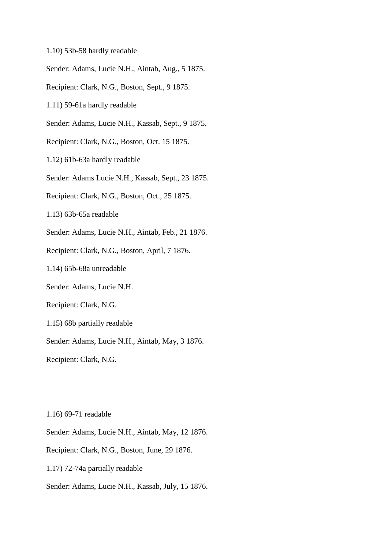- 1.10) 53b-58 hardly readable
- Sender: Adams, Lucie N.H., Aintab, Aug., 5 1875.
- Recipient: Clark, N.G., Boston, Sept., 9 1875.
- 1.11) 59-61a hardly readable
- Sender: Adams, Lucie N.H., Kassab, Sept., 9 1875.
- Recipient: Clark, N.G., Boston, Oct. 15 1875.
- 1.12) 61b-63a hardly readable
- Sender: Adams Lucie N.H., Kassab, Sept., 23 1875.
- Recipient: Clark, N.G., Boston, Oct., 25 1875.
- 1.13) 63b-65a readable
- Sender: Adams, Lucie N.H., Aintab, Feb., 21 1876.
- Recipient: Clark, N.G., Boston, April, 7 1876.
- 1.14) 65b-68a unreadable
- Sender: Adams, Lucie N.H.
- Recipient: Clark, N.G.
- 1.15) 68b partially readable
- Sender: Adams, Lucie N.H., Aintab, May, 3 1876.
- Recipient: Clark, N.G.

1.16) 69-71 readable

- Sender: Adams, Lucie N.H., Aintab, May, 12 1876.
- Recipient: Clark, N.G., Boston, June, 29 1876.
- 1.17) 72-74a partially readable
- Sender: Adams, Lucie N.H., Kassab, July, 15 1876.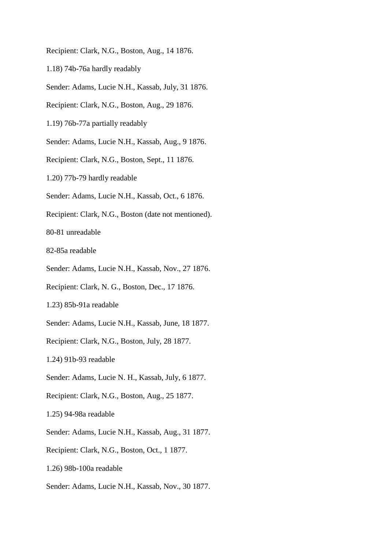Recipient: Clark, N.G., Boston, Aug., 14 1876.

- 1.18) 74b-76a hardly readably
- Sender: Adams, Lucie N.H., Kassab, July, 31 1876.
- Recipient: Clark, N.G., Boston, Aug., 29 1876.
- 1.19) 76b-77a partially readably
- Sender: Adams, Lucie N.H., Kassab, Aug., 9 1876.
- Recipient: Clark, N.G., Boston, Sept., 11 1876.
- 1.20) 77b-79 hardly readable
- Sender: Adams, Lucie N.H., Kassab, Oct., 6 1876.
- Recipient: Clark, N.G., Boston (date not mentioned).
- 80-81 unreadable
- 82-85a readable
- Sender: Adams, Lucie N.H., Kassab, Nov., 27 1876.
- Recipient: Clark, N. G., Boston, Dec., 17 1876.
- 1.23) 85b-91a readable
- Sender: Adams, Lucie N.H., Kassab, June, 18 1877.
- Recipient: Clark, N.G., Boston, July, 28 1877.
- 1.24) 91b-93 readable
- Sender: Adams, Lucie N. H., Kassab, July, 6 1877.
- Recipient: Clark, N.G., Boston, Aug., 25 1877.
- 1.25) 94-98a readable
- Sender: Adams, Lucie N.H., Kassab, Aug., 31 1877.
- Recipient: Clark, N.G., Boston, Oct., 1 1877.
- 1.26) 98b-100a readable
- Sender: Adams, Lucie N.H., Kassab, Nov., 30 1877.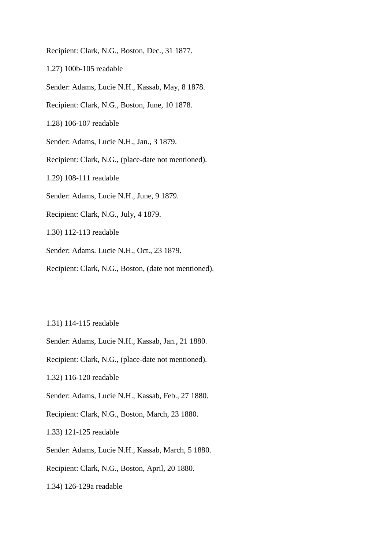Recipient: Clark, N.G., Boston, Dec., 31 1877.

1.27) 100b-105 readable

Sender: Adams, Lucie N.H., Kassab, May, 8 1878.

Recipient: Clark, N.G., Boston, June, 10 1878.

1.28) 106-107 readable

Sender: Adams, Lucie N.H., Jan., 3 1879.

Recipient: Clark, N.G., (place-date not mentioned).

1.29) 108-111 readable

Sender: Adams, Lucie N.H., June, 9 1879.

Recipient: Clark, N.G., July, 4 1879.

1.30) 112-113 readable

Sender: Adams. Lucie N.H., Oct., 23 1879.

Recipient: Clark, N.G., Boston, (date not mentioned).

1.31) 114-115 readable

Sender: Adams, Lucie N.H., Kassab, Jan., 21 1880.

Recipient: Clark, N.G., (place-date not mentioned).

1.32) 116-120 readable

Sender: Adams, Lucie N.H., Kassab, Feb., 27 1880.

Recipient: Clark, N.G., Boston, March, 23 1880.

1.33) 121-125 readable

Sender: Adams, Lucie N.H., Kassab, March, 5 1880.

Recipient: Clark, N.G., Boston, April, 20 1880.

1.34) 126-129a readable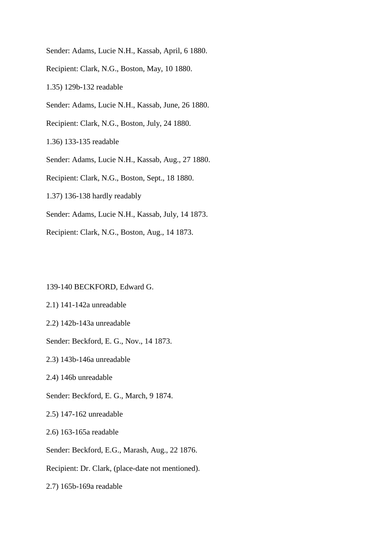Sender: Adams, Lucie N.H., Kassab, April, 6 1880. Recipient: Clark, N.G., Boston, May, 10 1880. 1.35) 129b-132 readable Sender: Adams, Lucie N.H., Kassab, June, 26 1880. Recipient: Clark, N.G., Boston, July, 24 1880. 1.36) 133-135 readable Sender: Adams, Lucie N.H., Kassab, Aug., 27 1880. Recipient: Clark, N.G., Boston, Sept., 18 1880. 1.37) 136-138 hardly readably Sender: Adams, Lucie N.H., Kassab, July, 14 1873. Recipient: Clark, N.G., Boston, Aug., 14 1873.

139-140 BECKFORD, Edward G.

2.1) 141-142a unreadable

2.2) 142b-143a unreadable

Sender: Beckford, E. G., Nov., 14 1873.

2.3) 143b-146a unreadable

2.4) 146b unreadable

Sender: Beckford, E. G., March, 9 1874.

2.5) 147-162 unreadable

2.6) 163-165a readable

Sender: Beckford, E.G., Marash, Aug., 22 1876.

Recipient: Dr. Clark, (place-date not mentioned).

2.7) 165b-169a readable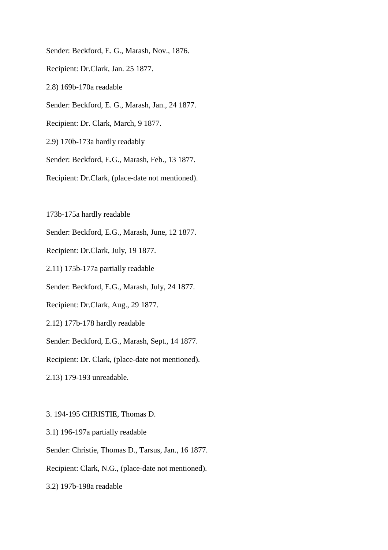Sender: Beckford, E. G., Marash, Nov., 1876. Recipient: Dr.Clark, Jan. 25 1877. 2.8) 169b-170a readable Sender: Beckford, E. G., Marash, Jan., 24 1877. Recipient: Dr. Clark, March, 9 1877. 2.9) 170b-173a hardly readably Sender: Beckford, E.G., Marash, Feb., 13 1877. Recipient: Dr.Clark, (place-date not mentioned).

173b-175a hardly readable

Sender: Beckford, E.G., Marash, June, 12 1877.

Recipient: Dr.Clark, July, 19 1877.

2.11) 175b-177a partially readable

Sender: Beckford, E.G., Marash, July, 24 1877.

Recipient: Dr.Clark, Aug., 29 1877.

2.12) 177b-178 hardly readable

Sender: Beckford, E.G., Marash, Sept., 14 1877.

Recipient: Dr. Clark, (place-date not mentioned).

2.13) 179-193 unreadable.

3. 194-195 CHRISTIE, Thomas D.

3.1) 196-197a partially readable

Sender: Christie, Thomas D., Tarsus, Jan., 16 1877.

Recipient: Clark, N.G., (place-date not mentioned).

3.2) 197b-198a readable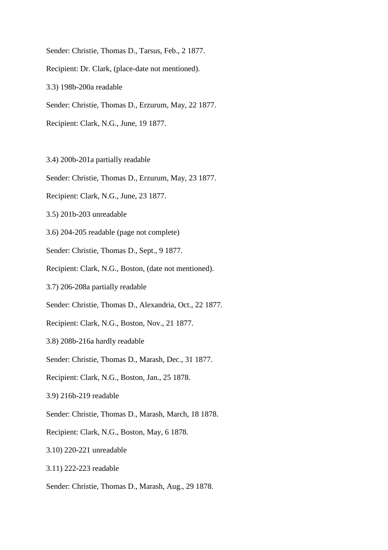Sender: Christie, Thomas D., Tarsus, Feb., 2 1877.

Recipient: Dr. Clark, (place-date not mentioned).

3.3) 198b-200a readable

Sender: Christie, Thomas D., Erzurum, May, 22 1877.

Recipient: Clark, N.G., June, 19 1877.

3.4) 200b-201a partially readable

Sender: Christie, Thomas D., Erzurum, May, 23 1877.

- Recipient: Clark, N.G., June, 23 1877.
- 3.5) 201b-203 unreadable

3.6) 204-205 readable (page not complete)

Sender: Christie, Thomas D., Sept., 9 1877.

Recipient: Clark, N.G., Boston, (date not mentioned).

3.7) 206-208a partially readable

Sender: Christie, Thomas D., Alexandria, Oct., 22 1877.

Recipient: Clark, N.G., Boston, Nov., 21 1877.

3.8) 208b-216a hardly readable

Sender: Christie, Thomas D., Marash, Dec., 31 1877.

Recipient: Clark, N.G., Boston, Jan., 25 1878.

3.9) 216b-219 readable

Sender: Christie, Thomas D., Marash, March, 18 1878.

Recipient: Clark, N.G., Boston, May, 6 1878.

3.10) 220-221 unreadable

3.11) 222-223 readable

Sender: Christie, Thomas D., Marash, Aug., 29 1878.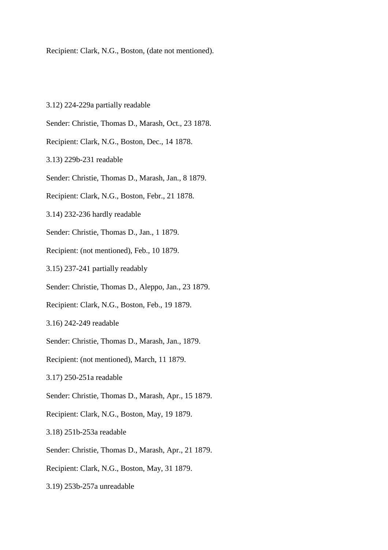Recipient: Clark, N.G., Boston, (date not mentioned).

- 3.12) 224-229a partially readable
- Sender: Christie, Thomas D., Marash, Oct., 23 1878.
- Recipient: Clark, N.G., Boston, Dec., 14 1878.
- 3.13) 229b-231 readable
- Sender: Christie, Thomas D., Marash, Jan., 8 1879.
- Recipient: Clark, N.G., Boston, Febr., 21 1878.
- 3.14) 232-236 hardly readable
- Sender: Christie, Thomas D., Jan., 1 1879.
- Recipient: (not mentioned), Feb., 10 1879.
- 3.15) 237-241 partially readably
- Sender: Christie, Thomas D., Aleppo, Jan., 23 1879.
- Recipient: Clark, N.G., Boston, Feb., 19 1879.
- 3.16) 242-249 readable
- Sender: Christie, Thomas D., Marash, Jan., 1879.
- Recipient: (not mentioned), March, 11 1879.
- 3.17) 250-251a readable
- Sender: Christie, Thomas D., Marash, Apr., 15 1879.
- Recipient: Clark, N.G., Boston, May, 19 1879.
- 3.18) 251b-253a readable
- Sender: Christie, Thomas D., Marash, Apr., 21 1879.
- Recipient: Clark, N.G., Boston, May, 31 1879.
- 3.19) 253b-257a unreadable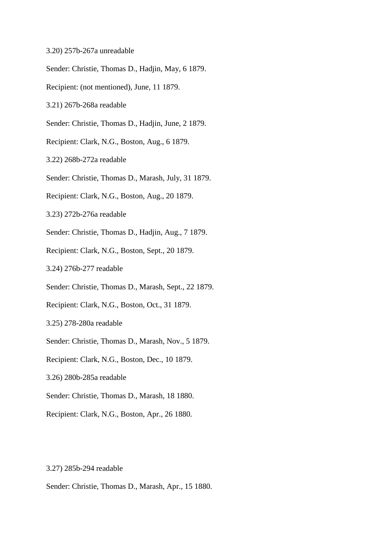- 3.20) 257b-267a unreadable
- Sender: Christie, Thomas D., Hadjin, May, 6 1879.
- Recipient: (not mentioned), June, 11 1879.
- 3.21) 267b-268a readable
- Sender: Christie, Thomas D., Hadjin, June, 2 1879.
- Recipient: Clark, N.G., Boston, Aug., 6 1879.
- 3.22) 268b-272a readable
- Sender: Christie, Thomas D., Marash, July, 31 1879.
- Recipient: Clark, N.G., Boston, Aug., 20 1879.
- 3.23) 272b-276a readable
- Sender: Christie, Thomas D., Hadjin, Aug., 7 1879.
- Recipient: Clark, N.G., Boston, Sept., 20 1879.
- 3.24) 276b-277 readable
- Sender: Christie, Thomas D., Marash, Sept., 22 1879.
- Recipient: Clark, N.G., Boston, Oct., 31 1879.
- 3.25) 278-280a readable
- Sender: Christie, Thomas D., Marash, Nov., 5 1879.
- Recipient: Clark, N.G., Boston, Dec., 10 1879.
- 3.26) 280b-285a readable
- Sender: Christie, Thomas D., Marash, 18 1880.
- Recipient: Clark, N.G., Boston, Apr., 26 1880.

## 3.27) 285b-294 readable

Sender: Christie, Thomas D., Marash, Apr., 15 1880.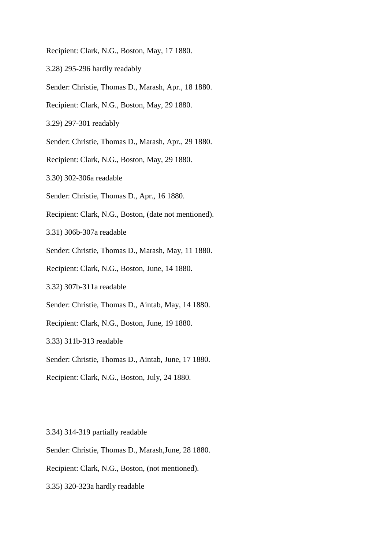Recipient: Clark, N.G., Boston, May, 17 1880.

- 3.28) 295-296 hardly readably
- Sender: Christie, Thomas D., Marash, Apr., 18 1880.
- Recipient: Clark, N.G., Boston, May, 29 1880.

3.29) 297-301 readably

Sender: Christie, Thomas D., Marash, Apr., 29 1880.

Recipient: Clark, N.G., Boston, May, 29 1880.

3.30) 302-306a readable

Sender: Christie, Thomas D., Apr., 16 1880.

Recipient: Clark, N.G., Boston, (date not mentioned).

3.31) 306b-307a readable

Sender: Christie, Thomas D., Marash, May, 11 1880.

Recipient: Clark, N.G., Boston, June, 14 1880.

3.32) 307b-311a readable

Sender: Christie, Thomas D., Aintab, May, 14 1880.

Recipient: Clark, N.G., Boston, June, 19 1880.

3.33) 311b-313 readable

Sender: Christie, Thomas D., Aintab, June, 17 1880.

Recipient: Clark, N.G., Boston, July, 24 1880.

3.34) 314-319 partially readable

Sender: Christie, Thomas D., Marash,June, 28 1880.

Recipient: Clark, N.G., Boston, (not mentioned).

3.35) 320-323a hardly readable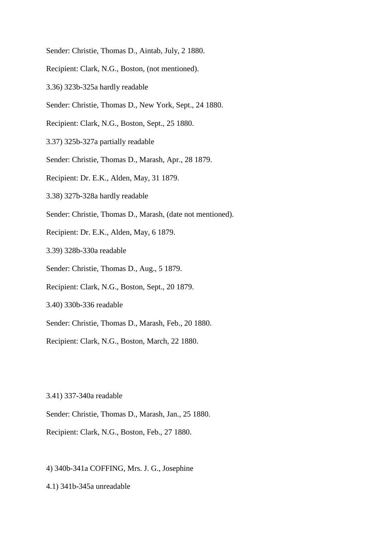- Sender: Christie, Thomas D., Aintab, July, 2 1880.
- Recipient: Clark, N.G., Boston, (not mentioned).
- 3.36) 323b-325a hardly readable
- Sender: Christie, Thomas D., New York, Sept., 24 1880.
- Recipient: Clark, N.G., Boston, Sept., 25 1880.
- 3.37) 325b-327a partially readable
- Sender: Christie, Thomas D., Marash, Apr., 28 1879.
- Recipient: Dr. E.K., Alden, May, 31 1879.
- 3.38) 327b-328a hardly readable
- Sender: Christie, Thomas D., Marash, (date not mentioned).
- Recipient: Dr. E.K., Alden, May, 6 1879.
- 3.39) 328b-330a readable
- Sender: Christie, Thomas D., Aug., 5 1879.
- Recipient: Clark, N.G., Boston, Sept., 20 1879.
- 3.40) 330b-336 readable
- Sender: Christie, Thomas D., Marash, Feb., 20 1880.
- Recipient: Clark, N.G., Boston, March, 22 1880.

3.41) 337-340a readable

Sender: Christie, Thomas D., Marash, Jan., 25 1880.

Recipient: Clark, N.G., Boston, Feb., 27 1880.

4) 340b-341a COFFING, Mrs. J. G., Josephine

4.1) 341b-345a unreadable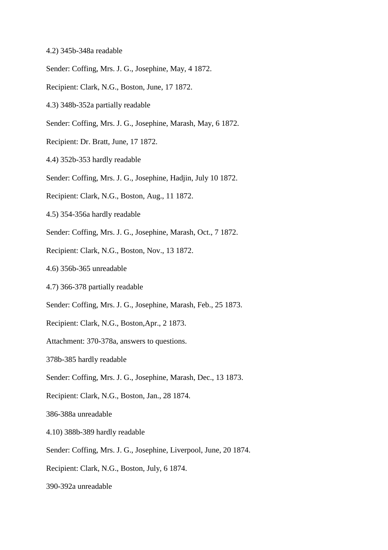- 4.2) 345b-348a readable
- Sender: Coffing, Mrs. J. G., Josephine, May, 4 1872.
- Recipient: Clark, N.G., Boston, June, 17 1872.
- 4.3) 348b-352a partially readable
- Sender: Coffing, Mrs. J. G., Josephine, Marash, May, 6 1872.
- Recipient: Dr. Bratt, June, 17 1872.
- 4.4) 352b-353 hardly readable
- Sender: Coffing, Mrs. J. G., Josephine, Hadjin, July 10 1872.
- Recipient: Clark, N.G., Boston, Aug., 11 1872.
- 4.5) 354-356a hardly readable
- Sender: Coffing, Mrs. J. G., Josephine, Marash, Oct., 7 1872.
- Recipient: Clark, N.G., Boston, Nov., 13 1872.
- 4.6) 356b-365 unreadable
- 4.7) 366-378 partially readable
- Sender: Coffing, Mrs. J. G., Josephine, Marash, Feb., 25 1873.
- Recipient: Clark, N.G., Boston,Apr., 2 1873.
- Attachment: 370-378a, answers to questions.
- 378b-385 hardly readable
- Sender: Coffing, Mrs. J. G., Josephine, Marash, Dec., 13 1873.
- Recipient: Clark, N.G., Boston, Jan., 28 1874.
- 386-388a unreadable
- 4.10) 388b-389 hardly readable
- Sender: Coffing, Mrs. J. G., Josephine, Liverpool, June, 20 1874.
- Recipient: Clark, N.G., Boston, July, 6 1874.
- 390-392a unreadable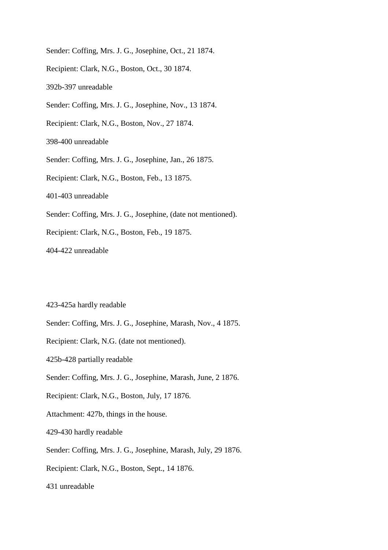- Sender: Coffing, Mrs. J. G., Josephine, Oct., 21 1874.
- Recipient: Clark, N.G., Boston, Oct., 30 1874.
- 392b-397 unreadable
- Sender: Coffing, Mrs. J. G., Josephine, Nov., 13 1874.
- Recipient: Clark, N.G., Boston, Nov., 27 1874.
- 398-400 unreadable
- Sender: Coffing, Mrs. J. G., Josephine, Jan., 26 1875.
- Recipient: Clark, N.G., Boston, Feb., 13 1875.
- 401-403 unreadable
- Sender: Coffing, Mrs. J. G., Josephine, (date not mentioned).
- Recipient: Clark, N.G., Boston, Feb., 19 1875.
- 404-422 unreadable

### 423-425a hardly readable

- Sender: Coffing, Mrs. J. G., Josephine, Marash, Nov., 4 1875.
- Recipient: Clark, N.G. (date not mentioned).
- 425b-428 partially readable
- Sender: Coffing, Mrs. J. G., Josephine, Marash, June, 2 1876.
- Recipient: Clark, N.G., Boston, July, 17 1876.
- Attachment: 427b, things in the house.
- 429-430 hardly readable
- Sender: Coffing, Mrs. J. G., Josephine, Marash, July, 29 1876.
- Recipient: Clark, N.G., Boston, Sept., 14 1876.
- 431 unreadable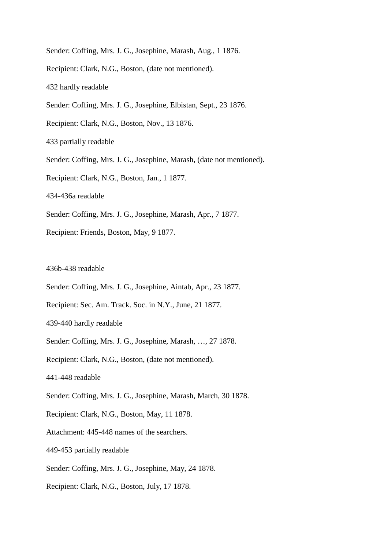Sender: Coffing, Mrs. J. G., Josephine, Marash, Aug., 1 1876.

Recipient: Clark, N.G., Boston, (date not mentioned).

432 hardly readable

Sender: Coffing, Mrs. J. G., Josephine, Elbistan, Sept., 23 1876.

Recipient: Clark, N.G., Boston, Nov., 13 1876.

433 partially readable

Sender: Coffing, Mrs. J. G., Josephine, Marash, (date not mentioned).

Recipient: Clark, N.G., Boston, Jan., 1 1877.

434-436a readable

Sender: Coffing, Mrs. J. G., Josephine, Marash, Apr., 7 1877.

Recipient: Friends, Boston, May, 9 1877.

436b-438 readable

- Sender: Coffing, Mrs. J. G., Josephine, Aintab, Apr., 23 1877.
- Recipient: Sec. Am. Track. Soc. in N.Y., June, 21 1877.
- 439-440 hardly readable

Sender: Coffing, Mrs. J. G., Josephine, Marash, …, 27 1878.

Recipient: Clark, N.G., Boston, (date not mentioned).

441-448 readable

Sender: Coffing, Mrs. J. G., Josephine, Marash, March, 30 1878.

Recipient: Clark, N.G., Boston, May, 11 1878.

Attachment: 445-448 names of the searchers.

449-453 partially readable

Sender: Coffing, Mrs. J. G., Josephine, May, 24 1878.

Recipient: Clark, N.G., Boston, July, 17 1878.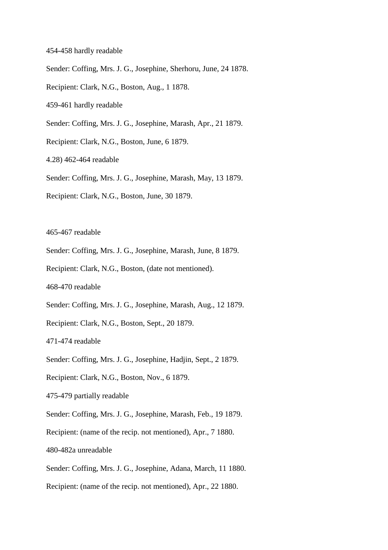- 454-458 hardly readable
- Sender: Coffing, Mrs. J. G., Josephine, Sherhoru, June, 24 1878.
- Recipient: Clark, N.G., Boston, Aug., 1 1878.
- 459-461 hardly readable
- Sender: Coffing, Mrs. J. G., Josephine, Marash, Apr., 21 1879.
- Recipient: Clark, N.G., Boston, June, 6 1879.
- 4.28) 462-464 readable
- Sender: Coffing, Mrs. J. G., Josephine, Marash, May, 13 1879.
- Recipient: Clark, N.G., Boston, June, 30 1879.

465-467 readable

- Sender: Coffing, Mrs. J. G., Josephine, Marash, June, 8 1879.
- Recipient: Clark, N.G., Boston, (date not mentioned).

468-470 readable

- Sender: Coffing, Mrs. J. G., Josephine, Marash, Aug., 12 1879.
- Recipient: Clark, N.G., Boston, Sept., 20 1879.

471-474 readable

- Sender: Coffing, Mrs. J. G., Josephine, Hadjin, Sept., 2 1879.
- Recipient: Clark, N.G., Boston, Nov., 6 1879.
- 475-479 partially readable
- Sender: Coffing, Mrs. J. G., Josephine, Marash, Feb., 19 1879.
- Recipient: (name of the recip. not mentioned), Apr., 7 1880.
- 480-482a unreadable
- Sender: Coffing, Mrs. J. G., Josephine, Adana, March, 11 1880.
- Recipient: (name of the recip. not mentioned), Apr., 22 1880.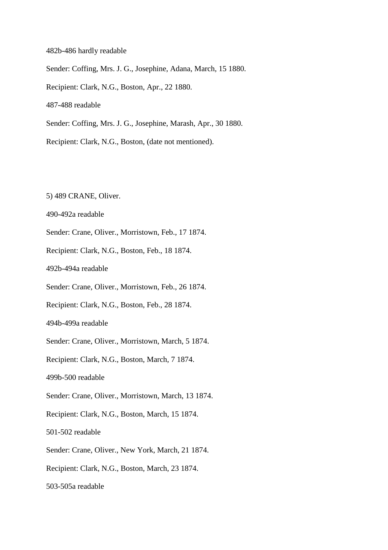482b-486 hardly readable Sender: Coffing, Mrs. J. G., Josephine, Adana, March, 15 1880. Recipient: Clark, N.G., Boston, Apr., 22 1880. 487-488 readable Sender: Coffing, Mrs. J. G., Josephine, Marash, Apr., 30 1880.

Recipient: Clark, N.G., Boston, (date not mentioned).

5) 489 CRANE, Oliver.

490-492a readable

Sender: Crane, Oliver., Morristown, Feb., 17 1874.

Recipient: Clark, N.G., Boston, Feb., 18 1874.

492b-494a readable

Sender: Crane, Oliver., Morristown, Feb., 26 1874.

Recipient: Clark, N.G., Boston, Feb., 28 1874.

494b-499a readable

Sender: Crane, Oliver., Morristown, March, 5 1874.

Recipient: Clark, N.G., Boston, March, 7 1874.

499b-500 readable

Sender: Crane, Oliver., Morristown, March, 13 1874.

Recipient: Clark, N.G., Boston, March, 15 1874.

501-502 readable

Sender: Crane, Oliver., New York, March, 21 1874.

Recipient: Clark, N.G., Boston, March, 23 1874.

503-505a readable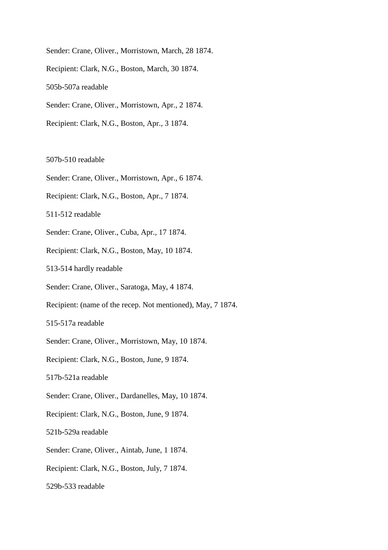Sender: Crane, Oliver., Morristown, March, 28 1874. Recipient: Clark, N.G., Boston, March, 30 1874. 505b-507a readable Sender: Crane, Oliver., Morristown, Apr., 2 1874. Recipient: Clark, N.G., Boston, Apr., 3 1874.

### 507b-510 readable

- Sender: Crane, Oliver., Morristown, Apr., 6 1874.
- Recipient: Clark, N.G., Boston, Apr., 7 1874.

511-512 readable

Sender: Crane, Oliver., Cuba, Apr., 17 1874.

Recipient: Clark, N.G., Boston, May, 10 1874.

513-514 hardly readable

Sender: Crane, Oliver., Saratoga, May, 4 1874.

Recipient: (name of the recep. Not mentioned), May, 7 1874.

515-517a readable

Sender: Crane, Oliver., Morristown, May, 10 1874.

Recipient: Clark, N.G., Boston, June, 9 1874.

517b-521a readable

Sender: Crane, Oliver., Dardanelles, May, 10 1874.

Recipient: Clark, N.G., Boston, June, 9 1874.

521b-529a readable

Sender: Crane, Oliver., Aintab, June, 1 1874.

Recipient: Clark, N.G., Boston, July, 7 1874.

529b-533 readable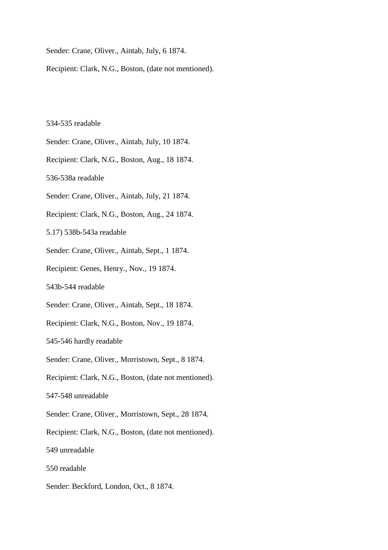Sender: Crane, Oliver., Aintab, July, 6 1874.

Recipient: Clark, N.G., Boston, (date not mentioned).

#### 534-535 readable

Sender: Crane, Oliver., Aintab, July, 10 1874.

Recipient: Clark, N.G., Boston, Aug., 18 1874.

536-538a readable

Sender: Crane, Oliver., Aintab, July, 21 1874.

Recipient: Clark, N.G., Boston, Aug., 24 1874.

5.17) 538b-543a readable

Sender: Crane, Oliver., Aintab, Sept., 1 1874.

Recipient: Genes, Henry., Nov., 19 1874.

543b-544 readable

Sender: Crane, Oliver., Aintab, Sept., 18 1874.

Recipient: Clark, N.G., Boston, Nov., 19 1874.

545-546 hardly readable

Sender: Crane, Oliver., Morristown, Sept., 8 1874.

Recipient: Clark, N.G., Boston, (date not mentioned).

547-548 unreadable

Sender: Crane, Oliver., Morristown, Sept., 28 1874.

Recipient: Clark, N.G., Boston, (date not mentioned).

549 unreadable

550 readable

Sender: Beckford, London, Oct., 8 1874.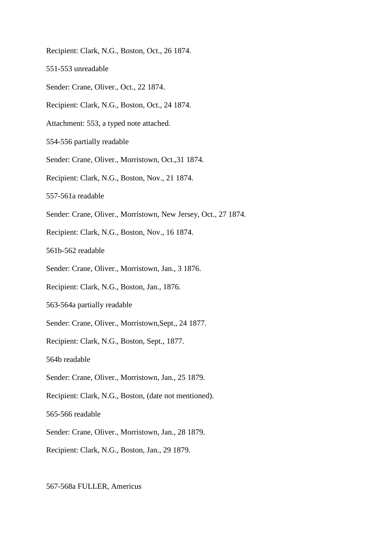- Recipient: Clark, N.G., Boston, Oct., 26 1874.
- 551-553 unreadable
- Sender: Crane, Oliver., Oct., 22 1874.
- Recipient: Clark, N.G., Boston, Oct., 24 1874.
- Attachment: 553, a typed note attached.
- 554-556 partially readable
- Sender: Crane, Oliver., Morristown, Oct.,31 1874.
- Recipient: Clark, N.G., Boston, Nov., 21 1874.
- 557-561a readable
- Sender: Crane, Oliver., Morristown, New Jersey, Oct., 27 1874.
- Recipient: Clark, N.G., Boston, Nov., 16 1874.
- 561b-562 readable
- Sender: Crane, Oliver., Morristown, Jan., 3 1876.
- Recipient: Clark, N.G., Boston, Jan., 1876.
- 563-564a partially readable
- Sender: Crane, Oliver., Morristown,Sept., 24 1877.
- Recipient: Clark, N.G., Boston, Sept., 1877.
- 564b readable
- Sender: Crane, Oliver., Morristown, Jan., 25 1879.
- Recipient: Clark, N.G., Boston, (date not mentioned).
- 565-566 readable
- Sender: Crane, Oliver., Morristown, Jan., 28 1879.
- Recipient: Clark, N.G., Boston, Jan., 29 1879.

### 567-568a FULLER, Americus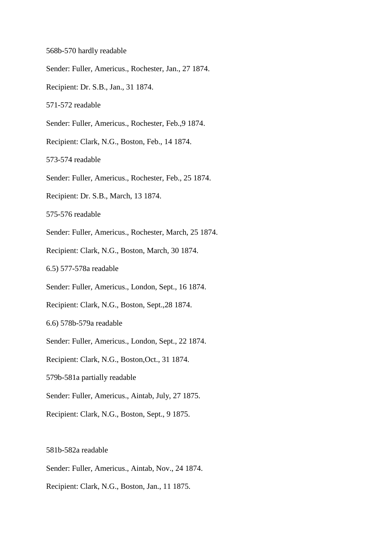- 568b-570 hardly readable
- Sender: Fuller, Americus., Rochester, Jan., 27 1874.
- Recipient: Dr. S.B., Jan., 31 1874.
- 571-572 readable
- Sender: Fuller, Americus., Rochester, Feb.,9 1874.
- Recipient: Clark, N.G., Boston, Feb., 14 1874.
- 573-574 readable
- Sender: Fuller, Americus., Rochester, Feb., 25 1874.
- Recipient: Dr. S.B., March, 13 1874.
- 575-576 readable
- Sender: Fuller, Americus., Rochester, March, 25 1874.
- Recipient: Clark, N.G., Boston, March, 30 1874.
- 6.5) 577-578a readable
- Sender: Fuller, Americus., London, Sept., 16 1874.
- Recipient: Clark, N.G., Boston, Sept.,28 1874.
- 6.6) 578b-579a readable
- Sender: Fuller, Americus., London, Sept., 22 1874.
- Recipient: Clark, N.G., Boston,Oct., 31 1874.
- 579b-581a partially readable
- Sender: Fuller, Americus., Aintab, July, 27 1875.
- Recipient: Clark, N.G., Boston, Sept., 9 1875.

### 581b-582a readable

- Sender: Fuller, Americus., Aintab, Nov., 24 1874.
- Recipient: Clark, N.G., Boston, Jan., 11 1875.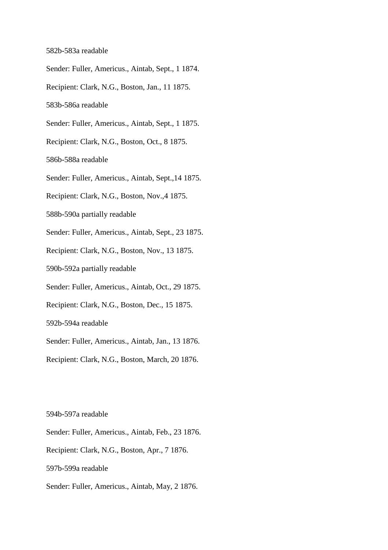#### 582b-583a readable

- Sender: Fuller, Americus., Aintab, Sept., 1 1874.
- Recipient: Clark, N.G., Boston, Jan., 11 1875.
- 583b-586a readable
- Sender: Fuller, Americus., Aintab, Sept., 1 1875.
- Recipient: Clark, N.G., Boston, Oct., 8 1875.
- 586b-588a readable
- Sender: Fuller, Americus., Aintab, Sept.,14 1875.
- Recipient: Clark, N.G., Boston, Nov.,4 1875.
- 588b-590a partially readable
- Sender: Fuller, Americus., Aintab, Sept., 23 1875.
- Recipient: Clark, N.G., Boston, Nov., 13 1875.
- 590b-592a partially readable
- Sender: Fuller, Americus., Aintab, Oct., 29 1875.
- Recipient: Clark, N.G., Boston, Dec., 15 1875.
- 592b-594a readable
- Sender: Fuller, Americus., Aintab, Jan., 13 1876.
- Recipient: Clark, N.G., Boston, March, 20 1876.

594b-597a readable

- Sender: Fuller, Americus., Aintab, Feb., 23 1876.
- Recipient: Clark, N.G., Boston, Apr., 7 1876.
- 597b-599a readable
- Sender: Fuller, Americus., Aintab, May, 2 1876.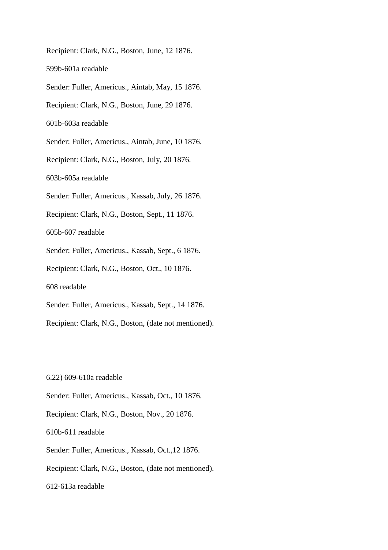Recipient: Clark, N.G., Boston, June, 12 1876. 599b-601a readable Sender: Fuller, Americus., Aintab, May, 15 1876. Recipient: Clark, N.G., Boston, June, 29 1876. 601b-603a readable Sender: Fuller, Americus., Aintab, June, 10 1876. Recipient: Clark, N.G., Boston, July, 20 1876. 603b-605a readable Sender: Fuller, Americus., Kassab, July, 26 1876. Recipient: Clark, N.G., Boston, Sept., 11 1876. 605b-607 readable Sender: Fuller, Americus., Kassab, Sept., 6 1876. Recipient: Clark, N.G., Boston, Oct., 10 1876. 608 readable Sender: Fuller, Americus., Kassab, Sept., 14 1876. Recipient: Clark, N.G., Boston, (date not mentioned).

6.22) 609-610a readable

Sender: Fuller, Americus., Kassab, Oct., 10 1876.

Recipient: Clark, N.G., Boston, Nov., 20 1876.

610b-611 readable

Sender: Fuller, Americus., Kassab, Oct.,12 1876.

Recipient: Clark, N.G., Boston, (date not mentioned).

612-613a readable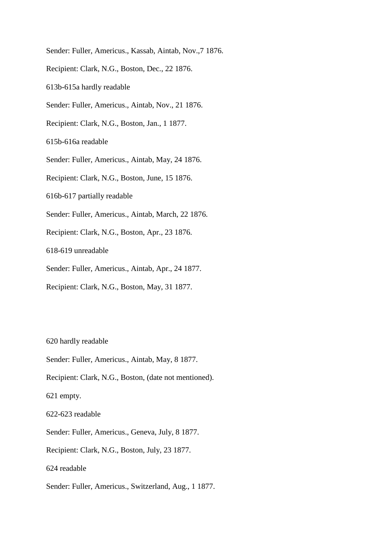Sender: Fuller, Americus., Kassab, Aintab, Nov.,7 1876. Recipient: Clark, N.G., Boston, Dec., 22 1876. 613b-615a hardly readable Sender: Fuller, Americus., Aintab, Nov., 21 1876. Recipient: Clark, N.G., Boston, Jan., 1 1877. 615b-616a readable Sender: Fuller, Americus., Aintab, May, 24 1876. Recipient: Clark, N.G., Boston, June, 15 1876. 616b-617 partially readable Sender: Fuller, Americus., Aintab, March, 22 1876. Recipient: Clark, N.G., Boston, Apr., 23 1876. 618-619 unreadable Sender: Fuller, Americus., Aintab, Apr., 24 1877. Recipient: Clark, N.G., Boston, May, 31 1877.

620 hardly readable

Sender: Fuller, Americus., Aintab, May, 8 1877.

Recipient: Clark, N.G., Boston, (date not mentioned).

621 empty.

622-623 readable

Sender: Fuller, Americus., Geneva, July, 8 1877.

Recipient: Clark, N.G., Boston, July, 23 1877.

624 readable

Sender: Fuller, Americus., Switzerland, Aug., 1 1877.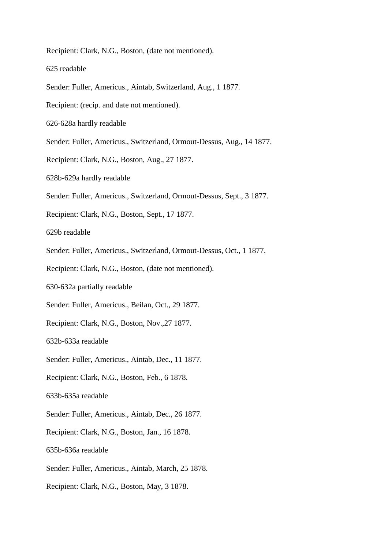Recipient: Clark, N.G., Boston, (date not mentioned).

625 readable

- Sender: Fuller, Americus., Aintab, Switzerland, Aug., 1 1877.
- Recipient: (recip. and date not mentioned).
- 626-628a hardly readable
- Sender: Fuller, Americus., Switzerland, Ormout-Dessus, Aug., 14 1877.
- Recipient: Clark, N.G., Boston, Aug., 27 1877.
- 628b-629a hardly readable
- Sender: Fuller, Americus., Switzerland, Ormout-Dessus, Sept., 3 1877.
- Recipient: Clark, N.G., Boston, Sept., 17 1877.

629b readable

- Sender: Fuller, Americus., Switzerland, Ormout-Dessus, Oct., 1 1877.
- Recipient: Clark, N.G., Boston, (date not mentioned).
- 630-632a partially readable
- Sender: Fuller, Americus., Beilan, Oct., 29 1877.
- Recipient: Clark, N.G., Boston, Nov.,27 1877.

632b-633a readable

- Sender: Fuller, Americus., Aintab, Dec., 11 1877.
- Recipient: Clark, N.G., Boston, Feb., 6 1878.
- 633b-635a readable
- Sender: Fuller, Americus., Aintab, Dec., 26 1877.
- Recipient: Clark, N.G., Boston, Jan., 16 1878.
- 635b-636a readable
- Sender: Fuller, Americus., Aintab, March, 25 1878.
- Recipient: Clark, N.G., Boston, May, 3 1878.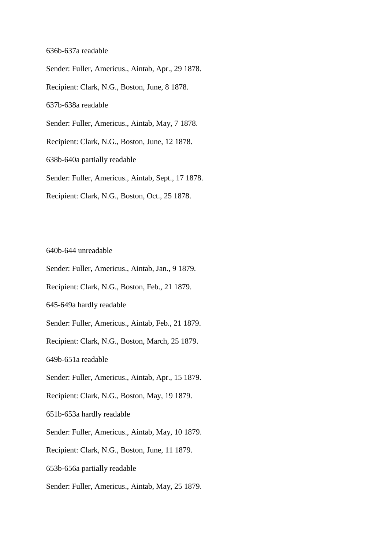### 636b-637a readable

Sender: Fuller, Americus., Aintab, Apr., 29 1878. Recipient: Clark, N.G., Boston, June, 8 1878. 637b-638a readable Sender: Fuller, Americus., Aintab, May, 7 1878. Recipient: Clark, N.G., Boston, June, 12 1878. 638b-640a partially readable Sender: Fuller, Americus., Aintab, Sept., 17 1878. Recipient: Clark, N.G., Boston, Oct., 25 1878.

640b-644 unreadable

Sender: Fuller, Americus., Aintab, Jan., 9 1879.

Recipient: Clark, N.G., Boston, Feb., 21 1879.

645-649a hardly readable

Sender: Fuller, Americus., Aintab, Feb., 21 1879.

Recipient: Clark, N.G., Boston, March, 25 1879.

649b-651a readable

Sender: Fuller, Americus., Aintab, Apr., 15 1879.

Recipient: Clark, N.G., Boston, May, 19 1879.

651b-653a hardly readable

Sender: Fuller, Americus., Aintab, May, 10 1879.

Recipient: Clark, N.G., Boston, June, 11 1879.

653b-656a partially readable

Sender: Fuller, Americus., Aintab, May, 25 1879.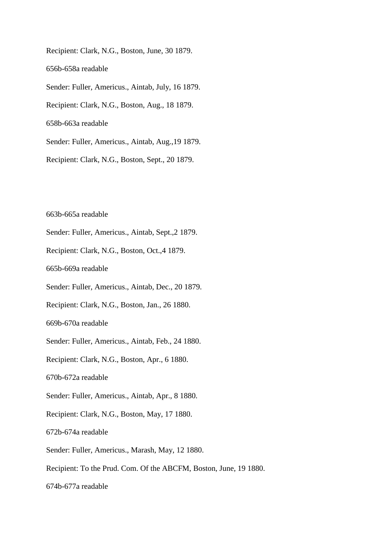Recipient: Clark, N.G., Boston, June, 30 1879. 656b-658a readable Sender: Fuller, Americus., Aintab, July, 16 1879. Recipient: Clark, N.G., Boston, Aug., 18 1879. 658b-663a readable Sender: Fuller, Americus., Aintab, Aug.,19 1879. Recipient: Clark, N.G., Boston, Sept., 20 1879.

663b-665a readable

Sender: Fuller, Americus., Aintab, Sept.,2 1879.

Recipient: Clark, N.G., Boston, Oct.,4 1879.

665b-669a readable

Sender: Fuller, Americus., Aintab, Dec., 20 1879.

Recipient: Clark, N.G., Boston, Jan., 26 1880.

669b-670a readable

Sender: Fuller, Americus., Aintab, Feb., 24 1880.

Recipient: Clark, N.G., Boston, Apr., 6 1880.

670b-672a readable

Sender: Fuller, Americus., Aintab, Apr., 8 1880.

Recipient: Clark, N.G., Boston, May, 17 1880.

672b-674a readable

Sender: Fuller, Americus., Marash, May, 12 1880.

Recipient: To the Prud. Com. Of the ABCFM, Boston, June, 19 1880.

674b-677a readable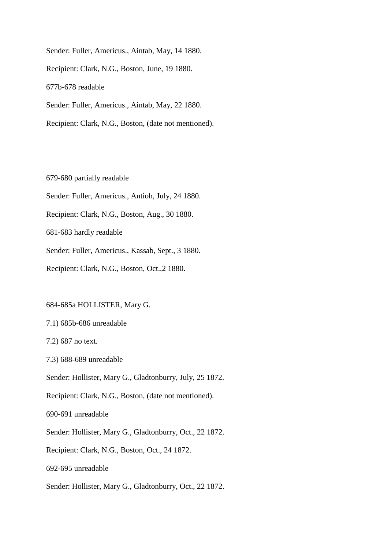Sender: Fuller, Americus., Aintab, May, 14 1880. Recipient: Clark, N.G., Boston, June, 19 1880. 677b-678 readable Sender: Fuller, Americus., Aintab, May, 22 1880. Recipient: Clark, N.G., Boston, (date not mentioned).

679-680 partially readable

Sender: Fuller, Americus., Antioh, July, 24 1880.

Recipient: Clark, N.G., Boston, Aug., 30 1880.

681-683 hardly readable

Sender: Fuller, Americus., Kassab, Sept., 3 1880.

Recipient: Clark, N.G., Boston, Oct.,2 1880.

684-685a HOLLISTER, Mary G.

7.1) 685b-686 unreadable

7.2) 687 no text.

7.3) 688-689 unreadable

Sender: Hollister, Mary G., Gladtonburry, July, 25 1872.

Recipient: Clark, N.G., Boston, (date not mentioned).

690-691 unreadable

Sender: Hollister, Mary G., Gladtonburry, Oct., 22 1872.

Recipient: Clark, N.G., Boston, Oct., 24 1872.

692-695 unreadable

Sender: Hollister, Mary G., Gladtonburry, Oct., 22 1872.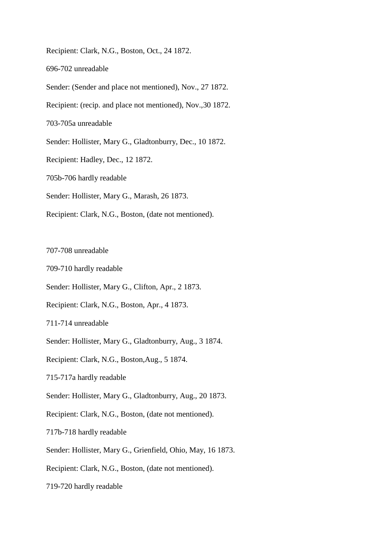Recipient: Clark, N.G., Boston, Oct., 24 1872.

696-702 unreadable

Sender: (Sender and place not mentioned), Nov., 27 1872.

Recipient: (recip. and place not mentioned), Nov.,30 1872.

703-705a unreadable

Sender: Hollister, Mary G., Gladtonburry, Dec., 10 1872.

Recipient: Hadley, Dec., 12 1872.

705b-706 hardly readable

Sender: Hollister, Mary G., Marash, 26 1873.

Recipient: Clark, N.G., Boston, (date not mentioned).

707-708 unreadable

709-710 hardly readable

Sender: Hollister, Mary G., Clifton, Apr., 2 1873.

Recipient: Clark, N.G., Boston, Apr., 4 1873.

711-714 unreadable

Sender: Hollister, Mary G., Gladtonburry, Aug., 3 1874.

Recipient: Clark, N.G., Boston,Aug., 5 1874.

715-717a hardly readable

Sender: Hollister, Mary G., Gladtonburry, Aug., 20 1873.

Recipient: Clark, N.G., Boston, (date not mentioned).

717b-718 hardly readable

Sender: Hollister, Mary G., Grienfield, Ohio, May, 16 1873.

Recipient: Clark, N.G., Boston, (date not mentioned).

719-720 hardly readable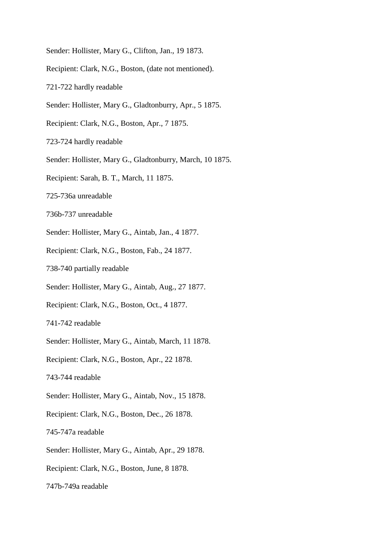- Sender: Hollister, Mary G., Clifton, Jan., 19 1873.
- Recipient: Clark, N.G., Boston, (date not mentioned).
- 721-722 hardly readable
- Sender: Hollister, Mary G., Gladtonburry, Apr., 5 1875.
- Recipient: Clark, N.G., Boston, Apr., 7 1875.
- 723-724 hardly readable
- Sender: Hollister, Mary G., Gladtonburry, March, 10 1875.
- Recipient: Sarah, B. T., March, 11 1875.
- 725-736a unreadable
- 736b-737 unreadable
- Sender: Hollister, Mary G., Aintab, Jan., 4 1877.
- Recipient: Clark, N.G., Boston, Fab., 24 1877.
- 738-740 partially readable
- Sender: Hollister, Mary G., Aintab, Aug., 27 1877.
- Recipient: Clark, N.G., Boston, Oct., 4 1877.
- 741-742 readable
- Sender: Hollister, Mary G., Aintab, March, 11 1878.
- Recipient: Clark, N.G., Boston, Apr., 22 1878.
- 743-744 readable
- Sender: Hollister, Mary G., Aintab, Nov., 15 1878.
- Recipient: Clark, N.G., Boston, Dec., 26 1878.
- 745-747a readable
- Sender: Hollister, Mary G., Aintab, Apr., 29 1878.
- Recipient: Clark, N.G., Boston, June, 8 1878.
- 747b-749a readable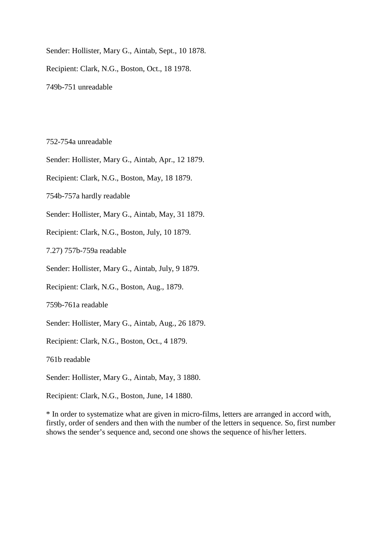Sender: Hollister, Mary G., Aintab, Sept., 10 1878. Recipient: Clark, N.G., Boston, Oct., 18 1978. 749b-751 unreadable

752-754a unreadable

Sender: Hollister, Mary G., Aintab, Apr., 12 1879.

Recipient: Clark, N.G., Boston, May, 18 1879.

754b-757a hardly readable

Sender: Hollister, Mary G., Aintab, May, 31 1879.

Recipient: Clark, N.G., Boston, July, 10 1879.

7.27) 757b-759a readable

Sender: Hollister, Mary G., Aintab, July, 9 1879.

Recipient: Clark, N.G., Boston, Aug., 1879.

759b-761a readable

Sender: Hollister, Mary G., Aintab, Aug., 26 1879.

Recipient: Clark, N.G., Boston, Oct., 4 1879.

761b readable

Sender: Hollister, Mary G., Aintab, May, 3 1880.

Recipient: Clark, N.G., Boston, June, 14 1880.

\* In order to systematize what are given in micro-films, letters are arranged in accord with, firstly, order of senders and then with the number of the letters in sequence. So, first number shows the sender's sequence and, second one shows the sequence of his/her letters.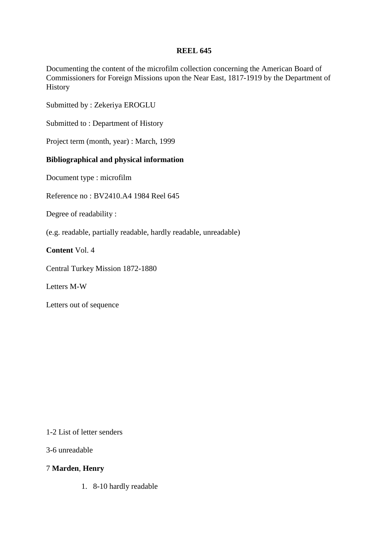# **REEL 645**

Documenting the content of the microfilm collection concerning the American Board of Commissioners for Foreign Missions upon the Near East, 1817-1919 by the Department of History

Submitted by : Zekeriya EROGLU

Submitted to : Department of History

Project term (month, year) : March, 1999

# **Bibliographical and physical information**

Document type : microfilm

Reference no : BV2410.A4 1984 Reel 645

Degree of readability :

(e.g. readable, partially readable, hardly readable, unreadable)

**Content** Vol. 4

Central Turkey Mission 1872-1880

Letters M-W

Letters out of sequence

1-2 List of letter senders

3-6 unreadable

## 7 **Marden**, **Henry**

1. 8-10 hardly readable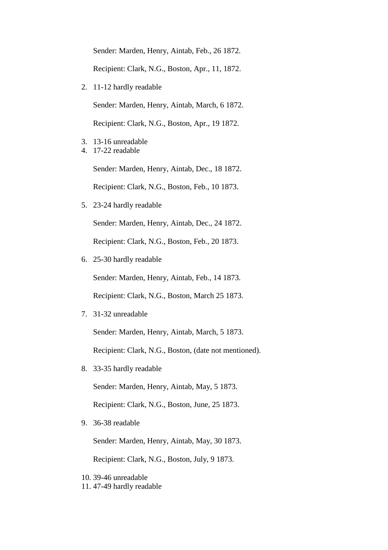Sender: Marden, Henry, Aintab, Feb., 26 1872. Recipient: Clark, N.G., Boston, Apr., 11, 1872.

2. 11-12 hardly readable

Sender: Marden, Henry, Aintab, March, 6 1872.

Recipient: Clark, N.G., Boston, Apr., 19 1872.

- 3. 13-16 unreadable
- 4. 17-22 readable

Sender: Marden, Henry, Aintab, Dec., 18 1872. Recipient: Clark, N.G., Boston, Feb., 10 1873.

5. 23-24 hardly readable

Sender: Marden, Henry, Aintab, Dec., 24 1872. Recipient: Clark, N.G., Boston, Feb., 20 1873.

6. 25-30 hardly readable

Sender: Marden, Henry, Aintab, Feb., 14 1873.

Recipient: Clark, N.G., Boston, March 25 1873.

7. 31-32 unreadable

Sender: Marden, Henry, Aintab, March, 5 1873.

Recipient: Clark, N.G., Boston, (date not mentioned).

8. 33-35 hardly readable

Sender: Marden, Henry, Aintab, May, 5 1873.

Recipient: Clark, N.G., Boston, June, 25 1873.

9. 36-38 readable

Sender: Marden, Henry, Aintab, May, 30 1873.

Recipient: Clark, N.G., Boston, July, 9 1873.

10. 39-46 unreadable 11. 47-49 hardly readable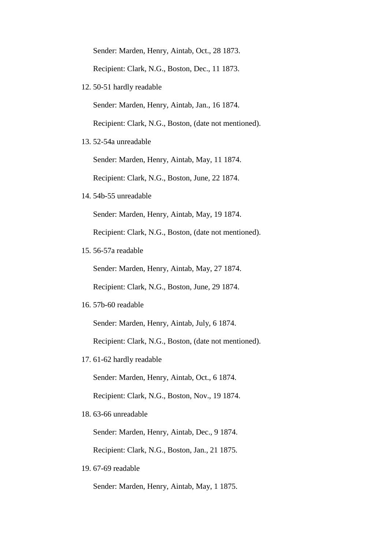Sender: Marden, Henry, Aintab, Oct., 28 1873.

Recipient: Clark, N.G., Boston, Dec., 11 1873.

12. 50-51 hardly readable

Sender: Marden, Henry, Aintab, Jan., 16 1874.

Recipient: Clark, N.G., Boston, (date not mentioned).

13. 52-54a unreadable

Sender: Marden, Henry, Aintab, May, 11 1874.

Recipient: Clark, N.G., Boston, June, 22 1874.

14. 54b-55 unreadable

Sender: Marden, Henry, Aintab, May, 19 1874.

Recipient: Clark, N.G., Boston, (date not mentioned).

15. 56-57a readable

Sender: Marden, Henry, Aintab, May, 27 1874.

Recipient: Clark, N.G., Boston, June, 29 1874.

16. 57b-60 readable

Sender: Marden, Henry, Aintab, July, 6 1874.

Recipient: Clark, N.G., Boston, (date not mentioned).

17. 61-62 hardly readable

Sender: Marden, Henry, Aintab, Oct., 6 1874.

Recipient: Clark, N.G., Boston, Nov., 19 1874.

18. 63-66 unreadable

Sender: Marden, Henry, Aintab, Dec., 9 1874.

Recipient: Clark, N.G., Boston, Jan., 21 1875.

19. 67-69 readable

Sender: Marden, Henry, Aintab, May, 1 1875.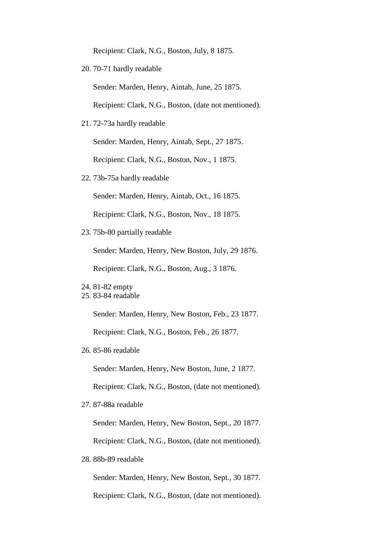Recipient: Clark, N.G., Boston, July, 8 1875.

20. 70-71 hardly readable

Sender: Marden, Henry, Aintab, June, 25 1875.

Recipient: Clark, N.G., Boston, (date not mentioned).

21. 72-73a hardly readable

Sender: Marden, Henry, Aintab, Sept., 27 1875.

Recipient: Clark, N.G., Boston, Nov., 1 1875.

22. 73b-75a hardly readable

Sender: Marden, Henry, Aintab, Oct., 16 1875.

Recipient: Clark, N.G., Boston, Nov., 18 1875.

23. 75b-80 partially readable

Sender: Marden, Henry, New Boston, July, 29 1876.

Recipient: Clark, N.G., Boston, Aug., 3 1876.

Sender: Marden, Henry, New Boston, Feb., 23 1877. Recipient: Clark, N.G., Boston, Feb., 26 1877.

26. 85-86 readable

Sender: Marden, Henry, New Boston, June, 2 1877.

Recipient: Clark, N.G., Boston, (date not mentioned).

27. 87-88a readable

Sender: Marden, Henry, New Boston, Sept., 20 1877.

Recipient: Clark, N.G., Boston, (date not mentioned).

28. 88b-89 readable

Sender: Marden, Henry, New Boston, Sept., 30 1877.

Recipient: Clark, N.G., Boston, (date not mentioned).

<sup>24.</sup> 81-82 empty

<sup>25.</sup> 83-84 readable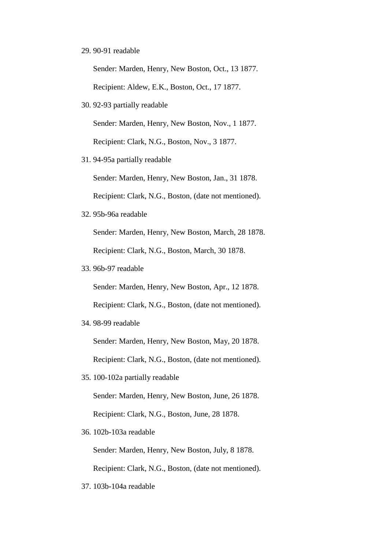### 29. 90-91 readable

Sender: Marden, Henry, New Boston, Oct., 13 1877. Recipient: Aldew, E.K., Boston, Oct., 17 1877.

30. 92-93 partially readable

Sender: Marden, Henry, New Boston, Nov., 1 1877. Recipient: Clark, N.G., Boston, Nov., 3 1877.

31. 94-95a partially readable

Sender: Marden, Henry, New Boston, Jan., 31 1878.

Recipient: Clark, N.G., Boston, (date not mentioned).

32. 95b-96a readable

Sender: Marden, Henry, New Boston, March, 28 1878. Recipient: Clark, N.G., Boston, March, 30 1878.

33. 96b-97 readable

Sender: Marden, Henry, New Boston, Apr., 12 1878.

Recipient: Clark, N.G., Boston, (date not mentioned).

34. 98-99 readable

Sender: Marden, Henry, New Boston, May, 20 1878.

Recipient: Clark, N.G., Boston, (date not mentioned).

35. 100-102a partially readable

Sender: Marden, Henry, New Boston, June, 26 1878. Recipient: Clark, N.G., Boston, June, 28 1878.

36. 102b-103a readable

Sender: Marden, Henry, New Boston, July, 8 1878. Recipient: Clark, N.G., Boston, (date not mentioned).

37. 103b-104a readable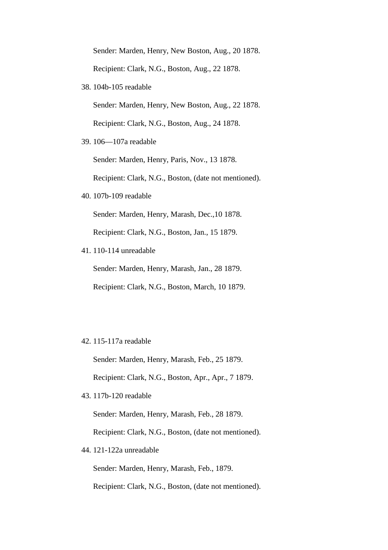Sender: Marden, Henry, New Boston, Aug., 20 1878. Recipient: Clark, N.G., Boston, Aug., 22 1878.

38. 104b-105 readable

Sender: Marden, Henry, New Boston, Aug., 22 1878.

Recipient: Clark, N.G., Boston, Aug., 24 1878.

39. 106—107a readable

Sender: Marden, Henry, Paris, Nov., 13 1878.

Recipient: Clark, N.G., Boston, (date not mentioned).

40. 107b-109 readable

Sender: Marden, Henry, Marash, Dec.,10 1878.

Recipient: Clark, N.G., Boston, Jan., 15 1879.

41. 110-114 unreadable

Sender: Marden, Henry, Marash, Jan., 28 1879. Recipient: Clark, N.G., Boston, March, 10 1879.

### 42. 115-117a readable

Sender: Marden, Henry, Marash, Feb., 25 1879.

Recipient: Clark, N.G., Boston, Apr., Apr., 7 1879.

43. 117b-120 readable

Sender: Marden, Henry, Marash, Feb., 28 1879.

Recipient: Clark, N.G., Boston, (date not mentioned).

44. 121-122a unreadable

Sender: Marden, Henry, Marash, Feb., 1879.

Recipient: Clark, N.G., Boston, (date not mentioned).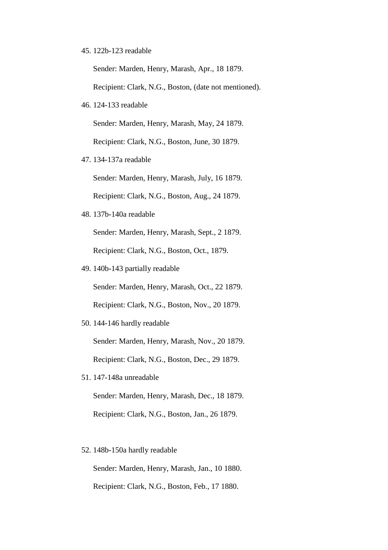45. 122b-123 readable

Sender: Marden, Henry, Marash, Apr., 18 1879.

Recipient: Clark, N.G., Boston, (date not mentioned).

46. 124-133 readable

Sender: Marden, Henry, Marash, May, 24 1879.

Recipient: Clark, N.G., Boston, June, 30 1879.

47. 134-137a readable

Sender: Marden, Henry, Marash, July, 16 1879.

Recipient: Clark, N.G., Boston, Aug., 24 1879.

48. 137b-140a readable

Sender: Marden, Henry, Marash, Sept., 2 1879. Recipient: Clark, N.G., Boston, Oct., 1879.

49. 140b-143 partially readable

Sender: Marden, Henry, Marash, Oct., 22 1879.

Recipient: Clark, N.G., Boston, Nov., 20 1879.

50. 144-146 hardly readable

Sender: Marden, Henry, Marash, Nov., 20 1879. Recipient: Clark, N.G., Boston, Dec., 29 1879.

51. 147-148a unreadable

Sender: Marden, Henry, Marash, Dec., 18 1879. Recipient: Clark, N.G., Boston, Jan., 26 1879.

52. 148b-150a hardly readable

Sender: Marden, Henry, Marash, Jan., 10 1880. Recipient: Clark, N.G., Boston, Feb., 17 1880.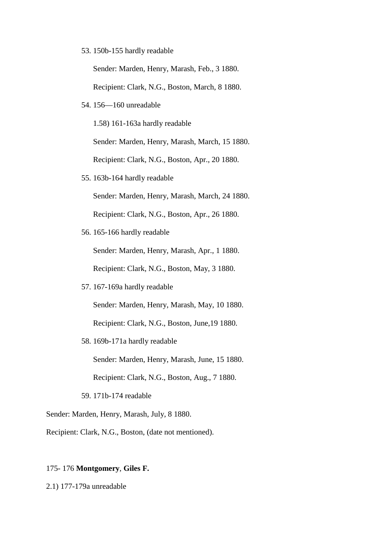53. 150b-155 hardly readable

Sender: Marden, Henry, Marash, Feb., 3 1880.

Recipient: Clark, N.G., Boston, March, 8 1880.

54. 156—160 unreadable

1.58) 161-163a hardly readable

Sender: Marden, Henry, Marash, March, 15 1880. Recipient: Clark, N.G., Boston, Apr., 20 1880.

55. 163b-164 hardly readable

Sender: Marden, Henry, Marash, March, 24 1880.

Recipient: Clark, N.G., Boston, Apr., 26 1880.

56. 165-166 hardly readable

Sender: Marden, Henry, Marash, Apr., 1 1880.

Recipient: Clark, N.G., Boston, May, 3 1880.

57. 167-169a hardly readable

Sender: Marden, Henry, Marash, May, 10 1880.

Recipient: Clark, N.G., Boston, June,19 1880.

58. 169b-171a hardly readable

Sender: Marden, Henry, Marash, June, 15 1880.

Recipient: Clark, N.G., Boston, Aug., 7 1880.

59. 171b-174 readable

Sender: Marden, Henry, Marash, July, 8 1880.

Recipient: Clark, N.G., Boston, (date not mentioned).

# 175- 176 **Montgomery**, **Giles F.**

2.1) 177-179a unreadable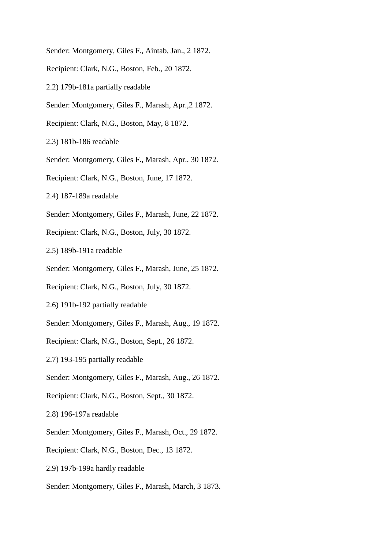- Sender: Montgomery, Giles F., Aintab, Jan., 2 1872.
- Recipient: Clark, N.G., Boston, Feb., 20 1872.
- 2.2) 179b-181a partially readable
- Sender: Montgomery, Giles F., Marash, Apr.,2 1872.
- Recipient: Clark, N.G., Boston, May, 8 1872.
- 2.3) 181b-186 readable
- Sender: Montgomery, Giles F., Marash, Apr., 30 1872.
- Recipient: Clark, N.G., Boston, June, 17 1872.
- 2.4) 187-189a readable
- Sender: Montgomery, Giles F., Marash, June, 22 1872.
- Recipient: Clark, N.G., Boston, July, 30 1872.
- 2.5) 189b-191a readable
- Sender: Montgomery, Giles F., Marash, June, 25 1872.
- Recipient: Clark, N.G., Boston, July, 30 1872.
- 2.6) 191b-192 partially readable
- Sender: Montgomery, Giles F., Marash, Aug., 19 1872.
- Recipient: Clark, N.G., Boston, Sept., 26 1872.
- 2.7) 193-195 partially readable
- Sender: Montgomery, Giles F., Marash, Aug., 26 1872.
- Recipient: Clark, N.G., Boston, Sept., 30 1872.
- 2.8) 196-197a readable
- Sender: Montgomery, Giles F., Marash, Oct., 29 1872.
- Recipient: Clark, N.G., Boston, Dec., 13 1872.
- 2.9) 197b-199a hardly readable
- Sender: Montgomery, Giles F., Marash, March, 3 1873.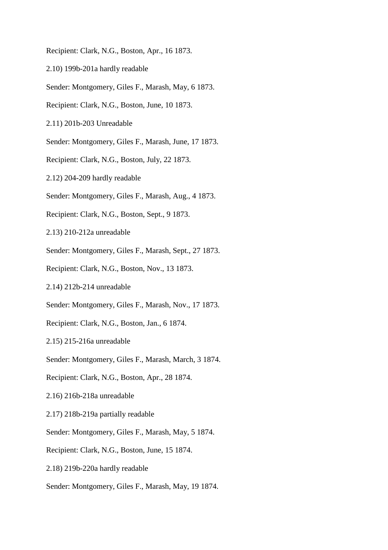Recipient: Clark, N.G., Boston, Apr., 16 1873.

- 2.10) 199b-201a hardly readable
- Sender: Montgomery, Giles F., Marash, May, 6 1873.
- Recipient: Clark, N.G., Boston, June, 10 1873.
- 2.11) 201b-203 Unreadable
- Sender: Montgomery, Giles F., Marash, June, 17 1873.
- Recipient: Clark, N.G., Boston, July, 22 1873.
- 2.12) 204-209 hardly readable
- Sender: Montgomery, Giles F., Marash, Aug., 4 1873.
- Recipient: Clark, N.G., Boston, Sept., 9 1873.
- 2.13) 210-212a unreadable
- Sender: Montgomery, Giles F., Marash, Sept., 27 1873.
- Recipient: Clark, N.G., Boston, Nov., 13 1873.
- 2.14) 212b-214 unreadable
- Sender: Montgomery, Giles F., Marash, Nov., 17 1873.
- Recipient: Clark, N.G., Boston, Jan., 6 1874.
- 2.15) 215-216a unreadable
- Sender: Montgomery, Giles F., Marash, March, 3 1874.
- Recipient: Clark, N.G., Boston, Apr., 28 1874.
- 2.16) 216b-218a unreadable
- 2.17) 218b-219a partially readable
- Sender: Montgomery, Giles F., Marash, May, 5 1874.
- Recipient: Clark, N.G., Boston, June, 15 1874.
- 2.18) 219b-220a hardly readable
- Sender: Montgomery, Giles F., Marash, May, 19 1874.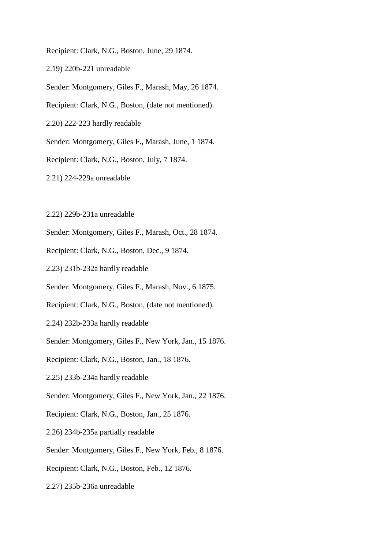Recipient: Clark, N.G., Boston, June, 29 1874.

- 2.19) 220b-221 unreadable
- Sender: Montgomery, Giles F., Marash, May, 26 1874.
- Recipient: Clark, N.G., Boston, (date not mentioned).
- 2.20) 222-223 hardly readable
- Sender: Montgomery, Giles F., Marash, June, 1 1874.
- Recipient: Clark, N.G., Boston, July, 7 1874.
- 2.21) 224-229a unreadable
- 2.22) 229b-231a unreadable
- Sender: Montgomery, Giles F., Marash, Oct., 28 1874.
- Recipient: Clark, N.G., Boston, Dec., 9 1874.
- 2.23) 231b-232a hardly readable
- Sender: Montgomery, Giles F., Marash, Nov., 6 1875.
- Recipient: Clark, N.G., Boston, (date not mentioned).
- 2.24) 232b-233a hardly readable
- Sender: Montgomery, Giles F., New York, Jan., 15 1876.
- Recipient: Clark, N.G., Boston, Jan., 18 1876.
- 2.25) 233b-234a hardly readable
- Sender: Montgomery, Giles F., New York, Jan., 22 1876.
- Recipient: Clark, N.G., Boston, Jan., 25 1876.
- 2.26) 234b-235a partially readable
- Sender: Montgomery, Giles F., New York, Feb., 8 1876.
- Recipient: Clark, N.G., Boston, Feb., 12 1876.
- 2.27) 235b-236a unreadable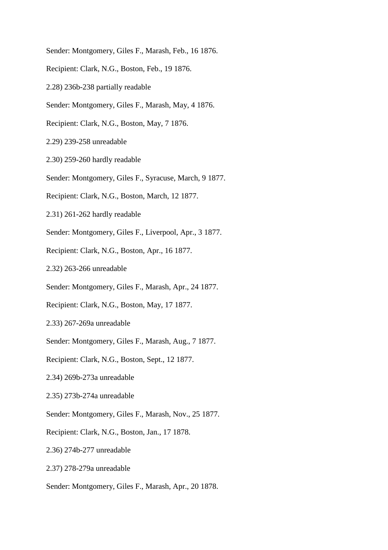- Sender: Montgomery, Giles F., Marash, Feb., 16 1876.
- Recipient: Clark, N.G., Boston, Feb., 19 1876.
- 2.28) 236b-238 partially readable
- Sender: Montgomery, Giles F., Marash, May, 4 1876.
- Recipient: Clark, N.G., Boston, May, 7 1876.
- 2.29) 239-258 unreadable
- 2.30) 259-260 hardly readable
- Sender: Montgomery, Giles F., Syracuse, March, 9 1877.
- Recipient: Clark, N.G., Boston, March, 12 1877.
- 2.31) 261-262 hardly readable
- Sender: Montgomery, Giles F., Liverpool, Apr., 3 1877.
- Recipient: Clark, N.G., Boston, Apr., 16 1877.
- 2.32) 263-266 unreadable
- Sender: Montgomery, Giles F., Marash, Apr., 24 1877.
- Recipient: Clark, N.G., Boston, May, 17 1877.
- 2.33) 267-269a unreadable
- Sender: Montgomery, Giles F., Marash, Aug., 7 1877.
- Recipient: Clark, N.G., Boston, Sept., 12 1877.
- 2.34) 269b-273a unreadable
- 2.35) 273b-274a unreadable
- Sender: Montgomery, Giles F., Marash, Nov., 25 1877.
- Recipient: Clark, N.G., Boston, Jan., 17 1878.
- 2.36) 274b-277 unreadable
- 2.37) 278-279a unreadable
- Sender: Montgomery, Giles F., Marash, Apr., 20 1878.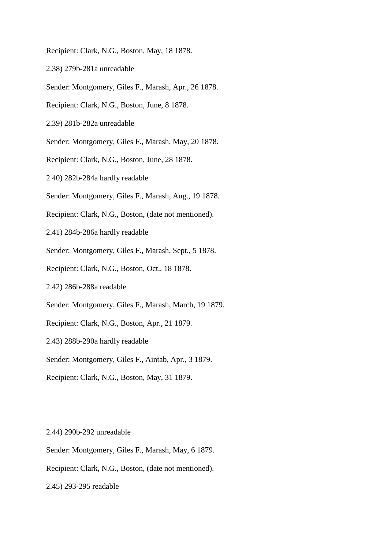Recipient: Clark, N.G., Boston, May, 18 1878.

- 2.38) 279b-281a unreadable
- Sender: Montgomery, Giles F., Marash, Apr., 26 1878.
- Recipient: Clark, N.G., Boston, June, 8 1878.
- 2.39) 281b-282a unreadable
- Sender: Montgomery, Giles F., Marash, May, 20 1878.
- Recipient: Clark, N.G., Boston, June, 28 1878.
- 2.40) 282b-284a hardly readable
- Sender: Montgomery, Giles F., Marash, Aug., 19 1878.
- Recipient: Clark, N.G., Boston, (date not mentioned).
- 2.41) 284b-286a hardly readable
- Sender: Montgomery, Giles F., Marash, Sept., 5 1878.
- Recipient: Clark, N.G., Boston, Oct., 18 1878.
- 2.42) 286b-288a readable
- Sender: Montgomery, Giles F., Marash, March, 19 1879.
- Recipient: Clark, N.G., Boston, Apr., 21 1879.
- 2.43) 288b-290a hardly readable
- Sender: Montgomery, Giles F., Aintab, Apr., 3 1879.
- Recipient: Clark, N.G., Boston, May, 31 1879.

#### 2.44) 290b-292 unreadable

- Sender: Montgomery, Giles F., Marash, May, 6 1879.
- Recipient: Clark, N.G., Boston, (date not mentioned).
- 2.45) 293-295 readable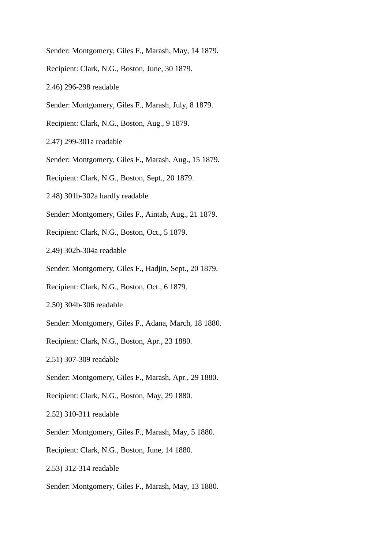- Sender: Montgomery, Giles F., Marash, May, 14 1879.
- Recipient: Clark, N.G., Boston, June, 30 1879.
- 2.46) 296-298 readable
- Sender: Montgomery, Giles F., Marash, July, 8 1879.
- Recipient: Clark, N.G., Boston, Aug., 9 1879.
- 2.47) 299-301a readable
- Sender: Montgomery, Giles F., Marash, Aug., 15 1879.
- Recipient: Clark, N.G., Boston, Sept., 20 1879.
- 2.48) 301b-302a hardly readable
- Sender: Montgomery, Giles F., Aintab, Aug., 21 1879.
- Recipient: Clark, N.G., Boston, Oct., 5 1879.
- 2.49) 302b-304a readable
- Sender: Montgomery, Giles F., Hadjin, Sept., 20 1879.
- Recipient: Clark, N.G., Boston, Oct., 6 1879.
- 2.50) 304b-306 readable
- Sender: Montgomery, Giles F., Adana, March, 18 1880.
- Recipient: Clark, N.G., Boston, Apr., 23 1880.
- 2.51) 307-309 readable
- Sender: Montgomery, Giles F., Marash, Apr., 29 1880.
- Recipient: Clark, N.G., Boston, May, 29 1880.
- 2.52) 310-311 readable
- Sender: Montgomery, Giles F., Marash, May, 5 1880.
- Recipient: Clark, N.G., Boston, June, 14 1880.
- 2.53) 312-314 readable
- Sender: Montgomery, Giles F., Marash, May, 13 1880.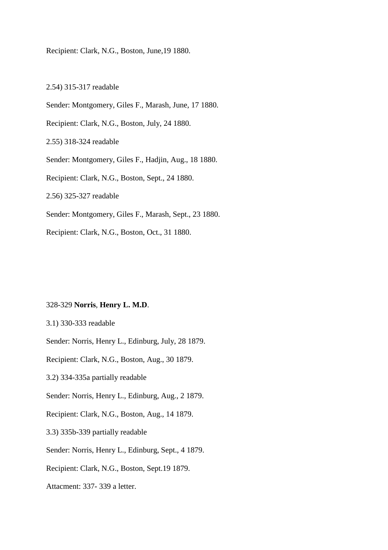Recipient: Clark, N.G., Boston, June,19 1880.

2.54) 315-317 readable Sender: Montgomery, Giles F., Marash, June, 17 1880. Recipient: Clark, N.G., Boston, July, 24 1880. 2.55) 318-324 readable Sender: Montgomery, Giles F., Hadjin, Aug., 18 1880. Recipient: Clark, N.G., Boston, Sept., 24 1880. 2.56) 325-327 readable Sender: Montgomery, Giles F., Marash, Sept., 23 1880. Recipient: Clark, N.G., Boston, Oct., 31 1880.

## 328-329 **Norris**, **Henry L. M.D**.

3.1) 330-333 readable

Sender: Norris, Henry L., Edinburg, July, 28 1879.

Recipient: Clark, N.G., Boston, Aug., 30 1879.

3.2) 334-335a partially readable

Sender: Norris, Henry L., Edinburg, Aug., 2 1879.

Recipient: Clark, N.G., Boston, Aug., 14 1879.

3.3) 335b-339 partially readable

Sender: Norris, Henry L., Edinburg, Sept., 4 1879.

Recipient: Clark, N.G., Boston, Sept.19 1879.

Attacment: 337- 339 a letter.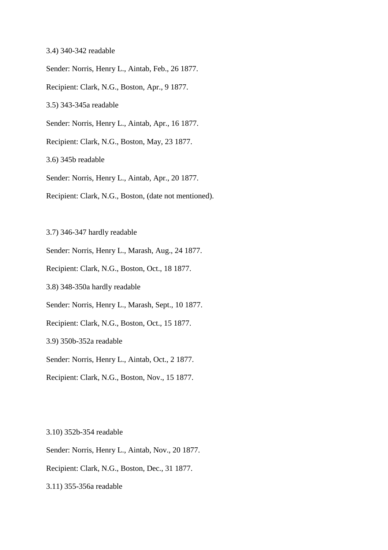3.4) 340-342 readable

Sender: Norris, Henry L., Aintab, Feb., 26 1877.

Recipient: Clark, N.G., Boston, Apr., 9 1877.

3.5) 343-345a readable

Sender: Norris, Henry L., Aintab, Apr., 16 1877.

Recipient: Clark, N.G., Boston, May, 23 1877.

3.6) 345b readable

Sender: Norris, Henry L., Aintab, Apr., 20 1877.

Recipient: Clark, N.G., Boston, (date not mentioned).

3.7) 346-347 hardly readable

Sender: Norris, Henry L., Marash, Aug., 24 1877.

Recipient: Clark, N.G., Boston, Oct., 18 1877.

3.8) 348-350a hardly readable

Sender: Norris, Henry L., Marash, Sept., 10 1877.

Recipient: Clark, N.G., Boston, Oct., 15 1877.

3.9) 350b-352a readable

Sender: Norris, Henry L., Aintab, Oct., 2 1877.

Recipient: Clark, N.G., Boston, Nov., 15 1877.

3.10) 352b-354 readable

Sender: Norris, Henry L., Aintab, Nov., 20 1877.

Recipient: Clark, N.G., Boston, Dec., 31 1877.

3.11) 355-356a readable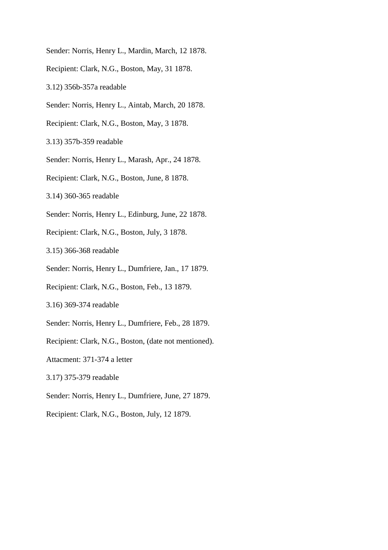- Sender: Norris, Henry L., Mardin, March, 12 1878.
- Recipient: Clark, N.G., Boston, May, 31 1878.
- 3.12) 356b-357a readable
- Sender: Norris, Henry L., Aintab, March, 20 1878.
- Recipient: Clark, N.G., Boston, May, 3 1878.
- 3.13) 357b-359 readable
- Sender: Norris, Henry L., Marash, Apr., 24 1878.
- Recipient: Clark, N.G., Boston, June, 8 1878.
- 3.14) 360-365 readable
- Sender: Norris, Henry L., Edinburg, June, 22 1878.
- Recipient: Clark, N.G., Boston, July, 3 1878.
- 3.15) 366-368 readable
- Sender: Norris, Henry L., Dumfriere, Jan., 17 1879.
- Recipient: Clark, N.G., Boston, Feb., 13 1879.
- 3.16) 369-374 readable
- Sender: Norris, Henry L., Dumfriere, Feb., 28 1879.
- Recipient: Clark, N.G., Boston, (date not mentioned).
- Attacment: 371-374 a letter
- 3.17) 375-379 readable
- Sender: Norris, Henry L., Dumfriere, June, 27 1879.
- Recipient: Clark, N.G., Boston, July, 12 1879.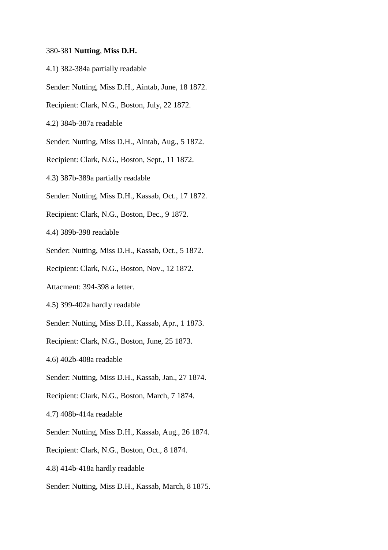## 380-381 **Nutting**, **Miss D.H.**

- 4.1) 382-384a partially readable
- Sender: Nutting, Miss D.H., Aintab, June, 18 1872.
- Recipient: Clark, N.G., Boston, July, 22 1872.
- 4.2) 384b-387a readable
- Sender: Nutting, Miss D.H., Aintab, Aug., 5 1872.
- Recipient: Clark, N.G., Boston, Sept., 11 1872.
- 4.3) 387b-389a partially readable
- Sender: Nutting, Miss D.H., Kassab, Oct., 17 1872.
- Recipient: Clark, N.G., Boston, Dec., 9 1872.
- 4.4) 389b-398 readable
- Sender: Nutting, Miss D.H., Kassab, Oct., 5 1872.
- Recipient: Clark, N.G., Boston, Nov., 12 1872.
- Attacment: 394-398 a letter.
- 4.5) 399-402a hardly readable
- Sender: Nutting, Miss D.H., Kassab, Apr., 1 1873.
- Recipient: Clark, N.G., Boston, June, 25 1873.
- 4.6) 402b-408a readable
- Sender: Nutting, Miss D.H., Kassab, Jan., 27 1874.
- Recipient: Clark, N.G., Boston, March, 7 1874.
- 4.7) 408b-414a readable
- Sender: Nutting, Miss D.H., Kassab, Aug., 26 1874.
- Recipient: Clark, N.G., Boston, Oct., 8 1874.
- 4.8) 414b-418a hardly readable
- Sender: Nutting, Miss D.H., Kassab, March, 8 1875.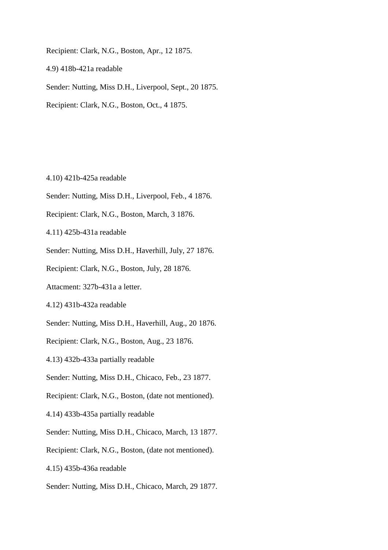Recipient: Clark, N.G., Boston, Apr., 12 1875.

4.9) 418b-421a readable

Sender: Nutting, Miss D.H., Liverpool, Sept., 20 1875.

Recipient: Clark, N.G., Boston, Oct., 4 1875.

4.10) 421b-425a readable

- Sender: Nutting, Miss D.H., Liverpool, Feb., 4 1876.
- Recipient: Clark, N.G., Boston, March, 3 1876.
- 4.11) 425b-431a readable
- Sender: Nutting, Miss D.H., Haverhill, July, 27 1876.
- Recipient: Clark, N.G., Boston, July, 28 1876.
- Attacment: 327b-431a a letter.
- 4.12) 431b-432a readable
- Sender: Nutting, Miss D.H., Haverhill, Aug., 20 1876.
- Recipient: Clark, N.G., Boston, Aug., 23 1876.
- 4.13) 432b-433a partially readable
- Sender: Nutting, Miss D.H., Chicaco, Feb., 23 1877.
- Recipient: Clark, N.G., Boston, (date not mentioned).
- 4.14) 433b-435a partially readable
- Sender: Nutting, Miss D.H., Chicaco, March, 13 1877.
- Recipient: Clark, N.G., Boston, (date not mentioned).
- 4.15) 435b-436a readable
- Sender: Nutting, Miss D.H., Chicaco, March, 29 1877.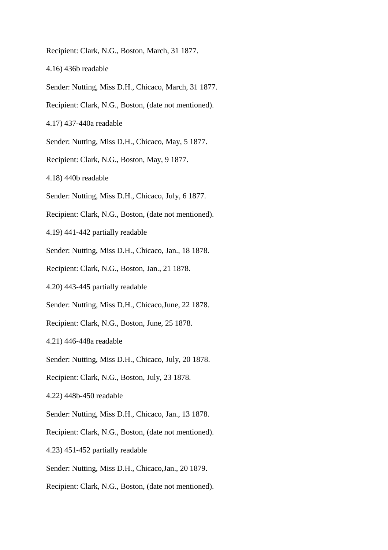- Recipient: Clark, N.G., Boston, March, 31 1877.
- 4.16) 436b readable
- Sender: Nutting, Miss D.H., Chicaco, March, 31 1877.
- Recipient: Clark, N.G., Boston, (date not mentioned).
- 4.17) 437-440a readable
- Sender: Nutting, Miss D.H., Chicaco, May, 5 1877.
- Recipient: Clark, N.G., Boston, May, 9 1877.
- 4.18) 440b readable
- Sender: Nutting, Miss D.H., Chicaco, July, 6 1877.
- Recipient: Clark, N.G., Boston, (date not mentioned).
- 4.19) 441-442 partially readable
- Sender: Nutting, Miss D.H., Chicaco, Jan., 18 1878.
- Recipient: Clark, N.G., Boston, Jan., 21 1878.
- 4.20) 443-445 partially readable
- Sender: Nutting, Miss D.H., Chicaco,June, 22 1878.
- Recipient: Clark, N.G., Boston, June, 25 1878.
- 4.21) 446-448a readable
- Sender: Nutting, Miss D.H., Chicaco, July, 20 1878.
- Recipient: Clark, N.G., Boston, July, 23 1878.
- 4.22) 448b-450 readable
- Sender: Nutting, Miss D.H., Chicaco, Jan., 13 1878.
- Recipient: Clark, N.G., Boston, (date not mentioned).
- 4.23) 451-452 partially readable
- Sender: Nutting, Miss D.H., Chicaco,Jan., 20 1879.
- Recipient: Clark, N.G., Boston, (date not mentioned).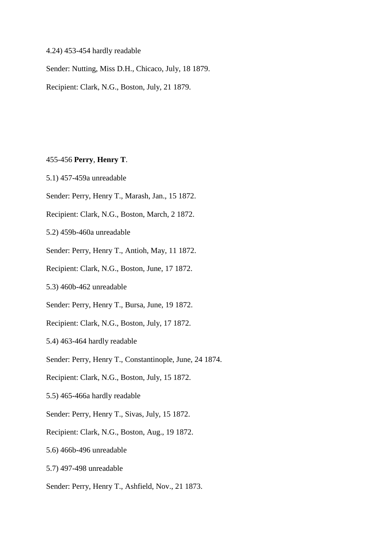## 4.24) 453-454 hardly readable

Sender: Nutting, Miss D.H., Chicaco, July, 18 1879.

Recipient: Clark, N.G., Boston, July, 21 1879.

#### 455-456 **Perry**, **Henry T**.

- 5.1) 457-459a unreadable
- Sender: Perry, Henry T., Marash, Jan., 15 1872.
- Recipient: Clark, N.G., Boston, March, 2 1872.
- 5.2) 459b-460a unreadable
- Sender: Perry, Henry T., Antioh, May, 11 1872.
- Recipient: Clark, N.G., Boston, June, 17 1872.
- 5.3) 460b-462 unreadable
- Sender: Perry, Henry T., Bursa, June, 19 1872.
- Recipient: Clark, N.G., Boston, July, 17 1872.
- 5.4) 463-464 hardly readable
- Sender: Perry, Henry T., Constantinople, June, 24 1874.
- Recipient: Clark, N.G., Boston, July, 15 1872.
- 5.5) 465-466a hardly readable
- Sender: Perry, Henry T., Sivas, July, 15 1872.
- Recipient: Clark, N.G., Boston, Aug., 19 1872.
- 5.6) 466b-496 unreadable
- 5.7) 497-498 unreadable
- Sender: Perry, Henry T., Ashfield, Nov., 21 1873.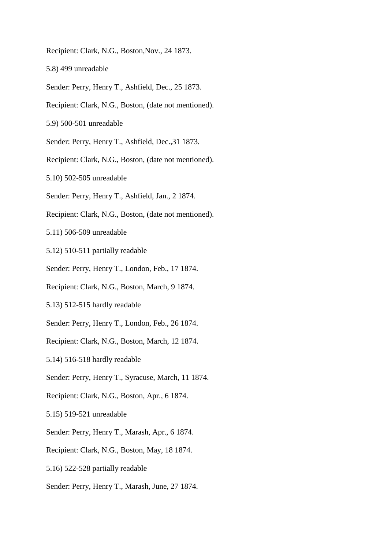Recipient: Clark, N.G., Boston,Nov., 24 1873.

5.8) 499 unreadable

- Sender: Perry, Henry T., Ashfield, Dec., 25 1873.
- Recipient: Clark, N.G., Boston, (date not mentioned).

5.9) 500-501 unreadable

Sender: Perry, Henry T., Ashfield, Dec.,31 1873.

Recipient: Clark, N.G., Boston, (date not mentioned).

- 5.10) 502-505 unreadable
- Sender: Perry, Henry T., Ashfield, Jan., 2 1874.
- Recipient: Clark, N.G., Boston, (date not mentioned).
- 5.11) 506-509 unreadable
- 5.12) 510-511 partially readable
- Sender: Perry, Henry T., London, Feb., 17 1874.
- Recipient: Clark, N.G., Boston, March, 9 1874.
- 5.13) 512-515 hardly readable
- Sender: Perry, Henry T., London, Feb., 26 1874.
- Recipient: Clark, N.G., Boston, March, 12 1874.
- 5.14) 516-518 hardly readable
- Sender: Perry, Henry T., Syracuse, March, 11 1874.
- Recipient: Clark, N.G., Boston, Apr., 6 1874.
- 5.15) 519-521 unreadable
- Sender: Perry, Henry T., Marash, Apr., 6 1874.
- Recipient: Clark, N.G., Boston, May, 18 1874.
- 5.16) 522-528 partially readable
- Sender: Perry, Henry T., Marash, June, 27 1874.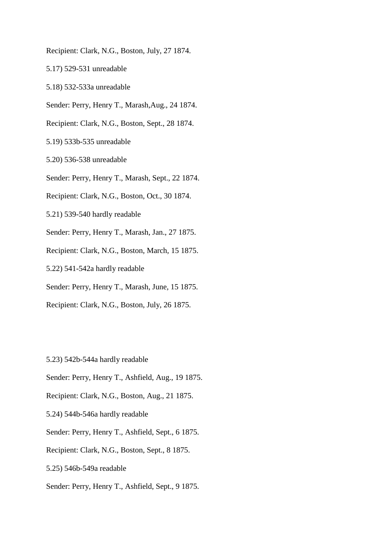- Recipient: Clark, N.G., Boston, July, 27 1874.
- 5.17) 529-531 unreadable
- 5.18) 532-533a unreadable
- Sender: Perry, Henry T., Marash,Aug., 24 1874.
- Recipient: Clark, N.G., Boston, Sept., 28 1874.
- 5.19) 533b-535 unreadable
- 5.20) 536-538 unreadable
- Sender: Perry, Henry T., Marash, Sept., 22 1874.
- Recipient: Clark, N.G., Boston, Oct., 30 1874.
- 5.21) 539-540 hardly readable
- Sender: Perry, Henry T., Marash, Jan., 27 1875.
- Recipient: Clark, N.G., Boston, March, 15 1875.
- 5.22) 541-542a hardly readable
- Sender: Perry, Henry T., Marash, June, 15 1875.
- Recipient: Clark, N.G., Boston, July, 26 1875.
- 5.23) 542b-544a hardly readable
- Sender: Perry, Henry T., Ashfield, Aug., 19 1875.
- Recipient: Clark, N.G., Boston, Aug., 21 1875.
- 5.24) 544b-546a hardly readable
- Sender: Perry, Henry T., Ashfield, Sept., 6 1875.
- Recipient: Clark, N.G., Boston, Sept., 8 1875.
- 5.25) 546b-549a readable
- Sender: Perry, Henry T., Ashfield, Sept., 9 1875.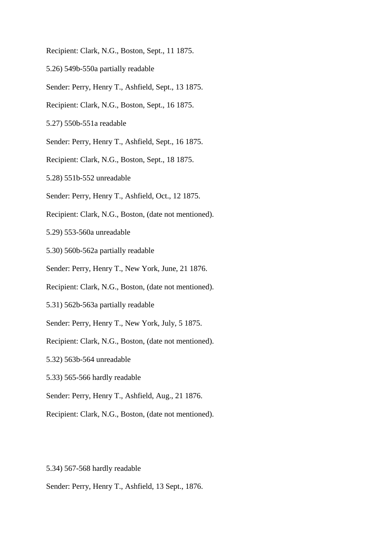Recipient: Clark, N.G., Boston, Sept., 11 1875.

- 5.26) 549b-550a partially readable
- Sender: Perry, Henry T., Ashfield, Sept., 13 1875.
- Recipient: Clark, N.G., Boston, Sept., 16 1875.
- 5.27) 550b-551a readable
- Sender: Perry, Henry T., Ashfield, Sept., 16 1875.
- Recipient: Clark, N.G., Boston, Sept., 18 1875.
- 5.28) 551b-552 unreadable
- Sender: Perry, Henry T., Ashfield, Oct., 12 1875.
- Recipient: Clark, N.G., Boston, (date not mentioned).
- 5.29) 553-560a unreadable
- 5.30) 560b-562a partially readable
- Sender: Perry, Henry T., New York, June, 21 1876.
- Recipient: Clark, N.G., Boston, (date not mentioned).
- 5.31) 562b-563a partially readable
- Sender: Perry, Henry T., New York, July, 5 1875.
- Recipient: Clark, N.G., Boston, (date not mentioned).
- 5.32) 563b-564 unreadable
- 5.33) 565-566 hardly readable
- Sender: Perry, Henry T., Ashfield, Aug., 21 1876.
- Recipient: Clark, N.G., Boston, (date not mentioned).
- 5.34) 567-568 hardly readable
- Sender: Perry, Henry T., Ashfield, 13 Sept., 1876.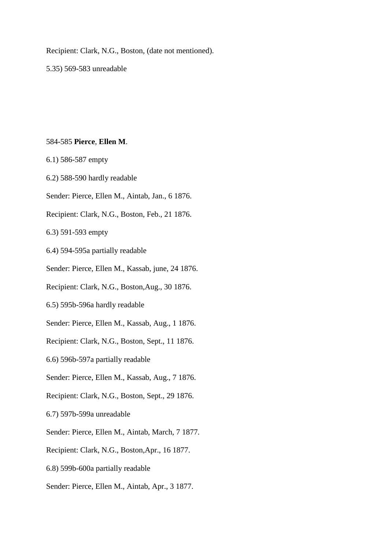Recipient: Clark, N.G., Boston, (date not mentioned).

5.35) 569-583 unreadable

#### 584-585 **Pierce**, **Ellen M**.

- 6.1) 586-587 empty
- 6.2) 588-590 hardly readable
- Sender: Pierce, Ellen M., Aintab, Jan., 6 1876.
- Recipient: Clark, N.G., Boston, Feb., 21 1876.

6.3) 591-593 empty

- 6.4) 594-595a partially readable
- Sender: Pierce, Ellen M., Kassab, june, 24 1876.
- Recipient: Clark, N.G., Boston,Aug., 30 1876.
- 6.5) 595b-596a hardly readable
- Sender: Pierce, Ellen M., Kassab, Aug., 1 1876.
- Recipient: Clark, N.G., Boston, Sept., 11 1876.
- 6.6) 596b-597a partially readable
- Sender: Pierce, Ellen M., Kassab, Aug., 7 1876.
- Recipient: Clark, N.G., Boston, Sept., 29 1876.
- 6.7) 597b-599a unreadable
- Sender: Pierce, Ellen M., Aintab, March, 7 1877.
- Recipient: Clark, N.G., Boston,Apr., 16 1877.
- 6.8) 599b-600a partially readable
- Sender: Pierce, Ellen M., Aintab, Apr., 3 1877.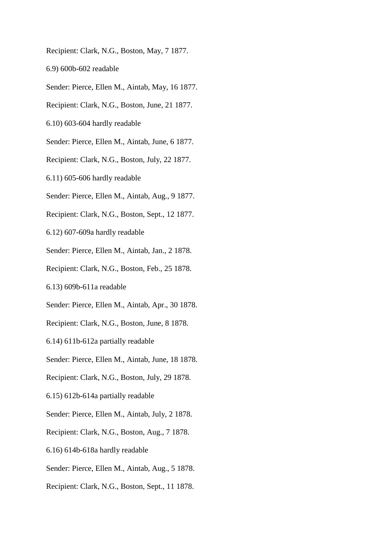Recipient: Clark, N.G., Boston, May, 7 1877.

6.9) 600b-602 readable

Sender: Pierce, Ellen M., Aintab, May, 16 1877.

Recipient: Clark, N.G., Boston, June, 21 1877.

6.10) 603-604 hardly readable

Sender: Pierce, Ellen M., Aintab, June, 6 1877.

Recipient: Clark, N.G., Boston, July, 22 1877.

6.11) 605-606 hardly readable

Sender: Pierce, Ellen M., Aintab, Aug., 9 1877.

Recipient: Clark, N.G., Boston, Sept., 12 1877.

6.12) 607-609a hardly readable

Sender: Pierce, Ellen M., Aintab, Jan., 2 1878.

Recipient: Clark, N.G., Boston, Feb., 25 1878.

6.13) 609b-611a readable

Sender: Pierce, Ellen M., Aintab, Apr., 30 1878.

Recipient: Clark, N.G., Boston, June, 8 1878.

6.14) 611b-612a partially readable

Sender: Pierce, Ellen M., Aintab, June, 18 1878.

Recipient: Clark, N.G., Boston, July, 29 1878.

6.15) 612b-614a partially readable

Sender: Pierce, Ellen M., Aintab, July, 2 1878.

Recipient: Clark, N.G., Boston, Aug., 7 1878.

6.16) 614b-618a hardly readable

Sender: Pierce, Ellen M., Aintab, Aug., 5 1878.

Recipient: Clark, N.G., Boston, Sept., 11 1878.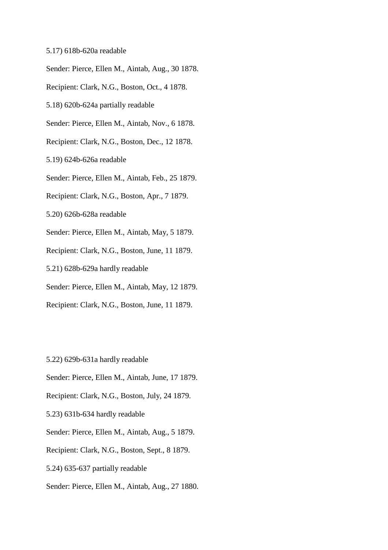- 5.17) 618b-620a readable
- Sender: Pierce, Ellen M., Aintab, Aug., 30 1878.
- Recipient: Clark, N.G., Boston, Oct., 4 1878.
- 5.18) 620b-624a partially readable
- Sender: Pierce, Ellen M., Aintab, Nov., 6 1878.
- Recipient: Clark, N.G., Boston, Dec., 12 1878.
- 5.19) 624b-626a readable
- Sender: Pierce, Ellen M., Aintab, Feb., 25 1879.
- Recipient: Clark, N.G., Boston, Apr., 7 1879.
- 5.20) 626b-628a readable
- Sender: Pierce, Ellen M., Aintab, May, 5 1879.
- Recipient: Clark, N.G., Boston, June, 11 1879.
- 5.21) 628b-629a hardly readable
- Sender: Pierce, Ellen M., Aintab, May, 12 1879.
- Recipient: Clark, N.G., Boston, June, 11 1879.
- 5.22) 629b-631a hardly readable
- Sender: Pierce, Ellen M., Aintab, June, 17 1879.
- Recipient: Clark, N.G., Boston, July, 24 1879.
- 5.23) 631b-634 hardly readable
- Sender: Pierce, Ellen M., Aintab, Aug., 5 1879.
- Recipient: Clark, N.G., Boston, Sept., 8 1879.
- 5.24) 635-637 partially readable
- Sender: Pierce, Ellen M., Aintab, Aug., 27 1880.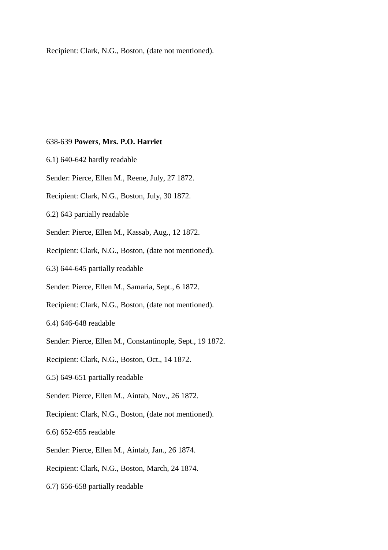Recipient: Clark, N.G., Boston, (date not mentioned).

#### 638-639 **Powers**, **Mrs. P.O. Harriet**

- 6.1) 640-642 hardly readable
- Sender: Pierce, Ellen M., Reene, July, 27 1872.
- Recipient: Clark, N.G., Boston, July, 30 1872.
- 6.2) 643 partially readable
- Sender: Pierce, Ellen M., Kassab, Aug., 12 1872.
- Recipient: Clark, N.G., Boston, (date not mentioned).
- 6.3) 644-645 partially readable
- Sender: Pierce, Ellen M., Samaria, Sept., 6 1872.
- Recipient: Clark, N.G., Boston, (date not mentioned).
- 6.4) 646-648 readable
- Sender: Pierce, Ellen M., Constantinople, Sept., 19 1872.
- Recipient: Clark, N.G., Boston, Oct., 14 1872.
- 6.5) 649-651 partially readable
- Sender: Pierce, Ellen M., Aintab, Nov., 26 1872.
- Recipient: Clark, N.G., Boston, (date not mentioned).
- 6.6) 652-655 readable
- Sender: Pierce, Ellen M., Aintab, Jan., 26 1874.
- Recipient: Clark, N.G., Boston, March, 24 1874.
- 6.7) 656-658 partially readable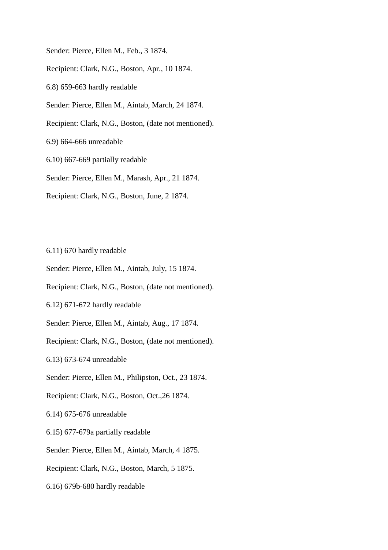Sender: Pierce, Ellen M., Feb., 3 1874.

Recipient: Clark, N.G., Boston, Apr., 10 1874.

6.8) 659-663 hardly readable

Sender: Pierce, Ellen M., Aintab, March, 24 1874.

Recipient: Clark, N.G., Boston, (date not mentioned).

6.9) 664-666 unreadable

6.10) 667-669 partially readable

Sender: Pierce, Ellen M., Marash, Apr., 21 1874.

Recipient: Clark, N.G., Boston, June, 2 1874.

6.11) 670 hardly readable

Sender: Pierce, Ellen M., Aintab, July, 15 1874.

Recipient: Clark, N.G., Boston, (date not mentioned).

6.12) 671-672 hardly readable

Sender: Pierce, Ellen M., Aintab, Aug., 17 1874.

Recipient: Clark, N.G., Boston, (date not mentioned).

6.13) 673-674 unreadable

Sender: Pierce, Ellen M., Philipston, Oct., 23 1874.

Recipient: Clark, N.G., Boston, Oct.,26 1874.

6.14) 675-676 unreadable

6.15) 677-679a partially readable

Sender: Pierce, Ellen M., Aintab, March, 4 1875.

Recipient: Clark, N.G., Boston, March, 5 1875.

6.16) 679b-680 hardly readable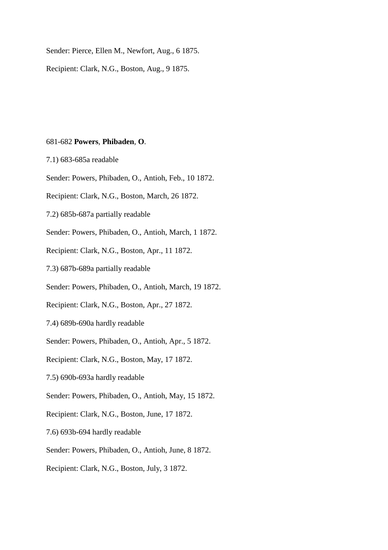Sender: Pierce, Ellen M., Newfort, Aug., 6 1875.

Recipient: Clark, N.G., Boston, Aug., 9 1875.

## 681-682 **Powers**, **Phibaden**, **O**.

7.1) 683-685a readable

- Sender: Powers, Phibaden, O., Antioh, Feb., 10 1872.
- Recipient: Clark, N.G., Boston, March, 26 1872.
- 7.2) 685b-687a partially readable
- Sender: Powers, Phibaden, O., Antioh, March, 1 1872.
- Recipient: Clark, N.G., Boston, Apr., 11 1872.
- 7.3) 687b-689a partially readable
- Sender: Powers, Phibaden, O., Antioh, March, 19 1872.
- Recipient: Clark, N.G., Boston, Apr., 27 1872.
- 7.4) 689b-690a hardly readable
- Sender: Powers, Phibaden, O., Antioh, Apr., 5 1872.
- Recipient: Clark, N.G., Boston, May, 17 1872.
- 7.5) 690b-693a hardly readable
- Sender: Powers, Phibaden, O., Antioh, May, 15 1872.
- Recipient: Clark, N.G., Boston, June, 17 1872.
- 7.6) 693b-694 hardly readable
- Sender: Powers, Phibaden, O., Antioh, June, 8 1872.
- Recipient: Clark, N.G., Boston, July, 3 1872.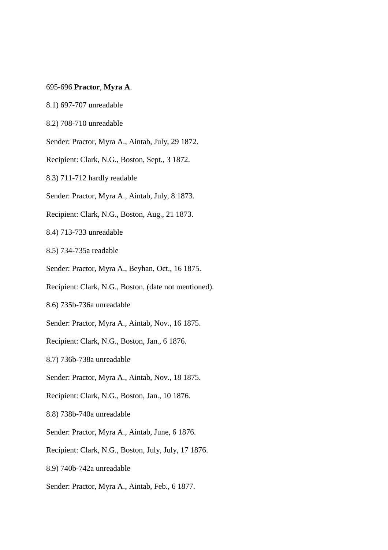### 695-696 **Practor**, **Myra A**.

- 8.1) 697-707 unreadable
- 8.2) 708-710 unreadable
- Sender: Practor, Myra A., Aintab, July, 29 1872.
- Recipient: Clark, N.G., Boston, Sept., 3 1872.
- 8.3) 711-712 hardly readable
- Sender: Practor, Myra A., Aintab, July, 8 1873.
- Recipient: Clark, N.G., Boston, Aug., 21 1873.
- 8.4) 713-733 unreadable
- 8.5) 734-735a readable
- Sender: Practor, Myra A., Beyhan, Oct., 16 1875.
- Recipient: Clark, N.G., Boston, (date not mentioned).
- 8.6) 735b-736a unreadable
- Sender: Practor, Myra A., Aintab, Nov., 16 1875.
- Recipient: Clark, N.G., Boston, Jan., 6 1876.
- 8.7) 736b-738a unreadable
- Sender: Practor, Myra A., Aintab, Nov., 18 1875.
- Recipient: Clark, N.G., Boston, Jan., 10 1876.
- 8.8) 738b-740a unreadable
- Sender: Practor, Myra A., Aintab, June, 6 1876.
- Recipient: Clark, N.G., Boston, July, July, 17 1876.
- 8.9) 740b-742a unreadable
- Sender: Practor, Myra A., Aintab, Feb., 6 1877.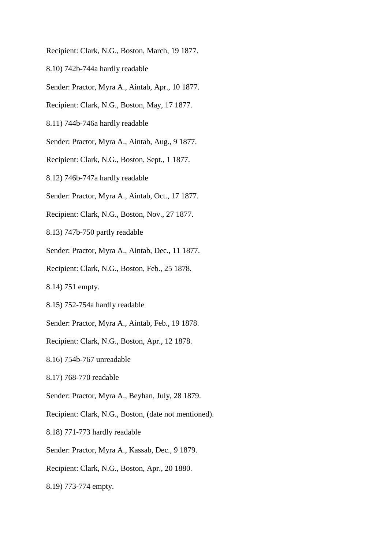Recipient: Clark, N.G., Boston, March, 19 1877.

- 8.10) 742b-744a hardly readable
- Sender: Practor, Myra A., Aintab, Apr., 10 1877.
- Recipient: Clark, N.G., Boston, May, 17 1877.
- 8.11) 744b-746a hardly readable
- Sender: Practor, Myra A., Aintab, Aug., 9 1877.
- Recipient: Clark, N.G., Boston, Sept., 1 1877.
- 8.12) 746b-747a hardly readable
- Sender: Practor, Myra A., Aintab, Oct., 17 1877.
- Recipient: Clark, N.G., Boston, Nov., 27 1877.
- 8.13) 747b-750 partly readable
- Sender: Practor, Myra A., Aintab, Dec., 11 1877.
- Recipient: Clark, N.G., Boston, Feb., 25 1878.
- 8.14) 751 empty.
- 8.15) 752-754a hardly readable
- Sender: Practor, Myra A., Aintab, Feb., 19 1878.
- Recipient: Clark, N.G., Boston, Apr., 12 1878.
- 8.16) 754b-767 unreadable
- 8.17) 768-770 readable
- Sender: Practor, Myra A., Beyhan, July, 28 1879.
- Recipient: Clark, N.G., Boston, (date not mentioned).
- 8.18) 771-773 hardly readable
- Sender: Practor, Myra A., Kassab, Dec., 9 1879.
- Recipient: Clark, N.G., Boston, Apr., 20 1880.
- 8.19) 773-774 empty.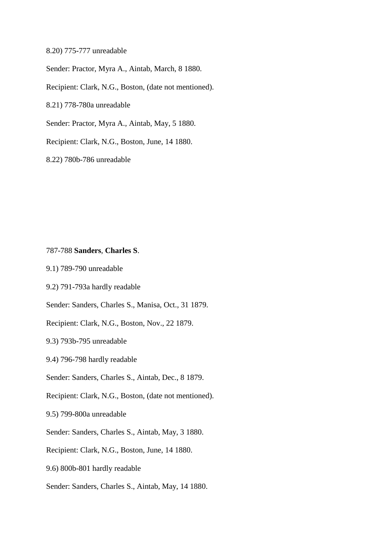8.20) 775-777 unreadable

Sender: Practor, Myra A., Aintab, March, 8 1880.

Recipient: Clark, N.G., Boston, (date not mentioned).

8.21) 778-780a unreadable

Sender: Practor, Myra A., Aintab, May, 5 1880.

Recipient: Clark, N.G., Boston, June, 14 1880.

8.22) 780b-786 unreadable

## 787-788 **Sanders**, **Charles S**.

9.1) 789-790 unreadable

9.2) 791-793a hardly readable

Sender: Sanders, Charles S., Manisa, Oct., 31 1879.

Recipient: Clark, N.G., Boston, Nov., 22 1879.

9.3) 793b-795 unreadable

9.4) 796-798 hardly readable

Sender: Sanders, Charles S., Aintab, Dec., 8 1879.

Recipient: Clark, N.G., Boston, (date not mentioned).

9.5) 799-800a unreadable

Sender: Sanders, Charles S., Aintab, May, 3 1880.

Recipient: Clark, N.G., Boston, June, 14 1880.

9.6) 800b-801 hardly readable

Sender: Sanders, Charles S., Aintab, May, 14 1880.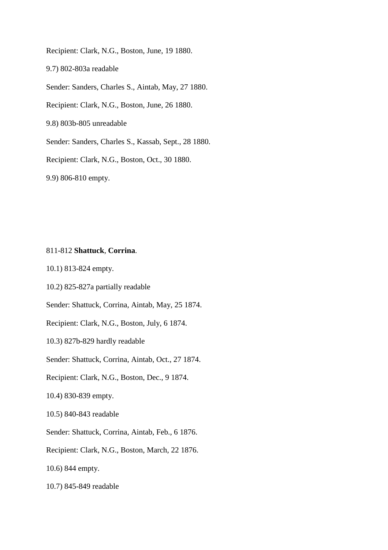Recipient: Clark, N.G., Boston, June, 19 1880.

9.7) 802-803a readable

Sender: Sanders, Charles S., Aintab, May, 27 1880.

Recipient: Clark, N.G., Boston, June, 26 1880.

9.8) 803b-805 unreadable

Sender: Sanders, Charles S., Kassab, Sept., 28 1880.

Recipient: Clark, N.G., Boston, Oct., 30 1880.

9.9) 806-810 empty.

## 811-812 **Shattuck**, **Corrina**.

10.1) 813-824 empty.

10.2) 825-827a partially readable

Sender: Shattuck, Corrina, Aintab, May, 25 1874.

Recipient: Clark, N.G., Boston, July, 6 1874.

10.3) 827b-829 hardly readable

Sender: Shattuck, Corrina, Aintab, Oct., 27 1874.

Recipient: Clark, N.G., Boston, Dec., 9 1874.

10.4) 830-839 empty.

10.5) 840-843 readable

Sender: Shattuck, Corrina, Aintab, Feb., 6 1876.

Recipient: Clark, N.G., Boston, March, 22 1876.

10.6) 844 empty.

10.7) 845-849 readable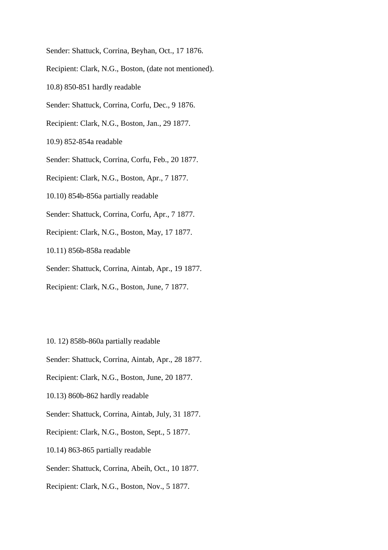Sender: Shattuck, Corrina, Beyhan, Oct., 17 1876.

Recipient: Clark, N.G., Boston, (date not mentioned).

10.8) 850-851 hardly readable

Sender: Shattuck, Corrina, Corfu, Dec., 9 1876.

Recipient: Clark, N.G., Boston, Jan., 29 1877.

10.9) 852-854a readable

Sender: Shattuck, Corrina, Corfu, Feb., 20 1877.

Recipient: Clark, N.G., Boston, Apr., 7 1877.

10.10) 854b-856a partially readable

Sender: Shattuck, Corrina, Corfu, Apr., 7 1877.

Recipient: Clark, N.G., Boston, May, 17 1877.

10.11) 856b-858a readable

Sender: Shattuck, Corrina, Aintab, Apr., 19 1877.

Recipient: Clark, N.G., Boston, June, 7 1877.

10. 12) 858b-860a partially readable

Sender: Shattuck, Corrina, Aintab, Apr., 28 1877.

Recipient: Clark, N.G., Boston, June, 20 1877.

10.13) 860b-862 hardly readable

Sender: Shattuck, Corrina, Aintab, July, 31 1877.

Recipient: Clark, N.G., Boston, Sept., 5 1877.

10.14) 863-865 partially readable

Sender: Shattuck, Corrina, Abeih, Oct., 10 1877.

Recipient: Clark, N.G., Boston, Nov., 5 1877.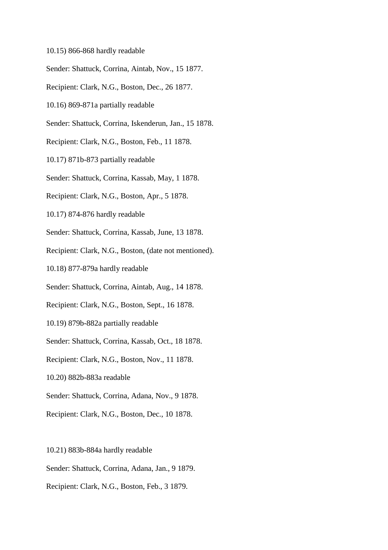- 10.15) 866-868 hardly readable
- Sender: Shattuck, Corrina, Aintab, Nov., 15 1877.
- Recipient: Clark, N.G., Boston, Dec., 26 1877.
- 10.16) 869-871a partially readable
- Sender: Shattuck, Corrina, Iskenderun, Jan., 15 1878.
- Recipient: Clark, N.G., Boston, Feb., 11 1878.
- 10.17) 871b-873 partially readable
- Sender: Shattuck, Corrina, Kassab, May, 1 1878.
- Recipient: Clark, N.G., Boston, Apr., 5 1878.
- 10.17) 874-876 hardly readable
- Sender: Shattuck, Corrina, Kassab, June, 13 1878.
- Recipient: Clark, N.G., Boston, (date not mentioned).
- 10.18) 877-879a hardly readable
- Sender: Shattuck, Corrina, Aintab, Aug., 14 1878.
- Recipient: Clark, N.G., Boston, Sept., 16 1878.
- 10.19) 879b-882a partially readable
- Sender: Shattuck, Corrina, Kassab, Oct., 18 1878.
- Recipient: Clark, N.G., Boston, Nov., 11 1878.
- 10.20) 882b-883a readable
- Sender: Shattuck, Corrina, Adana, Nov., 9 1878.
- Recipient: Clark, N.G., Boston, Dec., 10 1878.
- 10.21) 883b-884a hardly readable
- Sender: Shattuck, Corrina, Adana, Jan., 9 1879.
- Recipient: Clark, N.G., Boston, Feb., 3 1879.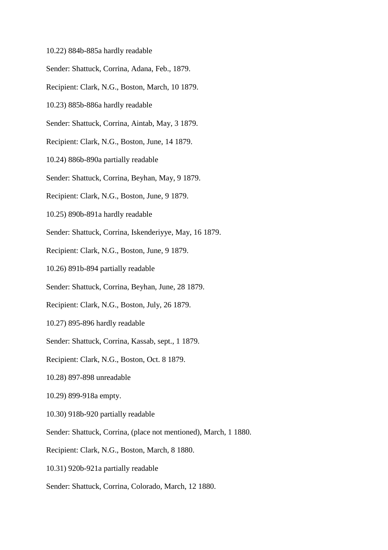- 10.22) 884b-885a hardly readable
- Sender: Shattuck, Corrina, Adana, Feb., 1879.
- Recipient: Clark, N.G., Boston, March, 10 1879.
- 10.23) 885b-886a hardly readable
- Sender: Shattuck, Corrina, Aintab, May, 3 1879.
- Recipient: Clark, N.G., Boston, June, 14 1879.
- 10.24) 886b-890a partially readable
- Sender: Shattuck, Corrina, Beyhan, May, 9 1879.
- Recipient: Clark, N.G., Boston, June, 9 1879.
- 10.25) 890b-891a hardly readable
- Sender: Shattuck, Corrina, Iskenderiyye, May, 16 1879.
- Recipient: Clark, N.G., Boston, June, 9 1879.
- 10.26) 891b-894 partially readable
- Sender: Shattuck, Corrina, Beyhan, June, 28 1879.
- Recipient: Clark, N.G., Boston, July, 26 1879.
- 10.27) 895-896 hardly readable
- Sender: Shattuck, Corrina, Kassab, sept., 1 1879.
- Recipient: Clark, N.G., Boston, Oct. 8 1879.
- 10.28) 897-898 unreadable
- 10.29) 899-918a empty.
- 10.30) 918b-920 partially readable
- Sender: Shattuck, Corrina, (place not mentioned), March, 1 1880.
- Recipient: Clark, N.G., Boston, March, 8 1880.
- 10.31) 920b-921a partially readable
- Sender: Shattuck, Corrina, Colorado, March, 12 1880.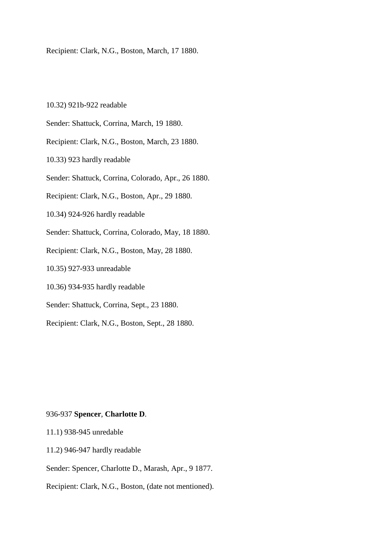Recipient: Clark, N.G., Boston, March, 17 1880.

10.32) 921b-922 readable

- Sender: Shattuck, Corrina, March, 19 1880.
- Recipient: Clark, N.G., Boston, March, 23 1880.
- 10.33) 923 hardly readable
- Sender: Shattuck, Corrina, Colorado, Apr., 26 1880.
- Recipient: Clark, N.G., Boston, Apr., 29 1880.
- 10.34) 924-926 hardly readable
- Sender: Shattuck, Corrina, Colorado, May, 18 1880.
- Recipient: Clark, N.G., Boston, May, 28 1880.
- 10.35) 927-933 unreadable
- 10.36) 934-935 hardly readable
- Sender: Shattuck, Corrina, Sept., 23 1880.
- Recipient: Clark, N.G., Boston, Sept., 28 1880.

## 936-937 **Spencer**, **Charlotte D**.

- 11.1) 938-945 unredable
- 11.2) 946-947 hardly readable

# Sender: Spencer, Charlotte D., Marash, Apr., 9 1877.

Recipient: Clark, N.G., Boston, (date not mentioned).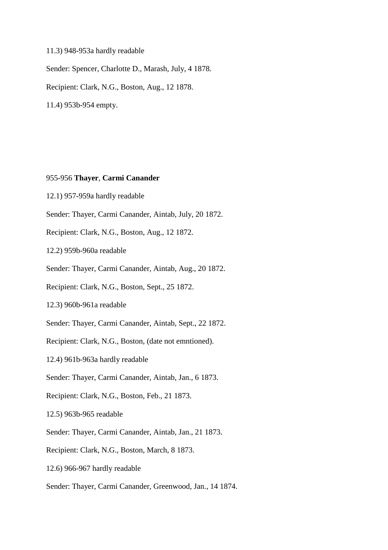## 11.3) 948-953a hardly readable

Sender: Spencer, Charlotte D., Marash, July, 4 1878.

Recipient: Clark, N.G., Boston, Aug., 12 1878.

11.4) 953b-954 empty.

## 955-956 **Thayer**, **Carmi Canander**

- 12.1) 957-959a hardly readable
- Sender: Thayer, Carmi Canander, Aintab, July, 20 1872.
- Recipient: Clark, N.G., Boston, Aug., 12 1872.
- 12.2) 959b-960a readable
- Sender: Thayer, Carmi Canander, Aintab, Aug., 20 1872.
- Recipient: Clark, N.G., Boston, Sept., 25 1872.
- 12.3) 960b-961a readable
- Sender: Thayer, Carmi Canander, Aintab, Sept., 22 1872.
- Recipient: Clark, N.G., Boston, (date not emntioned).
- 12.4) 961b-963a hardly readable
- Sender: Thayer, Carmi Canander, Aintab, Jan., 6 1873.
- Recipient: Clark, N.G., Boston, Feb., 21 1873.
- 12.5) 963b-965 readable
- Sender: Thayer, Carmi Canander, Aintab, Jan., 21 1873.
- Recipient: Clark, N.G., Boston, March, 8 1873.
- 12.6) 966-967 hardly readable
- Sender: Thayer, Carmi Canander, Greenwood, Jan., 14 1874.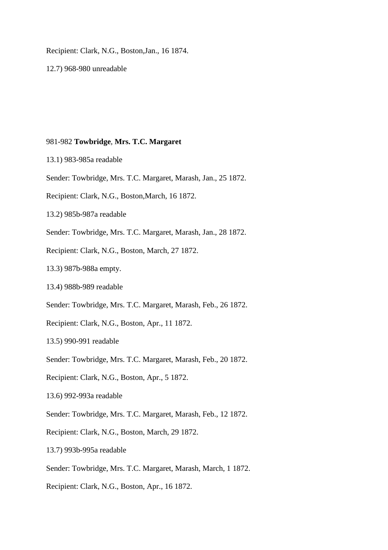Recipient: Clark, N.G., Boston,Jan., 16 1874.

12.7) 968-980 unreadable

#### 981-982 **Towbridge**, **Mrs. T.C. Margaret**

- 13.1) 983-985a readable
- Sender: Towbridge, Mrs. T.C. Margaret, Marash, Jan., 25 1872.
- Recipient: Clark, N.G., Boston,March, 16 1872.
- 13.2) 985b-987a readable
- Sender: Towbridge, Mrs. T.C. Margaret, Marash, Jan., 28 1872.
- Recipient: Clark, N.G., Boston, March, 27 1872.
- 13.3) 987b-988a empty.
- 13.4) 988b-989 readable
- Sender: Towbridge, Mrs. T.C. Margaret, Marash, Feb., 26 1872.
- Recipient: Clark, N.G., Boston, Apr., 11 1872.
- 13.5) 990-991 readable
- Sender: Towbridge, Mrs. T.C. Margaret, Marash, Feb., 20 1872.
- Recipient: Clark, N.G., Boston, Apr., 5 1872.
- 13.6) 992-993a readable
- Sender: Towbridge, Mrs. T.C. Margaret, Marash, Feb., 12 1872.
- Recipient: Clark, N.G., Boston, March, 29 1872.
- 13.7) 993b-995a readable
- Sender: Towbridge, Mrs. T.C. Margaret, Marash, March, 1 1872.
- Recipient: Clark, N.G., Boston, Apr., 16 1872.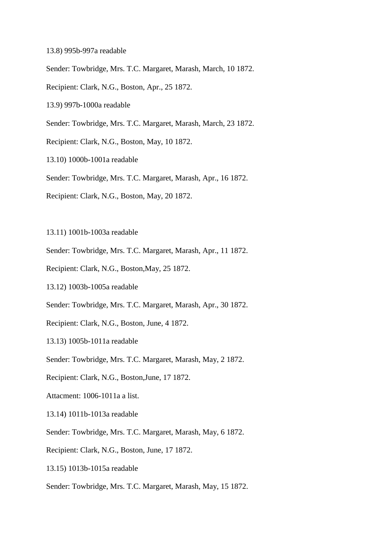- 13.8) 995b-997a readable
- Sender: Towbridge, Mrs. T.C. Margaret, Marash, March, 10 1872.
- Recipient: Clark, N.G., Boston, Apr., 25 1872.
- 13.9) 997b-1000a readable
- Sender: Towbridge, Mrs. T.C. Margaret, Marash, March, 23 1872.
- Recipient: Clark, N.G., Boston, May, 10 1872.
- 13.10) 1000b-1001a readable
- Sender: Towbridge, Mrs. T.C. Margaret, Marash, Apr., 16 1872.
- Recipient: Clark, N.G., Boston, May, 20 1872.
- 13.11) 1001b-1003a readable
- Sender: Towbridge, Mrs. T.C. Margaret, Marash, Apr., 11 1872.
- Recipient: Clark, N.G., Boston,May, 25 1872.
- 13.12) 1003b-1005a readable
- Sender: Towbridge, Mrs. T.C. Margaret, Marash, Apr., 30 1872.
- Recipient: Clark, N.G., Boston, June, 4 1872.
- 13.13) 1005b-1011a readable
- Sender: Towbridge, Mrs. T.C. Margaret, Marash, May, 2 1872.
- Recipient: Clark, N.G., Boston,June, 17 1872.
- Attacment: 1006-1011a a list.
- 13.14) 1011b-1013a readable
- Sender: Towbridge, Mrs. T.C. Margaret, Marash, May, 6 1872.
- Recipient: Clark, N.G., Boston, June, 17 1872.
- 13.15) 1013b-1015a readable
- Sender: Towbridge, Mrs. T.C. Margaret, Marash, May, 15 1872.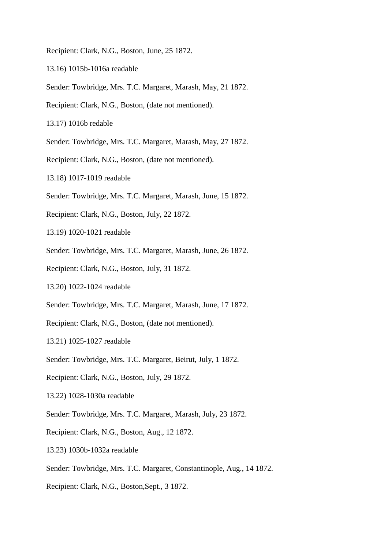Recipient: Clark, N.G., Boston, June, 25 1872.

- 13.16) 1015b-1016a readable
- Sender: Towbridge, Mrs. T.C. Margaret, Marash, May, 21 1872.
- Recipient: Clark, N.G., Boston, (date not mentioned).
- 13.17) 1016b redable
- Sender: Towbridge, Mrs. T.C. Margaret, Marash, May, 27 1872.
- Recipient: Clark, N.G., Boston, (date not mentioned).
- 13.18) 1017-1019 readable
- Sender: Towbridge, Mrs. T.C. Margaret, Marash, June, 15 1872.
- Recipient: Clark, N.G., Boston, July, 22 1872.
- 13.19) 1020-1021 readable
- Sender: Towbridge, Mrs. T.C. Margaret, Marash, June, 26 1872.
- Recipient: Clark, N.G., Boston, July, 31 1872.
- 13.20) 1022-1024 readable
- Sender: Towbridge, Mrs. T.C. Margaret, Marash, June, 17 1872.
- Recipient: Clark, N.G., Boston, (date not mentioned).
- 13.21) 1025-1027 readable
- Sender: Towbridge, Mrs. T.C. Margaret, Beirut, July, 1 1872.
- Recipient: Clark, N.G., Boston, July, 29 1872.
- 13.22) 1028-1030a readable
- Sender: Towbridge, Mrs. T.C. Margaret, Marash, July, 23 1872.
- Recipient: Clark, N.G., Boston, Aug., 12 1872.
- 13.23) 1030b-1032a readable
- Sender: Towbridge, Mrs. T.C. Margaret, Constantinople, Aug., 14 1872.
- Recipient: Clark, N.G., Boston,Sept., 3 1872.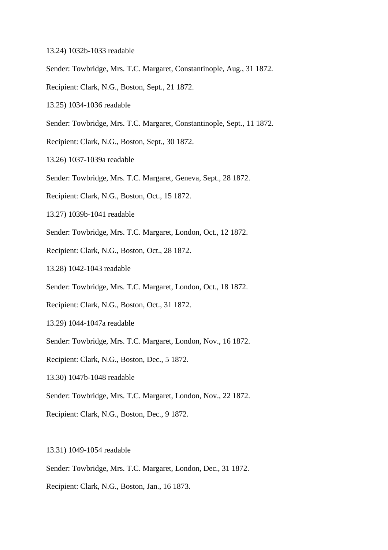- 13.24) 1032b-1033 readable
- Sender: Towbridge, Mrs. T.C. Margaret, Constantinople, Aug., 31 1872.
- Recipient: Clark, N.G., Boston, Sept., 21 1872.
- 13.25) 1034-1036 readable
- Sender: Towbridge, Mrs. T.C. Margaret, Constantinople, Sept., 11 1872.
- Recipient: Clark, N.G., Boston, Sept., 30 1872.
- 13.26) 1037-1039a readable
- Sender: Towbridge, Mrs. T.C. Margaret, Geneva, Sept., 28 1872.
- Recipient: Clark, N.G., Boston, Oct., 15 1872.
- 13.27) 1039b-1041 readable
- Sender: Towbridge, Mrs. T.C. Margaret, London, Oct., 12 1872.
- Recipient: Clark, N.G., Boston, Oct., 28 1872.
- 13.28) 1042-1043 readable
- Sender: Towbridge, Mrs. T.C. Margaret, London, Oct., 18 1872.
- Recipient: Clark, N.G., Boston, Oct., 31 1872.
- 13.29) 1044-1047a readable
- Sender: Towbridge, Mrs. T.C. Margaret, London, Nov., 16 1872.
- Recipient: Clark, N.G., Boston, Dec., 5 1872.
- 13.30) 1047b-1048 readable
- Sender: Towbridge, Mrs. T.C. Margaret, London, Nov., 22 1872.
- Recipient: Clark, N.G., Boston, Dec., 9 1872.
- 13.31) 1049-1054 readable
- Sender: Towbridge, Mrs. T.C. Margaret, London, Dec., 31 1872.
- Recipient: Clark, N.G., Boston, Jan., 16 1873.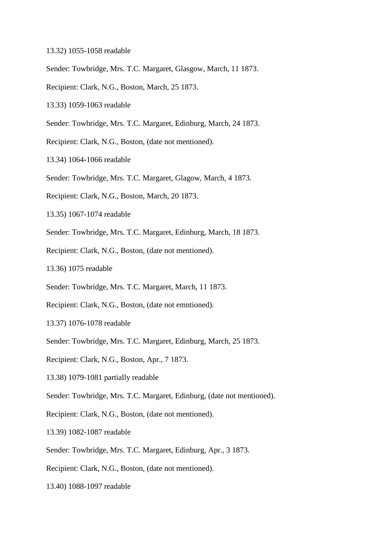- 13.32) 1055-1058 readable
- Sender: Towbridge, Mrs. T.C. Margaret, Glasgow, March, 11 1873.
- Recipient: Clark, N.G., Boston, March, 25 1873.
- 13.33) 1059-1063 readable
- Sender: Towbridge, Mrs. T.C. Margaret, Edinburg, March, 24 1873.
- Recipient: Clark, N.G., Boston, (date not mentioned).
- 13.34) 1064-1066 readable
- Sender: Towbridge, Mrs. T.C. Margaret, Glagow, March, 4 1873.
- Recipient: Clark, N.G., Boston, March, 20 1873.
- 13.35) 1067-1074 readable
- Sender: Towbridge, Mrs. T.C. Margaret, Edinburg, March, 18 1873.
- Recipient: Clark, N.G., Boston, (date not mentioned).
- 13.36) 1075 readable
- Sender: Towbridge, Mrs. T.C. Margaret, March, 11 1873.
- Recipient: Clark, N.G., Boston, (date not emntioned).
- 13.37) 1076-1078 readable
- Sender: Towbridge, Mrs. T.C. Margaret, Edinburg, March, 25 1873.
- Recipient: Clark, N.G., Boston, Apr., 7 1873.
- 13.38) 1079-1081 partially readable
- Sender: Towbridge, Mrs. T.C. Margaret, Edinburg, (date not mentioned).
- Recipient: Clark, N.G., Boston, (date not mentioned).
- 13.39) 1082-1087 readable
- Sender: Towbridge, Mrs. T.C. Margaret, Edinburg, Apr., 3 1873.
- Recipient: Clark, N.G., Boston, (date not mentioned).
- 13.40) 1088-1097 readable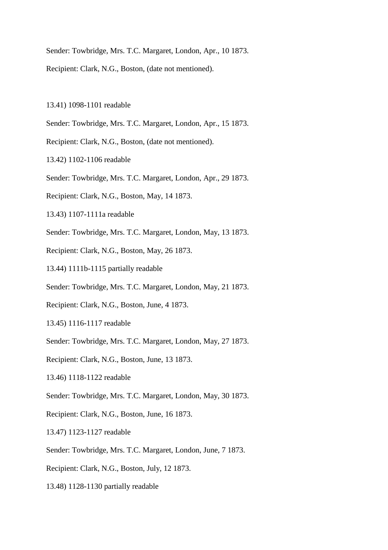Sender: Towbridge, Mrs. T.C. Margaret, London, Apr., 10 1873.

Recipient: Clark, N.G., Boston, (date not mentioned).

- 13.41) 1098-1101 readable
- Sender: Towbridge, Mrs. T.C. Margaret, London, Apr., 15 1873.
- Recipient: Clark, N.G., Boston, (date not mentioned).
- 13.42) 1102-1106 readable
- Sender: Towbridge, Mrs. T.C. Margaret, London, Apr., 29 1873.
- Recipient: Clark, N.G., Boston, May, 14 1873.
- 13.43) 1107-1111a readable
- Sender: Towbridge, Mrs. T.C. Margaret, London, May, 13 1873.
- Recipient: Clark, N.G., Boston, May, 26 1873.
- 13.44) 1111b-1115 partially readable
- Sender: Towbridge, Mrs. T.C. Margaret, London, May, 21 1873.
- Recipient: Clark, N.G., Boston, June, 4 1873.
- 13.45) 1116-1117 readable
- Sender: Towbridge, Mrs. T.C. Margaret, London, May, 27 1873.
- Recipient: Clark, N.G., Boston, June, 13 1873.
- 13.46) 1118-1122 readable
- Sender: Towbridge, Mrs. T.C. Margaret, London, May, 30 1873.
- Recipient: Clark, N.G., Boston, June, 16 1873.
- 13.47) 1123-1127 readable
- Sender: Towbridge, Mrs. T.C. Margaret, London, June, 7 1873.
- Recipient: Clark, N.G., Boston, July, 12 1873.
- 13.48) 1128-1130 partially readable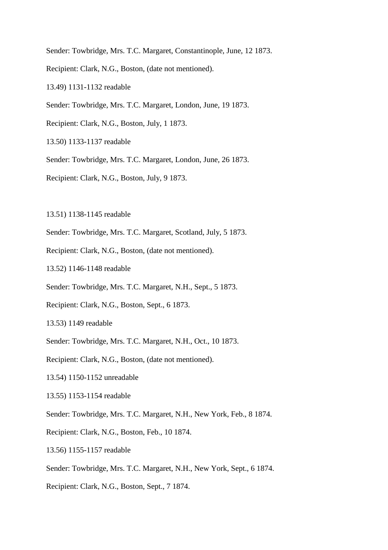- Sender: Towbridge, Mrs. T.C. Margaret, Constantinople, June, 12 1873.
- Recipient: Clark, N.G., Boston, (date not mentioned).
- 13.49) 1131-1132 readable
- Sender: Towbridge, Mrs. T.C. Margaret, London, June, 19 1873.
- Recipient: Clark, N.G., Boston, July, 1 1873.
- 13.50) 1133-1137 readable
- Sender: Towbridge, Mrs. T.C. Margaret, London, June, 26 1873.
- Recipient: Clark, N.G., Boston, July, 9 1873.
- 13.51) 1138-1145 readable
- Sender: Towbridge, Mrs. T.C. Margaret, Scotland, July, 5 1873.
- Recipient: Clark, N.G., Boston, (date not mentioned).
- 13.52) 1146-1148 readable
- Sender: Towbridge, Mrs. T.C. Margaret, N.H., Sept., 5 1873.
- Recipient: Clark, N.G., Boston, Sept., 6 1873.
- 13.53) 1149 readable
- Sender: Towbridge, Mrs. T.C. Margaret, N.H., Oct., 10 1873.
- Recipient: Clark, N.G., Boston, (date not mentioned).
- 13.54) 1150-1152 unreadable
- 13.55) 1153-1154 readable
- Sender: Towbridge, Mrs. T.C. Margaret, N.H., New York, Feb., 8 1874.
- Recipient: Clark, N.G., Boston, Feb., 10 1874.
- 13.56) 1155-1157 readable
- Sender: Towbridge, Mrs. T.C. Margaret, N.H., New York, Sept., 6 1874.
- Recipient: Clark, N.G., Boston, Sept., 7 1874.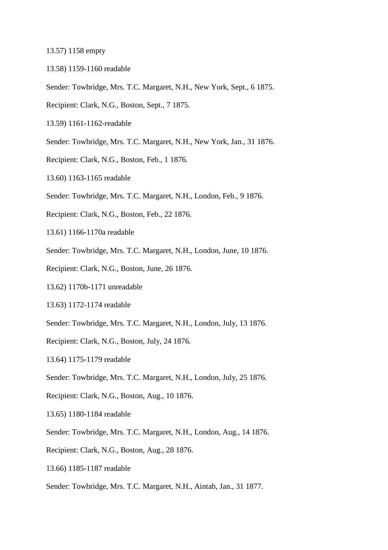13.57) 1158 empty

- 13.58) 1159-1160 readable
- Sender: Towbridge, Mrs. T.C. Margaret, N.H., New York, Sept., 6 1875.
- Recipient: Clark, N.G., Boston, Sept., 7 1875.
- 13.59) 1161-1162-readable
- Sender: Towbridge, Mrs. T.C. Margaret, N.H., New York, Jan., 31 1876.
- Recipient: Clark, N.G., Boston, Feb., 1 1876.
- 13.60) 1163-1165 readable
- Sender: Towbridge, Mrs. T.C. Margaret, N.H., London, Feb., 9 1876.
- Recipient: Clark, N.G., Boston, Feb., 22 1876.
- 13.61) 1166-1170a readable
- Sender: Towbridge, Mrs. T.C. Margaret, N.H., London, June, 10 1876.
- Recipient: Clark, N.G., Boston, June, 26 1876.
- 13.62) 1170b-1171 unreadable
- 13.63) 1172-1174 readable
- Sender: Towbridge, Mrs. T.C. Margaret, N.H., London, July, 13 1876.
- Recipient: Clark, N.G., Boston, July, 24 1876.
- 13.64) 1175-1179 readable
- Sender: Towbridge, Mrs. T.C. Margaret, N.H., London, July, 25 1876.
- Recipient: Clark, N.G., Boston, Aug., 10 1876.
- 13.65) 1180-1184 readable
- Sender: Towbridge, Mrs. T.C. Margaret, N.H., London, Aug., 14 1876.
- Recipient: Clark, N.G., Boston, Aug., 28 1876.
- 13.66) 1185-1187 readable
- Sender: Towbridge, Mrs. T.C. Margaret, N.H., Aintab, Jan., 31 1877.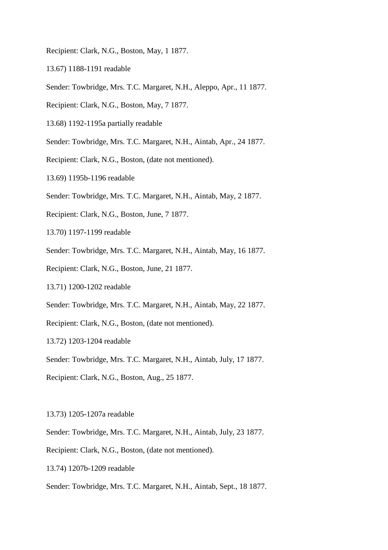- Recipient: Clark, N.G., Boston, May, 1 1877.
- 13.67) 1188-1191 readable
- Sender: Towbridge, Mrs. T.C. Margaret, N.H., Aleppo, Apr., 11 1877.
- Recipient: Clark, N.G., Boston, May, 7 1877.
- 13.68) 1192-1195a partially readable
- Sender: Towbridge, Mrs. T.C. Margaret, N.H., Aintab, Apr., 24 1877.
- Recipient: Clark, N.G., Boston, (date not mentioned).
- 13.69) 1195b-1196 readable
- Sender: Towbridge, Mrs. T.C. Margaret, N.H., Aintab, May, 2 1877.
- Recipient: Clark, N.G., Boston, June, 7 1877.
- 13.70) 1197-1199 readable
- Sender: Towbridge, Mrs. T.C. Margaret, N.H., Aintab, May, 16 1877.
- Recipient: Clark, N.G., Boston, June, 21 1877.
- 13.71) 1200-1202 readable
- Sender: Towbridge, Mrs. T.C. Margaret, N.H., Aintab, May, 22 1877.
- Recipient: Clark, N.G., Boston, (date not mentioned).
- 13.72) 1203-1204 readable
- Sender: Towbridge, Mrs. T.C. Margaret, N.H., Aintab, July, 17 1877.
- Recipient: Clark, N.G., Boston, Aug., 25 1877.
- 13.73) 1205-1207a readable
- Sender: Towbridge, Mrs. T.C. Margaret, N.H., Aintab, July, 23 1877.
- Recipient: Clark, N.G., Boston, (date not mentioned).
- 13.74) 1207b-1209 readable
- Sender: Towbridge, Mrs. T.C. Margaret, N.H., Aintab, Sept., 18 1877.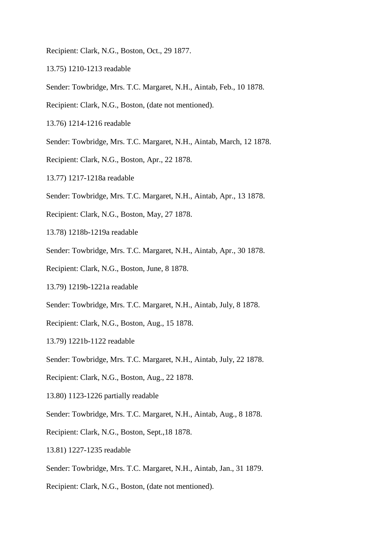- Recipient: Clark, N.G., Boston, Oct., 29 1877.
- 13.75) 1210-1213 readable
- Sender: Towbridge, Mrs. T.C. Margaret, N.H., Aintab, Feb., 10 1878.
- Recipient: Clark, N.G., Boston, (date not mentioned).
- 13.76) 1214-1216 readable
- Sender: Towbridge, Mrs. T.C. Margaret, N.H., Aintab, March, 12 1878.
- Recipient: Clark, N.G., Boston, Apr., 22 1878.
- 13.77) 1217-1218a readable
- Sender: Towbridge, Mrs. T.C. Margaret, N.H., Aintab, Apr., 13 1878.
- Recipient: Clark, N.G., Boston, May, 27 1878.
- 13.78) 1218b-1219a readable
- Sender: Towbridge, Mrs. T.C. Margaret, N.H., Aintab, Apr., 30 1878.
- Recipient: Clark, N.G., Boston, June, 8 1878.
- 13.79) 1219b-1221a readable
- Sender: Towbridge, Mrs. T.C. Margaret, N.H., Aintab, July, 8 1878.
- Recipient: Clark, N.G., Boston, Aug., 15 1878.
- 13.79) 1221b-1122 readable
- Sender: Towbridge, Mrs. T.C. Margaret, N.H., Aintab, July, 22 1878.
- Recipient: Clark, N.G., Boston, Aug., 22 1878.
- 13.80) 1123-1226 partially readable
- Sender: Towbridge, Mrs. T.C. Margaret, N.H., Aintab, Aug., 8 1878.
- Recipient: Clark, N.G., Boston, Sept.,18 1878.
- 13.81) 1227-1235 readable
- Sender: Towbridge, Mrs. T.C. Margaret, N.H., Aintab, Jan., 31 1879.
- Recipient: Clark, N.G., Boston, (date not mentioned).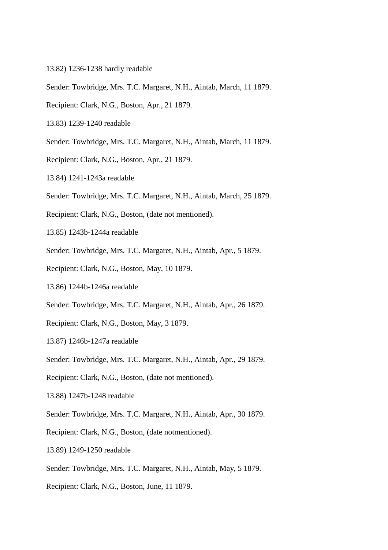- 13.82) 1236-1238 hardly readable
- Sender: Towbridge, Mrs. T.C. Margaret, N.H., Aintab, March, 11 1879.
- Recipient: Clark, N.G., Boston, Apr., 21 1879.
- 13.83) 1239-1240 readable
- Sender: Towbridge, Mrs. T.C. Margaret, N.H., Aintab, March, 11 1879.
- Recipient: Clark, N.G., Boston, Apr., 21 1879.
- 13.84) 1241-1243a readable
- Sender: Towbridge, Mrs. T.C. Margaret, N.H., Aintab, March, 25 1879.
- Recipient: Clark, N.G., Boston, (date not mentioned).
- 13.85) 1243b-1244a readable
- Sender: Towbridge, Mrs. T.C. Margaret, N.H., Aintab, Apr., 5 1879.
- Recipient: Clark, N.G., Boston, May, 10 1879.
- 13.86) 1244b-1246a readable
- Sender: Towbridge, Mrs. T.C. Margaret, N.H., Aintab, Apr., 26 1879.
- Recipient: Clark, N.G., Boston, May, 3 1879.
- 13.87) 1246b-1247a readable
- Sender: Towbridge, Mrs. T.C. Margaret, N.H., Aintab, Apr., 29 1879.
- Recipient: Clark, N.G., Boston, (date not mentioned).
- 13.88) 1247b-1248 readable
- Sender: Towbridge, Mrs. T.C. Margaret, N.H., Aintab, Apr., 30 1879.
- Recipient: Clark, N.G., Boston, (date notmentioned).
- 13.89) 1249-1250 readable
- Sender: Towbridge, Mrs. T.C. Margaret, N.H., Aintab, May, 5 1879.
- Recipient: Clark, N.G., Boston, June, 11 1879.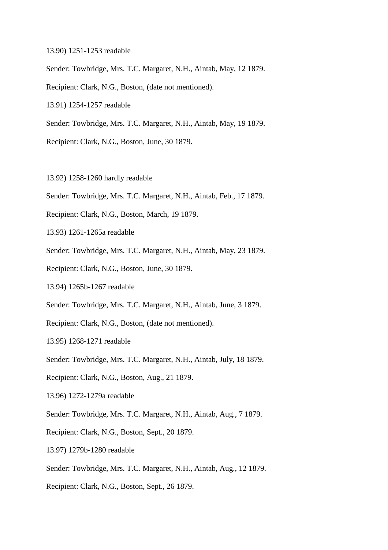- 13.90) 1251-1253 readable
- Sender: Towbridge, Mrs. T.C. Margaret, N.H., Aintab, May, 12 1879.
- Recipient: Clark, N.G., Boston, (date not mentioned).
- 13.91) 1254-1257 readable
- Sender: Towbridge, Mrs. T.C. Margaret, N.H., Aintab, May, 19 1879.
- Recipient: Clark, N.G., Boston, June, 30 1879.
- 13.92) 1258-1260 hardly readable
- Sender: Towbridge, Mrs. T.C. Margaret, N.H., Aintab, Feb., 17 1879.
- Recipient: Clark, N.G., Boston, March, 19 1879.
- 13.93) 1261-1265a readable
- Sender: Towbridge, Mrs. T.C. Margaret, N.H., Aintab, May, 23 1879.
- Recipient: Clark, N.G., Boston, June, 30 1879.
- 13.94) 1265b-1267 readable
- Sender: Towbridge, Mrs. T.C. Margaret, N.H., Aintab, June, 3 1879.
- Recipient: Clark, N.G., Boston, (date not mentioned).
- 13.95) 1268-1271 readable
- Sender: Towbridge, Mrs. T.C. Margaret, N.H., Aintab, July, 18 1879.
- Recipient: Clark, N.G., Boston, Aug., 21 1879.
- 13.96) 1272-1279a readable
- Sender: Towbridge, Mrs. T.C. Margaret, N.H., Aintab, Aug., 7 1879.
- Recipient: Clark, N.G., Boston, Sept., 20 1879.
- 13.97) 1279b-1280 readable
- Sender: Towbridge, Mrs. T.C. Margaret, N.H., Aintab, Aug., 12 1879.
- Recipient: Clark, N.G., Boston, Sept., 26 1879.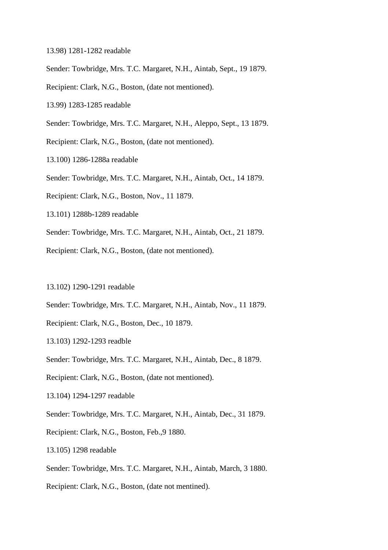- 13.98) 1281-1282 readable
- Sender: Towbridge, Mrs. T.C. Margaret, N.H., Aintab, Sept., 19 1879.
- Recipient: Clark, N.G., Boston, (date not mentioned).
- 13.99) 1283-1285 readable
- Sender: Towbridge, Mrs. T.C. Margaret, N.H., Aleppo, Sept., 13 1879.
- Recipient: Clark, N.G., Boston, (date not mentioned).
- 13.100) 1286-1288a readable
- Sender: Towbridge, Mrs. T.C. Margaret, N.H., Aintab, Oct., 14 1879.
- Recipient: Clark, N.G., Boston, Nov., 11 1879.
- 13.101) 1288b-1289 readable
- Sender: Towbridge, Mrs. T.C. Margaret, N.H., Aintab, Oct., 21 1879.
- Recipient: Clark, N.G., Boston, (date not mentioned).
- 13.102) 1290-1291 readable
- Sender: Towbridge, Mrs. T.C. Margaret, N.H., Aintab, Nov., 11 1879.
- Recipient: Clark, N.G., Boston, Dec., 10 1879.
- 13.103) 1292-1293 readble
- Sender: Towbridge, Mrs. T.C. Margaret, N.H., Aintab, Dec., 8 1879.
- Recipient: Clark, N.G., Boston, (date not mentioned).
- 13.104) 1294-1297 readable
- Sender: Towbridge, Mrs. T.C. Margaret, N.H., Aintab, Dec., 31 1879.
- Recipient: Clark, N.G., Boston, Feb.,9 1880.
- 13.105) 1298 readable
- Sender: Towbridge, Mrs. T.C. Margaret, N.H., Aintab, March, 3 1880.
- Recipient: Clark, N.G., Boston, (date not mentined).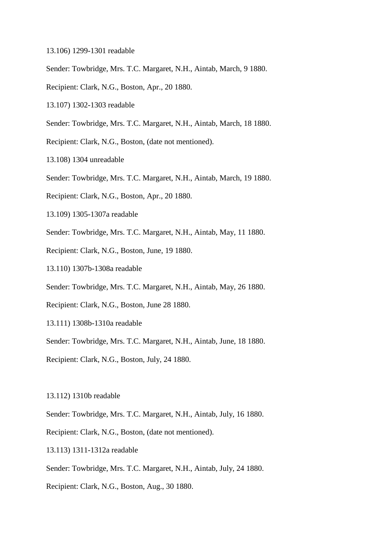- 13.106) 1299-1301 readable
- Sender: Towbridge, Mrs. T.C. Margaret, N.H., Aintab, March, 9 1880.
- Recipient: Clark, N.G., Boston, Apr., 20 1880.
- 13.107) 1302-1303 readable
- Sender: Towbridge, Mrs. T.C. Margaret, N.H., Aintab, March, 18 1880.
- Recipient: Clark, N.G., Boston, (date not mentioned).
- 13.108) 1304 unreadable
- Sender: Towbridge, Mrs. T.C. Margaret, N.H., Aintab, March, 19 1880.
- Recipient: Clark, N.G., Boston, Apr., 20 1880.
- 13.109) 1305-1307a readable
- Sender: Towbridge, Mrs. T.C. Margaret, N.H., Aintab, May, 11 1880.
- Recipient: Clark, N.G., Boston, June, 19 1880.
- 13.110) 1307b-1308a readable
- Sender: Towbridge, Mrs. T.C. Margaret, N.H., Aintab, May, 26 1880.
- Recipient: Clark, N.G., Boston, June 28 1880.
- 13.111) 1308b-1310a readable
- Sender: Towbridge, Mrs. T.C. Margaret, N.H., Aintab, June, 18 1880.
- Recipient: Clark, N.G., Boston, July, 24 1880.
- 13.112) 1310b readable
- Sender: Towbridge, Mrs. T.C. Margaret, N.H., Aintab, July, 16 1880.
- Recipient: Clark, N.G., Boston, (date not mentioned).
- 13.113) 1311-1312a readable
- Sender: Towbridge, Mrs. T.C. Margaret, N.H., Aintab, July, 24 1880.
- Recipient: Clark, N.G., Boston, Aug., 30 1880.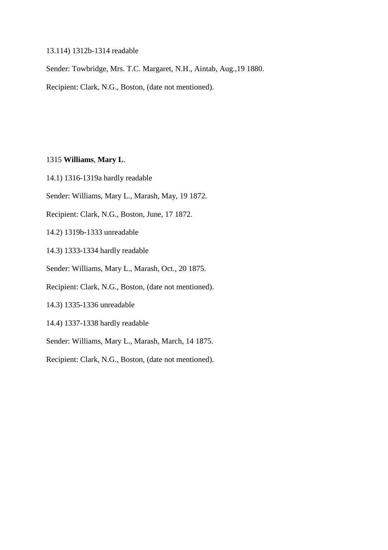### 13.114) 1312b-1314 readable

Sender: Towbridge, Mrs. T.C. Margaret, N.H., Aintab, Aug.,19 1880.

Recipient: Clark, N.G., Boston, (date not mentioned).

### 1315 **Williams**, **Mary L**.

14.1) 1316-1319a hardly readable

Sender: Williams, Mary L., Marash, May, 19 1872.

Recipient: Clark, N.G., Boston, June, 17 1872.

14.2) 1319b-1333 unreadable

14.3) 1333-1334 hardly readable

Sender: Williams, Mary L., Marash, Oct., 20 1875.

Recipient: Clark, N.G., Boston, (date not mentioned).

14.3) 1335-1336 unreadable

14.4) 1337-1338 hardly readable

Sender: Williams, Mary L., Marash, March, 14 1875.

Recipient: Clark, N.G., Boston, (date not mentioned).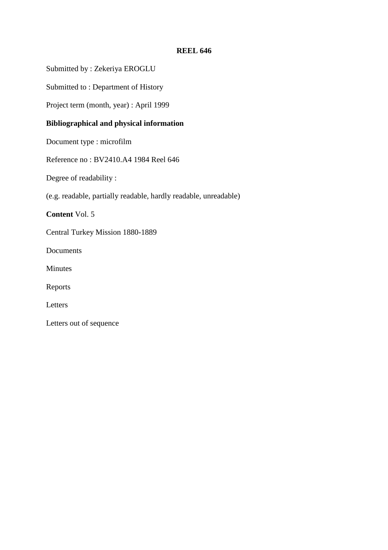# **REEL 646**

Submitted by : Zekeriya EROGLU

Submitted to : Department of History

Project term (month, year) : April 1999

# **Bibliographical and physical information**

Document type : microfilm

Reference no : BV2410.A4 1984 Reel 646

Degree of readability :

(e.g. readable, partially readable, hardly readable, unreadable)

**Content** Vol. 5

Central Turkey Mission 1880-1889

Documents

Minutes

Reports

Letters

Letters out of sequence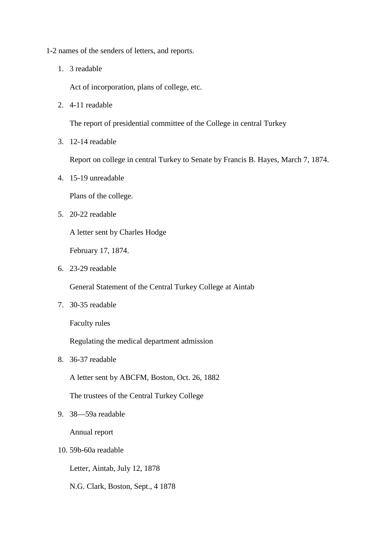- 1-2 names of the senders of letters, and reports.
	- 1. 3 readable

Act of incorporation, plans of college, etc.

2. 4-11 readable

The report of presidential committee of the College in central Turkey

3. 12-14 readable

Report on college in central Turkey to Senate by Francis B. Hayes, March 7, 1874.

4. 15-19 unreadable

Plans of the college.

5. 20-22 readable

A letter sent by Charles Hodge

February 17, 1874.

6. 23-29 readable

General Statement of the Central Turkey College at Aintab

7. 30-35 readable

Faculty rules

Regulating the medical department admission

8. 36-37 readable

A letter sent by ABCFM, Boston, Oct. 26, 1882

The trustees of the Central Turkey College

9. 38—59a readable

Annual report

10. 59b-60a readable

Letter, Aintab, July 12, 1878

N.G. Clark, Boston, Sept., 4 1878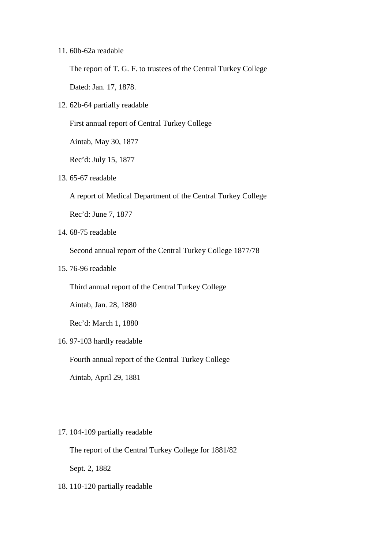### 11. 60b-62a readable

The report of T. G. F. to trustees of the Central Turkey College

Dated: Jan. 17, 1878.

12. 62b-64 partially readable

First annual report of Central Turkey College

Aintab, May 30, 1877

Rec'd: July 15, 1877

13. 65-67 readable

A report of Medical Department of the Central Turkey College

Rec'd: June 7, 1877

14. 68-75 readable

Second annual report of the Central Turkey College 1877/78

15. 76-96 readable

Third annual report of the Central Turkey College

Aintab, Jan. 28, 1880

Rec'd: March 1, 1880

16. 97-103 hardly readable

Fourth annual report of the Central Turkey College

Aintab, April 29, 1881

#### 17. 104-109 partially readable

The report of the Central Turkey College for 1881/82

Sept. 2, 1882

18. 110-120 partially readable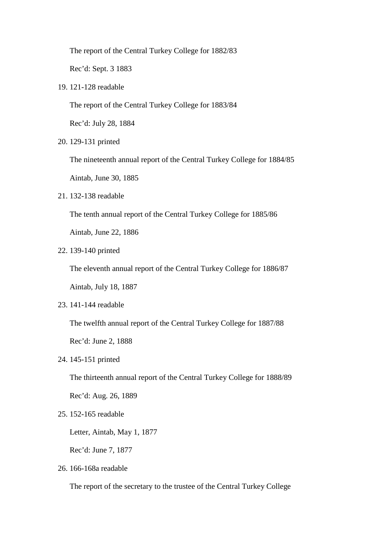The report of the Central Turkey College for 1882/83

Rec'd: Sept. 3 1883

19. 121-128 readable

The report of the Central Turkey College for 1883/84

Rec'd: July 28, 1884

20. 129-131 printed

The nineteenth annual report of the Central Turkey College for 1884/85

Aintab, June 30, 1885

21. 132-138 readable

The tenth annual report of the Central Turkey College for 1885/86

Aintab, June 22, 1886

22. 139-140 printed

The eleventh annual report of the Central Turkey College for 1886/87

Aintab, July 18, 1887

23. 141-144 readable

The twelfth annual report of the Central Turkey College for 1887/88

Rec'd: June 2, 1888

24. 145-151 printed

The thirteenth annual report of the Central Turkey College for 1888/89

Rec'd: Aug. 26, 1889

25. 152-165 readable

Letter, Aintab, May 1, 1877

Rec'd: June 7, 1877

26. 166-168a readable

The report of the secretary to the trustee of the Central Turkey College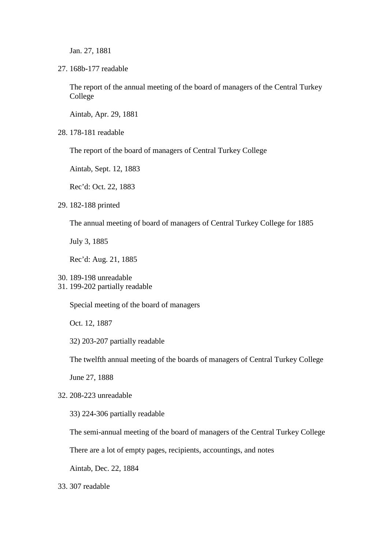Jan. 27, 1881

27. 168b-177 readable

The report of the annual meeting of the board of managers of the Central Turkey College

Aintab, Apr. 29, 1881

28. 178-181 readable

The report of the board of managers of Central Turkey College

Aintab, Sept. 12, 1883

Rec'd: Oct. 22, 1883

29. 182-188 printed

The annual meeting of board of managers of Central Turkey College for 1885

July 3, 1885

Rec'd: Aug. 21, 1885

31. 199-202 partially readable

Special meeting of the board of managers

Oct. 12, 1887

32) 203-207 partially readable

The twelfth annual meeting of the boards of managers of Central Turkey College

June 27, 1888

32. 208-223 unreadable

33) 224-306 partially readable

The semi-annual meeting of the board of managers of the Central Turkey College

There are a lot of empty pages, recipients, accountings, and notes

Aintab, Dec. 22, 1884

33. 307 readable

<sup>30.</sup> 189-198 unreadable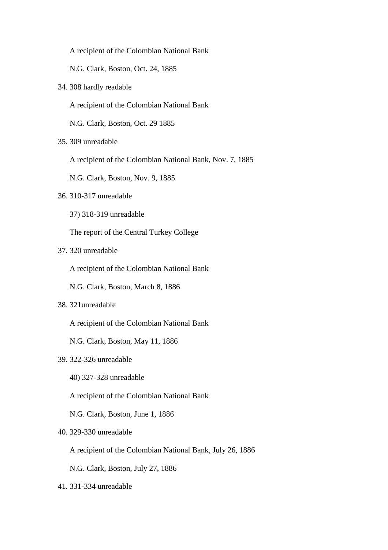A recipient of the Colombian National Bank

N.G. Clark, Boston, Oct. 24, 1885

34. 308 hardly readable

A recipient of the Colombian National Bank

N.G. Clark, Boston, Oct. 29 1885

35. 309 unreadable

A recipient of the Colombian National Bank, Nov. 7, 1885

N.G. Clark, Boston, Nov. 9, 1885

- 36. 310-317 unreadable
	- 37) 318-319 unreadable

The report of the Central Turkey College

37. 320 unreadable

A recipient of the Colombian National Bank

N.G. Clark, Boston, March 8, 1886

38. 321unreadable

A recipient of the Colombian National Bank

N.G. Clark, Boston, May 11, 1886

# 39. 322-326 unreadable

- 40) 327-328 unreadable
- A recipient of the Colombian National Bank

N.G. Clark, Boston, June 1, 1886

### 40. 329-330 unreadable

A recipient of the Colombian National Bank, July 26, 1886

N.G. Clark, Boston, July 27, 1886

41. 331-334 unreadable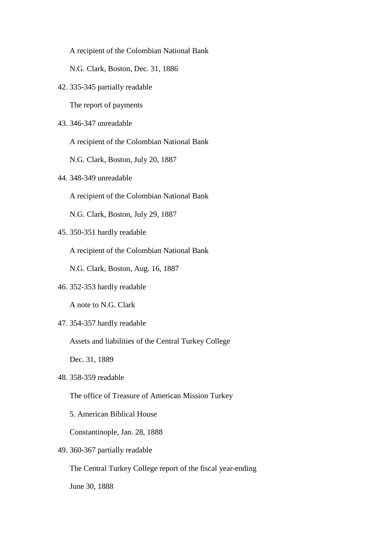A recipient of the Colombian National Bank

N.G. Clark, Boston, Dec. 31, 1886

42. 335-345 partially readable

The report of payments

43. 346-347 unreadable

A recipient of the Colombian National Bank

N.G. Clark, Boston, July 20, 1887

44. 348-349 unreadable

A recipient of the Colombian National Bank

N.G. Clark, Boston, July 29, 1887

45. 350-351 hardly readable

A recipient of the Colombian National Bank

N.G. Clark, Boston, Aug. 16, 1887

46. 352-353 hardly readable

A note to N.G. Clark

47. 354-357 hardly readable

Assets and liabilities of the Central Turkey College

Dec. 31, 1889

48. 358-359 readable

The office of Treasure of American Mission Turkey

5. American Biblical House

Constantinople, Jan. 28, 1888

# 49. 360-367 partially readable

The Central Turkey College report of the fiscal year-ending

June 30, 1888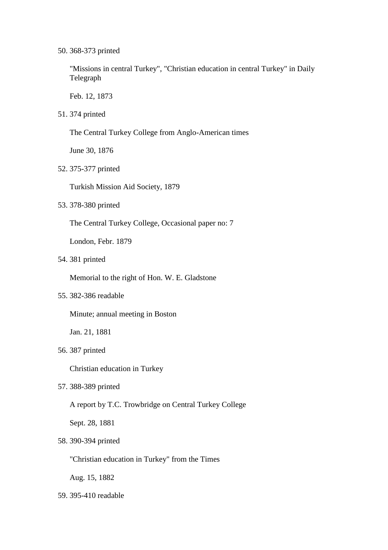50. 368-373 printed

"Missions in central Turkey", "Christian education in central Turkey" in Daily Telegraph

Feb. 12, 1873

51. 374 printed

The Central Turkey College from Anglo-American times

June 30, 1876

52. 375-377 printed

Turkish Mission Aid Society, 1879

53. 378-380 printed

The Central Turkey College, Occasional paper no: 7

London, Febr. 1879

54. 381 printed

Memorial to the right of Hon. W. E. Gladstone

55. 382-386 readable

Minute; annual meeting in Boston

Jan. 21, 1881

56. 387 printed

Christian education in Turkey

57. 388-389 printed

A report by T.C. Trowbridge on Central Turkey College

Sept. 28, 1881

58. 390-394 printed

"Christian education in Turkey" from the Times

Aug. 15, 1882

59. 395-410 readable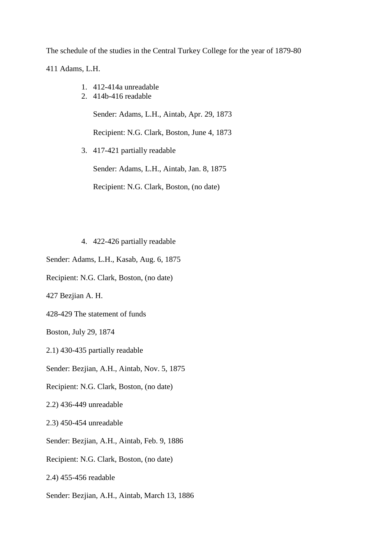The schedule of the studies in the Central Turkey College for the year of 1879-80

411 Adams, L.H.

- 1. 412-414a unreadable
- 2. 414b-416 readable

Sender: Adams, L.H., Aintab, Apr. 29, 1873

Recipient: N.G. Clark, Boston, June 4, 1873

3. 417-421 partially readable

Sender: Adams, L.H., Aintab, Jan. 8, 1875

Recipient: N.G. Clark, Boston, (no date)

4. 422-426 partially readable

Sender: Adams, L.H., Kasab, Aug. 6, 1875

Recipient: N.G. Clark, Boston, (no date)

427 Bezjian A. H.

428-429 The statement of funds

Boston, July 29, 1874

2.1) 430-435 partially readable

Sender: Bezjian, A.H., Aintab, Nov. 5, 1875

Recipient: N.G. Clark, Boston, (no date)

2.2) 436-449 unreadable

2.3) 450-454 unreadable

Sender: Bezjian, A.H., Aintab, Feb. 9, 1886

Recipient: N.G. Clark, Boston, (no date)

2.4) 455-456 readable

Sender: Bezjian, A.H., Aintab, March 13, 1886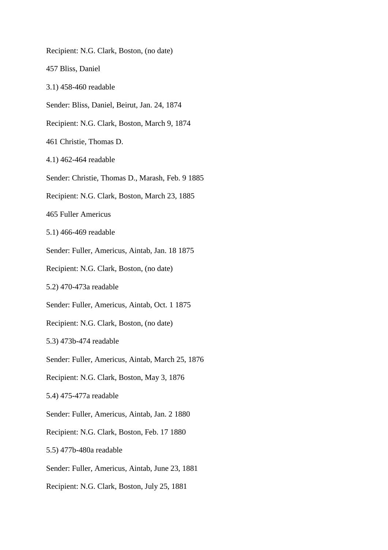Recipient: N.G. Clark, Boston, (no date) 457 Bliss, Daniel 3.1) 458-460 readable Sender: Bliss, Daniel, Beirut, Jan. 24, 1874 Recipient: N.G. Clark, Boston, March 9, 1874 461 Christie, Thomas D. 4.1) 462-464 readable Sender: Christie, Thomas D., Marash, Feb. 9 1885 Recipient: N.G. Clark, Boston, March 23, 1885 465 Fuller Americus 5.1) 466-469 readable Sender: Fuller, Americus, Aintab, Jan. 18 1875 Recipient: N.G. Clark, Boston, (no date) 5.2) 470-473a readable Sender: Fuller, Americus, Aintab, Oct. 1 1875 Recipient: N.G. Clark, Boston, (no date) 5.3) 473b-474 readable Sender: Fuller, Americus, Aintab, March 25, 1876 Recipient: N.G. Clark, Boston, May 3, 1876 5.4) 475-477a readable Sender: Fuller, Americus, Aintab, Jan. 2 1880 Recipient: N.G. Clark, Boston, Feb. 17 1880 5.5) 477b-480a readable Sender: Fuller, Americus, Aintab, June 23, 1881 Recipient: N.G. Clark, Boston, July 25, 1881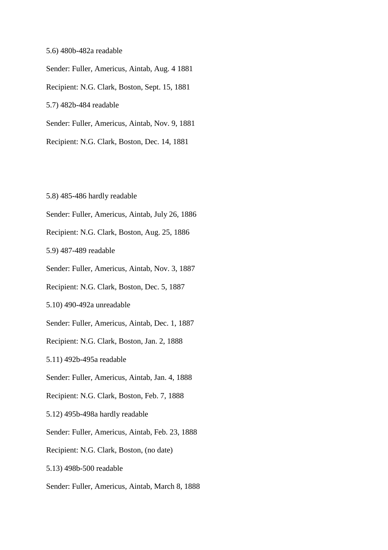#### 5.6) 480b-482a readable

Sender: Fuller, Americus, Aintab, Aug. 4 1881 Recipient: N.G. Clark, Boston, Sept. 15, 1881 5.7) 482b-484 readable Sender: Fuller, Americus, Aintab, Nov. 9, 1881 Recipient: N.G. Clark, Boston, Dec. 14, 1881

5.8) 485-486 hardly readable

- Sender: Fuller, Americus, Aintab, July 26, 1886
- Recipient: N.G. Clark, Boston, Aug. 25, 1886

5.9) 487-489 readable

Sender: Fuller, Americus, Aintab, Nov. 3, 1887

Recipient: N.G. Clark, Boston, Dec. 5, 1887

5.10) 490-492a unreadable

Sender: Fuller, Americus, Aintab, Dec. 1, 1887

Recipient: N.G. Clark, Boston, Jan. 2, 1888

5.11) 492b-495a readable

Sender: Fuller, Americus, Aintab, Jan. 4, 1888

Recipient: N.G. Clark, Boston, Feb. 7, 1888

5.12) 495b-498a hardly readable

Sender: Fuller, Americus, Aintab, Feb. 23, 1888

Recipient: N.G. Clark, Boston, (no date)

5.13) 498b-500 readable

Sender: Fuller, Americus, Aintab, March 8, 1888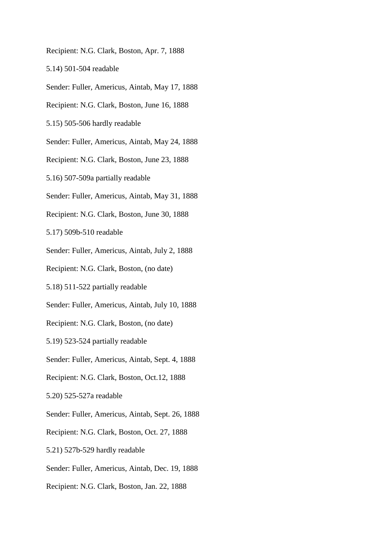- Recipient: N.G. Clark, Boston, Apr. 7, 1888
- 5.14) 501-504 readable
- Sender: Fuller, Americus, Aintab, May 17, 1888
- Recipient: N.G. Clark, Boston, June 16, 1888
- 5.15) 505-506 hardly readable
- Sender: Fuller, Americus, Aintab, May 24, 1888
- Recipient: N.G. Clark, Boston, June 23, 1888
- 5.16) 507-509a partially readable
- Sender: Fuller, Americus, Aintab, May 31, 1888
- Recipient: N.G. Clark, Boston, June 30, 1888
- 5.17) 509b-510 readable
- Sender: Fuller, Americus, Aintab, July 2, 1888
- Recipient: N.G. Clark, Boston, (no date)
- 5.18) 511-522 partially readable
- Sender: Fuller, Americus, Aintab, July 10, 1888
- Recipient: N.G. Clark, Boston, (no date)
- 5.19) 523-524 partially readable
- Sender: Fuller, Americus, Aintab, Sept. 4, 1888
- Recipient: N.G. Clark, Boston, Oct.12, 1888
- 5.20) 525-527a readable
- Sender: Fuller, Americus, Aintab, Sept. 26, 1888
- Recipient: N.G. Clark, Boston, Oct. 27, 1888
- 5.21) 527b-529 hardly readable
- Sender: Fuller, Americus, Aintab, Dec. 19, 1888
- Recipient: N.G. Clark, Boston, Jan. 22, 1888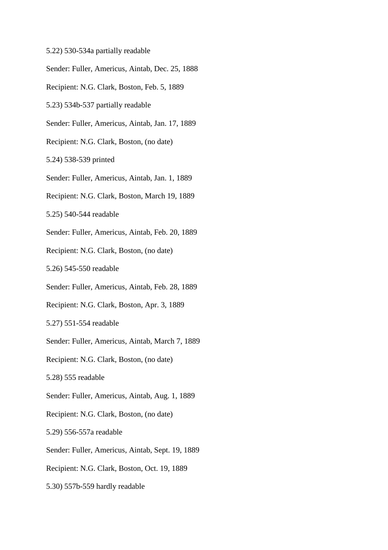- 5.22) 530-534a partially readable
- Sender: Fuller, Americus, Aintab, Dec. 25, 1888
- Recipient: N.G. Clark, Boston, Feb. 5, 1889
- 5.23) 534b-537 partially readable
- Sender: Fuller, Americus, Aintab, Jan. 17, 1889
- Recipient: N.G. Clark, Boston, (no date)
- 5.24) 538-539 printed
- Sender: Fuller, Americus, Aintab, Jan. 1, 1889
- Recipient: N.G. Clark, Boston, March 19, 1889
- 5.25) 540-544 readable
- Sender: Fuller, Americus, Aintab, Feb. 20, 1889
- Recipient: N.G. Clark, Boston, (no date)
- 5.26) 545-550 readable
- Sender: Fuller, Americus, Aintab, Feb. 28, 1889
- Recipient: N.G. Clark, Boston, Apr. 3, 1889
- 5.27) 551-554 readable
- Sender: Fuller, Americus, Aintab, March 7, 1889
- Recipient: N.G. Clark, Boston, (no date)
- 5.28) 555 readable
- Sender: Fuller, Americus, Aintab, Aug. 1, 1889
- Recipient: N.G. Clark, Boston, (no date)
- 5.29) 556-557a readable
- Sender: Fuller, Americus, Aintab, Sept. 19, 1889
- Recipient: N.G. Clark, Boston, Oct. 19, 1889
- 5.30) 557b-559 hardly readable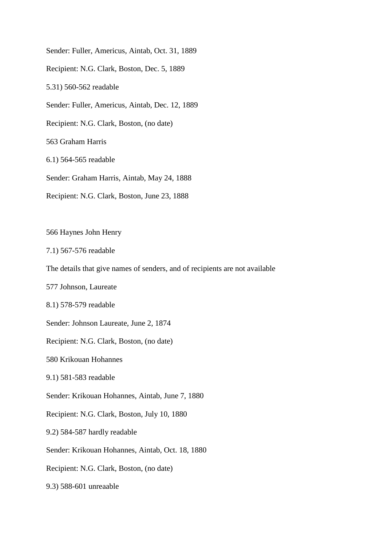Sender: Fuller, Americus, Aintab, Oct. 31, 1889 Recipient: N.G. Clark, Boston, Dec. 5, 1889 5.31) 560-562 readable Sender: Fuller, Americus, Aintab, Dec. 12, 1889 Recipient: N.G. Clark, Boston, (no date) 563 Graham Harris 6.1) 564-565 readable Sender: Graham Harris, Aintab, May 24, 1888 Recipient: N.G. Clark, Boston, June 23, 1888

566 Haynes John Henry

7.1) 567-576 readable

The details that give names of senders, and of recipients are not available

577 Johnson, Laureate

8.1) 578-579 readable

Sender: Johnson Laureate, June 2, 1874

Recipient: N.G. Clark, Boston, (no date)

580 Krikouan Hohannes

9.1) 581-583 readable

Sender: Krikouan Hohannes, Aintab, June 7, 1880

Recipient: N.G. Clark, Boston, July 10, 1880

9.2) 584-587 hardly readable

Sender: Krikouan Hohannes, Aintab, Oct. 18, 1880

Recipient: N.G. Clark, Boston, (no date)

9.3) 588-601 unreaable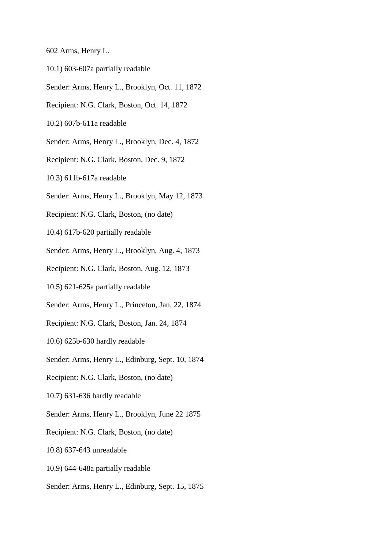- 602 Arms, Henry L.
- 10.1) 603-607a partially readable
- Sender: Arms, Henry L., Brooklyn, Oct. 11, 1872
- Recipient: N.G. Clark, Boston, Oct. 14, 1872
- 10.2) 607b-611a readable
- Sender: Arms, Henry L., Brooklyn, Dec. 4, 1872
- Recipient: N.G. Clark, Boston, Dec. 9, 1872
- 10.3) 611b-617a readable
- Sender: Arms, Henry L., Brooklyn, May 12, 1873
- Recipient: N.G. Clark, Boston, (no date)
- 10.4) 617b-620 partially readable
- Sender: Arms, Henry L., Brooklyn, Aug. 4, 1873
- Recipient: N.G. Clark, Boston, Aug. 12, 1873
- 10.5) 621-625a partially readable
- Sender: Arms, Henry L., Princeton, Jan. 22, 1874
- Recipient: N.G. Clark, Boston, Jan. 24, 1874
- 10.6) 625b-630 hardly readable
- Sender: Arms, Henry L., Edinburg, Sept. 10, 1874
- Recipient: N.G. Clark, Boston, (no date)
- 10.7) 631-636 hardly readable
- Sender: Arms, Henry L., Brooklyn, June 22 1875
- Recipient: N.G. Clark, Boston, (no date)
- 10.8) 637-643 unreadable
- 10.9) 644-648a partially readable
- Sender: Arms, Henry L., Edinburg, Sept. 15, 1875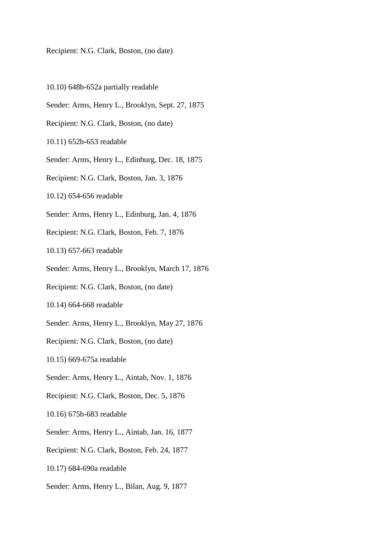Recipient: N.G. Clark, Boston, (no date)

- 10.10) 648b-652a partially readable
- Sender: Arms, Henry L., Brooklyn, Sept. 27, 1875
- Recipient: N.G. Clark, Boston, (no date)
- 10.11) 652b-653 readable
- Sender: Arms, Henry L., Edinburg, Dec. 18, 1875
- Recipient: N.G. Clark, Boston, Jan. 3, 1876
- 10.12) 654-656 readable
- Sender: Arms, Henry L., Edinburg, Jan. 4, 1876
- Recipient: N.G. Clark, Boston, Feb. 7, 1876
- 10.13) 657-663 readable
- Sender: Arms, Henry L., Brooklyn, March 17, 1876
- Recipient: N.G. Clark, Boston, (no date)
- 10.14) 664-668 readable
- Sender: Arms, Henry L., Brooklyn, May 27, 1876
- Recipient: N.G. Clark, Boston, (no date)
- 10.15) 669-675a readable
- Sender: Arms, Henry L., Aintab, Nov. 1, 1876
- Recipient: N.G. Clark, Boston, Dec. 5, 1876
- 10.16) 675b-683 readable
- Sender: Arms, Henry L., Aintab, Jan. 16, 1877
- Recipient: N.G. Clark, Boston, Feb. 24, 1877
- 10.17) 684-690a readable
- Sender: Arms, Henry L., Bilan, Aug. 9, 1877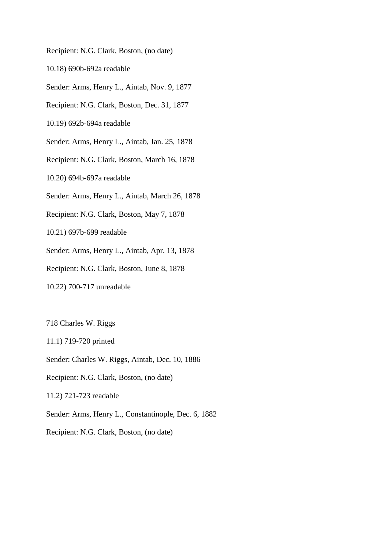Recipient: N.G. Clark, Boston, (no date)

10.18) 690b-692a readable

Sender: Arms, Henry L., Aintab, Nov. 9, 1877

Recipient: N.G. Clark, Boston, Dec. 31, 1877

10.19) 692b-694a readable

Sender: Arms, Henry L., Aintab, Jan. 25, 1878

Recipient: N.G. Clark, Boston, March 16, 1878

10.20) 694b-697a readable

Sender: Arms, Henry L., Aintab, March 26, 1878

Recipient: N.G. Clark, Boston, May 7, 1878

10.21) 697b-699 readable

Sender: Arms, Henry L., Aintab, Apr. 13, 1878

Recipient: N.G. Clark, Boston, June 8, 1878

10.22) 700-717 unreadable

718 Charles W. Riggs

11.1) 719-720 printed

Sender: Charles W. Riggs, Aintab, Dec. 10, 1886

Recipient: N.G. Clark, Boston, (no date)

11.2) 721-723 readable

Sender: Arms, Henry L., Constantinople, Dec. 6, 1882

Recipient: N.G. Clark, Boston, (no date)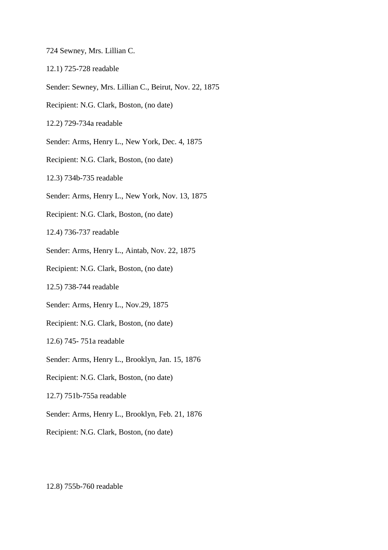- 724 Sewney, Mrs. Lillian C.
- 12.1) 725-728 readable
- Sender: Sewney, Mrs. Lillian C., Beirut, Nov. 22, 1875
- Recipient: N.G. Clark, Boston, (no date)
- 12.2) 729-734a readable
- Sender: Arms, Henry L., New York, Dec. 4, 1875
- Recipient: N.G. Clark, Boston, (no date)
- 12.3) 734b-735 readable
- Sender: Arms, Henry L., New York, Nov. 13, 1875
- Recipient: N.G. Clark, Boston, (no date)
- 12.4) 736-737 readable
- Sender: Arms, Henry L., Aintab, Nov. 22, 1875
- Recipient: N.G. Clark, Boston, (no date)
- 12.5) 738-744 readable
- Sender: Arms, Henry L., Nov.29, 1875
- Recipient: N.G. Clark, Boston, (no date)
- 12.6) 745- 751a readable
- Sender: Arms, Henry L., Brooklyn, Jan. 15, 1876
- Recipient: N.G. Clark, Boston, (no date)
- 12.7) 751b-755a readable
- Sender: Arms, Henry L., Brooklyn, Feb. 21, 1876
- Recipient: N.G. Clark, Boston, (no date)

12.8) 755b-760 readable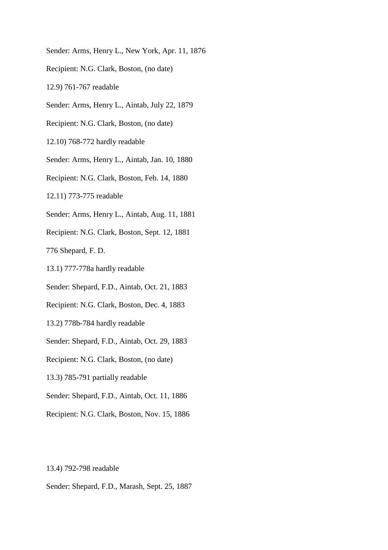- Sender: Arms, Henry L., New York, Apr. 11, 1876
- Recipient: N.G. Clark, Boston, (no date)
- 12.9) 761-767 readable
- Sender: Arms, Henry L., Aintab, July 22, 1879
- Recipient: N.G. Clark, Boston, (no date)
- 12.10) 768-772 hardly readable
- Sender: Arms, Henry L., Aintab, Jan. 10, 1880
- Recipient: N.G. Clark, Boston, Feb. 14, 1880
- 12.11) 773-775 readable
- Sender: Arms, Henry L., Aintab, Aug. 11, 1881
- Recipient: N.G. Clark, Boston, Sept. 12, 1881

776 Shepard, F. D.

- 13.1) 777-778a hardly readable
- Sender: Shepard, F.D., Aintab, Oct. 21, 1883
- Recipient: N.G. Clark, Boston, Dec. 4, 1883
- 13.2) 778b-784 hardly readable
- Sender: Shepard, F.D., Aintab, Oct. 29, 1883
- Recipient: N.G. Clark, Boston, (no date)
- 13.3) 785-791 partially readable
- Sender: Shepard, F.D., Aintab, Oct. 11, 1886
- Recipient: N.G. Clark, Boston, Nov. 15, 1886

13.4) 792-798 readable

Sender: Shepard, F.D., Marash, Sept. 25, 1887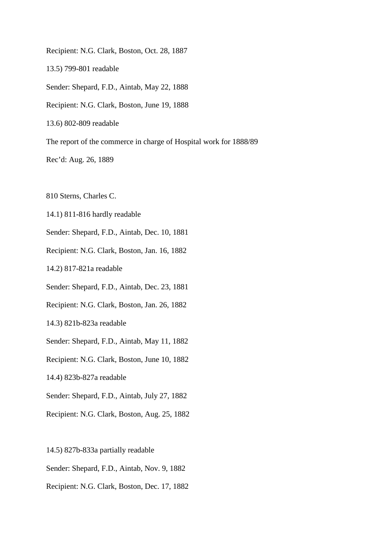Recipient: N.G. Clark, Boston, Oct. 28, 1887 13.5) 799-801 readable Sender: Shepard, F.D., Aintab, May 22, 1888 Recipient: N.G. Clark, Boston, June 19, 1888 13.6) 802-809 readable The report of the commerce in charge of Hospital work for 1888/89 Rec'd: Aug. 26, 1889

810 Sterns, Charles C.

14.1) 811-816 hardly readable

Sender: Shepard, F.D., Aintab, Dec. 10, 1881

Recipient: N.G. Clark, Boston, Jan. 16, 1882

14.2) 817-821a readable

Sender: Shepard, F.D., Aintab, Dec. 23, 1881

Recipient: N.G. Clark, Boston, Jan. 26, 1882

14.3) 821b-823a readable

Sender: Shepard, F.D., Aintab, May 11, 1882

Recipient: N.G. Clark, Boston, June 10, 1882

14.4) 823b-827a readable

Sender: Shepard, F.D., Aintab, July 27, 1882

Recipient: N.G. Clark, Boston, Aug. 25, 1882

14.5) 827b-833a partially readable

Sender: Shepard, F.D., Aintab, Nov. 9, 1882

Recipient: N.G. Clark, Boston, Dec. 17, 1882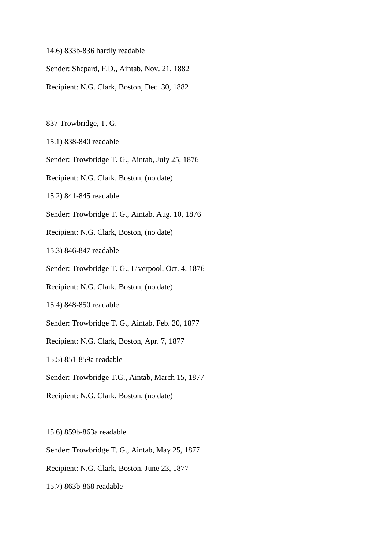- 14.6) 833b-836 hardly readable
- Sender: Shepard, F.D., Aintab, Nov. 21, 1882
- Recipient: N.G. Clark, Boston, Dec. 30, 1882

837 Trowbridge, T. G.

- 15.1) 838-840 readable
- Sender: Trowbridge T. G., Aintab, July 25, 1876
- Recipient: N.G. Clark, Boston, (no date)
- 15.2) 841-845 readable
- Sender: Trowbridge T. G., Aintab, Aug. 10, 1876
- Recipient: N.G. Clark, Boston, (no date)

15.3) 846-847 readable

- Sender: Trowbridge T. G., Liverpool, Oct. 4, 1876
- Recipient: N.G. Clark, Boston, (no date)

15.4) 848-850 readable

- Sender: Trowbridge T. G., Aintab, Feb. 20, 1877
- Recipient: N.G. Clark, Boston, Apr. 7, 1877

15.5) 851-859a readable

- Sender: Trowbridge T.G., Aintab, March 15, 1877
- Recipient: N.G. Clark, Boston, (no date)

15.6) 859b-863a readable

- Sender: Trowbridge T. G., Aintab, May 25, 1877
- Recipient: N.G. Clark, Boston, June 23, 1877
- 15.7) 863b-868 readable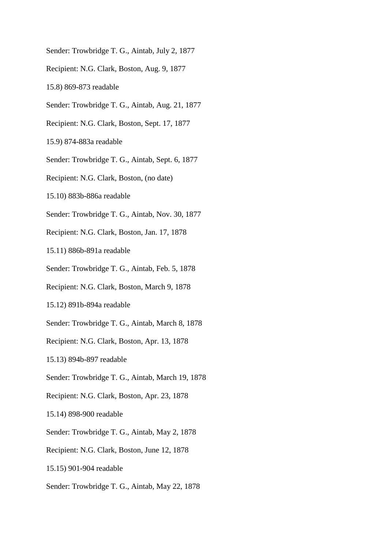- Sender: Trowbridge T. G., Aintab, July 2, 1877
- Recipient: N.G. Clark, Boston, Aug. 9, 1877
- 15.8) 869-873 readable
- Sender: Trowbridge T. G., Aintab, Aug. 21, 1877
- Recipient: N.G. Clark, Boston, Sept. 17, 1877
- 15.9) 874-883a readable
- Sender: Trowbridge T. G., Aintab, Sept. 6, 1877
- Recipient: N.G. Clark, Boston, (no date)
- 15.10) 883b-886a readable
- Sender: Trowbridge T. G., Aintab, Nov. 30, 1877
- Recipient: N.G. Clark, Boston, Jan. 17, 1878
- 15.11) 886b-891a readable
- Sender: Trowbridge T. G., Aintab, Feb. 5, 1878
- Recipient: N.G. Clark, Boston, March 9, 1878
- 15.12) 891b-894a readable
- Sender: Trowbridge T. G., Aintab, March 8, 1878
- Recipient: N.G. Clark, Boston, Apr. 13, 1878
- 15.13) 894b-897 readable
- Sender: Trowbridge T. G., Aintab, March 19, 1878
- Recipient: N.G. Clark, Boston, Apr. 23, 1878
- 15.14) 898-900 readable
- Sender: Trowbridge T. G., Aintab, May 2, 1878
- Recipient: N.G. Clark, Boston, June 12, 1878
- 15.15) 901-904 readable
- Sender: Trowbridge T. G., Aintab, May 22, 1878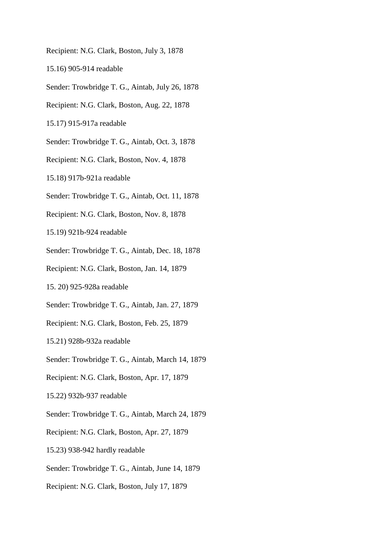- Recipient: N.G. Clark, Boston, July 3, 1878
- 15.16) 905-914 readable
- Sender: Trowbridge T. G., Aintab, July 26, 1878
- Recipient: N.G. Clark, Boston, Aug. 22, 1878
- 15.17) 915-917a readable
- Sender: Trowbridge T. G., Aintab, Oct. 3, 1878
- Recipient: N.G. Clark, Boston, Nov. 4, 1878
- 15.18) 917b-921a readable
- Sender: Trowbridge T. G., Aintab, Oct. 11, 1878
- Recipient: N.G. Clark, Boston, Nov. 8, 1878
- 15.19) 921b-924 readable
- Sender: Trowbridge T. G., Aintab, Dec. 18, 1878
- Recipient: N.G. Clark, Boston, Jan. 14, 1879
- 15. 20) 925-928a readable
- Sender: Trowbridge T. G., Aintab, Jan. 27, 1879
- Recipient: N.G. Clark, Boston, Feb. 25, 1879
- 15.21) 928b-932a readable
- Sender: Trowbridge T. G., Aintab, March 14, 1879
- Recipient: N.G. Clark, Boston, Apr. 17, 1879
- 15.22) 932b-937 readable
- Sender: Trowbridge T. G., Aintab, March 24, 1879
- Recipient: N.G. Clark, Boston, Apr. 27, 1879
- 15.23) 938-942 hardly readable
- Sender: Trowbridge T. G., Aintab, June 14, 1879
- Recipient: N.G. Clark, Boston, July 17, 1879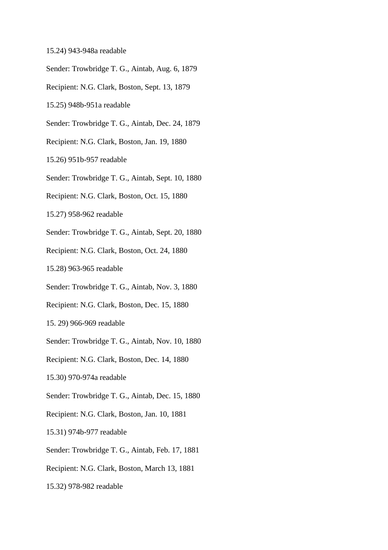- 15.24) 943-948a readable
- Sender: Trowbridge T. G., Aintab, Aug. 6, 1879
- Recipient: N.G. Clark, Boston, Sept. 13, 1879
- 15.25) 948b-951a readable
- Sender: Trowbridge T. G., Aintab, Dec. 24, 1879
- Recipient: N.G. Clark, Boston, Jan. 19, 1880
- 15.26) 951b-957 readable
- Sender: Trowbridge T. G., Aintab, Sept. 10, 1880
- Recipient: N.G. Clark, Boston, Oct. 15, 1880
- 15.27) 958-962 readable
- Sender: Trowbridge T. G., Aintab, Sept. 20, 1880
- Recipient: N.G. Clark, Boston, Oct. 24, 1880
- 15.28) 963-965 readable
- Sender: Trowbridge T. G., Aintab, Nov. 3, 1880
- Recipient: N.G. Clark, Boston, Dec. 15, 1880
- 15. 29) 966-969 readable
- Sender: Trowbridge T. G., Aintab, Nov. 10, 1880
- Recipient: N.G. Clark, Boston, Dec. 14, 1880
- 15.30) 970-974a readable
- Sender: Trowbridge T. G., Aintab, Dec. 15, 1880
- Recipient: N.G. Clark, Boston, Jan. 10, 1881
- 15.31) 974b-977 readable
- Sender: Trowbridge T. G., Aintab, Feb. 17, 1881
- Recipient: N.G. Clark, Boston, March 13, 1881
- 15.32) 978-982 readable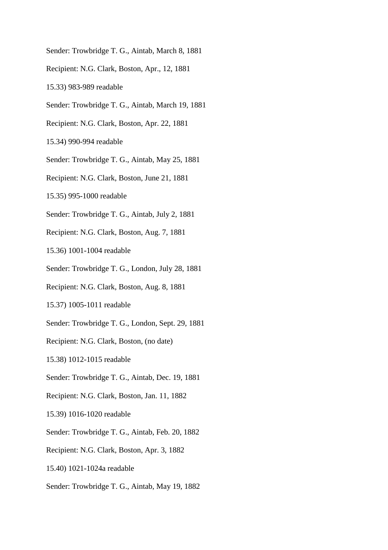- Sender: Trowbridge T. G., Aintab, March 8, 1881
- Recipient: N.G. Clark, Boston, Apr., 12, 1881
- 15.33) 983-989 readable
- Sender: Trowbridge T. G., Aintab, March 19, 1881
- Recipient: N.G. Clark, Boston, Apr. 22, 1881
- 15.34) 990-994 readable
- Sender: Trowbridge T. G., Aintab, May 25, 1881
- Recipient: N.G. Clark, Boston, June 21, 1881
- 15.35) 995-1000 readable
- Sender: Trowbridge T. G., Aintab, July 2, 1881
- Recipient: N.G. Clark, Boston, Aug. 7, 1881
- 15.36) 1001-1004 readable
- Sender: Trowbridge T. G., London, July 28, 1881
- Recipient: N.G. Clark, Boston, Aug. 8, 1881
- 15.37) 1005-1011 readable
- Sender: Trowbridge T. G., London, Sept. 29, 1881
- Recipient: N.G. Clark, Boston, (no date)
- 15.38) 1012-1015 readable
- Sender: Trowbridge T. G., Aintab, Dec. 19, 1881
- Recipient: N.G. Clark, Boston, Jan. 11, 1882
- 15.39) 1016-1020 readable
- Sender: Trowbridge T. G., Aintab, Feb. 20, 1882
- Recipient: N.G. Clark, Boston, Apr. 3, 1882
- 15.40) 1021-1024a readable
- Sender: Trowbridge T. G., Aintab, May 19, 1882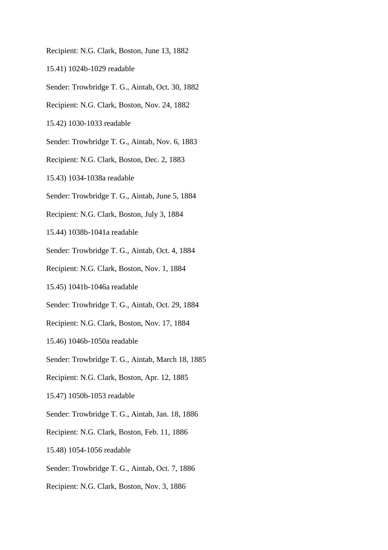- Recipient: N.G. Clark, Boston, June 13, 1882
- 15.41) 1024b-1029 readable
- Sender: Trowbridge T. G., Aintab, Oct. 30, 1882
- Recipient: N.G. Clark, Boston, Nov. 24, 1882
- 15.42) 1030-1033 readable
- Sender: Trowbridge T. G., Aintab, Nov. 6, 1883
- Recipient: N.G. Clark, Boston, Dec. 2, 1883
- 15.43) 1034-1038a readable
- Sender: Trowbridge T. G., Aintab, June 5, 1884
- Recipient: N.G. Clark, Boston, July 3, 1884
- 15.44) 1038b-1041a readable
- Sender: Trowbridge T. G., Aintab, Oct. 4, 1884
- Recipient: N.G. Clark, Boston, Nov. 1, 1884
- 15.45) 1041b-1046a readable
- Sender: Trowbridge T. G., Aintab, Oct. 29, 1884
- Recipient: N.G. Clark, Boston, Nov. 17, 1884
- 15.46) 1046b-1050a readable
- Sender: Trowbridge T. G., Aintab, March 18, 1885
- Recipient: N.G. Clark, Boston, Apr. 12, 1885
- 15.47) 1050b-1053 readable
- Sender: Trowbridge T. G., Aintab, Jan. 18, 1886
- Recipient: N.G. Clark, Boston, Feb. 11, 1886
- 15.48) 1054-1056 readable
- Sender: Trowbridge T. G., Aintab, Oct. 7, 1886
- Recipient: N.G. Clark, Boston, Nov. 3, 1886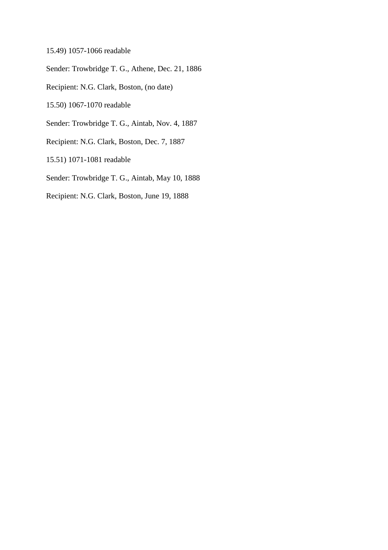15.49) 1057-1066 readable

Sender: Trowbridge T. G., Athene, Dec. 21, 1886

Recipient: N.G. Clark, Boston, (no date)

15.50) 1067-1070 readable

Sender: Trowbridge T. G., Aintab, Nov. 4, 1887

Recipient: N.G. Clark, Boston, Dec. 7, 1887

15.51) 1071-1081 readable

Sender: Trowbridge T. G., Aintab, May 10, 1888

Recipient: N.G. Clark, Boston, June 19, 1888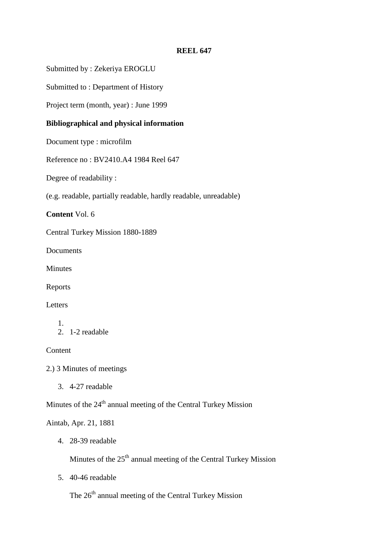# **REEL 647**

Submitted by : Zekeriya EROGLU

Submitted to : Department of History

Project term (month, year) : June 1999

# **Bibliographical and physical information**

Document type : microfilm

Reference no : BV2410.A4 1984 Reel 647

Degree of readability :

(e.g. readable, partially readable, hardly readable, unreadable)

**Content** Vol. 6

Central Turkey Mission 1880-1889

Documents

Minutes

Reports

Letters

### 1. 2. 1-2 readable

**Content** 

2.) 3 Minutes of meetings

3. 4-27 readable

Minutes of the 24<sup>th</sup> annual meeting of the Central Turkey Mission

# Aintab, Apr. 21, 1881

4. 28-39 readable

Minutes of the 25<sup>th</sup> annual meeting of the Central Turkey Mission

5. 40-46 readable

The 26<sup>th</sup> annual meeting of the Central Turkey Mission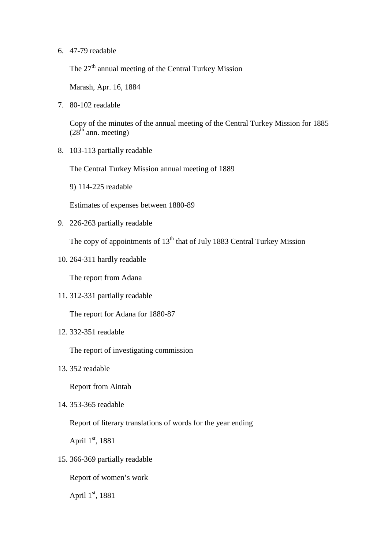6. 47-79 readable

The  $27<sup>th</sup>$  annual meeting of the Central Turkey Mission

Marash, Apr. 16, 1884

7. 80-102 readable

Copy of the minutes of the annual meeting of the Central Turkey Mission for 1885  $(28<sup>th</sup>$  ann. meeting)

8. 103-113 partially readable

The Central Turkey Mission annual meeting of 1889

9) 114-225 readable

Estimates of expenses between 1880-89

9. 226-263 partially readable

The copy of appointments of  $13<sup>th</sup>$  that of July 1883 Central Turkey Mission

10. 264-311 hardly readable

The report from Adana

11. 312-331 partially readable

The report for Adana for 1880-87

12. 332-351 readable

The report of investigating commission

13. 352 readable

Report from Aintab

14. 353-365 readable

Report of literary translations of words for the year ending

April 1<sup>st</sup>, 1881

15. 366-369 partially readable

Report of women's work

April 1<sup>st</sup>, 1881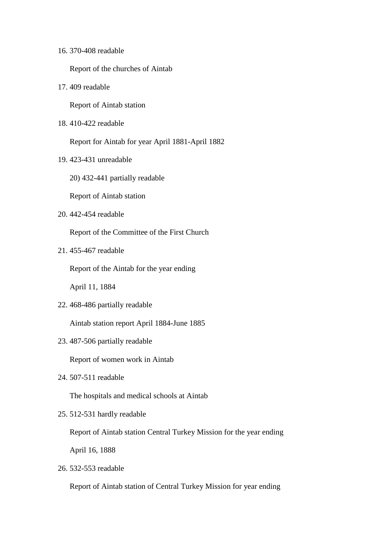|  |  | 16. 370-408 readable |
|--|--|----------------------|
|--|--|----------------------|

Report of the churches of Aintab

17. 409 readable

Report of Aintab station

18. 410-422 readable

Report for Aintab for year April 1881-April 1882

- 19. 423-431 unreadable
	- 20) 432-441 partially readable

Report of Aintab station

20. 442-454 readable

Report of the Committee of the First Church

21. 455-467 readable

Report of the Aintab for the year ending

April 11, 1884

22. 468-486 partially readable

Aintab station report April 1884-June 1885

23. 487-506 partially readable

Report of women work in Aintab

24. 507-511 readable

The hospitals and medical schools at Aintab

25. 512-531 hardly readable

Report of Aintab station Central Turkey Mission for the year ending

April 16, 1888

26. 532-553 readable

Report of Aintab station of Central Turkey Mission for year ending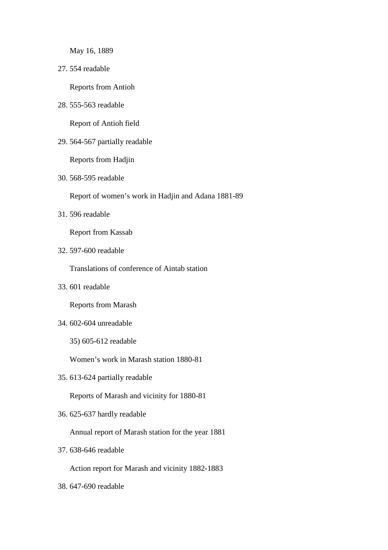May 16, 1889

27. 554 readable

Reports from Antioh

28. 555-563 readable

Report of Antioh field

29. 564-567 partially readable

Reports from Hadjin

30. 568-595 readable

Report of women's work in Hadjin and Adana 1881-89

31. 596 readable

Report from Kassab

32. 597-600 readable

Translations of conference of Aintab station

33. 601 readable

Reports from Marash

- 34. 602-604 unreadable
	- 35) 605-612 readable

Women's work in Marash station 1880-81

35. 613-624 partially readable

Reports of Marash and vicinity for 1880-81

36. 625-637 hardly readable

Annual report of Marash station for the year 1881

37. 638-646 readable

Action report for Marash and vicinity 1882-1883

38. 647-690 readable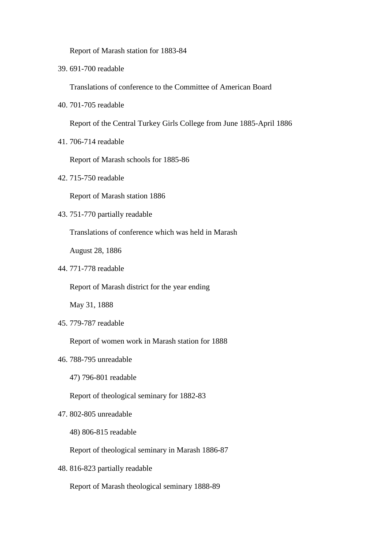Report of Marash station for 1883-84

39. 691-700 readable

Translations of conference to the Committee of American Board

40. 701-705 readable

Report of the Central Turkey Girls College from June 1885-April 1886

41. 706-714 readable

Report of Marash schools for 1885-86

42. 715-750 readable

Report of Marash station 1886

43. 751-770 partially readable

Translations of conference which was held in Marash

August 28, 1886

44. 771-778 readable

Report of Marash district for the year ending

May 31, 1888

45. 779-787 readable

Report of women work in Marash station for 1888

- 46. 788-795 unreadable
	- 47) 796-801 readable

Report of theological seminary for 1882-83

- 47. 802-805 unreadable
	- 48) 806-815 readable

Report of theological seminary in Marash 1886-87

48. 816-823 partially readable

Report of Marash theological seminary 1888-89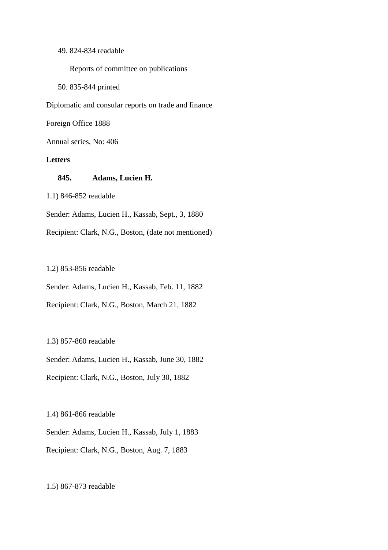## 49. 824-834 readable

Reports of committee on publications

50. 835-844 printed

Diplomatic and consular reports on trade and finance

Foreign Office 1888

Annual series, No: 406

## **Letters**

## **845. Adams, Lucien H.**

1.1) 846-852 readable

Sender: Adams, Lucien H., Kassab, Sept., 3, 1880

Recipient: Clark, N.G., Boston, (date not mentioned)

## 1.2) 853-856 readable

Sender: Adams, Lucien H., Kassab, Feb. 11, 1882

Recipient: Clark, N.G., Boston, March 21, 1882

## 1.3) 857-860 readable

Sender: Adams, Lucien H., Kassab, June 30, 1882

Recipient: Clark, N.G., Boston, July 30, 1882

1.4) 861-866 readable

Sender: Adams, Lucien H., Kassab, July 1, 1883

Recipient: Clark, N.G., Boston, Aug. 7, 1883

## 1.5) 867-873 readable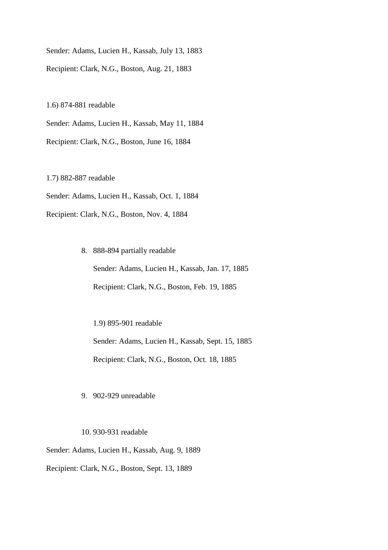Sender: Adams, Lucien H., Kassab, July 13, 1883 Recipient: Clark, N.G., Boston, Aug. 21, 1883

1.6) 874-881 readable

Sender: Adams, Lucien H., Kassab, May 11, 1884

Recipient: Clark, N.G., Boston, June 16, 1884

1.7) 882-887 readable

Sender: Adams, Lucien H., Kassab, Oct. 1, 1884

Recipient: Clark, N.G., Boston, Nov. 4, 1884

8. 888-894 partially readable Sender: Adams, Lucien H., Kassab, Jan. 17, 1885 Recipient: Clark, N.G., Boston, Feb. 19, 1885

1.9) 895-901 readable Sender: Adams, Lucien H., Kassab, Sept. 15, 1885 Recipient: Clark, N.G., Boston, Oct. 18, 1885

9. 902-929 unreadable

10. 930-931 readable

Sender: Adams, Lucien H., Kassab, Aug. 9, 1889

Recipient: Clark, N.G., Boston, Sept. 13, 1889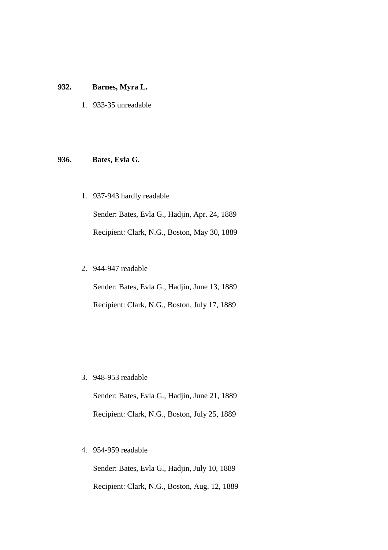## **932. Barnes, Myra L.**

1. 933-35 unreadable

## **936. Bates, Evla G.**

1. 937-943 hardly readable

Sender: Bates, Evla G., Hadjin, Apr. 24, 1889 Recipient: Clark, N.G., Boston, May 30, 1889

2. 944-947 readable

Sender: Bates, Evla G., Hadjin, June 13, 1889 Recipient: Clark, N.G., Boston, July 17, 1889

3. 948-953 readable

Sender: Bates, Evla G., Hadjin, June 21, 1889 Recipient: Clark, N.G., Boston, July 25, 1889

4. 954-959 readable

Sender: Bates, Evla G., Hadjin, July 10, 1889 Recipient: Clark, N.G., Boston, Aug. 12, 1889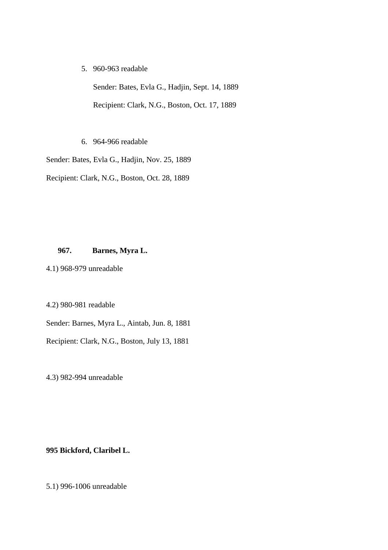5. 960-963 readable

Sender: Bates, Evla G., Hadjin, Sept. 14, 1889 Recipient: Clark, N.G., Boston, Oct. 17, 1889

6. 964-966 readable

Sender: Bates, Evla G., Hadjin, Nov. 25, 1889

Recipient: Clark, N.G., Boston, Oct. 28, 1889

## **967. Barnes, Myra L.**

4.1) 968-979 unreadable

4.2) 980-981 readable

Sender: Barnes, Myra L., Aintab, Jun. 8, 1881

Recipient: Clark, N.G., Boston, July 13, 1881

4.3) 982-994 unreadable

## **995 Bickford, Claribel L.**

5.1) 996-1006 unreadable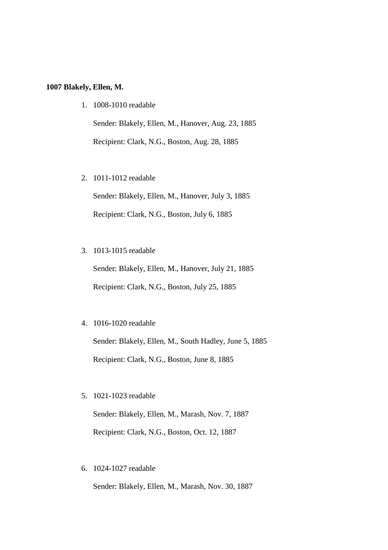## **1007 Blakely, Ellen, M.**

1. 1008-1010 readable

Sender: Blakely, Ellen, M., Hanover, Aug. 23, 1885 Recipient: Clark, N.G., Boston, Aug. 28, 1885

2. 1011-1012 readable

Sender: Blakely, Ellen, M., Hanover, July 3, 1885 Recipient: Clark, N.G., Boston, July 6, 1885

3. 1013-1015 readable

Sender: Blakely, Ellen, M., Hanover, July 21, 1885 Recipient: Clark, N.G., Boston, July 25, 1885

4. 1016-1020 readable

Sender: Blakely, Ellen, M., South Hadley, June 5, 1885 Recipient: Clark, N.G., Boston, June 8, 1885

5. 1021-1023 readable

Sender: Blakely, Ellen, M., Marash, Nov. 7, 1887 Recipient: Clark, N.G., Boston, Oct. 12, 1887

6. 1024-1027 readable

Sender: Blakely, Ellen, M., Marash, Nov. 30, 1887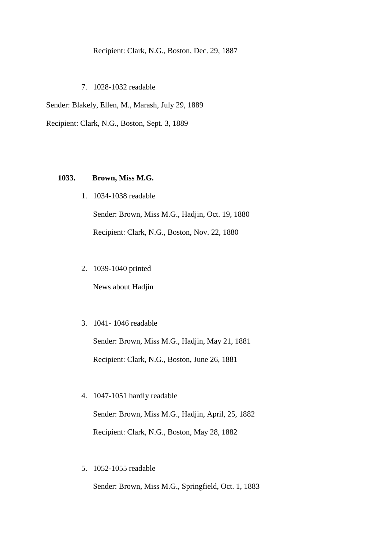# Recipient: Clark, N.G., Boston, Dec. 29, 1887

7. 1028-1032 readable

Sender: Blakely, Ellen, M., Marash, July 29, 1889

Recipient: Clark, N.G., Boston, Sept. 3, 1889

## **1033. Brown, Miss M.G.**

1. 1034-1038 readable

Sender: Brown, Miss M.G., Hadjin, Oct. 19, 1880 Recipient: Clark, N.G., Boston, Nov. 22, 1880

2. 1039-1040 printed

News about Hadjin

3. 1041- 1046 readable

Sender: Brown, Miss M.G., Hadjin, May 21, 1881 Recipient: Clark, N.G., Boston, June 26, 1881

- 4. 1047-1051 hardly readable Sender: Brown, Miss M.G., Hadjin, April, 25, 1882 Recipient: Clark, N.G., Boston, May 28, 1882
- 5. 1052-1055 readable

Sender: Brown, Miss M.G., Springfield, Oct. 1, 1883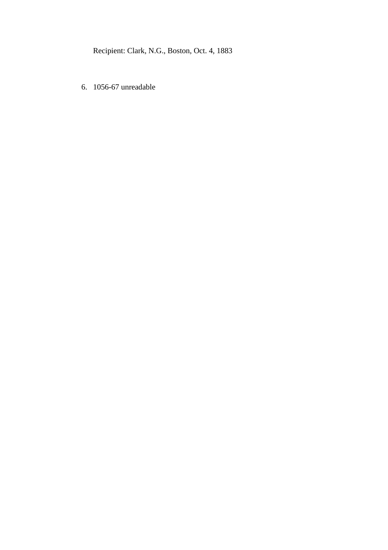Recipient: Clark, N.G., Boston, Oct. 4, 1883

6. 1056-67 unreadable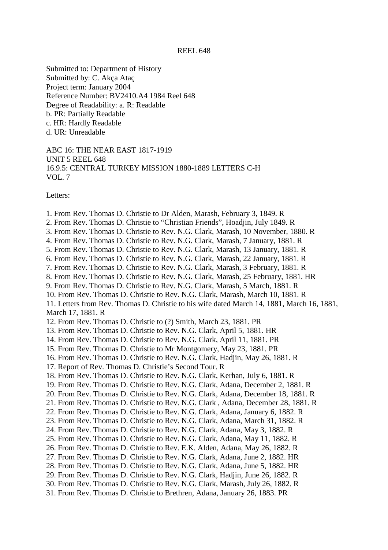#### REEL 648

Submitted to: Department of History Submitted by: C. Akça Ataç Project term: January 2004 Reference Number: BV2410.A4 1984 Reel 648 Degree of Readability: a. R: Readable b. PR: Partially Readable c. HR: Hardly Readable d. UR: Unreadable

ABC 16: THE NEAR EAST 1817-1919 UNIT 5 REEL 648 16.9.5: CENTRAL TURKEY MISSION 1880-1889 LETTERS C-H VOL. 7

Letters:

1. From Rev. Thomas D. Christie to Dr Alden, Marash, February 3, 1849. R 2. From Rev. Thomas D. Christie to "Christian Friends", Hoadjin, July 1849. R 3. From Rev. Thomas D. Christie to Rev. N.G. Clark, Marash, 10 November, 1880. R 4. From Rev. Thomas D. Christie to Rev. N.G. Clark, Marash, 7 January, 1881. R 5. From Rev. Thomas D. Christie to Rev. N.G. Clark, Marash, 13 January, 1881. R 6. From Rev. Thomas D. Christie to Rev. N.G. Clark, Marash, 22 January, 1881. R 7. From Rev. Thomas D. Christie to Rev. N.G. Clark, Marash, 3 February, 1881. R 8. From Rev. Thomas D. Christie to Rev. N.G. Clark, Marash, 25 February, 1881. HR 9. From Rev. Thomas D. Christie to Rev. N.G. Clark, Marash, 5 March, 1881. R 10. From Rev. Thomas D. Christie to Rev. N.G. Clark, Marash, March 10, 1881. R 11. Letters from Rev. Thomas D. Christie to his wife dated March 14, 1881, March 16, 1881, March 17, 1881. R 12. From Rev. Thomas D. Christie to (?) Smith, March 23, 1881. PR 13. From Rev. Thomas D. Christie to Rev. N.G. Clark, April 5, 1881. HR 14. From Rev. Thomas D. Christie to Rev. N.G. Clark, April 11, 1881. PR 15. From Rev. Thomas D. Christie to Mr Montgomery, May 23, 1881. PR 16. From Rev. Thomas D. Christie to Rev. N.G. Clark, Hadjin, May 26, 1881. R 17. Report of Rev. Thomas D. Christie's Second Tour. R 18. From Rev. Thomas D. Christie to Rev. N.G. Clark, Kerhan, July 6, 1881. R 19. From Rev. Thomas D. Christie to Rev. N.G. Clark, Adana, December 2, 1881. R 20. From Rev. Thomas D. Christie to Rev. N.G. Clark, Adana, December 18, 1881. R 21. From Rev. Thomas D. Christie to Rev. N.G. Clark , Adana, December 28, 1881. R 22. From Rev. Thomas D. Christie to Rev. N.G. Clark, Adana, January 6, 1882. R 23. From Rev. Thomas D. Christie to Rev. N.G. Clark, Adana, March 31, 1882. R 24. From Rev. Thomas D. Christie to Rev. N.G. Clark, Adana, May 3, 1882. R 25. From Rev. Thomas D. Christie to Rev. N.G. Clark, Adana, May 11, 1882. R 26. From Rev. Thomas D. Christie to Rev. E.K. Alden, Adana, May 26, 1882. R 27. From Rev. Thomas D. Christie to Rev. N.G. Clark, Adana, June 2, 1882. HR 28. From Rev. Thomas D. Christie to Rev. N.G. Clark, Adana, June 5, 1882. HR 29. From Rev. Thomas D. Christie to Rev. N.G. Clark, Hadjin, June 26, 1882. R 30. From Rev. Thomas D. Christie to Rev. N.G. Clark, Marash, July 26, 1882. R 31. From Rev. Thomas D. Christie to Brethren, Adana, January 26, 1883. PR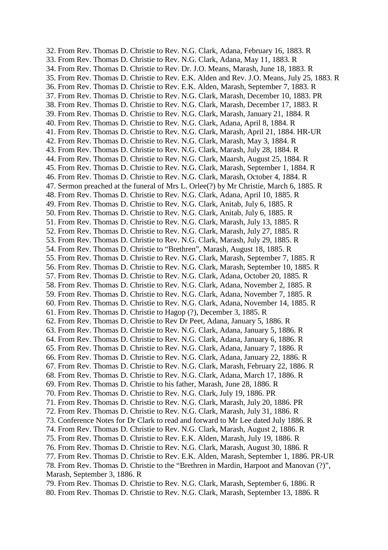32. From Rev. Thomas D. Christie to Rev. N.G. Clark, Adana, February 16, 1883. R 33. From Rev. Thomas D. Christie to Rev. N.G. Clark, Adana, May 11, 1883. R 34. From Rev. Thomas D. Christie to Rev. Dr. J.O. Means, Marash, June 18, 1883. R 35. From Rev. Thomas D. Christie to Rev. E.K. Alden and Rev. J.O. Means, July 25, 1883. R 36. From Rev. Thomas D. Christie to Rev. E.K. Alden, Marash, September 7, 1883. R 37. From Rev. Thomas D. Christie to Rev. N.G. Clark, Marash, December 10, 1883. PR 38. From Rev. Thomas D. Christie to Rev. N.G. Clark, Marash, December 17, 1883. R 39. From Rev. Thomas D. Christie to Rev. N.G. Clark, Marash, January 21, 1884. R 40. From Rev. Thomas D. Christie to Rev. N.G. Clark, Adana, April 8, 1884. R 41. From Rev. Thomas D. Christie to Rev. N.G. Clark, Marash, April 21, 1884. HR-UR 42. From Rev. Thomas D. Christie to Rev. N.G. Clark, Marash, May 3, 1884. R 43. From Rev. Thomas D. Christie to Rev. N.G. Clark, Marash, July 28, 1884. R 44. From Rev. Thomas D. Christie to Rev. N.G. Clark, Maarsh, August 25, 1884. R 45. From Rev. Thomas D. Christie to Rev. N.G. Clark, Marash, September 1, 1884. R 46. From Rev. Thomas D. Christie to Rev. N.G. Clark, Marash, October 4, 1884. R 47. Sermon preached at the funeral of Mrs L. Orlee(?) by Mr Christie, March 6, 1885. R 48. From Rev. Thomas D. Christie to Rev. N.G. Clark, Adana, April 10, 1885. R 49. From Rev. Thomas D. Christie to Rev. N.G. Clark, Anitab, July 6, 1885. R 50. From Rev. Thomas D. Christie to Rev. N.G. Clark, Anitab, July 6, 1885. R 51. From Rev. Thomas D. Christie to Rev. N.G. Clark, Marash, July 13, 1885. R 52. From Rev. Thomas D. Christie to Rev. N.G. Clark, Marash, July 27, 1885. R 53. From Rev. Thomas D. Christie to Rev. N.G. Clark, Marash, July 29, 1885. R 54. From Rev. Thomas D. Christie to "Brethren", Marash, August 18, 1885. R 55. From Rev. Thomas D. Christie to Rev. N.G. Clark, Marash, September 7, 1885. R 56. From Rev. Thomas D. Christie to Rev. N.G. Clark, Marash, September 10, 1885. R 57. From Rev. Thomas D. Christie to Rev. N.G. Clark, Adana, October 20, 1885. R 58. From Rev. Thomas D. Christie to Rev. N.G. Clark, Adana, November 2, 1885. R 59. From Rev. Thomas D. Christie to Rev. N.G. Clark, Adana, November 7, 1885. R 60. From Rev. Thomas D. Christie to Rev. N.G. Clark, Adana, November 14, 1885. R 61. From Rev. Thomas D. Christie to Hagop (?), December 3, 1885. R 62. From Rev. Thomas D. Christie to Rev Dr Peet, Adana, January 5, 1886. R 63. From Rev. Thomas D. Christie to Rev. N.G. Clark, Adana, January 5, 1886. R 64. From Rev. Thomas D. Christie to Rev. N.G. Clark, Adana, January 6, 1886. R 65. From Rev. Thomas D. Christie to Rev. N.G. Clark, Adana, January 7, 1886. R 66. From Rev. Thomas D. Christie to Rev. N.G. Clark, Adana, January 22, 1886. R 67. From Rev. Thomas D. Christie to Rev. N.G. Clark, Marash, February 22, 1886. R 68. From Rev. Thomas D. Christie to Rev. N.G. Clark, Adana, March 17, 1886. R 69. From Rev. Thomas D. Christie to his father, Marash, June 28, 1886. R 70. From Rev. Thomas D. Christie to Rev. N.G. Clark, July 19, 1886. PR 71. From Rev. Thomas D. Christie to Rev. N.G. Clark, Marash, July 20, 1886. PR 72. From Rev. Thomas D. Christie to Rev. N.G. Clark, Marash, July 31, 1886. R 73. Conference Notes for Dr Clark to read and forward to Mr Lee dated July 1886. R 74. From Rev. Thomas D. Christie to Rev. N.G. Clark, Marash, August 2, 1886. R 75. From Rev. Thomas D. Christie to Rev. E.K. Alden, Marash, July 19, 1886. R 76. From Rev. Thomas D. Christie to Rev. N.G. Clark, Marash, August 30, 1886. R 77. From Rev. Thomas D. Christie to Rev. E.K. Alden, Marash, September 1, 1886. PR-UR 78. From Rev. Thomas D. Christie to the "Brethren in Mardin, Harpoot and Manovan (?)", Marash, September 3, 1886. R 79. From Rev. Thomas D. Christie to Rev. N.G. Clark, Marash, September 6, 1886. R

80. From Rev. Thomas D. Christie to Rev. N.G. Clark, Marash, September 13, 1886. R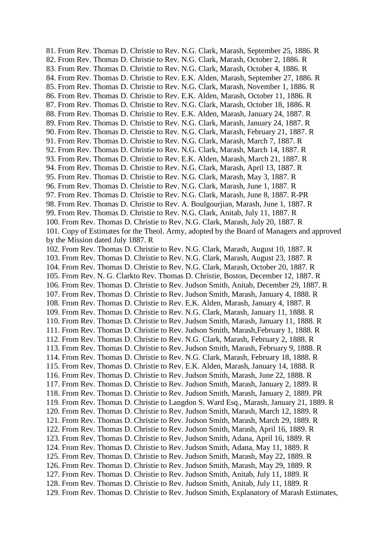81. From Rev. Thomas D. Christie to Rev. N.G. Clark, Marash, September 25, 1886. R 82. From Rev. Thomas D. Christie to Rev. N.G. Clark, Marash, October 2, 1886. R 83. From Rev. Thomas D. Christie to Rev. N.G. Clark, Marash, October 4, 1886. R 84. From Rev. Thomas D. Christie to Rev. E.K. Alden, Marash, September 27, 1886. R 85. From Rev. Thomas D. Christie to Rev. N.G. Clark, Marash, November 1, 1886. R 86. From Rev. Thomas D. Christie to Rev. E.K. Alden, Marash, October 11, 1886. R 87. From Rev. Thomas D. Christie to Rev. N.G. Clark, Marash, October 18, 1886. R 88. From Rev. Thomas D. Christie to Rev. E.K. Alden, Marash, January 24, 1887. R 89. From Rev. Thomas D. Christie to Rev. N.G. Clark, Marash, January 24, 1887. R 90. From Rev. Thomas D. Christie to Rev. N.G. Clark, Marash, February 21, 1887. R 91. From Rev. Thomas D. Christie to Rev. N.G. Clark, Marash, March 7, 1887. R 92. From Rev. Thomas D. Christie to Rev. N.G. Clark, Marash, March 14, 1887. R 93. From Rev. Thomas D. Christie to Rev. E.K. Alden, Marash, March 21, 1887. R 94. From Rev. Thomas D. Christie to Rev. N.G. Clark, Marash, April 13, 1887. R 95. From Rev. Thomas D. Christie to Rev. N.G. Clark, Marash, May 3, 1887. R 96. From Rev. Thomas D. Christie to Rev. N.G. Clark, Marash, June 1, 1887. R 97. From Rev. Thomas D. Christie to Rev. N.G. Clark, Marash, June 8, 1887. R-PR 98. From Rev. Thomas D. Christie to Rev. A. Boulgourjian, Marash, June 1, 1887. R 99. From Rev. Thomas D. Christie to Rev. N.G. Clark, Anitab, July 11, 1887. R 100. From Rev. Thomas D. Christie to Rev. N.G. Clark, Marash, July 20, 1887. R 101. Copy of Estimates for the Theol. Army, adopted by the Board of Managers and approved by the Mission dated July 1887. R 102. From Rev. Thomas D. Christie to Rev. N.G. Clark, Marash, August 10, 1887. R 103. From Rev. Thomas D. Christie to Rev. N.G. Clark, Marash, August 23, 1887. R 104. From Rev. Thomas D. Christie to Rev. N.G. Clark, Marash, October 20, 1887. R 105. From Rev. N. G. Clarkto Rev. Thomas D. Christie, Boston, December 12, 1887. R 106. From Rev. Thomas D. Christie to Rev. Judson Smith, Anitab, December 29, 1887. R 107. From Rev. Thomas D. Christie to Rev. Judson Smith, Marash, January 4, 1888. R 108. From Rev. Thomas D. Christie to Rev. E.K. Alden, Marash, January 4, 1887. R 109. From Rev. Thomas D. Christie to Rev. N.G. Clark, Marash, January 11, 1888. R 110. From Rev. Thomas D. Christie to Rev. Judson Smith, Marash, January 11, 1888. R 111. From Rev. Thomas D. Christie to Rev. Judson Smith, Marash,February 1, 1888. R 112. From Rev. Thomas D. Christie to Rev. N.G. Clark, Marash, February 2, 1888. R 113. From Rev. Thomas D. Christie to Rev. Judson Smith, Marash, February 9, 1888. R 114. From Rev. Thomas D. Christie to Rev. N.G. Clark, Marash, February 18, 1888. R 115. From Rev. Thomas D. Christie to Rev. E.K. Alden, Marash, January 14, 1888. R 116. From Rev. Thomas D. Christie to Rev. Judson Smith, Marash, June 22, 1888. R 117. From Rev. Thomas D. Christie to Rev. Judson Smith, Marash, January 2, 1889. R 118. From Rev. Thomas D. Christie to Rev. Judson Smith, Marash, January 2, 1889. PR 119. From Rev. Thomas D. Christie to Langdon S. Ward Esq., Marash, January 21, 1889. R 120. From Rev. Thomas D. Christie to Rev. Judson Smith, Marash, March 12, 1889. R 121. From Rev. Thomas D. Christie to Rev. Judson Smith, Marash, March 29, 1889. R 122. From Rev. Thomas D. Christie to Rev. Judson Smith, Marash, April 16, 1889. R 123. From Rev. Thomas D. Christie to Rev. Judson Smith, Adana, April 16, 1889. R 124. From Rev. Thomas D. Christie to Rev. Judson Smith, Adana, May 11, 1889. R 125. From Rev. Thomas D. Christie to Rev. Judson Smith, Marash, May 22, 1889. R 126. From Rev. Thomas D. Christie to Rev. Judson Smith, Marash, May 29, 1889. R 127. From Rev. Thomas D. Christie to Rev. Judson Smith, Anitab, July 11, 1889. R 128. From Rev. Thomas D. Christie to Rev. Judson Smith, Anitab, July 11, 1889. R 129. From Rev. Thomas D. Christie to Rev. Judson Smith, Explanatory of Marash Estimates,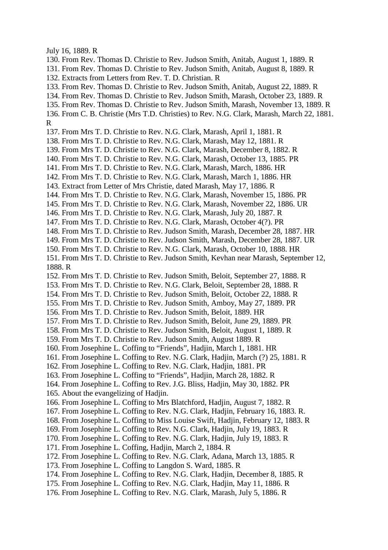July 16, 1889. R

130. From Rev. Thomas D. Christie to Rev. Judson Smith, Anitab, August 1, 1889. R

131. From Rev. Thomas D. Christie to Rev. Judson Smith, Anitab, August 8, 1889. R

- 132. Extracts from Letters from Rev. T. D. Christian. R
- 133. From Rev. Thomas D. Christie to Rev. Judson Smith, Anitab, August 22, 1889. R
- 134. From Rev. Thomas D. Christie to Rev. Judson Smith, Marash, October 23, 1889. R
- 135. From Rev. Thomas D. Christie to Rev. Judson Smith, Marash, November 13, 1889. R
- 136. From C. B. Christie (Mrs T.D. Christies) to Rev. N.G. Clark, Marash, March 22, 1881. R
- 137. From Mrs T. D. Christie to Rev. N.G. Clark, Marash, April 1, 1881. R
- 138. From Mrs T. D. Christie to Rev. N.G. Clark, Marash, May 12, 1881. R
- 139. From Mrs T. D. Christie to Rev. N.G. Clark, Marash, December 8, 1882. R
- 140. From Mrs T. D. Christie to Rev. N.G. Clark, Marash, October 13, 1885. PR
- 141. From Mrs T. D. Christie to Rev. N.G. Clark, Marash, March, 1886. HR
- 142. From Mrs T. D. Christie to Rev. N.G. Clark, Marash, March 1, 1886. HR
- 143. Extract from Letter of Mrs Christie, dated Marash, May 17, 1886. R
- 144. From Mrs T. D. Christie to Rev. N.G. Clark, Marash, November 15, 1886. PR
- 145. From Mrs T. D. Christie to Rev. N.G. Clark, Marash, November 22, 1886. UR
- 146. From Mrs T. D. Christie to Rev. N.G. Clark, Marash, July 20, 1887. R
- 147. From Mrs T. D. Christie to Rev. N.G. Clark, Marash, October 4(?). PR
- 148. From Mrs T. D. Christie to Rev. Judson Smith, Marash, December 28, 1887. HR
- 149. From Mrs T. D. Christie to Rev. Judson Smith, Marash, December 28, 1887. UR
- 150. From Mrs T. D. Christie to Rev. N.G. Clark, Marash, October 10, 1888. HR
- 151. From Mrs T. D. Christie to Rev. Judson Smith, Kevhan near Marash, September 12, 1888. R
- 152. From Mrs T. D. Christie to Rev. Judson Smith, Beloit, September 27, 1888. R
- 153. From Mrs T. D. Christie to Rev. N.G. Clark, Beloit, September 28, 1888. R
- 154. From Mrs T. D. Christie to Rev. Judson Smith, Beloit, October 22, 1888. R
- 155. From Mrs T. D. Christie to Rev. Judson Smith, Amboy, May 27, 1889. PR
- 156. From Mrs T. D. Christie to Rev. Judson Smith, Beloit, 1889. HR
- 157. From Mrs T. D. Christie to Rev. Judson Smith, Beloit, June 29, 1889. PR
- 158. From Mrs T. D. Christie to Rev. Judson Smith, Beloit, August 1, 1889. R
- 159. From Mrs T. D. Christie to Rev. Judson Smith, August 1889. R
- 160. From Josephine L. Coffing to "Friends", Hadjin, March 1, 1881. HR
- 161. From Josephine L. Coffing to Rev. N.G. Clark, Hadjin, March (?) 25, 1881. R
- 162. From Josephine L. Coffing to Rev. N.G. Clark, Hadjin, 1881. PR
- 163. From Josephine L. Coffing to "Friends", Hadjin, March 28, 1882. R
- 164. From Josephine L. Coffing to Rev. J.G. Bliss, Hadjin, May 30, 1882. PR
- 165. About the evangelizing of Hadjin.
- 166. From Josephine L. Coffing to Mrs Blatchford, Hadjin, August 7, 1882. R
- 167. From Josephine L. Coffing to Rev. N.G. Clark, Hadjin, February 16, 1883. R.
- 168. From Josephine L. Coffing to Miss Louise Swift, Hadjin, February 12, 1883. R
- 169. From Josephine L. Coffing to Rev. N.G. Clark, Hadjin, July 19, 1883. R
- 170. From Josephine L. Coffing to Rev. N.G. Clark, Hadjin, July 19, 1883. R
- 171. From Josephine L. Coffing, Hadjin, March 2, 1884. R
- 172. From Josephine L. Coffing to Rev. N.G. Clark, Adana, March 13, 1885. R
- 173. From Josephine L. Coffing to Langdon S. Ward, 1885. R
- 174. From Josephine L. Coffing to Rev. N.G. Clark, Hadjin, December 8, 1885. R
- 175. From Josephine L. Coffing to Rev. N.G. Clark, Hadjin, May 11, 1886. R
- 176. From Josephine L. Coffing to Rev. N.G. Clark, Marash, July 5, 1886. R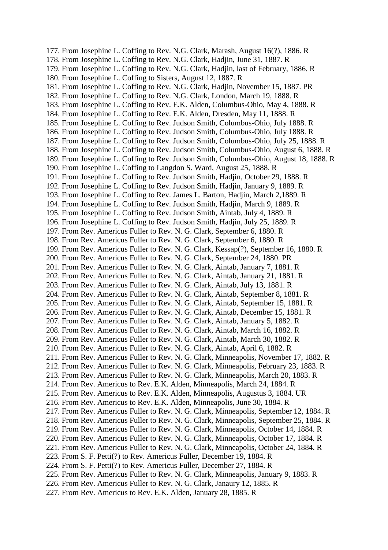177. From Josephine L. Coffing to Rev. N.G. Clark, Marash, August 16(?), 1886. R 178. From Josephine L. Coffing to Rev. N.G. Clark, Hadjin, June 31, 1887. R 179. From Josephine L. Coffing to Rev. N.G. Clark, Hadjin, last of February, 1886. R 180. From Josephine L. Coffing to Sisters, August 12, 1887. R 181. From Josephine L. Coffing to Rev. N.G. Clark, Hadjin, November 15, 1887. PR 182. From Josephine L. Coffing to Rev. N.G. Clark, London, March 19, 1888. R 183. From Josephine L. Coffing to Rev. E.K. Alden, Columbus-Ohio, May 4, 1888. R 184. From Josephine L. Coffing to Rev. E.K. Alden, Dresden, May 11, 1888. R 185. From Josephine L. Coffing to Rev. Judson Smith, Columbus-Ohio, July 1888. R 186. From Josephine L. Coffing to Rev. Judson Smith, Columbus-Ohio, July 1888. R 187. From Josephine L. Coffing to Rev. Judson Smith, Columbus-Ohio, July 25, 1888. R 188. From Josephine L. Coffing to Rev. Judson Smith, Columbus-Ohio, August 6, 1888. R 189. From Josephine L. Coffing to Rev. Judson Smith, Columbus-Ohio, August 18, 1888. R 190. From Josephine L. Coffing to Langdon S. Ward, August 25, 1888. R 191. From Josephine L. Coffing to Rev. Judson Smith, Hadjin, October 29, 1888. R 192. From Josephine L. Coffing to Rev. Judson Smith, Hadjin, January 9, 1889. R 193. From Josephine L. Coffing to Rev. James L. Barton, Hadjin, March 2,1889. R 194. From Josephine L. Coffing to Rev. Judson Smith, Hadjin, March 9, 1889. R 195. From Josephine L. Coffing to Rev. Judson Smith, Aintab, July 4, 1889. R 196. From Josephine L. Coffing to Rev. Judson Smith, Hadjin, July 25, 1889. R 197. From Rev. Americus Fuller to Rev. N. G. Clark, September 6, 1880. R 198. From Rev. Americus Fuller to Rev. N. G. Clark, September 6, 1880. R 199. From Rev. Americus Fuller to Rev. N. G. Clark, Kessap(?), September 16, 1880. R 200. From Rev. Americus Fuller to Rev. N. G. Clark, September 24, 1880. PR 201. From Rev. Americus Fuller to Rev. N. G. Clark, Aintab, January 7, 1881. R 202. From Rev. Americus Fuller to Rev. N. G. Clark, Aintab, January 21, 1881. R 203. From Rev. Americus Fuller to Rev. N. G. Clark, Aintab, July 13, 1881. R 204. From Rev. Americus Fuller to Rev. N. G. Clark, Aintab, September 8, 1881. R 205. From Rev. Americus Fuller to Rev. N. G. Clark, Aintab, September 15, 1881. R 206. From Rev. Americus Fuller to Rev. N. G. Clark, Aintab, December 15, 1881. R 207. From Rev. Americus Fuller to Rev. N. G. Clark, Aintab, January 5, 1882. R 208. From Rev. Americus Fuller to Rev. N. G. Clark, Aintab, March 16, 1882. R 209. From Rev. Americus Fuller to Rev. N. G. Clark, Aintab, March 30, 1882. R 210. From Rev. Americus Fuller to Rev. N. G. Clark, Aintab, April 6, 1882. R 211. From Rev. Americus Fuller to Rev. N. G. Clark, Minneapolis, November 17, 1882. R 212. From Rev. Americus Fuller to Rev. N. G. Clark, Minneapolis, February 23, 1883. R 213. From Rev. Americus Fuller to Rev. N. G. Clark, Minneapolis, March 20, 1883. R 214. From Rev. Americus to Rev. E.K. Alden, Minneapolis, March 24, 1884. R 215. From Rev. Americus to Rev. E.K. Alden, Minneapolis, Augustus 3, 1884. UR 216. From Rev. Americus to Rev. E.K. Alden, Minneapolis, June 30, 1884. R 217. From Rev. Americus Fuller to Rev. N. G. Clark, Minneapolis, September 12, 1884. R 218. From Rev. Americus Fuller to Rev. N. G. Clark, Minneapolis, September 25, 1884. R 219. From Rev. Americus Fuller to Rev. N. G. Clark, Minneapolis, October 14, 1884. R 220. From Rev. Americus Fuller to Rev. N. G. Clark, Minneapolis, October 17, 1884. R 221. From Rev. Americus Fuller to Rev. N. G. Clark, Minneapolis, October 24, 1884. R 223. From S. F. Petti(?) to Rev. Americus Fuller, December 19, 1884. R 224. From S. F. Petti(?) to Rev. Americus Fuller, December 27, 1884. R 225. From Rev. Americus Fuller to Rev. N. G. Clark, Minneapolis, January 9, 1883. R 226. From Rev. Americus Fuller to Rev. N. G. Clark, Janaury 12, 1885. R 227. From Rev. Americus to Rev. E.K. Alden, January 28, 1885. R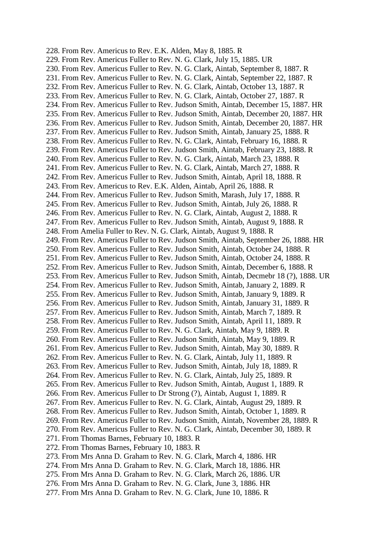228. From Rev. Americus to Rev. E.K. Alden, May 8, 1885. R 229. From Rev. Americus Fuller to Rev. N. G. Clark, July 15, 1885. UR 230. From Rev. Americus Fuller to Rev. N. G. Clark, Aintab, September 8, 1887. R 231. From Rev. Americus Fuller to Rev. N. G. Clark, Aintab, September 22, 1887. R 232. From Rev. Americus Fuller to Rev. N. G. Clark, Aintab, October 13, 1887. R 233. From Rev. Americus Fuller to Rev. N. G. Clark, Aintab, October 27, 1887. R 234. From Rev. Americus Fuller to Rev. Judson Smith, Aintab, December 15, 1887. HR 235. From Rev. Americus Fuller to Rev. Judson Smith, Aintab, December 20, 1887. HR 236. From Rev. Americus Fuller to Rev. Judson Smith, Aintab, December 20, 1887. HR 237. From Rev. Americus Fuller to Rev. Judson Smith, Aintab, January 25, 1888. R 238. From Rev. Americus Fuller to Rev. N. G. Clark, Aintab, February 16, 1888. R 239. From Rev. Americus Fuller to Rev. Judson Smith, Aintab, February 23, 1888. R 240. From Rev. Americus Fuller to Rev. N. G. Clark, Aintab, March 23, 1888. R 241. From Rev. Americus Fuller to Rev. N. G. Clark, Aintab, March 27, 1888. R 242. From Rev. Americus Fuller to Rev. Judson Smith, Aintab, April 18, 1888. R 243. From Rev. Americus to Rev. E.K. Alden, Aintab, April 26, 1888. R 244. From Rev. Americus Fuller to Rev. Judson Smith, Marash, July 17, 1888. R 245. From Rev. Americus Fuller to Rev. Judson Smith, Aintab, July 26, 1888. R 246. From Rev. Americus Fuller to Rev. N. G. Clark, Aintab, August 2, 1888. R 247. From Rev. Americus Fuller to Rev. Judson Smith, Aintab, August 9, 1888. R 248. From Amelia Fuller to Rev. N. G. Clark, Aintab, August 9, 1888. R 249. From Rev. Americus Fuller to Rev. Judson Smith, Aintab, September 26, 1888. HR 250. From Rev. Americus Fuller to Rev. Judson Smith, Aintab, October 24, 1888. R 251. From Rev. Americus Fuller to Rev. Judson Smith, Aintab, October 24, 1888. R 252. From Rev. Americus Fuller to Rev. Judson Smith, Aintab, December 6, 1888. R 253. From Rev. Americus Fuller to Rev. Judson Smith, Aintab, Decmebr 18 (?), 1888. UR 254. From Rev. Americus Fuller to Rev. Judson Smith, Aintab, January 2, 1889. R 255. From Rev. Americus Fuller to Rev. Judson Smith, Aintab, January 9, 1889. R 256. From Rev. Americus Fuller to Rev. Judson Smith, Aintab, January 31, 1889. R 257. From Rev. Americus Fuller to Rev. Judson Smith, Aintab, March 7, 1889. R 258. From Rev. Americus Fuller to Rev. Judson Smith, Aintab, April 11, 1889. R 259. From Rev. Americus Fuller to Rev. N. G. Clark, Aintab, May 9, 1889. R 260. From Rev. Americus Fuller to Rev. Judson Smith, Aintab, May 9, 1889. R 261. From Rev. Americus Fuller to Rev. Judson Smith, Aintab, May 30, 1889. R 262. From Rev. Americus Fuller to Rev. N. G. Clark, Aintab, July 11, 1889. R 263. From Rev. Americus Fuller to Rev. Judson Smith, Aintab, July 18, 1889. R 264. From Rev. Americus Fuller to Rev. N. G. Clark, Aintab, July 25, 1889. R 265. From Rev. Americus Fuller to Rev. Judson Smith, Aintab, August 1, 1889. R 266. From Rev. Americus Fuller to Dr Strong (?), Aintab, August 1, 1889. R 267. From Rev. Americus Fuller to Rev. N. G. Clark, Aintab, August 29, 1889. R 268. From Rev. Americus Fuller to Rev. Judson Smith, Aintab, October 1, 1889. R 269. From Rev. Americus Fuller to Rev. Judson Smith, Aintab, November 28, 1889. R 270. From Rev. Americus Fuller to Rev. N. G. Clark, Aintab, December 30, 1889. R 271. From Thomas Barnes, February 10, 1883. R 272. From Thomas Barnes, February 10, 1883. R 273. From Mrs Anna D. Graham to Rev. N. G. Clark, March 4, 1886. HR 274. From Mrs Anna D. Graham to Rev. N. G. Clark, March 18, 1886. HR 275. From Mrs Anna D. Graham to Rev. N. G. Clark, March 26, 1886. UR

- 276. From Mrs Anna D. Graham to Rev. N. G. Clark, June 3, 1886. HR
- 277. From Mrs Anna D. Graham to Rev. N. G. Clark, June 10, 1886. R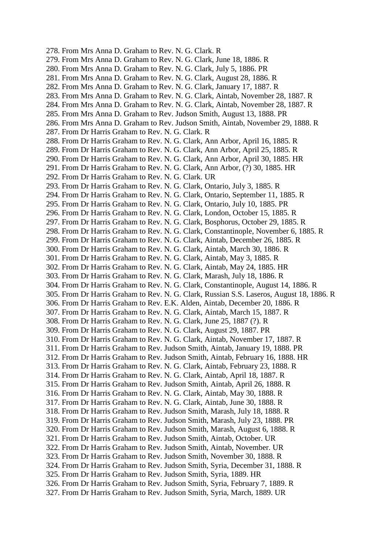278. From Mrs Anna D. Graham to Rev. N. G. Clark. R 279. From Mrs Anna D. Graham to Rev. N. G. Clark, June 18, 1886. R 280. From Mrs Anna D. Graham to Rev. N. G. Clark, July 5, 1886. PR 281. From Mrs Anna D. Graham to Rev. N. G. Clark, August 28, 1886. R 282. From Mrs Anna D. Graham to Rev. N. G. Clark, January 17, 1887. R 283. From Mrs Anna D. Graham to Rev. N. G. Clark, Aintab, November 28, 1887. R 284. From Mrs Anna D. Graham to Rev. N. G. Clark, Aintab, November 28, 1887. R 285. From Mrs Anna D. Graham to Rev. Judson Smith, August 13, 1888. PR 286. From Mrs Anna D. Graham to Rev. Judson Smith, Aintab, November 29, 1888. R 287. From Dr Harris Graham to Rev. N. G. Clark. R 288. From Dr Harris Graham to Rev. N. G. Clark, Ann Arbor, April 16, 1885. R 289. From Dr Harris Graham to Rev. N. G. Clark, Ann Arbor, April 25, 1885. R 290. From Dr Harris Graham to Rev. N. G. Clark, Ann Arbor, April 30, 1885. HR 291. From Dr Harris Graham to Rev. N. G. Clark, Ann Arbor, (?) 30, 1885. HR 292. From Dr Harris Graham to Rev. N. G. Clark. UR 293. From Dr Harris Graham to Rev. N. G. Clark, Ontario, July 3, 1885. R 294. From Dr Harris Graham to Rev. N. G. Clark, Ontario, September 11, 1885. R 295. From Dr Harris Graham to Rev. N. G. Clark, Ontario, July 10, 1885. PR 296. From Dr Harris Graham to Rev. N. G. Clark, London, October 15, 1885. R 297. From Dr Harris Graham to Rev. N. G. Clark, Bosphorus, October 29, 1885. R 298. From Dr Harris Graham to Rev. N. G. Clark, Constantinople, November 6, 1885. R 299. From Dr Harris Graham to Rev. N. G. Clark, Aintab, December 26, 1885. R 300. From Dr Harris Graham to Rev. N. G. Clark, Aintab, March 30, 1886. R 301. From Dr Harris Graham to Rev. N. G. Clark, Aintab, May 3, 1885. R 302. From Dr Harris Graham to Rev. N. G. Clark, Aintab, May 24, 1885. HR 303. From Dr Harris Graham to Rev. N. G. Clark, Marash, July 18, 1886. R 304. From Dr Harris Graham to Rev. N. G. Clark, Constantinople, August 14, 1886. R 305. From Dr Harris Graham to Rev. N. G. Clark, Russian S.S. Laseros, August 18, 1886. R 306. From Dr Harris Graham to Rev. E.K. Alden, Aintab, December 20, 1886. R 307. From Dr Harris Graham to Rev. N. G. Clark, Aintab, March 15, 1887. R 308. From Dr Harris Graham to Rev. N. G. Clark, June 25, 1887 (?). R 309. From Dr Harris Graham to Rev. N. G. Clark, August 29, 1887. PR 310. From Dr Harris Graham to Rev. N. G. Clark, Aintab, November 17, 1887. R 311. From Dr Harris Graham to Rev. Judson Smith, Aintab, January 19, 1888. PR 312. From Dr Harris Graham to Rev. Judson Smith, Aintab, February 16, 1888. HR 313. From Dr Harris Graham to Rev. N. G. Clark, Aintab, February 23, 1888. R 314. From Dr Harris Graham to Rev. N. G. Clark, Aintab, April 18, 1887. R 315. From Dr Harris Graham to Rev. Judson Smith, Aintab, April 26, 1888. R 316. From Dr Harris Graham to Rev. N. G. Clark, Aintab, May 30, 1888. R 317. From Dr Harris Graham to Rev. N. G. Clark, Aintab, June 30, 1888. R 318. From Dr Harris Graham to Rev. Judson Smith, Marash, July 18, 1888. R 319. From Dr Harris Graham to Rev. Judson Smith, Marash, July 23, 1888. PR 320. From Dr Harris Graham to Rev. Judson Smith, Marash, August 6, 1888. R 321. From Dr Harris Graham to Rev. Judson Smith, Aintab, October. UR 322. From Dr Harris Graham to Rev. Judson Smith, Aintab, November. UR 323. From Dr Harris Graham to Rev. Judson Smith, November 30, 1888. R 324. From Dr Harris Graham to Rev. Judson Smith, Syria, December 31, 1888. R 325. From Dr Harris Graham to Rev. Judson Smith, Syria, 1889. HR 326. From Dr Harris Graham to Rev. Judson Smith, Syria, February 7, 1889. R 327. From Dr Harris Graham to Rev. Judson Smith, Syria, March, 1889. UR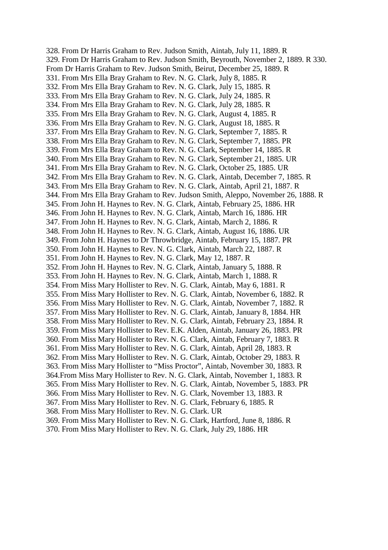328. From Dr Harris Graham to Rev. Judson Smith, Aintab, July 11, 1889. R 329. From Dr Harris Graham to Rev. Judson Smith, Beyrouth, November 2, 1889. R 330. From Dr Harris Graham to Rev. Judson Smith, Beirut, December 25, 1889. R 331. From Mrs Ella Bray Graham to Rev. N. G. Clark, July 8, 1885. R 332. From Mrs Ella Bray Graham to Rev. N. G. Clark, July 15, 1885. R 333. From Mrs Ella Bray Graham to Rev. N. G. Clark, July 24, 1885. R 334. From Mrs Ella Bray Graham to Rev. N. G. Clark, July 28, 1885. R 335. From Mrs Ella Bray Graham to Rev. N. G. Clark, August 4, 1885. R 336. From Mrs Ella Bray Graham to Rev. N. G. Clark, August 18, 1885. R 337. From Mrs Ella Bray Graham to Rev. N. G. Clark, September 7, 1885. R 338. From Mrs Ella Bray Graham to Rev. N. G. Clark, September 7, 1885. PR 339. From Mrs Ella Bray Graham to Rev. N. G. Clark, September 14, 1885. R 340. From Mrs Ella Bray Graham to Rev. N. G. Clark, September 21, 1885. UR 341. From Mrs Ella Bray Graham to Rev. N. G. Clark, October 25, 1885. UR 342. From Mrs Ella Bray Graham to Rev. N. G. Clark, Aintab, December 7, 1885. R 343. From Mrs Ella Bray Graham to Rev. N. G. Clark, Aintab, April 21, 1887. R 344. From Mrs Ella Bray Graham to Rev. Judson Smith, Aleppo, November 26, 1888. R 345. From John H. Haynes to Rev. N. G. Clark, Aintab, February 25, 1886. HR 346. From John H. Haynes to Rev. N. G. Clark, Aintab, March 16, 1886. HR 347. From John H. Haynes to Rev. N. G. Clark, Aintab, March 2, 1886. R 348. From John H. Haynes to Rev. N. G. Clark, Aintab, August 16, 1886. UR 349. From John H. Haynes to Dr Throwbridge, Aintab, February 15, 1887. PR 350. From John H. Haynes to Rev. N. G. Clark, Aintab, March 22, 1887. R 351. From John H. Haynes to Rev. N. G. Clark, May 12, 1887. R 352. From John H. Haynes to Rev. N. G. Clark, Aintab, January 5, 1888. R 353. From John H. Haynes to Rev. N. G. Clark, Aintab, March 1, 1888. R 354. From Miss Mary Hollister to Rev. N. G. Clark, Aintab, May 6, 1881. R 355. From Miss Mary Hollister to Rev. N. G. Clark, Aintab, November 6, 1882. R 356. From Miss Mary Hollister to Rev. N. G. Clark, Aintab, November 7, 1882. R 357. From Miss Mary Hollister to Rev. N. G. Clark, Aintab, January 8, 1884. HR 358. From Miss Mary Hollister to Rev. N. G. Clark, Aintab, February 23, 1884. R 359. From Miss Mary Hollister to Rev. E.K. Alden, Aintab, January 26, 1883. PR 360. From Miss Mary Hollister to Rev. N. G. Clark, Aintab, February 7, 1883. R 361. From Miss Mary Hollister to Rev. N. G. Clark, Aintab, April 28, 1883. R 362. From Miss Mary Hollister to Rev. N. G. Clark, Aintab, October 29, 1883. R 363. From Miss Mary Hollister to "Miss Proctor", Aintab, November 30, 1883. R 364.From Miss Mary Hollister to Rev. N. G. Clark, Aintab, November 1, 1883. R 365. From Miss Mary Hollister to Rev. N. G. Clark, Aintab, November 5, 1883. PR 366. From Miss Mary Hollister to Rev. N. G. Clark, November 13, 1883. R 367. From Miss Mary Hollister to Rev. N. G. Clark, February 6, 1885. R 368. From Miss Mary Hollister to Rev. N. G. Clark. UR 369. From Miss Mary Hollister to Rev. N. G. Clark, Hartford, June 8, 1886. R

370. From Miss Mary Hollister to Rev. N. G. Clark, July 29, 1886. HR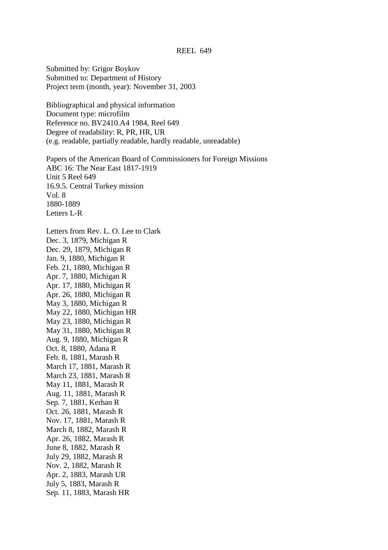Submitted by: Grigor Boykov Submitted to: Department of History Project term (month, year): November 31, 2003

Bibliographical and physical information Document type: microfilm Reference no. BV2410.A4 1984, Reel 649 Degree of readability: R, PR, HR, UR (e.g. readable, partially readable, hardly readable, unreadable)

Papers of the American Board of Commissioners for Foreign Missions ABC 16: The Near East 1817-1919 Unit 5 Reel 649 16.9.5. Central Turkey mission Vol. 8 1880-1889 Letters L-R

Letters from Rev. L. O. Lee to Clark Dec. 3, 1879, Michigan R Dec. 29, 1879, Michigan R Jan. 9, 1880, Michigan R Feb. 21, 1880, Michigan R Apr. 7, 1880, Michigan R Apr. 17, 1880, Michigan R Apr. 26, 1880, Michigan R May 3, 1880, Michigan R May 22, 1880, Michigan HR May 23, 1880, Michigan R May 31, 1880, Michigan R Aug. 9, 1880, Michigan R Oct. 8, 1880, Adana R Feb. 8, 1881, Marash R March 17, 1881, Marash R March 23, 1881, Marash R May 11, 1881, Marash R Aug. 11, 1881, Marash R Sep. 7, 1881, Kerhan R Oct. 26, 1881, Marash R Nov. 17, 1881, Marash R March 8, 1882, Marash R Apr. 26, 1882, Marash R June 8, 1882, Marash R July 29, 1882, Marash R Nov. 2, 1882, Marash R Apr. 2, 1883, Marash UR July 5, 1883, Marash R Sep. 11, 1883, Marash HR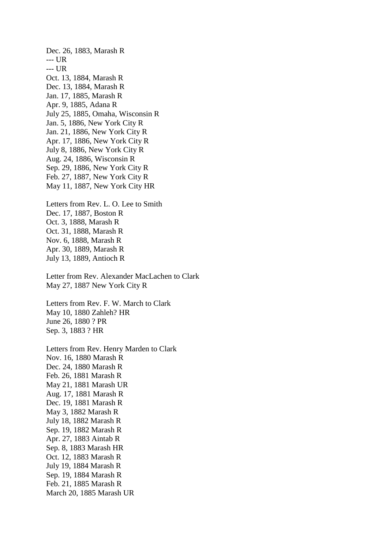Dec. 26, 1883, Marash R --- UR --- UR Oct. 13, 1884, Marash R Dec. 13, 1884, Marash R Jan. 17, 1885, Marash R Apr. 9, 1885, Adana R July 25, 1885, Omaha, Wisconsin R Jan. 5, 1886, New York City R Jan. 21, 1886, New York City R Apr. 17, 1886, New York City R July 8, 1886, New York City R Aug. 24, 1886, Wisconsin R Sep. 29, 1886, New York City R Feb. 27, 1887, New York City R May 11, 1887, New York City HR Letters from Rev. L. O. Lee to Smith Dec. 17, 1887, Boston R Oct. 3, 1888, Marash R Oct. 31, 1888, Marash R Nov. 6, 1888, Marash R Apr. 30, 1889, Marash R July 13, 1889, Antioch R Letter from Rev. Alexander MacLachen to Clark May 27, 1887 New York City R

Letters from Rev. F. W. March to Clark May 10, 1880 Zahleh? HR June 26, 1880 ? PR Sep. 3, 1883 ? HR

Letters from Rev. Henry Marden to Clark Nov. 16, 1880 Marash R Dec. 24, 1880 Marash R Feb. 26, 1881 Marash R May 21, 1881 Marash UR Aug. 17, 1881 Marash R Dec. 19, 1881 Marash R May 3, 1882 Marash R July 18, 1882 Marash R Sep. 19, 1882 Marash R Apr. 27, 1883 Aintab R Sep. 8, 1883 Marash HR Oct. 12, 1883 Marash R July 19, 1884 Marash R Sep. 19, 1884 Marash R Feb. 21, 1885 Marash R March 20, 1885 Marash UR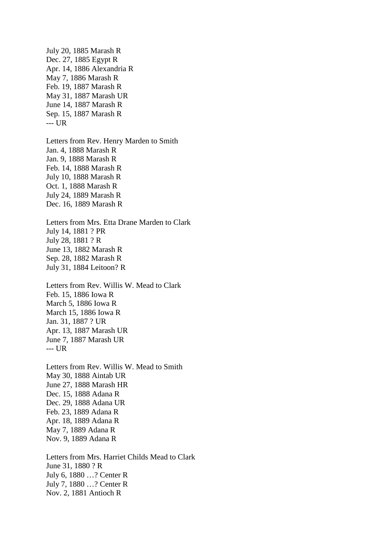July 20, 1885 Marash R Dec. 27, 1885 Egypt R Apr. 14, 1886 Alexandria R May 7, 1886 Marash R Feb. 19, 1887 Marash R May 31, 1887 Marash UR June 14, 1887 Marash R Sep. 15, 1887 Marash R --- UR Letters from Rev. Henry Marden to Smith Jan. 4, 1888 Marash R Jan. 9, 1888 Marash R Feb. 14, 1888 Marash R July 10, 1888 Marash R Oct. 1, 1888 Marash R July 24, 1889 Marash R Dec. 16, 1889 Marash R Letters from Mrs. Etta Drane Marden to Clark July 14, 1881 ? PR July 28, 1881 ? R June 13, 1882 Marash R Sep. 28, 1882 Marash R July 31, 1884 Leitoon? R Letters from Rev. Willis W. Mead to Clark Feb. 15, 1886 Iowa R March 5, 1886 Iowa R March 15, 1886 Iowa R Jan. 31, 1887 ? UR Apr. 13, 1887 Marash UR June 7, 1887 Marash UR --- UR Letters from Rev. Willis W. Mead to Smith May 30, 1888 Aintab UR June 27, 1888 Marash HR Dec. 15, 1888 Adana R Dec. 29, 1888 Adana UR Feb. 23, 1889 Adana R Apr. 18, 1889 Adana R May 7, 1889 Adana R Nov. 9, 1889 Adana R Letters from Mrs. Harriet Childs Mead to Clark June 31, 1880 ? R July 6, 1880 …? Center R July 7, 1880 …? Center R

Nov. 2, 1881 Antioch R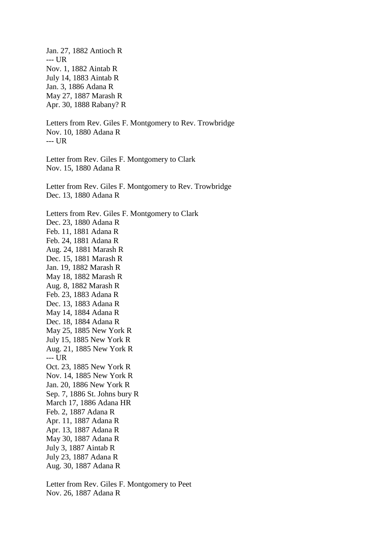Jan. 27, 1882 Antioch R --- UR Nov. 1, 1882 Aintab R July 14, 1883 Aintab R Jan. 3, 1886 Adana R May 27, 1887 Marash R Apr. 30, 1888 Rabany? R Letters from Rev. Giles F. Montgomery to Rev. Trowbridge Nov. 10, 1880 Adana R --- UR Letter from Rev. Giles F. Montgomery to Clark Nov. 15, 1880 Adana R Letter from Rev. Giles F. Montgomery to Rev. Trowbridge Dec. 13, 1880 Adana R Letters from Rev. Giles F. Montgomery to Clark Dec. 23, 1880 Adana R Feb. 11, 1881 Adana R Feb. 24, 1881 Adana R Aug. 24, 1881 Marash R Dec. 15, 1881 Marash R Jan. 19, 1882 Marash R May 18, 1882 Marash R Aug. 8, 1882 Marash R Feb. 23, 1883 Adana R Dec. 13, 1883 Adana R May 14, 1884 Adana R Dec. 18, 1884 Adana R May 25, 1885 New York R July 15, 1885 New York R Aug. 21, 1885 New York R --- UR Oct. 23, 1885 New York R Nov. 14, 1885 New York R Jan. 20, 1886 New York R Sep. 7, 1886 St. Johns bury R March 17, 1886 Adana HR Feb. 2, 1887 Adana R Apr. 11, 1887 Adana R Apr. 13, 1887 Adana R May 30, 1887 Adana R July 3, 1887 Aintab R July 23, 1887 Adana R Aug. 30, 1887 Adana R

Letter from Rev. Giles F. Montgomery to Peet Nov. 26, 1887 Adana R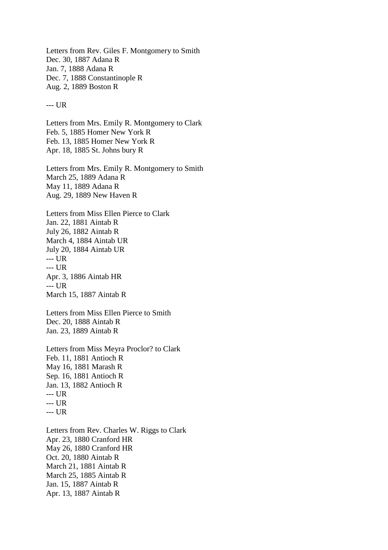Letters from Rev. Giles F. Montgomery to Smith Dec. 30, 1887 Adana R Jan. 7, 1888 Adana R Dec. 7, 1888 Constantinople R Aug. 2, 1889 Boston R

--- UR

Letters from Mrs. Emily R. Montgomery to Clark Feb. 5, 1885 Homer New York R Feb. 13, 1885 Homer New York R Apr. 18, 1885 St. Johns bury R

Letters from Mrs. Emily R. Montgomery to Smith March 25, 1889 Adana R May 11, 1889 Adana R Aug. 29, 1889 New Haven R

Letters from Miss Ellen Pierce to Clark Jan. 22, 1881 Aintab R July 26, 1882 Aintab R March 4, 1884 Aintab UR July 20, 1884 Aintab UR --- UR --- UR Apr. 3, 1886 Aintab HR --- UR March 15, 1887 Aintab R

Letters from Miss Ellen Pierce to Smith Dec. 20, 1888 Aintab R Jan. 23, 1889 Aintab R

Letters from Miss Meyra Proclor? to Clark Feb. 11, 1881 Antioch R May 16, 1881 Marash R Sep. 16, 1881 Antioch R Jan. 13, 1882 Antioch R --- UR --- UR --- UR

Letters from Rev. Charles W. Riggs to Clark Apr. 23, 1880 Cranford HR May 26, 1880 Cranford HR Oct. 20, 1880 Aintab R March 21, 1881 Aintab R March 25, 1885 Aintab R Jan. 15, 1887 Aintab R Apr. 13, 1887 Aintab R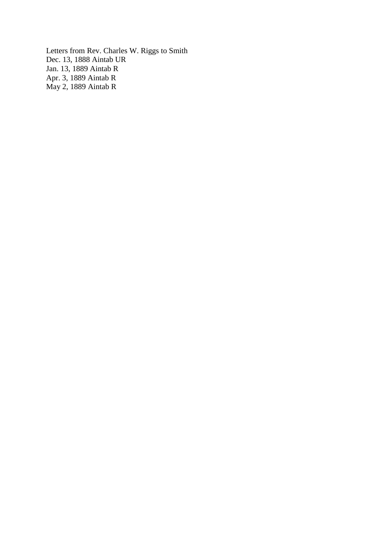Letters from Rev. Charles W. Riggs to Smith Dec. 13, 1888 Aintab UR Jan. 13, 1889 Aintab R Apr. 3, 1889 Aintab R May 2, 1889 Aintab R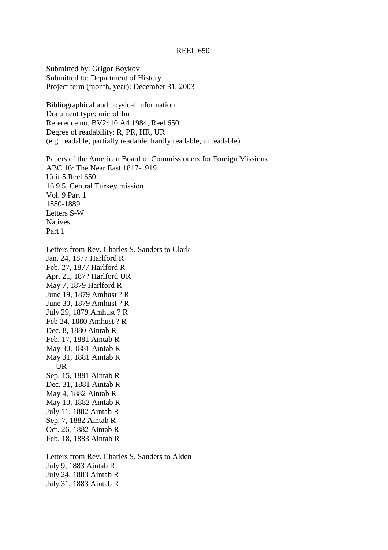### REEL 650

Submitted by: Grigor Boykov Submitted to: Department of History Project term (month, year): December 31, 2003

Bibliographical and physical information Document type: microfilm Reference no. BV2410.A4 1984, Reel 650 Degree of readability: R, PR, HR, UR (e.g. readable, partially readable, hardly readable, unreadable)

Papers of the American Board of Commissioners for Foreign Missions ABC 16: The Near East 1817-1919 Unit 5 Reel 650 16.9.5. Central Turkey mission Vol. 9 Part 1 1880-1889 Letters S-W **Natives** Part 1

Letters from Rev. Charles S. Sanders to Clark Jan. 24, 1877 Harlford R Feb. 27, 1877 Harlford R Apr. 21, 187? Harlford UR May 7, 1879 Harlford R June 19, 1879 Amhust ? R June 30, 1879 Amhust ? R July 29, 1879 Amhust ? R Feb 24, 1880 Amhust ? R Dec. 8, 1880 Aintab R Feb. 17, 1881 Aintab R May 30, 1881 Aintab R May 31, 1881 Aintab R --- UR Sep. 15, 1881 Aintab R Dec. 31, 1881 Aintab R May 4, 1882 Aintab R May 10, 1882 Aintab R July 11, 1882 Aintab R Sep. 7, 1882 Aintab R Oct. 26, 1882 Aintab R Feb. 18, 1883 Aintab R

Letters from Rev. Charles S. Sanders to Alden July 9, 1883 Aintab R July 24, 1883 Aintab R July 31, 1883 Aintab R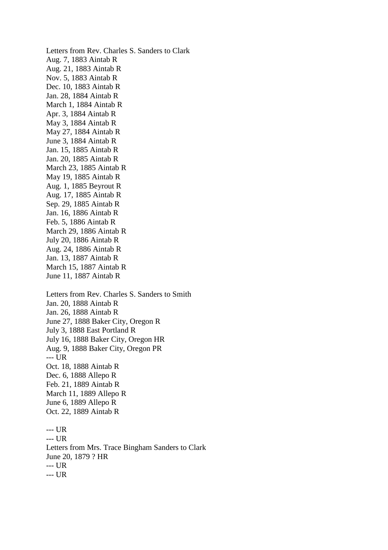Letters from Rev. Charles S. Sanders to Clark Aug. 7, 1883 Aintab R Aug. 21, 1883 Aintab R Nov. 5, 1883 Aintab R Dec. 10, 1883 Aintab R Jan. 28, 1884 Aintab R March 1, 1884 Aintab R Apr. 3, 1884 Aintab R May 3, 1884 Aintab R May 27, 1884 Aintab R June 3, 1884 Aintab R Jan. 15, 1885 Aintab R Jan. 20, 1885 Aintab R March 23, 1885 Aintab R May 19, 1885 Aintab R Aug. 1, 1885 Beyrout R Aug. 17, 1885 Aintab R Sep. 29, 1885 Aintab R Jan. 16, 1886 Aintab R Feb. 5, 1886 Aintab R March 29, 1886 Aintab R July 20, 1886 Aintab R Aug. 24, 1886 Aintab R Jan. 13, 1887 Aintab R March 15, 1887 Aintab R June 11, 1887 Aintab R Letters from Rev. Charles S. Sanders to Smith Jan. 20, 1888 Aintab R Jan. 26, 1888 Aintab R June 27, 1888 Baker City, Oregon R July 3, 1888 East Portland R July 16, 1888 Baker City, Oregon HR Aug. 9, 1888 Baker City, Oregon PR --- UR Oct. 18, 1888 Aintab R Dec. 6, 1888 Allepo R Feb. 21, 1889 Aintab R March 11, 1889 Allepo R June 6, 1889 Allepo R Oct. 22, 1889 Aintab R --- UR --- UR Letters from Mrs. Trace Bingham Sanders to Clark June 20, 1879 ? HR --- UR

--- UR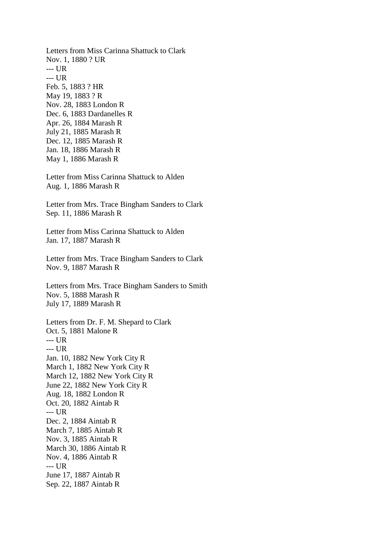Letters from Miss Carinna Shattuck to Clark Nov. 1, 1880 ? UR --- UR --- UR Feb. 5, 1883 ? HR May 19, 1883 ? R Nov. 28, 1883 London R Dec. 6, 1883 Dardanelles R Apr. 26, 1884 Marash R July 21, 1885 Marash R Dec. 12, 1885 Marash R Jan. 18, 1886 Marash R May 1, 1886 Marash R Letter from Miss Carinna Shattuck to Alden Aug. 1, 1886 Marash R Letter from Mrs. Trace Bingham Sanders to Clark Sep. 11, 1886 Marash R Letter from Miss Carinna Shattuck to Alden Jan. 17, 1887 Marash R Letter from Mrs. Trace Bingham Sanders to Clark Nov. 9, 1887 Marash R Letters from Mrs. Trace Bingham Sanders to Smith Nov. 5, 1888 Marash R July 17, 1889 Marash R Letters from Dr. F. M. Shepard to Clark Oct. 5, 1881 Malone R  $--- IIR$ --- UR Jan. 10, 1882 New York City R March 1, 1882 New York City R March 12, 1882 New York City R June 22, 1882 New York City R Aug. 18, 1882 London R Oct. 20, 1882 Aintab R --- UR Dec. 2, 1884 Aintab R March 7, 1885 Aintab R Nov. 3, 1885 Aintab R March 30, 1886 Aintab R Nov. 4, 1886 Aintab R --- UR June 17, 1887 Aintab R Sep. 22, 1887 Aintab R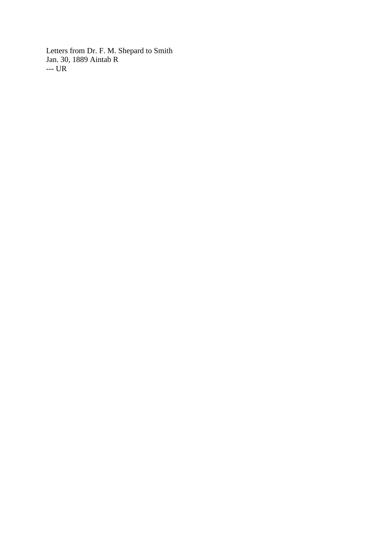Letters from Dr. F. M. Shepard to Smith Jan. 30, 1889 Aintab R --- UR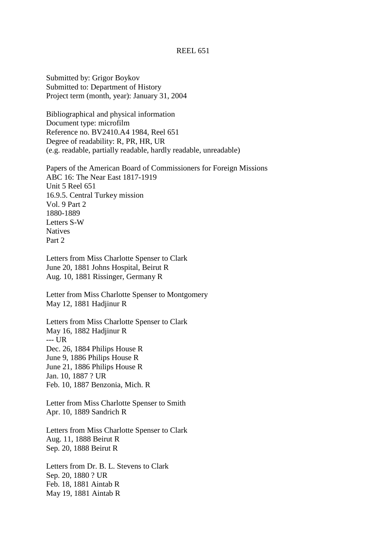## REEL 651

Submitted by: Grigor Boykov Submitted to: Department of History Project term (month, year): January 31, 2004

Bibliographical and physical information Document type: microfilm Reference no. BV2410.A4 1984, Reel 651 Degree of readability: R, PR, HR, UR (e.g. readable, partially readable, hardly readable, unreadable)

Papers of the American Board of Commissioners for Foreign Missions ABC 16: The Near East 1817-1919 Unit 5 Reel 651 16.9.5. Central Turkey mission Vol. 9 Part 2 1880-1889 Letters S-W Natives Part 2

Letters from Miss Charlotte Spenser to Clark June 20, 1881 Johns Hospital, Beirut R Aug. 10, 1881 Rissinger, Germany R

Letter from Miss Charlotte Spenser to Montgomery May 12, 1881 Hadjinur R

Letters from Miss Charlotte Spenser to Clark May 16, 1882 Hadjinur R --- UR Dec. 26, 1884 Philips House R June 9, 1886 Philips House R June 21, 1886 Philips House R Jan. 10, 1887 ? UR Feb. 10, 1887 Benzonia, Mich. R

Letter from Miss Charlotte Spenser to Smith Apr. 10, 1889 Sandrich R

Letters from Miss Charlotte Spenser to Clark Aug. 11, 1888 Beirut R Sep. 20, 1888 Beirut R

Letters from Dr. B. L. Stevens to Clark Sep. 20, 1880 ? UR Feb. 18, 1881 Aintab R May 19, 1881 Aintab R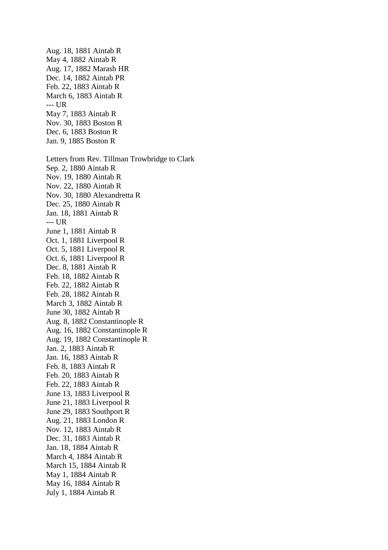Aug. 17, 1882 Marash HR Dec. 14, 1882 Aintab PR Feb. 22, 1883 Aintab R March 6, 1883 Aintab R --- UR May 7, 1883 Aintab R Nov. 30, 1883 Boston R Dec. 6, 1883 Boston R Jan. 9, 1885 Boston R Letters from Rev. Tillman Trowbridge to Clark Sep. 2, 1880 Aintab R Nov. 19, 1880 Aintab R Nov. 22, 1880 Aintab R Nov. 30, 1880 Alexandretta R Dec. 25, 1880 Aintab R Jan. 18, 1881 Aintab R --- UR June 1, 1881 Aintab R Oct. 1, 1881 Liverpool R Oct. 5, 1881 Liverpool R Oct. 6, 1881 Liverpool R Dec. 8, 1881 Aintab R Feb. 18, 1882 Aintab R Feb. 22, 1882 Aintab R Feb. 28, 1882 Aintab R March 3, 1882 Aintab R June 30, 1882 Aintab R Aug. 8, 1882 Constantinople R Aug. 16, 1882 Constantinople R Aug. 19, 1882 Constantinople R Jan. 2, 1883 Aintab R Jan. 16, 1883 Aintab R Feb. 8, 1883 Aintab R Feb. 20, 1883 Aintab R Feb. 22, 1883 Aintab R June 13, 1883 Liverpool R June 21, 1883 Liverpool R June 29, 1883 Southport R Aug. 21, 1883 London R Nov. 12, 1883 Aintab R Dec. 31, 1883 Aintab R Jan. 18, 1884 Aintab R March 4, 1884 Aintab R March 15, 1884 Aintab R May 1, 1884 Aintab R May 16, 1884 Aintab R July 1, 1884 Aintab R

Aug. 18, 1881 Aintab R May 4, 1882 Aintab R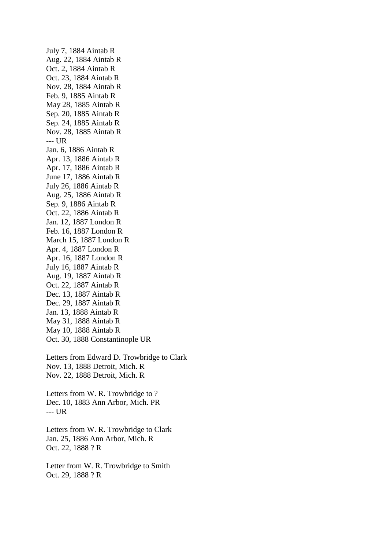July 7, 1884 Aintab R Aug. 22, 1884 Aintab R Oct. 2, 1884 Aintab R Oct. 23, 1884 Aintab R Nov. 28, 1884 Aintab R Feb. 9, 1885 Aintab R May 28, 1885 Aintab R Sep. 20, 1885 Aintab R Sep. 24, 1885 Aintab R Nov. 28, 1885 Aintab R --- UR Jan. 6, 1886 Aintab R Apr. 13, 1886 Aintab R Apr. 17, 1886 Aintab R June 17, 1886 Aintab R July 26, 1886 Aintab R Aug. 25, 1886 Aintab R Sep. 9, 1886 Aintab R Oct. 22, 1886 Aintab R Jan. 12, 1887 London R Feb. 16, 1887 London R March 15, 1887 London R Apr. 4, 1887 London R Apr. 16, 1887 London R July 16, 1887 Aintab R Aug. 19, 1887 Aintab R Oct. 22, 1887 Aintab R Dec. 13, 1887 Aintab R Dec. 29, 1887 Aintab R Jan. 13, 1888 Aintab R May 31, 1888 Aintab R May 10, 1888 Aintab R Oct. 30, 1888 Constantinople UR Letters from Edward D. Trowbridge to Clark Nov. 13, 1888 Detroit, Mich. R Nov. 22, 1888 Detroit, Mich. R

Letters from W. R. Trowbridge to ? Dec. 10, 1883 Ann Arbor, Mich. PR --- UR

Letters from W. R. Trowbridge to Clark Jan. 25, 1886 Ann Arbor, Mich. R Oct. 22, 1888 ? R

Letter from W. R. Trowbridge to Smith Oct. 29, 1888 ? R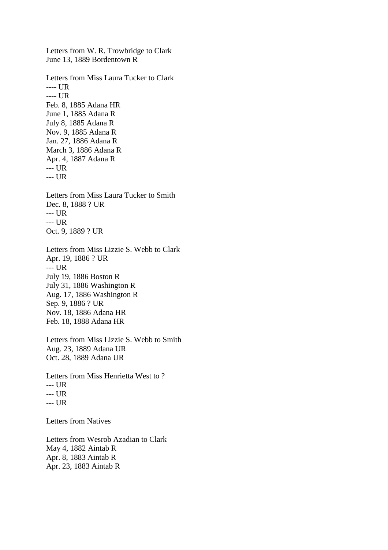Letters from W. R. Trowbridge to Clark June 13, 1889 Bordentown R Letters from Miss Laura Tucker to Clark ---- UR ---- UR Feb. 8, 1885 Adana HR June 1, 1885 Adana R July 8, 1885 Adana R Nov. 9, 1885 Adana R Jan. 27, 1886 Adana R March 3, 1886 Adana R Apr. 4, 1887 Adana R --- UR --- UR Letters from Miss Laura Tucker to Smith Dec. 8, 1888 ? UR --- UR --- UR Oct. 9, 1889 ? UR Letters from Miss Lizzie S. Webb to Clark Apr. 19, 1886 ? UR --- UR July 19, 1886 Boston R July 31, 1886 Washington R Aug. 17, 1886 Washington R Sep. 9, 1886 ? UR Nov. 18, 1886 Adana HR Feb. 18, 1888 Adana HR Letters from Miss Lizzie S. Webb to Smith Aug. 23, 1889 Adana UR Oct. 28, 1889 Adana UR Letters from Miss Henrietta West to ? --- UR --- UR --- UR Letters from Natives

Letters from Wesrob Azadian to Clark May 4, 1882 Aintab R Apr. 8, 1883 Aintab R Apr. 23, 1883 Aintab R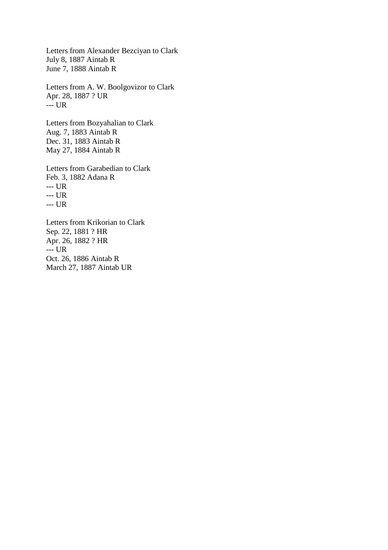Letters from Alexander Bezciyan to Clark July 8, 1887 Aintab R June 7, 1888 Aintab R

Letters from A. W. Boolgovizor to Clark Apr. 28, 1887 ? UR --- UR

Letters from Bozyahalian to Clark Aug. 7, 1883 Aintab R Dec. 31, 1883 Aintab R May 27, 1884 Aintab R

Letters from Garabedian to Clark Feb. 3, 1882 Adana R --- UR --- UR --- UR Letters from Krikorian to Clark Sep. 22, 1881 ? HR

Apr. 26, 1882 ? HR --- UR Oct. 26, 1886 Aintab R March 27, 1887 Aintab UR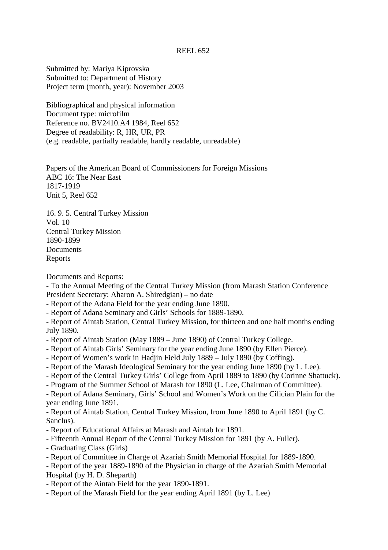## REEL 652

Submitted by: Mariya Kiprovska Submitted to: Department of History Project term (month, year): November 2003

Bibliographical and physical information Document type: microfilm Reference no. BV2410.A4 1984, Reel 652 Degree of readability: R, HR, UR, PR (e.g. readable, partially readable, hardly readable, unreadable)

Papers of the American Board of Commissioners for Foreign Missions ABC 16: The Near East 1817-1919 Unit 5, Reel 652

16. 9. 5. Central Turkey Mission Vol. 10 Central Turkey Mission 1890-1899 **Documents** Reports

Documents and Reports:

- To the Annual Meeting of the Central Turkey Mission (from Marash Station Conference President Secretary: Aharon A. Shiredgian) – no date

- Report of the Adana Field for the year ending June 1890.

- Report of Adana Seminary and Girls' Schools for 1889-1890.

- Report of Aintab Station, Central Turkey Mission, for thirteen and one half months ending July 1890.

- Report of Aintab Station (May 1889 June 1890) of Central Turkey College.
- Report of Aintab Girls' Seminary for the year ending June 1890 (by Ellen Pierce).
- Report of Women's work in Hadjin Field July 1889 July 1890 (by Coffing).
- Report of the Marash Ideological Seminary for the year ending June 1890 (by L. Lee).
- Report of the Central Turkey Girls' College from April 1889 to 1890 (by Corinne Shattuck).
- Program of the Summer School of Marash for 1890 (L. Lee, Chairman of Committee).

- Report of Adana Seminary, Girls' School and Women's Work on the Cilician Plain for the year ending June 1891.

- Report of Aintab Station, Central Turkey Mission, from June 1890 to April 1891 (by C. Sanclus).

- Report of Educational Affairs at Marash and Aintab for 1891.
- Fifteenth Annual Report of the Central Turkey Mission for 1891 (by A. Fuller).
- Graduating Class (Girls)
- Report of Committee in Charge of Azariah Smith Memorial Hospital for 1889-1890.

- Report of the year 1889-1890 of the Physician in charge of the Azariah Smith Memorial Hospital (by H. D. Sheparth)

- Report of the Aintab Field for the year 1890-1891.
- Report of the Marash Field for the year ending April 1891 (by L. Lee)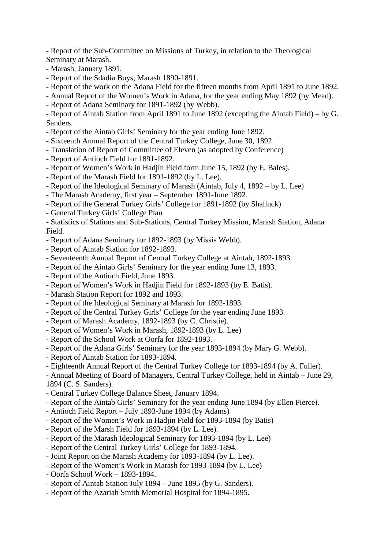- Report of the Sub-Committee on Missions of Turkey, in relation to the Theological Seminary at Marash.

- Marash, January 1891.
- Report of the Sdadia Boys, Marash 1890-1891.
- Report of the work on the Adana Field for the fifteen months from April 1891 to June 1892.
- Annual Report of the Women's Work in Adana, for the year ending May 1892 (by Mead).
- Report of Adana Seminary for 1891-1892 (by Webb).

- Report of Aintab Station from April 1891 to June 1892 (excepting the Aintab Field) – by G. Sanders.

- Report of the Aintab Girls' Seminary for the year ending June 1892.
- Sixteenth Annual Report of the Central Turkey College, June 30, 1892.
- Translation of Report of Committee of Eleven (as adopted by Conference)
- Report of Antioch Field for 1891-1892.
- Report of Women's Work in Hadjin Field form June 15, 1892 (by E. Bales).
- Report of the Marash Field for 1891-1892 (by L. Lee).
- Report of the Ideological Seminary of Marash (Aintab, July 4, 1892 by L. Lee)
- The Marash Academy, first year September 1891-June 1892.
- Report of the General Turkey Girls' College for 1891-1892 (by Shalluck)
- General Turkey Girls' College Plan

- Statistics of Stations and Sub-Stations, Central Turkey Mission, Marash Station, Adana Field.

- Report of Adana Seminary for 1892-1893 (by Missis Webb).
- Report of Aintab Station for 1892-1893.
- Seventeenth Annual Report of Central Turkey College at Aintab, 1892-1893.
- Report of the Aintab Girls' Seminary for the year ending June 13, 1893.
- Report of the Antioch Field, June 1893.
- Report of Women's Work in Hadjin Field for 1892-1893 (by E. Batis).
- Marash Station Report for 1892 and 1893.
- Report of the Ideological Seminary at Marash for 1892-1893.
- Report of the Central Turkey Girls' College for the year ending June 1893.
- Report of Marash Academy, 1892-1893 (by C. Christie).
- Report of Women's Work in Marash, 1892-1893 (by L. Lee)
- Report of the School Work at Oorfa for 1892-1893.
- Report of the Adana Girls' Seminary for the year 1893-1894 (by Mary G. Webb).
- Report of Aintab Station for 1893-1894.
- Eighteenth Annual Report of the Central Turkey College for 1893-1894 (by A. Fuller).

- Annual Meeting of Board of Managers, Central Turkey College, held in Aintab – June 29, 1894 (C. S. Sanders).

- Central Turkey College Balance Sheet, January 1894.
- Report of the Aintab Girls' Seminary for the year ending June 1894 (by Ellen Pierce).
- Antioch Field Report July 1893-June 1894 (by Adams)
- Report of the Women's Work in Hadjin Field for 1893-1894 (by Batis)
- Report of the Marsh Field for 1893-1894 (by L. Lee).
- Report of the Marash Ideological Seminary for 1893-1894 (by L. Lee)
- Report of the Central Turkey Girls' College for 1893-1894.
- Joint Report on the Marash Academy for 1893-1894 (by L. Lee).
- Report of the Women's Work in Marash for 1893-1894 (by L. Lee)
- Oorfa School Work 1893-1894.
- Report of Aintab Station July 1894 June 1895 (by G. Sanders).
- Report of the Azariah Smith Memorial Hospital for 1894-1895.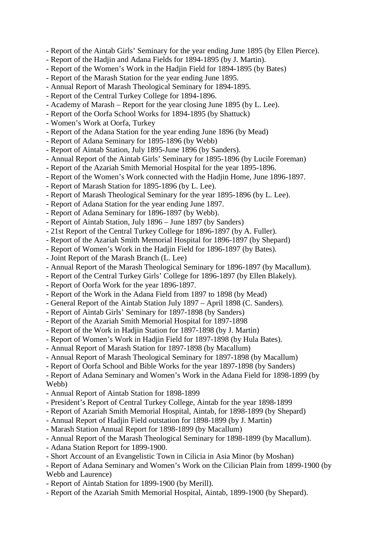- Report of the Aintab Girls' Seminary for the year ending June 1895 (by Ellen Pierce).
- Report of the Hadjin and Adana Fields for 1894-1895 (by J. Martin).
- Report of the Women's Work in the Hadjin Field for 1894-1895 (by Bates)
- Report of the Marash Station for the year ending June 1895.
- Annual Report of Marash Theological Seminary for 1894-1895.
- Report of the Central Turkey College for 1894-1896.
- Academy of Marash Report for the year closing June 1895 (by L. Lee).
- Report of the Oorfa School Works for 1894-1895 (by Shattuck)
- Women's Work at Oorfa, Turkey
- Report of the Adana Station for the year ending June 1896 (by Mead)
- Report of Adana Seminary for 1895-1896 (by Webb)
- Report of Aintab Station, July 1895-June 1896 (by Sanders).
- Annual Report of the Aintab Girls' Seminary for 1895-1896 (by Lucile Foreman)
- Report of the Azariah Smith Memorial Hospital for the year 1895-1896.
- Report of the Women's Work connected with the Hadjin Home, June 1896-1897.
- Report of Marash Station for 1895-1896 (by L. Lee).
- Report of Marash Theological Seminary for the year 1895-1896 (by L. Lee).
- Report of Adana Station for the year ending June 1897.
- Report of Adana Seminary for 1896-1897 (by Webb).
- Report of Aintab Station, July 1896 June 1897 (by Sanders)
- 21st Report of the Central Turkey College for 1896-1897 (by A. Fuller).
- Report of the Azariah Smith Memorial Hospital for 1896-1897 (by Shepard)
- Report of Women's Work in the Hadjin Field for 1896-1897 (by Bates).
- Joint Report of the Marash Branch (L. Lee)
- Annual Report of the Marash Theological Seminary for 1896-1897 (by Macallum).
- Report of the Central Turkey Girls' College for 1896-1897 (by Ellen Blakely).
- Report of Oorfa Work for the year 1896-1897.
- Report of the Work in the Adana Field from 1897 to 1898 (by Mead)
- General Report of the Aintab Station July 1897 April 1898 (C. Sanders).
- Report of Aintab Girls' Seminary for 1897-1898 (by Sanders)
- Report of the Azariah Smith Memorial Hospital for 1897-1898
- Report of the Work in Hadjin Station for 1897-1898 (by J. Martin)
- Report of Women's Work in Hadjin Field for 1897-1898 (by Hula Bates).
- Annual Report of Marash Station for 1897-1898 (by Macallum)
- Annual Report of Marash Theological Seminary for 1897-1898 (by Macallum)
- Report of Oorfa School and Bible Works for the year 1897-1898 (by Sanders)

- Report of Adana Seminary and Women's Work in the Adana Field for 1898-1899 (by Webb)

- Annual Report of Aintab Station for 1898-1899
- President's Report of Central Turkey College, Aintab for the year 1898-1899
- Report of Azariah Smith Memorial Hospital, Aintab, for 1898-1899 (by Shepard)
- Annual Report of Hadjin Field outstation for 1898-1899 (by J. Martin)
- Marash Station Annual Report for 1898-1899 (by Macallum)
- Annual Report of the Marash Theological Seminary for 1898-1899 (by Macallum).
- Adana Station Report for 1899-1900.
- Short Account of an Evangelistic Town in Cilicia in Asia Minor (by Moshan)

- Report of Adana Seminary and Women's Work on the Cilician Plain from 1899-1900 (by Webb and Laurence)

- Report of Aintab Station for 1899-1900 (by Merill).
- Report of the Azariah Smith Memorial Hospital, Aintab, 1899-1900 (by Shepard).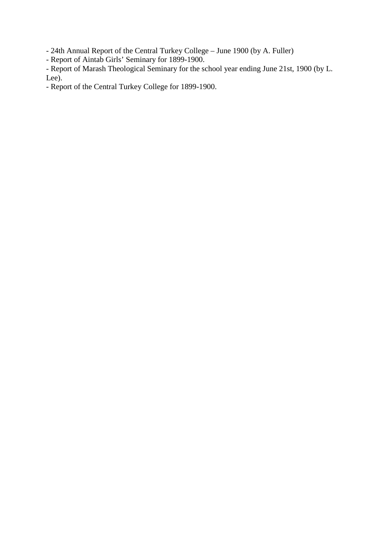- 24th Annual Report of the Central Turkey College – June 1900 (by A. Fuller)

- Report of Aintab Girls' Seminary for 1899-1900.

- Report of Marash Theological Seminary for the school year ending June 21st, 1900 (by L. Lee).

- Report of the Central Turkey College for 1899-1900.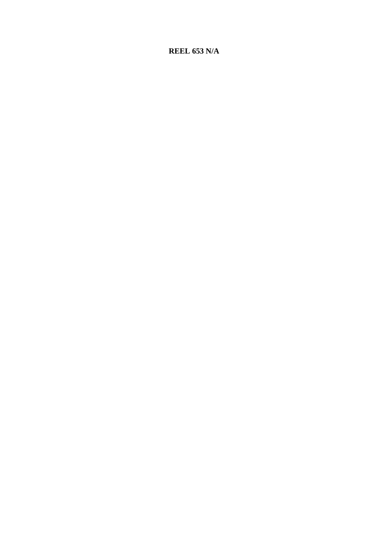# **REEL 653 N/A**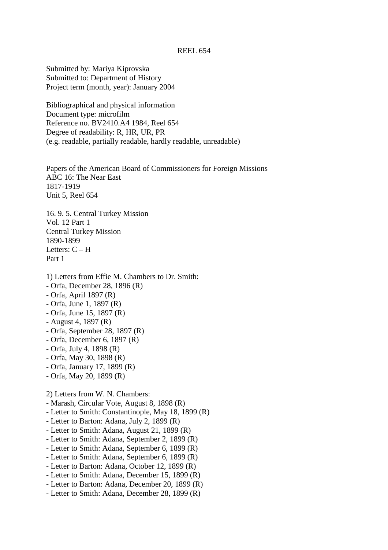#### REEL 654

Submitted by: Mariya Kiprovska Submitted to: Department of History Project term (month, year): January 2004

Bibliographical and physical information Document type: microfilm Reference no. BV2410.A4 1984, Reel 654 Degree of readability: R, HR, UR, PR (e.g. readable, partially readable, hardly readable, unreadable)

Papers of the American Board of Commissioners for Foreign Missions ABC 16: The Near East 1817-1919 Unit 5, Reel 654

16. 9. 5. Central Turkey Mission Vol. 12 Part 1 Central Turkey Mission 1890-1899 Letters:  $C - H$ Part 1

- 1) Letters from Effie M. Chambers to Dr. Smith:
- Orfa, December 28, 1896 (R)
- Orfa, April 1897 (R)
- Orfa, June 1, 1897 (R)
- Orfa, June 15, 1897 (R)
- August 4, 1897 (R)
- Orfa, September 28, 1897 (R)
- Orfa, December 6, 1897 (R)
- Orfa, July 4, 1898 (R)
- Orfa, May 30, 1898 (R)
- Orfa, January 17, 1899 (R)
- Orfa, May 20, 1899 (R)

## 2) Letters from W. N. Chambers:

- Marash, Circular Vote, August 8, 1898 (R)
- Letter to Smith: Constantinople, May 18, 1899 (R)
- Letter to Barton: Adana, July 2, 1899 (R)
- Letter to Smith: Adana, August 21, 1899 (R)
- Letter to Smith: Adana, September 2, 1899 (R)
- Letter to Smith: Adana, September 6, 1899 (R)
- Letter to Smith: Adana, September 6, 1899 (R)
- Letter to Barton: Adana, October 12, 1899 (R)
- Letter to Smith: Adana, December 15, 1899 (R)
- Letter to Barton: Adana, December 20, 1899 (R)
- Letter to Smith: Adana, December 28, 1899 (R)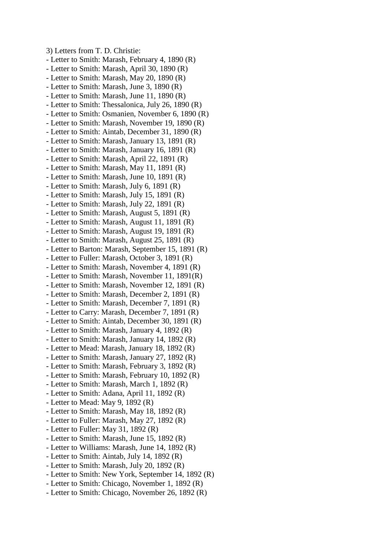3) Letters from T. D. Christie: - Letter to Smith: Marash, February 4, 1890 (R) - Letter to Smith: Marash, April 30, 1890 (R) - Letter to Smith: Marash, May 20, 1890 (R) - Letter to Smith: Marash, June 3, 1890 (R) - Letter to Smith: Marash, June 11, 1890 (R) - Letter to Smith: Thessalonica, July 26, 1890 (R) - Letter to Smith: Osmanien, November 6, 1890 (R) - Letter to Smith: Marash, November 19, 1890 (R) - Letter to Smith: Aintab, December 31, 1890 (R) - Letter to Smith: Marash, January 13, 1891 (R) - Letter to Smith: Marash, January 16, 1891 (R) - Letter to Smith: Marash, April 22, 1891 (R) - Letter to Smith: Marash, May 11, 1891 (R) - Letter to Smith: Marash, June 10, 1891 (R) - Letter to Smith: Marash, July 6, 1891 (R) - Letter to Smith: Marash, July 15, 1891 (R) - Letter to Smith: Marash, July 22, 1891 (R) - Letter to Smith: Marash, August 5, 1891 (R) - Letter to Smith: Marash, August 11, 1891 (R) - Letter to Smith: Marash, August 19, 1891 (R) - Letter to Smith: Marash, August 25, 1891 (R) - Letter to Barton: Marash, September 15, 1891 (R) - Letter to Fuller: Marash, October 3, 1891 (R) - Letter to Smith: Marash, November 4, 1891 (R) - Letter to Smith: Marash, November 11, 1891(R) - Letter to Smith: Marash, November 12, 1891 (R) - Letter to Smith: Marash, December 2, 1891 (R) - Letter to Smith: Marash, December 7, 1891 (R) - Letter to Carry: Marash, December 7, 1891 (R) - Letter to Smith: Aintab, December 30, 1891 (R) - Letter to Smith: Marash, January 4, 1892 (R) - Letter to Smith: Marash, January 14, 1892 (R) - Letter to Mead: Marash, January 18, 1892 (R) - Letter to Smith: Marash, January 27, 1892 (R) - Letter to Smith: Marash, February 3, 1892 (R) - Letter to Smith: Marash, February 10, 1892 (R) - Letter to Smith: Marash, March 1, 1892 (R) - Letter to Smith: Adana, April 11, 1892 (R) - Letter to Mead: May 9, 1892 (R) - Letter to Smith: Marash, May 18, 1892 (R) - Letter to Fuller: Marash, May 27, 1892 (R) - Letter to Fuller: May 31, 1892 (R) - Letter to Smith: Marash, June 15, 1892 (R) - Letter to Williams: Marash, June 14, 1892 (R) - Letter to Smith: Aintab, July 14, 1892 (R) - Letter to Smith: Marash, July 20, 1892 (R) - Letter to Smith: New York, September 14, 1892 (R) - Letter to Smith: Chicago, November 1, 1892 (R) - Letter to Smith: Chicago, November 26, 1892 (R)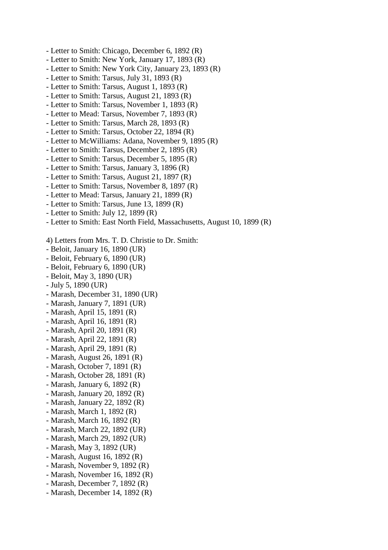- Letter to Smith: Chicago, December 6, 1892 (R)
- Letter to Smith: New York, January 17, 1893 (R)
- Letter to Smith: New York City, January 23, 1893 (R)
- Letter to Smith: Tarsus, July 31, 1893 (R)
- Letter to Smith: Tarsus, August 1, 1893 (R)
- Letter to Smith: Tarsus, August 21, 1893 (R)
- Letter to Smith: Tarsus, November 1, 1893 (R)
- Letter to Mead: Tarsus, November 7, 1893 (R)
- Letter to Smith: Tarsus, March 28, 1893 (R)
- Letter to Smith: Tarsus, October 22, 1894 (R)
- Letter to McWilliams: Adana, November 9, 1895 (R)
- Letter to Smith: Tarsus, December 2, 1895 (R)
- Letter to Smith: Tarsus, December 5, 1895 (R)
- Letter to Smith: Tarsus, January 3, 1896 (R)
- Letter to Smith: Tarsus, August 21, 1897 (R)
- Letter to Smith: Tarsus, November 8, 1897 (R)
- Letter to Mead: Tarsus, January 21, 1899 (R)
- Letter to Smith: Tarsus, June 13, 1899 (R)
- Letter to Smith: July 12, 1899 (R)
- Letter to Smith: East North Field, Massachusetts, August 10, 1899 (R)
- 4) Letters from Mrs. T. D. Christie to Dr. Smith:
- Beloit, January 16, 1890 (UR)
- Beloit, February 6, 1890 (UR)
- Beloit, February 6, 1890 (UR)
- Beloit, May 3, 1890 (UR)
- July 5, 1890 (UR)
- Marash, December 31, 1890 (UR)
- Marash, January 7, 1891 (UR)
- Marash, April 15, 1891 (R)
- Marash, April 16, 1891 (R)
- Marash, April 20, 1891 (R)
- Marash, April 22, 1891 (R)
- Marash, April 29, 1891 (R)
- Marash, August 26, 1891 (R)
- Marash, October 7, 1891 (R)
- Marash, October 28, 1891 (R)
- Marash, January 6, 1892 (R)
- Marash, January 20, 1892 (R)
- Marash, January 22, 1892 (R)
- Marash, March 1, 1892 (R)
- Marash, March 16, 1892 (R)
- Marash, March 22, 1892 (UR)
- 
- Marash, March 29, 1892 (UR)
- Marash, May 3, 1892 (UR)
- Marash, August 16, 1892 (R)
- Marash, November 9, 1892 (R)
- Marash, November 16, 1892 (R)
- Marash, December 7, 1892 (R)
- Marash, December 14, 1892 (R)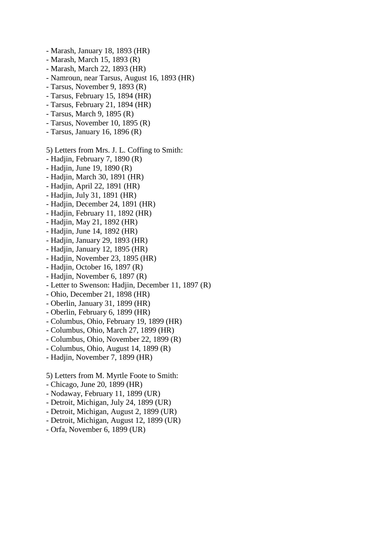- Marash, January 18, 1893 (HR)
- Marash, March 15, 1893 (R)
- Marash, March 22, 1893 (HR)
- Namroun, near Tarsus, August 16, 1893 (HR)
- Tarsus, November 9, 1893 (R)
- Tarsus, February 15, 1894 (HR)
- Tarsus, February 21, 1894 (HR)
- Tarsus, March 9, 1895 (R)
- Tarsus, November 10, 1895 (R)
- Tarsus, January 16, 1896 (R)
- 5) Letters from Mrs. J. L. Coffing to Smith:
- Hadjin, February 7, 1890 (R)
- Hadjin, June 19, 1890 (R)
- Hadjin, March 30, 1891 (HR)
- Hadjin, April 22, 1891 (HR)
- Hadjin, July 31, 1891 (HR)
- Hadjin, December 24, 1891 (HR)
- Hadjin, February 11, 1892 (HR)
- Hadjin, May 21, 1892 (HR)
- Hadjin, June 14, 1892 (HR)
- Hadjin, January 29, 1893 (HR)
- Hadjin, January 12, 1895 (HR)
- Hadjin, November 23, 1895 (HR)
- Hadjin, October 16, 1897 (R)
- Hadjin, November 6, 1897 (R)
- Letter to Swenson: Hadjin, December 11, 1897 (R)
- Ohio, December 21, 1898 (HR)
- Oberlin, January 31, 1899 (HR)
- Oberlin, February 6, 1899 (HR)
- Columbus, Ohio, February 19, 1899 (HR)
- Columbus, Ohio, March 27, 1899 (HR)
- Columbus, Ohio, November 22, 1899 (R)
- Columbus, Ohio, August 14, 1899 (R)
- Hadjin, November 7, 1899 (HR)
- 5) Letters from M. Myrtle Foote to Smith:
- Chicago, June 20, 1899 (HR)
- Nodaway, February 11, 1899 (UR)
- Detroit, Michigan, July 24, 1899 (UR)
- Detroit, Michigan, August 2, 1899 (UR)
- Detroit, Michigan, August 12, 1899 (UR)
- Orfa, November 6, 1899 (UR)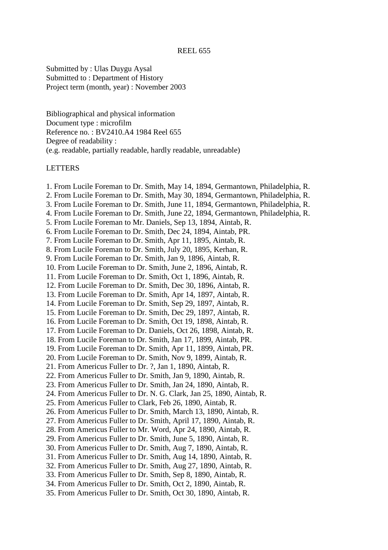Submitted by : Ulas Duygu Aysal Submitted to : Department of History Project term (month, year) : November 2003

Bibliographical and physical information Document type : microfilm Reference no. : BV2410.A4 1984 Reel 655 Degree of readability : (e.g. readable, partially readable, hardly readable, unreadable)

## LETTERS

- 1. From Lucile Foreman to Dr. Smith, May 14, 1894, Germantown, Philadelphia, R.
- 2. From Lucile Foreman to Dr. Smith, May 30, 1894, Germantown, Philadelphia, R.
- 3. From Lucile Foreman to Dr. Smith, June 11, 1894, Germantown, Philadelphia, R.
- 4. From Lucile Foreman to Dr. Smith, June 22, 1894, Germantown, Philadelphia, R.
- 5. From Lucile Foreman to Mr. Daniels, Sep 13, 1894, Aintab, R.
- 6. From Lucile Foreman to Dr. Smith, Dec 24, 1894, Aintab, PR.
- 7. From Lucile Foreman to Dr. Smith, Apr 11, 1895, Aintab, R.
- 8. From Lucile Foreman to Dr. Smith, July 20, 1895, Kerhan, R.
- 9. From Lucile Foreman to Dr. Smith, Jan 9, 1896, Aintab, R.
- 10. From Lucile Foreman to Dr. Smith, June 2, 1896, Aintab, R.
- 11. From Lucile Foreman to Dr. Smith, Oct 1, 1896, Aintab, R.
- 12. From Lucile Foreman to Dr. Smith, Dec 30, 1896, Aintab, R.
- 13. From Lucile Foreman to Dr. Smith, Apr 14, 1897, Aintab, R.
- 14. From Lucile Foreman to Dr. Smith, Sep 29, 1897, Aintab, R.
- 15. From Lucile Foreman to Dr. Smith, Dec 29, 1897, Aintab, R.
- 16. From Lucile Foreman to Dr. Smith, Oct 19, 1898, Aintab, R.
- 17. From Lucile Foreman to Dr. Daniels, Oct 26, 1898, Aintab, R.
- 18. From Lucile Foreman to Dr. Smith, Jan 17, 1899, Aintab, PR.
- 19. From Lucile Foreman to Dr. Smith, Apr 11, 1899, Aintab, PR.
- 20. From Lucile Foreman to Dr. Smith, Nov 9, 1899, Aintab, R.
- 21. From Americus Fuller to Dr. ?, Jan 1, 1890, Aintab, R.
- 22. From Americus Fuller to Dr. Smith, Jan 9, 1890, Aintab, R.
- 23. From Americus Fuller to Dr. Smith, Jan 24, 1890, Aintab, R.
- 24. From Americus Fuller to Dr. N. G. Clark, Jan 25, 1890, Aintab, R.
- 25. From Americus Fuller to Clark, Feb 26, 1890, Aintab, R.
- 26. From Americus Fuller to Dr. Smith, March 13, 1890, Aintab, R.
- 27. From Americus Fuller to Dr. Smith, April 17, 1890, Aintab, R.
- 28. From Americus Fuller to Mr. Word, Apr 24, 1890, Aintab, R.
- 29. From Americus Fuller to Dr. Smith, June 5, 1890, Aintab, R.
- 30. From Americus Fuller to Dr. Smith, Aug 7, 1890, Aintab, R.
- 31. From Americus Fuller to Dr. Smith, Aug 14, 1890, Aintab, R.
- 32. From Americus Fuller to Dr. Smith, Aug 27, 1890, Aintab, R.
- 33. From Americus Fuller to Dr. Smith, Sep 8, 1890, Aintab, R.
- 34. From Americus Fuller to Dr. Smith, Oct 2, 1890, Aintab, R.
- 35. From Americus Fuller to Dr. Smith, Oct 30, 1890, Aintab, R.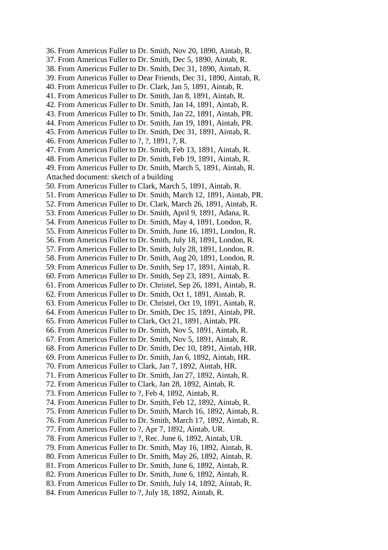36. From Americus Fuller to Dr. Smith, Nov 20, 1890, Aintab, R. 37. From Americus Fuller to Dr. Smith, Dec 5, 1890, Aintab, R. 38. From Americus Fuller to Dr. Smith, Dec 31, 1890, Aintab, R. 39. From Americus Fuller to Dear Friends, Dec 31, 1890, Aintab, R. 40. From Americus Fuller to Dr. Clark, Jan 5, 1891, Aintab, R. 41. From Americus Fuller to Dr. Smith, Jan 8, 1891, Aintab, R. 42. From Americus Fuller to Dr. Smith, Jan 14, 1891, Aintab, R. 43. From Americus Fuller to Dr. Smith, Jan 22, 1891, Aintab, PR. 44. From Americus Fuller to Dr. Smith, Jan 19, 1891, Aintab, PR. 45. From Americus Fuller to Dr. Smith, Dec 31, 1891, Aintab, R. 46. From Americus Fuller to ?, ?, 1891, ?, R. 47. From Americus Fuller to Dr. Smith, Feb 13, 1891, Aintab, R. 48. From Americus Fuller to Dr. Smith, Feb 19, 1891, Aintab, R. 49. From Americus Fuller to Dr. Smith, March 5, 1891, Aintab, R. Attached document: sketch of a building 50. From Americus Fuller to Clark, March 5, 1891, Aintab, R. 51. From Americus Fuller to Dr. Smith, March 12, 1891, Aintab, PR. 52. From Americus Fuller to Dr. Clark, March 26, 1891, Aintab, R. 53. From Americus Fuller to Dr. Smith, April 9, 1891, Adana, R. 54. From Americus Fuller to Dr. Smith, May 4, 1891, London, R. 55. From Americus Fuller to Dr. Smith, June 16, 1891, London, R. 56. From Americus Fuller to Dr. Smith, July 18, 1891, London, R. 57. From Americus Fuller to Dr. Smith, July 28, 1891, London, R. 58. From Americus Fuller to Dr. Smith, Aug 20, 1891, London, R. 59. From Americus Fuller to Dr. Smith, Sep 17, 1891, Aintab, R. 60. From Americus Fuller to Dr. Smith, Sep 23, 1891, Aintab, R. 61. From Americus Fuller to Dr. Christel, Sep 26, 1891, Aintab, R. 62. From Americus Fuller to Dr. Smith, Oct 1, 1891, Aintab, R. 63. From Americus Fuller to Dr. Christel, Oct 19, 1891, Aintab, R. 64. From Americus Fuller to Dr. Smith, Dec 15, 1891, Aintab, PR. 65. From Americus Fuller to Clark, Oct 21, 1891, Aintab, PR. 66. From Americus Fuller to Dr. Smith, Nov 5, 1891, Aintab, R. 67. From Americus Fuller to Dr. Smith, Nov 5, 1891, Aintab, R. 68. From Americus Fuller to Dr. Smith, Dec 10, 1891, Aintab, HR. 69. From Americus Fuller to Dr. Smith, Jan 6, 1892, Aintab, HR. 70. From Americus Fuller to Clark, Jan 7, 1892, Aintab, HR. 71. From Americus Fuller to Dr. Smith, Jan 27, 1892, Aintab, R. 72. From Americus Fuller to Clark, Jan 28, 1892, Aintab, R. 73. From Americus Fuller to ?, Feb 4, 1892, Aintab, R. 74. From Americus Fuller to Dr. Smith, Feb 12, 1892, Aintab, R. 75. From Americus Fuller to Dr. Smith, March 16, 1892, Aintab, R. 76. From Americus Fuller to Dr. Smith, March 17, 1892, Aintab, R. 77. From Americus Fuller to ?, Apr 7, 1892, Aintab, UR. 78. From Americus Fuller to ?, Rec. June 6, 1892, Aintab, UR. 79. From Americus Fuller to Dr. Smith, May 16, 1892, Aintab, R. 80. From Americus Fuller to Dr. Smith, May 26, 1892, Aintab, R. 81. From Americus Fuller to Dr. Smith, June 6, 1892, Aintab, R. 82. From Americus Fuller to Dr. Smith, June 6, 1892, Aintab, R. 83. From Americus Fuller to Dr. Smith, July 14, 1892, Aintab, R. 84. From Americus Fuller to ?, July 18, 1892, Aintab, R.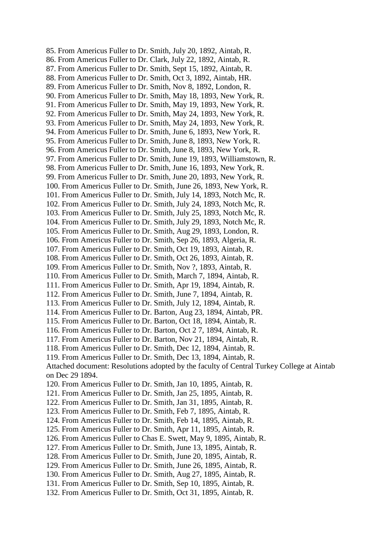85. From Americus Fuller to Dr. Smith, July 20, 1892, Aintab, R. 86. From Americus Fuller to Dr. Clark, July 22, 1892, Aintab, R. 87. From Americus Fuller to Dr. Smith, Sept 15, 1892, Aintab, R. 88. From Americus Fuller to Dr. Smith, Oct 3, 1892, Aintab, HR. 89. From Americus Fuller to Dr. Smith, Nov 8, 1892, London, R. 90. From Americus Fuller to Dr. Smith, May 18, 1893, New York, R. 91. From Americus Fuller to Dr. Smith, May 19, 1893, New York, R. 92. From Americus Fuller to Dr. Smith, May 24, 1893, New York, R. 93. From Americus Fuller to Dr. Smith, May 24, 1893, New York, R. 94. From Americus Fuller to Dr. Smith, June 6, 1893, New York, R. 95. From Americus Fuller to Dr. Smith, June 8, 1893, New York, R. 96. From Americus Fuller to Dr. Smith, June 8, 1893, New York, R. 97. From Americus Fuller to Dr. Smith, June 19, 1893, Williamstown, R. 98. From Americus Fuller to Dr. Smith, June 16, 1893, New York, R. 99. From Americus Fuller to Dr. Smith, June 20, 1893, New York, R. 100. From Americus Fuller to Dr. Smith, June 26, 1893, New York, R. 101. From Americus Fuller to Dr. Smith, July 14, 1893, Notch Mc, R. 102. From Americus Fuller to Dr. Smith, July 24, 1893, Notch Mc, R. 103. From Americus Fuller to Dr. Smith, July 25, 1893, Notch Mc, R. 104. From Americus Fuller to Dr. Smith, July 29, 1893, Notch Mc, R. 105. From Americus Fuller to Dr. Smith, Aug 29, 1893, London, R. 106. From Americus Fuller to Dr. Smith, Sep 26, 1893, Algeria, R. 107. From Americus Fuller to Dr. Smith, Oct 19, 1893, Aintab, R. 108. From Americus Fuller to Dr. Smith, Oct 26, 1893, Aintab, R. 109. From Americus Fuller to Dr. Smith, Nov ?, 1893, Aintab, R. 110. From Americus Fuller to Dr. Smith, March 7, 1894, Aintab, R. 111. From Americus Fuller to Dr. Smith, Apr 19, 1894, Aintab, R. 112. From Americus Fuller to Dr. Smith, June 7, 1894, Aintab, R. 113. From Americus Fuller to Dr. Smith, July 12, 1894, Aintab, R. 114. From Americus Fuller to Dr. Barton, Aug 23, 1894, Aintab, PR. 115. From Americus Fuller to Dr. Barton, Oct 18, 1894, Aintab, R. 116. From Americus Fuller to Dr. Barton, Oct 2 7, 1894, Aintab, R. 117. From Americus Fuller to Dr. Barton, Nov 21, 1894, Aintab, R. 118. From Americus Fuller to Dr. Smith, Dec 12, 1894, Aintab, R. 119. From Americus Fuller to Dr. Smith, Dec 13, 1894, Aintab, R. Attached document: Resolutions adopted by the faculty of Central Turkey College at Aintab on Dec 29 1894. 120. From Americus Fuller to Dr. Smith, Jan 10, 1895, Aintab, R. 121. From Americus Fuller to Dr. Smith, Jan 25, 1895, Aintab, R. 122. From Americus Fuller to Dr. Smith, Jan 31, 1895, Aintab, R. 123. From Americus Fuller to Dr. Smith, Feb 7, 1895, Aintab, R. 124. From Americus Fuller to Dr. Smith, Feb 14, 1895, Aintab, R. 125. From Americus Fuller to Dr. Smith, Apr 11, 1895, Aintab, R. 126. From Americus Fuller to Chas E. Swett, May 9, 1895, Aintab, R. 127. From Americus Fuller to Dr. Smith, June 13, 1895, Aintab, R. 128. From Americus Fuller to Dr. Smith, June 20, 1895, Aintab, R. 129. From Americus Fuller to Dr. Smith, June 26, 1895, Aintab, R. 130. From Americus Fuller to Dr. Smith, Aug 27, 1895, Aintab, R. 131. From Americus Fuller to Dr. Smith, Sep 10, 1895, Aintab, R. 132. From Americus Fuller to Dr. Smith, Oct 31, 1895, Aintab, R.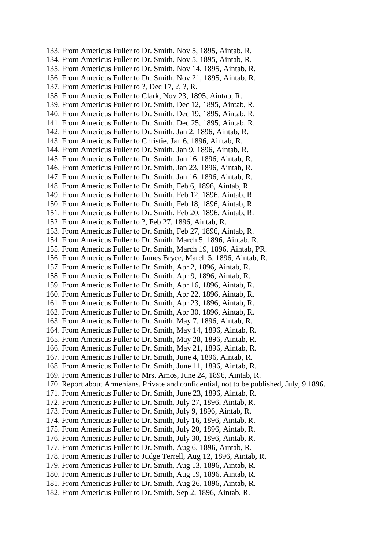133. From Americus Fuller to Dr. Smith, Nov 5, 1895, Aintab, R. 134. From Americus Fuller to Dr. Smith, Nov 5, 1895, Aintab, R. 135. From Americus Fuller to Dr. Smith, Nov 14, 1895, Aintab, R. 136. From Americus Fuller to Dr. Smith, Nov 21, 1895, Aintab, R. 137. From Americus Fuller to ?, Dec 17, ?, ?, R. 138. From Americus Fuller to Clark, Nov 23, 1895, Aintab, R. 139. From Americus Fuller to Dr. Smith, Dec 12, 1895, Aintab, R. 140. From Americus Fuller to Dr. Smith, Dec 19, 1895, Aintab, R. 141. From Americus Fuller to Dr. Smith, Dec 25, 1895, Aintab, R. 142. From Americus Fuller to Dr. Smith, Jan 2, 1896, Aintab, R. 143. From Americus Fuller to Christie, Jan 6, 1896, Aintab, R. 144. From Americus Fuller to Dr. Smith, Jan 9, 1896, Aintab, R. 145. From Americus Fuller to Dr. Smith, Jan 16, 1896, Aintab, R. 146. From Americus Fuller to Dr. Smith, Jan 23, 1896, Aintab, R. 147. From Americus Fuller to Dr. Smith, Jan 16, 1896, Aintab, R. 148. From Americus Fuller to Dr. Smith, Feb 6, 1896, Aintab, R. 149. From Americus Fuller to Dr. Smith, Feb 12, 1896, Aintab, R. 150. From Americus Fuller to Dr. Smith, Feb 18, 1896, Aintab, R. 151. From Americus Fuller to Dr. Smith, Feb 20, 1896, Aintab, R. 152. From Americus Fuller to ?, Feb 27, 1896, Aintab, R. 153. From Americus Fuller to Dr. Smith, Feb 27, 1896, Aintab, R. 154. From Americus Fuller to Dr. Smith, March 5, 1896, Aintab, R. 155. From Americus Fuller to Dr. Smith, March 19, 1896, Aintab, PR. 156. From Americus Fuller to James Bryce, March 5, 1896, Aintab, R. 157. From Americus Fuller to Dr. Smith, Apr 2, 1896, Aintab, R. 158. From Americus Fuller to Dr. Smith, Apr 9, 1896, Aintab, R. 159. From Americus Fuller to Dr. Smith, Apr 16, 1896, Aintab, R. 160. From Americus Fuller to Dr. Smith, Apr 22, 1896, Aintab, R. 161. From Americus Fuller to Dr. Smith, Apr 23, 1896, Aintab, R. 162. From Americus Fuller to Dr. Smith, Apr 30, 1896, Aintab, R. 163. From Americus Fuller to Dr. Smith, May 7, 1896, Aintab, R. 164. From Americus Fuller to Dr. Smith, May 14, 1896, Aintab, R. 165. From Americus Fuller to Dr. Smith, May 28, 1896, Aintab, R. 166. From Americus Fuller to Dr. Smith, May 21, 1896, Aintab, R. 167. From Americus Fuller to Dr. Smith, June 4, 1896, Aintab, R. 168. From Americus Fuller to Dr. Smith, June 11, 1896, Aintab, R. 169. From Americus Fuller to Mrs. Amos, June 24, 1896, Aintab, R. 170. Report about Armenians. Private and confidential, not to be published, July, 9 1896. 171. From Americus Fuller to Dr. Smith, June 23, 1896, Aintab, R. 172. From Americus Fuller to Dr. Smith, July 27, 1896, Aintab, R. 173. From Americus Fuller to Dr. Smith, July 9, 1896, Aintab, R. 174. From Americus Fuller to Dr. Smith, July 16, 1896, Aintab, R. 175. From Americus Fuller to Dr. Smith, July 20, 1896, Aintab, R. 176. From Americus Fuller to Dr. Smith, July 30, 1896, Aintab, R. 177. From Americus Fuller to Dr. Smith, Aug 6, 1896, Aintab, R. 178. From Americus Fuller to Judge Terrell, Aug 12, 1896, Aintab, R. 179. From Americus Fuller to Dr. Smith, Aug 13, 1896, Aintab, R. 180. From Americus Fuller to Dr. Smith, Aug 19, 1896, Aintab, R. 181. From Americus Fuller to Dr. Smith, Aug 26, 1896, Aintab, R. 182. From Americus Fuller to Dr. Smith, Sep 2, 1896, Aintab, R.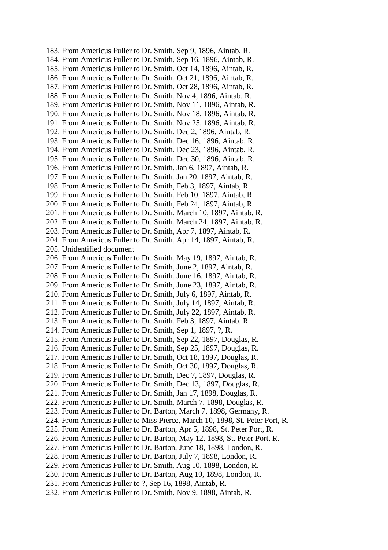183. From Americus Fuller to Dr. Smith, Sep 9, 1896, Aintab, R. 184. From Americus Fuller to Dr. Smith, Sep 16, 1896, Aintab, R. 185. From Americus Fuller to Dr. Smith, Oct 14, 1896, Aintab, R. 186. From Americus Fuller to Dr. Smith, Oct 21, 1896, Aintab, R. 187. From Americus Fuller to Dr. Smith, Oct 28, 1896, Aintab, R. 188. From Americus Fuller to Dr. Smith, Nov 4, 1896, Aintab, R. 189. From Americus Fuller to Dr. Smith, Nov 11, 1896, Aintab, R. 190. From Americus Fuller to Dr. Smith, Nov 18, 1896, Aintab, R. 191. From Americus Fuller to Dr. Smith, Nov 25, 1896, Aintab, R. 192. From Americus Fuller to Dr. Smith, Dec 2, 1896, Aintab, R. 193. From Americus Fuller to Dr. Smith, Dec 16, 1896, Aintab, R. 194. From Americus Fuller to Dr. Smith, Dec 23, 1896, Aintab, R. 195. From Americus Fuller to Dr. Smith, Dec 30, 1896, Aintab, R. 196. From Americus Fuller to Dr. Smith, Jan 6, 1897, Aintab, R. 197. From Americus Fuller to Dr. Smith, Jan 20, 1897, Aintab, R. 198. From Americus Fuller to Dr. Smith, Feb 3, 1897, Aintab, R. 199. From Americus Fuller to Dr. Smith, Feb 10, 1897, Aintab, R. 200. From Americus Fuller to Dr. Smith, Feb 24, 1897, Aintab, R. 201. From Americus Fuller to Dr. Smith, March 10, 1897, Aintab, R. 202. From Americus Fuller to Dr. Smith, March 24, 1897, Aintab, R. 203. From Americus Fuller to Dr. Smith, Apr 7, 1897, Aintab, R. 204. From Americus Fuller to Dr. Smith, Apr 14, 1897, Aintab, R. 205. Unidentified document 206. From Americus Fuller to Dr. Smith, May 19, 1897, Aintab, R. 207. From Americus Fuller to Dr. Smith, June 2, 1897, Aintab, R. 208. From Americus Fuller to Dr. Smith, June 16, 1897, Aintab, R. 209. From Americus Fuller to Dr. Smith, June 23, 1897, Aintab, R. 210. From Americus Fuller to Dr. Smith, July 6, 1897, Aintab, R. 211. From Americus Fuller to Dr. Smith, July 14, 1897, Aintab, R. 212. From Americus Fuller to Dr. Smith, July 22, 1897, Aintab, R. 213. From Americus Fuller to Dr. Smith, Feb 3, 1897, Aintab, R. 214. From Americus Fuller to Dr. Smith, Sep 1, 1897, ?, R. 215. From Americus Fuller to Dr. Smith, Sep 22, 1897, Douglas, R. 216. From Americus Fuller to Dr. Smith, Sep 25, 1897, Douglas, R. 217. From Americus Fuller to Dr. Smith, Oct 18, 1897, Douglas, R. 218. From Americus Fuller to Dr. Smith, Oct 30, 1897, Douglas, R. 219. From Americus Fuller to Dr. Smith, Dec 7, 1897, Douglas, R. 220. From Americus Fuller to Dr. Smith, Dec 13, 1897, Douglas, R. 221. From Americus Fuller to Dr. Smith, Jan 17, 1898, Douglas, R. 222. From Americus Fuller to Dr. Smith, March 7, 1898, Douglas, R. 223. From Americus Fuller to Dr. Barton, March 7, 1898, Germany, R. 224. From Americus Fuller to Miss Pierce, March 10, 1898, St. Peter Port, R. 225. From Americus Fuller to Dr. Barton, Apr 5, 1898, St. Peter Port, R. 226. From Americus Fuller to Dr. Barton, May 12, 1898, St. Peter Port, R. 227. From Americus Fuller to Dr. Barton, June 18, 1898, London, R. 228. From Americus Fuller to Dr. Barton, July 7, 1898, London, R. 229. From Americus Fuller to Dr. Smith, Aug 10, 1898, London, R. 230. From Americus Fuller to Dr. Barton, Aug 10, 1898, London, R. 231. From Americus Fuller to ?, Sep 16, 1898, Aintab, R. 232. From Americus Fuller to Dr. Smith, Nov 9, 1898, Aintab, R.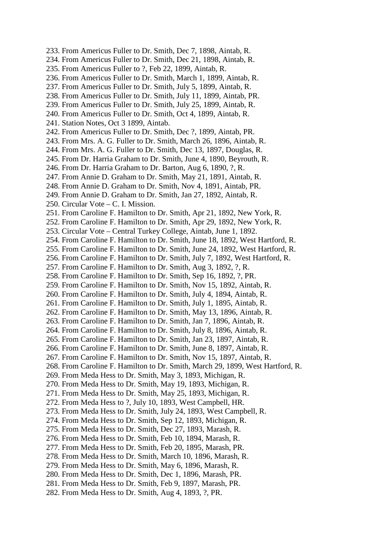- 233. From Americus Fuller to Dr. Smith, Dec 7, 1898, Aintab, R.
- 234. From Americus Fuller to Dr. Smith, Dec 21, 1898, Aintab, R.
- 235. From Americus Fuller to ?, Feb 22, 1899, Aintab, R.
- 236. From Americus Fuller to Dr. Smith, March 1, 1899, Aintab, R.
- 237. From Americus Fuller to Dr. Smith, July 5, 1899, Aintab, R.
- 238. From Americus Fuller to Dr. Smith, July 11, 1899, Aintab, PR.
- 239. From Americus Fuller to Dr. Smith, July 25, 1899, Aintab, R.
- 240. From Americus Fuller to Dr. Smith, Oct 4, 1899, Aintab, R.
- 241. Station Notes, Oct 3 1899, Aintab.
- 242. From Americus Fuller to Dr. Smith, Dec ?, 1899, Aintab, PR.
- 243. From Mrs. A. G. Fuller to Dr. Smith, March 26, 1896, Aintab, R.
- 244. From Mrs. A. G. Fuller to Dr. Smith, Dec 13, 1897, Douglas, R.
- 245. From Dr. Harria Graham to Dr. Smith, June 4, 1890, Beyrouth, R.
- 246. From Dr. Harria Graham to Dr. Barton, Aug 6, 1890, ?, R.
- 247. From Annie D. Graham to Dr. Smith, May 21, 1891, Aintab, R.
- 248. From Annie D. Graham to Dr. Smith, Nov 4, 1891, Aintab, PR.
- 249. From Annie D. Graham to Dr. Smith, Jan 27, 1892, Aintab, R.
- 250. Circular Vote C. I. Mission.
- 251. From Caroline F. Hamilton to Dr. Smith, Apr 21, 1892, New York, R.
- 252. From Caroline F. Hamilton to Dr. Smith, Apr 29, 1892, New York, R.
- 253. Circular Vote Central Turkey College, Aintab, June 1, 1892.
- 254. From Caroline F. Hamilton to Dr. Smith, June 18, 1892, West Hartford, R.
- 255. From Caroline F. Hamilton to Dr. Smith, June 24, 1892, West Hartford, R.
- 256. From Caroline F. Hamilton to Dr. Smith, July 7, 1892, West Hartford, R.
- 257. From Caroline F. Hamilton to Dr. Smith, Aug 3, 1892, ?, R.
- 258. From Caroline F. Hamilton to Dr. Smith, Sep 16, 1892, ?, PR.
- 259. From Caroline F. Hamilton to Dr. Smith, Nov 15, 1892, Aintab, R.
- 260. From Caroline F. Hamilton to Dr. Smith, July 4, 1894, Aintab, R.
- 261. From Caroline F. Hamilton to Dr. Smith, July 1, 1895, Aintab, R.
- 262. From Caroline F. Hamilton to Dr. Smith, May 13, 1896, Aintab, R.
- 263. From Caroline F. Hamilton to Dr. Smith, Jan 7, 1896, Aintab, R.
- 264. From Caroline F. Hamilton to Dr. Smith, July 8, 1896, Aintab, R.
- 265. From Caroline F. Hamilton to Dr. Smith, Jan 23, 1897, Aintab, R.
- 266. From Caroline F. Hamilton to Dr. Smith, June 8, 1897, Aintab, R.
- 267. From Caroline F. Hamilton to Dr. Smith, Nov 15, 1897, Aintab, R.
- 268. From Caroline F. Hamilton to Dr. Smith, March 29, 1899, West Hartford, R.
- 269. From Meda Hess to Dr. Smith, May 3, 1893, Michigan, R.
- 270. From Meda Hess to Dr. Smith, May 19, 1893, Michigan, R.
- 271. From Meda Hess to Dr. Smith, May 25, 1893, Michigan, R.
- 272. From Meda Hess to ?, July 10, 1893, West Campbell, HR.
- 273. From Meda Hess to Dr. Smith, July 24, 1893, West Campbell, R.
- 274. From Meda Hess to Dr. Smith, Sep 12, 1893, Michigan, R.
- 275. From Meda Hess to Dr. Smith, Dec 27, 1893, Marash, R.
- 276. From Meda Hess to Dr. Smith, Feb 10, 1894, Marash, R.
- 277. From Meda Hess to Dr. Smith, Feb 20, 1895, Marash, PR.
- 278. From Meda Hess to Dr. Smith, March 10, 1896, Marash, R.
- 279. From Meda Hess to Dr. Smith, May 6, 1896, Marash, R.
- 280. From Meda Hess to Dr. Smith, Dec 1, 1896, Marash, PR.
- 281. From Meda Hess to Dr. Smith, Feb 9, 1897, Marash, PR.
- 282. From Meda Hess to Dr. Smith, Aug 4, 1893, ?, PR.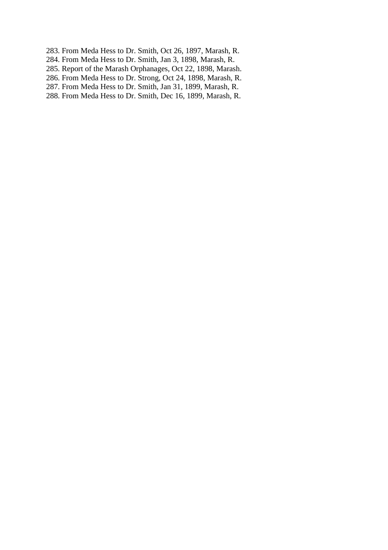- 283. From Meda Hess to Dr. Smith, Oct 26, 1897, Marash, R.
- 284. From Meda Hess to Dr. Smith, Jan 3, 1898, Marash, R.
- 285. Report of the Marash Orphanages, Oct 22, 1898, Marash.
- 286. From Meda Hess to Dr. Strong, Oct 24, 1898, Marash, R.
- 287. From Meda Hess to Dr. Smith, Jan 31, 1899, Marash, R.
- 288. From Meda Hess to Dr. Smith, Dec 16, 1899, Marash, R.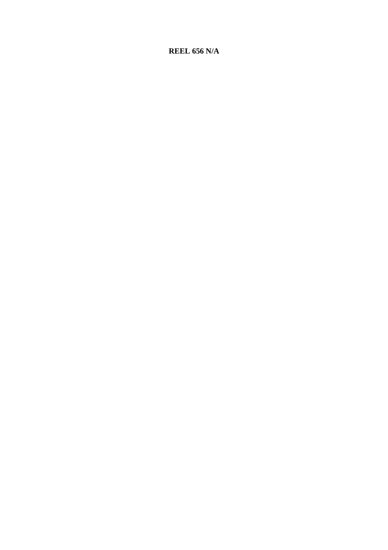# **REEL 656 N/A**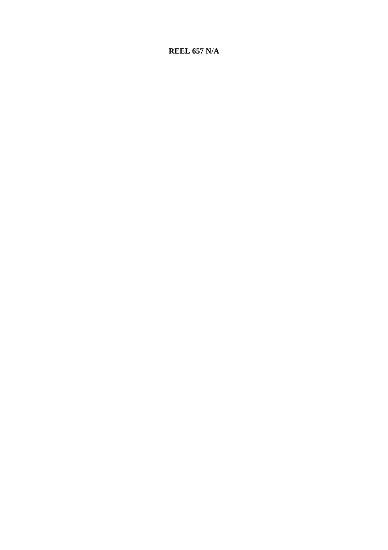# **REEL 657 N/A**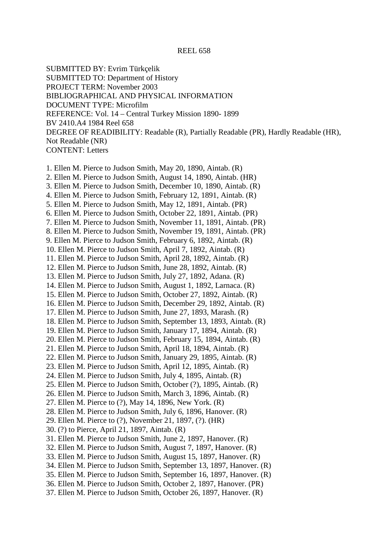#### REEL 658

SUBMITTED BY: Evrim Türkçelik

SUBMITTED TO: Department of History

PROJECT TERM: November 2003

BIBLIOGRAPHICAL AND PHYSICAL INFORMATION

DOCUMENT TYPE: Microfilm

REFERENCE: Vol. 14 – Central Turkey Mission 1890- 1899

BV 2410.A4 1984 Reel 658

DEGREE OF READIBILITY: Readable (R), Partially Readable (PR), Hardly Readable (HR), Not Readable (NR)

CONTENT: Letters

1. Ellen M. Pierce to Judson Smith, May 20, 1890, Aintab. (R) 2. Ellen M. Pierce to Judson Smith, August 14, 1890, Aintab. (HR)

- 3. Ellen M. Pierce to Judson Smith, December 10, 1890, Aintab. (R)
- 4. Ellen M. Pierce to Judson Smith, February 12, 1891, Aintab. (R)
- 5. Ellen M. Pierce to Judson Smith, May 12, 1891, Aintab. (PR)
- 6. Ellen M. Pierce to Judson Smith, October 22, 1891, Aintab. (PR)
- 7. Ellen M. Pierce to Judson Smith, November 11, 1891, Aintab. (PR)
- 8. Ellen M. Pierce to Judson Smith, November 19, 1891, Aintab. (PR)
- 9. Ellen M. Pierce to Judson Smith, February 6, 1892, Aintab. (R)
- 10. Ellen M. Pierce to Judson Smith, April 7, 1892, Aintab. (R)
- 11. Ellen M. Pierce to Judson Smith, April 28, 1892, Aintab. (R)
- 12. Ellen M. Pierce to Judson Smith, June 28, 1892, Aintab. (R)
- 13. Ellen M. Pierce to Judson Smith, July 27, 1892, Adana. (R)
- 14. Ellen M. Pierce to Judson Smith, August 1, 1892, Larnaca. (R)
- 15. Ellen M. Pierce to Judson Smith, October 27, 1892, Aintab. (R)
- 16. Ellen M. Pierce to Judson Smith, December 29, 1892, Aintab. (R)
- 17. Ellen M. Pierce to Judson Smith, June 27, 1893, Marash. (R)
- 18. Ellen M. Pierce to Judson Smith, September 13, 1893, Aintab. (R)
- 19. Ellen M. Pierce to Judson Smith, January 17, 1894, Aintab. (R)
- 20. Ellen M. Pierce to Judson Smith, February 15, 1894, Aintab. (R)
- 21. Ellen M. Pierce to Judson Smith, April 18, 1894, Aintab. (R)
- 22. Ellen M. Pierce to Judson Smith, January 29, 1895, Aintab. (R)
- 23. Ellen M. Pierce to Judson Smith, April 12, 1895, Aintab. (R)
- 24. Ellen M. Pierce to Judson Smith, July 4, 1895, Aintab. (R)
- 25. Ellen M. Pierce to Judson Smith, October (?), 1895, Aintab. (R)
- 26. Ellen M. Pierce to Judson Smith, March 3, 1896, Aintab. (R)
- 27. Ellen M. Pierce to (?), May 14, 1896, New York. (R)
- 28. Ellen M. Pierce to Judson Smith, July 6, 1896, Hanover. (R)
- 29. Ellen M. Pierce to (?), November 21, 1897, (?). (HR)
- 30. (?) to Pierce, April 21, 1897, Aintab. (R)
- 31. Ellen M. Pierce to Judson Smith, June 2, 1897, Hanover. (R)
- 32. Ellen M. Pierce to Judson Smith, August 7, 1897, Hanover. (R)
- 33. Ellen M. Pierce to Judson Smith, August 15, 1897, Hanover. (R)
- 34. Ellen M. Pierce to Judson Smith, September 13, 1897, Hanover. (R)
- 35. Ellen M. Pierce to Judson Smith, September 16, 1897, Hanover. (R)
- 36. Ellen M. Pierce to Judson Smith, October 2, 1897, Hanover. (PR)
- 37. Ellen M. Pierce to Judson Smith, October 26, 1897, Hanover. (R)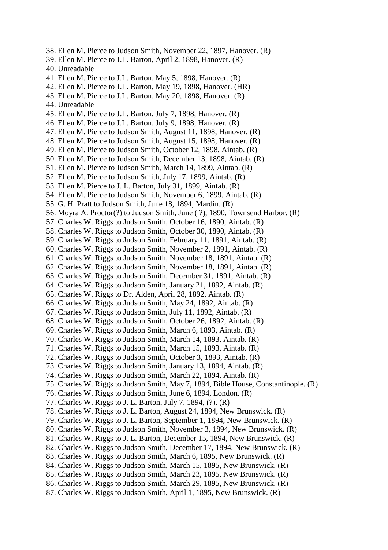- 38. Ellen M. Pierce to Judson Smith, November 22, 1897, Hanover. (R)
- 39. Ellen M. Pierce to J.L. Barton, April 2, 1898, Hanover. (R)
- 40. Unreadable
- 41. Ellen M. Pierce to J.L. Barton, May 5, 1898, Hanover. (R)
- 42. Ellen M. Pierce to J.L. Barton, May 19, 1898, Hanover. (HR)
- 43. Ellen M. Pierce to J.L. Barton, May 20, 1898, Hanover. (R)
- 44. Unreadable
- 45. Ellen M. Pierce to J.L. Barton, July 7, 1898, Hanover. (R)
- 46. Ellen M. Pierce to J.L. Barton, July 9, 1898, Hanover. (R)
- 47. Ellen M. Pierce to Judson Smith, August 11, 1898, Hanover. (R)
- 48. Ellen M. Pierce to Judson Smith, August 15, 1898, Hanover. (R)
- 49. Ellen M. Pierce to Judson Smith, October 12, 1898, Aintab. (R)
- 50. Ellen M. Pierce to Judson Smith, December 13, 1898, Aintab. (R)
- 51. Ellen M. Pierce to Judson Smith, March 14, 1899, Aintab. (R)
- 52. Ellen M. Pierce to Judson Smith, July 17, 1899, Aintab. (R)
- 53. Ellen M. Pierce to J. L. Barton, July 31, 1899, Aintab. (R)
- 54. Ellen M. Pierce to Judson Smith, November 6, 1899, Aintab. (R)
- 55. G. H. Pratt to Judson Smith, June 18, 1894, Mardin. (R)
- 56. Moyra A. Proctor(?) to Judson Smith, June ( ?), 1890, Townsend Harbor. (R)
- 57. Charles W. Riggs to Judson Smith, October 16, 1890, Aintab. (R)
- 58. Charles W. Riggs to Judson Smith, October 30, 1890, Aintab. (R)
- 59. Charles W. Riggs to Judson Smith, February 11, 1891, Aintab. (R)
- 60. Charles W. Riggs to Judson Smith, November 2, 1891, Aintab. (R)
- 61. Charles W. Riggs to Judson Smith, November 18, 1891, Aintab. (R)
- 62. Charles W. Riggs to Judson Smith, November 18, 1891, Aintab. (R)
- 63. Charles W. Riggs to Judson Smith, December 31, 1891, Aintab. (R)
- 64. Charles W. Riggs to Judson Smith, January 21, 1892, Aintab. (R)
- 65. Charles W. Riggs to Dr. Alden, April 28, 1892, Aintab. (R)
- 66. Charles W. Riggs to Judson Smith, May 24, 1892, Aintab. (R)
- 67. Charles W. Riggs to Judson Smith, July 11, 1892, Aintab. (R)
- 68. Charles W. Riggs to Judson Smith, October 26, 1892, Aintab. (R)
- 69. Charles W. Riggs to Judson Smith, March 6, 1893, Aintab. (R)
- 70. Charles W. Riggs to Judson Smith, March 14, 1893, Aintab. (R)
- 71. Charles W. Riggs to Judson Smith, March 15, 1893, Aintab. (R)
- 72. Charles W. Riggs to Judson Smith, October 3, 1893, Aintab. (R)
- 73. Charles W. Riggs to Judson Smith, January 13, 1894, Aintab. (R)
- 74. Charles W. Riggs to Judson Smith, March 22, 1894, Aintab. (R)
- 75. Charles W. Riggs to Judson Smith, May 7, 1894, Bible House, Constantinople. (R)
- 76. Charles W. Riggs to Judson Smith, June 6, 1894, London. (R)
- 77. Charles W. Riggs to J. L. Barton, July 7, 1894, (?). (R)
- 78. Charles W. Riggs to J. L. Barton, August 24, 1894, New Brunswick. (R)
- 79. Charles W. Riggs to J. L. Barton, September 1, 1894, New Brunswick. (R)
- 80. Charles W. Riggs to Judson Smith, November 3, 1894, New Brunswick. (R)
- 81. Charles W. Riggs to J. L. Barton, December 15, 1894, New Brunswick. (R)
- 82. Charles W. Riggs to Judson Smith, December 17, 1894, New Brunswick. (R)
- 83. Charles W. Riggs to Judson Smith, March 6, 1895, New Brunswick. (R)
- 84. Charles W. Riggs to Judson Smith, March 15, 1895, New Brunswick. (R)
- 85. Charles W. Riggs to Judson Smith, March 23, 1895, New Brunswick. (R)
- 86. Charles W. Riggs to Judson Smith, March 29, 1895, New Brunswick. (R)
- 87. Charles W. Riggs to Judson Smith, April 1, 1895, New Brunswick. (R)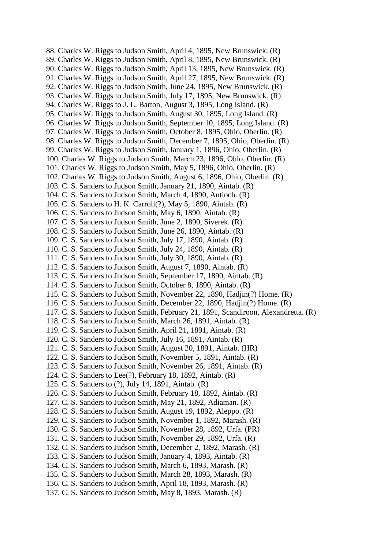88. Charles W. Riggs to Judson Smith, April 4, 1895, New Brunswick. (R) 89. Charles W. Riggs to Judson Smith, April 8, 1895, New Brunswick. (R) 90. Charles W. Riggs to Judson Smith, April 13, 1895, New Brunswick. (R) 91. Charles W. Riggs to Judson Smith, April 27, 1895, New Brunswick. (R) 92. Charles W. Riggs to Judson Smith, June 24, 1895, New Brunswick. (R) 93. Charles W. Riggs to Judson Smith, July 17, 1895, New Brunswick. (R) 94. Charles W. Riggs to J. L. Barton, August 3, 1895, Long Island. (R) 95. Charles W. Riggs to Judson Smith, August 30, 1895, Long Island. (R) 96. Charles W. Riggs to Judson Smith, September 10, 1895, Long Island. (R) 97. Charles W. Riggs to Judson Smith, October 8, 1895, Ohio, Oberlin. (R) 98. Charles W. Riggs to Judson Smith, December 7, 1895, Ohio, Oberlin. (R) 99. Charles W. Riggs to Judson Smith, January 1, 1896, Ohio, Oberlin. (R) 100. Charles W. Riggs to Judson Smith, March 23, 1896, Ohio, Oberlin. (R) 101. Charles W. Riggs to Judson Smith, May 5, 1896, Ohio, Oberlin. (R) 102. Charles W. Riggs to Judson Smith, August 6, 1896, Ohio, Oberlin. (R) 103. C. S. Sanders to Judson Smith, January 21, 1890, Aintab. (R) 104. C. S. Sanders to Judson Smith, March 4, 1890, Antioch. (R) 105. C. S. Sanders to H. K. Carroll(?), May 5, 1890, Aintab. (R) 106. C. S. Sanders to Judson Smith, May 6, 1890, Aintab. (R) 107. C. S. Sanders to Judson Smith, June 2, 1890, Siverek. (R) 108. C. S. Sanders to Judson Smith, June 26, 1890, Aintab. (R) 109. C. S. Sanders to Judson Smith, July 17, 1890, Aintab. (R) 110. C. S. Sanders to Judson Smith, July 24, 1890, Aintab. (R) 111. C. S. Sanders to Judson Smith, July 30, 1890, Aintab. (R) 112. C. S. Sanders to Judson Smith, August 7, 1890, Aintab. (R) 113. C. S. Sanders to Judson Smith, September 17, 1890, Aintab. (R) 114. C. S. Sanders to Judson Smith, October 8, 1890, Aintab. (R) 115. C. S. Sanders to Judson Smith, November 22, 1890, Hadjin(?) Home. (R) 116. C. S. Sanders to Judson Smith, December 22, 1890, Hadjin(?) Home. (R) 117. C. S. Sanders to Judson Smith, February 21, 1891, Scandiroon, Alexandretta. (R) 118. C. S. Sanders to Judson Smith, March 26, 1891, Aintab. (R) 119. C. S. Sanders to Judson Smith, April 21, 1891, Aintab. (R) 120. C. S. Sanders to Judson Smith, July 16, 1891, Aintab. (R) 121. C. S. Sanders to Judson Smith, August 20, 1891, Aintab. (HR) 122. C. S. Sanders to Judson Smith, November 5, 1891, Aintab. (R) 123. C. S. Sanders to Judson Smith, November 26, 1891, Aintab. (R) 124. C. S. Sanders to Lee(?), February 18, 1892, Aintab. (R) 125. C. S. Sanders to (?), July 14, 1891, Aintab. (R) 126. C. S. Sanders to Judson Smith, February 18, 1892, Aintab. (R) 127. C. S. Sanders to Judson Smith, May 21, 1892, Adiaman. (R) 128. C. S. Sanders to Judson Smith, August 19, 1892, Aleppo. (R) 129. C. S. Sanders to Judson Smith, November 1, 1892, Marash. (R) 130. C. S. Sanders to Judson Smith, November 28, 1892, Urfa. (PR) 131. C. S. Sanders to Judson Smith, November 29, 1892, Urfa. (R) 132. C. S. Sanders to Judson Smith, December 2, 1892, Marash. (R) 133. C. S. Sanders to Judson Smith, January 4, 1893, Aintab. (R) 134. C. S. Sanders to Judson Smith, March 6, 1893, Marash. (R) 135. C. S. Sanders to Judson Smith, March 28, 1893, Marash. (R) 136. C. S. Sanders to Judson Smith, April 18, 1893, Marash. (R) 137. C. S. Sanders to Judson Smith, May 8, 1893, Marash. (R)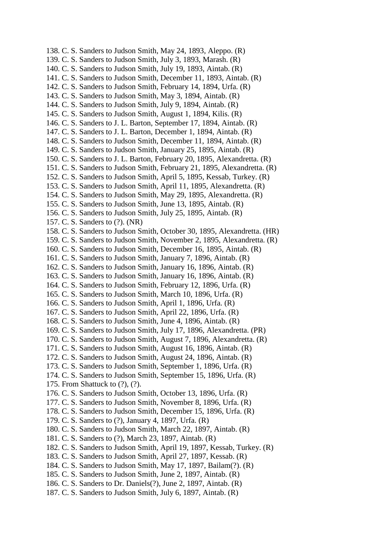138. C. S. Sanders to Judson Smith, May 24, 1893, Aleppo. (R) 139. C. S. Sanders to Judson Smith, July 3, 1893, Marash. (R) 140. C. S. Sanders to Judson Smith, July 19, 1893, Aintab. (R) 141. C. S. Sanders to Judson Smith, December 11, 1893, Aintab. (R) 142. C. S. Sanders to Judson Smith, February 14, 1894, Urfa. (R) 143. C. S. Sanders to Judson Smith, May 3, 1894, Aintab. (R) 144. C. S. Sanders to Judson Smith, July 9, 1894, Aintab. (R) 145. C. S. Sanders to Judson Smith, August 1, 1894, Kilis. (R) 146. C. S. Sanders to J. L. Barton, September 17, 1894, Aintab. (R) 147. C. S. Sanders to J. L. Barton, December 1, 1894, Aintab. (R) 148. C. S. Sanders to Judson Smith, December 11, 1894, Aintab. (R) 149. C. S. Sanders to Judson Smith, January 25, 1895, Aintab. (R) 150. C. S. Sanders to J. L. Barton, February 20, 1895, Alexandretta. (R) 151. C. S. Sanders to Judson Smith, February 21, 1895, Alexandretta. (R) 152. C. S. Sanders to Judson Smith, April 5, 1895, Kessab, Turkey. (R) 153. C. S. Sanders to Judson Smith, April 11, 1895, Alexandretta. (R) 154. C. S. Sanders to Judson Smith, May 29, 1895, Alexandretta. (R) 155. C. S. Sanders to Judson Smith, June 13, 1895, Aintab. (R) 156. C. S. Sanders to Judson Smith, July 25, 1895, Aintab. (R) 157. C. S. Sanders to (?). (NR) 158. C. S. Sanders to Judson Smith, October 30, 1895, Alexandretta. (HR) 159. C. S. Sanders to Judson Smith, November 2, 1895, Alexandretta. (R) 160. C. S. Sanders to Judson Smith, December 16, 1895, Aintab. (R) 161. C. S. Sanders to Judson Smith, January 7, 1896, Aintab. (R) 162. C. S. Sanders to Judson Smith, January 16, 1896, Aintab. (R) 163. C. S. Sanders to Judson Smith, January 16, 1896, Aintab. (R) 164. C. S. Sanders to Judson Smith, February 12, 1896, Urfa. (R) 165. C. S. Sanders to Judson Smith, March 10, 1896, Urfa. (R) 166. C. S. Sanders to Judson Smith, April 1, 1896, Urfa. (R) 167. C. S. Sanders to Judson Smith, April 22, 1896, Urfa. (R) 168. C. S. Sanders to Judson Smith, June 4, 1896, Aintab. (R) 169. C. S. Sanders to Judson Smith, July 17, 1896, Alexandretta. (PR) 170. C. S. Sanders to Judson Smith, August 7, 1896, Alexandretta. (R) 171. C. S. Sanders to Judson Smith, August 16, 1896, Aintab. (R) 172. C. S. Sanders to Judson Smith, August 24, 1896, Aintab. (R) 173. C. S. Sanders to Judson Smith, September 1, 1896, Urfa. (R) 174. C. S. Sanders to Judson Smith, September 15, 1896, Urfa. (R) 175. From Shattuck to (?), (?). 176. C. S. Sanders to Judson Smith, October 13, 1896, Urfa. (R) 177. C. S. Sanders to Judson Smith, November 8, 1896, Urfa. (R) 178. C. S. Sanders to Judson Smith, December 15, 1896, Urfa. (R) 179. C. S. Sanders to (?), January 4, 1897, Urfa. (R) 180. C. S. Sanders to Judson Smith, March 22, 1897, Aintab. (R) 181. C. S. Sanders to (?), March 23, 1897, Aintab. (R) 182. C. S. Sanders to Judson Smith, April 19, 1897, Kessab, Turkey. (R) 183. C. S. Sanders to Judson Smith, April 27, 1897, Kessab. (R) 184. C. S. Sanders to Judson Smith, May 17, 1897, Bailam(?). (R) 185. C. S. Sanders to Judson Smith, June 2, 1897, Aintab. (R) 186. C. S. Sanders to Dr. Daniels(?), June 2, 1897, Aintab. (R) 187. C. S. Sanders to Judson Smith, July 6, 1897, Aintab. (R)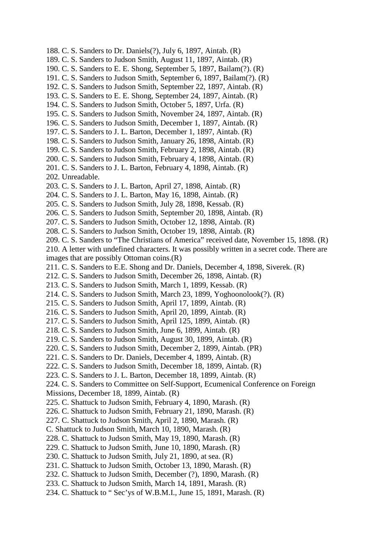- 188. C. S. Sanders to Dr. Daniels(?), July 6, 1897, Aintab. (R)
- 189. C. S. Sanders to Judson Smith, August 11, 1897, Aintab. (R)
- 190. C. S. Sanders to E. E. Shong, September 5, 1897, Bailam(?). (R)
- 191. C. S. Sanders to Judson Smith, September 6, 1897, Bailam(?). (R)
- 192. C. S. Sanders to Judson Smith, September 22, 1897, Aintab. (R)
- 193. C. S. Sanders to E. E. Shong, September 24, 1897, Aintab. (R)
- 194. C. S. Sanders to Judson Smith, October 5, 1897, Urfa. (R)
- 195. C. S. Sanders to Judson Smith, November 24, 1897, Aintab. (R)
- 196. C. S. Sanders to Judson Smith, December 1, 1897, Aintab. (R)
- 197. C. S. Sanders to J. L. Barton, December 1, 1897, Aintab. (R)
- 198. C. S. Sanders to Judson Smith, January 26, 1898, Aintab. (R)
- 199. C. S. Sanders to Judson Smith, February 2, 1898, Aintab. (R)
- 200. C. S. Sanders to Judson Smith, February 4, 1898, Aintab. (R)
- 201. C. S. Sanders to J. L. Barton, February 4, 1898, Aintab. (R)
- 202. Unreadable.
- 203. C. S. Sanders to J. L. Barton, April 27, 1898, Aintab. (R)
- 204. C. S. Sanders to J. L. Barton, May 16, 1898, Aintab. (R)
- 205. C. S. Sanders to Judson Smith, July 28, 1898, Kessab. (R)
- 206. C. S. Sanders to Judson Smith, September 20, 1898, Aintab. (R)
- 207. C. S. Sanders to Judson Smith, October 12, 1898, Aintab. (R)
- 208. C. S. Sanders to Judson Smith, October 19, 1898, Aintab. (R)
- 209. C. S. Sanders to "The Christians of America" received date, November 15, 1898. (R)

210. A letter with undefined characters. It was possibly written in a secret code. There are images that are possibly Ottoman coins.(R)

- 211. C. S. Sanders to E.E. Shong and Dr. Daniels, December 4, 1898, Siverek. (R)
- 212. C. S. Sanders to Judson Smith, December 26, 1898, Aintab. (R)
- 213. C. S. Sanders to Judson Smith, March 1, 1899, Kessab. (R)
- 214. C. S. Sanders to Judson Smith, March 23, 1899, Yoghoonolook(?). (R)
- 215. C. S. Sanders to Judson Smith, April 17, 1899, Aintab. (R)
- 216. C. S. Sanders to Judson Smith, April 20, 1899, Aintab. (R)
- 217. C. S. Sanders to Judson Smith, April 125, 1899, Aintab. (R)
- 218. C. S. Sanders to Judson Smith, June 6, 1899, Aintab. (R)
- 219. C. S. Sanders to Judson Smith, August 30, 1899, Aintab. (R)
- 220. C. S. Sanders to Judson Smith, December 2, 1899, Aintab. (PR)
- 221. C. S. Sanders to Dr. Daniels, December 4, 1899, Aintab. (R)
- 222. C. S. Sanders to Judson Smith, December 18, 1899, Aintab. (R)
- 223. C. S. Sanders to J. L. Barton, December 18, 1899, Aintab. (R)

224. C. S. Sanders to Committee on Self-Support, Ecumenical Conference on Foreign

- Missions, December 18, 1899, Aintab. (R)
- 225. C. Shattuck to Judson Smith, February 4, 1890, Marash. (R)
- 226. C. Shattuck to Judson Smith, February 21, 1890, Marash. (R)
- 227. C. Shattuck to Judson Smith, April 2, 1890, Marash. (R)
- C. Shattuck to Judson Smith, March 10, 1890, Marash. (R)
- 228. C. Shattuck to Judson Smith, May 19, 1890, Marash. (R)
- 229. C. Shattuck to Judson Smith, June 10, 1890, Marash. (R)
- 230. C. Shattuck to Judson Smith, July 21, 1890, at sea. (R)
- 231. C. Shattuck to Judson Smith, October 13, 1890, Marash. (R)
- 232. C. Shattuck to Judson Smith, December (?), 1890, Marash. (R)
- 233. C. Shattuck to Judson Smith, March 14, 1891, Marash. (R)
- 234. C. Shattuck to " Sec'ys of W.B.M.I., June 15, 1891, Marash. (R)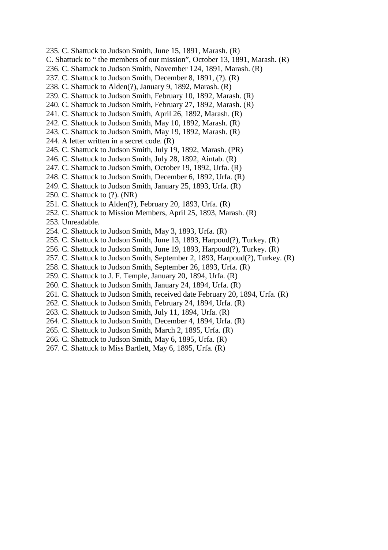- 235. C. Shattuck to Judson Smith, June 15, 1891, Marash. (R)
- C. Shattuck to " the members of our mission", October 13, 1891, Marash. (R)
- 236. C. Shattuck to Judson Smith, November 124, 1891, Marash. (R)
- 237. C. Shattuck to Judson Smith, December 8, 1891, (?). (R)
- 238. C. Shattuck to Alden(?), January 9, 1892, Marash. (R)
- 239. C. Shattuck to Judson Smith, February 10, 1892, Marash. (R)
- 240. C. Shattuck to Judson Smith, February 27, 1892, Marash. (R)
- 241. C. Shattuck to Judson Smith, April 26, 1892, Marash. (R)
- 242. C. Shattuck to Judson Smith, May 10, 1892, Marash. (R)
- 243. C. Shattuck to Judson Smith, May 19, 1892, Marash. (R)
- 244. A letter written in a secret code. (R)
- 245. C. Shattuck to Judson Smith, July 19, 1892, Marash. (PR)
- 246. C. Shattuck to Judson Smith, July 28, 1892, Aintab. (R)
- 247. C. Shattuck to Judson Smith, October 19, 1892, Urfa. (R)
- 248. C. Shattuck to Judson Smith, December 6, 1892, Urfa. (R)
- 249. C. Shattuck to Judson Smith, January 25, 1893, Urfa. (R)
- 250. C. Shattuck to (?). (NR)
- 251. C. Shattuck to Alden(?), February 20, 1893, Urfa. (R)
- 252. C. Shattuck to Mission Members, April 25, 1893, Marash. (R)
- 253. Unreadable.
- 254. C. Shattuck to Judson Smith, May 3, 1893, Urfa. (R)
- 255. C. Shattuck to Judson Smith, June 13, 1893, Harpoud(?), Turkey. (R)
- 256. C. Shattuck to Judson Smith, June 19, 1893, Harpoud(?), Turkey. (R)
- 257. C. Shattuck to Judson Smith, September 2, 1893, Harpoud(?), Turkey. (R)
- 258. C. Shattuck to Judson Smith, September 26, 1893, Urfa. (R)
- 259. C. Shattuck to J. F. Temple, January 20, 1894, Urfa. (R)
- 260. C. Shattuck to Judson Smith, January 24, 1894, Urfa. (R)
- 261. C. Shattuck to Judson Smith, received date February 20, 1894, Urfa. (R)
- 262. C. Shattuck to Judson Smith, February 24, 1894, Urfa. (R)
- 263. C. Shattuck to Judson Smith, July 11, 1894, Urfa. (R)
- 264. C. Shattuck to Judson Smith, December 4, 1894, Urfa. (R)
- 265. C. Shattuck to Judson Smith, March 2, 1895, Urfa. (R)
- 266. C. Shattuck to Judson Smith, May 6, 1895, Urfa. (R)
- 267. C. Shattuck to Miss Bartlett, May 6, 1895, Urfa. (R)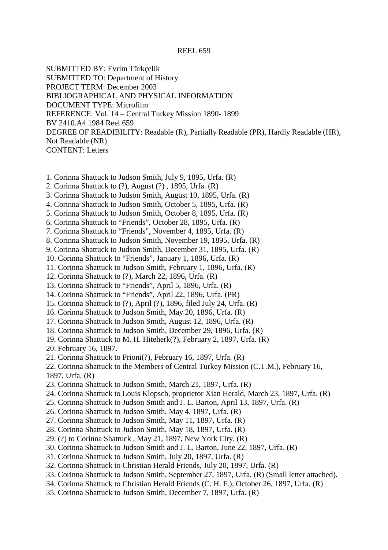#### REEL 659

SUBMITTED BY: Evrim Türkçelik SUBMITTED TO: Department of History PROJECT TERM: December 2003

BIBLIOGRAPHICAL AND PHYSICAL INFORMATION

DOCUMENT TYPE: Microfilm

REFERENCE: Vol. 14 – Central Turkey Mission 1890- 1899

BV 2410.A4 1984 Reel 659

DEGREE OF READIBILITY: Readable (R), Partially Readable (PR), Hardly Readable (HR), Not Readable (NR)

CONTENT: Letters

- 1. Corinna Shattuck to Judson Smith, July 9, 1895, Urfa. (R)
- 2. Corinna Shattuck to (?), August (?) , 1895, Urfa. (R)
- 3. Corinna Shattuck to Judson Smith, August 10, 1895, Urfa. (R)
- 4. Corinna Shattuck to Judson Smith, October 5, 1895, Urfa. (R)
- 5. Corinna Shattuck to Judson Smith, October 8, 1895, Urfa. (R)
- 6. Corinna Shattuck to "Friends", October 28, 1895, Urfa. (R)
- 7. Corinna Shattuck to "Friends", November 4, 1895, Urfa. (R)
- 8. Corinna Shattuck to Judson Smith, November 19, 1895, Urfa. (R)
- 9. Corinna Shattuck to Judson Smith, December 31, 1895, Urfa. (R)
- 10. Corinna Shattuck to "Friends", January 1, 1896, Urfa. (R)
- 11. Corinna Shattuck to Judson Smith, February 1, 1896, Urfa. (R)
- 12. Corinna Shattuck to (?), March 22, 1896, Urfa. (R)
- 13. Corinna Shattuck to "Friends", April 5, 1896, Urfa. (R)
- 14. Corinna Shattuck to "Friends", April 22, 1896, Urfa. (PR)
- 15. Corinna Shattuck to (?), April (?), 1896, filed July 24, Urfa. (R)
- 16. Corinna Shattuck to Judson Smith, May 20, 1896, Urfa. (R)
- 17. Corinna Shattuck to Judson Smith, August 12, 1896, Urfa. (R)
- 18. Corinna Shattuck to Judson Smith, December 29, 1896, Urfa. (R)
- 19. Corinna Shattuck to M. H. Hiteherk(?), February 2, 1897, Urfa. (R)

20. February 16, 1897.

21. Corinna Shattuck to Prioni(?), February 16, 1897, Urfa. (R)

22. Corinna Shattuck to the Members of Central Turkey Mission (C.T.M.), February 16, 1897, Urfa. (R)

- 23. Corinna Shattuck to Judson Smith, March 21, 1897, Urfa. (R)
- 24. Corinna Shattuck to Louis Klopsch, proprietor Xian Herald, March 23, 1897, Urfa. (R)
- 25. Corinna Shattuck to Judson Smith and J. L. Barton, April 13, 1897, Urfa. (R)
- 26. Corinna Shattuck to Judson Smith, May 4, 1897, Urfa. (R)
- 27. Corinna Shattuck to Judson Smith, May 11, 1897, Urfa. (R)
- 28. Corinna Shattuck to Judson Smith, May 18, 1897, Urfa. (R)
- 29. (?) to Corinna Shattuck , May 21, 1897, New York City. (R)
- 30. Corinna Shattuck to Judson Smith and J. L. Barton, June 22, 1897, Urfa. (R)
- 31. Corinna Shattuck to Judson Smith, July 20, 1897, Urfa. (R)
- 32. Corinna Shattuck to Christian Herald Friends, July 20, 1897, Urfa. (R)
- 33. Corinna Shattuck to Judson Smith, September 27, 1897, Urfa. (R) (Small letter attached).
- 34. Corinna Shattuck to Christian Herald Friends (C. H. F.), October 26, 1897, Urfa. (R)
- 35. Corinna Shattuck to Judson Smith, December 7, 1897, Urfa. (R)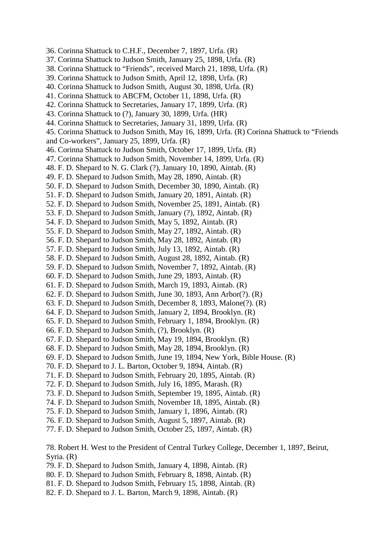- 36. Corinna Shattuck to C.H.F., December 7, 1897, Urfa. (R)
- 37. Corinna Shattuck to Judson Smith, January 25, 1898, Urfa. (R)
- 38. Corinna Shattuck to "Friends", received March 21, 1898, Urfa. (R)
- 39. Corinna Shattuck to Judson Smith, April 12, 1898, Urfa. (R)
- 40. Corinna Shattuck to Judson Smith, August 30, 1898, Urfa. (R)
- 41. Corinna Shattuck to ABCFM, October 11, 1898, Urfa. (R)
- 42. Corinna Shattuck to Secretaries, January 17, 1899, Urfa. (R)
- 43. Corinna Shattuck to (?), January 30, 1899, Urfa. (HR)
- 44. Corinna Shattuck to Secretaries, January 31, 1899, Urfa. (R)
- 45. Corinna Shattuck to Judson Smith, May 16, 1899, Urfa. (R) Corinna Shattuck to "Friends and Co-workers", January 25, 1899, Urfa. (R)
- 46. Corinna Shattuck to Judson Smith, October 17, 1899, Urfa. (R)
- 47. Corinna Shattuck to Judson Smith, November 14, 1899, Urfa. (R)
- 48. F. D. Shepard to N. G. Clark (?), January 10, 1890, Aintab. (R)
- 49. F. D. Shepard to Judson Smith, May 28, 1890, Aintab. (R)
- 50. F. D. Shepard to Judson Smith, December 30, 1890, Aintab. (R)
- 51. F. D. Shepard to Judson Smith, January 20, 1891, Aintab. (R)
- 52. F. D. Shepard to Judson Smith, November 25, 1891, Aintab. (R)
- 53. F. D. Shepard to Judson Smith, January (?), 1892, Aintab. (R)
- 54. F. D. Shepard to Judson Smith, May 5, 1892, Aintab. (R)
- 55. F. D. Shepard to Judson Smith, May 27, 1892, Aintab. (R)
- 56. F. D. Shepard to Judson Smith, May 28, 1892, Aintab. (R)
- 57. F. D. Shepard to Judson Smith, July 13, 1892, Aintab. (R)
- 58. F. D. Shepard to Judson Smith, August 28, 1892, Aintab. (R)
- 59. F. D. Shepard to Judson Smith, November 7, 1892, Aintab. (R)
- 60. F. D. Shepard to Judson Smith, June 29, 1893, Aintab. (R)
- 61. F. D. Shepard to Judson Smith, March 19, 1893, Aintab. (R)
- 62. F. D. Shepard to Judson Smith, June 30, 1893, Ann Arbor(?). (R)
- 63. F. D. Shepard to Judson Smith, December 8, 1893, Malone(?). (R)
- 64. F. D. Shepard to Judson Smith, January 2, 1894, Brooklyn. (R)
- 65. F. D. Shepard to Judson Smith, February 1, 1894, Brooklyn. (R)
- 66. F. D. Shepard to Judson Smith, (?), Brooklyn. (R)
- 67. F. D. Shepard to Judson Smith, May 19, 1894, Brooklyn. (R)
- 68. F. D. Shepard to Judson Smith, May 28, 1894, Brooklyn. (R)
- 69. F. D. Shepard to Judson Smith, June 19, 1894, New York, Bible House. (R)
- 70. F. D. Shepard to J. L. Barton, October 9, 1894, Aintab. (R)
- 71. F. D. Shepard to Judson Smith, February 20, 1895, Aintab. (R)
- 72. F. D. Shepard to Judson Smith, July 16, 1895, Marash. (R)
- 73. F. D. Shepard to Judson Smith, September 19, 1895, Aintab. (R)
- 74. F. D. Shepard to Judson Smith, November 18, 1895, Aintab. (R)
- 75. F. D. Shepard to Judson Smith, January 1, 1896, Aintab. (R)
- 76. F. D. Shepard to Judson Smith, August 5, 1897, Aintab. (R)
- 77. F. D. Shepard to Judson Smith, October 25, 1897, Aintab. (R)

78. Robert H. West to the President of Central Turkey College, December 1, 1897, Beirut, Syria. (R)

- 79. F. D. Shepard to Judson Smith, January 4, 1898, Aintab. (R)
- 80. F. D. Shepard to Judson Smith, February 8, 1898, Aintab. (R)
- 81. F. D. Shepard to Judson Smith, February 15, 1898, Aintab. (R)
- 82. F. D. Shepard to J. L. Barton, March 9, 1898, Aintab. (R)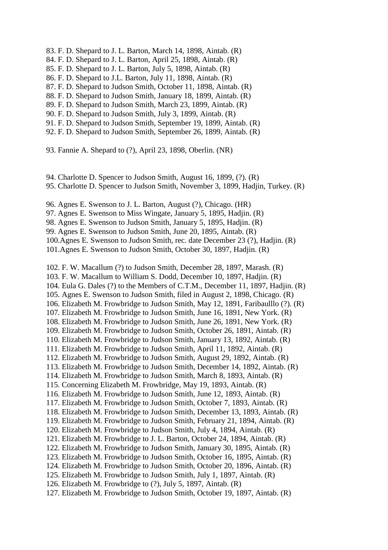- 83. F. D. Shepard to J. L. Barton, March 14, 1898, Aintab. (R)
- 84. F. D. Shepard to J. L. Barton, April 25, 1898, Aintab. (R)
- 85. F. D. Shepard to J. L. Barton, July 5, 1898, Aintab. (R)
- 86. F. D. Shepard to J.L. Barton, July 11, 1898, Aintab. (R)
- 87. F. D. Shepard to Judson Smith, October 11, 1898, Aintab. (R)
- 88. F. D. Shepard to Judson Smith, January 18, 1899, Aintab. (R)
- 89. F. D. Shepard to Judson Smith, March 23, 1899, Aintab. (R)
- 90. F. D. Shepard to Judson Smith, July 3, 1899, Aintab. (R)
- 91. F. D. Shepard to Judson Smith, September 19, 1899, Aintab. (R)
- 92. F. D. Shepard to Judson Smith, September 26, 1899, Aintab. (R)

93. Fannie A. Shepard to (?), April 23, 1898, Oberlin. (NR)

- 94. Charlotte D. Spencer to Judson Smith, August 16, 1899, (?). (R) 95. Charlotte D. Spencer to Judson Smith, November 3, 1899, Hadjin, Turkey. (R)
- 96. Agnes E. Swenson to J. L. Barton, August (?), Chicago. (HR)
- 97. Agnes E. Swenson to Miss Wingate, January 5, 1895, Hadjin. (R)
- 98. Agnes E. Swenson to Judson Smith, January 5, 1895, Hadjin. (R)
- 99. Agnes E. Swenson to Judson Smith, June 20, 1895, Aintab. (R)
- 100.Agnes E. Swenson to Judson Smith, rec. date December 23 (?), Hadjin. (R)
- 101.Agnes E. Swenson to Judson Smith, October 30, 1897, Hadjin. (R)

102. F. W. Macallum (?) to Judson Smith, December 28, 1897, Marash. (R)

- 103. F. W. Macallum to William S. Dodd, December 10, 1897, Hadjin. (R)
- 104. Eula G. Dales (?) to the Members of C.T.M., December 11, 1897, Hadjin. (R)
- 105. Agnes E. Swenson to Judson Smith, filed in August 2, 1898, Chicago. (R)
- 106. Elizabeth M. Frowbridge to Judson Smith, May 12, 1891, Faribaulllo (?). (R)
- 107. Elizabeth M. Frowbridge to Judson Smith, June 16, 1891, New York. (R)
- 108. Elizabeth M. Frowbridge to Judson Smith, June 26, 1891, New York. (R)
- 109. Elizabeth M. Frowbridge to Judson Smith, October 26, 1891, Aintab. (R)
- 110. Elizabeth M. Frowbridge to Judson Smith, January 13, 1892, Aintab. (R)
- 111. Elizabeth M. Frowbridge to Judson Smith, April 11, 1892, Aintab. (R)
- 112. Elizabeth M. Frowbridge to Judson Smith, August 29, 1892, Aintab. (R)
- 113. Elizabeth M. Frowbridge to Judson Smith, December 14, 1892, Aintab. (R)
- 114. Elizabeth M. Frowbridge to Judson Smith, March 8, 1893, Aintab. (R)
- 115. Concerning Elizabeth M. Frowbridge, May 19, 1893, Aintab. (R)
- 116. Elizabeth M. Frowbridge to Judson Smith, June 12, 1893, Aintab. (R)
- 117. Elizabeth M. Frowbridge to Judson Smith, October 7, 1893, Aintab. (R)
- 118. Elizabeth M. Frowbridge to Judson Smith, December 13, 1893, Aintab. (R)
- 119. Elizabeth M. Frowbridge to Judson Smith, February 21, 1894, Aintab. (R)
- 120. Elizabeth M. Frowbridge to Judson Smith, July 4, 1894, Aintab. (R)
- 121. Elizabeth M. Frowbridge to J. L. Barton, October 24, 1894, Aintab. (R)
- 122. Elizabeth M. Frowbridge to Judson Smith, January 30, 1895, Aintab. (R)
- 123. Elizabeth M. Frowbridge to Judson Smith, October 16, 1895, Aintab. (R)
- 124. Elizabeth M. Frowbridge to Judson Smith, October 20, 1896, Aintab. (R)
- 125. Elizabeth M. Frowbridge to Judson Smith, July 1, 1897, Aintab. (R)
- 126. Elizabeth M. Frowbridge to (?), July 5, 1897, Aintab. (R)
- 127. Elizabeth M. Frowbridge to Judson Smith, October 19, 1897, Aintab. (R)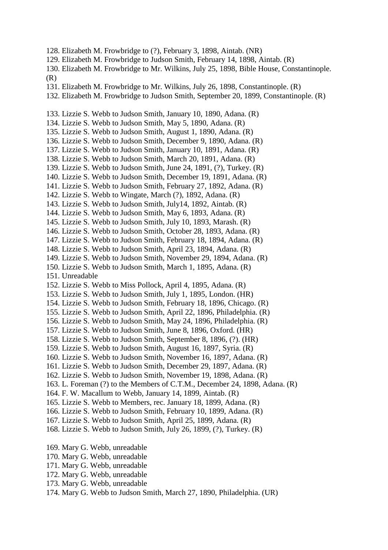- 128. Elizabeth M. Frowbridge to (?), February 3, 1898, Aintab. (NR)
- 129. Elizabeth M. Frowbridge to Judson Smith, February 14, 1898, Aintab. (R)
- 130. Elizabeth M. Frowbridge to Mr. Wilkins, July 25, 1898, Bible House, Constantinople. (R)
- 131. Elizabeth M. Frowbridge to Mr. Wilkins, July 26, 1898, Constantinople. (R)
- 132. Elizabeth M. Frowbridge to Judson Smith, September 20, 1899, Constantinople. (R)
- 133. Lizzie S. Webb to Judson Smith, January 10, 1890, Adana. (R)
- 134. Lizzie S. Webb to Judson Smith, May 5, 1890, Adana. (R)
- 135. Lizzie S. Webb to Judson Smith, August 1, 1890, Adana. (R)
- 136. Lizzie S. Webb to Judson Smith, December 9, 1890, Adana. (R)
- 137. Lizzie S. Webb to Judson Smith, January 10, 1891, Adana. (R)
- 138. Lizzie S. Webb to Judson Smith, March 20, 1891, Adana. (R)
- 139. Lizzie S. Webb to Judson Smith, June 24, 1891, (?), Turkey. (R)
- 140. Lizzie S. Webb to Judson Smith, December 19, 1891, Adana. (R)
- 141. Lizzie S. Webb to Judson Smith, February 27, 1892, Adana. (R)
- 142. Lizzie S. Webb to Wingate, March (?), 1892, Adana. (R)
- 143. Lizzie S. Webb to Judson Smith, July14, 1892, Aintab. (R)
- 144. Lizzie S. Webb to Judson Smith, May 6, 1893, Adana. (R)
- 145. Lizzie S. Webb to Judson Smith, July 10, 1893, Marash. (R)
- 146. Lizzie S. Webb to Judson Smith, October 28, 1893, Adana. (R)
- 147. Lizzie S. Webb to Judson Smith, February 18, 1894, Adana. (R)
- 148. Lizzie S. Webb to Judson Smith, April 23, 1894, Adana. (R)
- 149. Lizzie S. Webb to Judson Smith, November 29, 1894, Adana. (R)
- 150. Lizzie S. Webb to Judson Smith, March 1, 1895, Adana. (R)
- 151. Unreadable
- 152. Lizzie S. Webb to Miss Pollock, April 4, 1895, Adana. (R)
- 153. Lizzie S. Webb to Judson Smith, July 1, 1895, London. (HR)
- 154. Lizzie S. Webb to Judson Smith, February 18, 1896, Chicago. (R)
- 155. Lizzie S. Webb to Judson Smith, April 22, 1896, Philadelphia. (R)
- 156. Lizzie S. Webb to Judson Smith, May 24, 1896, Philadelphia. (R)
- 157. Lizzie S. Webb to Judson Smith, June 8, 1896, Oxford. (HR)
- 158. Lizzie S. Webb to Judson Smith, September 8, 1896, (?). (HR)
- 159. Lizzie S. Webb to Judson Smith, August 16, 1897, Syria. (R)
- 160. Lizzie S. Webb to Judson Smith, November 16, 1897, Adana. (R)
- 161. Lizzie S. Webb to Judson Smith, December 29, 1897, Adana. (R)
- 162. Lizzie S. Webb to Judson Smith, November 19, 1898, Adana. (R)
- 163. L. Foreman (?) to the Members of C.T.M., December 24, 1898, Adana. (R)
- 164. F. W. Macallum to Webb, January 14, 1899, Aintab. (R)
- 165. Lizzie S. Webb to Members, rec. January 18, 1899, Adana. (R)
- 166. Lizzie S. Webb to Judson Smith, February 10, 1899, Adana. (R)
- 167. Lizzie S. Webb to Judson Smith, April 25, 1899, Adana. (R)
- 168. Lizzie S. Webb to Judson Smith, July 26, 1899, (?), Turkey. (R)
- 169. Mary G. Webb, unreadable
- 170. Mary G. Webb, unreadable
- 171. Mary G. Webb, unreadable
- 172. Mary G. Webb, unreadable
- 173. Mary G. Webb, unreadable
- 174. Mary G. Webb to Judson Smith, March 27, 1890, Philadelphia. (UR)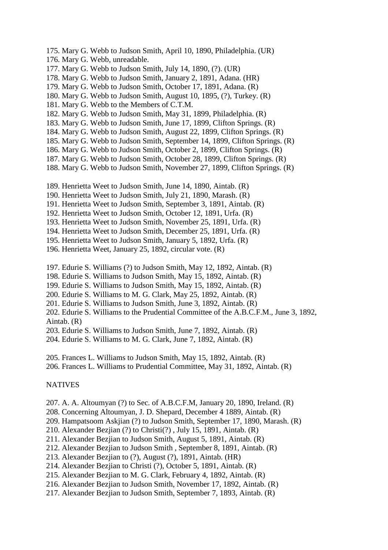- 175. Mary G. Webb to Judson Smith, April 10, 1890, Philadelphia. (UR)
- 176. Mary G. Webb, unreadable.
- 177. Mary G. Webb to Judson Smith, July 14, 1890, (?). (UR)
- 178. Mary G. Webb to Judson Smith, January 2, 1891, Adana. (HR)
- 179. Mary G. Webb to Judson Smith, October 17, 1891, Adana. (R)
- 180. Mary G. Webb to Judson Smith, August 10, 1895, (?), Turkey. (R)
- 181. Mary G. Webb to the Members of C.T.M.
- 182. Mary G. Webb to Judson Smith, May 31, 1899, Philadelphia. (R)
- 183. Mary G. Webb to Judson Smith, June 17, 1899, Clifton Springs. (R)
- 184. Mary G. Webb to Judson Smith, August 22, 1899, Clifton Springs. (R)
- 185. Mary G. Webb to Judson Smith, September 14, 1899, Clifton Springs. (R)
- 186. Mary G. Webb to Judson Smith, October 2, 1899, Clifton Springs. (R)
- 187. Mary G. Webb to Judson Smith, October 28, 1899, Clifton Springs. (R)
- 188. Mary G. Webb to Judson Smith, November 27, 1899, Clifton Springs. (R)
- 189. Henrietta Weet to Judson Smith, June 14, 1890, Aintab. (R)
- 190. Henrietta Weet to Judson Smith, July 21, 1890, Marash. (R)
- 191. Henrietta Weet to Judson Smith, September 3, 1891, Aintab. (R)
- 192. Henrietta Weet to Judson Smith, October 12, 1891, Urfa. (R)
- 193. Henrietta Weet to Judson Smith, November 25, 1891, Urfa. (R)
- 194. Henrietta Weet to Judson Smith, December 25, 1891, Urfa. (R)
- 195. Henrietta Weet to Judson Smith, January 5, 1892, Urfa. (R)
- 196. Henrietta Weet, January 25, 1892, circular vote. (R)
- 197. Edurie S. Williams (?) to Judson Smith, May 12, 1892, Aintab. (R)
- 198. Edurie S. Williams to Judson Smith, May 15, 1892, Aintab. (R)
- 199. Edurie S. Williams to Judson Smith, May 15, 1892, Aintab. (R)
- 200. Edurie S. Williams to M. G. Clark, May 25, 1892, Aintab. (R)
- 201. Edurie S. Williams to Judson Smith, June 3, 1892, Aintab. (R)
- 202. Edurie S. Williams to the Prudential Committee of the A.B.C.F.M., June 3, 1892, Aintab. (R)
- 203. Edurie S. Williams to Judson Smith, June 7, 1892, Aintab. (R)
- 204. Edurie S. Williams to M. G. Clark, June 7, 1892, Aintab. (R)
- 205. Frances L. Williams to Judson Smith, May 15, 1892, Aintab. (R)
- 206. Frances L. Williams to Prudential Committee, May 31, 1892, Aintab. (R)

#### **NATIVES**

- 207. A. A. Altoumyan (?) to Sec. of A.B.C.F.M, January 20, 1890, Ireland. (R)
- 208. Concerning Altoumyan, J. D. Shepard, December 4 1889, Aintab. (R)
- 209. Hampatsoom Askjian (?) to Judson Smith, September 17, 1890, Marash. (R)
- 210. Alexander Bezjian (?) to Christi(?) , July 15, 1891, Aintab. (R)
- 211. Alexander Bezjian to Judson Smith, August 5, 1891, Aintab. (R)
- 212. Alexander Bezjian to Judson Smith , September 8, 1891, Aintab. (R)
- 213. Alexander Bezjian to (?), August (?), 1891, Aintab. (HR)
- 214. Alexander Bezjian to Christi (?), October 5, 1891, Aintab. (R)
- 215. Alexander Bezjian to M. G. Clark, February 4, 1892, Aintab. (R)
- 216. Alexander Bezjian to Judson Smith, November 17, 1892, Aintab. (R)
- 217. Alexander Bezjian to Judson Smith, September 7, 1893, Aintab. (R)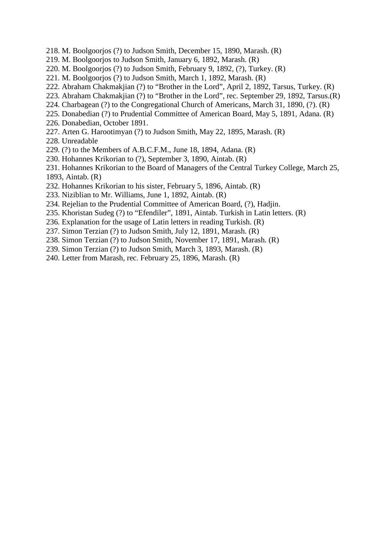- 218. M. Boolgoorjos (?) to Judson Smith, December 15, 1890, Marash. (R)
- 219. M. Boolgoorjos to Judson Smith, January 6, 1892, Marash. (R)
- 220. M. Boolgoorjos (?) to Judson Smith, February 9, 1892, (?), Turkey. (R)
- 221. M. Boolgoorjos (?) to Judson Smith, March 1, 1892, Marash. (R)
- 222. Abraham Chakmakjian (?) to "Brother in the Lord", April 2, 1892, Tarsus, Turkey. (R)
- 223. Abraham Chakmakjian (?) to "Brother in the Lord", rec. September 29, 1892, Tarsus.(R)
- 224. Charbagean (?) to the Congregational Church of Americans, March 31, 1890, (?). (R)
- 225. Donabedian (?) to Prudential Committee of American Board, May 5, 1891, Adana. (R)
- 226. Donabedian, October 1891.
- 227. Arten G. Harootimyan (?) to Judson Smith, May 22, 1895, Marash. (R)
- 228. Unreadable
- 229. (?) to the Members of A.B.C.F.M., June 18, 1894, Adana. (R)
- 230. Hohannes Krikorian to (?), September 3, 1890, Aintab. (R)
- 231. Hohannes Krikorian to the Board of Managers of the Central Turkey College, March 25, 1893, Aintab. (R)
- 232. Hohannes Krikorian to his sister, February 5, 1896, Aintab. (R)
- 233. Niziblian to Mr. Williams, June 1, 1892, Aintab. (R)
- 234. Rejelian to the Prudential Committee of American Board, (?), Hadjin.
- 235. Khoristan Sudeg (?) to "Efendiler", 1891, Aintab. Turkish in Latin letters. (R)
- 236. Explanation for the usage of Latin letters in reading Turkish. (R)
- 237. Simon Terzian (?) to Judson Smith, July 12, 1891, Marash. (R)
- 238. Simon Terzian (?) to Judson Smith, November 17, 1891, Marash. (R)
- 239. Simon Terzian (?) to Judson Smith, March 3, 1893, Marash. (R)
- 240. Letter from Marash, rec. February 25, 1896, Marash. (R)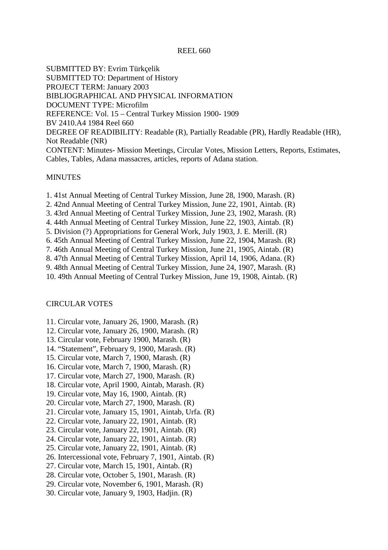## REEL 660

SUBMITTED BY: Evrim Türkçelik SUBMITTED TO: Department of History PROJECT TERM: January 2003 BIBLIOGRAPHICAL AND PHYSICAL INFORMATION DOCUMENT TYPE: Microfilm REFERENCE: Vol. 15 – Central Turkey Mission 1900- 1909 BV 2410.A4 1984 Reel 660 DEGREE OF READIBILITY: Readable (R), Partially Readable (PR), Hardly Readable (HR), Not Readable (NR) CONTENT: Minutes- Mission Meetings, Circular Votes, Mission Letters, Reports, Estimates, Cables, Tables, Adana massacres, articles, reports of Adana station.

#### MINUTES

- 1. 41st Annual Meeting of Central Turkey Mission, June 28, 1900, Marash. (R)
- 2. 42nd Annual Meeting of Central Turkey Mission, June 22, 1901, Aintab. (R)
- 3. 43rd Annual Meeting of Central Turkey Mission, June 23, 1902, Marash. (R)
- 4. 44th Annual Meeting of Central Turkey Mission, June 22, 1903, Aintab. (R)
- 5. Division (?) Appropriations for General Work, July 1903, J. E. Merill. (R)
- 6. 45th Annual Meeting of Central Turkey Mission, June 22, 1904, Marash. (R)
- 7. 46th Annual Meeting of Central Turkey Mission, June 21, 1905, Aintab. (R)
- 8. 47th Annual Meeting of Central Turkey Mission, April 14, 1906, Adana. (R)
- 9. 48th Annual Meeting of Central Turkey Mission, June 24, 1907, Marash. (R)

10. 49th Annual Meeting of Central Turkey Mission, June 19, 1908, Aintab. (R)

#### CIRCULAR VOTES

- 11. Circular vote, January 26, 1900, Marash. (R)
- 12. Circular vote, January 26, 1900, Marash. (R)
- 13. Circular vote, February 1900, Marash. (R)
- 14. "Statement", February 9, 1900, Marash. (R)
- 15. Circular vote, March 7, 1900, Marash. (R)
- 16. Circular vote, March 7, 1900, Marash. (R)
- 17. Circular vote, March 27, 1900, Marash. (R)
- 18. Circular vote, April 1900, Aintab, Marash. (R)
- 19. Circular vote, May 16, 1900, Aintab. (R)
- 20. Circular vote, March 27, 1900, Marash. (R)
- 21. Circular vote, January 15, 1901, Aintab, Urfa. (R)
- 22. Circular vote, January 22, 1901, Aintab. (R)
- 23. Circular vote, January 22, 1901, Aintab. (R)
- 24. Circular vote, January 22, 1901, Aintab. (R)
- 25. Circular vote, January 22, 1901, Aintab. (R)
- 26. Intercessional vote, February 7, 1901, Aintab. (R)
- 27. Circular vote, March 15, 1901, Aintab. (R)
- 28. Circular vote, October 5, 1901, Marash. (R)
- 29. Circular vote, November 6, 1901, Marash. (R)
- 30. Circular vote, January 9, 1903, Hadjin. (R)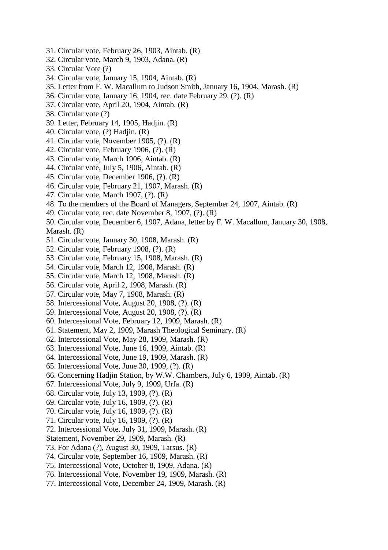- 31. Circular vote, February 26, 1903, Aintab. (R)
- 32. Circular vote, March 9, 1903, Adana. (R)
- 33. Circular Vote (?)
- 34. Circular vote, January 15, 1904, Aintab. (R)
- 35. Letter from F. W. Macallum to Judson Smith, January 16, 1904, Marash. (R)
- 36. Circular vote, January 16, 1904, rec. date February 29, (?). (R)
- 37. Circular vote, April 20, 1904, Aintab. (R)
- 38. Circular vote (?)
- 39. Letter, February 14, 1905, Hadjin. (R)
- 40. Circular vote, (?) Hadjin. (R)
- 41. Circular vote, November 1905, (?). (R)
- 42. Circular vote, February 1906, (?). (R)
- 43. Circular vote, March 1906, Aintab. (R)
- 44. Circular vote, July 5, 1906, Aintab. (R)
- 45. Circular vote, December 1906, (?). (R)
- 46. Circular vote, February 21, 1907, Marash. (R)
- 47. Circular vote, March 1907, (?). (R)
- 48. To the members of the Board of Managers, September 24, 1907, Aintab. (R)
- 49. Circular vote, rec. date November 8, 1907, (?). (R)
- 50. Circular vote, December 6, 1907, Adana, letter by F. W. Macallum, January 30, 1908, Marash. (R)
- 51. Circular vote, January 30, 1908, Marash. (R)
- 52. Circular vote, February 1908, (?). (R)
- 53. Circular vote, February 15, 1908, Marash. (R)
- 54. Circular vote, March 12, 1908, Marash. (R)
- 55. Circular vote, March 12, 1908, Marash. (R)
- 56. Circular vote, April 2, 1908, Marash. (R)
- 57. Circular vote, May 7, 1908, Marash. (R)
- 58. Intercessional Vote, August 20, 1908, (?). (R)
- 59. Intercessional Vote, August 20, 1908, (?). (R)
- 60. Intercessional Vote, February 12, 1909, Marash. (R)
- 61. Statement, May 2, 1909, Marash Theological Seminary. (R)
- 62. Intercessional Vote, May 28, 1909, Marash. (R)
- 63. Intercessional Vote, June 16, 1909, Aintab. (R)
- 64. Intercessional Vote, June 19, 1909, Marash. (R)
- 65. Intercessional Vote, June 30, 1909, (?). (R)
- 66. Concerning Hadjin Station, by W.W. Chambers, July 6, 1909, Aintab. (R)
- 67. Intercessional Vote, July 9, 1909, Urfa. (R)
- 68. Circular vote, July 13, 1909, (?). (R)
- 69. Circular vote, July 16, 1909, (?). (R)
- 70. Circular vote, July 16, 1909, (?). (R)
- 71. Circular vote, July 16, 1909, (?). (R)
- 72. Intercessional Vote, July 31, 1909, Marash. (R)
- Statement, November 29, 1909, Marash. (R)
- 73. For Adana (?), August 30, 1909, Tarsus. (R)
- 74. Circular vote, September 16, 1909, Marash. (R)
- 75. Intercessional Vote, October 8, 1909, Adana. (R)
- 76. Intercessional Vote, November 19, 1909, Marash. (R)
- 77. Intercessional Vote, December 24, 1909, Marash. (R)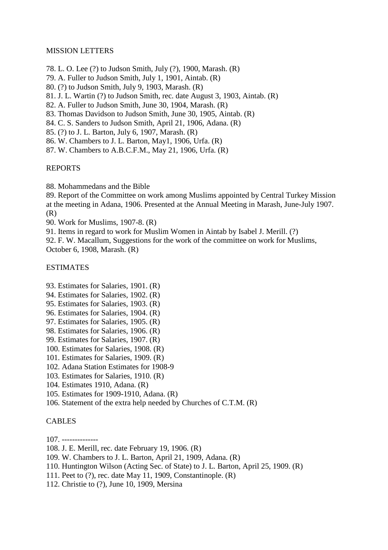# MISSION LETTERS

- 78. L. O. Lee (?) to Judson Smith, July (?), 1900, Marash. (R)
- 79. A. Fuller to Judson Smith, July 1, 1901, Aintab. (R)
- 80. (?) to Judson Smith, July 9, 1903, Marash. (R)
- 81. J. L. Wartin (?) to Judson Smith, rec. date August 3, 1903, Aintab. (R)
- 82. A. Fuller to Judson Smith, June 30, 1904, Marash. (R)
- 83. Thomas Davidson to Judson Smith, June 30, 1905, Aintab. (R)
- 84. C. S. Sanders to Judson Smith, April 21, 1906, Adana. (R)
- 85. (?) to J. L. Barton, July 6, 1907, Marash. (R)
- 86. W. Chambers to J. L. Barton, May1, 1906, Urfa. (R)
- 87. W. Chambers to A.B.C.F.M., May 21, 1906, Urfa. (R)

# REPORTS

88. Mohammedans and the Bible

89. Report of the Committee on work among Muslims appointed by Central Turkey Mission at the meeting in Adana, 1906. Presented at the Annual Meeting in Marash, June-July 1907. (R)

90. Work for Muslims, 1907-8. (R)

91. Items in regard to work for Muslim Women in Aintab by Isabel J. Merill. (?) 92. F. W. Macallum, Suggestions for the work of the committee on work for Muslims, October 6, 1908, Marash. (R)

# ESTIMATES

- 93. Estimates for Salaries, 1901. (R)
- 94. Estimates for Salaries, 1902. (R)
- 95. Estimates for Salaries, 1903. (R)
- 96. Estimates for Salaries, 1904. (R)
- 97. Estimates for Salaries, 1905. (R)
- 98. Estimates for Salaries, 1906. (R)
- 99. Estimates for Salaries, 1907. (R)
- 100. Estimates for Salaries, 1908. (R)
- 101. Estimates for Salaries, 1909. (R)
- 102. Adana Station Estimates for 1908-9
- 103. Estimates for Salaries, 1910. (R)
- 104. Estimates 1910, Adana. (R)
- 105. Estimates for 1909-1910, Adana. (R)
- 106. Statement of the extra help needed by Churches of C.T.M. (R)

## **CABLES**

107. --------------

- 108. J. E. Merill, rec. date February 19, 1906. (R)
- 109. W. Chambers to J. L. Barton, April 21, 1909, Adana. (R)
- 110. Huntington Wilson (Acting Sec. of State) to J. L. Barton, April 25, 1909. (R)
- 111. Peet to (?), rec. date May 11, 1909, Constantinople. (R)
- 112. Christie to (?), June 10, 1909, Mersina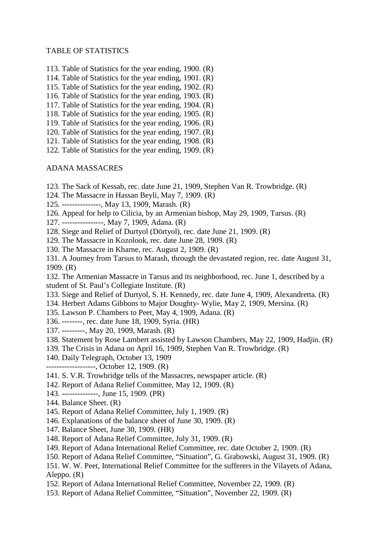## TABLE OF STATISTICS

- 113. Table of Statistics for the year ending, 1900. (R)
- 114. Table of Statistics for the year ending, 1901. (R)
- 115. Table of Statistics for the year ending, 1902. (R)
- 116. Table of Statistics for the year ending, 1903. (R)
- 117. Table of Statistics for the year ending, 1904. (R)
- 118. Table of Statistics for the year ending, 1905. (R)
- 119. Table of Statistics for the year ending, 1906. (R)
- 120. Table of Statistics for the year ending, 1907. (R)
- 121. Table of Statistics for the year ending, 1908. (R)
- 122. Table of Statistics for the year ending, 1909. (R)

#### ADANA MASSACRES

- 123. The Sack of Kessab, rec. date June 21, 1909, Stephen Van R. Trowbridge. (R)
- 124. The Massacre in Hassan Beyli, May 7, 1909. (R)
- 125. ---------------, May 13, 1909, Marash. (R)
- 126. Appeal for help to Cilicia, by an Armenian bishop, May 29, 1909, Tarsus. (R)
- 127. ----------------, May 7, 1909, Adana. (R)
- 128. Siege and Relief of Durtyol (Dörtyol), rec. date June 21, 1909. (R)
- 129. The Massacre in Kozolook, rec. date June 28, 1909. (R)
- 130. The Massacre in Kharne, rec. August 2, 1909. (R)
- 131. A Journey from Tarsus to Marash, through the devastated region, rec. date August 31, 1909. (R)

132. The Armenian Massacre in Tarsus and its neighborhood, rec. June 1, described by a student of St. Paul's Collegiate Institute. (R)

- 133. Siege and Relief of Durtyol, S. H. Kennedy, rec. date June 4, 1909, Alexandretta. (R)
- 134. Herbert Adams Gibbons to Major Doughty- Wylie, May 2, 1909, Mersina. (R)
- 135. Lawson P. Chambers to Peet, May 4, 1909, Adana. (R)
- 136. --------, rec. date June 18, 1909, Syria. (HR)
- 137. ---------, May 20, 1909, Marash. (R)
- 138. Statement by Rose Lambert assisted by Lawson Chambers, May 22, 1909, Hadjin. (R)
- 139. The Crisis in Adana on April 16, 1909, Stephen Van R. Trowbridge. (R)
- 140. Daily Telegraph, October 13, 1909
- -------------------, October 12, 1909. (R)
- 141. S. V.R. Trowbridge tells of the Massacres, newspaper article. (R)
- 142. Report of Adana Relief Committee, May 12, 1909. (R)
- 143. --------------, June 15, 1909. (PR)
- 144. Balance Sheet. (R)
- 145. Report of Adana Relief Committee, July 1, 1909. (R)
- 146. Explanations of the balance sheet of June 30, 1909. (R)
- 147. Balance Sheet, June 30, 1909. (HR)
- 148. Report of Adana Relief Committee, July 31, 1909. (R)
- 149. Report of Adana International Relief Committee, rec. date October 2, 1909. (R)
- 150. Report of Adana Relief Committee, "Situation", G. Grabowski, August 31, 1909. (R)
- 151. W. W. Peet, International Relief Committee for the sufferers in the Vilayets of Adana, Aleppo. (R)
- 152. Report of Adana International Relief Committee, November 22, 1909. (R)
- 153. Report of Adana Relief Committee, "Situation", November 22, 1909. (R)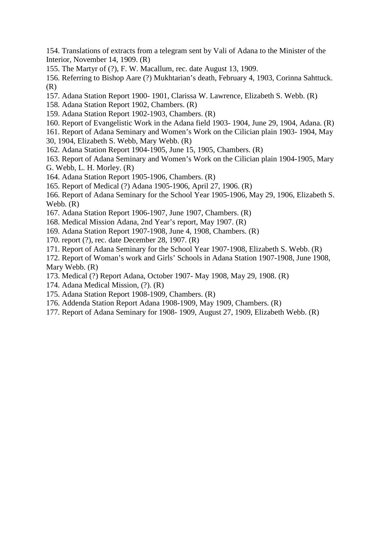154. Translations of extracts from a telegram sent by Vali of Adana to the Minister of the Interior, November 14, 1909. (R)

- 155. The Martyr of (?), F. W. Macallum, rec. date August 13, 1909.
- 156. Referring to Bishop Aare (?) Mukhtarian's death, February 4, 1903, Corinna Sahttuck. (R)
- 157. Adana Station Report 1900- 1901, Clarissa W. Lawrence, Elizabeth S. Webb. (R)
- 158. Adana Station Report 1902, Chambers. (R)
- 159. Adana Station Report 1902-1903, Chambers. (R)
- 160. Report of Evangelistic Work in the Adana field 1903- 1904, June 29, 1904, Adana. (R)
- 161. Report of Adana Seminary and Women's Work on the Cilician plain 1903- 1904, May
- 30, 1904, Elizabeth S. Webb, Mary Webb. (R)
- 162. Adana Station Report 1904-1905, June 15, 1905, Chambers. (R)
- 163. Report of Adana Seminary and Women's Work on the Cilician plain 1904-1905, Mary G. Webb, L. H. Morley. (R)
- 164. Adana Station Report 1905-1906, Chambers. (R)
- 165. Report of Medical (?) Adana 1905-1906, April 27, 1906. (R)
- 166. Report of Adana Seminary for the School Year 1905-1906, May 29, 1906, Elizabeth S. Webb. (R)
- 167. Adana Station Report 1906-1907, June 1907, Chambers. (R)
- 168. Medical Mission Adana, 2nd Year's report, May 1907. (R)
- 169. Adana Station Report 1907-1908, June 4, 1908, Chambers. (R)
- 170. report (?), rec. date December 28, 1907. (R)
- 171. Report of Adana Seminary for the School Year 1907-1908, Elizabeth S. Webb. (R)
- 172. Report of Woman's work and Girls' Schools in Adana Station 1907-1908, June 1908, Mary Webb. (R)
- 173. Medical (?) Report Adana, October 1907- May 1908, May 29, 1908. (R)
- 174. Adana Medical Mission, (?). (R)
- 175. Adana Station Report 1908-1909, Chambers. (R)
- 176. Addenda Station Report Adana 1908-1909, May 1909, Chambers. (R)
- 177. Report of Adana Seminary for 1908- 1909, August 27, 1909, Elizabeth Webb. (R)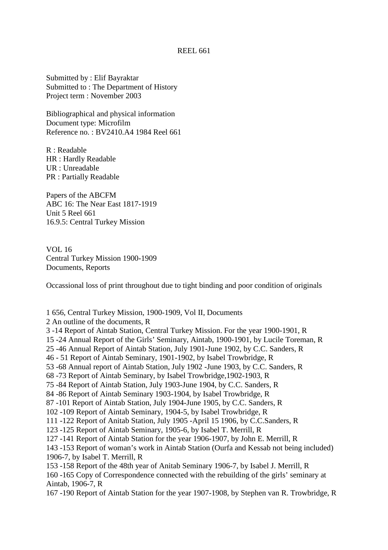#### REEL 661

Submitted by : Elif Bayraktar Submitted to : The Department of History Project term : November 2003

Bibliographical and physical information Document type: Microfilm Reference no. : BV2410.A4 1984 Reel 661

R : Readable HR : Hardly Readable UR : Unreadable PR : Partially Readable

Papers of the ABCFM ABC 16: The Near East 1817-1919 Unit 5 Reel 661 16.9.5: Central Turkey Mission

VOL 16 Central Turkey Mission 1900-1909 Documents, Reports

Occassional loss of print throughout due to tight binding and poor condition of originals

1 656, Central Turkey Mission, 1900-1909, Vol II, Documents

2 An outline of the documents, R

3 -14 Report of Aintab Station, Central Turkey Mission. For the year 1900-1901, R

15 -24 Annual Report of the Girls' Seminary, Aintab, 1900-1901, by Lucile Toreman, R

25 -46 Annual Report of Aintab Station, July 1901-June 1902, by C.C. Sanders, R

46 - 51 Report of Aintab Seminary, 1901-1902, by Isabel Trowbridge, R

53 -68 Annual report of Aintab Station, July 1902 -June 1903, by C.C. Sanders, R

68 -73 Report of Aintab Seminary, by Isabel Trowbridge,1902-1903, R

75 -84 Report of Aintab Station, July 1903-June 1904, by C.C. Sanders, R

84 -86 Report of Aintab Seminary 1903-1904, by Isabel Trowbridge, R

87 -101 Report of Aintab Station, July 1904-June 1905, by C.C. Sanders, R

102 -109 Report of Aintab Seminary, 1904-5, by Isabel Trowbridge, R

111 -122 Report of Anitab Station, July 1905 -April 15 1906, by C.C.Sanders, R

123 -125 Report of Aintab Seminary, 1905-6, by Isabel T. Merrill, R

127 -141 Report of Aintab Station for the year 1906-1907, by John E. Merrill, R

143 -153 Report of woman's work in Aintab Station (Ourfa and Kessab not being included) 1906-7, by Isabel T. Merrill, R

153 -158 Report of the 48th year of Anitab Seminary 1906-7, by Isabel J. Merrill, R

160 -165 Copy of Correspondence connected with the rebuilding of the girls' seminary at Aintab, 1906-7, R

167 -190 Report of Aintab Station for the year 1907-1908, by Stephen van R. Trowbridge, R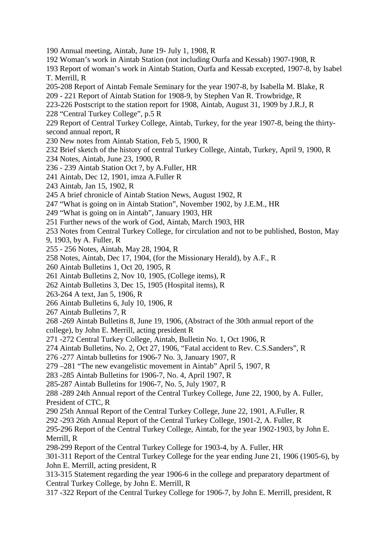- 190 Annual meeting, Aintab, June 19- July 1, 1908, R
- 192 Woman's work in Aintab Station (not including Ourfa and Kessab) 1907-1908, R
- 193 Report of woman's work in Aintab Station, Ourfa and Kessab excepted, 1907-8, by Isabel T. Merrill, R
- 205-208 Report of Aintab Female Seminary for the year 1907-8, by Isabella M. Blake, R
- 209 221 Report of Aintab Station for 1908-9, by Stephen Van R. Trowbridge, R
- 223-226 Postscript to the station report for 1908, Aintab, August 31, 1909 by J.R.J, R
- 228 "Central Turkey College", p.5 R
- 229 Report of Central Turkey College, Aintab, Turkey, for the year 1907-8, being the thirtysecond annual report, R
- 230 New notes from Aintab Station, Feb 5, 1900, R
- 232 Brief sketch of the history of central Turkey College, Aintab, Turkey, April 9, 1900, R
- 234 Notes, Aintab, June 23, 1900, R
- 236 239 Aintab Station Oct ?, by A.Fuller, HR
- 241 Aintab, Dec 12, 1901, imza A.Fuller R
- 243 Aintab, Jan 15, 1902, R
- 245 A brief chronicle of Aintab Station News, August 1902, R
- 247 "What is going on in Aintab Station", November 1902, by J.E.M., HR
- 249 "What is going on in Aintab", January 1903, HR
- 251 Further news of the work of God, Aintab, March 1903, HR
- 253 Notes from Central Turkey College, for circulation and not to be published, Boston, May
- 9, 1903, by A. Fuller, R
- 255 256 Notes, Aintab, May 28, 1904, R
- 258 Notes, Aintab, Dec 17, 1904, (for the Missionary Herald), by A.F., R
- 260 Aintab Bulletins 1, Oct 20, 1905, R
- 261 Aintab Bulletins 2, Nov 10, 1905, (College items), R
- 262 Aintab Bulletins 3, Dec 15, 1905 (Hospital items), R
- 263-264 A text, Jan 5, 1906, R
- 266 Aintab Bulletins 6, July 10, 1906, R
- 267 Aintab Bulletins 7, R
- 268 -269 Aintab Bulletins 8, June 19, 1906, (Abstract of the 30th annual report of the college), by John E. Merrill, acting president R
- 
- 271 -272 Central Turkey College, Aintab, Bulletin No. 1, Oct 1906, R
- 274 Aintab Bulletins, No. 2, Oct 27, 1906, "Fatal accident to Rev. C.S.Sanders", R
- 276 -277 Aintab bulletins for 1906-7 No. 3, January 1907, R
- 279 –281 "The new evangelistic movement in Aintab" April 5, 1907, R
- 283 -285 Aintab Bulletins for 1906-7, No. 4, April 1907, R
- 285-287 Aintab Bulletins for 1906-7, No. 5, July 1907, R
- 288 -289 24th Annual report of the Central Turkey College, June 22, 1900, by A. Fuller, President of CTC, R
- 290 25th Annual Report of the Central Turkey College, June 22, 1901, A.Fuller, R
- 292 -293 26th Annual Report of the Central Turkey College, 1901-2, A. Fuller, R
- 295-296 Report of the Central Turkey College, Aintab, for the year 1902-1903, by John E. Merrill, R
- 298-299 Report of the Central Turkey College for 1903-4, by A. Fuller, HR
- 301-311 Report of the Central Turkey College for the year ending June 21, 1906 (1905-6), by John E. Merrill, acting president, R
- 313-315 Statement regarding the year 1906-6 in the college and preparatory department of Central Turkey College, by John E. Merrill, R
- 317 -322 Report of the Central Turkey College for 1906-7, by John E. Merrill, president, R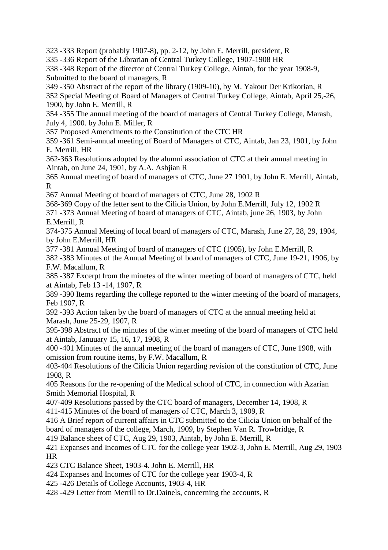323 -333 Report (probably 1907-8), pp. 2-12, by John E. Merrill, president, R

335 -336 Report of the Librarian of Central Turkey College, 1907-1908 HR

338 -348 Report of the director of Central Turkey College, Aintab, for the year 1908-9, Submitted to the board of managers, R

349 -350 Abstract of the report of the library (1909-10), by M. Yakout Der Krikorian, R

352 Special Meeting of Board of Managers of Central Turkey College, Aintab, April 25,-26, 1900, by John E. Merrill, R

354 -355 The annual meeting of the board of managers of Central Turkey College, Marash, July 4, 1900. by John E. Miller, R

357 Proposed Amendments to the Constitution of the CTC HR

359 -361 Semi-annual meeting of Board of Managers of CTC, Aintab, Jan 23, 1901, by John E. Merrill, HR

362-363 Resolutions adopted by the alumni association of CTC at their annual meeting in Aintab, on June 24, 1901, by A.A. Ashjian R

365 Annual meeting of board of managers of CTC, June 27 1901, by John E. Merrill, Aintab, R

367 Annual Meeting of board of managers of CTC, June 28, 1902 R

368-369 Copy of the letter sent to the Cilicia Union, by John E.Merrill, July 12, 1902 R

371 -373 Annual Meeting of board of managers of CTC, Aintab, june 26, 1903, by John E.Merrill, R

374-375 Annual Meeting of local board of managers of CTC, Marash, June 27, 28, 29, 1904, by John E.Merrill, HR

377 -381 Annual Meeting of board of managers of CTC (1905), by John E.Merrill, R

382 -383 Minutes of the Annual Meeting of board of managers of CTC, June 19-21, 1906, by F.W. Macallum, R

385 -387 Excerpt from the minetes of the winter meeting of board of managers of CTC, held at Aintab, Feb 13 -14, 1907, R

389 -390 Items regarding the college reported to the winter meeting of the board of managers, Feb 1907, R

392 -393 Action taken by the board of managers of CTC at the annual meeting held at Marash, June 25-29, 1907, R

395-398 Abstract of the minutes of the winter meeting of the board of managers of CTC held at Aintab, Januuary 15, 16, 17, 1908, R

400 -401 Minutes of the annual meeting of the board of managers of CTC, June 1908, with omission from routine items, by F.W. Macallum, R

403-404 Resolutions of the Cilicia Union regarding revision of the constitution of CTC, June 1908, R

405 Reasons for the re-opening of the Medical school of CTC, in connection with Azarian Smith Memorial Hospital, R

407-409 Resolutions passed by the CTC board of managers, December 14, 1908, R

411-415 Minutes of the board of managers of CTC, March 3, 1909, R

416 A Brief report of current affairs in CTC submitted to the Cilicia Union on behalf of the board of managers of the college, March, 1909, by Stephen Van R. Trowbridge, R

419 Balance sheet of CTC, Aug 29, 1903, Aintab, by John E. Merrill, R

421 Expanses and Incomes of CTC for the college year 1902-3, John E. Merrill, Aug 29, 1903 HR

423 CTC Balance Sheet, 1903-4. John E. Merrill, HR

424 Expanses and Incomes of CTC for the college year 1903-4, R

425 -426 Details of College Accounts, 1903-4, HR

428 -429 Letter from Merrill to Dr.Dainels, concerning the accounts, R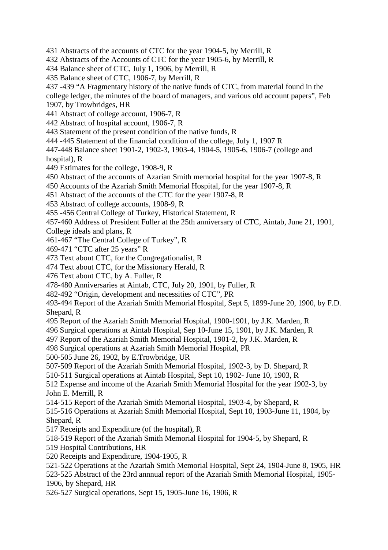431 Abstracts of the accounts of CTC for the year 1904-5, by Merrill, R

432 Abstracts of the Accounts of CTC for the year 1905-6, by Merrill, R

434 Balance sheet of CTC, July 1, 1906, by Merrill, R

435 Balance sheet of CTC, 1906-7, by Merrill, R

437 -439 "A Fragmentary history of the native funds of CTC, from material found in the

college ledger, the minutes of the board of managers, and various old account papers", Feb 1907, by Trowbridges, HR

- 441 Abstract of college account, 1906-7, R
- 442 Abstract of hospital account, 1906-7, R
- 443 Statement of the present condition of the native funds, R
- 444 -445 Statement of the financial condition of the college, July 1, 1907 R

447-448 Balance sheet 1901-2, 1902-3, 1903-4, 1904-5, 1905-6, 1906-7 (college and hospital), R

449 Estimates for the college, 1908-9, R

450 Abstract of the accounts of Azarian Smith memorial hospital for the year 1907-8, R

450 Accounts of the Azariah Smith Memorial Hospital, for the year 1907-8, R

451 Abstract of the accounts of the CTC for the year 1907-8, R

453 Abstract of college accounts, 1908-9, R

455 -456 Central College of Turkey, Historical Statement, R

457-460 Address of President Fuller at the 25th anniversary of CTC, Aintab, June 21, 1901,

College ideals and plans, R

461-467 "The Central College of Turkey", R

469-471 "CTC after 25 years" R

473 Text about CTC, for the Congregationalist, R

474 Text about CTC, for the Missionary Herald, R

476 Text about CTC, by A. Fuller, R

478-480 Anniversaries at Aintab, CTC, July 20, 1901, by Fuller, R

482-492 "Origin, development and necessities of CTC", PR

493-494 Report of the Azariah Smith Memorial Hospital, Sept 5, 1899-June 20, 1900, by F.D. Shepard, R

495 Report of the Azariah Smith Memorial Hospital, 1900-1901, by J.K. Marden, R

496 Surgical operations at Aintab Hospital, Sep 10-June 15, 1901, by J.K. Marden, R

497 Report of the Azariah Smith Memorial Hospital, 1901-2, by J.K. Marden, R

498 Surgical operations at Azariah Smith Memorial Hospital, PR

500-505 June 26, 1902, by E.Trowbridge, UR

507-509 Report of the Azariah Smith Memorial Hospital, 1902-3, by D. Shepard, R

510-511 Surgical operations at Aintab Hospital, Sept 10, 1902- June 10, 1903, R

512 Expense and income of the Azariah Smith Memorial Hospital for the year 1902-3, by John E. Merrill, R

514-515 Report of the Azariah Smith Memorial Hospital, 1903-4, by Shepard, R

515-516 Operations at Azariah Smith Memorial Hospital, Sept 10, 1903-June 11, 1904, by Shepard, R

517 Receipts and Expenditure (of the hospital), R

518-519 Report of the Azariah Smith Memorial Hospital for 1904-5, by Shepard, R

519 Hospital Contributions, HR

520 Receipts and Expenditure, 1904-1905, R

521-522 Operations at the Azariah Smith Memorial Hospital, Sept 24, 1904-June 8, 1905, HR

523-525 Abstract of the 23rd annnual report of the Azariah Smith Memorial Hospital, 1905- 1906, by Shepard, HR

526-527 Surgical operations, Sept 15, 1905-June 16, 1906, R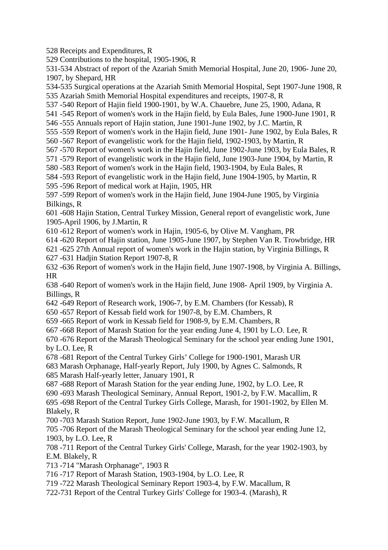528 Receipts and Expenditures, R

529 Contributions to the hospital, 1905-1906, R

531-534 Abstract of report of the Azariah Smith Memorial Hospital, June 20, 1906- June 20, 1907, by Shepard, HR

534-535 Surgical operations at the Azariah Smith Memorial Hospital, Sept 1907-June 1908, R

535 Azariah Smith Memorial Hospital expenditures and receipts, 1907-8, R

537 -540 Report of Hajin field 1900-1901, by W.A. Chauebre, June 25, 1900, Adana, R

541 -545 Report of women's work in the Hajin field, by Eula Bales, June 1900-June 1901, R

546 -555 Annuals report of Hajin station, June 1901-June 1902, by J.C. Martin, R

- 555 -559 Report of women's work in the Hajin field, June 1901- June 1902, by Eula Bales, R
- 560 -567 Report of evangelistic work for the Hajin field, 1902-1903, by Martin, R
- 567 -570 Report of women's work in the Hajin field, June 1902-June 1903, by Eula Bales, R
- 571 -579 Report of evangelistic work in the Hajin field, June 1903-June 1904, by Martin, R
- 580 -583 Report of women's work in the Hajin field, 1903-1904, by Eula Bales, R
- 584 -593 Report of evangelistic work in the Hajin field, June 1904-1905, by Martin, R

595 -596 Report of medical work at Hajin, 1905, HR

597 -599 Report of women's work in the Hajin field, June 1904-June 1905, by Virginia Bilkings, R

601 -608 Hajin Station, Central Turkey Mission, General report of evangelistic work, June 1905-April 1906, by J.Martin, R

610 -612 Report of women's work in Hajin, 1905-6, by Olive M. Vangham, PR

614 -620 Report of Hajin station, June 1905-June 1907, by Stephen Van R. Trowbridge, HR

621 -625 27th Annual report of women's work in the Hajin station, by Virginia Billings, R 627 -631 Hadjin Station Report 1907-8, R

632 -636 Report of women's work in the Hajin field, June 1907-1908, by Virginia A. Billings, HR

638 -640 Report of women's work in the Hajin field, June 1908- April 1909, by Virginia A. Billings, R

642 -649 Report of Research work, 1906-7, by E.M. Chambers (for Kessab), R

650 -657 Report of Kessab field work for 1907-8, by E.M. Chambers, R

659 -665 Report of work in Kessab field for 1908-9, by E.M. Chambers, R

667 -668 Report of Marash Station for the year ending June 4, 1901 by L.O. Lee, R

670 -676 Report of the Marash Theological Seminary for the school year ending June 1901, by L.O. Lee, R

678 -681 Report of the Central Turkey Girls' College for 1900-1901, Marash UR

683 Marash Orphanage, Half-yearly Report, July 1900, by Agnes C. Salmonds, R 685 Marash Half-yearly letter, January 1901, R

687 -688 Report of Marash Station for the year ending June, 1902, by L.O. Lee, R

690 -693 Marash Theological Seminary, Annual Report, 1901-2, by F.W. Macallim, R

695 -698 Report of the Central Turkey Girls College, Marash, for 1901-1902, by Ellen M. Blakely, R

700 -703 Marash Station Report, June 1902-June 1903, by F.W. Macallum, R

705 -706 Report of the Marash Theological Seminary for the school year ending June 12, 1903, by L.O. Lee, R

708 -711 Report of the Central Turkey Girls' College, Marash, for the year 1902-1903, by E.M. Blakely, R

713 -714 "Marash Orphanage", 1903 R

716 -717 Report of Marash Station, 1903-1904, by L.O. Lee, R

719 -722 Marash Theological Seminary Report 1903-4, by F.W. Macallum, R

722-731 Report of the Central Turkey Girls' College for 1903-4. (Marash), R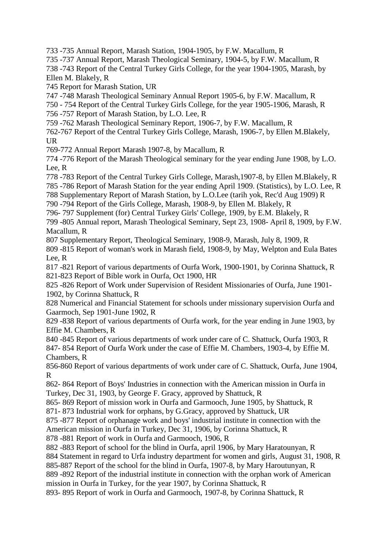733 -735 Annual Report, Marash Station, 1904-1905, by F.W. Macallum, R

735 -737 Annual Report, Marash Theological Seminary, 1904-5, by F.W. Macallum, R

738 -743 Report of the Central Turkey Girls College, for the year 1904-1905, Marash, by Ellen M. Blakely, R

745 Report for Marash Station, UR

747 -748 Marash Theological Seminary Annual Report 1905-6, by F.W. Macallum, R

750 - 754 Report of the Central Turkey Girls College, for the year 1905-1906, Marash, R

756 -757 Report of Marash Station, by L.O. Lee, R

759 -762 Marash Theological Seminary Report, 1906-7, by F.W. Macallum, R

762-767 Report of the Central Turkey Girls College, Marash, 1906-7, by Ellen M.Blakely, UR

769-772 Annual Report Marash 1907-8, by Macallum, R

774 -776 Report of the Marash Theological seminary for the year ending June 1908, by L.O. Lee, R

778 -783 Report of the Central Turkey Girls College, Marash,1907-8, by Ellen M.Blakely, R

785 -786 Report of Marash Station for the year ending April 1909. (Statistics), by L.O. Lee, R

788 Supplementary Report of Marash Station, by L.O.Lee (tarih yok, Rec'd Aug 1909) R

790 -794 Report of the Girls College, Marash, 1908-9, by Ellen M. Blakely, R

796- 797 Supplement (for) Central Turkey Girls' College, 1909, by E.M. Blakely, R 799 -805 Annual report, Marash Theological Seminary, Sept 23, 1908- April 8, 1909, by F.W. Macallum, R

807 Supplementary Report, Theological Seminary, 1908-9, Marash, July 8, 1909, R

809 -815 Report of woman's work in Marash field, 1908-9, by May, Welpton and Eula Bates Lee, R

817 -821 Report of various departments of Ourfa Work, 1900-1901, by Corinna Shattuck, R 821-823 Report of Bible work in Ourfa, Oct 1900, HR

825 -826 Report of Work under Supervision of Resident Missionaries of Ourfa, June 1901- 1902, by Corinna Shattuck, R

828 Numerical and Financial Statement for schools under missionary supervision Ourfa and Gaarmoch, Sep 1901-June 1902, R

829 -838 Report of various departments of Ourfa work, for the year ending in June 1903, by Effie M. Chambers, R

840 -845 Report of various departments of work under care of C. Shattuck, Ourfa 1903, R 847- 854 Report of Ourfa Work under the case of Effie M. Chambers, 1903-4, by Effie M. Chambers, R

856-860 Report of various departments of work under care of C. Shattuck, Ourfa, June 1904, R

862- 864 Report of Boys' Industries in connection with the American mission in Ourfa in Turkey, Dec 31, 1903, by George F. Gracy, approved by Shattuck, R

865- 869 Report of mission work in Ourfa and Garmooch, June 1905, by Shattuck, R 871- 873 Industrial work for orphans, by G.Gracy, approved by Shattuck, UR

875 -877 Report of orphanage work and boys' industrial institute in connection with the

American mission in Ourfa in Turkey, Dec 31, 1906, by Corinna Shattuck, R

878 -881 Report of work in Ourfa and Garmooch, 1906, R

882 -883 Report of school for the blind in Ourfa, april 1906, by Mary Haratounyan, R 884 Statement in regard to Urfa industry department for women and girls, August 31, 1908, R

885-887 Report of the school for the blind in Ourfa, 1907-8, by Mary Haroutunyan, R

889 -892 Report of the industrial institute in connection with the orphan work of American mission in Ourfa in Turkey, for the year 1907, by Corinna Shattuck, R

893- 895 Report of work in Ourfa and Garmooch, 1907-8, by Corinna Shattuck, R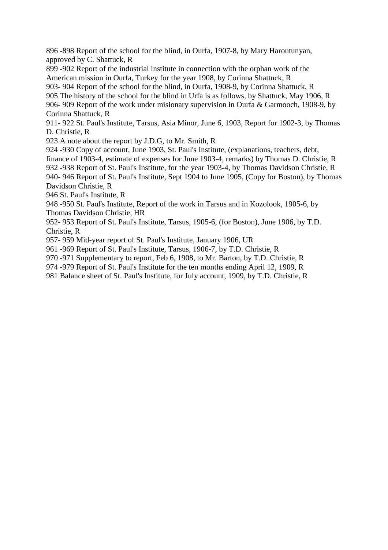896 -898 Report of the school for the blind, in Ourfa, 1907-8, by Mary Haroutunyan, approved by C. Shattuck, R

899 -902 Report of the industrial institute in connection with the orphan work of the American mission in Ourfa, Turkey for the year 1908, by Corinna Shattuck, R

903- 904 Report of the school for the blind, in Ourfa, 1908-9, by Corinna Shattuck, R 905 The history of the school for the blind in Urfa is as follows, by Shattuck, May 1906, R 906- 909 Report of the work under misionary supervision in Ourfa & Garmooch, 1908-9, by Corinna Shattuck, R

911- 922 St. Paul's Institute, Tarsus, Asia Minor, June 6, 1903, Report for 1902-3, by Thomas D. Christie, R

923 A note about the report by J.D.G, to Mr. Smith, R

924 -930 Copy of account, June 1903, St. Paul's Institute, (explanations, teachers, debt, finance of 1903-4, estimate of expenses for June 1903-4, remarks) by Thomas D. Christie, R 932 -938 Report of St. Paul's Institute, for the year 1903-4, by Thomas Davidson Christie, R 940- 946 Report of St. Paul's Institute, Sept 1904 to June 1905, (Copy for Boston), by Thomas Davidson Christie, R

946 St. Paul's Institute, R

948 -950 St. Paul's Institute, Report of the work in Tarsus and in Kozolook, 1905-6, by Thomas Davidson Christie, HR

952- 953 Report of St. Paul's Institute, Tarsus, 1905-6, (for Boston), June 1906, by T.D. Christie, R

957- 959 Mid-year report of St. Paul's Institute, January 1906, UR

961 -969 Report of St. Paul's Institute, Tarsus, 1906-7, by T.D. Christie, R

970 -971 Supplementary to report, Feb 6, 1908, to Mr. Barton, by T.D. Christie, R

974 -979 Report of St. Paul's Institute for the ten months ending April 12, 1909, R

981 Balance sheet of St. Paul's Institute, for July account, 1909, by T.D. Christie, R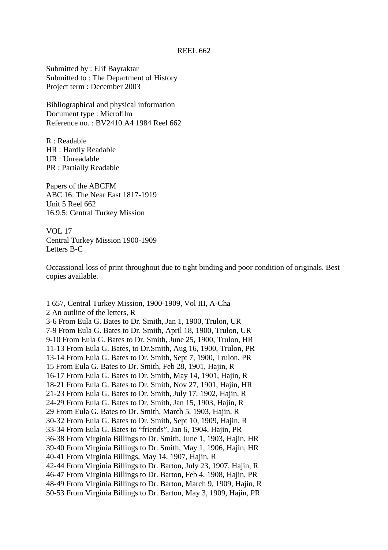Submitted by : Elif Bayraktar Submitted to : The Department of History Project term : December 2003

Bibliographical and physical information Document type : Microfilm Reference no. : BV2410.A4 1984 Reel 662

R : Readable HR : Hardly Readable UR : Unreadable PR : Partially Readable

Papers of the ABCFM ABC 16: The Near East 1817-1919 Unit 5 Reel 662 16.9.5: Central Turkey Mission

VOL 17 Central Turkey Mission 1900-1909 Letters B-C

Occassional loss of print throughout due to tight binding and poor condition of originals. Best copies available.

1 657, Central Turkey Mission, 1900-1909, Vol III, A-Cha 2 An outline of the letters, R 3-6 From Eula G. Bates to Dr. Smith, Jan 1, 1900, Trulon, UR 7-9 From Eula G. Bates to Dr. Smith, April 18, 1900, Trulon, UR 9-10 From Eula G. Bates to Dr. Smith, June 25, 1900, Trulon, HR 11-13 From Eula G. Bates, to Dr.Smith, Aug 16, 1900, Trulon, PR 13-14 From Eula G. Bates to Dr. Smith, Sept 7, 1900, Trulon, PR 15 From Eula G. Bates to Dr. Smith, Feb 28, 1901, Hajin, R 16-17 From Eula G. Bates to Dr. Smith, May 14, 1901, Hajin, R 18-21 From Eula G. Bates to Dr. Smith, Nov 27, 1901, Hajin, HR 21-23 From Eula G. Bates to Dr. Smith, July 17, 1902, Hajin, R 24-29 From Eula G. Bates to Dr. Smith, Jan 15, 1903, Hajin, R 29 From Eula G. Bates to Dr. Smith, March 5, 1903, Hajin, R 30-32 From Eula G. Bates to Dr. Smith, Sept 10, 1909, Hajin, R 33-34 From Eula G. Bates to "friends", Jan 6, 1904, Hajin, PR 36-38 From Virginia Billings to Dr. Smith, June 1, 1903, Hajin, HR 39-40 From Virginia Billings to Dr. Smith, May 1, 1906, Hajin, HR 40-41 From Virginia Billings, May 14, 1907, Hajin, R 42-44 From Virginia Billings to Dr. Barton, July 23, 1907, Hajin, R 46-47 From Virginia Billings to Dr. Barton, Feb 4, 1908, Hajin, PR 48-49 From Virginia Billings to Dr. Barton, March 9, 1909, Hajin, R 50-53 From Virginia Billings to Dr. Barton, May 3, 1909, Hajin, PR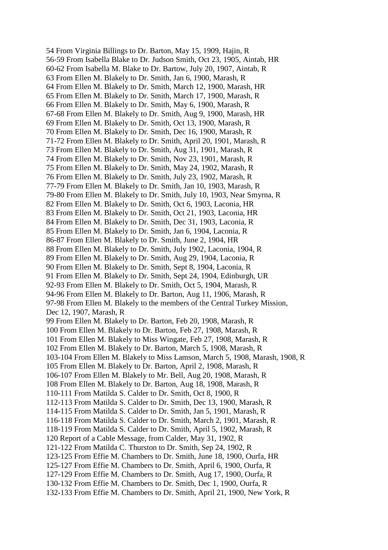54 From Virginia Billings to Dr. Barton, May 15, 1909, Hajin, R 56-59 From Isabella Blake to Dr. Judson Smith, Oct 23, 1905, Aintab, HR 60-62 From Isabella M. Blake to Dr. Bartow, July 20, 1907, Aintab, R 63 From Ellen M. Blakely to Dr. Smith, Jan 6, 1900, Marash, R 64 From Ellen M. Blakely to Dr. Smith, March 12, 1900, Marash, HR 65 From Ellen M. Blakely to Dr. Smith, March 17, 1900, Marash, R 66 From Ellen M. Blakely to Dr. Smith, May 6, 1900, Marash, R 67-68 From Ellen M. Blakely to Dr. Smith, Aug 9, 1900, Marash, HR 69 From Ellen M. Blakely to Dr. Smith, Oct 13, 1900, Marash, R 70 From Ellen M. Blakely to Dr. Smith, Dec 16, 1900, Marash, R 71-72 From Ellen M. Blakely to Dr. Smith, April 20, 1901, Marash, R 73 From Ellen M. Blakely to Dr. Smith, Aug 31, 1901, Marash, R 74 From Ellen M. Blakely to Dr. Smith, Nov 23, 1901, Marash, R 75 From Ellen M. Blakely to Dr. Smith, May 24, 1902, Marash, R 76 From Ellen M. Blakely to Dr. Smith, July 23, 1902, Marash, R 77-79 From Ellen M. Blakely to Dr. Smith, Jan 10, 1903, Marash, R 79-80 From Ellen M. Blakely to Dr. Smith, July 10, 1903, Near Smyrna, R 82 From Ellen M. Blakely to Dr. Smith, Oct 6, 1903, Laconia, HR 83 From Ellen M. Blakely to Dr. Smith, Oct 21, 1903, Laconia, HR 84 From Ellen M. Blakely to Dr. Smith, Dec 31, 1903, Laconia, R 85 From Ellen M. Blakely to Dr. Smith, Jan 6, 1904, Laconia, R 86-87 From Ellen M. Blakely to Dr. Smith, June 2, 1904, HR 88 From Ellen M. Blakely to Dr. Smith, July 1902, Laconia, 1904, R 89 From Ellen M. Blakely to Dr. Smith, Aug 29, 1904, Laconia, R 90 From Ellen M. Blakely to Dr. Smith, Sept 8, 1904, Laconia, R 91 From Ellen M. Blakely to Dr. Smith, Sept 24, 1904, Edinburgh, UR 92-93 From Ellen M. Blakely to Dr. Smith, Oct 5, 1904, Marash, R 94-96 From Ellen M. Blakely to Dr. Barton, Aug 11, 1906, Marash, R 97-98 From Ellen M. Blakely to the members of the Central Turkey Mission, Dec 12, 1907, Marash, R 99 From Ellen M. Blakely to Dr. Barton, Feb 20, 1908, Marash, R 100 From Ellen M. Blakely to Dr. Barton, Feb 27, 1908, Marash, R 101 From Ellen M. Blakely to Miss Wingate, Feb 27, 1908, Marash, R 102 From Ellen M. Blakely to Dr. Barton, March 5, 1908, Marash, R 103-104 From Ellen M. Blakely to Miss Lamson, March 5, 1908, Marash, 1908, R 105 From Ellen M. Blakely to Dr. Barton, April 2, 1908, Marash, R 106-107 From Ellen M. Blakely to Mr. Bell, Aug 20, 1908, Marash, R 108 From Ellen M. Blakely to Dr. Barton, Aug 18, 1908, Marash, R 110-111 From Matilda S. Calder to Dr. Smith, Oct 8, 1900, R 112-113 From Matilda S. Calder to Dr. Smith, Dec 13, 1900, Marash, R 114-115 From Matilda S. Calder to Dr. Smith, Jan 5, 1901, Marash, R 116-118 From Matilda S. Calder to Dr. Smith, March 2, 1901, Marash, R 118-119 From Matilda S. Calder to Dr. Smith, April 5, 1902, Marash, R 120 Report of a Cable Message, from Calder, May 31, 1902, R 121-122 From Matilda C. Thurston to Dr. Smith, Sep 24, 1902, R 123-125 From Effie M. Chambers to Dr. Smith, June 18, 1900, Ourfa, HR 125-127 From Effie M. Chambers to Dr. Smith, April 6, 1900, Ourfa, R 127-129 From Effie M. Chambers to Dr. Smith, Aug 17, 1900, Ourfa, R 130-132 From Effie M. Chambers to Dr. Smith, Dec 1, 1900, Ourfa, R 132-133 From Effie M. Chambers to Dr. Smith, April 21, 1900, New York, R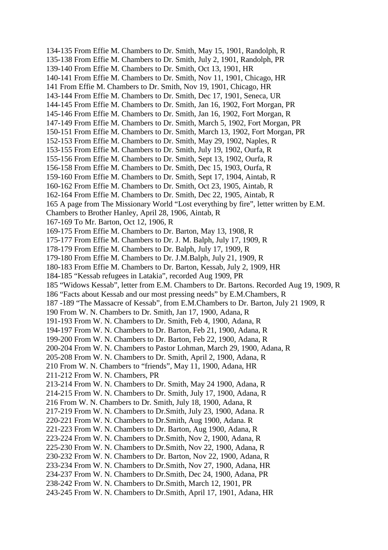134-135 From Effie M. Chambers to Dr. Smith, May 15, 1901, Randolph, R 135-138 From Effie M. Chambers to Dr. Smith, July 2, 1901, Randolph, PR 139-140 From Effie M. Chambers to Dr. Smith, Oct 13, 1901, HR 140-141 From Effie M. Chambers to Dr. Smith, Nov 11, 1901, Chicago, HR 141 From Effie M. Chambers to Dr. Smith, Nov 19, 1901, Chicago, HR 143-144 From Effie M. Chambers to Dr. Smith, Dec 17, 1901, Seneca, UR 144-145 From Effie M. Chambers to Dr. Smith, Jan 16, 1902, Fort Morgan, PR 145-146 From Effie M. Chambers to Dr. Smith, Jan 16, 1902, Fort Morgan, R 147-149 From Effie M. Chambers to Dr. Smith, March 5, 1902, Fort Morgan, PR 150-151 From Effie M. Chambers to Dr. Smith, March 13, 1902, Fort Morgan, PR 152-153 From Effie M. Chambers to Dr. Smith, May 29, 1902, Naples, R 153-155 From Effie M. Chambers to Dr. Smith, July 19, 1902, Ourfa, R 155-156 From Effie M. Chambers to Dr. Smith, Sept 13, 1902, Ourfa, R 156-158 From Effie M. Chambers to Dr. Smith, Dec 15, 1903, Ourfa, R 159-160 From Effie M. Chambers to Dr. Smith, Sept 17, 1904, Aintab, R 160-162 From Effie M. Chambers to Dr. Smith, Oct 23, 1905, Aintab, R 162-164 From Effie M. Chambers to Dr. Smith, Dec 22, 1905, Aintab, R 165 A page from The Missionary World "Lost everything by fire", letter written by E.M. Chambers to Brother Hanley, April 28, 1906, Aintab, R 167-169 To Mr. Barton, Oct 12, 1906, R 169-175 From Effie M. Chambers to Dr. Barton, May 13, 1908, R 175-177 From Effie M. Chambers to Dr. J. M. Balph, July 17, 1909, R 178-179 From Effie M. Chambers to Dr. Balph, July 17, 1909, R 179-180 From Effie M. Chambers to Dr. J.M.Balph, July 21, 1909, R 180-183 From Effie M. Chambers to Dr. Barton, Kessab, July 2, 1909, HR 184-185 "Kessab refugees in Latakia", recorded Aug 1909, PR 185 "Widows Kessab", letter from E.M. Chambers to Dr. Bartons. Recorded Aug 19, 1909, R 186 "Facts about Kessab and our most pressing needs" by E.M.Chambers, R 187 -189 "The Massacre of Kessab", from E.M.Chambers to Dr. Barton, July 21 1909, R 190 From W. N. Chambers to Dr. Smith, Jan 17, 1900, Adana, R 191-193 From W. N. Chambers to Dr. Smith, Feb 4, 1900, Adana, R 194-197 From W. N. Chambers to Dr. Barton, Feb 21, 1900, Adana, R 199-200 From W. N. Chambers to Dr. Barton, Feb 22, 1900, Adana, R 200-204 From W. N. Chambers to Pastor Lohman, March 29, 1900, Adana, R 205-208 From W. N. Chambers to Dr. Smith, April 2, 1900, Adana, R 210 From W. N. Chambers to "friends", May 11, 1900, Adana, HR 211-212 From W. N. Chambers, PR 213-214 From W. N. Chambers to Dr. Smith, May 24 1900, Adana, R 214-215 From W. N. Chambers to Dr. Smith, July 17, 1900, Adana, R 216 From W. N. Chambers to Dr. Smith, July 18, 1900, Adana, R 217-219 From W. N. Chambers to Dr.Smith, July 23, 1900, Adana. R 220-221 From W. N. Chambers to Dr.Smith, Aug 1900, Adana. R 221-223 From W. N. Chambers to Dr. Barton, Aug 1900, Adana, R 223-224 From W. N. Chambers to Dr.Smith, Nov 2, 1900, Adana, R 225-230 From W. N. Chambers to Dr.Smith, Nov 22, 1900, Adana, R 230-232 From W. N. Chambers to Dr. Barton, Nov 22, 1900, Adana, R 233-234 From W. N. Chambers to Dr.Smith, Nov 27, 1900, Adana, HR 234-237 From W. N. Chambers to Dr.Smith, Dec 24, 1900, Adana, PR 238-242 From W. N. Chambers to Dr.Smith, March 12, 1901, PR 243-245 From W. N. Chambers to Dr.Smith, April 17, 1901, Adana, HR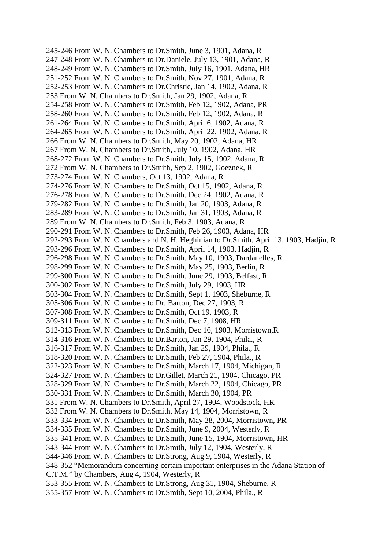245-246 From W. N. Chambers to Dr.Smith, June 3, 1901, Adana, R 247-248 From W. N. Chambers to Dr.Daniele, July 13, 1901, Adana, R 248-249 From W. N. Chambers to Dr.Smith, July 16, 1901, Adana, HR 251-252 From W. N. Chambers to Dr.Smith, Nov 27, 1901, Adana, R 252-253 From W. N. Chambers to Dr.Christie, Jan 14, 1902, Adana, R 253 From W. N. Chambers to Dr.Smith, Jan 29, 1902, Adana, R 254-258 From W. N. Chambers to Dr.Smith, Feb 12, 1902, Adana, PR 258-260 From W. N. Chambers to Dr.Smith, Feb 12, 1902, Adana, R 261-264 From W. N. Chambers to Dr.Smith, April 6, 1902, Adana, R 264-265 From W. N. Chambers to Dr.Smith, April 22, 1902, Adana, R 266 From W. N. Chambers to Dr.Smith, May 20, 1902, Adana, HR 267 From W. N. Chambers to Dr.Smith, July 10, 1902, Adana, HR 268-272 From W. N. Chambers to Dr.Smith, July 15, 1902, Adana, R 272 From W. N. Chambers to Dr.Smith, Sep 2, 1902, Goeznek, R 273-274 From W. N. Chambers, Oct 13, 1902, Adana, R 274-276 From W. N. Chambers to Dr.Smith, Oct 15, 1902, Adana, R 276-278 From W. N. Chambers to Dr.Smith, Dec 24, 1902, Adana, R 279-282 From W. N. Chambers to Dr.Smith, Jan 20, 1903, Adana, R 283-289 From W. N. Chambers to Dr.Smith, Jan 31, 1903, Adana, R 289 From W. N. Chambers to Dr.Smith, Feb 3, 1903, Adana, R 290-291 From W. N. Chambers to Dr.Smith, Feb 26, 1903, Adana, HR 292-293 From W. N. Chambers and N. H. Heghinian to Dr.Smith, April 13, 1903, Hadjin, R 293-296 From W. N. Chambers to Dr.Smith, April 14, 1903, Hadjin, R 296-298 From W. N. Chambers to Dr.Smith, May 10, 1903, Dardanelles, R 298-299 From W. N. Chambers to Dr.Smith, May 25, 1903, Berlin, R 299-300 From W. N. Chambers to Dr.Smith, June 29, 1903, Belfast, R 300-302 From W. N. Chambers to Dr.Smith, July 29, 1903, HR 303-304 From W. N. Chambers to Dr.Smith, Sept 1, 1903, Sheburne, R 305-306 From W. N. Chambers to Dr. Barton, Dec 27, 1903, R 307-308 From W. N. Chambers to Dr.Smith, Oct 19, 1903, R 309-311 From W. N. Chambers to Dr.Smith, Dec 7, 1908, HR 312-313 From W. N. Chambers to Dr.Smith, Dec 16, 1903, Morristown,R 314-316 From W. N. Chambers to Dr.Barton, Jan 29, 1904, Phila., R 316-317 From W. N. Chambers to Dr.Smith, Jan 29, 1904, Phila., R 318-320 From W. N. Chambers to Dr.Smith, Feb 27, 1904, Phila., R 322-323 From W. N. Chambers to Dr.Smith, March 17, 1904, Michigan, R 324-327 From W. N. Chambers to Dr.Gillet, March 21, 1904, Chicago, PR 328-329 From W. N. Chambers to Dr.Smith, March 22, 1904, Chicago, PR 330-331 From W. N. Chambers to Dr.Smith, March 30, 1904, PR 331 From W. N. Chambers to Dr.Smith, April 27, 1904, Woodstock, HR 332 From W. N. Chambers to Dr.Smith, May 14, 1904, Morristown, R 333-334 From W. N. Chambers to Dr.Smith, May 28, 2004, Morristown, PR 334-335 From W. N. Chambers to Dr.Smith, June 9, 2004, Westerly, R 335-341 From W. N. Chambers to Dr.Smith, June 15, 1904, Morristown, HR 343-344 From W. N. Chambers to Dr.Smith, July 12, 1904, Westerly, R 344-346 From W. N. Chambers to Dr.Strong, Aug 9, 1904, Westerly, R 348-352 "Memorandum concerning certain important enterprises in the Adana Station of C.T.M." by Chambers, Aug 4, 1904, Westerly, R 353-355 From W. N. Chambers to Dr.Strong, Aug 31, 1904, Sheburne, R 355-357 From W. N. Chambers to Dr.Smith, Sept 10, 2004, Phila., R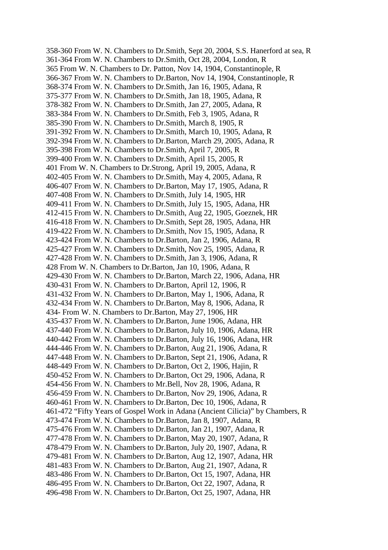358-360 From W. N. Chambers to Dr.Smith, Sept 20, 2004, S.S. Hanerford at sea, R 361-364 From W. N. Chambers to Dr.Smith, Oct 28, 2004, London, R 365 From W. N. Chambers to Dr. Patton, Nov 14, 1904, Constantinople, R 366-367 From W. N. Chambers to Dr.Barton, Nov 14, 1904, Constantinople, R 368-374 From W. N. Chambers to Dr.Smith, Jan 16, 1905, Adana, R 375-377 From W. N. Chambers to Dr.Smith, Jan 18, 1905, Adana, R 378-382 From W. N. Chambers to Dr.Smith, Jan 27, 2005, Adana, R 383-384 From W. N. Chambers to Dr.Smith, Feb 3, 1905, Adana, R 385-390 From W. N. Chambers to Dr.Smith, March 8, 1905, R 391-392 From W. N. Chambers to Dr.Smith, March 10, 1905, Adana, R 392-394 From W. N. Chambers to Dr.Barton, March 29, 2005, Adana, R 395-398 From W. N. Chambers to Dr.Smith, April 7, 2005, R 399-400 From W. N. Chambers to Dr.Smith, April 15, 2005, R 401 From W. N. Chambers to Dr.Strong, April 19, 2005, Adana, R 402-405 From W. N. Chambers to Dr.Smith, May 4, 2005, Adana, R 406-407 From W. N. Chambers to Dr.Barton, May 17, 1905, Adana, R 407-408 From W. N. Chambers to Dr.Smith, July 14, 1905, HR 409-411 From W. N. Chambers to Dr.Smith, July 15, 1905, Adana, HR 412-415 From W. N. Chambers to Dr.Smith, Aug 22, 1905, Goeznek, HR 416-418 From W. N. Chambers to Dr.Smith, Sept 28, 1905, Adana, HR 419-422 From W. N. Chambers to Dr.Smith, Nov 15, 1905, Adana, R 423-424 From W. N. Chambers to Dr.Barton, Jan 2, 1906, Adana, R 425-427 From W. N. Chambers to Dr.Smith, Nov 25, 1905, Adana, R 427-428 From W. N. Chambers to Dr.Smith, Jan 3, 1906, Adana, R 428 From W. N. Chambers to Dr.Barton, Jan 10, 1906, Adana, R 429-430 From W. N. Chambers to Dr.Barton, March 22, 1906, Adana, HR 430-431 From W. N. Chambers to Dr.Barton, April 12, 1906, R 431-432 From W. N. Chambers to Dr.Barton, May 1, 1906, Adana, R 432-434 From W. N. Chambers to Dr.Barton, May 8, 1906, Adana, R 434- From W. N. Chambers to Dr.Barton, May 27, 1906, HR 435-437 From W. N. Chambers to Dr.Barton, June 1906, Adana, HR 437-440 From W. N. Chambers to Dr.Barton, July 10, 1906, Adana, HR 440-442 From W. N. Chambers to Dr.Barton, July 16, 1906, Adana, HR 444-446 From W. N. Chambers to Dr.Barton, Aug 21, 1906, Adana, R 447-448 From W. N. Chambers to Dr.Barton, Sept 21, 1906, Adana, R 448-449 From W. N. Chambers to Dr.Barton, Oct 2, 1906, Hajin, R 450-452 From W. N. Chambers to Dr.Barton, Oct 29, 1906, Adana, R 454-456 From W. N. Chambers to Mr.Bell, Nov 28, 1906, Adana, R 456-459 From W. N. Chambers to Dr.Barton, Nov 29, 1906, Adana, R 460-461 From W. N. Chambers to Dr.Barton, Dec 10, 1906, Adana, R 461-472 "Fifty Years of Gospel Work in Adana (Ancient Cilicia)" by Chambers, R 473-474 From W. N. Chambers to Dr.Barton, Jan 8, 1907, Adana, R 475-476 From W. N. Chambers to Dr.Barton, Jan 21, 1907, Adana, R 477-478 From W. N. Chambers to Dr.Barton, May 20, 1907, Adana, R 478-479 From W. N. Chambers to Dr.Barton, July 20, 1907, Adana, R 479-481 From W. N. Chambers to Dr.Barton, Aug 12, 1907, Adana, HR 481-483 From W. N. Chambers to Dr.Barton, Aug 21, 1907, Adana, R 483-486 From W. N. Chambers to Dr.Barton, Oct 15, 1907, Adana, HR 486-495 From W. N. Chambers to Dr.Barton, Oct 22, 1907, Adana, R 496-498 From W. N. Chambers to Dr.Barton, Oct 25, 1907, Adana, HR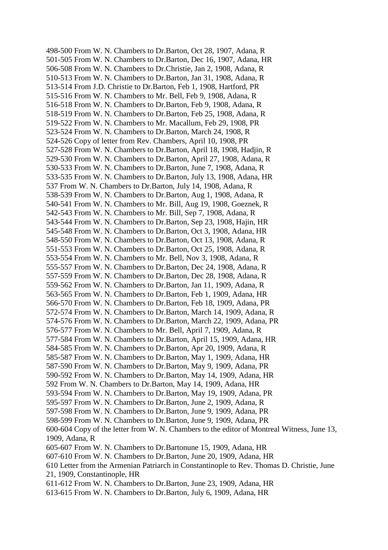498-500 From W. N. Chambers to Dr.Barton, Oct 28, 1907, Adana, R 501-505 From W. N. Chambers to Dr.Barton, Dec 16, 1907, Adana, HR 506-508 From W. N. Chambers to Dr.Christie, Jan 2, 1908, Adana, R 510-513 From W. N. Chambers to Dr.Barton, Jan 31, 1908, Adana, R 513-514 From J.D. Christie to Dr.Barton, Feb 1, 1908, Hartford, PR 515-516 From W. N. Chambers to Mr. Bell, Feb 9, 1908, Adana, R 516-518 From W. N. Chambers to Dr.Barton, Feb 9, 1908, Adana, R 518-519 From W. N. Chambers to Dr.Barton, Feb 25, 1908, Adana, R 519-522 From W. N. Chambers to Mr. Macallum, Feb 29, 1908, PR 523-524 From W. N. Chambers to Dr.Barton, March 24, 1908, R 524-526 Copy of letter from Rev. Chambers, April 10, 1908, PR 527-528 From W. N. Chambers to Dr.Barton, April 18, 1908, Hadjin, R 529-530 From W. N. Chambers to Dr.Barton, April 27, 1908, Adana, R 530-533 From W. N. Chambers to Dr.Barton, June 7, 1908, Adana, R 533-535 From W. N. Chambers to Dr.Barton, July 13, 1908, Adana, HR 537 From W. N. Chambers to Dr.Barton, July 14, 1908, Adana, R 538-539 From W. N. Chambers to Dr.Barton, Aug 1, 1908, Adana, R 540-541 From W. N. Chambers to Mr. Bill, Aug 19, 1908, Goeznek, R 542-543 From W. N. Chambers to Mr. Bill, Sep 7, 1908, Adana, R 543-544 From W. N. Chambers to Dr.Barton, Sep 23, 1908, Hajin, HR 545-548 From W. N. Chambers to Dr.Barton, Oct 3, 1908, Adana, HR 548-550 From W. N. Chambers to Dr.Barton, Oct 13, 1908, Adana, R 551-553 From W. N. Chambers to Dr.Barton, Oct 25, 1908, Adana, R 553-554 From W. N. Chambers to Mr. Bell, Nov 3, 1908, Adana, R 555-557 From W. N. Chambers to Dr.Barton, Dec 24, 1908, Adana, R 557-559 From W. N. Chambers to Dr.Barton, Dec 28, 1908, Adana, R 559-562 From W. N. Chambers to Dr.Barton, Jan 11, 1909, Adana, R 563-565 From W. N. Chambers to Dr.Barton, Feb 1, 1909, Adana, HR 566-570 From W. N. Chambers to Dr.Barton, Feb 18, 1909, Adana, PR 572-574 From W. N. Chambers to Dr.Barton, March 14, 1909, Adana, R 574-576 From W. N. Chambers to Dr.Barton, March 22, 1909, Adana, PR 576-577 From W. N. Chambers to Mr. Bell, April 7, 1909, Adana, R 577-584 From W. N. Chambers to Dr.Barton, April 15, 1909, Adana, HR 584-585 From W. N. Chambers to Dr.Barton, Apr 20, 1909, Adana, R 585-587 From W. N. Chambers to Dr.Barton, May 1, 1909, Adana, HR 587-590 From W. N. Chambers to Dr.Barton, May 9, 1909, Adana, PR 590-592 From W. N. Chambers to Dr.Barton, May 14, 1909, Adana, HR 592 From W. N. Chambers to Dr.Barton, May 14, 1909, Adana, HR 593-594 From W. N. Chambers to Dr.Barton, May 19, 1909, Adana, PR 595-597 From W. N. Chambers to Dr.Barton, June 2, 1909, Adana, R 597-598 From W. N. Chambers to Dr.Barton, June 9, 1909, Adana, PR 598-599 From W. N. Chambers to Dr.Barton, June 9, 1909, Adana, PR 600-604 Copy of the letter from W. N. Chambers to the editor of Montreal Witness, June 13, 1909, Adana, R 605-607 From W. N. Chambers to Dr.Bartonune 15, 1909, Adana, HR 607-610 From W. N. Chambers to Dr.Barton, June 20, 1909, Adana, HR 610 Letter from the Armenian Patriarch in Constantinople to Rev. Thomas D. Christie, June 21, 1909, Constantinople, HR 611-612 From W. N. Chambers to Dr.Barton, June 23, 1909, Adana, HR 613-615 From W. N. Chambers to Dr.Barton, July 6, 1909, Adana, HR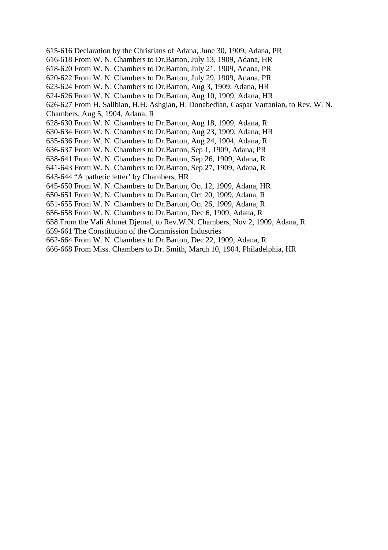- 615-616 Declaration by the Christians of Adana, June 30, 1909, Adana, PR 616-618 From W. N. Chambers to Dr.Barton, July 13, 1909, Adana, HR 618-620 From W. N. Chambers to Dr.Barton, July 21, 1909, Adana, PR 620-622 From W. N. Chambers to Dr.Barton, July 29, 1909, Adana, PR 623-624 From W. N. Chambers to Dr.Barton, Aug 3, 1909, Adana, HR 624-626 From W. N. Chambers to Dr.Barton, Aug 10, 1909, Adana, HR 626-627 From H. Salibian, H.H. Ashgian, H. Donabedian, Caspar Vartanian, to Rev. W. N. Chambers, Aug 5, 1904, Adana, R 628-630 From W. N. Chambers to Dr.Barton, Aug 18, 1909, Adana, R 630-634 From W. N. Chambers to Dr.Barton, Aug 23, 1909, Adana, HR 635-636 From W. N. Chambers to Dr.Barton, Aug 24, 1904, Adana, R 636-637 From W. N. Chambers to Dr.Barton, Sep 1, 1909, Adana, PR 638-641 From W. N. Chambers to Dr.Barton, Sep 26, 1909, Adana, R 641-643 From W. N. Chambers to Dr.Barton, Sep 27, 1909, Adana, R 643-644 "A pathetic letter' by Chambers, HR 645-650 From W. N. Chambers to Dr.Barton, Oct 12, 1909, Adana, HR 650-651 From W. N. Chambers to Dr.Barton, Oct 20, 1909, Adana, R 651-655 From W. N. Chambers to Dr.Barton, Oct 26, 1909, Adana, R 656-658 From W. N. Chambers to Dr.Barton, Dec 6, 1909, Adana, R 658 From the Vali Ahmet Djemal, to Rev.W.N. Chambers, Nov 2, 1909, Adana, R
- 659-661 The Constitution of the Commission Industries
- 662-664 From W. N. Chambers to Dr.Barton, Dec 22, 1909, Adana, R
- 666-668 From Miss. Chambers to Dr. Smith, March 10, 1904, Philadelphia, HR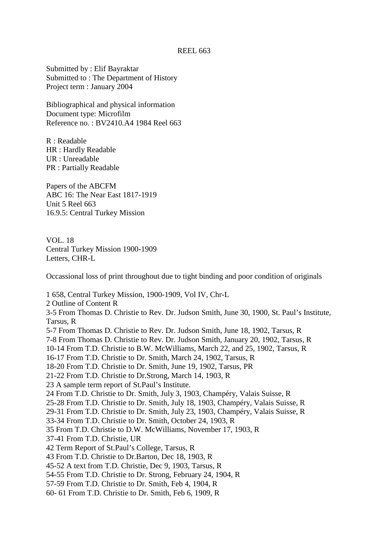Submitted by : Elif Bayraktar Submitted to : The Department of History Project term : January 2004

Bibliographical and physical information Document type: Microfilm Reference no. : BV2410.A4 1984 Reel 663

R : Readable HR : Hardly Readable UR : Unreadable PR : Partially Readable

Papers of the ABCFM ABC 16: The Near East 1817-1919 Unit 5 Reel 663 16.9.5: Central Turkey Mission

VOL. 18 Central Turkey Mission 1900-1909 Letters, CHR-L

Occassional loss of print throughout due to tight binding and poor condition of originals

1 658, Central Turkey Mission, 1900-1909, Vol IV, Chr-L 2 Outline of Content R 3-5 From Thomas D. Christie to Rev. Dr. Judson Smith, June 30, 1900, St. Paul's Institute, Tarsus, R 5-7 From Thomas D. Christie to Rev. Dr. Judson Smith, June 18, 1902, Tarsus, R 7-8 From Thomas D. Christie to Rev. Dr. Judson Smith, January 20, 1902, Tarsus, R 10-14 From T.D. Christie to B.W. McWilliams, March 22, and 25, 1902, Tarsus, R 16-17 From T.D. Christie to Dr. Smith, March 24, 1902, Tarsus, R 18-20 From T.D. Christie to Dr. Smith, June 19, 1902, Tarsus, PR 21-22 From T.D. Christie to Dr.Strong, March 14, 1903, R 23 A sample term report of St.Paul's Institute. 24 From T.D. Christie to Dr. Smith, July 3, 1903, Champéry, Valais Suisse, R 25-28 From T.D. Christie to Dr. Smith, July 18, 1903, Champéry, Valais Suisse, R 29-31 From T.D. Christie to Dr. Smith, July 23, 1903, Champéry, Valais Suisse, R 33-34 From T.D. Christie to Dr. Smith, October 24, 1903, R 35 From T.D. Christie to D.W. McWilliams, November 17, 1903, R 37-41 From T.D. Christie, UR 42 Term Report of St.Paul's College, Tarsus, R 43 From T.D. Christie to Dr.Barton, Dec 18, 1903, R 45-52 A text from T.D. Christie, Dec 9, 1903, Tarsus, R 54-55 From T.D. Christie to Dr. Strong, February 24, 1904, R 57-59 From T.D. Christie to Dr. Smith, Feb 4, 1904, R 60- 61 From T.D. Christie to Dr. Smith, Feb 6, 1909, R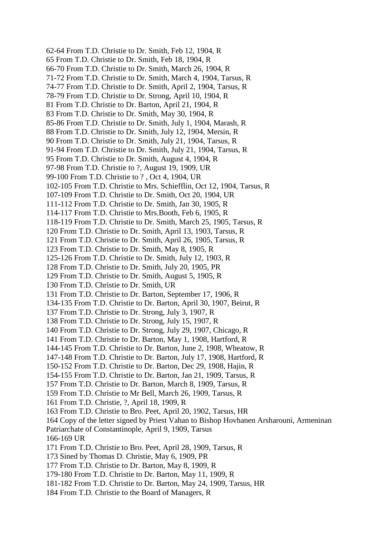62-64 From T.D. Christie to Dr. Smith, Feb 12, 1904, R 65 From T.D. Christie to Dr. Smith, Feb 18, 1904, R 66-70 From T.D. Christie to Dr. Smith, March 26, 1904, R 71-72 From T.D. Christie to Dr. Smith, March 4, 1904, Tarsus, R 74-77 From T.D. Christie to Dr. Smith, April 2, 1904, Tarsus, R 78-79 From T.D. Christie to Dr. Strong, April 10, 1904, R 81 From T.D. Christie to Dr. Barton, April 21, 1904, R 83 From T.D. Christie to Dr. Smith, May 30, 1904, R 85-86 From T.D. Christie to Dr. Smith, July 1, 1904, Marash, R 88 From T.D. Christie to Dr. Smith, July 12, 1904, Mersin, R 90 From T.D. Christie to Dr. Smith, July 21, 1904, Tarsus, R 91-94 From T.D. Christie to Dr. Smith, July 21, 1904, Tarsus, R 95 From T.D. Christie to Dr. Smith, August 4, 1904, R 97-98 From T.D. Christie to ?, August 19, 1909, UR 99-100 From T.D. Christie to ? , Oct 4, 1904, UR 102-105 From T.D. Christie to Mrs. Schiefflin, Oct 12, 1904, Tarsus, R 107-109 From T.D. Christie to Dr. Smith, Oct 20, 1904, UR 111-112 From T.D. Christie to Dr. Smith, Jan 30, 1905, R 114-117 From T.D. Christie to Mrs.Booth, Feb 6, 1905, R 118-119 From T.D. Christie to Dr. Smith, March 25, 1905, Tarsus, R 120 From T.D. Christie to Dr. Smith, April 13, 1903, Tarsus, R 121 From T.D. Christie to Dr. Smith, April 26, 1905, Tarsus, R 123 From T.D. Christie to Dr. Smith, May 8, 1905, R 125-126 From T.D. Christie to Dr. Smith, July 12, 1903, R 128 From T.D. Christie to Dr. Smith, July 20, 1905, PR 129 From T.D. Christie to Dr. Smith, August 5, 1905, R 130 From T.D. Christie to Dr. Smith, UR 131 From T.D. Christie to Dr. Barton, September 17, 1906, R 134-135 From T.D. Christie to Dr. Barton, April 30, 1907, Beirut, R 137 From T.D. Christie to Dr. Strong, July 3, 1907, R 138 From T.D. Christie to Dr. Strong, July 15, 1907, R 140 From T.D. Christie to Dr. Strong, July 29, 1907, Chicago, R 141 From T.D. Christie to Dr. Barton, May 1, 1908, Hartford, R 144-145 From T.D. Christie to Dr. Barton, June 2, 1908, Wheatow, R 147-148 From T.D. Christie to Dr. Barton, July 17, 1908, Hartford, R 150-152 From T.D. Christie to Dr. Barton, Dec 29, 1908, Hajin, R 154-155 From T.D. Christie to Dr. Barton, Jan 21, 1909, Tarsus, R 157 From T.D. Christie to Dr. Barton, March 8, 1909, Tarsus, R 159 From T.D. Christie to Mr Bell, March 26, 1909, Tarsus, R 161 From T.D. Christie, ?, April 18, 1909, R 163 From T.D. Christie to Bro. Peet, April 20, 1902, Tarsus, HR 164 Copy of the letter signed by Priest Vahan to Bishop Hovhanen Arsharouni, Armeninan Patriarchate of Constantinople, April 9, 1909, Tarsus 166-169 UR 171 From T.D. Christie to Bro. Peet, April 28, 1909, Tarsus, R 173 Sined by Thomas D. Christie, May 6, 1909, PR 177 From T.D. Christie to Dr. Barton, May 8, 1909, R 179-180 From T.D. Christie to Dr. Barton, May 11, 1909, R 181-182 From T.D. Christie to Dr. Barton, May 24, 1909, Tarsus, HR 184 From T.D. Christie to the Board of Managers, R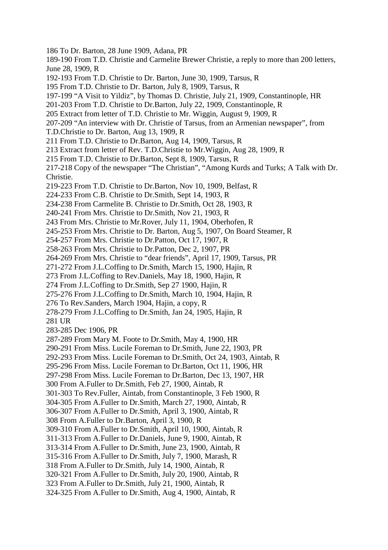- 186 To Dr. Barton, 28 June 1909, Adana, PR
- 189-190 From T.D. Christie and Carmelite Brewer Christie, a reply to more than 200 letters, June 28, 1909, R
- 192-193 From T.D. Christie to Dr. Barton, June 30, 1909, Tarsus, R
- 195 From T.D. Christie to Dr. Barton, July 8, 1909, Tarsus, R
- 197-199 "A Visit to Yildiz", by Thomas D. Christie, July 21, 1909, Constantinople, HR
- 201-203 From T.D. Christie to Dr.Barton, July 22, 1909, Constantinople, R
- 205 Extract from letter of T.D. Christie to Mr. Wiggin, August 9, 1909, R
- 207-209 "An interview with Dr. Christie of Tarsus, from an Armenian newspaper", from
- T.D.Christie to Dr. Barton, Aug 13, 1909, R
- 211 From T.D. Christie to Dr.Barton, Aug 14, 1909, Tarsus, R
- 213 Extract from letter of Rev. T.D.Christie to Mr.Wiggin, Aug 28, 1909, R
- 215 From T.D. Christie to Dr.Barton, Sept 8, 1909, Tarsus, R

217-218 Copy of the newspaper "The Christian", "Among Kurds and Turks; A Talk with Dr. Christie.

- 219-223 From T.D. Christie to Dr.Barton, Nov 10, 1909, Belfast, R
- 224-233 From C.B. Christie to Dr.Smith, Sept 14, 1903, R
- 234-238 From Carmelite B. Christie to Dr.Smith, Oct 28, 1903, R
- 240-241 From Mrs. Christie to Dr.Smith, Nov 21, 1903, R
- 243 From Mrs. Christie to Mr.Rover, July 11, 1904, Oberhofen, R
- 245-253 From Mrs. Christie to Dr. Barton, Aug 5, 1907, On Board Steamer, R
- 254-257 From Mrs. Christie to Dr.Patton, Oct 17, 1907, R
- 258-263 From Mrs. Christie to Dr.Patton, Dec 2, 1907, PR
- 264-269 From Mrs. Christie to "dear friends", April 17, 1909, Tarsus, PR
- 271-272 From J.L.Coffing to Dr.Smith, March 15, 1900, Hajin, R
- 273 From J.L.Coffing to Rev.Daniels, May 18, 1900, Hajin, R
- 274 From J.L.Coffing to Dr.Smith, Sep 27 1900, Hajin, R
- 275-276 From J.L.Coffing to Dr.Smith, March 10, 1904, Hajin, R
- 276 To Rev.Sanders, March 1904, Hajin, a copy, R
- 278-279 From J.L.Coffing to Dr.Smith, Jan 24, 1905, Hajin, R
- 281 UR

283-285 Dec 1906, PR

287-289 From Mary M. Foote to Dr.Smith, May 4, 1900, HR

- 290-291 From Miss. Lucile Foreman to Dr.Smith, June 22, 1903, PR
- 292-293 From Miss. Lucile Foreman to Dr.Smith, Oct 24, 1903, Aintab, R
- 295-296 From Miss. Lucile Foreman to Dr.Barton, Oct 11, 1906, HR
- 297-298 From Miss. Lucile Foreman to Dr.Barton, Dec 13, 1907, HR
- 300 From A.Fuller to Dr.Smith, Feb 27, 1900, Aintab, R
- 301-303 To Rev.Fuller, Aintab, from Constantinople, 3 Feb 1900, R
- 304-305 From A.Fuller to Dr.Smith, March 27, 1900, Aintab, R
- 306-307 From A.Fuller to Dr.Smith, April 3, 1900, Aintab, R
- 308 From A.Fuller to Dr.Barton, April 3, 1900, R
- 309-310 From A.Fuller to Dr.Smith, April 10, 1900, Aintab, R
- 311-313 From A.Fuller to Dr.Daniels, June 9, 1900, Aintab, R
- 313-314 From A.Fuller to Dr.Smith, June 23, 1900, Aintab, R
- 315-316 From A.Fuller to Dr.Smith, July 7, 1900, Marash, R
- 318 From A.Fuller to Dr.Smith, July 14, 1900, Aintab, R
- 320-321 From A.Fuller to Dr.Smith, July 20, 1900, Aintab, R
- 323 From A.Fuller to Dr.Smith, July 21, 1900, Aintab, R
- 324-325 From A.Fuller to Dr.Smith, Aug 4, 1900, Aintab, R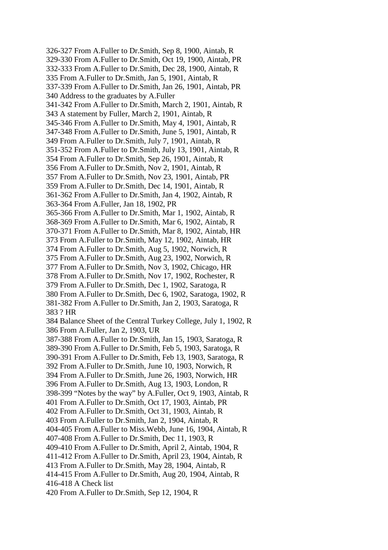326-327 From A.Fuller to Dr.Smith, Sep 8, 1900, Aintab, R 329-330 From A.Fuller to Dr.Smith, Oct 19, 1900, Aintab, PR 332-333 From A.Fuller to Dr.Smith, Dec 28, 1900, Aintab, R 335 From A.Fuller to Dr.Smith, Jan 5, 1901, Aintab, R 337-339 From A.Fuller to Dr.Smith, Jan 26, 1901, Aintab, PR 340 Address to the graduates by A.Fuller 341-342 From A.Fuller to Dr.Smith, March 2, 1901, Aintab, R 343 A statement by Fuller, March 2, 1901, Aintab, R 345-346 From A.Fuller to Dr.Smith, May 4, 1901, Aintab, R 347-348 From A.Fuller to Dr.Smith, June 5, 1901, Aintab, R 349 From A.Fuller to Dr.Smith, July 7, 1901, Aintab, R 351-352 From A.Fuller to Dr.Smith, July 13, 1901, Aintab, R 354 From A.Fuller to Dr.Smith, Sep 26, 1901, Aintab, R 356 From A.Fuller to Dr.Smith, Nov 2, 1901, Aintab, R 357 From A.Fuller to Dr.Smith, Nov 23, 1901, Aintab, PR 359 From A.Fuller to Dr.Smith, Dec 14, 1901, Aintab, R 361-362 From A.Fuller to Dr.Smith, Jan 4, 1902, Aintab, R 363-364 From A.Fuller, Jan 18, 1902, PR 365-366 From A.Fuller to Dr.Smith, Mar 1, 1902, Aintab, R 368-369 From A.Fuller to Dr.Smith, Mar 6, 1902, Aintab, R 370-371 From A.Fuller to Dr.Smith, Mar 8, 1902, Aintab, HR 373 From A.Fuller to Dr.Smith, May 12, 1902, Aintab, HR 374 From A.Fuller to Dr.Smith, Aug 5, 1902, Norwich, R 375 From A.Fuller to Dr.Smith, Aug 23, 1902, Norwich, R 377 From A.Fuller to Dr.Smith, Nov 3, 1902, Chicago, HR 378 From A.Fuller to Dr.Smith, Nov 17, 1902, Rochester, R 379 From A.Fuller to Dr.Smith, Dec 1, 1902, Saratoga, R 380 From A.Fuller to Dr.Smith, Dec 6, 1902, Saratoga, 1902, R 381-382 From A.Fuller to Dr.Smith, Jan 2, 1903, Saratoga, R 383 ? HR 384 Balance Sheet of the Central Turkey College, July 1, 1902, R 386 From A.Fuller, Jan 2, 1903, UR 387-388 From A.Fuller to Dr.Smith, Jan 15, 1903, Saratoga, R 389-390 From A.Fuller to Dr.Smith, Feb 5, 1903, Saratoga, R 390-391 From A.Fuller to Dr.Smith, Feb 13, 1903, Saratoga, R 392 From A.Fuller to Dr.Smith, June 10, 1903, Norwich, R 394 From A.Fuller to Dr.Smith, June 26, 1903, Norwich, HR 396 From A.Fuller to Dr.Smith, Aug 13, 1903, London, R 398-399 "Notes by the way" by A.Fuller, Oct 9, 1903, Aintab, R 401 From A.Fuller to Dr.Smith, Oct 17, 1903, Aintab, PR 402 From A.Fuller to Dr.Smith, Oct 31, 1903, Aintab, R 403 From A.Fuller to Dr.Smith, Jan 2, 1904, Aintab, R 404-405 From A.Fuller to Miss.Webb, June 16, 1904, Aintab, R 407-408 From A.Fuller to Dr.Smith, Dec 11, 1903, R 409-410 From A.Fuller to Dr.Smith, April 2, Aintab, 1904, R 411-412 From A.Fuller to Dr.Smith, April 23, 1904, Aintab, R 413 From A.Fuller to Dr.Smith, May 28, 1904, Aintab, R 414-415 From A.Fuller to Dr.Smith, Aug 20, 1904, Aintab, R 416-418 A Check list 420 From A.Fuller to Dr.Smith, Sep 12, 1904, R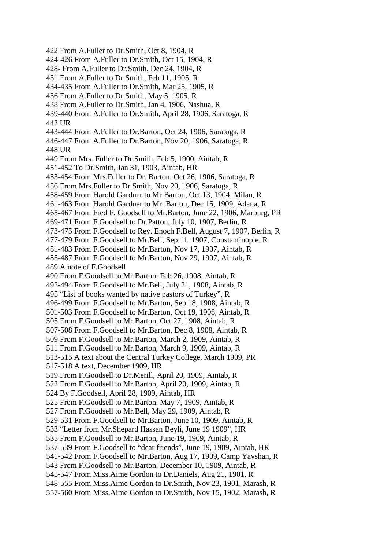422 From A.Fuller to Dr.Smith, Oct 8, 1904, R 424-426 From A.Fuller to Dr.Smith, Oct 15, 1904, R 428- From A.Fuller to Dr.Smith, Dec 24, 1904, R 431 From A.Fuller to Dr.Smith, Feb 11, 1905, R 434-435 From A.Fuller to Dr.Smith, Mar 25, 1905, R 436 From A.Fuller to Dr.Smith, May 5, 1905, R 438 From A.Fuller to Dr.Smith, Jan 4, 1906, Nashua, R 439-440 From A.Fuller to Dr.Smith, April 28, 1906, Saratoga, R 442 UR 443-444 From A.Fuller to Dr.Barton, Oct 24, 1906, Saratoga, R 446-447 From A.Fuller to Dr.Barton, Nov 20, 1906, Saratoga, R 448 UR 449 From Mrs. Fuller to Dr.Smith, Feb 5, 1900, Aintab, R 451-452 To Dr.Smith, Jan 31, 1903, Aintab, HR 453-454 From Mrs.Fuller to Dr. Barton, Oct 26, 1906, Saratoga, R 456 From Mrs.Fuller to Dr.Smith, Nov 20, 1906, Saratoga, R 458-459 From Harold Gardner to Mr.Barton, Oct 13, 1904, Milan, R 461-463 From Harold Gardner to Mr. Barton, Dec 15, 1909, Adana, R 465-467 From Fred F. Goodsell to Mr.Barton, June 22, 1906, Marburg, PR 469-471 From F.Goodsell to Dr.Patton, July 10, 1907, Berlin, R 473-475 From F.Goodsell to Rev. Enoch F.Bell, August 7, 1907, Berlin, R 477-479 From F.Goodsell to Mr.Bell, Sep 11, 1907, Constantinople, R 481-483 From F.Goodsell to Mr.Barton, Nov 17, 1907, Aintab, R 485-487 From F.Goodsell to Mr.Barton, Nov 29, 1907, Aintab, R 489 A note of F.Goodsell 490 From F.Goodsell to Mr.Barton, Feb 26, 1908, Aintab, R 492-494 From F.Goodsell to Mr.Bell, July 21, 1908, Aintab, R 495 "List of books wanted by native pastors of Turkey", R 496-499 From F.Goodsell to Mr.Barton, Sep 18, 1908, Aintab, R 501-503 From F.Goodsell to Mr.Barton, Oct 19, 1908, Aintab, R 505 From F.Goodsell to Mr.Barton, Oct 27, 1908, Aintab, R 507-508 From F.Goodsell to Mr.Barton, Dec 8, 1908, Aintab, R 509 From F.Goodsell to Mr.Barton, March 2, 1909, Aintab, R 511 From F.Goodsell to Mr.Barton, March 9, 1909, Aintab, R 513-515 A text about the Central Turkey College, March 1909, PR 517-518 A text, December 1909, HR 519 From F.Goodsell to Dr.Merill, April 20, 1909, Aintab, R 522 From F.Goodsell to Mr.Barton, April 20, 1909, Aintab, R 524 By F.Goodsell, April 28, 1909, Aintab, HR 525 From F.Goodsell to Mr.Barton, May 7, 1909, Aintab, R 527 From F.Goodsell to Mr.Bell, May 29, 1909, Aintab, R 529-531 From F.Goodsell to Mr.Barton, June 10, 1909, Aintab, R 533 "Letter from Mr.Shepard Hassan Beyli, June 19 1909", HR 535 From F.Goodsell to Mr.Barton, June 19, 1909, Aintab, R 537-539 From F.Goodsell to "dear friends", June 19, 1909, Aintab, HR 541-542 From F.Goodsell to Mr.Barton, Aug 17, 1909, Camp Yavshan, R 543 From F.Goodsell to Mr.Barton, December 10, 1909, Aintab, R 545-547 From Miss.Aime Gordon to Dr.Daniels, Aug 21, 1901, R 548-555 From Miss.Aime Gordon to Dr.Smith, Nov 23, 1901, Marash, R 557-560 From Miss.Aime Gordon to Dr.Smith, Nov 15, 1902, Marash, R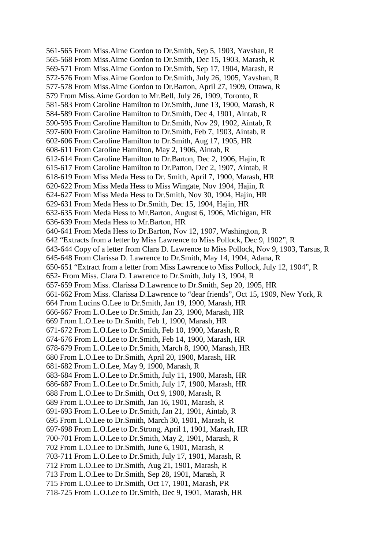561-565 From Miss.Aime Gordon to Dr.Smith, Sep 5, 1903, Yavshan, R 565-568 From Miss.Aime Gordon to Dr.Smith, Dec 15, 1903, Marash, R 569-571 From Miss.Aime Gordon to Dr.Smith, Sep 17, 1904, Marash, R 572-576 From Miss.Aime Gordon to Dr.Smith, July 26, 1905, Yavshan, R 577-578 From Miss.Aime Gordon to Dr.Barton, April 27, 1909, Ottawa, R 579 From Miss.Aime Gordon to Mr.Bell, July 26, 1909, Toronto, R 581-583 From Caroline Hamilton to Dr.Smith, June 13, 1900, Marash, R 584-589 From Caroline Hamilton to Dr.Smith, Dec 4, 1901, Aintab, R 590-595 From Caroline Hamilton to Dr.Smith, Nov 29, 1902, Aintab, R 597-600 From Caroline Hamilton to Dr.Smith, Feb 7, 1903, Aintab, R 602-606 From Caroline Hamilton to Dr.Smith, Aug 17, 1905, HR 608-611 From Caroline Hamilton, May 2, 1906, Aintab, R 612-614 From Caroline Hamilton to Dr.Barton, Dec 2, 1906, Hajin, R 615-617 From Caroline Hamilton to Dr.Patton, Dec 2, 1907, Aintab, R 618-619 From Miss Meda Hess to Dr. Smith, April 7, 1900, Marash, HR 620-622 From Miss Meda Hess to Miss Wingate, Nov 1904, Hajin, R 624-627 From Miss Meda Hess to Dr.Smith, Nov 30, 1904, Hajin, HR 629-631 From Meda Hess to Dr.Smith, Dec 15, 1904, Hajin, HR 632-635 From Meda Hess to Mr.Barton, August 6, 1906, Michigan, HR 636-639 From Meda Hess to Mr.Barton, HR 640-641 From Meda Hess to Dr.Barton, Nov 12, 1907, Washington, R 642 "Extracts from a letter by Miss Lawrence to Miss Pollock, Dec 9, 1902", R 643-644 Copy of a letter from Clara D. Lawrence to Miss Pollock, Nov 9, 1903, Tarsus, R 645-648 From Clarissa D. Lawrence to Dr.Smith, May 14, 1904, Adana, R 650-651 "Extract from a letter from Miss Lawrence to Miss Pollock, July 12, 1904", R 652- From Miss. Clara D. Lawrence to Dr.Smith, July 13, 1904, R 657-659 From Miss. Clarissa D.Lawrence to Dr.Smith, Sep 20, 1905, HR 661-662 From Miss. Clarissa D.Lawrence to "dear friends", Oct 15, 1909, New York, R 664 From Lucins O.Lee to Dr.Smith, Jan 19, 1900, Marash, HR 666-667 From L.O.Lee to Dr.Smith, Jan 23, 1900, Marash, HR 669 From L.O.Lee to Dr.Smith, Feb 1, 1900, Marash, HR 671-672 From L.O.Lee to Dr.Smith, Feb 10, 1900, Marash, R 674-676 From L.O.Lee to Dr.Smith, Feb 14, 1900, Marash, HR 678-679 From L.O.Lee to Dr.Smith, March 8, 1900, Marash, HR 680 From L.O.Lee to Dr.Smith, April 20, 1900, Marash, HR 681-682 From L.O.Lee, May 9, 1900, Marash, R 683-684 From L.O.Lee to Dr.Smith, July 11, 1900, Marash, HR 686-687 From L.O.Lee to Dr.Smith, July 17, 1900, Marash, HR 688 From L.O.Lee to Dr.Smith, Oct 9, 1900, Marash, R 689 From L.O.Lee to Dr.Smith, Jan 16, 1901, Marash, R 691-693 From L.O.Lee to Dr.Smith, Jan 21, 1901, Aintab, R 695 From L.O.Lee to Dr.Smith, March 30, 1901, Marash, R 697-698 From L.O.Lee to Dr.Strong, April 1, 1901, Marash, HR 700-701 From L.O.Lee to Dr.Smith, May 2, 1901, Marash, R 702 From L.O.Lee to Dr.Smith, June 6, 1901, Marash, R 703-711 From L.O.Lee to Dr.Smith, July 17, 1901, Marash, R 712 From L.O.Lee to Dr.Smith, Aug 21, 1901, Marash, R 713 From L.O.Lee to Dr.Smith, Sep 28, 1901, Marash, R 715 From L.O.Lee to Dr.Smith, Oct 17, 1901, Marash, PR 718-725 From L.O.Lee to Dr.Smith, Dec 9, 1901, Marash, HR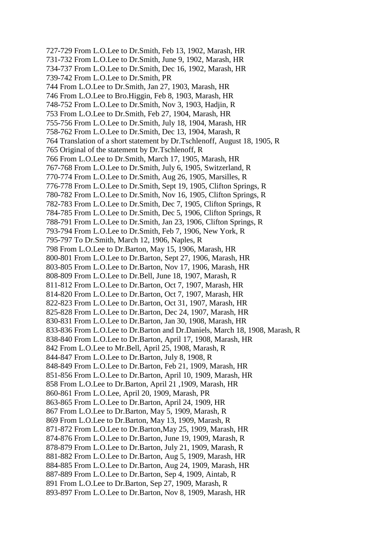727-729 From L.O.Lee to Dr.Smith, Feb 13, 1902, Marash, HR 731-732 From L.O.Lee to Dr.Smith, June 9, 1902, Marash, HR 734-737 From L.O.Lee to Dr.Smith, Dec 16, 1902, Marash, HR 739-742 From L.O.Lee to Dr.Smith, PR 744 From L.O.Lee to Dr.Smith, Jan 27, 1903, Marash, HR 746 From L.O.Lee to Bro.Higgin, Feb 8, 1903, Marash, HR 748-752 From L.O.Lee to Dr.Smith, Nov 3, 1903, Hadjin, R 753 From L.O.Lee to Dr.Smith, Feb 27, 1904, Marash, HR 755-756 From L.O.Lee to Dr.Smith, July 18, 1904, Marash, HR 758-762 From L.O.Lee to Dr.Smith, Dec 13, 1904, Marash, R 764 Translation of a short statement by Dr.Tschlenoff, August 18, 1905, R 765 Original of the statement by Dr.Tschlenoff, R 766 From L.O.Lee to Dr.Smith, March 17, 1905, Marash, HR 767-768 From L.O.Lee to Dr.Smith, July 6, 1905, Switzerland, R 770-774 From L.O.Lee to Dr.Smith, Aug 26, 1905, Marsilles, R 776-778 From L.O.Lee to Dr.Smith, Sept 19, 1905, Clifton Springs, R 780-782 From L.O.Lee to Dr.Smith, Nov 16, 1905, Clifton Springs, R 782-783 From L.O.Lee to Dr.Smith, Dec 7, 1905, Clifton Springs, R 784-785 From L.O.Lee to Dr.Smith, Dec 5, 1906, Clifton Springs, R 788-791 From L.O.Lee to Dr.Smith, Jan 23, 1906, Clifton Springs, R 793-794 From L.O.Lee to Dr.Smith, Feb 7, 1906, New York, R 795-797 To Dr.Smith, March 12, 1906, Naples, R 798 From L.O.Lee to Dr.Barton, May 15, 1906, Marash, HR 800-801 From L.O.Lee to Dr.Barton, Sept 27, 1906, Marash, HR 803-805 From L.O.Lee to Dr.Barton, Nov 17, 1906, Marash, HR 808-809 From L.O.Lee to Dr.Bell, June 18, 1907, Marash, R 811-812 From L.O.Lee to Dr.Barton, Oct 7, 1907, Marash, HR 814-820 From L.O.Lee to Dr.Barton, Oct 7, 1907, Marash, HR 822-823 From L.O.Lee to Dr.Barton, Oct 31, 1907, Marash, HR 825-828 From L.O.Lee to Dr.Barton, Dec 24, 1907, Marash, HR 830-831 From L.O.Lee to Dr.Barton, Jan 30, 1908, Marash, HR 833-836 From L.O.Lee to Dr.Barton and Dr.Daniels, March 18, 1908, Marash, R 838-840 From L.O.Lee to Dr.Barton, April 17, 1908, Marash, HR 842 From L.O.Lee to Mr.Bell, April 25, 1908, Marash, R 844-847 From L.O.Lee to Dr.Barton, July 8, 1908, R 848-849 From L.O.Lee to Dr.Barton, Feb 21, 1909, Marash, HR 851-856 From L.O.Lee to Dr.Barton, April 10, 1909, Marash, HR 858 From L.O.Lee to Dr.Barton, April 21 ,1909, Marash, HR 860-861 From L.O.Lee, April 20, 1909, Marash, PR 863-865 From L.O.Lee to Dr.Barton, April 24, 1909, HR 867 From L.O.Lee to Dr.Barton, May 5, 1909, Marash, R 869 From L.O.Lee to Dr.Barton, May 13, 1909, Marash, R 871-872 From L.O.Lee to Dr.Barton,May 25, 1909, Marash, HR 874-876 From L.O.Lee to Dr.Barton, June 19, 1909, Marash, R 878-879 From L.O.Lee to Dr.Barton, July 21, 1909, Marash, R 881-882 From L.O.Lee to Dr.Barton, Aug 5, 1909, Marash, HR 884-885 From L.O.Lee to Dr.Barton, Aug 24, 1909, Marash, HR 887-889 From L.O.Lee to Dr.Barton, Sep 4, 1909, Aintab, R 891 From L.O.Lee to Dr.Barton, Sep 27, 1909, Marash, R 893-897 From L.O.Lee to Dr.Barton, Nov 8, 1909, Marash, HR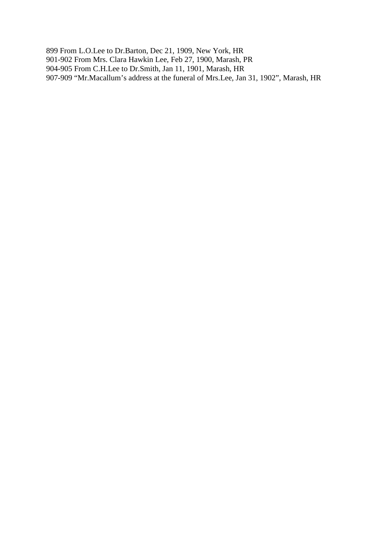899 From L.O.Lee to Dr.Barton, Dec 21, 1909, New York, HR 901-902 From Mrs. Clara Hawkin Lee, Feb 27, 1900, Marash, PR 904-905 From C.H.Lee to Dr.Smith, Jan 11, 1901, Marash, HR 907-909 "Mr.Macallum's address at the funeral of Mrs.Lee, Jan 31, 1902", Marash, HR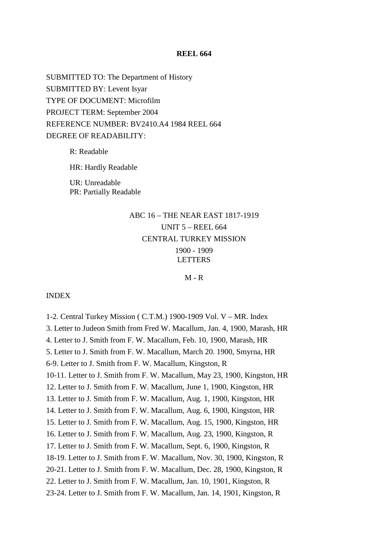## **REEL 664**

SUBMITTED TO: The Department of History SUBMITTED BY: Levent Isyar TYPE OF DOCUMENT: Microfilm PROJECT TERM: September 2004 REFERENCE NUMBER: BV2410.A4 1984 REEL 664 DEGREE OF READABILITY:

> R: Readable HR: Hardly Readable UR: Unreadable PR: Partially Readable

# ABC 16 – THE NEAR EAST 1817-1919 UNIT 5 – REEL 664 CENTRAL TURKEY MISSION 1900 - 1909 **LETTERS**

### $M - R$

#### INDEX

1-2. Central Turkey Mission ( C.T.M.) 1900-1909 Vol. V – MR. Index 3. Letter to Judeon Smith from Fred W. Macallum, Jan. 4, 1900, Marash, HR 4. Letter to J. Smith from F. W. Macallum, Feb. 10, 1900, Marash, HR 5. Letter to J. Smith from F. W. Macallum, March 20. 1900, Smyrna, HR 6-9. Letter to J. Smith from F. W. Macallum, Kingston, R 10-11. Letter to J. Smith from F. W. Macallum, May 23, 1900, Kingston, HR 12. Letter to J. Smith from F. W. Macallum, June 1, 1900, Kingston, HR 13. Letter to J. Smith from F. W. Macallum, Aug. 1, 1900, Kingston, HR 14. Letter to J. Smith from F. W. Macallum, Aug. 6, 1900, Kingston, HR 15. Letter to J. Smith from F. W. Macallum, Aug. 15, 1900, Kingston, HR 16. Letter to J. Smith from F. W. Macallum, Aug. 23, 1900, Kingston, R 17. Letter to J. Smith from F. W. Macallum, Sept. 6, 1900, Kingston, R 18-19. Letter to J. Smith from F. W. Macallum, Nov. 30, 1900, Kingston, R 20-21. Letter to J. Smith from F. W. Macallum, Dec. 28, 1900, Kingston, R 22. Letter to J. Smith from F. W. Macallum, Jan. 10, 1901, Kingston, R 23-24. Letter to J. Smith from F. W. Macallum, Jan. 14, 1901, Kingston, R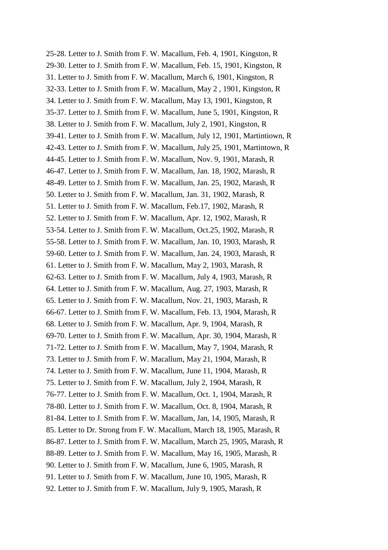25-28. Letter to J. Smith from F. W. Macallum, Feb. 4, 1901, Kingston, R 29-30. Letter to J. Smith from F. W. Macallum, Feb. 15, 1901, Kingston, R 31. Letter to J. Smith from F. W. Macallum, March 6, 1901, Kingston, R 32-33. Letter to J. Smith from F. W. Macallum, May 2 , 1901, Kingston, R 34. Letter to J. Smith from F. W. Macallum, May 13, 1901, Kingston, R 35-37. Letter to J. Smith from F. W. Macallum, June 5, 1901, Kingston, R 38. Letter to J. Smith from F. W. Macallum, July 2, 1901, Kingston, R 39-41. Letter to J. Smith from F. W. Macallum, July 12, 1901, Martintiown, R 42-43. Letter to J. Smith from F. W. Macallum, July 25, 1901, Martintown, R 44-45. Letter to J. Smith from F. W. Macallum, Nov. 9, 1901, Marash, R 46-47. Letter to J. Smith from F. W. Macallum, Jan. 18, 1902, Marash, R 48-49. Letter to J. Smith from F. W. Macallum, Jan. 25, 1902, Marash, R 50. Letter to J. Smith from F. W. Macallum, Jan. 31, 1902, Marash, R 51. Letter to J. Smith from F. W. Macallum, Feb.17, 1902, Marash, R 52. Letter to J. Smith from F. W. Macallum, Apr. 12, 1902, Marash, R 53-54. Letter to J. Smith from F. W. Macallum, Oct.25, 1902, Marash, R 55-58. Letter to J. Smith from F. W. Macallum, Jan. 10, 1903, Marash, R 59-60. Letter to J. Smith from F. W. Macallum, Jan. 24, 1903, Marash, R 61. Letter to J. Smith from F. W. Macallum, May 2, 1903, Marash, R 62-63. Letter to J. Smith from F. W. Macallum, July 4, 1903, Marash, R 64. Letter to J. Smith from F. W. Macallum, Aug. 27, 1903, Marash, R 65. Letter to J. Smith from F. W. Macallum, Nov. 21, 1903, Marash, R 66-67. Letter to J. Smith from F. W. Macallum, Feb. 13, 1904, Marash, R 68. Letter to J. Smith from F. W. Macallum, Apr. 9, 1904, Marash, R 69-70. Letter to J. Smith from F. W. Macallum, Apr. 30, 1904, Marash, R 71-72. Letter to J. Smith from F. W. Macallum, May 7, 1904, Marash, R 73. Letter to J. Smith from F. W. Macallum, May 21, 1904, Marash, R 74. Letter to J. Smith from F. W. Macallum, June 11, 1904, Marash, R 75. Letter to J. Smith from F. W. Macallum, July 2, 1904, Marash, R 76-77. Letter to J. Smith from F. W. Macallum, Oct. 1, 1904, Marash, R 78-80. Letter to J. Smith from F. W. Macallum, Oct. 8, 1904, Marash, R 81-84. Letter to J. Smith from F. W. Macallum, Jan, 14, 1905, Marash, R 85. Letter to Dr. Strong from F. W. Macallum, March 18, 1905, Marash, R 86-87. Letter to J. Smith from F. W. Macallum, March 25, 1905, Marash, R 88-89. Letter to J. Smith from F. W. Macallum, May 16, 1905, Marash, R 90. Letter to J. Smith from F. W. Macallum, June 6, 1905, Marash, R 91. Letter to J. Smith from F. W. Macallum, June 10, 1905, Marash, R 92. Letter to J. Smith from F. W. Macallum, July 9, 1905, Marash, R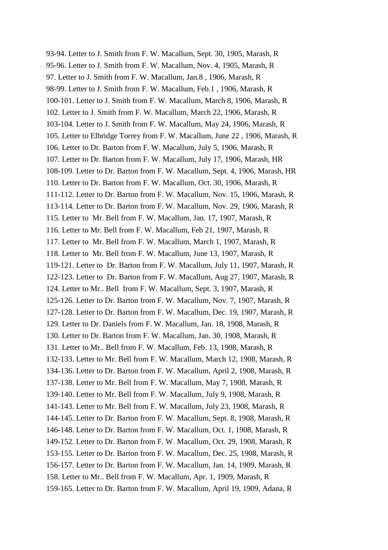93-94. Letter to J. Smith from F. W. Macallum, Sept. 30, 1905, Marash, R 95-96. Letter to J. Smith from F. W. Macallum, Nov. 4, 1905, Marash, R 97. Letter to J. Smith from F. W. Macallum, Jan.8 , 1906, Marash, R 98-99. Letter to J. Smith from F. W. Macallum, Feb.1 , 1906, Marash, R 100-101. Letter to J. Smith from F. W. Macallum, March 8, 1906, Marash, R 102. Letter to J. Smith from F. W. Macallum, March 22, 1906, Marash, R 103-104. Letter to J. Smith from F. W. Macallum, May 24, 1906, Marash, R 105. Letter to Elbridge Torrey from F. W. Macallum, June 22 , 1906, Marash, R 106. Letter to Dr. Barton from F. W. Macallum, July 5, 1906, Marash, R 107. Letter to Dr. Barton from F. W. Macallum, July 17, 1906, Marash, HR 108-109. Letter to Dr. Barton from F. W. Macallum, Sept. 4, 1906, Marash, HR 110. Letter to Dr. Barton from F. W. Macallum, Oct. 30, 1906, Marash, R 111-112. Letter to Dr. Barton from F. W. Macallum, Nov. 15, 1906, Marash, R 113-114. Letter to Dr. Barton from F. W. Macallum, Nov. 29, 1906, Marash, R 115. Letter to Mr. Bell from F. W. Macallum, Jan. 17, 1907, Marash, R 116. Letter to Mr. Bell from F. W. Macallum, Feb 21, 1907, Marash, R 117. Letter to Mr. Bell from F. W. Macallum, March 1, 1907, Marash, R 118. Letter to Mr. Bell from F. W. Macallum, June 13, 1907, Marash, R 119-121. Letter to Dr. Barton from F. W. Macallum, July 11, 1907, Marash, R 122-123. Letter to Dr. Barton from F. W. Macallum, Aug 27, 1907, Marash, R 124. Letter to Mr.. Bell from F. W. Macallum, Sept. 3, 1907, Marash, R 125-126. Letter to Dr. Barton from F. W. Macallum, Nov. 7, 1907, Marash, R 127-128. Letter to Dr. Barton from F. W. Macallum, Dec. 19, 1907, Marash, R 129. Letter to Dr. Daniels from F. W. Macallum, Jan. 18, 1908, Marash, R 130. Letter to Dr. Barton from F. W. Macallum, Jan. 30, 1908, Marash, R 131. Letter to Mr.. Bell from F. W. Macallum, Feb. 13, 1908, Marash, R 132-133. Letter to Mr. Bell from F. W. Macallum, March 12, 1908, Marash, R 134-136. Letter to Dr. Barton from F. W. Macallum, April 2, 1908, Marash, R 137-138. Letter to Mr. Bell from F. W. Macallum, May 7, 1908, Marash, R 139-140. Letter to Mr. Bell from F. W. Macallum, July 9, 1908, Marash, R 141-143. Letter to Mr. Bell from F. W. Macallum, July 23, 1908, Marash, R 144-145. Letter to Dr. Barton from F. W. Macallum, Sept. 8, 1908, Marash, R 146-148. Letter to Dr. Barton from F. W. Macallum, Oct. 1, 1908, Marash, R 149-152. Letter to Dr. Barton from F. W. Macallum, Oct. 29, 1908, Marash, R 153-155. Letter to Dr. Barton from F. W. Macallum, Dec. 25, 1908, Marash, R 156-157. Letter to Dr. Barton from F. W. Macallum, Jan. 14, 1909, Marash, R 158. Letter to Mr.. Bell from F. W. Macallum, Apr. 1, 1909, Marash, R 159-165. Letter to Dr. Barton from F. W. Macallum, April 19, 1909, Adana, R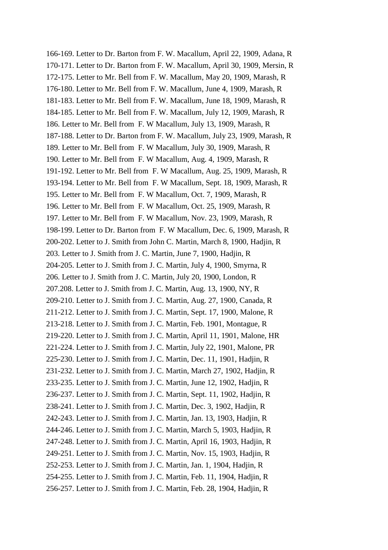166-169. Letter to Dr. Barton from F. W. Macallum, April 22, 1909, Adana, R 170-171. Letter to Dr. Barton from F. W. Macallum, April 30, 1909, Mersin, R 172-175. Letter to Mr. Bell from F. W. Macallum, May 20, 1909, Marash, R 176-180. Letter to Mr. Bell from F. W. Macallum, June 4, 1909, Marash, R 181-183. Letter to Mr. Bell from F. W. Macallum, June 18, 1909, Marash, R 184-185. Letter to Mr. Bell from F. W. Macallum, July 12, 1909, Marash, R 186. Letter to Mr. Bell from F. W Macallum, July 13, 1909, Marash, R 187-188. Letter to Dr. Barton from F. W. Macallum, July 23, 1909, Marash, R 189. Letter to Mr. Bell from F. W Macallum, July 30, 1909, Marash, R 190. Letter to Mr. Bell from F. W Macallum, Aug. 4, 1909, Marash, R 191-192. Letter to Mr. Bell from F. W Macallum, Aug. 25, 1909, Marash, R 193-194. Letter to Mr. Bell from F. W Macallum, Sept. 18, 1909, Marash, R 195. Letter to Mr. Bell from F. W Macallum, Oct. 7, 1909, Marash, R 196. Letter to Mr. Bell from F. W Macallum, Oct. 25, 1909, Marash, R 197. Letter to Mr. Bell from F. W Macallum, Nov. 23, 1909, Marash, R 198-199. Letter to Dr. Barton from F. W Macallum, Dec. 6, 1909, Marash, R 200-202. Letter to J. Smith from John C. Martin, March 8, 1900, Hadjin, R 203. Letter to J. Smith from J. C. Martin, June 7, 1900, Hadjin, R 204-205. Letter to J. Smith from J. C. Martin, July 4, 1900, Smyrna, R 206. Letter to J. Smith from J. C. Martin, July 20, 1900, London, R 207.208. Letter to J. Smith from J. C. Martin, Aug. 13, 1900, NY, R 209-210. Letter to J. Smith from J. C. Martin, Aug. 27, 1900, Canada, R 211-212. Letter to J. Smith from J. C. Martin, Sept. 17, 1900, Malone, R 213-218. Letter to J. Smith from J. C. Martin, Feb. 1901, Montague, R 219-220. Letter to J. Smith from J. C. Martin, April 11, 1901, Malone, HR 221-224. Letter to J. Smith from J. C. Martin, July 22, 1901, Malone, PR 225-230. Letter to J. Smith from J. C. Martin, Dec. 11, 1901, Hadjin, R 231-232. Letter to J. Smith from J. C. Martin, March 27, 1902, Hadjin, R 233-235. Letter to J. Smith from J. C. Martin, June 12, 1902, Hadjin, R 236-237. Letter to J. Smith from J. C. Martin, Sept. 11, 1902, Hadjin, R 238-241. Letter to J. Smith from J. C. Martin, Dec. 3, 1902, Hadjin, R 242-243. Letter to J. Smith from J. C. Martin, Jan. 13, 1903, Hadjin, R 244-246. Letter to J. Smith from J. C. Martin, March 5, 1903, Hadjin, R 247-248. Letter to J. Smith from J. C. Martin, April 16, 1903, Hadjin, R 249-251. Letter to J. Smith from J. C. Martin, Nov. 15, 1903, Hadjin, R 252-253. Letter to J. Smith from J. C. Martin, Jan. 1, 1904, Hadjin, R 254-255. Letter to J. Smith from J. C. Martin, Feb. 11, 1904, Hadjin, R 256-257. Letter to J. Smith from J. C. Martin, Feb. 28, 1904, Hadjin, R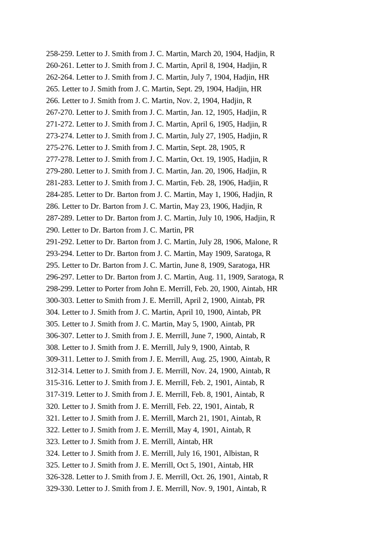258-259. Letter to J. Smith from J. C. Martin, March 20, 1904, Hadjin, R 260-261. Letter to J. Smith from J. C. Martin, April 8, 1904, Hadjin, R 262-264. Letter to J. Smith from J. C. Martin, July 7, 1904, Hadjin, HR 265. Letter to J. Smith from J. C. Martin, Sept. 29, 1904, Hadjin, HR 266. Letter to J. Smith from J. C. Martin, Nov. 2, 1904, Hadjin, R 267-270. Letter to J. Smith from J. C. Martin, Jan. 12, 1905, Hadjin, R 271-272. Letter to J. Smith from J. C. Martin, April 6, 1905, Hadjin, R 273-274. Letter to J. Smith from J. C. Martin, July 27, 1905, Hadjin, R 275-276. Letter to J. Smith from J. C. Martin, Sept. 28, 1905, R 277-278. Letter to J. Smith from J. C. Martin, Oct. 19, 1905, Hadjin, R 279-280. Letter to J. Smith from J. C. Martin, Jan. 20, 1906, Hadjin, R 281-283. Letter to J. Smith from J. C. Martin, Feb. 28, 1906, Hadjin, R 284-285. Letter to Dr. Barton from J. C. Martin, May 1, 1906, Hadjin, R 286. Letter to Dr. Barton from J. C. Martin, May 23, 1906, Hadjin, R 287-289. Letter to Dr. Barton from J. C. Martin, July 10, 1906, Hadjin, R 290. Letter to Dr. Barton from J. C. Martin, PR 291-292. Letter to Dr. Barton from J. C. Martin, July 28, 1906, Malone, R 293-294. Letter to Dr. Barton from J. C. Martin, May 1909, Saratoga, R 295. Letter to Dr. Barton from J. C. Martin, June 8, 1909, Saratoga, HR 296-297. Letter to Dr. Barton from J. C. Martin, Aug. 11, 1909, Saratoga, R 298-299. Letter to Porter from John E. Merrill, Feb. 20, 1900, Aintab, HR 300-303. Letter to Smith from J. E. Merrill, April 2, 1900, Aintab, PR 304. Letter to J. Smith from J. C. Martin, April 10, 1900, Aintab, PR 305. Letter to J. Smith from J. C. Martin, May 5, 1900, Aintab, PR 306-307. Letter to J. Smith from J. E. Merrill, June 7, 1900, Aintab, R 308. Letter to J. Smith from J. E. Merrill, July 9, 1900, Aintab, R 309-311. Letter to J. Smith from J. E. Merrill, Aug. 25, 1900, Aintab, R 312-314. Letter to J. Smith from J. E. Merrill, Nov. 24, 1900, Aintab, R 315-316. Letter to J. Smith from J. E. Merrill, Feb. 2, 1901, Aintab, R 317-319. Letter to J. Smith from J. E. Merrill, Feb. 8, 1901, Aintab, R 320. Letter to J. Smith from J. E. Merrill, Feb. 22, 1901, Aintab, R 321. Letter to J. Smith from J. E. Merrill, March 21, 1901, Aintab, R 322. Letter to J. Smith from J. E. Merrill, May 4, 1901, Aintab, R 323. Letter to J. Smith from J. E. Merrill, Aintab, HR 324. Letter to J. Smith from J. E. Merrill, July 16, 1901, Albistan, R 325. Letter to J. Smith from J. E. Merrill, Oct 5, 1901, Aintab, HR 326-328. Letter to J. Smith from J. E. Merrill, Oct. 26, 1901, Aintab, R 329-330. Letter to J. Smith from J. E. Merrill, Nov. 9, 1901, Aintab, R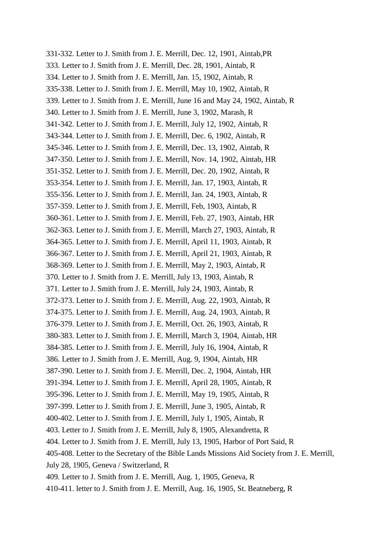331-332. Letter to J. Smith from J. E. Merrill, Dec. 12, 1901, Aintab,PR 333. Letter to J. Smith from J. E. Merrill, Dec. 28, 1901, Aintab, R 334. Letter to J. Smith from J. E. Merrill, Jan. 15, 1902, Aintab, R 335-338. Letter to J. Smith from J. E. Merrill, May 10, 1902, Aintab, R 339. Letter to J. Smith from J. E. Merrill, June 16 and May 24, 1902, Aintab, R 340. Letter to J. Smith from J. E. Merrill, June 3, 1902, Marash, R 341-342. Letter to J. Smith from J. E. Merrill, July 12, 1902, Aintab, R 343-344. Letter to J. Smith from J. E. Merrill, Dec. 6, 1902, Aintab, R 345-346. Letter to J. Smith from J. E. Merrill, Dec. 13, 1902, Aintab, R 347-350. Letter to J. Smith from J. E. Merrill, Nov. 14, 1902, Aintab, HR 351-352. Letter to J. Smith from J. E. Merrill, Dec. 20, 1902, Aintab, R 353-354. Letter to J. Smith from J. E. Merrill, Jan. 17, 1903, Aintab, R 355-356. Letter to J. Smith from J. E. Merrill, Jan. 24, 1903, Aintab, R 357-359. Letter to J. Smith from J. E. Merrill, Feb, 1903, Aintab, R 360-361. Letter to J. Smith from J. E. Merrill, Feb. 27, 1903, Aintab, HR 362-363. Letter to J. Smith from J. E. Merrill, March 27, 1903, Aintab, R 364-365. Letter to J. Smith from J. E. Merrill, April 11, 1903, Aintab, R 366-367. Letter to J. Smith from J. E. Merrill, April 21, 1903, Aintab, R 368-369. Letter to J. Smith from J. E. Merrill, May 2, 1903, Aintab, R 370. Letter to J. Smith from J. E. Merrill, July 13, 1903, Aintab, R 371. Letter to J. Smith from J. E. Merrill, July 24, 1903, Aintab, R 372-373. Letter to J. Smith from J. E. Merrill, Aug. 22, 1903, Aintab, R 374-375. Letter to J. Smith from J. E. Merrill, Aug. 24, 1903, Aintab, R 376-379. Letter to J. Smith from J. E. Merrill, Oct. 26, 1903, Aintab, R 380-383. Letter to J. Smith from J. E. Merrill, March 3, 1904, Aintab, HR 384-385. Letter to J. Smith from J. E. Merrill, July 16, 1904, Aintab, R 386. Letter to J. Smith from J. E. Merrill, Aug. 9, 1904, Aintab, HR 387-390. Letter to J. Smith from J. E. Merrill, Dec. 2, 1904, Aintab, HR 391-394. Letter to J. Smith from J. E. Merrill, April 28, 1905, Aintab, R 395-396. Letter to J. Smith from J. E. Merrill, May 19, 1905, Aintab, R 397-399. Letter to J. Smith from J. E. Merrill, June 3, 1905, Aintab, R 400-402. Letter to J. Smith from J. E. Merrill, July 1, 1905, Aintab, R 403. Letter to J. Smith from J. E. Merrill, July 8, 1905, Alexandretta, R 404. Letter to J. Smith from J. E. Merrill, July 13, 1905, Harbor of Port Said, R 405-408. Letter to the Secretary of the Bible Lands Missions Aid Society from J. E. Merrill, July 28, 1905, Geneva / Switzerland, R 409. Letter to J. Smith from J. E. Merrill, Aug. 1, 1905, Geneva, R 410-411. letter to J. Smith from J. E. Merrill, Aug. 16, 1905, St. Beatneberg, R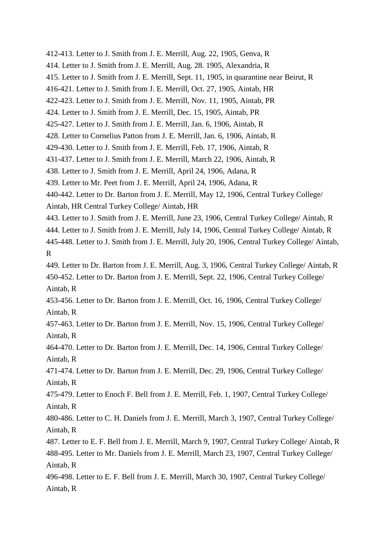412-413. Letter to J. Smith from J. E. Merrill, Aug. 22, 1905, Genva, R 414. Letter to J. Smith from J. E. Merrill, Aug. 28. 1905, Alexandria, R 415. Letter to J. Smith from J. E. Merrill, Sept. 11, 1905, in quarantine near Beirut, R 416-421. Letter to J. Smith from J. E. Merrill, Oct. 27, 1905, Aintab, HR 422-423. Letter to J. Smith from J. E. Merrill, Nov. 11, 1905, Aintab, PR 424. Letter to J. Smith from J. E. Merrill, Dec. 15, 1905, Aintab, PR 425-427. Letter to J. Smith from J. E. Merrill, Jan. 6, 1906, Aintab, R 428. Letter to Cornelius Patton from J. E. Merrill, Jan. 6, 1906, Aintab, R 429-430. Letter to J. Smith from J. E. Merrill, Feb. 17, 1906, Aintab, R 431-437. Letter to J. Smith from J. E. Merrill, March 22, 1906, Aintab, R 438. Letter to J. Smith from J. E. Merrill, April 24, 1906, Adana, R 439. Letter to Mr. Peet from J. E. Merrill, April 24, 1906, Adana, R 440-442. Letter to Dr. Barton from J. E. Merrill, May 12, 1906, Central Turkey College/ Aintab, HR Central Turkey College/ Aintab, HR 443. Letter to J. Smith from J. E. Merrill, June 23, 1906, Central Turkey College/ Aintab, R 444. Letter to J. Smith from J. E. Merrill, July 14, 1906, Central Turkey College/ Aintab, R 445-448. Letter to J. Smith from J. E. Merrill, July 20, 1906, Central Turkey College/ Aintab, R 449. Letter to Dr. Barton from J. E. Merrill, Aug. 3, 1906, Central Turkey College/ Aintab, R 450-452. Letter to Dr. Barton from J. E. Merrill, Sept. 22, 1906, Central Turkey College/ Aintab, R 453-456. Letter to Dr. Barton from J. E. Merrill, Oct. 16, 1906, Central Turkey College/ Aintab, R 457-463. Letter to Dr. Barton from J. E. Merrill, Nov. 15, 1906, Central Turkey College/ Aintab, R 464-470. Letter to Dr. Barton from J. E. Merrill, Dec. 14, 1906, Central Turkey College/ Aintab, R 471-474. Letter to Dr. Barton from J. E. Merrill, Dec. 29, 1906, Central Turkey College/ Aintab, R 475-479. Letter to Enoch F. Bell from J. E. Merrill, Feb. 1, 1907, Central Turkey College/ Aintab, R 480-486. Letter to C. H. Daniels from J. E. Merrill, March 3, 1907, Central Turkey College/ Aintab, R 487. Letter to E. F. Bell from J. E. Merrill, March 9, 1907, Central Turkey College/ Aintab, R 488-495. Letter to Mr. Daniels from J. E. Merrill, March 23, 1907, Central Turkey College/ Aintab, R 496-498. Letter to E. F. Bell from J. E. Merrill, March 30, 1907, Central Turkey College/ Aintab, R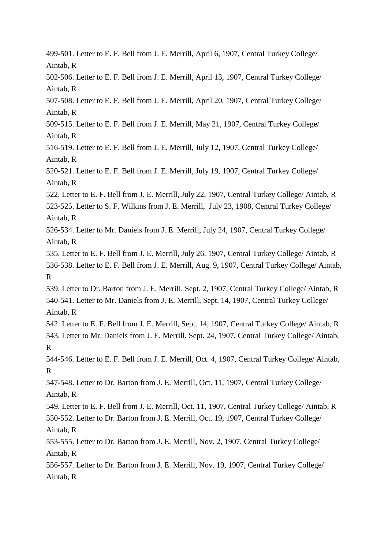499-501. Letter to E. F. Bell from J. E. Merrill, April 6, 1907, Central Turkey College/ Aintab, R 502-506. Letter to E. F. Bell from J. E. Merrill, April 13, 1907, Central Turkey College/ Aintab, R 507-508. Letter to E. F. Bell from J. E. Merrill, April 20, 1907, Central Turkey College/ Aintab, R 509-515. Letter to E. F. Bell from J. E. Merrill, May 21, 1907, Central Turkey College/ Aintab, R 516-519. Letter to E. F. Bell from J. E. Merrill, July 12, 1907, Central Turkey College/ Aintab, R 520-521. Letter to E. F. Bell from J. E. Merrill, July 19, 1907, Central Turkey College/ Aintab, R 522. Letter to E. F. Bell from J. E. Merrill, July 22, 1907, Central Turkey College/ Aintab, R 523-525. Letter to S. F. Wilkins from J. E. Merrill, July 23, 1908, Central Turkey College/ Aintab, R 526-534. Letter to Mr. Daniels from J. E. Merrill, July 24, 1907, Central Turkey College/ Aintab, R 535. Letter to E. F. Bell from J. E. Merrill, July 26, 1907, Central Turkey College/ Aintab, R 536-538. Letter to E. F. Bell from J. E. Merrill, Aug. 9, 1907, Central Turkey College/ Aintab, R 539. Letter to Dr. Barton from J. E. Merrill, Sept. 2, 1907, Central Turkey College/ Aintab, R 540-541. Letter to Mr. Daniels from J. E. Merrill, Sept. 14, 1907, Central Turkey College/ Aintab, R 542. Letter to E. F. Bell from J. E. Merrill, Sept. 14, 1907, Central Turkey College/ Aintab, R 543. Letter to Mr. Daniels from J. E. Merrill, Sept. 24, 1907, Central Turkey College/ Aintab, R 544-546. Letter to E. F. Bell from J. E. Merrill, Oct. 4, 1907, Central Turkey College/ Aintab, R 547-548. Letter to Dr. Barton from J. E. Merrill, Oct. 11, 1907, Central Turkey College/ Aintab, R 549. Letter to E. F. Bell from J. E. Merrill, Oct. 11, 1907, Central Turkey College/ Aintab, R 550-552. Letter to Dr. Barton from J. E. Merrill, Oct. 19, 1907, Central Turkey College/ Aintab, R 553-555. Letter to Dr. Barton from J. E. Merrill, Nov. 2, 1907, Central Turkey College/ Aintab, R 556-557. Letter to Dr. Barton from J. E. Merrill, Nov. 19, 1907, Central Turkey College/ Aintab, R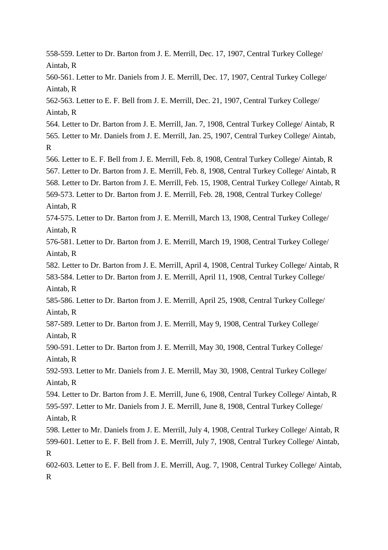558-559. Letter to Dr. Barton from J. E. Merrill, Dec. 17, 1907, Central Turkey College/ Aintab, R

560-561. Letter to Mr. Daniels from J. E. Merrill, Dec. 17, 1907, Central Turkey College/ Aintab, R

562-563. Letter to E. F. Bell from J. E. Merrill, Dec. 21, 1907, Central Turkey College/ Aintab, R

564. Letter to Dr. Barton from J. E. Merrill, Jan. 7, 1908, Central Turkey College/ Aintab, R 565. Letter to Mr. Daniels from J. E. Merrill, Jan. 25, 1907, Central Turkey College/ Aintab, R

566. Letter to E. F. Bell from J. E. Merrill, Feb. 8, 1908, Central Turkey College/ Aintab, R 567. Letter to Dr. Barton from J. E. Merrill, Feb. 8, 1908, Central Turkey College/ Aintab, R 568. Letter to Dr. Barton from J. E. Merrill, Feb. 15, 1908, Central Turkey College/ Aintab, R 569-573. Letter to Dr. Barton from J. E. Merrill, Feb. 28, 1908, Central Turkey College/ Aintab, R

574-575. Letter to Dr. Barton from J. E. Merrill, March 13, 1908, Central Turkey College/ Aintab, R

576-581. Letter to Dr. Barton from J. E. Merrill, March 19, 1908, Central Turkey College/ Aintab, R

582. Letter to Dr. Barton from J. E. Merrill, April 4, 1908, Central Turkey College/ Aintab, R

583-584. Letter to Dr. Barton from J. E. Merrill, April 11, 1908, Central Turkey College/ Aintab, R

585-586. Letter to Dr. Barton from J. E. Merrill, April 25, 1908, Central Turkey College/ Aintab, R

587-589. Letter to Dr. Barton from J. E. Merrill, May 9, 1908, Central Turkey College/ Aintab, R

590-591. Letter to Dr. Barton from J. E. Merrill, May 30, 1908, Central Turkey College/ Aintab, R

592-593. Letter to Mr. Daniels from J. E. Merrill, May 30, 1908, Central Turkey College/ Aintab, R

594. Letter to Dr. Barton from J. E. Merrill, June 6, 1908, Central Turkey College/ Aintab, R 595-597. Letter to Mr. Daniels from J. E. Merrill, June 8, 1908, Central Turkey College/

Aintab, R

598. Letter to Mr. Daniels from J. E. Merrill, July 4, 1908, Central Turkey College/ Aintab, R 599-601. Letter to E. F. Bell from J. E. Merrill, July 7, 1908, Central Turkey College/ Aintab, R

602-603. Letter to E. F. Bell from J. E. Merrill, Aug. 7, 1908, Central Turkey College/ Aintab, R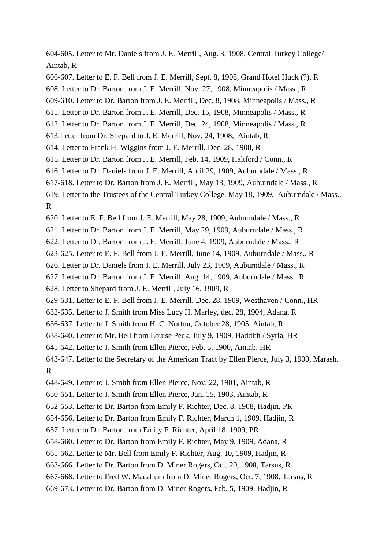604-605. Letter to Mr. Daniels from J. E. Merrill, Aug. 3, 1908, Central Turkey College/ Aintab, R

606-607. Letter to E. F. Bell from J. E. Merrill, Sept. 8, 1908, Grand Hotel Huck (?), R

608. Letter to Dr. Barton from J. E. Merrill, Nov. 27, 1908, Minneapolis / Mass., R

609-610. Letter to Dr. Barton from J. E. Merrill, Dec. 8, 1908, Minneapolis / Mass., R

611. Letter to Dr. Barton from J. E. Merrill, Dec. 15, 1908, Minneapolis / Mass., R

612. Letter to Dr. Barton from J. E. Merrill, Dec. 24, 1908, Minneapolis / Mass., R

- 613.Letter from Dr. Shepard to J. E. Merrill, Nov. 24, 1908, Aintab, R
- 614. Letter to Frank H. Wiggins from J. E. Merrill, Dec. 28, 1908, R

615. Letter to Dr. Barton from J. E. Merrill, Feb. 14, 1909, Haltford / Conn., R

616. Letter to Dr. Daniels from J. E. Merrill, April 29, 1909, Auburndale / Mass., R

617-618. Letter to Dr. Barton from J. E. Merrill, May 13, 1909, Auburndale / Mass., R

619. Letter to the Trustees of the Central Turkey College, May 18, 1909, Auburndale / Mass., R

620. Letter to E. F. Bell from J. E. Merrill, May 28, 1909, Auburndale / Mass., R

621. Letter to Dr. Barton from J. E. Merrill, May 29, 1909, Auburndale / Mass., R

622. Letter to Dr. Barton from J. E. Merrill, June 4, 1909, Auburndale / Mass., R

623-625. Letter to E. F. Bell from J. E. Merrill, June 14, 1909, Auburndale / Mass., R

626. Letter to Dr. Daniels from J. E. Merrill, July 23, 1909, Auburndale / Mass., R

627. Letter to Dr. Barton from J. E. Merrill, Aug. 14, 1909, Auburndale / Mass., R

628. Letter to Shepard from J. E. Merrill, July 16, 1909, R

629-631. Letter to E. F. Bell from J. E. Merrill, Dec. 28, 1909, Westhaven / Conn., HR

632-635. Letter to J. Smith from Miss Lucy H. Marley, dec. 28, 1904, Adana, R

636-637. Letter to J. Smith from H. C. Norton, October 28, 1905, Aintab, R

638-640. Letter to Mr. Bell from Louise Peck, July 9, 1909, Haddith / Syria, HR

641-642. Letter to J. Smith from Ellen Pierce, Feb. 5, 1900, Aintab, HR

643-647. Letter to the Secretary of the American Tract by Ellen Pierce, July 3, 1900, Marash, R

648-649. Letter to J. Smith from Ellen Pierce, Nov. 22, 1901, Aintab, R

650-651. Letter to J. Smith from Ellen Pierce, Jan. 15, 1903, Aintab, R

652-653. Letter to Dr. Barton from Emily F. Richter, Dec. 8, 1908, Hadjin, PR

654-656. Letter to Dr. Barton from Emily F. Richter, March 1, 1909, Hadjin, R

657. Letter to Dr. Barton from Emily F. Richter, April 18, 1909, PR

658-660. Letter to Dr. Barton from Emily F. Richter, May 9, 1909, Adana, R

661-662. Letter to Mr. Bell from Emily F. Richter, Aug. 10, 1909, Hadjin, R

663-666. Letter to Dr. Barton from D. Miner Rogers, Oct. 20, 1908, Tarsus, R

667-668. Letter to Fred W. Macallum from D. Miner Rogers, Oct. 7, 1908, Tarsus, R

669-673. Letter to Dr. Barton from D. Miner Rogers, Feb. 5, 1909, Hadjin, R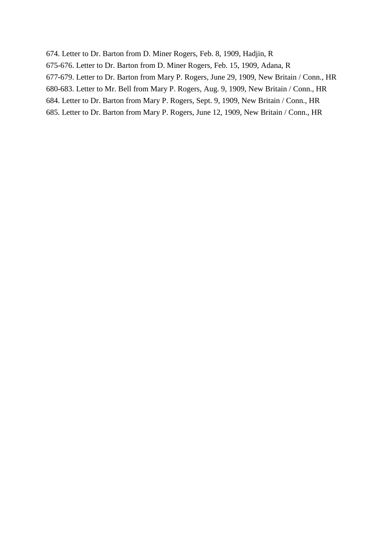674. Letter to Dr. Barton from D. Miner Rogers, Feb. 8, 1909, Hadjin, R 675-676. Letter to Dr. Barton from D. Miner Rogers, Feb. 15, 1909, Adana, R 677-679. Letter to Dr. Barton from Mary P. Rogers, June 29, 1909, New Britain / Conn., HR 680-683. Letter to Mr. Bell from Mary P. Rogers, Aug. 9, 1909, New Britain / Conn., HR 684. Letter to Dr. Barton from Mary P. Rogers, Sept. 9, 1909, New Britain / Conn., HR 685. Letter to Dr. Barton from Mary P. Rogers, June 12, 1909, New Britain / Conn., HR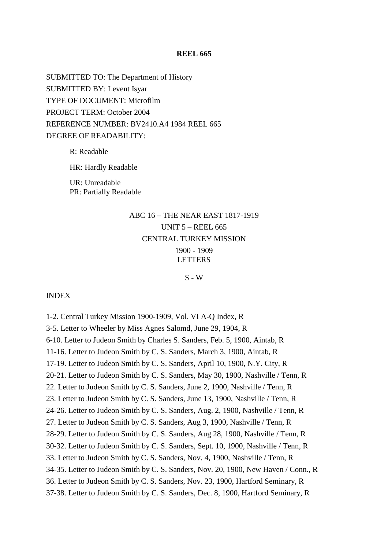#### **REEL 665**

SUBMITTED TO: The Department of History SUBMITTED BY: Levent Isyar TYPE OF DOCUMENT: Microfilm PROJECT TERM: October 2004 REFERENCE NUMBER: BV2410.A4 1984 REEL 665 DEGREE OF READABILITY:

> R: Readable HR: Hardly Readable UR: Unreadable PR: Partially Readable

# ABC 16 – THE NEAR EAST 1817-1919 UNIT 5 – REEL 665 CENTRAL TURKEY MISSION 1900 - 1909 **LETTERS**

## $S - W$

INDEX

1-2. Central Turkey Mission 1900-1909, Vol. VI A-Q Index, R 3-5. Letter to Wheeler by Miss Agnes Salomd, June 29, 1904, R 6-10. Letter to Judeon Smith by Charles S. Sanders, Feb. 5, 1900, Aintab, R 11-16. Letter to Judeon Smith by C. S. Sanders, March 3, 1900, Aintab, R 17-19. Letter to Judeon Smith by C. S. Sanders, April 10, 1900, N.Y. City, R 20-21. Letter to Judeon Smith by C. S. Sanders, May 30, 1900, Nashville / Tenn, R 22. Letter to Judeon Smith by C. S. Sanders, June 2, 1900, Nashville / Tenn, R 23. Letter to Judeon Smith by C. S. Sanders, June 13, 1900, Nashville / Tenn, R 24-26. Letter to Judeon Smith by C. S. Sanders, Aug. 2, 1900, Nashville / Tenn, R 27. Letter to Judeon Smith by C. S. Sanders, Aug 3, 1900, Nashville / Tenn, R 28-29. Letter to Judeon Smith by C. S. Sanders, Aug 28, 1900, Nashville / Tenn, R 30-32. Letter to Judeon Smith by C. S. Sanders, Sept. 10, 1900, Nashville / Tenn, R 33. Letter to Judeon Smith by C. S. Sanders, Nov. 4, 1900, Nashville / Tenn, R 34-35. Letter to Judeon Smith by C. S. Sanders, Nov. 20, 1900, New Haven / Conn., R 36. Letter to Judeon Smith by C. S. Sanders, Nov. 23, 1900, Hartford Seminary, R 37-38. Letter to Judeon Smith by C. S. Sanders, Dec. 8, 1900, Hartford Seminary, R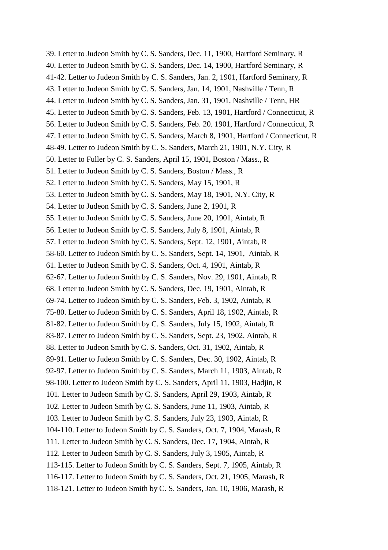39. Letter to Judeon Smith by C. S. Sanders, Dec. 11, 1900, Hartford Seminary, R 40. Letter to Judeon Smith by C. S. Sanders, Dec. 14, 1900, Hartford Seminary, R 41-42. Letter to Judeon Smith by C. S. Sanders, Jan. 2, 1901, Hartford Seminary, R 43. Letter to Judeon Smith by C. S. Sanders, Jan. 14, 1901, Nashville / Tenn, R 44. Letter to Judeon Smith by C. S. Sanders, Jan. 31, 1901, Nashville / Tenn, HR 45. Letter to Judeon Smith by C. S. Sanders, Feb. 13, 1901, Hartford / Connecticut, R 56. Letter to Judeon Smith by C. S. Sanders, Feb. 20. 1901, Hartford / Connecticut, R 47. Letter to Judeon Smith by C. S. Sanders, March 8, 1901, Hartford / Connecticut, R 48-49. Letter to Judeon Smith by C. S. Sanders, March 21, 1901, N.Y. City, R 50. Letter to Fuller by C. S. Sanders, April 15, 1901, Boston / Mass., R 51. Letter to Judeon Smith by C. S. Sanders, Boston / Mass., R 52. Letter to Judeon Smith by C. S. Sanders, May 15, 1901, R 53. Letter to Judeon Smith by C. S. Sanders, May 18, 1901, N.Y. City, R 54. Letter to Judeon Smith by C. S. Sanders, June 2, 1901, R 55. Letter to Judeon Smith by C. S. Sanders, June 20, 1901, Aintab, R 56. Letter to Judeon Smith by C. S. Sanders, July 8, 1901, Aintab, R 57. Letter to Judeon Smith by C. S. Sanders, Sept. 12, 1901, Aintab, R 58-60. Letter to Judeon Smith by C. S. Sanders, Sept. 14, 1901, Aintab, R 61. Letter to Judeon Smith by C. S. Sanders, Oct. 4, 1901, Aintab, R 62-67. Letter to Judeon Smith by C. S. Sanders, Nov. 29, 1901, Aintab, R 68. Letter to Judeon Smith by C. S. Sanders, Dec. 19, 1901, Aintab, R 69-74. Letter to Judeon Smith by C. S. Sanders, Feb. 3, 1902, Aintab, R 75-80. Letter to Judeon Smith by C. S. Sanders, April 18, 1902, Aintab, R 81-82. Letter to Judeon Smith by C. S. Sanders, July 15, 1902, Aintab, R 83-87. Letter to Judeon Smith by C. S. Sanders, Sept. 23, 1902, Aintab, R 88. Letter to Judeon Smith by C. S. Sanders, Oct. 31, 1902, Aintab, R 89-91. Letter to Judeon Smith by C. S. Sanders, Dec. 30, 1902, Aintab, R 92-97. Letter to Judeon Smith by C. S. Sanders, March 11, 1903, Aintab, R 98-100. Letter to Judeon Smith by C. S. Sanders, April 11, 1903, Hadjin, R 101. Letter to Judeon Smith by C. S. Sanders, April 29, 1903, Aintab, R 102. Letter to Judeon Smith by C. S. Sanders, June 11, 1903, Aintab, R 103. Letter to Judeon Smith by C. S. Sanders, July 23, 1903, Aintab, R 104-110. Letter to Judeon Smith by C. S. Sanders, Oct. 7, 1904, Marash, R 111. Letter to Judeon Smith by C. S. Sanders, Dec. 17, 1904, Aintab, R 112. Letter to Judeon Smith by C. S. Sanders, July 3, 1905, Aintab, R 113-115. Letter to Judeon Smith by C. S. Sanders, Sept. 7, 1905, Aintab, R 116-117. Letter to Judeon Smith by C. S. Sanders, Oct. 21, 1905, Marash, R 118-121. Letter to Judeon Smith by C. S. Sanders, Jan. 10, 1906, Marash, R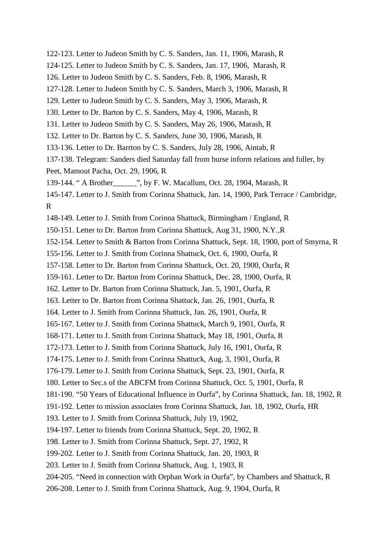122-123. Letter to Judeon Smith by C. S. Sanders, Jan. 11, 1906, Marash, R 124-125. Letter to Judeon Smith by C. S. Sanders, Jan. 17, 1906, Marash, R 126. Letter to Judeon Smith by C. S. Sanders, Feb. 8, 1906, Marash, R 127-128. Letter to Judeon Smith by C. S. Sanders, March 3, 1906, Marash, R 129. Letter to Judeon Smith by C. S. Sanders, May 3, 1906, Marash, R 130. Letter to Dr. Barton by C. S. Sanders, May 4, 1906, Marash, R 131. Letter to Judeon Smith by C. S. Sanders, May 26, 1906, Marash, R 132. Letter to Dr. Barton by C. S. Sanders, June 30, 1906, Marash, R 133-136. Letter to Dr. Barrton by C. S. Sanders, July 28, 1906, Aintab, R 137-138. Telegram: Sanders died Saturday fall from burse inform relations and fuller, by Peet, Mamout Pacha, Oct. 29, 1906, R 139-144. " A Brother\_\_\_\_\_\_", by F. W. Macallum, Oct. 28, 1904, Marash, R 145-147. Letter to J. Smith from Corinna Shattuck, Jan. 14, 1900, Park Terrace / Cambridge, R 148-149. Letter to J. Smith from Corinna Shattuck, Birmingham / England, R 150-151. Letter to Dr. Barton from Corinna Shattuck, Aug 31, 1900, N.Y.,R 152-154. Letter to Smith & Barton from Corinna Shattuck, Sept. 18, 1900, port of Smyrna, R 155-156. Letter to J. Smith from Corinna Shattuck, Oct. 6, 1900, Ourfa, R 157-158. Letter to Dr. Barton from Corinna Shattuck, Oct. 20, 1900, Ourfa, R 159-161. Letter to Dr. Barton from Corinna Shattuck, Dec. 28, 1900, Ourfa, R 162. Letter to Dr. Barton from Corinna Shattuck, Jan. 5, 1901, Ourfa, R 163. Letter to Dr. Barton from Corinna Shattuck, Jan. 26, 1901, Ourfa, R 164. Letter to J. Smith from Corinna Shattuck, Jan. 26, 1901, Ourfa, R 165-167. Letter to J. Smith from Corinna Shattuck, March 9, 1901, Ourfa, R 168-171. Letter to J. Smith from Corinna Shattuck, May 18, 1901, Ourfa, R 172-173. Letter to J. Smith from Corinna Shattuck, July 16, 1901, Ourfa, R 174-175. Letter to J. Smith from Corinna Shattuck, Aug. 3, 1901, Ourfa, R 176-179. Letter to J. Smith from Corinna Shattuck, Sept. 23, 1901, Ourfa, R 180. Letter to Sec.s of the ABCFM from Corinna Shattuck, Oct. 5, 1901, Ourfa, R 181-190. "50 Years of Educational Influence in Ourfa", by Corinna Shattuck, Jan. 18, 1902, R 191-192. Letter to mission associates from Corinna Shattuck, Jan. 18, 1902, Ourfa, HR 193. Letter to J. Smith from Corinna Shattuck, July 19, 1902, 194-197. Letter to friends from Corinna Shattuck, Sept. 20, 1902, R 198. Letter to J. Smith from Corinna Shattuck, Sept. 27, 1902, R 199-202. Letter to J. Smith from Corinna Shattuck, Jan. 20, 1903, R 203. Letter to J. Smith from Corinna Shattuck, Aug. 1, 1903, R 204-205. "Need in connection with Orphan Work in Ourfa", by Chambers and Shattuck, R 206-208. Letter to J. Smith from Corinna Shattuck, Aug. 9, 1904, Ourfa, R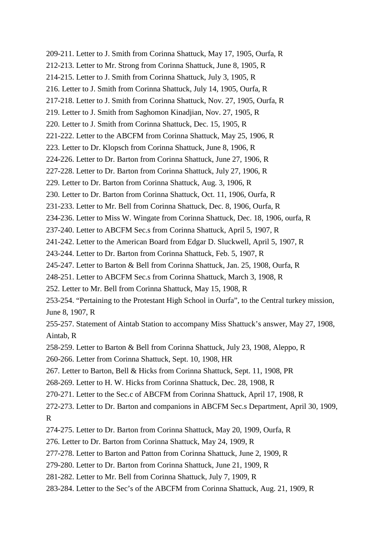209-211. Letter to J. Smith from Corinna Shattuck, May 17, 1905, Ourfa, R 212-213. Letter to Mr. Strong from Corinna Shattuck, June 8, 1905, R 214-215. Letter to J. Smith from Corinna Shattuck, July 3, 1905, R 216. Letter to J. Smith from Corinna Shattuck, July 14, 1905, Ourfa, R 217-218. Letter to J. Smith from Corinna Shattuck, Nov. 27, 1905, Ourfa, R 219. Letter to J. Smith from Saghomon Kinadjian, Nov. 27, 1905, R 220. Letter to J. Smith from Corinna Shattuck, Dec. 15, 1905, R 221-222. Letter to the ABCFM from Corinna Shattuck, May 25, 1906, R 223. Letter to Dr. Klopsch from Corinna Shattuck, June 8, 1906, R 224-226. Letter to Dr. Barton from Corinna Shattuck, June 27, 1906, R 227-228. Letter to Dr. Barton from Corinna Shattuck, July 27, 1906, R 229. Letter to Dr. Barton from Corinna Shattuck, Aug. 3, 1906, R 230. Letter to Dr. Barton from Corinna Shattuck, Oct. 11, 1906, Ourfa, R 231-233. Letter to Mr. Bell from Corinna Shattuck, Dec. 8, 1906, Ourfa, R 234-236. Letter to Miss W. Wingate from Corinna Shattuck, Dec. 18, 1906, ourfa, R 237-240. Letter to ABCFM Sec.s from Corinna Shattuck, April 5, 1907, R 241-242. Letter to the American Board from Edgar D. Sluckwell, April 5, 1907, R 243-244. Letter to Dr. Barton from Corinna Shattuck, Feb. 5, 1907, R 245-247. Letter to Barton & Bell from Corinna Shattuck, Jan. 25, 1908, Ourfa, R 248-251. Letter to ABCFM Sec.s from Corinna Shattuck, March 3, 1908, R 252. Letter to Mr. Bell from Corinna Shattuck, May 15, 1908, R 253-254. "Pertaining to the Protestant High School in Ourfa", to the Central turkey mission, June 8, 1907, R 255-257. Statement of Aintab Station to accompany Miss Shattuck's answer, May 27, 1908, Aintab, R 258-259. Letter to Barton & Bell from Corinna Shattuck, July 23, 1908, Aleppo, R 260-266. Letter from Corinna Shattuck, Sept. 10, 1908, HR 267. Letter to Barton, Bell & Hicks from Corinna Shattuck, Sept. 11, 1908, PR 268-269. Letter to H. W. Hicks from Corinna Shattuck, Dec. 28, 1908, R 270-271. Letter to the Sec.c of ABCFM from Corinna Shattuck, April 17, 1908, R 272-273. Letter to Dr. Barton and companions in ABCFM Sec.s Department, April 30, 1909, R 274-275. Letter to Dr. Barton from Corinna Shattuck, May 20, 1909, Ourfa, R 276. Letter to Dr. Barton from Corinna Shattuck, May 24, 1909, R 277-278. Letter to Barton and Patton from Corinna Shattuck, June 2, 1909, R 279-280. Letter to Dr. Barton from Corinna Shattuck, June 21, 1909, R 281-282. Letter to Mr. Bell from Corinna Shattuck, July 7, 1909, R 283-284. Letter to the Sec's of the ABCFM from Corinna Shattuck, Aug. 21, 1909, R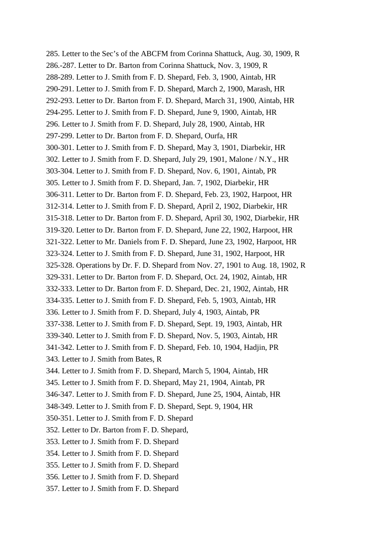285. Letter to the Sec's of the ABCFM from Corinna Shattuck, Aug. 30, 1909, R 286.-287. Letter to Dr. Barton from Corinna Shattuck, Nov. 3, 1909, R 288-289. Letter to J. Smith from F. D. Shepard, Feb. 3, 1900, Aintab, HR 290-291. Letter to J. Smith from F. D. Shepard, March 2, 1900, Marash, HR 292-293. Letter to Dr. Barton from F. D. Shepard, March 31, 1900, Aintab, HR 294-295. Letter to J. Smith from F. D. Shepard, June 9, 1900, Aintab, HR 296. Letter to J. Smith from F. D. Shepard, July 28, 1900, Aintab, HR 297-299. Letter to Dr. Barton from F. D. Shepard, Ourfa, HR 300-301. Letter to J. Smith from F. D. Shepard, May 3, 1901, Diarbekir, HR 302. Letter to J. Smith from F. D. Shepard, July 29, 1901, Malone / N.Y., HR 303-304. Letter to J. Smith from F. D. Shepard, Nov. 6, 1901, Aintab, PR 305. Letter to J. Smith from F. D. Shepard, Jan. 7, 1902, Diarbekir, HR 306-311. Letter to Dr. Barton from F. D. Shepard, Feb. 23, 1902, Harpoot, HR 312-314. Letter to J. Smith from F. D. Shepard, April 2, 1902, Diarbekir, HR 315-318. Letter to Dr. Barton from F. D. Shepard, April 30, 1902, Diarbekir, HR 319-320. Letter to Dr. Barton from F. D. Shepard, June 22, 1902, Harpoot, HR 321-322. Letter to Mr. Daniels from F. D. Shepard, June 23, 1902, Harpoot, HR 323-324. Letter to J. Smith from F. D. Shepard, June 31, 1902, Harpoot, HR 325-328. Operations by Dr. F. D. Shepard from Nov. 27, 1901 to Aug. 18, 1902, R 329-331. Letter to Dr. Barton from F. D. Shepard, Oct. 24, 1902, Aintab, HR 332-333. Letter to Dr. Barton from F. D. Shepard, Dec. 21, 1902, Aintab, HR 334-335. Letter to J. Smith from F. D. Shepard, Feb. 5, 1903, Aintab, HR 336. Letter to J. Smith from F. D. Shepard, July 4, 1903, Aintab, PR 337-338. Letter to J. Smith from F. D. Shepard, Sept. 19, 1903, Aintab, HR 339-340. Letter to J. Smith from F. D. Shepard, Nov. 5, 1903, Aintab, HR 341-342. Letter to J. Smith from F. D. Shepard, Feb. 10, 1904, Hadjin, PR 343. Letter to J. Smith from Bates, R 344. Letter to J. Smith from F. D. Shepard, March 5, 1904, Aintab, HR 345. Letter to J. Smith from F. D. Shepard, May 21, 1904, Aintab, PR 346-347. Letter to J. Smith from F. D. Shepard, June 25, 1904, Aintab, HR 348-349. Letter to J. Smith from F. D. Shepard, Sept. 9, 1904, HR 350-351. Letter to J. Smith from F. D. Shepard 352. Letter to Dr. Barton from F. D. Shepard, 353. Letter to J. Smith from F. D. Shepard 354. Letter to J. Smith from F. D. Shepard 355. Letter to J. Smith from F. D. Shepard 356. Letter to J. Smith from F. D. Shepard 357. Letter to J. Smith from F. D. Shepard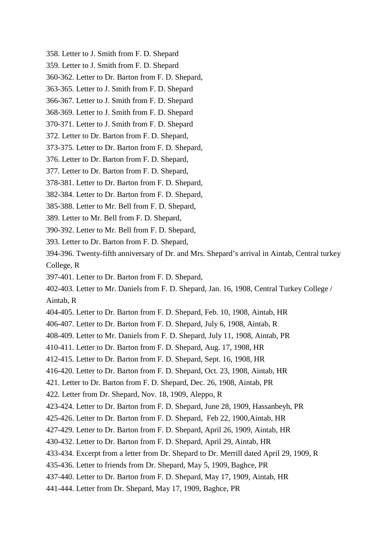- 358. Letter to J. Smith from F. D. Shepard
- 359. Letter to J. Smith from F. D. Shepard
- 360-362. Letter to Dr. Barton from F. D. Shepard,
- 363-365. Letter to J. Smith from F. D. Shepard
- 366-367. Letter to J. Smith from F. D. Shepard
- 368-369. Letter to J. Smith from F. D. Shepard
- 370-371. Letter to J. Smith from F. D. Shepard
- 372. Letter to Dr. Barton from F. D. Shepard,
- 373-375. Letter to Dr. Barton from F. D. Shepard,
- 376. Letter to Dr. Barton from F. D. Shepard,
- 377. Letter to Dr. Barton from F. D. Shepard,
- 378-381. Letter to Dr. Barton from F. D. Shepard,
- 382-384. Letter to Dr. Barton from F. D. Shepard,
- 385-388. Letter to Mr. Bell from F. D. Shepard,
- 389. Letter to Mr. Bell from F. D. Shepard,
- 390-392. Letter to Mr. Bell from F. D. Shepard,
- 393. Letter to Dr. Barton from F. D. Shepard,
- 394-396. Twenty-fifth anniversary of Dr. and Mrs. Shepard's arrival in Aintab, Central turkey College, R
- 397-401. Letter to Dr. Barton from F. D. Shepard,
- 402-403. Letter to Mr. Daniels from F. D. Shepard, Jan. 16, 1908, Central Turkey College /
- Aintab, R
- 404-405. Letter to Dr. Barton from F. D. Shepard, Feb. 10, 1908, Aintab, HR
- 406-407. Letter to Dr. Barton from F. D. Shepard, July 6, 1908, Aintab, R
- 408-409. Letter to Mr. Daniels from F. D. Shepard, July 11, 1908, Aintab, PR
- 410-411. Letter to Dr. Barton from F. D. Shepard, Aug. 17, 1908, HR
- 412-415. Letter to Dr. Barton from F. D. Shepard, Sept. 16, 1908, HR
- 416-420. Letter to Dr. Barton from F. D. Shepard, Oct. 23, 1908, Aintab, HR
- 421. Letter to Dr. Barton from F. D. Shepard, Dec. 26, 1908, Aintab, PR
- 422. Letter from Dr. Shepard, Nov. 18, 1909, Aleppo, R
- 423-424. Letter to Dr. Barton from F. D. Shepard, June 28, 1909, Hassanbeyh, PR
- 425-426. Letter to Dr. Barton from F. D. Shepard, Feb 22, 1900,Aintab, HR
- 427-429. Letter to Dr. Barton from F. D. Shepard, April 26, 1909, Aintab, HR
- 430-432. Letter to Dr. Barton from F. D. Shepard, April 29, Aintab, HR
- 433-434. Excerpt from a letter from Dr. Shepard to Dr. Merrill dated April 29, 1909, R
- 435-436. Letter to friends from Dr. Shepard, May 5, 1909, Baghce, PR
- 437-440. Letter to Dr. Barton from F. D. Shepard, May 17, 1909, Aintab, HR
- 441-444. Letter from Dr. Shepard, May 17, 1909, Baghce, PR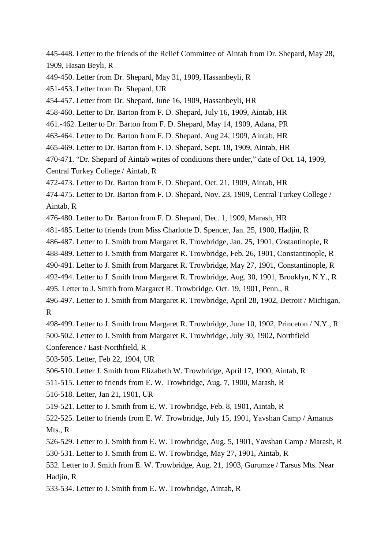- 445-448. Letter to the friends of the Relief Committee of Aintab from Dr. Shepard, May 28, 1909, Hasan Beyli, R
- 449-450. Letter from Dr. Shepard, May 31, 1909, Hassanbeyli, R
- 451-453. Letter from Dr. Shepard, UR
- 454-457. Letter from Dr. Shepard, June 16, 1909, Hassanbeyli, HR
- 458-460. Letter to Dr. Barton from F. D. Shepard, July 16, 1909, Aintab, HR
- 461.-462. Letter to Dr. Barton from F. D. Shepard, May 14, 1909, Adana, PR
- 463-464. Letter to Dr. Barton from F. D. Shepard, Aug 24, 1909, Aintab, HR
- 465-469. Letter to Dr. Barton from F. D. Shepard, Sept. 18, 1909, Aintab, HR
- 470-471. "Dr. Shepard of Aintab writes of conditions there under," date of Oct. 14, 1909,
- Central Turkey College / Aintab, R
- 472-473. Letter to Dr. Barton from F. D. Shepard, Oct. 21, 1909, Aintab, HR
- 474-475. Letter to Dr. Barton from F. D. Shepard, Nov. 23, 1909, Central Turkey College / Aintab, R
- 476-480. Letter to Dr. Barton from F. D. Shepard, Dec. 1, 1909, Marash, HR
- 481-485. Letter to friends from Miss Charlotte D. Spencer, Jan. 25, 1900, Hadjin, R
- 486-487. Letter to J. Smith from Margaret R. Trowbridge, Jan. 25, 1901, Costantinople, R
- 488-489. Letter to J. Smith from Margaret R. Trowbridge, Feb. 26, 1901, Constantinople, R
- 490-491. Letter to J. Smith from Margaret R. Trowbridge, May 27, 1901, Constantinople, R
- 492-494. Letter to J. Smith from Margaret R. Trowbridge, Aug. 30, 1901, Brooklyn, N.Y., R
- 495. Letter to J. Smith from Margaret R. Trowbridge, Oct. 19, 1901, Penn., R
- 496-497. Letter to J. Smith from Margaret R. Trowbridge, April 28, 1902, Detroit / Michigan, R
- 498-499. Letter to J. Smith from Margaret R. Trowbridge, June 10, 1902, Princeton / N.Y., R 500-502. Letter to J. Smith from Margaret R. Trowbridge, July 30, 1902, Northfield
- Conference / East-Northfield, R
- 503-505. Letter, Feb 22, 1904, UR
- 506-510. Letter J. Smith from Elizabeth W. Trowbridge, April 17, 1900, Aintab, R
- 511-515. Letter to friends from E. W. Trowbridge, Aug. 7, 1900, Marash, R
- 516-518. Letter, Jan 21, 1901, UR
- 519-521. Letter to J. Smith from E. W. Trowbridge, Feb. 8, 1901, Aintab, R
- 522-525. Letter to friends from E. W. Trowbridge, July 15, 1901, Yavshan Camp / Amanus Mts., R
- 526-529. Letter to J. Smith from E. W. Trowbridge, Aug. 5, 1901, Yavshan Camp / Marash, R 530-531. Letter to J. Smith from E. W. Trowbridge, May 27, 1901, Aintab, R
- 532. Letter to J. Smith from E. W. Trowbridge, Aug. 21, 1903, Gurumze / Tarsus Mts. Near Hadjin, R
- 533-534. Letter to J. Smith from E. W. Trowbridge, Aintab, R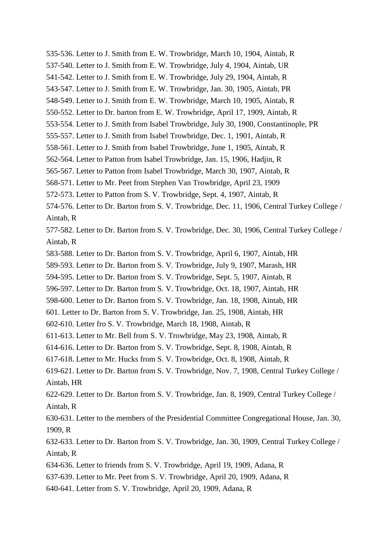535-536. Letter to J. Smith from E. W. Trowbridge, March 10, 1904, Aintab, R 537-540. Letter to J. Smith from E. W. Trowbridge, July 4, 1904, Aintab, UR 541-542. Letter to J. Smith from E. W. Trowbridge, July 29, 1904, Aintab, R 543-547. Letter to J. Smith from E. W. Trowbridge, Jan. 30, 1905, Aintab, PR 548-549. Letter to J. Smith from E. W. Trowbridge, March 10, 1905, Aintab, R 550-552. Letter to Dr. barton from E. W. Trowbridge, April 17, 1909, Aintab, R 553-554. Letter to J. Smith from Isabel Trowbridge, July 30, 1900, Constantinople, PR 555-557. Letter to J. Smith from Isabel Trowbridge, Dec. 1, 1901, Aintab, R 558-561. Letter to J. Smith from Isabel Trowbridge, June 1, 1905, Aintab, R 562-564. Letter to Patton from Isabel Trowbridge, Jan. 15, 1906, Hadjin, R 565-567. Letter to Patton from Isabel Trowbridge, March 30, 1907, Aintab, R 568-571. Letter to Mr. Peet from Stephen Van Trowbridge, April 23, 1909 572-573. Letter to Patton from S. V. Trowbridge, Sept. 4, 1907, Aintab, R 574-576. Letter to Dr. Barton from S. V. Trowbridge, Dec. 11, 1906, Central Turkey College / Aintab, R 577-582. Letter to Dr. Barton from S. V. Trowbridge, Dec. 30, 1906, Central Turkey College / Aintab, R 583-588. Letter to Dr. Barton from S. V. Trowbridge, April 6, 1907, Aintab, HR 589-593. Letter to Dr. Barton from S. V. Trowbridge, July 9, 1907, Marash, HR 594-595. Letter to Dr. Barton from S. V. Trowbridge, Sept. 5, 1907, Aintab, R 596-597. Letter to Dr. Barton from S. V. Trowbridge, Oct. 18, 1907, Aintab, HR 598-600. Letter to Dr. Barton from S. V. Trowbridge, Jan. 18, 1908, Aintab, HR 601. Letter to Dr. Barton from S. V. Trowbridge, Jan. 25, 1908, Aintab, HR 602-610. Letter fro S. V. Trowbridge, March 18, 1908, Aintab, R 611-613. Letter to Mr. Bell from S. V. Trowbridge, May 23, 1908, Aintab, R 614-616. Letter to Dr. Barton from S. V. Trowbridge, Sept. 8, 1908, Aintab, R 617-618. Letter to Mr. Hucks from S. V. Trowbridge, Oct. 8, 1908, Aintab, R 619-621. Letter to Dr. Barton from S. V. Trowbridge, Nov. 7, 1908, Central Turkey College / Aintab, HR 622-629. Letter to Dr. Barton from S. V. Trowbridge, Jan. 8, 1909, Central Turkey College / Aintab, R 630-631. Letter to the members of the Presidential Committee Congregational House, Jan. 30, 1909, R 632-633. Letter to Dr. Barton from S. V. Trowbridge, Jan. 30, 1909, Central Turkey College / Aintab, R 634-636. Letter to friends from S. V. Trowbridge, April 19, 1909, Adana, R 637-639. Letter to Mr. Peet from S. V. Trowbridge, April 20, 1909, Adana, R

640-641. Letter from S. V. Trowbridge, April 20, 1909, Adana, R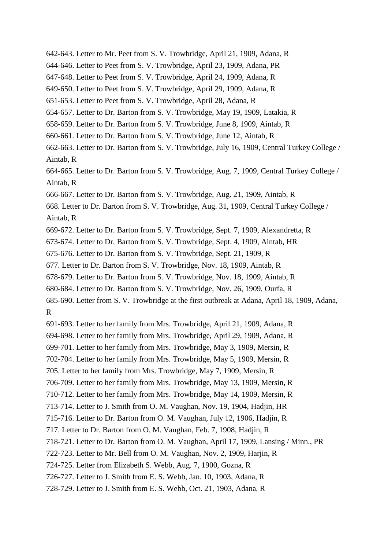- 642-643. Letter to Mr. Peet from S. V. Trowbridge, April 21, 1909, Adana, R
- 644-646. Letter to Peet from S. V. Trowbridge, April 23, 1909, Adana, PR
- 647-648. Letter to Peet from S. V. Trowbridge, April 24, 1909, Adana, R
- 649-650. Letter to Peet from S. V. Trowbridge, April 29, 1909, Adana, R
- 651-653. Letter to Peet from S. V. Trowbridge, April 28, Adana, R
- 654-657. Letter to Dr. Barton from S. V. Trowbridge, May 19, 1909, Latakia, R
- 658-659. Letter to Dr. Barton from S. V. Trowbridge, June 8, 1909, Aintab, R
- 660-661. Letter to Dr. Barton from S. V. Trowbridge, June 12, Aintab, R
- 662-663. Letter to Dr. Barton from S. V. Trowbridge, July 16, 1909, Central Turkey College / Aintab, R
- 664-665. Letter to Dr. Barton from S. V. Trowbridge, Aug. 7, 1909, Central Turkey College / Aintab, R
- 666-667. Letter to Dr. Barton from S. V. Trowbridge, Aug. 21, 1909, Aintab, R
- 668. Letter to Dr. Barton from S. V. Trowbridge, Aug. 31, 1909, Central Turkey College / Aintab, R
- 669-672. Letter to Dr. Barton from S. V. Trowbridge, Sept. 7, 1909, Alexandretta, R
- 673-674. Letter to Dr. Barton from S. V. Trowbridge, Sept. 4, 1909, Aintab, HR
- 675-676. Letter to Dr. Barton from S. V. Trowbridge, Sept. 21, 1909, R
- 677. Letter to Dr. Barton from S. V. Trowbridge, Nov. 18, 1909, Aintab, R
- 678-679. Letter to Dr. Barton from S. V. Trowbridge, Nov. 18, 1909, Aintab, R
- 680-684. Letter to Dr. Barton from S. V. Trowbridge, Nov. 26, 1909, Ourfa, R
- 685-690. Letter from S. V. Trowbridge at the first outbreak at Adana, April 18, 1909, Adana, R
- 691-693. Letter to her family from Mrs. Trowbridge, April 21, 1909, Adana, R
- 694-698. Letter to her family from Mrs. Trowbridge, April 29, 1909, Adana, R
- 699-701. Letter to her family from Mrs. Trowbridge, May 3, 1909, Mersin, R
- 702-704. Letter to her family from Mrs. Trowbridge, May 5, 1909, Mersin, R
- 705. Letter to her family from Mrs. Trowbridge, May 7, 1909, Mersin, R
- 706-709. Letter to her family from Mrs. Trowbridge, May 13, 1909, Mersin, R
- 710-712. Letter to her family from Mrs. Trowbridge, May 14, 1909, Mersin, R
- 713-714. Letter to J. Smith from O. M. Vaughan, Nov. 19, 1904, Hadjin, HR
- 715-716. Letter to Dr. Barton from O. M. Vaughan, July 12, 1906, Hadjin, R
- 717. Letter to Dr. Barton from O. M. Vaughan, Feb. 7, 1908, Hadjin, R
- 718-721. Letter to Dr. Barton from O. M. Vaughan, April 17, 1909, Lansing / Minn., PR
- 722-723. Letter to Mr. Bell from O. M. Vaughan, Nov. 2, 1909, Harjin, R
- 724-725. Letter from Elizabeth S. Webb, Aug. 7, 1900, Gozna, R
- 726-727. Letter to J. Smith from E. S. Webb, Jan. 10, 1903, Adana, R
- 728-729. Letter to J. Smith from E. S. Webb, Oct. 21, 1903, Adana, R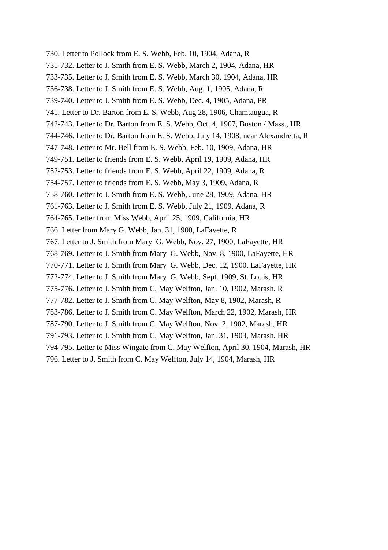730. Letter to Pollock from E. S. Webb, Feb. 10, 1904, Adana, R 731-732. Letter to J. Smith from E. S. Webb, March 2, 1904, Adana, HR 733-735. Letter to J. Smith from E. S. Webb, March 30, 1904, Adana, HR 736-738. Letter to J. Smith from E. S. Webb, Aug. 1, 1905, Adana, R 739-740. Letter to J. Smith from E. S. Webb, Dec. 4, 1905, Adana, PR 741. Letter to Dr. Barton from E. S. Webb, Aug 28, 1906, Chamtaugua, R 742-743. Letter to Dr. Barton from E. S. Webb, Oct. 4, 1907, Boston / Mass., HR 744-746. Letter to Dr. Barton from E. S. Webb, July 14, 1908, near Alexandretta, R 747-748. Letter to Mr. Bell from E. S. Webb, Feb. 10, 1909, Adana, HR 749-751. Letter to friends from E. S. Webb, April 19, 1909, Adana, HR 752-753. Letter to friends from E. S. Webb, April 22, 1909, Adana, R 754-757. Letter to friends from E. S. Webb, May 3, 1909, Adana, R 758-760. Letter to J. Smith from E. S. Webb, June 28, 1909, Adana, HR 761-763. Letter to J. Smith from E. S. Webb, July 21, 1909, Adana, R 764-765. Letter from Miss Webb, April 25, 1909, California, HR 766. Letter from Mary G. Webb, Jan. 31, 1900, LaFayette, R 767. Letter to J. Smith from Mary G. Webb, Nov. 27, 1900, LaFayette, HR 768-769. Letter to J. Smith from Mary G. Webb, Nov. 8, 1900, LaFayette, HR 770-771. Letter to J. Smith from Mary G. Webb, Dec. 12, 1900, LaFayette, HR 772-774. Letter to J. Smith from Mary G. Webb, Sept. 1909, St. Louis, HR 775-776. Letter to J. Smith from C. May Welfton, Jan. 10, 1902, Marash, R 777-782. Letter to J. Smith from C. May Welfton, May 8, 1902, Marash, R 783-786. Letter to J. Smith from C. May Welfton, March 22, 1902, Marash, HR 787-790. Letter to J. Smith from C. May Welfton, Nov. 2, 1902, Marash, HR 791-793. Letter to J. Smith from C. May Welfton, Jan. 31, 1903, Marash, HR 794-795. Letter to Miss Wingate from C. May Welfton, April 30, 1904, Marash, HR 796. Letter to J. Smith from C. May Welfton, July 14, 1904, Marash, HR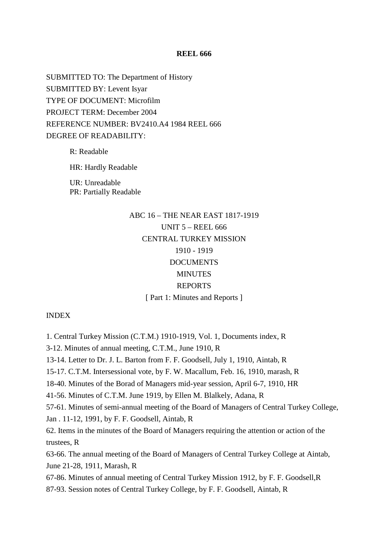#### **REEL 666**

SUBMITTED TO: The Department of History SUBMITTED BY: Levent Isyar TYPE OF DOCUMENT: Microfilm PROJECT TERM: December 2004 REFERENCE NUMBER: BV2410.A4 1984 REEL 666 DEGREE OF READABILITY:

R: Readable

HR: Hardly Readable

UR: Unreadable PR: Partially Readable

# ABC 16 – THE NEAR EAST 1817-1919 UNIT 5 – REEL 666 CENTRAL TURKEY MISSION 1910 - 1919 **DOCUMENTS MINUTES** REPORTS [ Part 1: Minutes and Reports ]

#### INDEX

1. Central Turkey Mission (C.T.M.) 1910-1919, Vol. 1, Documents index, R

3-12. Minutes of annual meeting, C.T.M., June 1910, R

13-14. Letter to Dr. J. L. Barton from F. F. Goodsell, July 1, 1910, Aintab, R

15-17. C.T.M. Intersessional vote, by F. W. Macallum, Feb. 16, 1910, marash, R

18-40. Minutes of the Borad of Managers mid-year session, April 6-7, 1910, HR

41-56. Minutes of C.T.M. June 1919, by Ellen M. Blalkely, Adana, R

57-61. Minutes of semi-annual meeting of the Board of Managers of Central Turkey College,

Jan . 11-12, 1991, by F. F. Goodsell, Aintab, R

62. Items in the minutes of the Board of Managers requiring the attention or action of the trustees, R

63-66. The annual meeting of the Board of Managers of Central Turkey College at Aintab, June 21-28, 1911, Marash, R

67-86. Minutes of annual meeting of Central Turkey Mission 1912, by F. F. Goodsell,R

87-93. Session notes of Central Turkey College, by F. F. Goodsell, Aintab, R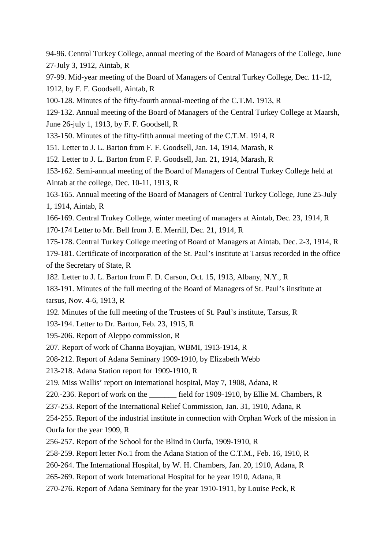94-96. Central Turkey College, annual meeting of the Board of Managers of the College, June 27-July 3, 1912, Aintab, R

97-99. Mid-year meeting of the Board of Managers of Central Turkey College, Dec. 11-12,

1912, by F. F. Goodsell, Aintab, R

100-128. Minutes of the fifty-fourth annual-meeting of the C.T.M. 1913, R

129-132. Annual meeting of the Board of Managers of the Central Turkey College at Maarsh, June 26-july 1, 1913, by F. F. Goodsell, R

133-150. Minutes of the fifty-fifth annual meeting of the C.T.M. 1914, R

151. Letter to J. L. Barton from F. F. Goodsell, Jan. 14, 1914, Marash, R

152. Letter to J. L. Barton from F. F. Goodsell, Jan. 21, 1914, Marash, R

153-162. Semi-annual meeting of the Board of Managers of Central Turkey College held at Aintab at the college, Dec. 10-11, 1913, R

163-165. Annual meeting of the Board of Managers of Central Turkey College, June 25-July 1, 1914, Aintab, R

166-169. Central Trukey College, winter meeting of managers at Aintab, Dec. 23, 1914, R

170-174 Letter to Mr. Bell from J. E. Merrill, Dec. 21, 1914, R

175-178. Central Turkey College meeting of Board of Managers at Aintab, Dec. 2-3, 1914, R

179-181. Certificate of incorporation of the St. Paul's institute at Tarsus recorded in the office of the Secretary of State, R

182. Letter to J. L. Barton from F. D. Carson, Oct. 15, 1913, Albany, N.Y., R

183-191. Minutes of the full meeting of the Board of Managers of St. Paul's iinstitute at tarsus, Nov. 4-6, 1913, R

192. Minutes of the full meeting of the Trustees of St. Paul's institute, Tarsus, R

193-194. Letter to Dr. Barton, Feb. 23, 1915, R

195-206. Report of Aleppo commission, R

207. Report of work of Channa Boyajian, WBMI, 1913-1914, R

208-212. Report of Adana Seminary 1909-1910, by Elizabeth Webb

213-218. Adana Station report for 1909-1910, R

219. Miss Wallis' report on international hospital, May 7, 1908, Adana, R

220.-236. Report of work on the \_\_\_\_\_\_\_ field for 1909-1910, by Ellie M. Chambers, R

237-253. Report of the International Relief Commission, Jan. 31, 1910, Adana, R

254-255. Report of the industrial institute in connection with Orphan Work of the mission in Ourfa for the year 1909, R

256-257. Report of the School for the Blind in Ourfa, 1909-1910, R

258-259. Report letter No.1 from the Adana Station of the C.T.M., Feb. 16, 1910, R

260-264. The International Hospital, by W. H. Chambers, Jan. 20, 1910, Adana, R

265-269. Report of work International Hospital for he year 1910, Adana, R

270-276. Report of Adana Seminary for the year 1910-1911, by Louise Peck, R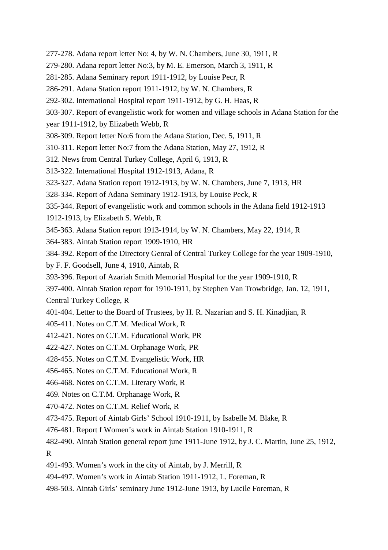- 277-278. Adana report letter No: 4, by W. N. Chambers, June 30, 1911, R
- 279-280. Adana report letter No:3, by M. E. Emerson, March 3, 1911, R
- 281-285. Adana Seminary report 1911-1912, by Louise Pecr, R
- 286-291. Adana Station report 1911-1912, by W. N. Chambers, R
- 292-302. International Hospital report 1911-1912, by G. H. Haas, R
- 303-307. Report of evangelistic work for women and village schools in Adana Station for the
- year 1911-1912, by Elizabeth Webb, R
- 308-309. Report letter No:6 from the Adana Station, Dec. 5, 1911, R
- 310-311. Report letter No:7 from the Adana Station, May 27, 1912, R
- 312. News from Central Turkey College, April 6, 1913, R
- 313-322. International Hospital 1912-1913, Adana, R
- 323-327. Adana Station report 1912-1913, by W. N. Chambers, June 7, 1913, HR
- 328-334. Report of Adana Seminary 1912-1913, by Louise Peck, R
- 335-344. Report of evangelistic work and common schools in the Adana field 1912-1913
- 1912-1913, by Elizabeth S. Webb, R
- 345-363. Adana Station report 1913-1914, by W. N. Chambers, May 22, 1914, R
- 364-383. Aintab Station report 1909-1910, HR
- 384-392. Report of the Directory Genral of Central Turkey College for the year 1909-1910,
- by F. F. Goodsell, June 4, 1910, Aintab, R
- 393-396. Report of Azariah Smith Memorial Hospital for the year 1909-1910, R
- 397-400. Aintab Station report for 1910-1911, by Stephen Van Trowbridge, Jan. 12, 1911,

Central Turkey College, R

- 401-404. Letter to the Board of Trustees, by H. R. Nazarian and S. H. Kinadjian, R
- 405-411. Notes on C.T.M. Medical Work, R
- 412-421. Notes on C.T.M. Educational Work, PR
- 422-427. Notes on C.T.M. Orphanage Work, PR
- 428-455. Notes on C.T.M. Evangelistic Work, HR
- 456-465. Notes on C.T.M. Educational Work, R
- 466-468. Notes on C.T.M. Literary Work, R
- 469. Notes on C.T.M. Orphanage Work, R
- 470-472. Notes on C.T.M. Relief Work, R
- 473-475. Report of Aintab Girls' School 1910-1911, by Isabelle M. Blake, R
- 476-481. Report f Women's work in Aintab Station 1910-1911, R
- 482-490. Aintab Station general report june 1911-June 1912, by J. C. Martin, June 25, 1912,

R

- 491-493. Women's work in the city of Aintab, by J. Merrill, R
- 494-497. Women's work in Aintab Station 1911-1912, L. Foreman, R
- 498-503. Aintab Girls' seminary June 1912-June 1913, by Lucile Foreman, R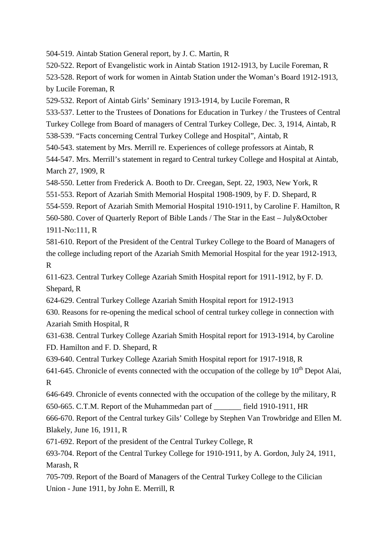504-519. Aintab Station General report, by J. C. Martin, R

520-522. Report of Evangelistic work in Aintab Station 1912-1913, by Lucile Foreman, R

523-528. Report of work for women in Aintab Station under the Woman's Board 1912-1913, by Lucile Foreman, R

529-532. Report of Aintab Girls' Seminary 1913-1914, by Lucile Foreman, R

533-537. Letter to the Trustees of Donations for Education in Turkey / the Trustees of Central

Turkey College from Board of managers of Central Turkey College, Dec. 3, 1914, Aintab, R

538-539. "Facts concerning Central Turkey College and Hospital", Aintab, R

540-543. statement by Mrs. Merrill re. Experiences of college professors at Aintab, R

544-547. Mrs. Merrill's statement in regard to Central turkey College and Hospital at Aintab, March 27, 1909, R

548-550. Letter from Frederick A. Booth to Dr. Creegan, Sept. 22, 1903, New York, R

551-553. Report of Azariah Smith Memorial Hospital 1908-1909, by F. D. Shepard, R

554-559. Report of Azariah Smith Memorial Hospital 1910-1911, by Caroline F. Hamilton, R

560-580. Cover of Quarterly Report of Bible Lands / The Star in the East – July&October 1911-No:111, R

581-610. Report of the President of the Central Turkey College to the Board of Managers of the college including report of the Azariah Smith Memorial Hospital for the year 1912-1913, R

611-623. Central Turkey College Azariah Smith Hospital report for 1911-1912, by F. D. Shepard, R

624-629. Central Turkey College Azariah Smith Hospital report for 1912-1913

630. Reasons for re-opening the medical school of central turkey college in connection with Azariah Smith Hospital, R

631-638. Central Turkey College Azariah Smith Hospital report for 1913-1914, by Caroline FD. Hamilton and F. D. Shepard, R

639-640. Central Turkey College Azariah Smith Hospital report for 1917-1918, R

641-645. Chronicle of events connected with the occupation of the college by  $10^{th}$  Depot Alai, R

646-649. Chronicle of events connected with the occupation of the college by the military, R 650-665. C.T.M. Report of the Muhammedan part of \_\_\_\_\_\_\_ field 1910-1911, HR

666-670. Report of the Central turkey Gils' College by Stephen Van Trowbridge and Ellen M. Blakely, June 16, 1911, R

671-692. Report of the president of the Central Turkey College, R

693-704. Report of the Central Turkey College for 1910-1911, by A. Gordon, July 24, 1911, Marash, R

705-709. Report of the Board of Managers of the Central Turkey College to the Cilician Union - June 1911, by John E. Merrill, R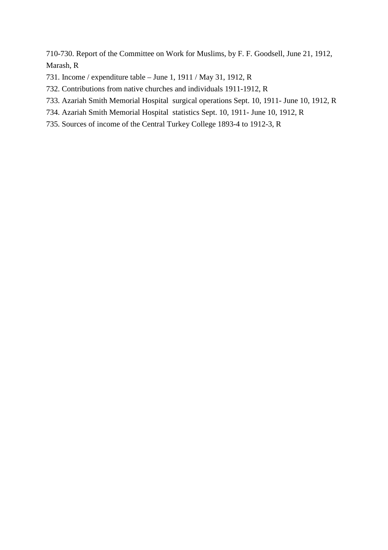710-730. Report of the Committee on Work for Muslims, by F. F. Goodsell, June 21, 1912, Marash, R

- 731. Income / expenditure table June 1, 1911 / May 31, 1912, R
- 732. Contributions from native churches and individuals 1911-1912, R
- 733. Azariah Smith Memorial Hospital surgical operations Sept. 10, 1911- June 10, 1912, R
- 734. Azariah Smith Memorial Hospital statistics Sept. 10, 1911- June 10, 1912, R
- 735. Sources of income of the Central Turkey College 1893-4 to 1912-3, R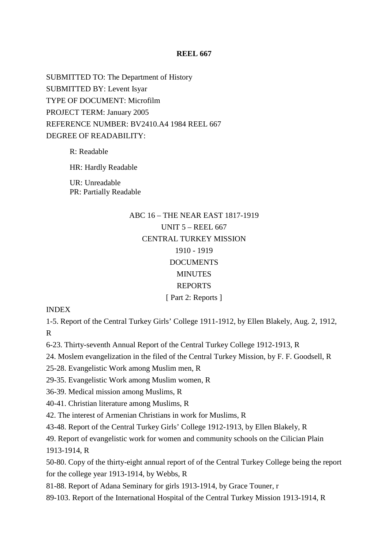### **REEL 667**

SUBMITTED TO: The Department of History SUBMITTED BY: Levent Isyar TYPE OF DOCUMENT: Microfilm PROJECT TERM: January 2005 REFERENCE NUMBER: BV2410.A4 1984 REEL 667 DEGREE OF READABILITY:

R: Readable

HR: Hardly Readable

UR: Unreadable PR: Partially Readable

# ABC 16 – THE NEAR EAST 1817-1919 UNIT 5 – REEL 667 CENTRAL TURKEY MISSION 1910 - 1919 **DOCUMENTS MINUTES** REPORTS [ Part 2: Reports ]

INDEX

1-5. Report of the Central Turkey Girls' College 1911-1912, by Ellen Blakely, Aug. 2, 1912,

R

6-23. Thirty-seventh Annual Report of the Central Turkey College 1912-1913, R

24. Moslem evangelization in the filed of the Central Turkey Mission, by F. F. Goodsell, R

25-28. Evangelistic Work among Muslim men, R

29-35. Evangelistic Work among Muslim women, R

36-39. Medical mission among Muslims, R

40-41. Christian literature among Muslims, R

42. The interest of Armenian Christians in work for Muslims, R

43-48. Report of the Central Turkey Girls' College 1912-1913, by Ellen Blakely, R

49. Report of evangelistic work for women and community schools on the Cilician Plain 1913-1914, R

50-80. Copy of the thirty-eight annual report of of the Central Turkey College being the report for the college year 1913-1914, by Webbs, R

81-88. Report of Adana Seminary for girls 1913-1914, by Grace Touner, r

89-103. Report of the International Hospital of the Central Turkey Mission 1913-1914, R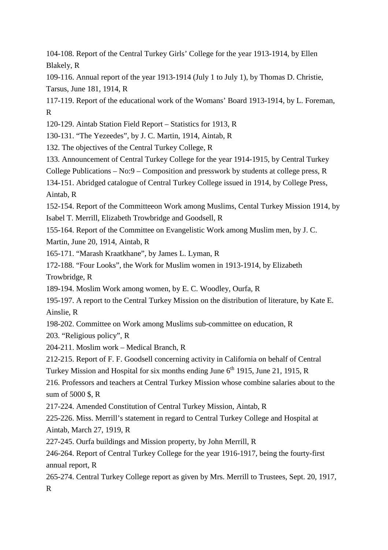104-108. Report of the Central Turkey Girls' College for the year 1913-1914, by Ellen Blakely, R

109-116. Annual report of the year 1913-1914 (July 1 to July 1), by Thomas D. Christie, Tarsus, June 181, 1914, R

117-119. Report of the educational work of the Womans' Board 1913-1914, by L. Foreman, R

120-129. Aintab Station Field Report – Statistics for 1913, R

130-131. "The Yezeedes", by J. C. Martin, 1914, Aintab, R

132. The objectives of the Central Turkey College, R

133. Announcement of Central Turkey College for the year 1914-1915, by Central Turkey

College Publications – No:9 – Composition and presswork by students at college press, R

134-151. Abridged catalogue of Central Turkey College issued in 1914, by College Press, Aintab, R

152-154. Report of the Committeeon Work among Muslims, Cental Turkey Mission 1914, by Isabel T. Merrill, Elizabeth Trowbridge and Goodsell, R

155-164. Report of the Committee on Evangelistic Work among Muslim men, by J. C.

Martin, June 20, 1914, Aintab, R

165-171. "Marash Kraatkhane", by James L. Lyman, R

172-188. "Four Looks", the Work for Muslim women in 1913-1914, by Elizabeth

Trowbridge, R

189-194. Moslim Work among women, by E. C. Woodley, Ourfa, R

195-197. A report to the Central Turkey Mission on the distribution of literature, by Kate E. Ainslie, R

198-202. Committee on Work among Muslims sub-committee on education, R

203. "Religious policy", R

204-211. Moslim work – Medical Branch, R

212-215. Report of F. F. Goodsell concerning activity in California on behalf of Central

Turkey Mission and Hospital for six months ending June  $6<sup>th</sup>$  1915, June 21, 1915, R

216. Professors and teachers at Central Turkey Mission whose combine salaries about to the sum of 5000 \$, R

217-224. Amended Constitution of Central Turkey Mission, Aintab, R

225-226. Miss. Merrill's statement in regard to Central Turkey College and Hospital at Aintab, March 27, 1919, R

227-245. Ourfa buildings and Mission property, by John Merrill, R

246-264. Report of Central Turkey College for the year 1916-1917, being the fourty-first annual report, R

265-274. Central Turkey College report as given by Mrs. Merrill to Trustees, Sept. 20, 1917, R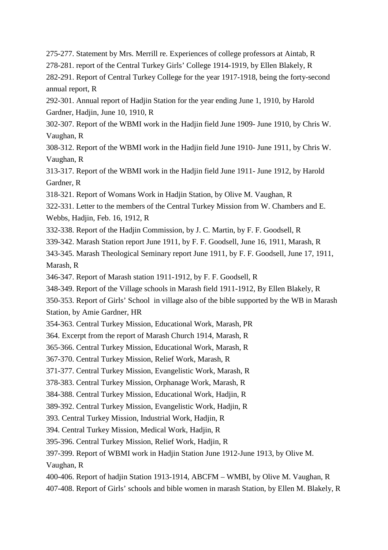275-277. Statement by Mrs. Merrill re. Experiences of college professors at Aintab, R

278-281. report of the Central Turkey Girls' College 1914-1919, by Ellen Blakely, R

282-291. Report of Central Turkey College for the year 1917-1918, being the forty-second annual report, R

292-301. Annual report of Hadjin Station for the year ending June 1, 1910, by Harold Gardner, Hadjin, June 10, 1910, R

302-307. Report of the WBMI work in the Hadjin field June 1909- June 1910, by Chris W. Vaughan, R

308-312. Report of the WBMI work in the Hadjin field June 1910- June 1911, by Chris W. Vaughan, R

313-317. Report of the WBMI work in the Hadjin field June 1911- June 1912, by Harold Gardner, R

318-321. Report of Womans Work in Hadjin Station, by Olive M. Vaughan, R

322-331. Letter to the members of the Central Turkey Mission from W. Chambers and E. Webbs, Hadjin, Feb. 16, 1912, R

332-338. Report of the Hadjin Commission, by J. C. Martin, by F. F. Goodsell, R

339-342. Marash Station report June 1911, by F. F. Goodsell, June 16, 1911, Marash, R

343-345. Marash Theological Seminary report June 1911, by F. F. Goodsell, June 17, 1911, Marash, R

346-347. Report of Marash station 1911-1912, by F. F. Goodsell, R

348-349. Report of the Village schools in Marash field 1911-1912, By Ellen Blakely, R

350-353. Report of Girls' School in village also of the bible supported by the WB in Marash Station, by Amie Gardner, HR

354-363. Central Turkey Mission, Educational Work, Marash, PR

364. Excerpt from the report of Marash Church 1914, Marash, R

365-366. Central Turkey Mission, Educational Work, Marash, R

367-370. Central Turkey Mission, Relief Work, Marash, R

371-377. Central Turkey Mission, Evangelistic Work, Marash, R

378-383. Central Turkey Mission, Orphanage Work, Marash, R

384-388. Central Turkey Mission, Educational Work, Hadjin, R

389-392. Central Turkey Mission, Evangelistic Work, Hadjin, R

393. Central Turkey Mission, Industrial Work, Hadjin, R

394. Central Turkey Mission, Medical Work, Hadjin, R

395-396. Central Turkey Mission, Relief Work, Hadjin, R

397-399. Report of WBMI work in Hadjin Station June 1912-June 1913, by Olive M.

Vaughan, R

400-406. Report of hadjin Station 1913-1914, ABCFM – WMBI, by Olive M. Vaughan, R

407-408. Report of Girls' schools and bible women in marash Station, by Ellen M. Blakely, R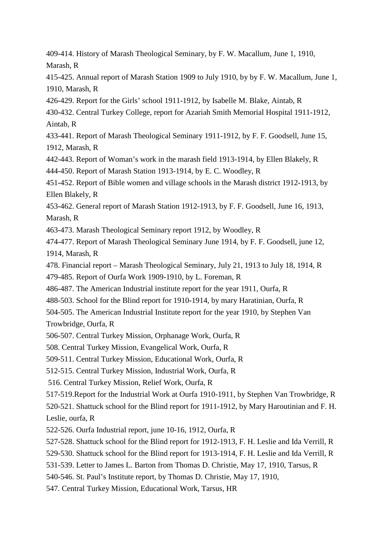409-414. History of Marash Theological Seminary, by F. W. Macallum, June 1, 1910, Marash, R

415-425. Annual report of Marash Station 1909 to July 1910, by by F. W. Macallum, June 1, 1910, Marash, R

426-429. Report for the Girls' school 1911-1912, by Isabelle M. Blake, Aintab, R

430-432. Central Turkey College, report for Azariah Smith Memorial Hospital 1911-1912, Aintab, R

433-441. Report of Marash Theological Seminary 1911-1912, by F. F. Goodsell, June 15, 1912, Marash, R

442-443. Report of Woman's work in the marash field 1913-1914, by Ellen Blakely, R

444-450. Report of Marash Station 1913-1914, by E. C. Woodley, R

451-452. Report of Bible women and village schools in the Marash district 1912-1913, by Ellen Blakely, R

453-462. General report of Marash Station 1912-1913, by F. F. Goodsell, June 16, 1913, Marash, R

463-473. Marash Theological Seminary report 1912, by Woodley, R

474-477. Report of Marash Theological Seminary June 1914, by F. F. Goodsell, june 12, 1914, Marash, R

478. Financial report – Marash Theological Seminary, July 21, 1913 to July 18, 1914, R

479-485. Report of Ourfa Work 1909-1910, by L. Foreman, R

486-487. The American Industrial institute report for the year 1911, Ourfa, R

488-503. School for the Blind report for 1910-1914, by mary Haratinian, Ourfa, R

504-505. The American Industrial Institute report for the year 1910, by Stephen Van Trowbridge, Ourfa, R

506-507. Central Turkey Mission, Orphanage Work, Ourfa, R

508. Central Turkey Mission, Evangelical Work, Ourfa, R

509-511. Central Turkey Mission, Educational Work, Ourfa, R

512-515. Central Turkey Mission, Industrial Work, Ourfa, R

516. Central Turkey Mission, Relief Work, Ourfa, R

517-519.Report for the Industrial Work at Ourfa 1910-1911, by Stephen Van Trowbridge, R

520-521. Shattuck school for the Blind report for 1911-1912, by Mary Haroutinian and F. H. Leslie, ourfa, R

522-526. Ourfa Industrial report, june 10-16, 1912, Ourfa, R

527-528. Shattuck school for the Blind report for 1912-1913, F. H. Leslie and Ida Verrill, R

529-530. Shattuck school for the Blind report for 1913-1914, F. H. Leslie and Ida Verrill, R

531-539. Letter to James L. Barton from Thomas D. Christie, May 17, 1910, Tarsus, R

540-546. St. Paul's Institute report, by Thomas D. Christie, May 17, 1910,

547. Central Turkey Mission, Educational Work, Tarsus, HR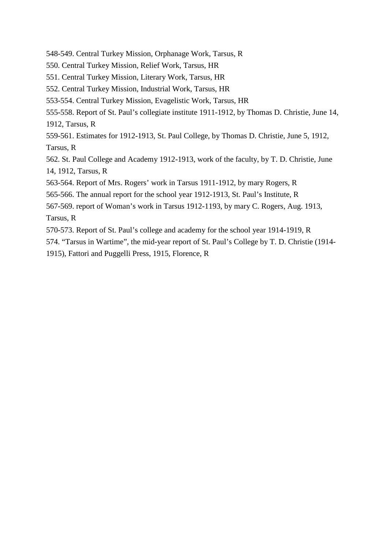548-549. Central Turkey Mission, Orphanage Work, Tarsus, R

- 550. Central Turkey Mission, Relief Work, Tarsus, HR
- 551. Central Turkey Mission, Literary Work, Tarsus, HR
- 552. Central Turkey Mission, Industrial Work, Tarsus, HR
- 553-554. Central Turkey Mission, Evagelistic Work, Tarsus, HR

555-558. Report of St. Paul's collegiate institute 1911-1912, by Thomas D. Christie, June 14, 1912, Tarsus, R

559-561. Estimates for 1912-1913, St. Paul College, by Thomas D. Christie, June 5, 1912, Tarsus, R

562. St. Paul College and Academy 1912-1913, work of the faculty, by T. D. Christie, June 14, 1912, Tarsus, R

563-564. Report of Mrs. Rogers' work in Tarsus 1911-1912, by mary Rogers, R

565-566. The annual report for the school year 1912-1913, St. Paul's Institute, R

567-569. report of Woman's work in Tarsus 1912-1193, by mary C. Rogers, Aug. 1913, Tarsus, R

570-573. Report of St. Paul's college and academy for the school year 1914-1919, R

574. "Tarsus in Wartime", the mid-year report of St. Paul's College by T. D. Christie (1914-

1915), Fattori and Puggelli Press, 1915, Florence, R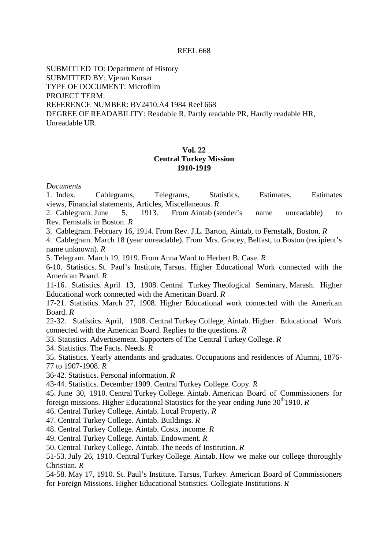#### REEL 668

SUBMITTED TO: Department of History SUBMITTED BY: Vjeran Kursar TYPE OF DOCUMENT: Microfilm PROJECT TERM: REFERENCE NUMBER: BV2410.A4 1984 Reel 668 DEGREE OF READABILITY: Readable R, Partly readable PR, Hardly readable HR, Unreadable UR.

### **Vol. 22 Central Turkey Mission 1910-1919**

#### *Documents*

1. Index. Cablegrams, Telegrams, Statistics, Estimates, Estimates views, Financial statements, Articles, Miscellaneous. *R*

2. Cablegram. June 5, 1913. From Aintab (sender's name unreadable) to Rev. Fernstalk in Boston. *R*

3. Cablegram. February 16, 1914. From Rev. J.L. Barton, Aintab, to Fernstalk, Boston. *R*

4. Cablegram. March 18 (year unreadable). From Mrs. Gracey, Belfast, to Boston (recipient's name unknown). *R*

5. Telegram. March 19, 1919. From Anna Ward to Herbert B. Case. *R*

6-10. Statistics. St. Paul's Institute, Tarsus. Higher Educational Work connected with the American Board. *R*

11-16. Statistics. April 13, 1908. Central Turkey Theological Seminary, Marash. Higher Educational work connected with the American Board. *R*

17-21. Statistics. March 27, 1908. Higher Educational work connected with the American Board. *R*

22-32. Statistics. April, 1908. Central Turkey College, Aintab. Higher Educational Work connected with the American Board. Replies to the questions. *R*

33. Statistics. Advertisement. Supporters of The Central Turkey College. *R*

34. Statistics. The Facts. Needs. *R*

35. Statistics. Yearly attendants and graduates. Occupations and residences of Alumni, 1876- 77 to 1907-1908. *R*

36-42. Statistics. Personal information. *R*

43-44. Statistics. December 1909. Central Turkey College. Copy. *R*

45. June 30, 1910. Central Turkey College. Aintab. American Board of Commissioners for foreign missions. Higher Educational Statistics for the year ending June 30<sup>th</sup>1910. *R* 

46. Central Turkey College. Aintab. Local Property. *R*

47. Central Turkey College. Aintab. Buildings. *R*

48. Central Turkey College. Aintab. Costs, income. *R*

49. Central Turkey College. Aintab. Endowment. *R*

50. Central Turkey College. Aintab. The needs of Institution. *R*

51-53. July 26, 1910. Central Turkey College. Aintab. How we make our college thoroughly Christian. *R*

54-58. May 17, 1910. St. Paul's Institute. Tarsus, Turkey. American Board of Commissioners for Foreign Missions. Higher Educational Statistics. Collegiate Institutions. *R*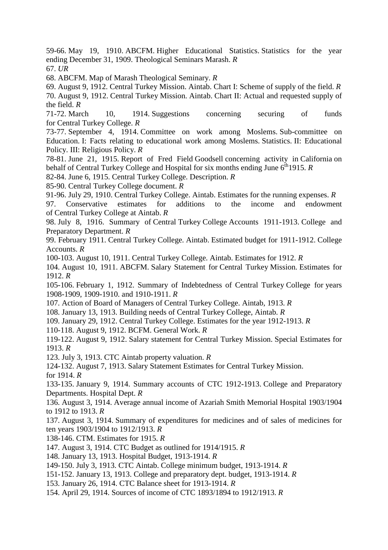59-66. May 19, 1910. ABCFM. Higher Educational Statistics. Statistics for the year ending December 31, 1909. Theological Seminars Marash. *R*

67. *UR*

68. ABCFM. Map of Marash Theological Seminary. *R*

69. August 9, 1912. Central Turkey Mission. Aintab. Chart I: Scheme of supply of the field. *R* 70. August 9, 1912. Central Turkey Mission. Aintab. Chart II: Actual and requested supply of the field. *R*

71-72. March 10, 1914. Suggestions concerning securing of funds for Central Turkey College. *R*

73-77. September 4, 1914. Committee on work among Moslems. Sub-committee on Education. I: Facts relating to educational work among Moslems. Statistics. II: Educational Policy. III: Religious Policy. *R*

78-81. June 21, 1915. Report of Fred Field Goodsell concerning activity in California on behalf of Central Turkey College and Hospital for six months ending June 6<sup>th</sup>1915. *R* 

82-84. June 6, 1915. Central Turkey College. Description. *R*

85-90. Central Turkey College document. *R*

91-96. July 29, 1910. Central Turkey College. Aintab. Estimates for the running expenses. *R*

97. Conservative estimates for additions to the income and endowment of Central Turkey College at Aintab. *R*

98. July 8, 1916. Summary of Central Turkey College Accounts 1911-1913. College and Preparatory Department. *R*

99. February 1911. Central Turkey College. Aintab. Estimated budget for 1911-1912. College Accounts. *R*

100-103. August 10, 1911. Central Turkey College. Aintab. Estimates for 1912. *R*

104. August 10, 1911. ABCFM. Salary Statement for Central Turkey Mission. Estimates for 1912. *R*

105-106. February 1, 1912. Summary of Indebtedness of Central Turkey College for years 1908-1909, 1909-1910. and 1910-1911. *R*

107. Action of Board of Managers of Central Turkey College. Aintab, 1913. *R*

108. January 13, 1913. Building needs of Central Turkey College, Aintab. *R*

109. January 29, 1912. Central Turkey College. Estimates for the year 1912-1913. *R*

110-118. August 9, 1912. BCFM. General Work. *R*

119-122. August 9, 1912. Salary statement for Central Turkey Mission. Special Estimates for 1913. *R*

123. July 3, 1913. CTC Aintab property valuation. *R*

124-132. August 7, 1913. Salary Statement Estimates for Central Turkey Mission. for 1914. *R*

133-135. January 9, 1914. Summary accounts of CTC 1912-1913. College and Preparatory Departments. Hospital Dept. *R*

136. August 3, 1914. Average annual income of Azariah Smith Memorial Hospital 1903/1904 to 1912 to 1913. *R*

137. August 3, 1914. Summary of expenditures for medicines and of sales of medicines for ten years 1903/1904 to 1912/1913. *R*

138-146. CTM. Estimates for 1915. *R*

147. August 3, 1914. CTC Budget as outlined for 1914/1915. *R*

148. January 13, 1913. Hospital Budget, 1913-1914. *R*

149-150. July 3, 1913. CTC Aintab. College minimum budget, 1913-1914. *R*

151-152. January 13, 1913. College and preparatory dept. budget, 1913-1914. *R*

153. January 26, 1914. CTC Balance sheet for 1913-1914. *R*

154. April 29, 1914. Sources of income of CTC 1893/1894 to 1912/1913. *R*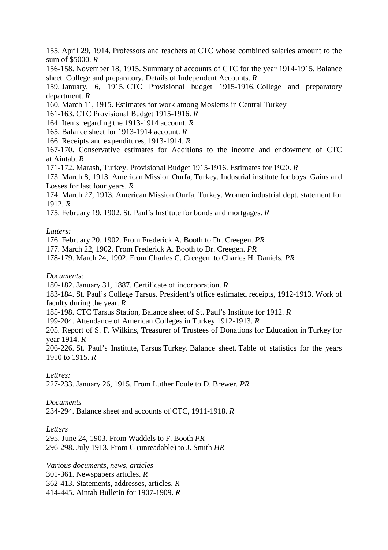155. April 29, 1914. Professors and teachers at CTC whose combined salaries amount to the sum of \$5000. *R*

156-158. November 18, 1915. Summary of accounts of CTC for the year 1914-1915. Balance sheet. College and preparatory. Details of Independent Accounts. *R*

159. January, 6, 1915. CTC Provisional budget 1915-1916. College and preparatory department. *R*

160. March 11, 1915. Estimates for work among Moslems in Central Turkey

161-163. CTC Provisional Budget 1915-1916. *R*

164. Items regarding the 1913-1914 account. *R*

- 165. Balance sheet for 1913-1914 account. *R*
- 166. Receipts and expenditures, 1913-1914. *R*

167-170. Conservative estimates for Additions to the income and endowment of CTC at Aintab. *R*

171-172. Marash, Turkey. Provisional Budget 1915-1916. Estimates for 1920. *R*

173. March 8, 1913. American Mission Ourfa, Turkey. Industrial institute for boys. Gains and Losses for last four years. *R*

174. March 27, 1913. American Mission Ourfa, Turkey. Women industrial dept. statement for 1912. *R*

175. February 19, 1902. St. Paul's Institute for bonds and mortgages. *R*

### *Latters:*

176. February 20, 1902. From Frederick A. Booth to Dr. Creegen. *PR*

177. March 22, 1902. From Frederick A. Booth to Dr. Creegen. *PR*

178-179. March 24, 1902. From Charles C. Creegen to Charles H. Daniels. *PR*

### *Documents:*

180-182. January 31, 1887. Certificate of incorporation. *R*

183-184. St. Paul's College Tarsus. President's office estimated receipts, 1912-1913. Work of faculty during the year. *R*

185-198. CTC Tarsus Station, Balance sheet of St. Paul's Institute for 1912. *R*

199-204. Attendance of American Colleges in Turkey 1912-1913. *R*

205. Report of S. F. Wilkins, Treasurer of Trustees of Donations for Education in Turkey for year 1914. *R*

206-226. St. Paul's Institute, Tarsus Turkey. Balance sheet. Table of statistics for the years 1910 to 1915. *R*

### *Lettres:*

227-233. January 26, 1915. From Luther Foule to D. Brewer. *PR*

### *Documents*

234-294. Balance sheet and accounts of CTC, 1911-1918. *R*

### *Letters*

295. June 24, 1903. From Waddels to F. Booth *PR* 296-298. July 1913. From C (unreadable) to J. Smith *HR*

*Various documents, news, articles* 301-361. Newspapers articles. *R* 362-413. Statements, addresses, articles. *R* 414-445. Aintab Bulletin for 1907-1909. *R*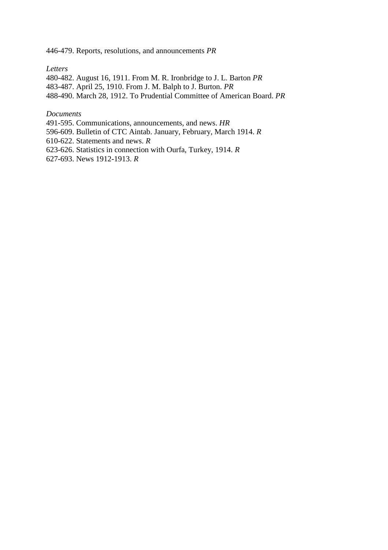446-479. Reports, resolutions, and announcements *PR*

*Letters*

480-482. August 16, 1911. From M. R. Ironbridge to J. L. Barton *PR* 483-487. April 25, 1910. From J. M. Balph to J. Burton. *PR* 488-490. March 28, 1912. To Prudential Committee of American Board. *PR*

*Documents*

491-595. Communications, announcements, and news. *HR*

596-609. Bulletin of CTC Aintab. January, February, March 1914. *R*

610-622. Statements and news. *R*

623-626. Statistics in connection with Ourfa, Turkey, 1914. *R*

627-693. News 1912-1913. *R*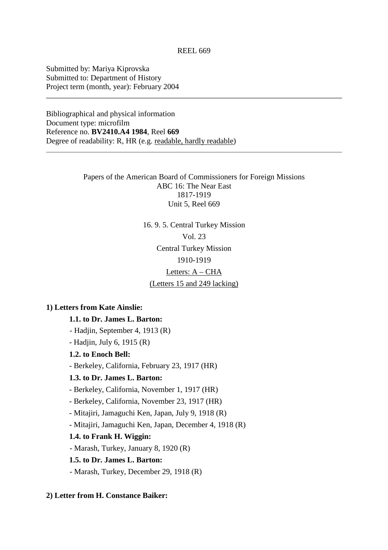Submitted by: Mariya Kiprovska Submitted to: Department of History Project term (month, year): February 2004

Bibliographical and physical information Document type: microfilm Reference no. **BV2410.A4 1984**, Reel **669** Degree of readability: R, HR (e.g. readable, hardly readable)

> Papers of the American Board of Commissioners for Foreign Missions ABC 16: The Near East 1817-1919 Unit 5, Reel 669

> > 16. 9. 5. Central Turkey Mission Vol. 23 Central Turkey Mission 1910-1919

#### Letters: A – CHA

(Letters 15 and 249 lacking)

### **1) Letters from Kate Ainslie:**

# **1.1. to Dr. James L. Barton:**

- Hadjin, September 4, 1913 (R)

- Hadjin, July 6, 1915 (R)

**1.2. to Enoch Bell:**

- Berkeley, California, February 23, 1917 (HR)

#### **1.3. to Dr. James L. Barton:**

- Berkeley, California, November 1, 1917 (HR)

- Berkeley, California, November 23, 1917 (HR)

- Mitajiri, Jamaguchi Ken, Japan, July 9, 1918 (R)

- Mitajiri, Jamaguchi Ken, Japan, December 4, 1918 (R)

#### **1.4. to Frank H. Wiggin:**

- Marash, Turkey, January 8, 1920 (R)

#### **1.5. to Dr. James L. Barton:**

- Marash, Turkey, December 29, 1918 (R)

#### **2) Letter from H. Constance Baiker:**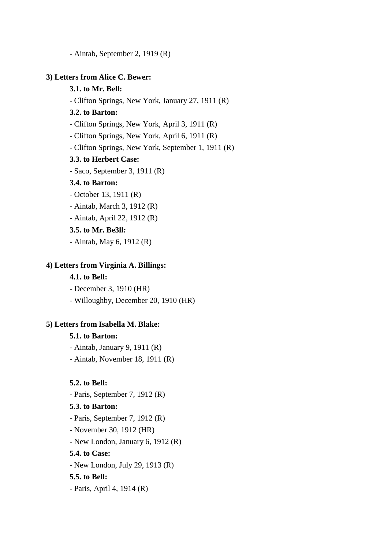- Aintab, September 2, 1919 (R)

### **3) Letters from Alice C. Bewer:**

### **3.1. to Mr. Bell:**

- Clifton Springs, New York, January 27, 1911 (R)

# **3.2. to Barton:**

- Clifton Springs, New York, April 3, 1911 (R)
- Clifton Springs, New York, April 6, 1911 (R)
- Clifton Springs, New York, September 1, 1911 (R)

#### **3.3. to Herbert Case:**

- Saco, September 3, 1911 (R)

# **3.4. to Barton:**

- October 13, 1911 (R)
- Aintab, March 3, 1912 (R)
- Aintab, April 22, 1912 (R)

# **3.5. to Mr. Be3ll:**

- Aintab, May 6, 1912 (R)

#### **4) Letters from Virginia A. Billings:**

# **4.1. to Bell:**

- December 3, 1910 (HR)

- Willoughby, December 20, 1910 (HR)

#### **5) Letters from Isabella M. Blake:**

#### **5.1. to Barton:**

- Aintab, January 9, 1911 (R)
- Aintab, November 18, 1911 (R)

### **5.2. to Bell:**

 - Paris, September 7, 1912 (R)  **5.3. to Barton:** - Paris, September 7, 1912 (R) - November 30, 1912 (HR) - New London, January 6, 1912 (R)  **5.4. to Case:** - New London, July 29, 1913 (R)  **5.5. to Bell:** - Paris, April 4, 1914 (R)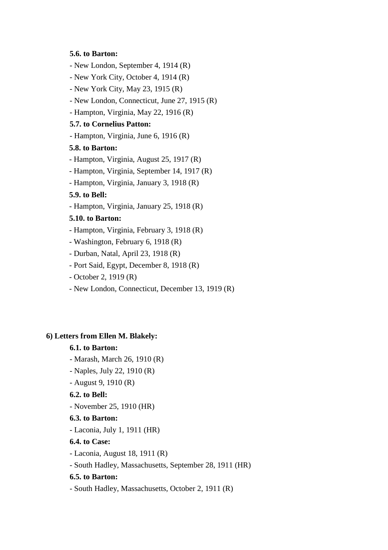#### **5.6. to Barton:**

- New London, September 4, 1914 (R)
- New York City, October 4, 1914 (R)
- New York City, May 23, 1915 (R)
- New London, Connecticut, June 27, 1915 (R)
- Hampton, Virginia, May 22, 1916 (R)

#### **5.7. to Cornelius Patton:**

- Hampton, Virginia, June 6, 1916 (R)

# **5.8. to Barton:**

- Hampton, Virginia, August 25, 1917 (R)
- Hampton, Virginia, September 14, 1917 (R)
- Hampton, Virginia, January 3, 1918 (R)

#### **5.9. to Bell:**

- Hampton, Virginia, January 25, 1918 (R)

### **5.10. to Barton:**

- Hampton, Virginia, February 3, 1918 (R)
- Washington, February 6, 1918 (R)
- Durban, Natal, April 23, 1918 (R)
- Port Said, Egypt, December 8, 1918 (R)
- October 2, 1919 (R)
- New London, Connecticut, December 13, 1919 (R)

#### **6) Letters from Ellen M. Blakely:**

### **6.1. to Barton:**

- Marash, March 26, 1910 (R)
- Naples, July 22, 1910 (R)
- August 9, 1910 (R)

#### **6.2. to Bell:**

- November 25, 1910 (HR)

# **6.3. to Barton:**

- Laconia, July 1, 1911 (HR)

# **6.4. to Case:**

- Laconia, August 18, 1911 (R)
- South Hadley, Massachusetts, September 28, 1911 (HR)

### **6.5. to Barton:**

- South Hadley, Massachusetts, October 2, 1911 (R)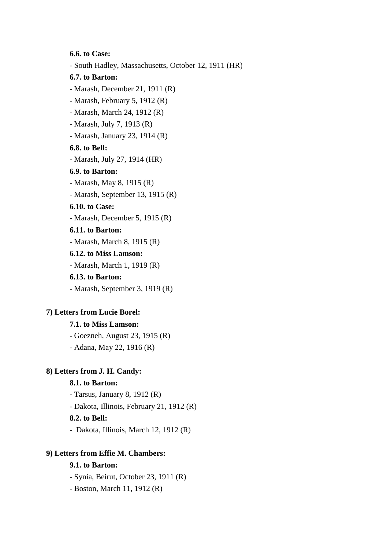**6.6. to Case:**

- South Hadley, Massachusetts, October 12, 1911 (HR)

#### **6.7. to Barton:**

- Marash, December 21, 1911 (R)
- Marash, February 5, 1912 (R)
- Marash, March 24, 1912 (R)
- Marash, July 7, 1913 (R)
- Marash, January 23, 1914 (R)

# **6.8. to Bell:**

- Marash, July 27, 1914 (HR)

# **6.9. to Barton:**

- Marash, May 8, 1915 (R)
- Marash, September 13, 1915 (R)

# **6.10. to Case:**

- Marash, December 5, 1915 (R)

# **6.11. to Barton:**

- Marash, March 8, 1915 (R)

# **6.12. to Miss Lamson:**

- Marash, March 1, 1919 (R)

#### **6.13. to Barton:**

- Marash, September 3, 1919 (R)

# **7) Letters from Lucie Borel:**

#### **7.1. to Miss Lamson:**

 - Goezneh, August 23, 1915 (R) - Adana, May 22, 1916 (R)

# **8) Letters from J. H. Candy:**

# **8.1. to Barton:**

- Tarsus, January 8, 1912 (R)

- Dakota, Illinois, February 21, 1912 (R)

### **8.2. to Bell:**

- Dakota, Illinois, March 12, 1912 (R)

#### **9) Letters from Effie M. Chambers:**

# **9.1. to Barton:**

- Synia, Beirut, October 23, 1911 (R)

- Boston, March 11, 1912 (R)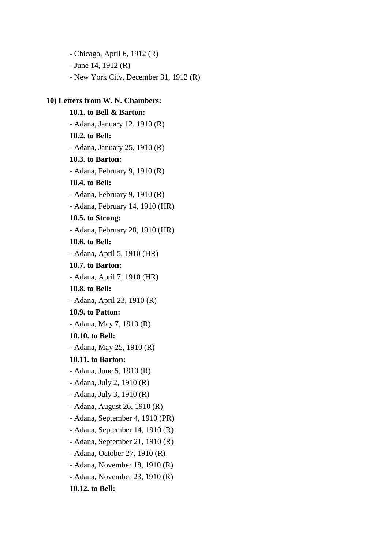- Chicago, April 6, 1912 (R) - June 14, 1912 (R) - New York City, December 31, 1912 (R)

# **10) Letters from W. N. Chambers:**

 **10.1. to Bell & Barton:** - Adana, January 12. 1910 (R) **10.2. to Bell:** - Adana, January 25, 1910 (R) **10.3. to Barton:** - Adana, February 9, 1910 (R) **10.4. to Bell:** - Adana, February 9, 1910 (R) - Adana, February 14, 1910 (HR) **10.5. to Strong:** - Adana, February 28, 1910 (HR)  **10.6. to Bell:** - Adana, April 5, 1910 (HR)  **10.7. to Barton:** - Adana, April 7, 1910 (HR)  **10.8. to Bell:** - Adana, April 23, 1910 (R)  **10.9. to Patton:** - Adana, May 7, 1910 (R)  **10.10. to Bell:** - Adana, May 25, 1910 (R)  **10.11. to Barton:** - Adana, June 5, 1910 (R) - Adana, July 2, 1910 (R) - Adana, July 3, 1910 (R) - Adana, August 26, 1910 (R) - Adana, September 4, 1910 (PR) - Adana, September 14, 1910 (R) - Adana, September 21, 1910 (R) - Adana, October 27, 1910 (R) - Adana, November 18, 1910 (R) - Adana, November 23, 1910 (R)  **10.12. to Bell:**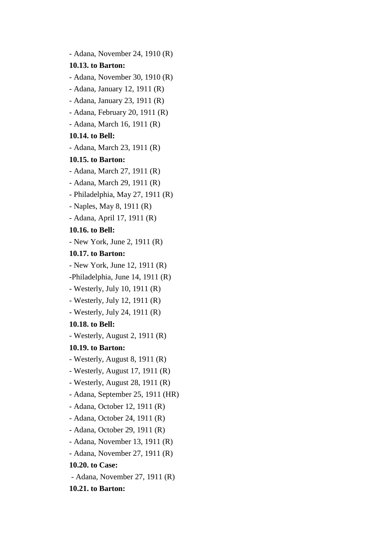- Adana, November 24, 1910 (R) **10.13. to Barton:** - Adana, November 30, 1910 (R) - Adana, January 12, 1911 (R) - Adana, January 23, 1911 (R) - Adana, February 20, 1911 (R) - Adana, March 16, 1911 (R) **10.14. to Bell:** - Adana, March 23, 1911 (R) **10.15. to Barton:** - Adana, March 27, 1911 (R) - Adana, March 29, 1911 (R) - Philadelphia, May 27, 1911 (R) - Naples, May 8, 1911 (R) - Adana, April 17, 1911 (R) **10.16. to Bell:** - New York, June 2, 1911 (R) **10.17. to Barton:** - New York, June 12, 1911 (R) -Philadelphia, June 14, 1911 (R) - Westerly, July 10, 1911 (R) - Westerly, July 12, 1911 (R) - Westerly, July 24, 1911 (R) **10.18. to Bell:** - Westerly, August 2, 1911 (R) **10.19. to Barton:** - Westerly, August 8, 1911 (R) - Westerly, August 17, 1911 (R) - Westerly, August 28, 1911 (R) - Adana, September 25, 1911 (HR) - Adana, October 12, 1911 (R) - Adana, October 24, 1911 (R) - Adana, October 29, 1911 (R) - Adana, November 13, 1911 (R) - Adana, November 27, 1911 (R) **10.20. to Case:** - Adana, November 27, 1911 (R) **10.21. to Barton:**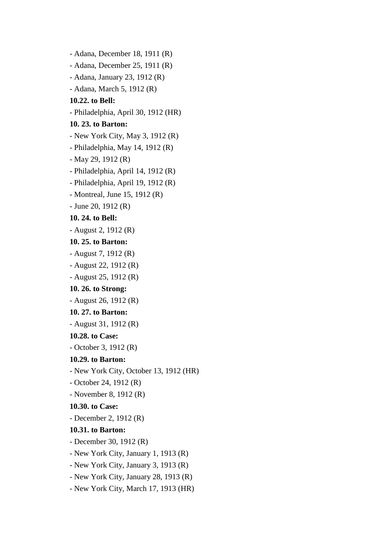- Adana, December 18, 1911 (R) - Adana, December 25, 1911 (R) - Adana, January 23, 1912 (R) - Adana, March 5, 1912 (R) **10.22. to Bell:** - Philadelphia, April 30, 1912 (HR) **10. 23. to Barton:** - New York City, May 3, 1912 (R) - Philadelphia, May 14, 1912 (R) - May 29, 1912 (R) - Philadelphia, April 14, 1912 (R) - Philadelphia, April 19, 1912 (R) - Montreal, June 15, 1912 (R) - June 20, 1912 (R) **10. 24. to Bell:** - August 2, 1912 (R) **10. 25. to Barton:** - August 7, 1912 (R) - August 22, 1912 (R) - August 25, 1912 (R) **10. 26. to Strong:** - August 26, 1912 (R) **10. 27. to Barton:** - August 31, 1912 (R)  **10.28. to Case:** - October 3, 1912 (R)  **10.29. to Barton:** - New York City, October 13, 1912 (HR) - October 24, 1912 (R) - November 8, 1912 (R)  **10.30. to Case:** - December 2, 1912 (R)  **10.31. to Barton:** - December 30, 1912 (R) - New York City, January 1, 1913 (R) - New York City, January 3, 1913 (R) - New York City, January 28, 1913 (R) - New York City, March 17, 1913 (HR)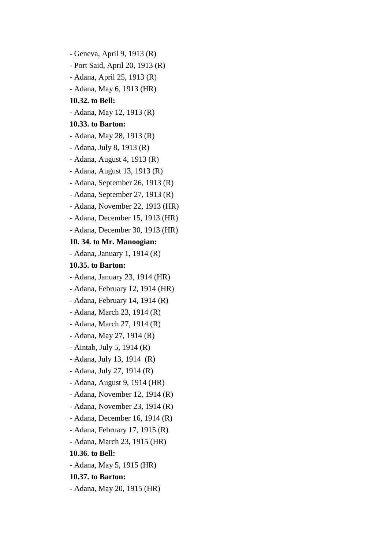- Geneva, April 9, 1913 (R) - Port Said, April 20, 1913 (R) - Adana, April 25, 1913 (R) - Adana, May 6, 1913 (HR)  **10.32. to Bell:** - Adana, May 12, 1913 (R)  **10.33. to Barton:** - Adana, May 28, 1913 (R) - Adana, July 8, 1913 (R) - Adana, August 4, 1913 (R) - Adana, August 13, 1913 (R) - Adana, September 26, 1913 (R) - Adana, September 27, 1913 (R) - Adana, November 22, 1913 (HR) - Adana, December 15, 1913 (HR) - Adana, December 30, 1913 (HR)  **10. 34. to Mr. Manoogian:** - Adana, January 1, 1914 (R)  **10.35. to Barton:** - Adana, January 23, 1914 (HR) - Adana, February 12, 1914 (HR) - Adana, February 14, 1914 (R) - Adana, March 23, 1914 (R) - Adana, March 27, 1914 (R) - Adana, May 27, 1914 (R) - Aintab, July 5, 1914 (R) - Adana, July 13, 1914 (R) - Adana, July 27, 1914 (R) - Adana, August 9, 1914 (HR) - Adana, November 12, 1914 (R) - Adana, November 23, 1914 (R) - Adana, December 16, 1914 (R) - Adana, February 17, 1915 (R) - Adana, March 23, 1915 (HR)  **10.36. to Bell:** - Adana, May 5, 1915 (HR)  **10.37. to Barton:** - Adana, May 20, 1915 (HR)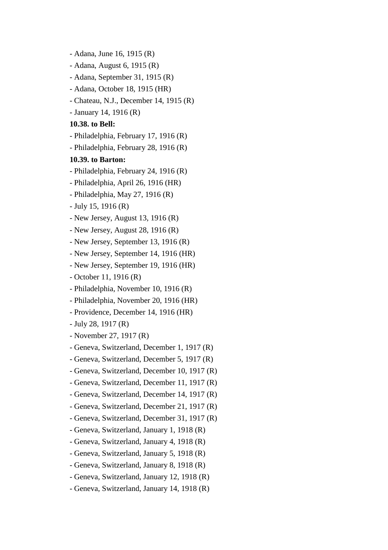- Adana, June 16, 1915 (R)

- Adana, August 6, 1915 (R)
- Adana, September 31, 1915 (R)
- Adana, October 18, 1915 (HR)
- Chateau, N.J., December 14, 1915 (R)
- January 14, 1916 (R)

#### **10.38. to Bell:**

- Philadelphia, February 17, 1916 (R)
- Philadelphia, February 28, 1916 (R)

#### **10.39. to Barton:**

- Philadelphia, February 24, 1916 (R)
- Philadelphia, April 26, 1916 (HR)
- Philadelphia, May 27, 1916 (R)
- July 15, 1916 (R)
- New Jersey, August 13, 1916 (R)
- New Jersey, August 28, 1916 (R)
- New Jersey, September 13, 1916 (R)
- New Jersey, September 14, 1916 (HR)
- New Jersey, September 19, 1916 (HR)
- October 11, 1916 (R)
- Philadelphia, November 10, 1916 (R)
- Philadelphia, November 20, 1916 (HR)
- Providence, December 14, 1916 (HR)
- July 28, 1917 (R)
- November 27, 1917 (R)
- Geneva, Switzerland, December 1, 1917 (R)
- Geneva, Switzerland, December 5, 1917 (R)
- Geneva, Switzerland, December 10, 1917 (R)
- Geneva, Switzerland, December 11, 1917 (R)
- Geneva, Switzerland, December 14, 1917 (R)
- Geneva, Switzerland, December 21, 1917 (R)
- Geneva, Switzerland, December 31, 1917 (R)
- Geneva, Switzerland, January 1, 1918 (R)
- Geneva, Switzerland, January 4, 1918 (R)
- Geneva, Switzerland, January 5, 1918 (R)
- Geneva, Switzerland, January 8, 1918 (R)
- Geneva, Switzerland, January 12, 1918 (R)
- Geneva, Switzerland, January 14, 1918 (R)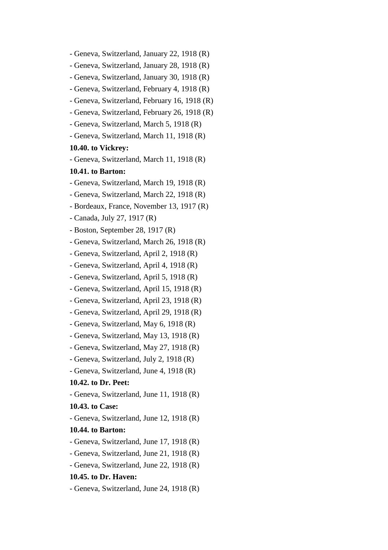- Geneva, Switzerland, January 22, 1918 (R) - Geneva, Switzerland, January 28, 1918 (R) - Geneva, Switzerland, January 30, 1918 (R) - Geneva, Switzerland, February 4, 1918 (R) - Geneva, Switzerland, February 16, 1918 (R) - Geneva, Switzerland, February 26, 1918 (R) - Geneva, Switzerland, March 5, 1918 (R) - Geneva, Switzerland, March 11, 1918 (R)  **10.40. to Vickrey:** - Geneva, Switzerland, March 11, 1918 (R)  **10.41. to Barton:** - Geneva, Switzerland, March 19, 1918 (R) - Geneva, Switzerland, March 22, 1918 (R) - Bordeaux, France, November 13, 1917 (R) - Canada, July 27, 1917 (R) - Boston, September 28, 1917 (R) - Geneva, Switzerland, March 26, 1918 (R) - Geneva, Switzerland, April 2, 1918 (R) - Geneva, Switzerland, April 4, 1918 (R) - Geneva, Switzerland, April 5, 1918 (R) - Geneva, Switzerland, April 15, 1918 (R) - Geneva, Switzerland, April 23, 1918 (R) - Geneva, Switzerland, April 29, 1918 (R) - Geneva, Switzerland, May 6, 1918 (R) - Geneva, Switzerland, May 13, 1918 (R) - Geneva, Switzerland, May 27, 1918 (R) - Geneva, Switzerland, July 2, 1918 (R) - Geneva, Switzerland, June 4, 1918 (R) **10.42. to Dr. Peet:** - Geneva, Switzerland, June 11, 1918 (R) **10.43. to Case:** - Geneva, Switzerland, June 12, 1918 (R) **10.44. to Barton:** - Geneva, Switzerland, June 17, 1918 (R) - Geneva, Switzerland, June 21, 1918 (R) - Geneva, Switzerland, June 22, 1918 (R) **10.45. to Dr. Haven:** - Geneva, Switzerland, June 24, 1918 (R)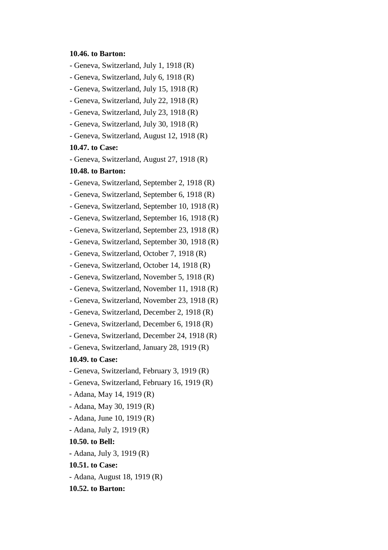#### **10.46. to Barton:**

- Geneva, Switzerland, July 1, 1918 (R)
- Geneva, Switzerland, July 6, 1918 (R)
- Geneva, Switzerland, July 15, 1918 (R)
- Geneva, Switzerland, July 22, 1918 (R)
- Geneva, Switzerland, July 23, 1918 (R)
- Geneva, Switzerland, July 30, 1918 (R)
- Geneva, Switzerland, August 12, 1918 (R)

### **10.47. to Case:**

- Geneva, Switzerland, August 27, 1918 (R)

#### **10.48. to Barton:**

- Geneva, Switzerland, September 2, 1918 (R)
- Geneva, Switzerland, September 6, 1918 (R)
- Geneva, Switzerland, September 10, 1918 (R)
- Geneva, Switzerland, September 16, 1918 (R)
- Geneva, Switzerland, September 23, 1918 (R)
- Geneva, Switzerland, September 30, 1918 (R)
- Geneva, Switzerland, October 7, 1918 (R)
- Geneva, Switzerland, October 14, 1918 (R)
- Geneva, Switzerland, November 5, 1918 (R)
- Geneva, Switzerland, November 11, 1918 (R)
- Geneva, Switzerland, November 23, 1918 (R)
- Geneva, Switzerland, December 2, 1918 (R)
- Geneva, Switzerland, December 6, 1918 (R)
- Geneva, Switzerland, December 24, 1918 (R)
- Geneva, Switzerland, January 28, 1919 (R)

#### **10.49. to Case:**

- Geneva, Switzerland, February 3, 1919 (R)
- Geneva, Switzerland, February 16, 1919 (R)
- Adana, May 14, 1919 (R)
- Adana, May 30, 1919 (R)
- Adana, June 10, 1919 (R)
- Adana, July 2, 1919 (R)

#### **10.50. to Bell:**

- Adana, July 3, 1919 (R)
- **10.51. to Case:**
- Adana, August 18, 1919 (R)
- **10.52. to Barton:**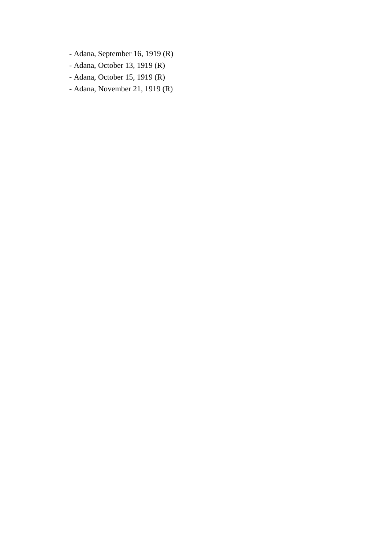- Adana, September 16, 1919 (R)
- Adana, October 13, 1919 (R)
- Adana, October 15, 1919 (R)
- Adana, November 21, 1919 (R)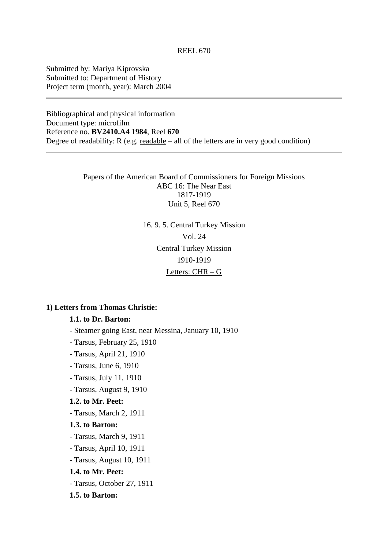Submitted by: Mariya Kiprovska Submitted to: Department of History Project term (month, year): March 2004

Bibliographical and physical information Document type: microfilm Reference no. **BV2410.A4 1984**, Reel **670** Degree of readability:  $R$  (e.g. readable – all of the letters are in very good condition)

> Papers of the American Board of Commissioners for Foreign Missions ABC 16: The Near East 1817-1919 Unit 5, Reel 670

> > 16. 9. 5. Central Turkey Mission Vol. 24 Central Turkey Mission 1910-1919 Letters: CHR – G

# **1) Letters from Thomas Christie:**

# **1.1. to Dr. Barton:**

- Steamer going East, near Messina, January 10, 1910
- Tarsus, February 25, 1910
- Tarsus, April 21, 1910
- Tarsus, June 6, 1910
- Tarsus, July 11, 1910
- Tarsus, August 9, 1910

### **1.2. to Mr. Peet:**

- Tarsus, March 2, 1911

#### **1.3. to Barton:**

- Tarsus, March 9, 1911
- Tarsus, April 10, 1911
- Tarsus, August 10, 1911

#### **1.4. to Mr. Peet:**

- Tarsus, October 27, 1911

#### **1.5. to Barton:**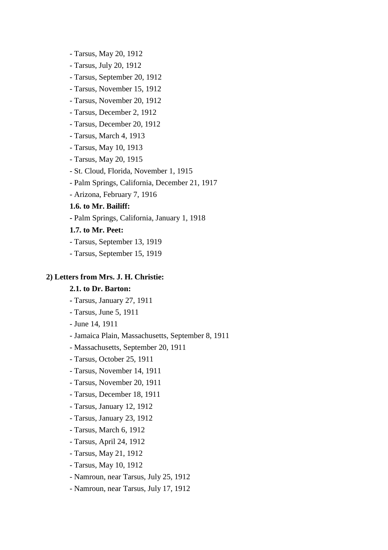- Tarsus, May 20, 1912
- Tarsus, July 20, 1912
- Tarsus, September 20, 1912
- Tarsus, November 15, 1912
- Tarsus, November 20, 1912
- Tarsus, December 2, 1912
- Tarsus, December 20, 1912
- Tarsus, March 4, 1913
- Tarsus, May 10, 1913
- Tarsus, May 20, 1915
- St. Cloud, Florida, November 1, 1915
- Palm Springs, California, December 21, 1917
- Arizona, February 7, 1916

### **1.6. to Mr. Bailiff:**

 **-** Palm Springs, California, January 1, 1918

# **1.7. to Mr. Peet:**

- Tarsus, September 13, 1919
- Tarsus, September 15, 1919

# **2) Letters from Mrs. J. H. Christie:**

### **2.1. to Dr. Barton:**

- **-** Tarsus, January 27, 1911
- Tarsus, June 5, 1911
- June 14, 1911
- Jamaica Plain, Massachusetts, September 8, 1911
- Massachusetts, September 20, 1911
- Tarsus, October 25, 1911
- Tarsus, November 14, 1911
- Tarsus, November 20, 1911
- Tarsus, December 18, 1911
- Tarsus, January 12, 1912
- Tarsus, January 23, 1912
- Tarsus, March 6, 1912
- Tarsus, April 24, 1912
- Tarsus, May 21, 1912
- Tarsus, May 10, 1912
- Namroun, near Tarsus, July 25, 1912
- Namroun, near Tarsus, July 17, 1912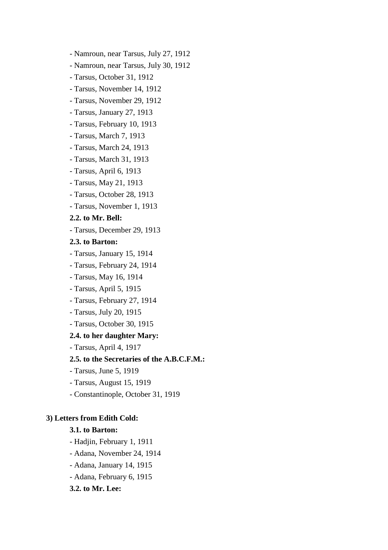- Namroun, near Tarsus, July 27, 1912
- Namroun, near Tarsus, July 30, 1912
- Tarsus, October 31, 1912
- Tarsus, November 14, 1912
- Tarsus, November 29, 1912
- Tarsus, January 27, 1913
- Tarsus, February 10, 1913
- Tarsus, March 7, 1913
- Tarsus, March 24, 1913
- Tarsus, March 31, 1913
- Tarsus, April 6, 1913
- Tarsus, May 21, 1913
- Tarsus, October 28, 1913
- Tarsus, November 1, 1913

### **2.2. to Mr. Bell:**

- Tarsus, December 29, 1913

# **2.3. to Barton:**

- Tarsus, January 15, 1914
- Tarsus, February 24, 1914
- Tarsus, May 16, 1914
- Tarsus, April 5, 1915
- Tarsus, February 27, 1914
- Tarsus, July 20, 1915
- Tarsus, October 30, 1915

#### **2.4. to her daughter Mary:**

- Tarsus, April 4, 1917

# **2.5. to the Secretaries of the A.B.C.F.M.:**

- Tarsus, June 5, 1919
- Tarsus, August 15, 1919
- Constantinople, October 31, 1919

# **3) Letters from Edith Cold:**

# **3.1. to Barton:**

- Hadjin, February 1, 1911
- Adana, November 24, 1914
- Adana, January 14, 1915
- Adana, February 6, 1915

# **3.2. to Mr. Lee:**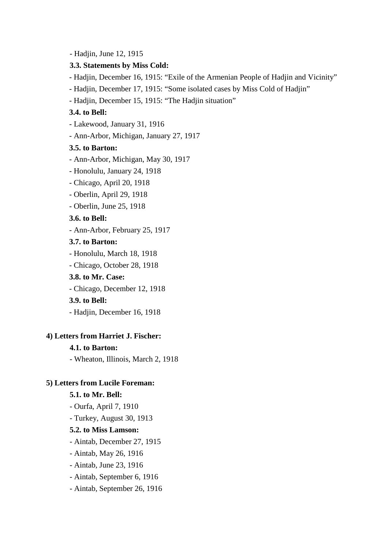- Hadjin, June 12, 1915

### **3.3. Statements by Miss Cold:**

- Hadjin, December 16, 1915: "Exile of the Armenian People of Hadjin and Vicinity"

- Hadjin, December 17, 1915: "Some isolated cases by Miss Cold of Hadjin"

- Hadjin, December 15, 1915: "The Hadjin situation"

# **3.4. to Bell:**

- Lakewood, January 31, 1916

- Ann-Arbor, Michigan, January 27, 1917

# **3.5. to Barton:**

- Ann-Arbor, Michigan, May 30, 1917
- Honolulu, January 24, 1918
- Chicago, April 20, 1918
- Oberlin, April 29, 1918
- Oberlin, June 25, 1918

# **3.6. to Bell:**

- Ann-Arbor, February 25, 1917

# **3.7. to Barton:**

- Honolulu, March 18, 1918
- Chicago, October 28, 1918

#### **3.8. to Mr. Case:**

- Chicago, December 12, 1918

#### **3.9. to Bell:**

- Hadjin, December 16, 1918

# **4) Letters from Harriet J. Fischer:**

### **4.1. to Barton:**

- Wheaton, Illinois, March 2, 1918

### **5) Letters from Lucile Foreman:**

#### **5.1. to Mr. Bell:**

- Ourfa, April 7, 1910
- Turkey, August 30, 1913

# **5.2. to Miss Lamson:**

- Aintab, December 27, 1915
- Aintab, May 26, 1916
- Aintab, June 23, 1916
- Aintab, September 6, 1916
- Aintab, September 26, 1916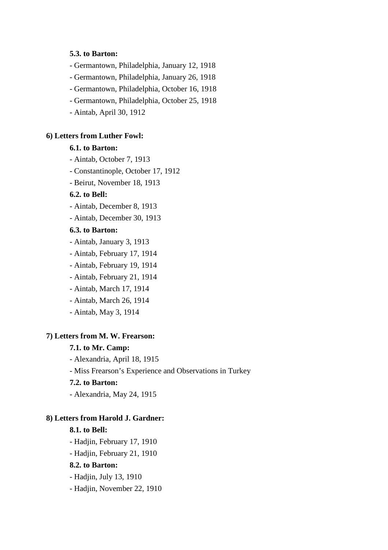### **5.3. to Barton:**

- Germantown, Philadelphia, January 12, 1918

- Germantown, Philadelphia, January 26, 1918

- Germantown, Philadelphia, October 16, 1918

- Germantown, Philadelphia, October 25, 1918

- Aintab, April 30, 1912

# **6) Letters from Luther Fowl:**

# **6.1. to Barton:**

- Aintab, October 7, 1913

- Constantinople, October 17, 1912

- Beirut, November 18, 1913

### **6.2. to Bell:**

- Aintab, December 8, 1913

- Aintab, December 30, 1913

# **6.3. to Barton:**

- Aintab, January 3, 1913
- Aintab, February 17, 1914
- Aintab, February 19, 1914
- Aintab, February 21, 1914
- Aintab, March 17, 1914
- Aintab, March 26, 1914
- Aintab, May 3, 1914

# **7) Letters from M. W. Frearson:**

# **7.1. to Mr. Camp:**

- Alexandria, April 18, 1915

- Miss Frearson's Experience and Observations in Turkey

# **7.2. to Barton:**

- Alexandria, May 24, 1915

# **8) Letters from Harold J. Gardner:**

### **8.1. to Bell:**

- Hadjin, February 17, 1910

- Hadjin, February 21, 1910

# **8.2. to Barton:**

- Hadjin, July 13, 1910

- Hadjin, November 22, 1910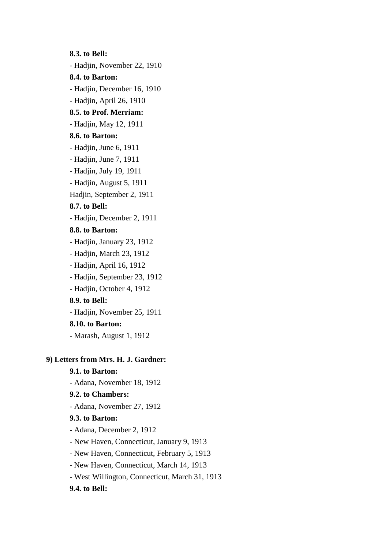**8.3. to Bell:** - Hadjin, November 22, 1910 **8.4. to Barton:** - Hadjin, December 16, 1910 - Hadjin, April 26, 1910 **8.5. to Prof. Merriam:** - Hadjin, May 12, 1911 **8.6. to Barton:** - Hadjin, June 6, 1911 - Hadjin, June 7, 1911 - Hadjin, July 19, 1911 - Hadjin, August 5, 1911 Hadjin, September 2, 1911 **8.7. to Bell:** - Hadjin, December 2, 1911 **8.8. to Barton:** - Hadjin, January 23, 1912 - Hadjin, March 23, 1912 - Hadjin, April 16, 1912 - Hadjin, September 23, 1912 - Hadjin, October 4, 1912 **8.9. to Bell:** - Hadjin, November 25, 1911 **8.10. to Barton: -** Marash, August 1, 1912 **9) Letters from Mrs. H. J. Gardner: 9.1. to Barton:** - Adana, November 18, 1912 **9.2. to Chambers:** - Adana, November 27, 1912 **9.3. to Barton: -** Adana, December 2, 1912 - New Haven, Connecticut, January 9, 1913 - New Haven, Connecticut, February 5, 1913

- New Haven, Connecticut, March 14, 1913

- West Willington, Connecticut, March 31, 1913

**9.4. to Bell:**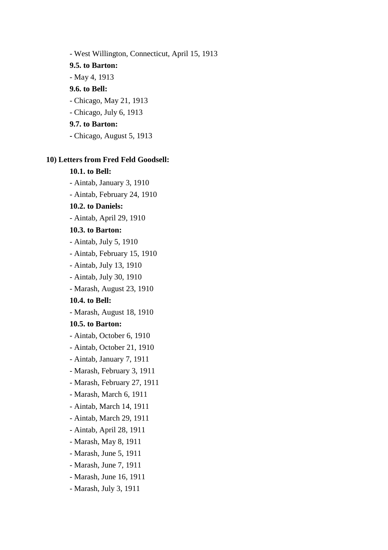- West Willington, Connecticut, April 15, 1913

**9.5. to Barton:**

- May 4, 1913

# **9.6. to Bell:**

- Chicago, May 21, 1913

- Chicago, July 6, 1913

# **9.7. to Barton:**

 **-** Chicago, August 5, 1913

# **10) Letters from Fred Feld Goodsell:**

# **10.1. to Bell:**

- Aintab, January 3, 1910

- Aintab, February 24, 1910

# **10.2. to Daniels:**

- Aintab, April 29, 1910

# **10.3. to Barton:**

- Aintab, July 5, 1910

- Aintab, February 15, 1910
- Aintab, July 13, 1910
- Aintab, July 30, 1910
- Marash, August 23, 1910

# **10.4. to Bell:**

- Marash, August 18, 1910

### **10.5. to Barton:**

- Aintab, October 6, 1910
- Aintab, October 21, 1910
- Aintab, January 7, 1911
- Marash, February 3, 1911
- Marash, February 27, 1911
- Marash, March 6, 1911
- Aintab, March 14, 1911
- Aintab, March 29, 1911
- Aintab, April 28, 1911
- Marash, May 8, 1911
- Marash, June 5, 1911
- Marash, June 7, 1911
- Marash, June 16, 1911
- Marash, July 3, 1911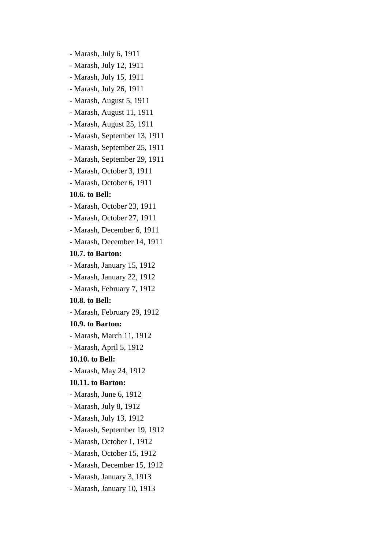- Marash, July 6, 1911
- Marash, July 12, 1911
- Marash, July 15, 1911
- Marash, July 26, 1911
- Marash, August 5, 1911
- Marash, August 11, 1911
- Marash, August 25, 1911
- Marash, September 13, 1911
- Marash, September 25, 1911
- Marash, September 29, 1911
- Marash, October 3, 1911
- Marash, October 6, 1911

### **10.6. to Bell:**

- Marash, October 23, 1911
- Marash, October 27, 1911
- Marash, December 6, 1911
- Marash, December 14, 1911

# **10.7. to Barton:**

- Marash, January 15, 1912
- Marash, January 22, 1912
- Marash, February 7, 1912

#### **10.8. to Bell:**

- Marash, February 29, 1912

#### **10.9. to Barton:**

- Marash, March 11, 1912
- Marash, April 5, 1912

#### **10.10. to Bell:**

 **-** Marash, May 24, 1912

# **10.11. to Barton:**

- Marash, June 6, 1912
- Marash, July 8, 1912
- Marash, July 13, 1912
- Marash, September 19, 1912
- Marash, October 1, 1912
- Marash, October 15, 1912
- Marash, December 15, 1912
- Marash, January 3, 1913
- Marash, January 10, 1913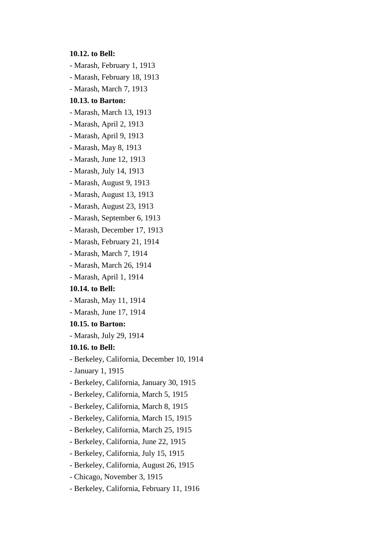**10.12. to Bell:**

- Marash, February 1, 1913
- Marash, February 18, 1913
- Marash, March 7, 1913

# **10.13. to Barton:**

- Marash, March 13, 1913
- Marash, April 2, 1913
- Marash, April 9, 1913
- Marash, May 8, 1913
- Marash, June 12, 1913
- Marash, July 14, 1913
- Marash, August 9, 1913
- Marash, August 13, 1913
- Marash, August 23, 1913
- Marash, September 6, 1913
- Marash, December 17, 1913
- Marash, February 21, 1914
- Marash, March 7, 1914
- Marash, March 26, 1914
- Marash, April 1, 1914

# **10.14. to Bell:**

- Marash, May 11, 1914
- Marash, June 17, 1914

### **10.15. to Barton:**

- Marash, July 29, 1914

### **10.16. to Bell:**

- Berkeley, California, December 10, 1914
- January 1, 1915
- Berkeley, California, January 30, 1915
- Berkeley, California, March 5, 1915
- Berkeley, California, March 8, 1915
- Berkeley, California, March 15, 1915
- Berkeley, California, March 25, 1915
- Berkeley, California, June 22, 1915
- Berkeley, California, July 15, 1915
- Berkeley, California, August 26, 1915
- Chicago, November 3, 1915
- Berkeley, California, February 11, 1916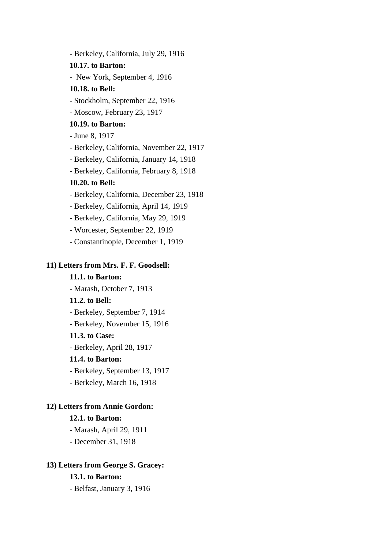- Berkeley, California, July 29, 1916 **10.17. to Barton:** - New York, September 4, 1916 **10.18. to Bell:** - Stockholm, September 22, 1916 - Moscow, February 23, 1917 **10.19. to Barton:** - June 8, 1917 - Berkeley, California, November 22, 1917 - Berkeley, California, January 14, 1918 - Berkeley, California, February 8, 1918 **10.20. to Bell:** - Berkeley, California, December 23, 1918 - Berkeley, California, April 14, 1919 - Berkeley, California, May 29, 1919 - Worcester, September 22, 1919 - Constantinople, December 1, 1919

### **11) Letters from Mrs. F. F. Goodsell:**

# **11.1. to Barton:**

- Marash, October 7, 1913

# **11.2. to Bell:**

- Berkeley, September 7, 1914

- Berkeley, November 15, 1916

# **11.3. to Case:**

- Berkeley, April 28, 1917

### **11.4. to Barton:**

- Berkeley, September 13, 1917

- Berkeley, March 16, 1918

### **12) Letters from Annie Gordon:**

### **12.1. to Barton:**

- Marash, April 29, 1911

- December 31, 1918

### **13) Letters from George S. Gracey:**

### **13.1. to Barton:**

- Belfast, January 3, 1916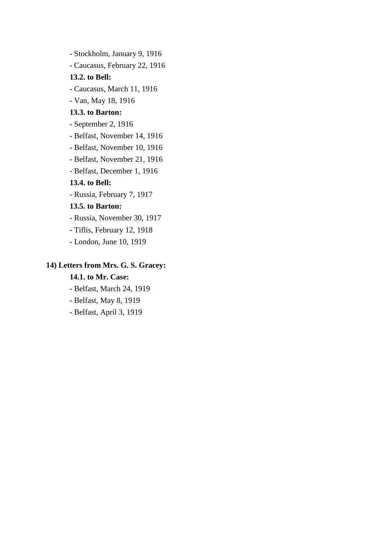- Stockholm, January 9, 1916 - Caucasus, February 22, 1916 **13.2. to Bell:** - Caucasus, March 11, 1916 - Van, May 18, 1916 **13.3. to Barton:** - September 2, 1916 - Belfast, November 14, 1916 - Belfast, November 10, 1916 - Belfast, November 21, 1916 - Belfast, December 1, 1916 **13.4. to Bell:** - Russia, February 7, 1917 **13.5. to Barton:** - Russia, November 30, 1917 - Tiflis, February 12, 1918 - London, June 10, 1919

### **14) Letters from Mrs. G. S. Gracey:**

### **14.1. to Mr. Case:**

- Belfast, March 24, 1919
- Belfast, May 8, 1919
- Belfast, April 3, 1919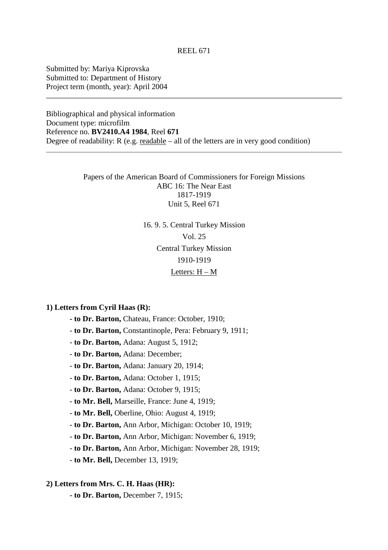Submitted by: Mariya Kiprovska Submitted to: Department of History Project term (month, year): April 2004

Bibliographical and physical information Document type: microfilm Reference no. **BV2410.A4 1984**, Reel **671** Degree of readability:  $R$  (e.g. readable – all of the letters are in very good condition)

> Papers of the American Board of Commissioners for Foreign Missions ABC 16: The Near East 1817-1919 Unit 5, Reel 671

# 16. 9. 5. Central Turkey Mission Vol. 25 Central Turkey Mission 1910-1919 Letters: H – M

**1) Letters from Cyril Haas (R):**

 **- to Dr. Barton,** Chateau, France: October, 1910;

- **to Dr. Barton,** Constantinople, Pera: February 9, 1911;

- **to Dr. Barton,** Adana: August 5, 1912;

- **to Dr. Barton,** Adana: December;

- **to Dr. Barton,** Adana: January 20, 1914;

- **to Dr. Barton,** Adana: October 1, 1915;

- **to Dr. Barton,** Adana: October 9, 1915;

- **to Mr. Bell,** Marseille, France: June 4, 1919;

- **to Mr. Bell,** Oberline, Ohio: August 4, 1919;

- **to Dr. Barton,** Ann Arbor, Michigan: October 10, 1919;

- **to Dr. Barton,** Ann Arbor, Michigan: November 6, 1919;

- **to Dr. Barton,** Ann Arbor, Michigan: November 28, 1919;

- **to Mr. Bell,** December 13, 1919;

### **2) Letters from Mrs. C. H. Haas (HR):**

 **- to Dr. Barton,** December 7, 1915;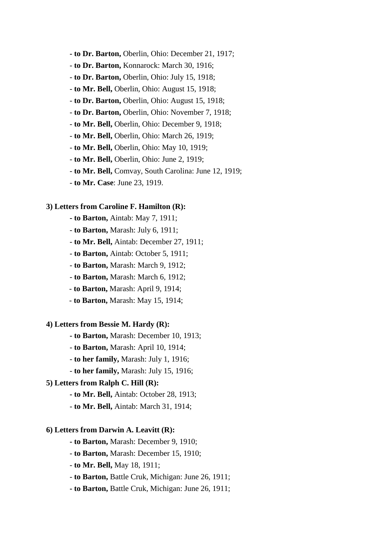- **- to Dr. Barton,** Oberlin, Ohio: December 21, 1917;
- **to Dr. Barton,** Konnarock: March 30, 1916;
- **to Dr. Barton,** Oberlin, Ohio: July 15, 1918;
- **to Mr. Bell,** Oberlin, Ohio: August 15, 1918;
- **to Dr. Barton,** Oberlin, Ohio: August 15, 1918;
- **to Dr. Barton,** Oberlin, Ohio: November 7, 1918;
- **to Mr. Bell,** Oberlin, Ohio: December 9, 1918;
- **to Mr. Bell,** Oberlin, Ohio: March 26, 1919;
- **to Mr. Bell,** Oberlin, Ohio: May 10, 1919;
- **to Mr. Bell,** Oberlin, Ohio: June 2, 1919;
- **to Mr. Bell,** Comvay, South Carolina: June 12, 1919;
- **to Mr. Case**: June 23, 1919.

#### **3) Letters from Caroline F. Hamilton (R):**

- **to Barton,** Aintab: May 7, 1911;
- **to Barton,** Marash: July 6, 1911;
- **to Mr. Bell,** Aintab: December 27, 1911;
- **to Barton,** Aintab: October 5, 1911;
- **to Barton,** Marash: March 9, 1912;
- **to Barton,** Marash: March 6, 1912;
- **to Barton,** Marash: April 9, 1914;
- **to Barton,** Marash: May 15, 1914;

#### **4) Letters from Bessie M. Hardy (R):**

- **to Barton,** Marash: December 10, 1913;
- **to Barton,** Marash: April 10, 1914;
- **to her family,** Marash: July 1, 1916;
- **to her family,** Marash: July 15, 1916;

### **5) Letters from Ralph C. Hill (R):**

- **to Mr. Bell,** Aintab: October 28, 1913;
- **to Mr. Bell,** Aintab: March 31, 1914;

### **6) Letters from Darwin A. Leavitt (R):**

- **to Barton,** Marash: December 9, 1910;
- **to Barton,** Marash: December 15, 1910;
- **to Mr. Bell,** May 18, 1911;
- **to Barton,** Battle Cruk, Michigan: June 26, 1911;
- **to Barton,** Battle Cruk, Michigan: June 26, 1911;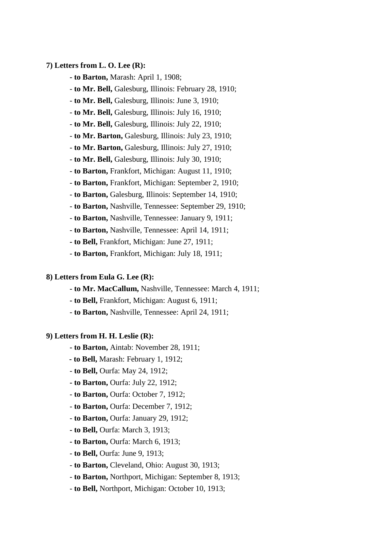### **7) Letters from L. O. Lee (R):**

- **to Barton,** Marash: April 1, 1908;
- **to Mr. Bell,** Galesburg, Illinois: February 28, 1910;
- **to Mr. Bell,** Galesburg, Illinois: June 3, 1910;
- **to Mr. Bell,** Galesburg, Illinois: July 16, 1910;
- **to Mr. Bell,** Galesburg, Illinois: July 22, 1910;
- **to Mr. Barton,** Galesburg, Illinois: July 23, 1910;
- **to Mr. Barton,** Galesburg, Illinois: July 27, 1910;
- **to Mr. Bell,** Galesburg, Illinois: July 30, 1910;
- **to Barton,** Frankfort, Michigan: August 11, 1910;
- **to Barton,** Frankfort, Michigan: September 2, 1910;
- **to Barton,** Galesburg, Illinois: September 14, 1910;
- **to Barton,** Nashville, Tennessee: September 29, 1910;
- **to Barton,** Nashville, Tennessee: January 9, 1911;
- **to Barton,** Nashville, Tennessee: April 14, 1911;
- **to Bell,** Frankfort, Michigan: June 27, 1911;
- **to Barton,** Frankfort, Michigan: July 18, 1911;

### **8) Letters from Eula G. Lee (R):**

- **to Mr. MacCallum,** Nashville, Tennessee: March 4, 1911;
- **to Bell,** Frankfort, Michigan: August 6, 1911;
- **to Barton,** Nashville, Tennessee: April 24, 1911;

### **9) Letters from H. H. Leslie (R):**

- **to Barton,** Aintab: November 28, 1911;
- **to Bell,** Marash: February 1, 1912;
- **to Bell,** Ourfa: May 24, 1912;
- **to Barton,** Ourfa: July 22, 1912;
- **to Barton,** Ourfa: October 7, 1912;
- **to Barton,** Ourfa: December 7, 1912;
- **to Barton,** Ourfa: January 29, 1912;
- **to Bell,** Ourfa: March 3, 1913;
- **to Barton,** Ourfa: March 6, 1913;
- **to Bell,** Ourfa: June 9, 1913;
- **to Barton,** Cleveland, Ohio: August 30, 1913;
- **to Barton,** Northport, Michigan: September 8, 1913;
- **to Bell,** Northport, Michigan: October 10, 1913;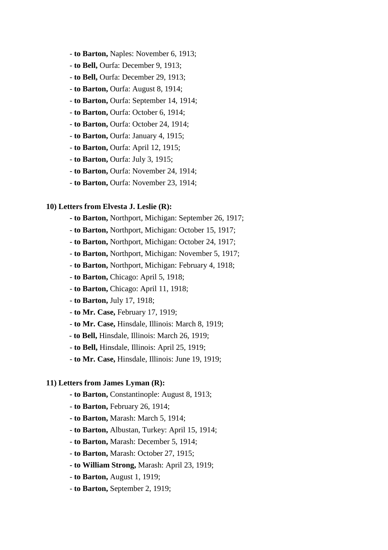- **to Barton,** Naples: November 6, 1913;
- **to Bell,** Ourfa: December 9, 1913;
- **to Bell,** Ourfa: December 29, 1913;
- **to Barton,** Ourfa: August 8, 1914;
- **to Barton,** Ourfa: September 14, 1914;
- **to Barton,** Ourfa: October 6, 1914;
- **to Barton,** Ourfa: October 24, 1914;
- **to Barton,** Ourfa: January 4, 1915;
- **to Barton,** Ourfa: April 12, 1915;
- **to Barton,** Ourfa: July 3, 1915;
- **to Barton,** Ourfa: November 24, 1914;
- **to Barton,** Ourfa: November 23, 1914;

#### **10) Letters from Elvesta J. Leslie (R):**

- **to Barton,** Northport, Michigan: September 26, 1917;
- **to Barton,** Northport, Michigan: October 15, 1917;
- **to Barton,** Northport, Michigan: October 24, 1917;
- **to Barton,** Northport, Michigan: November 5, 1917;
- **to Barton,** Northport, Michigan: February 4, 1918;
- **to Barton,** Chicago: April 5, 1918;
- **to Barton,** Chicago: April 11, 1918;
- **to Barton,** July 17, 1918;
- **to Mr. Case,** February 17, 1919;
- **to Mr. Case,** Hinsdale, Illinois: March 8, 1919;
- - **to Bell,** Hinsdale, Illinois: March 26, 1919;
- **to Bell,** Hinsdale, Illinois: April 25, 1919;
- **to Mr. Case,** Hinsdale, Illinois: June 19, 1919;

### **11) Letters from James Lyman (R):**

- **to Barton,** Constantinople: August 8, 1913;
- **to Barton,** February 26, 1914;
- **to Barton,** Marash: March 5, 1914;
- **to Barton,** Albustan, Turkey: April 15, 1914;
- **to Barton,** Marash: December 5, 1914;
- **to Barton,** Marash: October 27, 1915;
- **to William Strong,** Marash: April 23, 1919;
- **to Barton,** August 1, 1919;
- **to Barton,** September 2, 1919;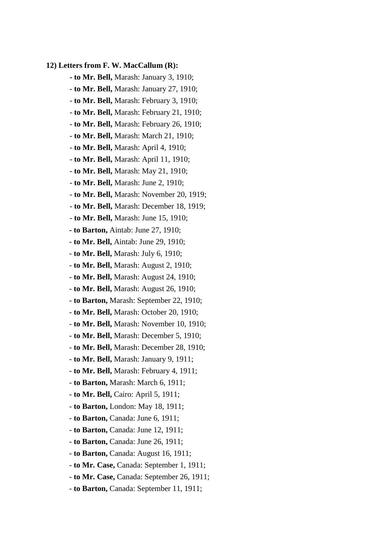#### **12) Letters from F. W. MacCallum (R):**

- **to Mr. Bell,** Marash: January 3, 1910;
- **to Mr. Bell,** Marash: January 27, 1910;
- **to Mr. Bell,** Marash: February 3, 1910;
- **to Mr. Bell,** Marash: February 21, 1910;
- **to Mr. Bell,** Marash: February 26, 1910;
- **to Mr. Bell,** Marash: March 21, 1910;
- **to Mr. Bell,** Marash: April 4, 1910;
- **to Mr. Bell,** Marash: April 11, 1910;
- **to Mr. Bell,** Marash: May 21, 1910;
- **to Mr. Bell,** Marash: June 2, 1910;
- **to Mr. Bell,** Marash: November 20, 1919;
- **to Mr. Bell,** Marash: December 18, 1919;
- **to Mr. Bell,** Marash: June 15, 1910;
- **to Barton,** Aintab: June 27, 1910;
- **to Mr. Bell,** Aintab: June 29, 1910;
- **to Mr. Bell,** Marash: July 6, 1910;
- **to Mr. Bell,** Marash: August 2, 1910;
- **to Mr. Bell,** Marash: August 24, 1910;
- **to Mr. Bell,** Marash: August 26, 1910;
- **to Barton,** Marash: September 22, 1910;
- **to Mr. Bell,** Marash: October 20, 1910;
- **to Mr. Bell,** Marash: November 10, 1910;
- **to Mr. Bell,** Marash: December 5, 1910;
- **to Mr. Bell,** Marash: December 28, 1910;
- **to Mr. Bell,** Marash: January 9, 1911;
- **to Mr. Bell,** Marash: February 4, 1911;
- **to Barton,** Marash: March 6, 1911;
- **to Mr. Bell,** Cairo: April 5, 1911;
- **to Barton,** London: May 18, 1911;
- **to Barton,** Canada: June 6, 1911;
- **to Barton,** Canada: June 12, 1911;
- **to Barton,** Canada: June 26, 1911;
- **to Barton,** Canada: August 16, 1911;
- **to Mr. Case,** Canada: September 1, 1911;
- **to Mr. Case,** Canada: September 26, 1911;
- **to Barton,** Canada: September 11, 1911;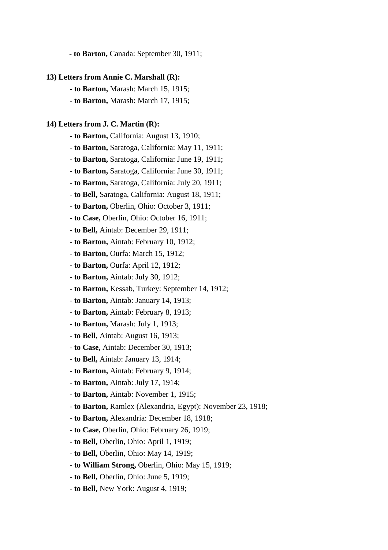- **to Barton,** Canada: September 30, 1911;

#### **13) Letters from Annie C. Marshall (R):**

- **to Barton,** Marash: March 15, 1915;
- **to Barton,** Marash: March 17, 1915;

#### **14) Letters from J. C. Martin (R):**

- **to Barton,** California: August 13, 1910;
- **to Barton,** Saratoga, California: May 11, 1911;
- **to Barton,** Saratoga, California: June 19, 1911;
- **to Barton,** Saratoga, California: June 30, 1911;
- **to Barton,** Saratoga, California: July 20, 1911;
- **to Bell,** Saratoga, California: August 18, 1911;
- **to Barton,** Oberlin, Ohio: October 3, 1911;
- **to Case,** Oberlin, Ohio: October 16, 1911;
- **to Bell,** Aintab: December 29, 1911;
- **to Barton,** Aintab: February 10, 1912;
- **to Barton,** Ourfa: March 15, 1912;
- **to Barton,** Ourfa: April 12, 1912;
- **to Barton,** Aintab: July 30, 1912;
- **to Barton,** Kessab, Turkey: September 14, 1912;
- **to Barton,** Aintab: January 14, 1913;
- **to Barton,** Aintab: February 8, 1913;
- **to Barton,** Marash: July 1, 1913;
- **to Bell**, Aintab: August 16, 1913;
- **to Case,** Aintab: December 30, 1913;
- - **to Bell,** Aintab: January 13, 1914;
- **to Barton,** Aintab: February 9, 1914;
- **to Barton,** Aintab: July 17, 1914;
- **to Barton,** Aintab: November 1, 1915;
- **to Barton,** Ramlex (Alexandria, Egypt): November 23, 1918;
- **to Barton,** Alexandria: December 18, 1918;
- **to Case,** Oberlin, Ohio: February 26, 1919;
- **to Bell,** Oberlin, Ohio: April 1, 1919;
- **to Bell,** Oberlin, Ohio: May 14, 1919;
- **to William Strong,** Oberlin, Ohio: May 15, 1919;
- **to Bell,** Oberlin, Ohio: June 5, 1919;
- **to Bell,** New York: August 4, 1919;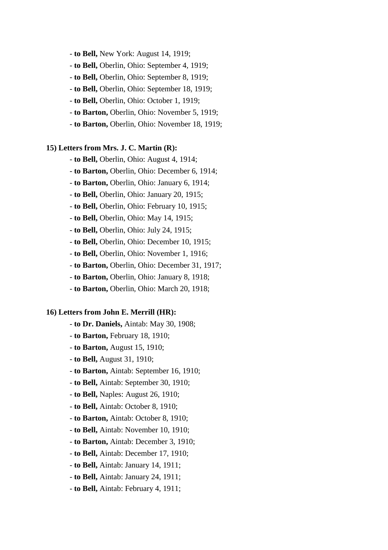- **to Bell,** New York: August 14, 1919;

- **to Bell,** Oberlin, Ohio: September 4, 1919;

- **to Bell,** Oberlin, Ohio: September 8, 1919;

- **to Bell,** Oberlin, Ohio: September 18, 1919;

- **to Bell,** Oberlin, Ohio: October 1, 1919;

- **to Barton,** Oberlin, Ohio: November 5, 1919;

- **to Barton,** Oberlin, Ohio: November 18, 1919;

### **15) Letters from Mrs. J. C. Martin (R):**

- **to Bell,** Oberlin, Ohio: August 4, 1914;

- **to Barton,** Oberlin, Ohio: December 6, 1914;

- **to Barton,** Oberlin, Ohio: January 6, 1914;

- **to Bell,** Oberlin, Ohio: January 20, 1915;

- **to Bell,** Oberlin, Ohio: February 10, 1915;

- **to Bell,** Oberlin, Ohio: May 14, 1915;

- **to Bell,** Oberlin, Ohio: July 24, 1915;

- **to Bell,** Oberlin, Ohio: December 10, 1915;

- **to Bell,** Oberlin, Ohio: November 1, 1916;

- **to Barton,** Oberlin, Ohio: December 31, 1917;

- **to Barton,** Oberlin, Ohio: January 8, 1918;

- **to Barton,** Oberlin, Ohio: March 20, 1918;

### **16) Letters from John E. Merrill (HR):**

- **to Dr. Daniels,** Aintab: May 30, 1908;

- **to Barton,** February 18, 1910;
- **to Barton,** August 15, 1910;
- **to Bell,** August 31, 1910;
- **to Barton,** Aintab: September 16, 1910;
- **to Bell,** Aintab: September 30, 1910;
- **to Bell,** Naples: August 26, 1910;
- **to Bell,** Aintab: October 8, 1910;
- **to Barton,** Aintab: October 8, 1910;
- **to Bell,** Aintab: November 10, 1910;
- **to Barton,** Aintab: December 3, 1910;
- **to Bell,** Aintab: December 17, 1910;
- **to Bell,** Aintab: January 14, 1911;
- **to Bell,** Aintab: January 24, 1911;
- **to Bell,** Aintab: February 4, 1911;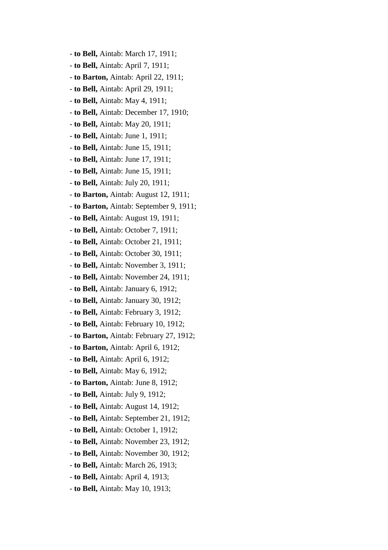- **to Bell,** Aintab: March 17, 1911;
- **to Bell,** Aintab: April 7, 1911;
- **to Barton,** Aintab: April 22, 1911;
- **to Bell,** Aintab: April 29, 1911;
- **to Bell,** Aintab: May 4, 1911;
- **to Bell,** Aintab: December 17, 1910;
- **to Bell,** Aintab: May 20, 1911;
- **to Bell,** Aintab: June 1, 1911;
- **to Bell,** Aintab: June 15, 1911;
- **to Bell,** Aintab: June 17, 1911;
- **to Bell,** Aintab: June 15, 1911;
- **to Bell,** Aintab: July 20, 1911;
- **to Barton,** Aintab: August 12, 1911;
- **to Barton,** Aintab: September 9, 1911;
- **to Bell,** Aintab: August 19, 1911;
- **to Bell,** Aintab: October 7, 1911;
- **to Bell,** Aintab: October 21, 1911;
- **to Bell,** Aintab: October 30, 1911;
- **to Bell,** Aintab: November 3, 1911;
- **to Bell,** Aintab: November 24, 1911;
- **to Bell,** Aintab: January 6, 1912;
- **to Bell,** Aintab: January 30, 1912;
- **to Bell,** Aintab: February 3, 1912;
- **to Bell,** Aintab: February 10, 1912;
- **to Barton,** Aintab: February 27, 1912;
- **to Barton,** Aintab: April 6, 1912;
- **to Bell,** Aintab: April 6, 1912;
- **to Bell,** Aintab: May 6, 1912;
- **to Barton,** Aintab: June 8, 1912;
- **to Bell,** Aintab: July 9, 1912;
- **to Bell,** Aintab: August 14, 1912;
- **to Bell,** Aintab: September 21, 1912;
- **to Bell,** Aintab: October 1, 1912;
- **to Bell,** Aintab: November 23, 1912;
- **to Bell,** Aintab: November 30, 1912;
- - **to Bell,** Aintab: March 26, 1913;
- **to Bell,** Aintab: April 4, 1913;
- **to Bell,** Aintab: May 10, 1913;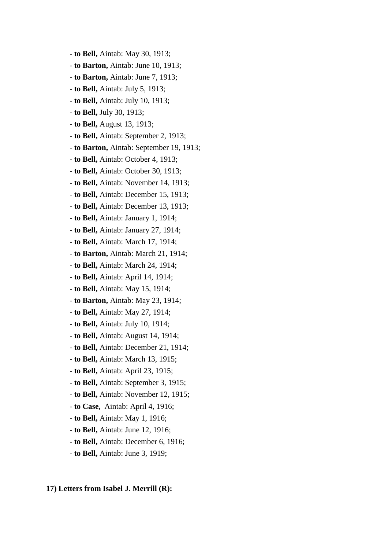- **to Bell,** Aintab: May 30, 1913;
- **to Barton,** Aintab: June 10, 1913;
- **to Barton,** Aintab: June 7, 1913;
- **to Bell,** Aintab: July 5, 1913;
- **to Bell,** Aintab: July 10, 1913;
- **to Bell,** July 30, 1913;
- **to Bell,** August 13, 1913;
- **to Bell,** Aintab: September 2, 1913;
- **to Barton,** Aintab: September 19, 1913;
- **to Bell,** Aintab: October 4, 1913;
- **to Bell,** Aintab: October 30, 1913;
- **to Bell,** Aintab: November 14, 1913;
- **to Bell,** Aintab: December 15, 1913;
- **to Bell,** Aintab: December 13, 1913;
- **to Bell,** Aintab: January 1, 1914;
- **to Bell,** Aintab: January 27, 1914;
- **to Bell,** Aintab: March 17, 1914;
- **to Barton,** Aintab: March 21, 1914;
- **to Bell,** Aintab: March 24, 1914;
- **to Bell,** Aintab: April 14, 1914;
- **to Bell,** Aintab: May 15, 1914;
- **to Barton,** Aintab: May 23, 1914;
- **to Bell,** Aintab: May 27, 1914;
- **to Bell,** Aintab: July 10, 1914;
- **to Bell,** Aintab: August 14, 1914;
- **to Bell,** Aintab: December 21, 1914;
- **to Bell,** Aintab: March 13, 1915;
- **to Bell,** Aintab: April 23, 1915;
- **to Bell,** Aintab: September 3, 1915;
- **to Bell,** Aintab: November 12, 1915;
- **to Case,** Aintab: April 4, 1916;
- **to Bell,** Aintab: May 1, 1916;
- **to Bell,** Aintab: June 12, 1916;
- **to Bell,** Aintab: December 6, 1916;
- **to Bell,** Aintab: June 3, 1919;

### **17) Letters from Isabel J. Merrill (R):**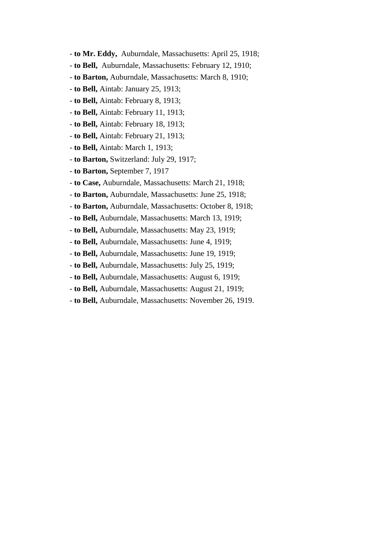- **to Mr. Eddy,** Auburndale, Massachusetts: April 25, 1918;
- **to Bell,** Auburndale, Massachusetts: February 12, 1910;
- **to Barton,** Auburndale, Massachusetts: March 8, 1910;
- **to Bell,** Aintab: January 25, 1913;
- **to Bell,** Aintab: February 8, 1913;
- **to Bell,** Aintab: February 11, 1913;
- **to Bell,** Aintab: February 18, 1913;
- **to Bell,** Aintab: February 21, 1913;
- **to Bell,** Aintab: March 1, 1913;
- **to Barton,** Switzerland: July 29, 1917;
- **to Barton,** September 7, 1917
- **to Case,** Auburndale, Massachusetts: March 21, 1918;
- **to Barton,** Auburndale, Massachusetts: June 25, 1918;
- **to Barton,** Auburndale, Massachusetts: October 8, 1918;
- **to Bell,** Auburndale, Massachusetts: March 13, 1919;
- **to Bell,** Auburndale, Massachusetts: May 23, 1919;
- **to Bell,** Auburndale, Massachusetts: June 4, 1919;
- **to Bell,** Auburndale, Massachusetts: June 19, 1919;
- **to Bell,** Auburndale, Massachusetts: July 25, 1919;
- **to Bell,** Auburndale, Massachusetts: August 6, 1919;
- **to Bell,** Auburndale, Massachusetts: August 21, 1919;
- **to Bell,** Auburndale, Massachusetts: November 26, 1919.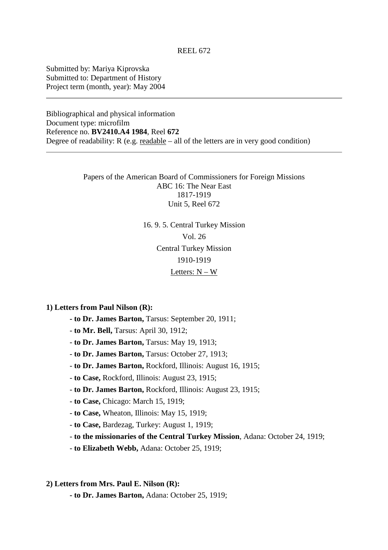Submitted by: Mariya Kiprovska Submitted to: Department of History Project term (month, year): May 2004

Bibliographical and physical information Document type: microfilm Reference no. **BV2410.A4 1984**, Reel **672** Degree of readability:  $R$  (e.g. readable – all of the letters are in very good condition)

> Papers of the American Board of Commissioners for Foreign Missions ABC 16: The Near East 1817-1919 Unit 5, Reel 672

> > 16. 9. 5. Central Turkey Mission Vol. 26 Central Turkey Mission 1910-1919 Letters:  $N - W$

**1) Letters from Paul Nilson (R):**

- **to Dr. James Barton,** Tarsus: September 20, 1911;
- **to Mr. Bell,** Tarsus: April 30, 1912;
- **to Dr. James Barton,** Tarsus: May 19, 1913;
- **to Dr. James Barton,** Tarsus: October 27, 1913;
- **to Dr. James Barton,** Rockford, Illinois: August 16, 1915;
- **to Case,** Rockford, Illinois: August 23, 1915;
- **to Dr. James Barton,** Rockford, Illinois: August 23, 1915;
- **to Case,** Chicago: March 15, 1919;
- **to Case,** Wheaton, Illinois: May 15, 1919;
- **to Case,** Bardezag, Turkey: August 1, 1919;
- **to the missionaries of the Central Turkey Mission**, Adana: October 24, 1919;
- **to Elizabeth Webb,** Adana: October 25, 1919;
- **2) Letters from Mrs. Paul E. Nilson (R):**
	- **to Dr. James Barton,** Adana: October 25, 1919;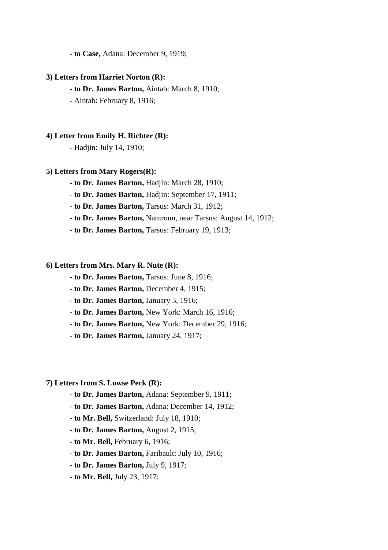- **to Case,** Adana: December 9, 1919;

### **3) Letters from Harriet Norton (R):**

- **to Dr. James Barton,** Aintab: March 8, 1910;
- Aintab: February 8, 1916;

#### **4) Letter from Emily H. Richter (R):**

 **-** Hadjin: July 14, 1910;

### **5) Letters from Mary Rogers(R):**

- **to Dr. James Barton,** Hadjin: March 28, 1910;
- **to Dr. James Barton,** Hadjin: September 17, 1911;

- **to Dr. James Barton,** Tarsus: March 31, 1912;

- **to Dr. James Barton,** Namroun, near Tarsus: August 14, 1912;
- **to Dr. James Barton,** Tarsus: February 19, 1913;

### **6) Letters from Mrs. Mary R. Nute (R):**

- **to Dr. James Barton,** Tarsus: June 8, 1916;
- **to Dr. James Barton,** December 4, 1915;
- **to Dr. James Barton,** January 5, 1916;
- **to Dr. James Barton,** New York: March 16, 1916;
- **to Dr. James Barton,** New York: December 29, 1916;
- **to Dr. James Barton,** January 24, 1917;

#### **7) Letters from S. Lowse Peck (R):**

- **to Dr. James Barton,** Adana: September 9, 1911;
- **to Dr. James Barton,** Adana: December 14, 1912;
- **to Mr. Bell,** Switzerland: July 18, 1910;
- **to Dr. James Barton,** August 2, 1915;
- **to Mr. Bell,** February 6, 1916;
- **to Dr. James Barton,** Faribault: July 10, 1916;
- **to Dr. James Barton,** July 9, 1917;
- **to Mr. Bell,** July 23, 1917;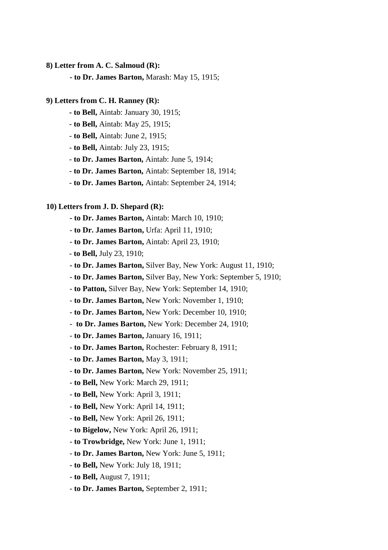### **8) Letter from A. C. Salmoud (R):**

 **- to Dr. James Barton,** Marash: May 15, 1915;

#### **9) Letters from C. H. Ranney (R):**

- **to Bell,** Aintab: January 30, 1915;
- **to Bell,** Aintab: May 25, 1915;
- **to Bell,** Aintab: June 2, 1915;
- **to Bell,** Aintab: July 23, 1915;
- **to Dr. James Barton,** Aintab: June 5, 1914;
- **to Dr. James Barton,** Aintab: September 18, 1914;
- **to Dr. James Barton,** Aintab: September 24, 1914;

#### **10) Letters from J. D. Shepard (R):**

- **to Dr. James Barton,** Aintab: March 10, 1910;
- **to Dr. James Barton,** Urfa: April 11, 1910;
- **to Dr. James Barton,** Aintab: April 23, 1910;
- - **to Bell,** July 23, 1910;
- **to Dr. James Barton,** Silver Bay, New York: August 11, 1910;
- **to Dr. James Barton,** Silver Bay, New York: September 5, 1910;
- **to Patton,** Silver Bay, New York: September 14, 1910;
- **to Dr. James Barton,** New York: November 1, 1910;
- **to Dr. James Barton,** New York: December 10, 1910;
- **to Dr. James Barton,** New York: December 24, 1910;
- **to Dr. James Barton,** January 16, 1911;
- **to Dr. James Barton,** Rochester: February 8, 1911;
- **to Dr. James Barton,** May 3, 1911;
- **to Dr. James Barton,** New York: November 25, 1911;
- **to Bell,** New York: March 29, 1911;
- **to Bell,** New York: April 3, 1911;
- **to Bell,** New York: April 14, 1911;
- **to Bell,** New York: April 26, 1911;
- **to Bigelow,** New York: April 26, 1911;
- **to Trowbridge,** New York: June 1, 1911;
- **to Dr. James Barton,** New York: June 5, 1911;
- **to Bell,** New York: July 18, 1911;
- **to Bell,** August 7, 1911;
- **to Dr. James Barton,** September 2, 1911;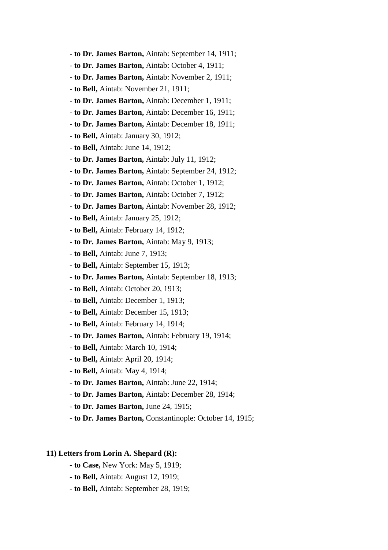- **to Dr. James Barton,** Aintab: September 14, 1911;
- **to Dr. James Barton,** Aintab: October 4, 1911;
- **to Dr. James Barton,** Aintab: November 2, 1911;
- **to Bell,** Aintab: November 21, 1911;
- **to Dr. James Barton,** Aintab: December 1, 1911;
- **to Dr. James Barton,** Aintab: December 16, 1911;
- **to Dr. James Barton,** Aintab: December 18, 1911;
- **to Bell,** Aintab: January 30, 1912;
- **to Bell,** Aintab: June 14, 1912;
- **to Dr. James Barton,** Aintab: July 11, 1912;
- **to Dr. James Barton,** Aintab: September 24, 1912;
- **to Dr. James Barton,** Aintab: October 1, 1912;
- **to Dr. James Barton,** Aintab: October 7, 1912;
- **to Dr. James Barton,** Aintab: November 28, 1912;
- **to Bell,** Aintab: January 25, 1912;
- **to Bell,** Aintab: February 14, 1912;
- **to Dr. James Barton,** Aintab: May 9, 1913;
- **to Bell,** Aintab: June 7, 1913;
- **to Bell,** Aintab: September 15, 1913;
- **to Dr. James Barton,** Aintab: September 18, 1913;
- **to Bell,** Aintab: October 20, 1913;
- **to Bell,** Aintab: December 1, 1913;
- **to Bell,** Aintab: December 15, 1913;
- **to Bell,** Aintab: February 14, 1914;
- **to Dr. James Barton,** Aintab: February 19, 1914;
- **to Bell,** Aintab: March 10, 1914;
- **to Bell,** Aintab: April 20, 1914;
- **to Bell,** Aintab: May 4, 1914;
- **to Dr. James Barton,** Aintab: June 22, 1914;
- **to Dr. James Barton,** Aintab: December 28, 1914;
- **to Dr. James Barton,** June 24, 1915;
- **to Dr. James Barton,** Constantinople: October 14, 1915;

### **11) Letters from Lorin A. Shepard (R):**

- **to Case,** New York: May 5, 1919;
- **to Bell,** Aintab: August 12, 1919;
- **to Bell,** Aintab: September 28, 1919;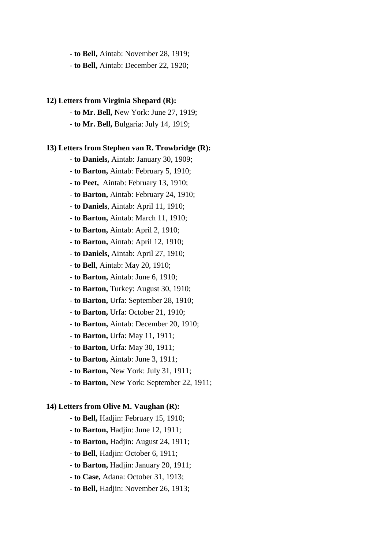- **to Bell,** Aintab: November 28, 1919;

- **to Bell,** Aintab: December 22, 1920;

#### **12) Letters from Virginia Shepard (R):**

 **- to Mr. Bell,** New York: June 27, 1919;

- **to Mr. Bell,** Bulgaria: July 14, 1919;

### **13) Letters from Stephen van R. Trowbridge (R):**

 **- to Daniels,** Aintab: January 30, 1909;

- **to Barton,** Aintab: February 5, 1910;

- **to Peet,** Aintab: February 13, 1910;

- **to Barton,** Aintab: February 24, 1910;

- **to Daniels**, Aintab: April 11, 1910;

- **to Barton,** Aintab: March 11, 1910;

- **to Barton,** Aintab: April 2, 1910;

- **to Barton,** Aintab: April 12, 1910;

- **to Daniels,** Aintab: April 27, 1910;

- **to Bell**, Aintab: May 20, 1910;

- **to Barton,** Aintab: June 6, 1910;

- **to Barton,** Turkey: August 30, 1910;

- **to Barton,** Urfa: September 28, 1910;

- **to Barton,** Urfa: October 21, 1910;

- **to Barton,** Aintab: December 20, 1910;

- **to Barton,** Urfa: May 11, 1911;

- **to Barton,** Urfa: May 30, 1911;

- **to Barton,** Aintab: June 3, 1911;

- **to Barton,** New York: July 31, 1911;

- **to Barton,** New York: September 22, 1911;

### **14) Letters from Olive M. Vaughan (R):**

 **- to Bell,** Hadjin: February 15, 1910;

- **to Barton,** Hadjin: June 12, 1911;

- **to Barton,** Hadjin: August 24, 1911;

- **to Bell**, Hadjin: October 6, 1911;

- **to Barton,** Hadjin: January 20, 1911;

- **to Case,** Adana: October 31, 1913;

- **to Bell,** Hadjin: November 26, 1913;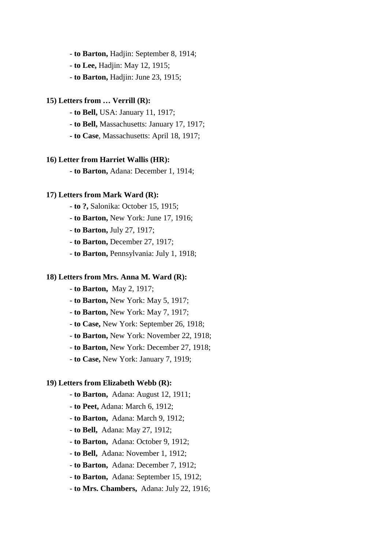- **to Barton,** Hadjin: September 8, 1914;

- **to Lee,** Hadjin: May 12, 1915;
- **to Barton,** Hadjin: June 23, 1915;

### **15) Letters from … Verrill (R):**

- **to Bell,** USA: January 11, 1917;

- **to Bell,** Massachusetts: January 17, 1917;
- **to Case**, Massachusetts: April 18, 1917;

#### **16) Letter from Harriet Wallis (HR):**

- **to Barton,** Adana: December 1, 1914;

### **17) Letters from Mark Ward (R):**

- **to ?,** Salonika: October 15, 1915;

- **to Barton,** New York: June 17, 1916;

- **to Barton,** July 27, 1917;

- **to Barton,** December 27, 1917;

- **to Barton,** Pennsylvania: July 1, 1918;

### **18) Letters from Mrs. Anna M. Ward (R):**

- **to Barton,** May 2, 1917;

- **to Barton,** New York: May 5, 1917;
- **to Barton,** New York: May 7, 1917;
- **to Case,** New York: September 26, 1918;
- **to Barton,** New York: November 22, 1918;
- **to Barton,** New York: December 27, 1918;
- **to Case,** New York: January 7, 1919;

### **19) Letters from Elizabeth Webb (R):**

- **to Barton,** Adana: August 12, 1911;
- **to Peet,** Adana: March 6, 1912;
- **to Barton,** Adana: March 9, 1912;
- **to Bell,** Adana: May 27, 1912;
- **to Barton,** Adana: October 9, 1912;
- **to Bell,** Adana: November 1, 1912;
- **to Barton,** Adana: December 7, 1912;
- **to Barton,** Adana: September 15, 1912;

#### - **to Mrs. Chambers,** Adana: July 22, 1916;